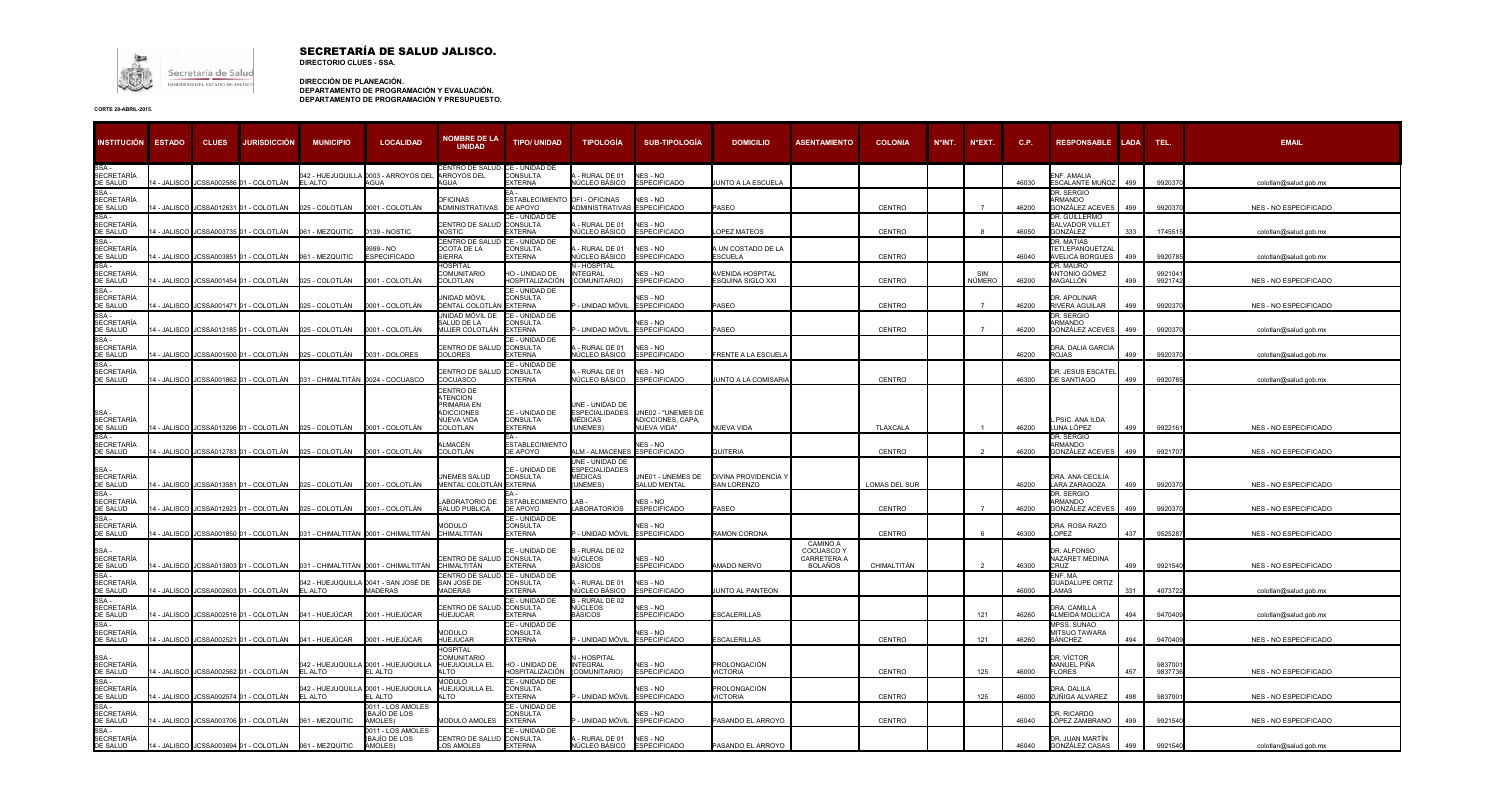

## SECRETARÍA DE SALUD JALISCO. **DIRECTORIO CLUES - SSA.**

**DIRECCIÓN DE PLANEACIÓN. DEPARTAMENTO DE PROGRAMACIÓN Y EVALUACIÓN. DEPARTAMENTO DE PROGRAMACIÓN Y PRESUPUESTO.**

| <b>INSTITUCIÓN</b>                     | <b>ESTADO</b>    | <b>CLUES</b> | JURISDICCIÓN                            | <b>MUNICIPIO</b>                                                                    | <b>LOCALIDAD</b>                                       | <b>NOMBRE DE LA</b><br><b>UNIDAD</b>                                                | <b>TIPO/ UNIDAD</b>                                       | <b>TIPOLOGÍA</b>                                               | <b>SUB-TIPOLOGÍA</b>                                   | <b>DOMICILIO</b>                    | <b>ASENTAMIENTO</b>                                            | <b>COLONIA</b>       | $N^{\circ}$ INT. | $N^{\circ}$ EXT. | C.P.  | <b>RESPONSABLE LADA</b>                               |     | TEL.              | <b>EMAIL</b>                 |
|----------------------------------------|------------------|--------------|-----------------------------------------|-------------------------------------------------------------------------------------|--------------------------------------------------------|-------------------------------------------------------------------------------------|-----------------------------------------------------------|----------------------------------------------------------------|--------------------------------------------------------|-------------------------------------|----------------------------------------------------------------|----------------------|------------------|------------------|-------|-------------------------------------------------------|-----|-------------------|------------------------------|
| <b>SECRETARÍA</b><br>DE SALUD          | 4 - JALISCO      |              | JCSSA002586 01 - COLOTLÁN               | EL ALTO                                                                             | 042 - HUEJUQUILLA 0003 - ARROYOS DEL<br>AGUA           | <b>ENTRO DE SALUD</b><br>ARROYOS DEL<br>AGUA                                        | CE - UNIDAD DE<br><b>CONSULTA</b><br><b>XTERNA</b>        | RURAL DE 01<br>VÚCLEO BÁSICO                                   | NES - NO<br><b>ESPECIFICADO</b>                        | UNTO A LA ESCUELA                   |                                                                |                      |                  |                  | 46030 | ENF. AMALIA<br>ESCALANTE MUÑOZ                        | 499 | 992037            | colotlan@salud.gob.mx        |
| SSA-<br>SECRETARÍA<br>DE SALUD         | 4 - JALISCO      |              | JCSSA012631 01 - COLOTLÁN               | 025 - COLOTLÁN                                                                      | 0001 - COLOTLÁN                                        | <b>OFICINAS</b><br>ADMINISTRATIVAS                                                  | ESTABLECIMIENTO OFI - OFICINAS<br>DE APOYO                | ADMINISTRATIVAS ESPECIFICADO                                   | NES - NO                                               | ASEO                                |                                                                | <b>CENTRO</b>        |                  |                  | 46200 | DR. SERGIO<br>ARMANDO<br><b>GONZÁLEZ ACEVES</b>       | 499 | 992037            | <b>NES - NO ESPECIFICADO</b> |
| SSA-<br><b>SECRETARÍA</b><br>DE SALUD  |                  |              | - JALISCO JCSSA003735 01 - COLOTLÁN     | 061 - MEZQUITIC                                                                     | 0139 - NOSTIC                                          | CENTRO DE SALUD<br><b>NOSTIC</b>                                                    | <b>E - UNIDAD DE</b><br><b>CONSULTA</b><br><b>EXTERNA</b> | RURAL DE 01<br><b>IÚCLEO BÁSICO</b>                            | NES - NO<br><b>ESPECIFICADO</b>                        | <b>OPFZ MATEOS</b>                  |                                                                | CENTRO               |                  |                  | 46050 | DR. GUILLERMO<br>SALVADOR VILLET<br>GONZÁLEZ          | 333 | 174551            | colotlan@salud.gob.mx        |
| SSA-<br><b>SECRETARÍA</b><br>DE SALUD  | 4 - JALISCO      |              |                                         | JCSSA003851 01 - COLOTLÁN 061 - MEZQUITIC                                           | 9999 - NO<br><b>ESPECIFICADO</b>                       | CENTRO DE SALUD<br><b>OCOTA DE LA</b><br><b>IFRRA</b>                               | CE - UNIDAD DE<br><b>CONSULTA</b><br><b>XTERNA</b>        | RURAL DE 01<br>IÚCLEO BÁSICO                                   | NES-NO<br><b>ESPECIFICADO</b>                          | <b>UN COSTADO DE LA</b><br>ESCUELA  |                                                                | CENTRO               |                  |                  | 46040 | DR. MATIAS<br>TETLEPANQUETZA<br><b>VELICA BORGUES</b> | 499 | 992078            | colotlan@salud.gob.mx        |
| SSA -<br><b>SECRETARÍA</b><br>DE SALUD | 4 - JALISCO      |              | ICSSA001454 01 - COLOTLÁN               | 025 - COLOTLÁN                                                                      | 0001 - COLOTLÁN                                        | <b>HOSPITAL</b><br><b>COMUNITARIO</b><br>COLOTLAN                                   | HO - UNIDAD DE<br><b>IOSPITALIZACIÓN</b>                  | <b>I - HOSPITAL</b><br><b>ITEGRAL</b><br>COMUNITARIO)          | NES - NO<br><b>ESPECIFICADO</b>                        | VENIDA HOSPITAL<br>SQUINA SIGLO XXI |                                                                | <b>CENTRO</b>        |                  | SIN<br>NÚMERO    | 46200 | DR. MAURO<br>ANTONIO GÓMEZ<br>MAGALLÓN                | 499 | 992104<br>9921742 | NES - NO ESPECIFICADO        |
| SSA -<br><b>SECRETARÍA</b><br>DE SALUD | <b>- JALISCO</b> |              | JCSSA001471 01 - COLOTLÁN               | 025 - COLOTLÁN                                                                      | 0001 - COLOTLÁN                                        | JNIDAD MÓVIL<br>DENTAL COLOTLÁI                                                     | CE - UNIDAD DE<br>ONSULTA<br>EXTERNA                      | UNIDAD MÓVIL                                                   | NES - NO<br><b>ESPECIFICADO</b>                        | <b>ASEO</b>                         |                                                                | <b>CENTRO</b>        |                  |                  | 46200 | DR. APOLINAR<br>RIVERA AGUILAR                        | 499 | 9920370           | <b>NES - NO ESPECIFICADO</b> |
| SSA -<br><b>SECRETARÍA</b><br>DE SALUD | 4 - JALISCO      |              | JCSSA013185 01 - COLOTLÁN               | 025 - COLOTLÁN                                                                      | 0001 - COLOTLÁN                                        | JNIDAD MÓVIL DE<br>ALUD DE LA<br>MUJER COLOTLÁN                                     | CE - UNIDAD DE<br><b>CONSULTA</b><br><b>EXTERNA</b>       | - UNIDAD MÓVIL                                                 | NES - NO<br><b>ESPECIFICADO</b>                        | <b>ASEO</b>                         |                                                                | CENTRO               |                  | $\overline{7}$   | 46200 | DR. SERGIO<br>ARMANDO<br>GONZÁLEZ ACEVES              | 499 | 9920370           | colotlan@salud.gob.mx        |
| SSA-<br><b>SECRETARÍA</b><br>DE SALUD  | 4 - JALISCO      |              | ICSSA001500 01 - COLOTLÁN               | 025 - COLOTLÁN                                                                      | 0031 - DOLORES                                         | CENTRO DE SALUD<br><b>DOLORES</b>                                                   | E - UNIDAD DE<br><b>CONSULTA</b><br><b>XTERNA</b>         | RURAL DE 01<br>IÚCLEO BÁSICO                                   | NES - NO<br><b>ESPECIFICADO</b>                        | <b>RENTE A LA ESCUELA</b>           |                                                                |                      |                  |                  | 46200 | DRA. DALIA GARCIA<br><b>ROJAS</b>                     | 499 | 992037            | colotlan@salud.gob.mx        |
| SSA-<br><b>SECRETARÍA</b><br>DE SALUD  | 4 - JALISCO      |              | ICSSA001862 01 - COLOTLÁN               |                                                                                     | 031 - CHIMALTITÁN 0024 - COCUASCO                      | CENTRO DE SALI<br>COCUASCO                                                          | CE - UNIDAD DE<br><b>CONSULTA</b><br><b>EXTERNA</b>       | - RURAL DE 01<br>NÚCLEO BÁSICO                                 | NES - NO<br><b>ESPECIFICADO</b>                        | <b>JUNTO A LA COMISARIA</b>         |                                                                | CENTRO               |                  |                  | 46300 | DR. JESUS ESCATE<br><b>DE SANTIAGO</b>                | 499 | 9920785           | colotlan@salud.gob.mx        |
| SSA -<br><b>SECRETARÍA</b><br>DE SALUD |                  |              |                                         | 14 - JALISCO JJCSSA013296 01 - COLOTLÁN        025 - COLOTLÁN       0001 - COLOTLÁN |                                                        | CENTRO DE<br>ATENCION<br>PRIMARIA EN<br>ADICCIONES<br>NUEVA VIDA<br><b>COLOTLAN</b> | CE - UNIDAD DE<br>CONSULTA<br><b>EXTERNA</b>              | JNE - UNIDAD DE<br>ESPECIALIDADES<br><b>IÉDICAS</b><br>UNEMES) | UNE02 - "UNEMES DE<br>ADICCIONES, CAPA,<br>NUEVA VIDA" | NUEVA VIDA                          |                                                                | <b>TLAXCALA</b>      |                  |                  | 46200 | .PSIC. ANA ILDA<br>LUNA LÓPEZ                         | 499 | 992216            | NES - NO ESPECIFICADO        |
| SSA-<br>SECRETARÍA<br>DE SALUD         | 4 - JALISCO      |              | JCSSA012783 01 - COLOTLÁN               | 025 - COLOTLÁN                                                                      | 0001 - COLOTLÁN                                        | ∖LMACÉN<br>COLOTLÁN                                                                 | ESTABLECIMIENTC<br>E APOYO                                | <b>LM - ALMACENES</b>                                          | NES - NO<br><b>ESPECIFICADO</b>                        | <b>QUITERIA</b>                     |                                                                | <b>CENTRO</b>        |                  |                  | 46200 | DR. SERGIO<br>ARMANDO<br>ONZÁLEZ ACEVES               | 499 | 992170            | <b>NES - NO ESPECIFICADO</b> |
| SSA -<br><b>SECRETARÍA</b><br>DE SALUD | 4 - JALISCO      |              |                                         |                                                                                     |                                                        | <b>INEMES SALUD</b><br>MENTAL COLOTLÁN EXTERNA                                      | CE - UNIDAD DE<br><b>CONSULTA</b>                         | JNE - UNIDAD DE<br>ESPECIALIDADES<br><b>JÉDICAS</b><br>UNEMES) | UNE01 - UNEMES DE<br>SALUD MENTAL                      | DIVINA PROVIDENCIA Y<br>AN LORENZO  |                                                                | <b>LOMAS DEL SUR</b> |                  |                  | 46200 | DRA. ANA CECILIA<br>LARA ZARAGOZA                     | 499 | 992037            | NES - NO ESPECIFICADO        |
| SSA-<br><b>SECRETARÍA</b><br>DE SALUD  | 4 - JALISCO      |              | JCSSA012923 01 - COLOTLÁN               | 025 - COLOTLÁN                                                                      | 0001 - COLOTLÁN                                        | <b>ABORATORIO DE</b><br>ALUD PUBLICA                                                | ESTABLECIMIENTO LAB-<br><b>DE APOYO</b>                   | ABORATORIOS                                                    | NES - NO<br><b>ESPECIFICADO</b>                        | ASEO                                |                                                                | <b>CENTRO</b>        |                  |                  | 46200 | DR. SERGIO<br><b>ARMANDO</b><br>GONZÁLEZ ACEVES       | 499 | 992037            | NES - NO ESPECIFICADO        |
| SSA -<br><b>SECRETARÍA</b><br>DE SALUD | 4 - JALISCO      |              | JCSSA001850 01 - COLOTLÁN               |                                                                                     | 031 - CHIMALTITÁN 0001 - CHIMALTITÁN                   | <b>IODULO</b><br>CHIMALTITAN                                                        | CE - UNIDAD DE<br>CONSULTA<br><b>EXTERNA</b>              | UNIDAD MÓVIL                                                   | NES - NO<br><b>ESPECIFICADO</b>                        | RAMON CORONA                        |                                                                | CENTRO               |                  |                  | 46300 | DRA. ROSA RAZO<br>LOPEZ                               | 437 | 9525287           | <b>NES - NO ESPECIFICADO</b> |
| SSA-<br><b>SECRETARÍA</b><br>DE SALUD  | 4 - JALISCO .    |              | JCSSA013803 01 - COLOTLÁN               |                                                                                     | 031 - CHIMALTITÁN 0001 - CHIMALTITÁN                   | CENTRO DE SALU<br>CHIMALTITÁN                                                       | CE - UNIDAD DE<br><b>CONSULTA</b><br><b>EXTERNA</b>       | - RURAL DE 02<br>NÚCLEOS<br>BÁSICOS                            | NES - NO<br><b>ESPECIFICADO</b>                        | <b>MADO NERVO</b>                   | <b>CAMINO A</b><br>COCUASCO Y<br>CARRETERA A<br><b>BOLAÑOS</b> | CHIMALTITÁN          |                  | $\overline{2}$   | 46300 | DR. ALFONSO<br>NAZARET MEDINA<br>CRUZ                 | 499 | 9921540           | NES - NO ESPECIFICADO        |
| SSA-<br><b>SECRETARÍA</b><br>DE SALUD  | 4 - JALISCO      |              | ICSSA002603 01 - COLOTLÁN               | EL ALTO                                                                             | 042 - HUEJUQUILLA 0041 - SAN JOSÉ DE<br><b>MADERAS</b> | <b>ENTRO DE SALUD</b><br>SAN JOSÉ DE<br><b>MADERAS</b>                              | CE - UNIDAD DE<br>CONSULTA<br><b>XTERNA</b>               | - RURAL DE 01<br><b>IÚCLEO BÁSICO</b>                          | NES - NO<br><b>ESPECIFICADO</b>                        | UNTO AL PANTEON                     |                                                                |                      |                  |                  | 46000 | ENF. MA<br><b>GUADALUPE ORTIZ</b><br>LAMAS            | 331 | 4073722           | colotlan@salud.gob.mx        |
| SSA-<br><b>SECRETARÍA</b><br>DE SALUD  | 4 - JALISCO      |              | ICSSA002516 01 - COLOTLÁN               | 041 - HUEJÚCAR                                                                      | 0001 - HUEJÚCAR                                        | CENTRO DE SALI<br>HUEJUCAR                                                          | CE - UNIDAD DE<br><b>CONSULTA</b><br>EXTERNA              | - RURAL DE 02<br>NÚCLEOS<br><b>BÁSICOS</b>                     | NES-NO<br><b>ESPECIFICADO</b>                          | <b>SCALERILLAS</b>                  |                                                                |                      |                  | 121              | 46260 | DRA. CAMILLA<br>ALMEIDA MOLLICA                       | 494 | 9470409           | colotlan@salud.gob.mx        |
| SSA -<br><b>SECRETARÍA</b><br>DE SALUD | 4 - JALISCO      |              | JCSSA002521 01 - COLOTLÁN               | 041 - HUEJÚCAR                                                                      | 0001 - HUEJÚCAR                                        | MODULO<br>HUEJUCAR                                                                  | CE - UNIDAD DE<br>CONSULTA<br>EXTERNA                     | UNIDAD MÓVIL                                                   | NES - NO<br><b>ESPECIFICADO</b>                        | <b>SCALERILLAS</b>                  |                                                                | <b>CENTRO</b>        |                  | 121              | 46260 | MPSS. SUNAO<br><b>MITSUO TAWARA</b><br>SÁNCHEZ        | 494 | 9470409           | <b>NES - NO ESPECIFICADO</b> |
| SSA -<br><b>SECRETARÍA</b><br>DE SALUD | 4 - JALISCO      |              | JCSSA002562 01 - COLOTLÁN               | EL ALTO                                                                             | 042 - HUEJUQUILLA 0001 - HUEJUQUILLA<br>EL ALTO        | <b>HOSPITAL</b><br>COMUNITARIO<br>HUEJUQUILLA EL<br>ALTO                            | HO - UNIDAD DE<br><b>HOSPITALIZACIÓN</b>                  | - HOSPITAL<br><b>NTEGRAL</b><br>(COMUNITARIO)                  | NES - NO<br><b>ESPECIFICADO</b>                        | PROLONGACIÓN<br><b>VICTORIA</b>     |                                                                | CENTRO               |                  | 125              | 46000 | DR. VÍCTOR<br>MANUEL PIÑA<br><b>FLORES</b>            | 457 | 983700<br>9837736 | NES - NO ESPECIFICADO        |
| SSA-<br><b>SECRETARÍA</b><br>DE SALUD  |                  |              | 4 - JALISCO I JCSSA002574 01 - COLOTLÁN | EL ALTO                                                                             | 042 - HUEJUQUILLA 0001 - HUEJUQUILLA<br>EL ALTO        | <b>MODULO</b><br>HUEJUQUILLA EL<br>ALTO                                             | <b>E - UNIDAD DE</b><br>CONSULTA<br><b>EXTERNA</b>        | UNIDAD MÓVIL                                                   | NES - NO<br><b>ESPECIFICADO</b>                        | PROLONGACIÓN<br>/ICTORIA            |                                                                | <b>CENTRO</b>        |                  | 125              | 46000 | DRA. DALILA<br>ZUÑIGA ALVAREZ                         | 498 | 983700            | <b>NES - NO ESPECIFICADO</b> |
| SSA-<br><b>SECRETARÍA</b><br>DE SALUD  | - JALISCO        |              | JCSSA003706 01 - COLOTLÁN               | 061 - MEZQUITIC                                                                     | 0011 - LOS AMOLES<br><b>IBAJÍO DE LOS</b><br>AMOLES)   | <b>MODULO AMOLES</b>                                                                | CE - UNIDAD DE<br><b>CONSULTA</b><br><b>EXTERNA</b>       | UNIDAD MÓVIL                                                   | $NFS - NO$<br><b>ESPECIFICADO</b>                      | ASANDO EL ARROYO                    |                                                                | CENTRO               |                  |                  | 46040 | DR. RICARDO<br>LÓPEZ ZAMBRANO                         | 499 | 9921540           | NES - NO ESPECIFICADO        |
| SSA-<br><b>SECRETARÍA</b><br>DE SALUD  |                  |              |                                         | 14 - JALISCO JCSSA003694 01 - COLOTLÁN 061 - MEZQUITIC                              | 0011 - LOS AMOLES<br>BAJÍO DE LOS<br>AMOLES)           | CENTRO DE SALUD<br>OS AMOLES                                                        | E - UNIDAD DE<br>CONSULTA<br><b>EXTERNA</b>               | RURAL DE 01<br>NÚCLEO BÁSICO                                   | NES-NO<br><b>ESPECIFICADO</b>                          | PASANDO EL ARROYO                   |                                                                |                      |                  |                  | 46040 | DR. JUAN MARTÍN<br>GONZÁLEZ CASAS                     | 499 | 9921540           | colotlan@salud.gob.mx        |

| <b>EMAIL</b>          |
|-----------------------|
| colotlan@salud.gob.mx |
| NES - NO ESPECIFICADO |
| colotlan@salud.gob.mx |
| colotlan@salud.gob.mx |
| NES - NO ESPECIFICADO |
| NES - NO ESPECIFICADO |
| colotlan@salud.gob.mx |
| colotlan@salud.gob.mx |
| colotlan@salud.gob.mx |
|                       |
| NES - NO ESPECIFICADO |
| NES - NO ESPECIFICADO |
| NES - NO ESPECIFICADO |
| NES - NO ESPECIFICADO |
| NES - NO ESPECIFICADO |
|                       |
| NES - NO ESPECIFICADO |
| colotlan@salud.gob.mx |
| colotlan@salud.gob.mx |
| NES - NO ESPECIFICADO |
| NES - NO ESPECIFICADO |
| NES - NO ESPECIFICADO |
| NES - NO ESPECIFICADO |
| colotlan@salud.gob.mx |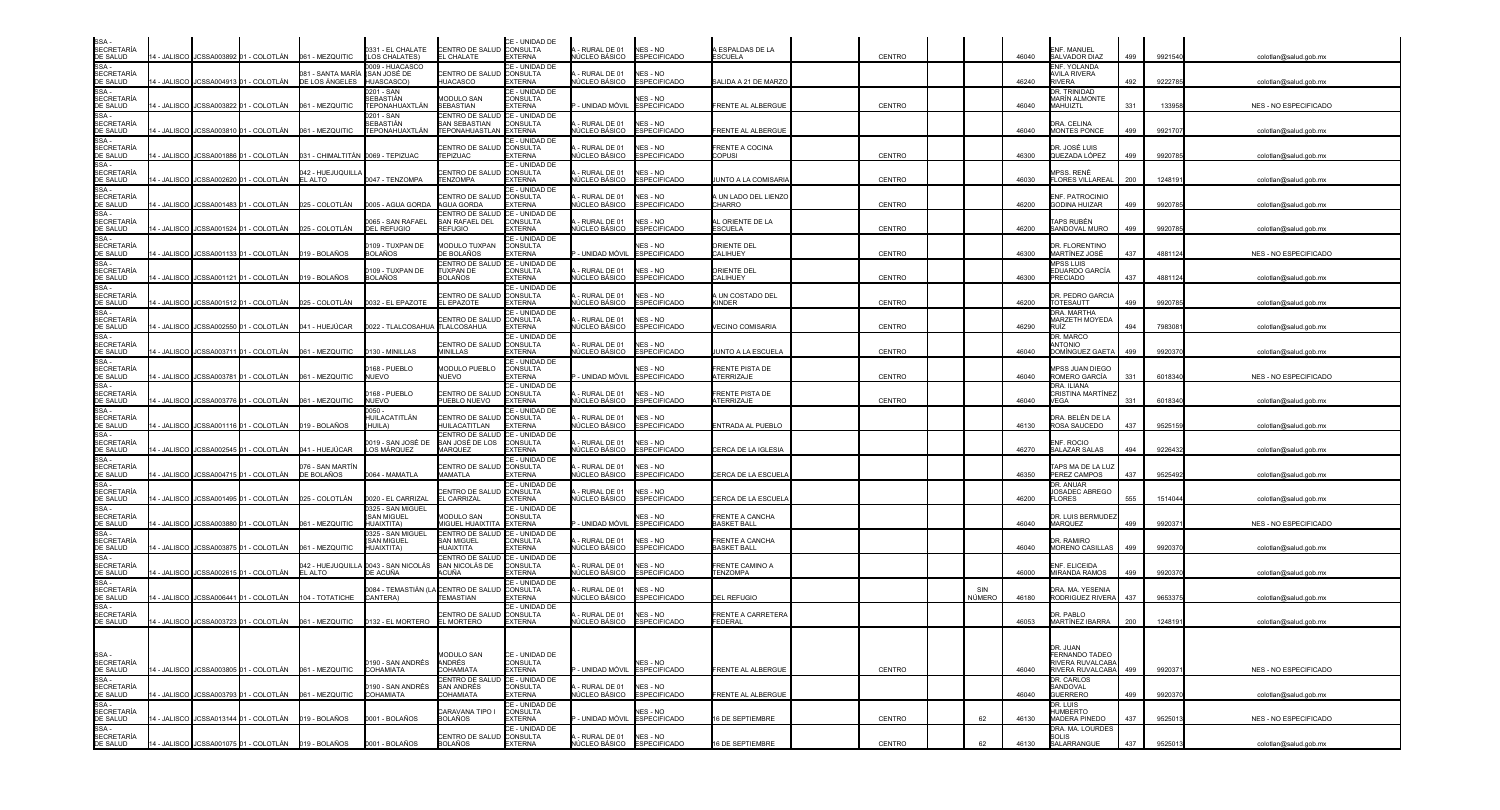| SSA-<br><b>SECRETARÍA</b><br>DE SALUD         |               |                                                      | 14 - JALISCO JCSSA003892 01 - COLOTLÁN 061 - MEZQUITIC | 0331 - EL CHALATE<br>LOS CHALATES)                         | CENTRO DE SALUD CONSULTA<br>EL CHALATE                                  | CE - UNIDAD DE<br><b>EXTERNA</b>                                      | - RURAL DE 01<br>IÚCLEO BÁSICO              | NES - NO<br><b>ESPECIFICADO</b>       | A ESPALDAS DE LA<br>ESCUELA                | <b>CENTRO</b> |               | 46040 | ENF. MANUEL<br>SALVADOR DIAZ                    | 499 | 9921540 | colotlan@salud.gob.mx        |
|-----------------------------------------------|---------------|------------------------------------------------------|--------------------------------------------------------|------------------------------------------------------------|-------------------------------------------------------------------------|-----------------------------------------------------------------------|---------------------------------------------|---------------------------------------|--------------------------------------------|---------------|---------------|-------|-------------------------------------------------|-----|---------|------------------------------|
| SSA-<br><b>SECRETARÍA</b><br>DE SALUD         | 4 - JALISCO   | JCSSA004913 01 - COLOTLÁN                            | )81 - SANTA MARÌA<br>DE LOS ÁNGELES                    | 009 - HUACASCO<br>(SAN JOSÉ DE<br>HUASCASCO)               | CENTRO DE SALUD<br>HUACASCO                                             | CE - UNIDAD DE<br>CONSULTA<br><b>EXTERNA</b>                          | - RURAL DE 01<br>ÚCLEO BÁSICO               | NES - NO<br><b>ESPECIFICADO</b>       | SALIDA A 21 DE MARZO                       |               |               | 46240 | ENF. YOLANDA<br>AVILA RIVERA<br><b>RIVERA</b>   | 492 | 9222785 | colotlan@salud.gob.mx        |
| SSA-<br><b>SECRETARÍA</b><br>DE SALUD         | 4 - JALISCO   | JCSSA003822 01 - COLOTLÁN                            | 061 - MEZQUITIC                                        | 0201 - SAN<br>SEBASTIÁN<br>TEPONAHUAXTLÁN                  | <b>MODULO SAN</b><br>SEBASTIAN                                          | CE - UNIDAD DE<br>CONSULTA<br>EXTERNA                                 | - UNIDAD MÓVIL                              | NES - NO<br><b>ESPECIFICADO</b>       | FRENTE AL ALBERGUE                         | CENTRO        |               | 46040 | DR. TRINIDAD<br>MARÍN ALMONTE<br>MAHUIZTL       | 331 | 133958  | NES - NO ESPECIFICADO        |
| SSA-<br><b>SECRETARÍA</b><br>DE SALUD         |               |                                                      |                                                        | )201 - SAN<br>SEBASTIÁN<br>TEPONAHUAXTLÁN                  | CENTRO DE SALUD<br>SAN SEBASTIAN<br>TEPONAHUASTLAN EXTERNA              | CE - UNIDAD DE<br><b>CONSULTA</b>                                     | - RURAL DE 01<br>ÚCLEO BÁSICO ESPECIFICADO  | NES - NO                              | FRENTE AL ALBERGUE                         |               |               | 46040 | DRA. CELINA<br>MONTES PONCE                     | 499 | 9921707 | colotlan@salud.gob.mx        |
| SSA -<br><b>SECRETARÍA</b><br>DE SALUD        | 4 - JALISCO I |                                                      |                                                        |                                                            | CENTRO DE SALUD<br><b>TEPIZUAC</b>                                      | CE - UNIDAD DE<br><b>CONSULTA</b><br>EXTERNA                          | - RURAL DE 01<br>ÚCLEO BÁSICO               | NES - NO<br><b>ESPECIFICADO</b>       | FRENTE A COCINA<br>COPUSI                  | CENTRO        |               | 46300 | DR. JOSÉ LUIS<br>QUEZADA LÓPEZ                  | 499 | 992078  | colotlan@salud.gob.mx        |
| SSA-<br><b>SECRETARÍA</b><br>DE SALUD         |               | 4 - JALISCO I JCSSA002620 01 - COLOTLÁN              | 042 - HUEJUQUILLA<br>EL ALTO                           | 0047 - TENZOMPA                                            | CENTRO DE SALUD<br><b>TENZOMPA</b>                                      | CE - UNIDAD DE<br><b>CONSULTA</b><br><b>EXTERNA</b>                   | - RURAL DE 01<br>IÚCLEO BÁSICO ESPECIFICADO | NES - NO                              | <b>JUNTO A LA COMISARIA</b>                | CENTRO        |               | 46030 | MPSS. RENÉ<br><b>FLORES VILLAREAL</b>           | 200 | 124819  | colotlan@salud.gob.mx        |
| $SSA -$<br><b>SECRETARÍA</b><br>DE SALUD      |               |                                                      | 14 - JALISCO JCSSA001483 01 - COLOTLÁN 025 - COLOTLÁN  | 005 - AGUA GORDA                                           | CENTRO DE SALUD<br><b>AGUA GORDA</b>                                    | CE - UNIDAD DE<br><b>CONSULTA</b><br><b>EXTERNA</b>                   | - RURAL DE 01<br>IÚCLEO BÁSICO              | NES - NO<br><b>ESPECIFICADO</b>       | UN LADO DEL LIENZO<br>CHARRO               | CENTRO        |               | 46200 | ENF. PATROCINIO<br><b>GODINA HUIZAR</b>         | 499 | 992078  | colotlan@salud.gob.mx        |
| SSA -<br><b>SECRETARÍA</b><br>DE SALUD        |               |                                                      | 14 - JALISCO JCSSA001524 01 - COLOTLÁN 025 - COLOTLÁN  | 065 - SAN RAFAEL<br><b>DEL REFUGIO</b>                     | CENTRO DE SALUD<br>SAN RAFAEL DEL<br><b>REFUGIO</b>                     | CE - UNIDAD DE<br><b>CONSULTA</b><br><b>EXTERNA</b>                   | - RURAL DE 01<br><b>IÚCLEO BÁSICO</b>       | NES - NO<br><b>ESPECIFICADO</b>       | <b>IL ORIENTE DE LA</b><br><b>ESCUELA</b>  | CENTRO        |               | 46200 | APS RUBÉN<br>SANDOVAL MURO                      | 499 | 9920785 | colotlan@salud.gob.mx        |
| $SSA -$<br><b>SECRETARÍA</b><br>DE SALUD      | 14 - JALISCO  |                                                      |                                                        | 109 - TUXPAN DE<br>3OLAÑOS                                 | MODULO TUXPAN<br>DE BOLAÑOS                                             | CE - UNIDAD DE<br>CONSULTA<br><b>EXTERNA</b>                          | - UNIDAD MÓVIL                              | NES - NO<br><b>ESPECIFICADO</b>       | ORIENTE DEL<br>CALIHUEY                    | CENTRO        |               | 46300 | DR. FLORENTINO<br>MARTÍNEZ JOSÉ                 | 437 | 4881124 | NES - NO ESPECIFICADO        |
| SSA -<br><b>SECRETARÍA</b><br>DE SALUD        |               | 4 - JALISCO JCSSA001121 01 - COLOTLÁN                | 019 - BOLAÑOS                                          | 109 - TUXPAN DE<br><b>BOLAÑOS</b>                          | CENTRO DE SALUD<br><b>TUXPAN DE</b><br><b>BOLAÑOS</b>                   | CE - UNIDAD DE<br>CONSULTA<br><b>FXTERNA</b>                          | - RURAL DE 01<br>IÚCLEO BÁSICO              | NES - NO<br><b>ESPECIFICADO</b>       | ORIENTE DEL<br>CALIHUEY                    | CENTRO        |               | 46300 | <b>MPSS LUIS</b><br>EDUARDO GARCÍA<br>PRECIADO  | 437 | 4881124 | colotlan@salud.gob.mx        |
| SSA -<br><b>SECRETARÍA</b><br>DE SALUD        | I - JALISCO   | JCSSA001512 01 - COLOTLÁN                            | 025 - COLOTLÁN                                         | 0032 - EL EPAZOTE                                          | CENTRO DE SALUD<br>EL EPAZOTE                                           | CE - UNIDAD DE<br><b>CONSULTA</b><br><b>EXTERNA</b>                   | - RURAL DE 01<br>ÚCLEO BÁSICO               | NES - NO<br><b>ESPECIFICADO</b>       | A UN COSTADO DEL<br>(INDER                 | CENTRO        |               | 46200 | DR. PEDRO GARCIA<br><b>TOTESAUTT</b>            | 499 | 992078  | colotlan@salud.gob.mx        |
| SSA-<br><b>SECRETARÍA</b><br>DE SALUD         |               |                                                      | 4 - JALISCO JCSSA002550 01 - COLOTLÁN 041 - HUEJÚCAR   | 0022 - TLALCOSAHUA TLALCOSAHUA                             | CENTRO DE SALUE                                                         | CE - UNIDAD DE<br><b>CONSULTA</b><br><b>EXTERNA</b>                   | - RURAL DE 01<br>IÚCLEO BÁSICO              | NES - NO<br><b>ESPECIFICADO</b>       | VECINO COMISARIA                           | CENTRO        |               | 46290 | DRA. MARTHA<br>MARZETH MOYEDA<br>RUÍZ.          | 494 | 7983081 | colotlan@salud.gob.mx        |
| SSA -<br><b>SECRETARÍA</b><br>DE SALUD        | 4 - JALISCO   | JCSSA003711 01 - COLOTLÁN                            | 061 - MEZQUITIC                                        | 130 - MINILLAS                                             | CENTRO DE SALUD<br>MINILLAS                                             | CE - UNIDAD DE<br><b>CONSULTA</b><br>EXTERNA                          | - RURAL DE 01<br>ÚCLEO BÁSICO               | NES - NO<br><b>ESPECIFICADO</b>       | <b>JUNTO A LA ESCUELA</b>                  | CENTRO        |               | 46040 | DR. MARCO<br><b>OINOTAL</b><br>DOMÍNGUEZ GAETA  | 499 | 992037  | colotlan@salud.gob.mx        |
| SSA-<br><b>SECRETARÍA</b><br>DE SALUD<br>SSA- | 4 - JALISCO   | JCSSA003781 01 - COLOTLÁN                            | 061 - MEZQUITIC                                        | 168 - PUEBLO<br><b>NUEVO</b>                               | MODULO PUEBLO<br>NUFVO                                                  | CE - UNIDAD DE<br>CONSULTA<br><b>EXTERNA</b>                          | - UNIDAD MÓVIL ESPECIFICADO                 | NES - NO                              | <b>RENTE PISTA DE</b><br><b>ITERRIZAJE</b> | CENTRO        |               | 46040 | MPSS JUAN DIEGO<br>ROMERO GARCÍA                | 331 | 6018340 | NES - NO ESPECIFICADO        |
| <b>SECRETARÍA</b><br>DE SALUD<br>SSA -        |               | 4 - JALISCO JJCSSA003776 01 - COLOTLÁN               | 061 - MEZQUITIC                                        | 168 - PUEBLO<br><b>NUEVO</b><br>$050 -$                    | CENTRO DE SALUD<br>PUEBLO NUEVO                                         | CE - UNIDAD DE<br><b>CONSULTA</b><br><b>EXTERNA</b><br>CE - UNIDAD DE | - RURAL DE 01<br>ÚCLEO BÁSICO               | NES - NO<br><b>ESPECIFICADO</b>       | FRENTE PISTA DE<br><b>TERRIZAJE</b>        | CENTRO        |               | 46040 | DRA. ILIANA<br>CRISTINA MARTINE<br>VEGA         | 331 | 6018340 | colotlan@salud.gob.mx        |
| <b>SECRETARÍA</b><br>DE SALUD<br>SSA-         |               | 4 - JALISCO   JCSSA001116  01 - COLOTLÁN             | 019 - BOLAÑOS                                          | <del>I</del> UILACATITLÁN<br>HUILA)                        | CENTRO DE SALUD<br>HUILACATITLAN<br>CENTRO DE SALUD                     | <b>CONSULTA</b><br><b>EXTERNA</b>                                     | - RURAL DE 01<br>ÚCLEO BÁSICO ESPECIFICADO  | NES - NO                              | ENTRADA AL PUEBLO                          |               |               | 46130 | DRA. BELÉN DE LA<br>ROSA SAUCEDO                | 437 | 9525159 | colotlan@salud.gob.mx        |
| <b>SECRETARÍA</b><br>DE SALUD<br>SSA-         |               | 14 - JALISCO   JCSSA002545  01 - COLOTLÁN            | 041 - HUEJÚCAR                                         | 019 - SAN JOSÉ DE<br>OS MÁRQUEZ                            | SAN JOSÉ DE LOS<br>MARQUEZ                                              | CE - UNIDAD DE<br><b>CONSULTA</b><br><b>EXTERNA</b>                   | - RURAL DE 01<br>IÚCLEO BÁSICO ESPECIFICADO | NES - NO                              | ERCA DE LA IGLESIA                         |               |               | 46270 | ENF. ROCIO<br>SALAZAR SALAS                     | 494 | 922643  | colotlan@salud.gob.mx        |
| <b>SECRETARÍA</b><br>DE SALUD                 |               | 14 - JALISCO JCSSA004715 01 - COLOTLÁN               | 076 - SAN MARTÌN<br>DE BOLAÑOS                         | 0064 - MAMATLA                                             | CENTRO DE SALUD<br><b>MAMATLA</b>                                       | CE - UNIDAD DE<br><b>CONSULTA</b><br><b>EXTERNA</b>                   | - RURAL DE 01<br><b>IÚCLEO BÁSICO</b>       | NES - NO<br><b>ESPECIFICADO</b>       | CERCA DE LA ESCUELA                        |               |               | 46350 | TAPS MA DE LA LUI<br>PEREZ CAMPOS               | 437 | 9525492 | colotlan@salud.gob.mx        |
| SSA-<br><b>SECRETARÍA</b><br>DE SALUD         | 4 - JALISCO   | ICSSA001495 01 - COLOTLÁN                            | 025 - COLOTLÁN                                         | 0020 - EL CARRIZAI                                         | CENTRO DE SALUD CONSULTA<br>EL CARRIZAL                                 | CE - UNIDAD DE<br><b>EXTERNA</b>                                      | - RURAL DE 01<br>IÚCLEO BÁSICO              | NES - NO<br><b>ESPECIFICADO</b>       | CERCA DE LA ESCUELA                        |               |               | 46200 | DR. ANUAR<br>JOSADEC ABREGO<br><b>FLORES</b>    | 555 | 1514044 | colotlan@salud.gob.mx        |
| SSA -<br><b>SECRETARÍA</b><br>DE SALUD        |               | 14 - JALISCO JCSSA003880 01 - COLOTLÁN               | 061 - MEZQUITIC                                        | 0325 - SAN MIGUEL<br>SAN MIGUEL<br><b>(ATITXIAUH</b>       | MODULO SAN<br>MIGUEL HUAIXTITA EXTERNA                                  | CE - UNIDAD DE<br>CONSULTA                                            | - UNIDAD MÓVIL                              | NES - NO<br><b>ESPECIFICADO</b>       | FRENTE A CANCHA<br><b>BASKET BALL</b>      |               |               | 46040 | DR. LUIS BERMUDE<br><b>MARQUEZ</b>              | 499 | 992037  | NES - NO ESPECIFICADO        |
| SSA -<br><b>SECRETARÍA</b><br>DE SALUD        | I - JALISCO   | JCSSA003875 01 - COLOTLÁN                            | 061 - MEZQUITIC                                        | 325 - SAN MIGUEL<br><b>SAN MIGUEL</b><br><b>HUAIXTITA)</b> | CENTRO DE SALUD CE - UNIDAD DE<br><b>SAN MIGUEL</b><br><b>HUAIXTITA</b> | CONSULTA<br><b>EXTERNA</b>                                            | - RURAL DE 01<br>IÚCLEO BÁSICO              | NES - NO<br><b>ESPECIFICADO</b>       | FRENTE A CANCHA<br><b>BASKET BALL</b>      |               |               | 46040 | DR. RAMIRO<br>MORENO CASILLAS                   | 499 | 992037  | colotlan@salud.gob.mx        |
| SSA-<br><b>SECRETARÍA</b><br>DE SALUD         |               | 4 - JALISCO JJCSSA002615 01 - COLOTLÁN               | 042 - HUEJUQUILLA<br>EL ALTO                           | 0043 - SAN NICOLÁS<br>DE ACUÑA                             | CENTRO DE SALUD CE - UNIDAD DE<br>SAN NICOLÁS DE<br><b>\CUÑA</b>        | <b>CONSULTA</b><br><b>FXTERNA</b>                                     | - RURAL DE 01<br>IÚCLEO BÁSICO              | NES - NO<br><b>ESPECIFICADO</b>       | FRENTE CAMINO A<br><b>TENZOMPA</b>         |               |               | 46000 | ENF. ELICEIDA<br>MIRANDA RAMOS                  | 499 | 992037  | colotlan@salud.gob.mx        |
| SSA-<br><b>SECRETARÍA</b><br>DE SALUD         | 4 - JALISCO   | JCSSA006441 01 - COLOTLÁN                            | 104 - TOTATICHE                                        | 084 - TEMASTIAN (<br>CANTERA)                              | A CENTRO DE SALUE<br><b>TEMASTIAN</b>                                   | CE - UNIDAD DE<br>CONSULTA<br>EXTERNA                                 | - RURAL DE 01<br>ÚCLEO BÁSICO               | NES - NO<br><b>ESPECIFICADO</b>       | DEL REFUGIO                                |               | SIN<br>NÚMERO | 46180 | DRA. MA. YESENIA<br>RODRIGUEZ RIVERA            | 437 | 965337  | colotlan@salud.gob.mx        |
| SSA -<br><b>SECRETARÍA</b><br>DE SALUD        |               |                                                      |                                                        |                                                            | CENTRO DE SALUD<br><b>EL MORTERO</b>                                    | CE - UNIDAD DE<br><b>CONSULTA</b><br><b>EXTERNA</b>                   | - RURAL DE 01<br>ÚCLEO BÁSICO               | NES - NO<br><b>ESPECIFICADO</b>       | FRENTE A CARRETERA<br>FEDERAL              |               |               | 46053 | DR. PABLO<br>MARTÍNEZ IBARRA                    | 200 | 1248191 | colotlan@salud.gob.mx        |
|                                               |               |                                                      |                                                        |                                                            |                                                                         |                                                                       |                                             |                                       |                                            |               |               |       | DR. JUAN<br>FERNANDO TADEO                      |     |         |                              |
| SSA -<br>SECRETARÍA<br>DE SALUD<br>SSA-       | 4 - JALISCO   | JCSSA003805 01 - COLOTLÁN                            | 061 - MEZQUITIC                                        | 190 - SAN ANDRÉS<br><b>COHAMIATA</b>                       | <b>MODULO SAN</b><br>ANDRÉS<br>COHAMIATA                                | CE - UNIDAD DE<br>CONSULTA<br><b>EXTERNA</b>                          |                                             | NES - NO<br>UNIDAD MÓVIL ESPECIFICADO | FRENTE AL ALBERGUE                         | CENTRO        |               | 46040 | RIVERA RUVALCAB<br>RIVERA RUVALCABA             | 499 | 992037  | NES - NO ESPECIFICADO        |
| <b>SECRETARÍA</b><br>DE SALUD                 | 4 - JALISCO   | JCSSA003793 01 - COLOTLÁN                            | 061 - MEZQUITIC                                        | 190 - SAN ANDRÉS<br><b>COHAMIATA</b>                       | CENTRO DE SALUD<br><b>SAN ANDRÉS</b><br>COHAMIATA                       | CE - UNIDAD DE<br><b>CONSULTA</b><br><b>EXTERNA</b>                   | - RURAL DE 01<br>ÚCLEO BÁSICO               | NES - NO<br><b>ESPECIFICADO</b>       | RENTE AL ALBERGUE                          |               |               | 46040 | DR. CARLOS<br>SANDOVAL<br><b>GUERRERO</b>       | 499 | 992037  | colotlan@salud.gob.mx        |
| SSA-<br>SECRETARÍA<br>DE SALUD                |               | 14 - JALISCO I JCSSA013144 01 - COLOTLÁN             | 019 - BOLAÑOS                                          | 0001 - BOLAÑOS                                             | CARAVANA TIPO I<br><b>BOLAÑOS</b>                                       | CE - UNIDAD DE<br>CONSULTA<br><b>EXTERNA</b>                          |                                             | NES - NO<br>UNIDAD MÓVIL ESPECIFICADO | 6 DE SEPTIEMBRE                            | CENTRO        | 62            | 46130 | DR. LUIS<br><b>HUMBERTO</b><br>MADERA PINEDO    | 437 | 952501  | <b>NES - NO ESPECIFICADO</b> |
| SSA-<br>SECRETARÍA<br>DE SALUD                |               | 14 - JALISCO JCSSA001075 01 - COLOTLÁN 019 - BOLAÑOS |                                                        | 0001 - BOLAÑOS                                             | CENTRO DE SALUD<br><b>BOLAÑOS</b>                                       | CE - UNIDAD DE<br><b>CONSULTA</b><br><b>EXTERNA</b>                   | - RURAL DE 01<br>VÚCLEO BÁSICO ESPECIFICADO | NES - NO                              | 16 DE SEPTIEMBRE                           | CENTRO        | 62            | 46130 | DRA. MA. LOURDES<br><b>SOLIS</b><br>SALARRANGUE | 437 | 9525013 | colotlan@salud.gob.mx        |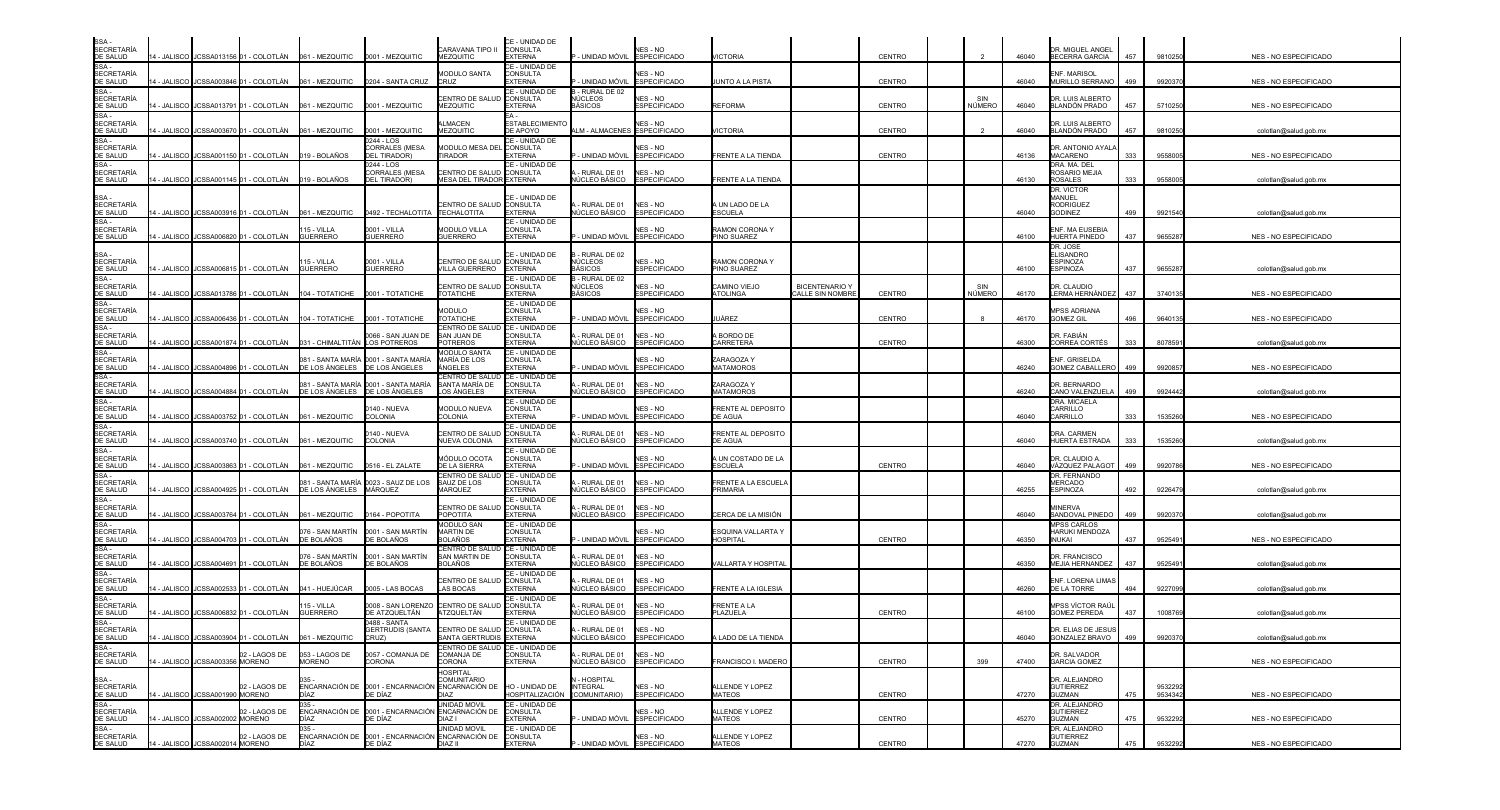| SSA -<br>SECRETARÍA<br>DE SALUD                                                                                                                   |              |                                 |                                         | 14 - JALISCO JCSSA013156 01 - COLOTLÁN 061 - MEZQUITIC | 0001 - MEZQUITIC                                                           | ARAVANA TIPO II:<br><b>MEZQUITIC</b>                            | CE - UNIDAD DE<br><b>CONSULTA</b><br><b>EXTERNA</b> | - UNIDAD MÓVIL ESPECIFICADO                      | NES - NO                               | <b>VICTORIA</b>                       |                                           | CENTRO |               | 46040 | DR. MIGUEL ANGEL<br>BECERRA GARCIA                         | 457 | 9810250            | NES - NO ESPECIFICADO        |
|---------------------------------------------------------------------------------------------------------------------------------------------------|--------------|---------------------------------|-----------------------------------------|--------------------------------------------------------|----------------------------------------------------------------------------|-----------------------------------------------------------------|-----------------------------------------------------|--------------------------------------------------|----------------------------------------|---------------------------------------|-------------------------------------------|--------|---------------|-------|------------------------------------------------------------|-----|--------------------|------------------------------|
| SE SALOS<br>SSA -<br>SECRETARÍA<br>DE SALUD                                                                                                       | 4 - JALISCO  |                                 | JCSSA003846 01 - COLOTLÁN               | 061 - MEZQUITIC                                        | 0204 - SANTA CRUZ                                                          | <b><i>MODULO SANTA</i></b><br>CRUZ.                             | CE - UNIDAD DE<br>CONSULTA<br><b>EXTERNA</b>        | - UNIDAD MÓVIL                                   | NES - NO<br><b>ESPECIFICADO</b>        | UNTO A LA PISTA                       |                                           | CENTRO |               | 46040 | INF. MARISOL<br>MURILLO SERRANO                            | 499 | 9920370            | NES - NO ESPECIFICADO        |
| SSA -<br>SECRETARÍA<br>DE SALUD<br>SSA -<br>SECRETARÍA<br>DE SALUD                                                                                |              |                                 | 4 - JALISCO JJCSSA013791 01 - COLOTLÁN  | 061 - MEZQUITIC                                        | 0001 - MEZQUITIC                                                           | ENTRO DE SALUE<br><b>JEZQUITIC</b>                              | CE - UNIDAD DE<br>CONSULTA<br><b>EXTERNA</b>        | - RURAL DE 02<br>NÚCLEOS<br>BÁSICOS              | <b>NES - NO</b><br><b>ESPECIFICADO</b> | <b>REFORMA</b>                        |                                           | CENTRO | SIN<br>NÚMERO | 46040 | DR. LUIS ALBERTO<br>BLANDÓN PRADO                          | 457 | 5710250            | NES - NO ESPECIFICADO        |
|                                                                                                                                                   | 4 - JALISCO  |                                 | JCSSA003670 01 - COLOTLÁN               | 061 - MEZQUITIC                                        | 0001 - MEZQUITIC                                                           | LMACEN<br><b>JEZQUITIC</b>                                      | <b>ESTABLECIMIENT</b><br>DE APOYO                   | LM - ALMACENES ESPECIFICADO                      | <b>NES - NO</b>                        | <b>ICTORIA</b>                        |                                           | CENTRO |               | 46040 | DR. LUIS ALBERTC<br>BLANDÓN PRADO                          | 457 | 9810250            | colotlan@salud.gob.mx        |
| SSA -<br>SECRETARÍA<br>DE SALUD                                                                                                                   |              |                                 | 4 - JALISCO JCSSA001150 01 - COLOTLÁN   | 019 - BOLAÑOS                                          | 0244 - LOS<br>CORRALES (MESA<br><b>DEL TIRADOR</b>                         | <b>MODULO MESA DE</b><br><b>TIRADOR</b>                         | CE - UNIDAD DE<br><b>CONSULTA</b><br><b>EXTERNA</b> | UNIDAD MÓVIL                                     | NES - NO<br><b>ESPECIFICADO</b>        | <b>RENTE A LA TIENDA</b>              |                                           | CENTRO |               | 46136 | DR. ANTONIO AYALA<br><b>MACARENO</b>                       | 333 | 9558005            | NES - NO ESPECIFICADO        |
| SSA-<br><b>SECRETARÍA</b><br>DE SALUD                                                                                                             |              |                                 | 14 - JALISCO JCSSA001145 01 - COLOTLÁN  | 019 - BOLAÑOS                                          | 0244 - LOS<br>CORRALES (MESA<br><b>DEL TIRADOR)</b>                        | CENTRO DE SALUD CONSULTA<br>MESA DEL TIRADOR EXTERNA            | CE - UNIDAD DE                                      | RURAL DE 01<br>IÚCLEO BÁSICO                     | NES - NO<br><b>ESPECIFICADO</b>        | FRENTE A LA TIENDA                    |                                           |        |               | 46130 | <b>DRA. MA. DEL</b><br>ROSARIO MEJIA<br><b>ROSALES</b>     | 333 | 955800             | colotlan@salud.gob.mx        |
| SSA -<br>SECRETARÍA<br>DE SALUD                                                                                                                   |              |                                 | 14 - JALISCO JCSSA003916 01 - COLOTLÁN  | 061 - MEZQUITIC                                        | 0492 - TECHALOTITA                                                         | CENTRO DE SALUD CONSULTA<br><b>TECHALOTITA</b>                  | CE - UNIDAD DE<br><b>EXTERNA</b>                    | RURAL DE 01<br>NÚCLEO BÁSICO                     | NES - NO<br><b>ESPECIFICADO</b>        | A UN LADO DE LA<br><b>ESCUELA</b>     |                                           |        |               | 46040 | DR. VICTOR<br>MANUEL<br><b>RODRIGUEZ</b><br><b>GODINEZ</b> | 499 | 9921540            | colotlan@salud.gob.mx        |
| $SSA -$<br>SECRETARÍA<br>DE SALUD                                                                                                                 | 4 - JALISCO  | <b>JCSSA006820</b>              | - COLOTLÁN                              | 15 - VILLA<br><b>GUERRERC</b>                          | 0001 - VILLA<br><b>GUERRERO</b>                                            | <b>IODULO VILLA</b><br><b>GUERRERO</b>                          | CE - UNIDAD DE<br><b>CONSULTA</b><br><b>EXTERNA</b> | - UNIDAD MÓVIL                                   | <b>NES - NO</b><br><b>ESPECIFICADO</b> | RAMON CORONA Y<br>PINO SUAREZ         |                                           |        |               | 46100 | NF. MA EUSEBIA<br>HUERTA PINEDO                            | 437 | 9655287            | NES - NO ESPECIFICADO        |
|                                                                                                                                                   |              |                                 | 14 - JALISCO JCSSA006815 01 - COLOTLÁN  | 15 - VILLA<br><b>GUERRERC</b>                          | 0001 - VILLA<br><b>GUERRERO</b>                                            | CENTRO DE SALUD CONSULTA<br><b>VILLA GUERRERO</b>               | CE - UNIDAD DE<br><b>EXTERNA</b>                    | - RURAL DE 02<br><b>NÚCLEOS</b><br>BÁSICOS       | NES - NO<br><b>ESPECIFICADO</b>        | RAMON CORONA Y<br>PINO SUAREZ         |                                           |        |               | 46100 | DR. JOSE<br>ELISANDRO<br><b>SPINOZA</b><br>SPINOZA         | 437 | 9655287            | colotlan@salud.gob.mx        |
| SSA -<br>SECRETARÍA<br>DE SALUD<br>SSA -<br>SECRETARÍA<br>DE SALUD                                                                                |              |                                 | I - JALISCO I JCSSA013786 01 - COLOTLÁN | 104 - TOTATICHE                                        | 0001 - TOTATICHE                                                           | CENTRO DE SALUD<br><b>TOTATICHE</b>                             | CE - UNIDAD DE<br><b>CONSULTA</b><br><b>EXTERNA</b> | - RURAL DE 02<br>NÚCLEOS<br>BÁSICOS              | NES - NO<br><b>ESPECIFICADO</b>        | CAMINO VIEJO<br>ATOLINGA              | <b>BICENTENARIO Y</b><br>CALLE SIN NOMBRE | CENTRO | SIN<br>NÚMERO | 46170 | DR. CLAUDIO<br>LERMA HERNÁNDEZ                             | 437 | 3740135            | NES - NO ESPECIFICADO        |
| SSA-                                                                                                                                              |              |                                 | 4 - JALISCO JJCSSA006436 01 - COLOTLÁN  | 104 - TOTATICHE                                        | 0001 - TOTATICHE                                                           | <b>MODULO</b><br><b>TOTATICHE</b>                               | CE - UNIDAD DE<br><b>CONSULTA</b><br><b>EXTERNA</b> | · UNIDAD MÓVIL                                   | <b>NES - NO</b><br><b>ESPECIFICADO</b> | UÁREZ                                 |                                           | CENTRO |               | 46170 | <b>IPSS ADRIANA</b><br><b>GOMEZ GIL</b>                    | 496 | 9640135            | NES - NO ESPECIFICADO        |
| SECRETARÍA<br>DE SALUD<br>SSA -<br>SECRETARÍA<br>DE SALUD                                                                                         |              |                                 | 4 - JALISCO JCSSA001874 01 - COLOTLÁN   | 031 - CHIMALTITÁN LOS POTREROS                         | 0066 - SAN JUAN DE                                                         | CENTRO DE SALUD<br>SAN JUAN DE<br><b>POTREROS</b>               | CE - UNIDAD DE<br><b>CONSULTA</b><br><b>EXTERNA</b> | RURAL DE 01<br>ÚCLEO BÁSICO                      | NES - NO<br><b>ESPECIFICADO</b>        | A BORDO DE<br>CARRETERA               |                                           | CENTRO |               | 46300 | DR. FABIÁN<br>CORREA CORTÉS                                | 333 | 8078591            | colotlan@salud.gob.mx        |
| SSA -<br>SECRETARÍA<br>DE SALUD                                                                                                                   | 4 - JALISCO  |                                 | JCSSA004896 01 - COLOTLÁN               | 081 - SANTA MARÍA<br>DE LOS ÁNGELES                    | 0001 - SANTA MARÍA<br>DE LOS ÁNGELES                                       | <b>JODULO SANTA</b><br>MARÍA DE LOS<br><b>NGELES</b>            | CE - UNIDAD DE<br><b>CONSULTA</b><br><b>EXTERNA</b> | · UNIDAD MÓVIL                                   | <b>NES - NO</b><br><b>ESPECIFICADO</b> | ZARAGOZA Y<br>MATAMOROS               |                                           |        |               | 46240 | NF. GRISELDA<br><b>GOMEZ CABALLERO</b>                     | 499 | 992085             | NES - NO ESPECIFICADO        |
| $SSA -$<br><b>SECRETARÍA</b><br>DE SALUD                                                                                                          | 4 - JALISCO  |                                 | JCSSA004884 01 - COLOTLÁN               | DE LOS ÁNGELES                                         | 081 - SANTA MARÍA 10001 - SANTA MARÍA<br>DE LOS ÁNGELES                    | CENTRO DE SALUD<br>SANTA MARÍA DE<br>LOS ÁNGELES                | CE - UNIDAD DE<br>CONSULTA<br><b>EXTERNA</b>        | RURAL DE 01<br>ÚCLEO BÁSICO                      | NES - NO<br><b>ESPECIFICADO</b>        | ZARAGOZA Y<br><b>JATAMOROS</b>        |                                           |        |               | 46240 | <b>DR. BERNARDO</b><br>CANO VALENZUELA                     | 499 | 9924442            | colotlan@salud.gob.mx        |
| SSA -<br>SECRETARÍA<br>DE SALUD                                                                                                                   | I - JALISCO  |                                 | JCSSA003752 01 - COLOTLÁN               | 061 - MEZQUITIC                                        | 140 - NUEVA<br>COLONIA                                                     | <b>MODULO NUEVA</b><br>COLONIA                                  | CE - UNIDAD DE<br>CONSULTA<br><b>EXTERNA</b>        | UNIDAD MÓVIL                                     | <b>NES - NO</b><br><b>ESPECIFICADO</b> | FRENTE AL DEPOSITO<br><b>DE AGUA</b>  |                                           |        |               | 46040 | <b>DRA. MICAELA</b><br><b>ARRILLO</b><br><b>ARRILLO</b>    | 333 | 1535260            | <b>NES - NO ESPECIFICADO</b> |
| SSA-<br>SECRETARÍA<br>DE SALUD                                                                                                                    |              |                                 | 4 - JALISCO JJCSSA003740 01 - COLOTLÁN  | 061 - MEZQUITIC                                        | 140 - NUEVA<br><b>COLONIA</b>                                              | <b>ENTRO DE SALUD</b><br><b>NUEVA COLONIA</b>                   | CE - UNIDAD DE<br><b>CONSULTA</b><br><b>EXTERNA</b> | RURAL DE 01<br>ÚCLEO BÁSICO                      | NES - NO<br><b>ESPECIFICADO</b>        | FRENTE AL DEPOSITO<br><b>DE AGUA</b>  |                                           |        |               | 46040 | DRA, CARMEN<br>HUERTA ESTRADA                              | 333 | 1535260            | colotlan@salud.gob.mx        |
| SSA-                                                                                                                                              |              |                                 | 4 - JALISCO JCSSA003863 01 - COLOTLÁN   | 061 - MEZQUITIC                                        | 0516 - EL ZALATE                                                           | <b>IÓDULO OCOTA</b><br>DE LA SIERRA                             | CE - UNIDAD DE<br>CONSULTA<br><b>EXTERNA</b>        | - UNIDAD MÓVIL                                   | IES - NO<br><b>ESPECIFICADO</b>        | ، UN COSTADO DE LA<br><b>ESCUELA</b>  |                                           | CENTRO |               | 46040 | DR. CLAUDIO A<br>VÁZQUEZ PALAGOT                           | 499 | 9920786            | NES - NO ESPECIFICADO        |
|                                                                                                                                                   | 4 - JALISCO  |                                 | JCSSA004925 01 - COLOTLÁN               | 081 - SANTA MARÍA<br>DE LOS ÁNGELES                    | 0023 - SAUZ DE LOS<br>MÁRQUEZ                                              | CENTRO DE SALUE<br>SAUZ DE LOS<br><b>MARQUEZ</b>                | CE - UNIDAD DE<br>CONSULTA<br><b>EXTERNA</b>        | RURAL DE 01<br>IÚCLEO BÁSICO                     | NES - NO<br><b>ESPECIFICADO</b>        | FRENTE A LA ESCUELA<br>PRIMARIA       |                                           |        |               | 46255 | <b>DR. FERNANDO</b><br><b>MERCADO</b><br>ESPINOZA          | 492 | 9226479            | colotlan@salud.gob.mx        |
| SSA -<br>SECRETARÍA<br>DE SALUD<br>SSA -<br>SECRETARÍA<br>DE SALUD<br>SSA -<br>SECRETARÍA<br>DE SALUD<br>SSA -<br>SECRETARÍA<br>DE SALUD<br>SSA - | 4 - JALISCO  | JCSSA003764                     | 1 - COLOTLÁN                            | 061 - MEZQUITIC                                        | 164 - POPOTITA                                                             | <b>ENTRO DE SALUD</b><br>POPOTITA                               | CE - UNIDAD DE<br>CONSULTA<br><b>EXTERNA</b>        | RURAL DE 01<br><b>VÚCLEO BÁSICO</b>              | NES - NO<br><b>ESPECIFICADO</b>        | CERCA DE LA MISIÓN                    |                                           |        |               | 46040 | <b><i>I</i>INERVA</b><br>SANDOVAL PINEDO                   | 499 | 9920370            | colotlan@salud.gob.mx        |
| DE SALUD                                                                                                                                          | 4 - JALISCO  |                                 | JCSSA004703 01 - COLOTLÁN               | 076 - SAN MARTÍN<br>DE BOLAÑOS                         | 0001 - SAN MARTÍN<br>DE BOLAÑOS                                            | <b>MODULO SAN</b><br>MARTIN DE<br>3OLAÑOS                       | CE - UNIDAD DE<br><b>CONSULTA</b><br><b>EXTERNA</b> | UNIDAD MÓVIL                                     | <b>NES - NO</b><br><b>ESPECIFICADO</b> | ESQUINA VALLARTA Y<br><b>HOSPITAL</b> |                                           | CENTRO |               | 46350 | <b>MPSS CARLOS</b><br>HARUKI MENDOZA<br><b>INUKAI</b>      | 437 | 9525491            | NES - NO ESPECIFICADO        |
| SSA -<br>SECRETARÍA                                                                                                                               |              |                                 | 4 - JALISCO JCSSA004691 01 - COLOTLÁN   | 076 - SAN MARTÍN<br>DE BOLAÑOS                         | 0001 - SAN MARTÍN<br>DE BOLAÑOS                                            | CENTRO DE SALUD CE - UNIDAD DE<br>SAN MARTIN DE<br>BOLAÑOS      | <b>CONSULTA</b><br><b>EXTERNA</b>                   | - RURAL DE 01<br>IÚCLEO BÁSICO                   | NES - NO<br><b>ESPECIFICADO</b>        | /ALLARTA Y HOSPITAL                   |                                           |        |               | 46350 | <b>DR. FRANCISCO</b><br>MEJIA HERNANDEZ                    | 437 | 9525491            | colotlan@salud.gob.mx        |
| DE SALUD<br>SSA -<br><b>SECRETARÍA</b><br>DE SALUD                                                                                                |              |                                 | 4 - JALISCO JCSSA002533 01 - COLOTLÁN   | 041 - HUEJÚCAR                                         | 0005 - LAS BOCAS                                                           | CENTRO DE SALUD<br>AS BOCAS                                     | CE - UNIDAD DE<br><b>CONSULTA</b><br><b>EXTERNA</b> | RURAL DE 01<br>ÚCLEO BÁSICO                      | NES - NO<br><b>ESPECIFICADO</b>        | FRENTE A LA IGLESIA                   |                                           |        |               | 46260 | <b>INF. LORENA LIMAS</b><br>DE LA TORRE                    | 494 | 9227099            | colotlan@salud.gob.mx        |
|                                                                                                                                                   | 14 - JALISCO |                                 | JCSSA006832 01 - COLOTLÁN               | 15 - VILLA<br><b>GUERRERO</b>                          | 0008 - SAN LORENZO<br>DE ATZQUELTÁN                                        | CENTRO DE SALUE<br>ATZQUELTÁN                                   | CE - UNIDAD DE<br>CONSULTA<br><b>FXTFRNA</b>        | RURAL DE 01<br>ÚCLEO BÁSICO                      | NES - NO<br><b>ESPECIFICADO</b>        | FRENTE A LA<br>PLAZUELA               |                                           | CENTRO |               | 46100 | <i>I</i> IPSS VİCTOR RAÜ<br><b>GOMEZ PEREDA</b>            | 437 | 1008769            | colotlan@salud.gob.mx        |
|                                                                                                                                                   |              |                                 | 14 - JALISCO JJCSSA003904 01 - COLOTLÁN | 061 - MEZQUITIC                                        | 0488 - SANTA<br>JERTRUDIS (SANTA<br>CRUZ)                                  | <b>CENTRO DE SALUD CONSULTA</b><br>SANTA GERTRUDIS EXTERNA      | CE - UNIDAD DE                                      | - RURAL DE 01<br>NÚCLEO BÁSICO ESPECIFICADO      | NES - NO                               | A LADO DE LA TIENDA                   |                                           |        |               | 46040 | R. ELIAS DE JESUS<br>GONZALEZ BRAVO                        | 499 | 9920370            | colotlan@salud.gob.mx        |
| <b>BE SALUD<br/>SECRETARÍA<br/>DE SALUD<br/>SSA -<br/>SECRETARÍA<br/>SECRETARÍA<br/>SECRETARÍA<br/>DE SALUD<br/>SALUD</b>                         |              | 14 - JALISCO JCSSA003356 MORENO | 02 - LAGOS DE                           | 053 - LAGOS DE<br><b>MORENO</b>                        | 0057 - COMANJA DE<br>CORONA                                                | CENTRO DE SALUD <b>I</b> CE - UNIDAD DE<br>COMANJA DE<br>CORONA | CONSULTA<br><b>EXTERNA</b>                          | - RURAL DE 01<br>NÚCLEO BÁSICO ESPECIFICADO      | NES - NO                               | FRANCISCO I. MADERO                   |                                           | CENTRO | 399           | 47400 | DR. SALVADOR<br><b>GARCIA GOMEZ</b>                        |     |                    | NES - NO ESPECIFICADO        |
| SSA -<br>SECRETARÍA<br>DE SALUD<br>SSA -<br>SECRETARÍA<br>DE SALUD<br>SSA -<br>SECRETARÍA                                                         |              | 14 - JALISCO JCSSA001990 MORENO | 02 - LAGOS DE                           | $035 -$<br>DÍAZ                                        | ENCARNACIÓN DE 0001 - ENCARNACIÓN ENCARNACIÓN DE HO - UNIDAD DE<br>DE DÍAZ | HOSPITAL<br><b>COMUNITARIO</b><br>DIAZ                          | HOSPITALIZACIÓN                                     | N - HOSPITAL<br><b>INTEGRAL</b><br>(COMUNITARIO) | NES - NO<br><b>ESPECIFICADO</b>        | ALLENDE Y LOPEZ<br><b>MATEOS</b>      |                                           | CENTRO |               | 47270 | DR. ALEJANDRO<br><b>GUTIERREZ</b><br><b>GUZMAN</b>         | 475 | 9532292<br>9534342 | <b>NES - NO ESPECIFICADO</b> |
|                                                                                                                                                   |              | 14 - JALISCO JCSSA002002 MORENO | 02 - LAGOS DE                           | $035 -$<br>DÍAZ                                        | ENCARNACIÓN DE 0001 - ENCARNACIÓN ENCARNACIÓN DE CONSULTA<br>DE DÍAZ       | UNIDAD MOVIL<br>DIAZ I                                          | CE - UNIDAD DE<br><b>EXTERNA</b>                    | - UNIDAD MÓVIL ESPECIFICADO                      | NES - NO                               | ALLENDE Y LOPEZ<br><b>MATEOS</b>      |                                           | CENTRO |               | 45270 | DR. ALEJANDRO<br><b>GUTIERREZ</b><br><b>GUZMAN</b>         | 475 | 9532292            | NES - NO ESPECIFICADO        |
| DE SALUD                                                                                                                                          |              | 14 - JALISCO JCSSA002014 MORENO | 02 - LAGOS DE                           | $035 -$<br>DÍAZ                                        | ENCARNACIÓN DE 0001 - ENCARNACIÓN ENCARNACIÓN DE CONSULTA<br>DE DÍAZ       | UNIDAD MOVIL<br>DIAZ II                                         | CE - UNIDAD DE<br><b>EXTERNA</b>                    | P - UNIDAD MÓVIL ESPECIFICADO                    | NES - NO                               | ALLENDE Y LOPEZ<br><b>MATEOS</b>      |                                           | CENTRO |               | 47270 | DR. ALEJANDRO<br><b>GUTIERREZ</b><br><b>GUZMAN</b>         | 475 | 9532292            | NES - NO ESPECIFICADO        |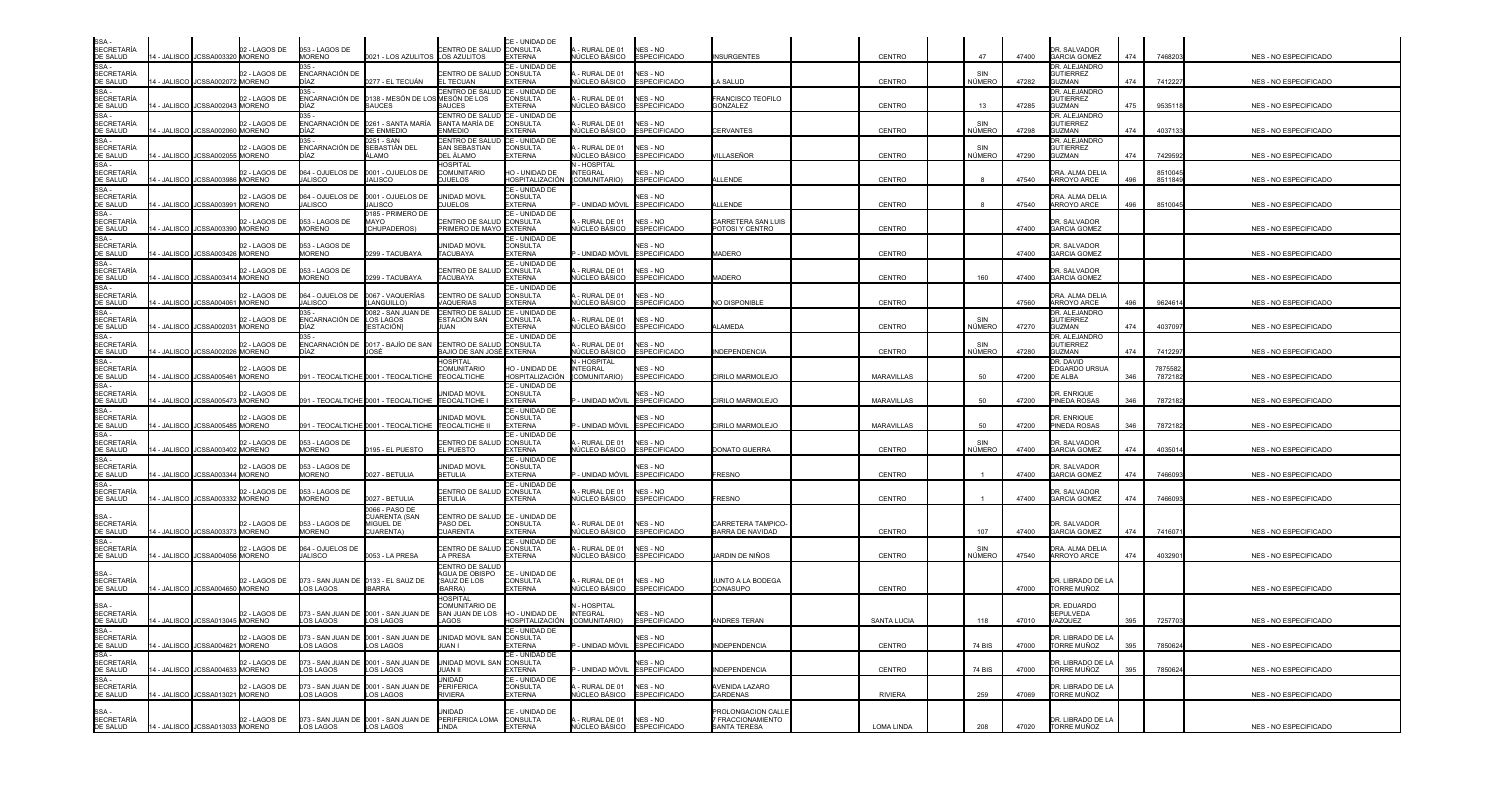| SSA<br><b>SECRETARÍA</b>                      |             | 4 - JALISCO JJCSSA003320 MORENO    | 02 - LAGOS DE | 053 - LAGOS DE                  |                                                                                    | CENTRO DE SALUD CONSULTA                                               | CE - UNIDAD DE                                      | - RURAL DE 01                                       | NES - NO                                |                                         |                    | 47            |       | DR. SALVADOR                                             |     |                     |                              |
|-----------------------------------------------|-------------|------------------------------------|---------------|---------------------------------|------------------------------------------------------------------------------------|------------------------------------------------------------------------|-----------------------------------------------------|-----------------------------------------------------|-----------------------------------------|-----------------------------------------|--------------------|---------------|-------|----------------------------------------------------------|-----|---------------------|------------------------------|
| DE SALUD<br>SSA-<br><b>SECRETARÍA</b>         |             |                                    | 02 - LAGOS DE | <b>MORENO</b><br>ENCARNACIÓN DE | 0021 - LOS AZULITOS LOS AZULITOS                                                   | CENTRO DE SALUD                                                        | <b>EXTERNA</b><br>CE - UNIDAD DE<br><b>CONSULTA</b> | NÚCLEO BÁSICO<br>- RURAL DE 01                      | <b>ESPECIFICADO</b><br>NES - NO         | <b>INSURGENTES</b>                      | CENTRO             |               | 47400 | <b>GARCIA GOMEZ</b><br>DR. ALEJANDRO<br><b>GUTIERREZ</b> | 474 | 7468203             | NES - NO ESPECIFICADO        |
| DE SALUD<br>SSA-<br><b>SECRETARÍA</b>         |             | 4 - JALISCO JCSSA002072 MORENO     | 2 - LAGOS DE  | לAÌר<br>ENCARNACIÓN DE          | 0277 - EL TECUÁN<br>0138 - MESÓN DE LO                                             | <b>L TECUAN</b><br>CENTRO DE SALUD CE - UNIDAD DE<br>MESÓN DE LOS      | <b>EXTERNA</b><br>CONSULTA                          | <b>IÚCLEO BÁSICO</b><br>- RURAL DE 01               | <b>ESPECIFICADO</b><br>NES - NO         | A SALUD<br>FRANCISCO TEOFILO            | CENTRO             | NÚMERO        | 47282 | <b>GUZMAN</b><br>DR. ALEJANDRO<br><b>GUTIERREZ</b>       | 474 | 7412227             | NES - NO ESPECIFICADO        |
| DE SALUD<br>SSA-<br><b>SECRETARÍA</b>         |             | 4 - JALISCO JCSSA002043 MORENO     | 02 - LAGOS DE | )ÌAZ<br>ENCARNACIÓN DE          | SAUCES<br>0261 - SANTA MARÍA                                                       | SAUCES<br>CENTRO DE SALUD<br>SANTA MARÍA DE                            | <b>EXTERNA</b><br>CE - UNIDAD DE<br><b>CONSULTA</b> | <b>IÚCLEO BÁSICO</b><br>- RURAL DE 01               | <b>ESPECIFICADO</b><br>NES - NO         | GONZALEZ                                | <b>CENTRO</b>      | 13            | 47285 | GUZMAN<br>DR. ALEJANDRO<br><b>GUTIFRREZ</b>              | 475 | 953511              | NES - NO ESPECIFICADO        |
| DE SALUD<br>SSA -                             |             | 4 - JALISCO JJCSSA002060 MORENO    |               | )ÍAZ<br>135                     | DE ENMEDIO<br>0251 - SAN                                                           | <b>ENMEDIO</b><br>CENTRO DE SALUD                                      | <b>XTERNA</b><br>CE - UNIDAD DE                     | <b>IÚCLEO BÁSICO</b>                                | <b>ESPECIFICADO</b>                     | <b>CERVANTES</b>                        | CENTRO             | NÚMERO        | 47298 | <b>GUZMAN</b><br>DR. ALEJANDRO                           | 474 | 4037133             | NES - NO ESPECIFICADO        |
| <b>SECRETARÍA</b><br>DE SALUD<br>SSA-         |             | - JALISCO JCSSA002055 MORENO       | 02 - LAGOS DE | ENCARNACIÓN DE<br>)ÌAZ          | SEBASTIÁN DEL<br><b>\LAMO</b>                                                      | <b>SAN SEBASTIAN</b><br>DEL ÁLAMO<br><b>OSPITAL</b>                    | CONSULTA<br><b>EXTERNA</b>                          | - RURAL DE 01<br><b>IÚCLEO BÁSICO</b><br>- HOSPITAL | NES - NO<br><b>ESPECIFICADO</b>         | <b>ILLASEÑOR</b>                        | <b>CENTRO</b>      | NÚMERO        | 47290 | <b>GUTIERREZ</b><br>GUZMAN                               | 474 | 7429592             | <b>NES - NO ESPECIFICADO</b> |
| <b>SECRETARÍA</b><br>DE SALUD<br>SSA-         |             | 4 - JALISCO JCSSA003986 MORENO     | 02 - LAGOS DE | 064 - OJUELOS DE<br>JALISCO     | 0001 - OJUELOS DE<br><b>JALISCO</b>                                                | <b>COMUNITARIO</b><br><b>DJUELOS</b>                                   | HO - UNIDAD DE<br>HOSPITALIZACIÓN<br>CE - UNIDAD DE | NTEGRAL<br>(COMUNITARIO)                            | NES - NO<br><b>ESPECIFICADO</b>         | ALL ENDE                                | <b>CENTRO</b>      |               | 47540 | DRA. ALMA DELIA<br>ARROYO ARCE                           | 496 | 8510045<br>8511849  | NES - NO ESPECIFICADO        |
| <b>SECRETARÍA</b><br>DE SALUD                 |             | 4 - JALISCO JCSSA003991 MORENO     | 02 - LAGOS DE | 064 - OJUELOS DE<br>JALISCO     | 0001 - OJUELOS DE<br><b>JALISCO</b>                                                | UNIDAD MOVIL<br><b>OJUELOS</b>                                         | <b>CONSULTA</b><br><b>EXTERNA</b>                   | - UNIDAD MÓVIL                                      | NES - NO<br><b>ESPECIFICADO</b>         | <b>ALLENDE</b>                          | CENTRO             |               | 47540 | DRA. ALMA DELIA<br><b>ARROYO ARCE</b>                    | 496 | 851004              | NES - NO ESPECIFICADO        |
| SSA -<br><b>SECRETARÍA</b><br><b>DE SALUD</b> |             | 4 - JALISCO JCSSA003390 MORENO     | )2 - LAGOS DE | 053 - LAGOS DE<br><b>MORENO</b> | 185 - PRIMERO DE<br>MAYO<br>CHUPADEROS)                                            | ENTRO DE SALUD<br>PRIMERO DE MAYO EXTERNA                              | <b>E - UNIDAD DE</b><br>CONSULTA                    | RURAL DE 01<br>NÚCLEO BÁSICO                        | NES - NO<br><b>ESPECIFICADO</b>         | ARRETERA SAN LUIS:<br>POTOSI Y CENTRO   | <b>CENTRO</b>      |               | 47400 | DR. SALVADOR<br><b>GARCIA GOMEZ</b>                      |     |                     | <b>NES - NO ESPECIFICADO</b> |
| SSA-<br><b>SECRETARÍA</b><br>DE SALUD         | 4 - JALISCO | JCSSA003426 MORENO                 | 2 - LAGOS DE  | 053 - LAGOS DE<br>MORENO        | 0299 - TACUBAYA                                                                    | UNIDAD MOVIL<br><b>TACUBAYA</b>                                        | ∶E - UNIDAD DE<br><b>CONSULTA</b><br><b>EXTERNA</b> | - UNIDAD MÓVIL                                      | NES - NO<br><b>ESPECIFICADO</b>         | <b>JADERO</b>                           | <b>CENTRO</b>      |               | 47400 | DR. SALVADOR<br><b>GARCIA GOMEZ</b>                      |     |                     | NES - NO ESPECIFICADO        |
| SSA -<br><b>SECRETARÍA</b><br>DE SALUD        | 4 - JALISCO | JCSSA003414 MORENO                 | 2 - LAGOS DE  | 053 - LAGOS DE<br><b>MORENO</b> | 0299 - TACUBAYA                                                                    | CENTRO DE SALU<br><b>TACUBAYA</b>                                      | CE - UNIDAD DE<br><b>CONSULTA</b><br><b>EXTERNA</b> | RURAL DE 01<br>NÚCLEO BÁSICO                        | NES - NO<br><b>ESPECIFICADO</b>         | <b>JADERO</b>                           | CENTRO             | 160           | 47400 | DR. SALVADOR<br><b>GARCIA GOMEZ</b>                      |     |                     | NES - NO ESPECIFICADO        |
| SSA -<br><b>SECRETARÍA</b>                    |             |                                    | 02 - LAGOS DE | 064 - OJUELOS DE                | 0067 - VAQUERÍAS                                                                   | CENTRO DE SALUD CONSULTA                                               | CE - UNIDAD DE                                      | - RURAL DE 01                                       | NES - NO                                |                                         |                    |               |       | DRA. ALMA DELIA                                          |     |                     |                              |
| <b>DE SALUD</b><br>SSA -<br><b>SECRETARÍA</b> |             | I - JALISCO I JCSSA004061 MORENO   | 02 - LAGOS DE | ALISCO<br>ENCARNACIÓN DE        | LANGUILLO)<br>0082 - SAN JUAN DE<br>LOS LAGOS                                      | VAQUERIAS<br>CENTRO DE SALUD<br>ESTACIÓN SAN                           | <b>XTERNA</b><br>CE - UNIDAD DE<br><b>CONSULTA</b>  | NÚCLEO BÁSICO<br>- RURAL DE 01                      | <b>ESPECIFICADO</b><br>NES - NO         | NO DISPONIBLE                           | <b>CENTRO</b>      |               | 47560 | ARROYO ARCE<br>DR. ALEJANDRO<br><b>GUTIERREZ</b>         | 496 | 9624614             | <b>NES - NO ESPECIFICADO</b> |
| DE SALUD<br>SSA -                             |             | 4 - JALISCO LICSSA002031 MORENO    |               | DÍAZ.                           | ESTACIÓNI                                                                          | JUAN                                                                   | <b>EXTERNA</b><br>CE - UNIDAD DE                    | NÚCLEO BÁSICO                                       | <b>ESPECIFICADO</b><br><b>NES - NO</b>  | ALAMEDA                                 | <b>CENTRO</b>      | NÚMERO        | 47270 | <b>GUZMAN</b><br>DR. ALEJANDRO                           | 474 | 4037097             | NES - NO ESPECIFICADO        |
| <b>SECRETARÍA</b><br>DE SALUD<br>SSA-         |             | 4 - JALISCO JCSSA002026 MORENO     | 2 - LAGOS DE  | )ÌAZ                            | ENCARNACIÓN DE <mark>0017 - BAJÍO DE SAN</mark>                                    | <b>CENTRO DE SALUD</b><br>BAJIO DE SAN JOSÉ EXTERNA<br><b>HOSPITAL</b> | CONSULTA                                            | - RURAL DE 01<br><b>IÚCLEO BÁSICO</b><br>- HOSPITAL | <b>ESPECIFICADO</b>                     | <b>INDEPENDENCIA</b>                    | CENTRO             | NÚMERO        | 47280 | <b>GUTIERREZ</b><br><b>GUZMAN</b><br>dr. David           | 474 | 741229              | <b>NES - NO ESPECIFICADO</b> |
| <b>SECRETARÍA</b><br><b>DE SALUD</b><br>SSA-  |             | 4 - JALISCO JCSSA005461 MORENO     | 02 - LAGOS DE |                                 | 091 - TEOCALTICHE 0001 - TEOCALTICHE                                               | <b>COMUNITARIO</b><br><b>TEOCALTICHE</b>                               | HO - UNIDAD DE<br>HOSPITALIZACIÓN<br>CE - UNIDAD DE | <b>NTEGRAL</b><br>(COMUNITARIO)                     | <b>NES - NO</b><br><b>ESPECIFICADO</b>  | CIRILO MARMOLEJO                        | <b>MARAVILLAS</b>  | 50            | 47200 | EDGARDO URSUA<br>DE ALBA                                 | 346 | 7875582<br>7872182  | NES - NO ESPECIFICADO        |
| <b>SECRETARIA</b><br>DE SALUD                 |             | 4 - JALISCO JCSSA005473 MORENO     | )2 - LAGOS DE |                                 | 091 - TEOCALTICHE 0001 - TEOCALTICHE TEOCALTICHE I                                 | <b>JNIDAD MOVIL</b>                                                    | CONSULTA<br>EXTERNA                                 | - UNIDAD MÓVIL                                      | NES - NO<br><b>ESPECIFICADO</b>         | CIRILO MARMOLEJO                        | <b>MARAVILLAS</b>  | 50            | 47200 | DR. ENRIQUE<br>PINEDA ROSAS                              | 346 | 7872182             | NES - NO ESPECIFICADO        |
| SSA -<br><b>SECRETARÍA</b><br>DE SALUD        |             | 4 - JALISCO JCSSA005485 MORENO     | 02 - LAGOS DE |                                 | 091 - TEOCALTICHE 0001 - TEOCALTICHE TEOCALTICHE II                                | <b>JNIDAD MOVIL</b>                                                    | CE - UNIDAD DE<br><b>CONSULTA</b><br>EXTERNA        | · Unidad móvil                                      | NFS - NO<br><b>ESPECIFICADO</b>         | <b>IRILO MARMOLEJO</b>                  | <b>MARAVILLAS</b>  | 50            | 47200 | DR. ENRIQUE<br>PINEDA ROSAS                              | 346 | 7872182             | <b>NES - NO ESPECIFICADO</b> |
| SSA -<br><b>SECRETARÍA</b><br>DE SALUD        |             | 4 - JALISCO JCSSA003402 MORENO     | 02 - LAGOS DE | 053 - LAGOS DE<br>MORENO        | 0195 - EL PUESTO                                                                   | CENTRO DE SALUI<br><b>L PUESTO</b>                                     | CE - UNIDAD DE<br><b>CONSULTA</b><br>XTERNA         | RURAL DE 01<br>NÚCLEO BÁSICO                        | NFS - NO<br><b>ESPECIFICADO</b>         | DONATO GUERRA                           | <b>CENTRO</b>      | SIN<br>NÚMERO | 47400 | DR. SALVADOR<br><b>GARCIA GOMEZ</b>                      | 474 | 4035014             | NES - NO ESPECIFICADO        |
| SSA -<br><b>SECRETARÍA</b><br><b>DE SALUD</b> |             | 4 - JALISCO JCSSA003344 MORENO     | 02 - LAGOS DE | 053 - LAGOS DE<br><b>MORENO</b> | 0027 - BETULIA                                                                     | JNIDAD MOVIL<br><b>BETULIA</b>                                         | CE - UNIDAD DE<br><b>CONSULTA</b><br>EXTERNA        | - UNIDAD MÓVIL                                      | NES - NO<br><b>ESPECIFICADO</b>         | <b>FRESNO</b>                           | CENTRO             |               | 47400 | DR. SALVADOR<br><b>GARCIA GOMEZ</b>                      | 474 | 746609              | NES - NO ESPECIFICADO        |
| SSA-<br><b>SECRETARÍA</b><br>DE SALUD         |             | 4 - JALISCO JCSSA003332 MORENO     | 02 - LAGOS DE | 053 - LAGOS DE<br><b>MORENO</b> | 0027 - BETULIA                                                                     | CENTRO DE SALUD<br><b>BETULIA</b>                                      | CE - UNIDAD DE<br><b>CONSULTA</b><br><b>EXTERNA</b> | - RURAL DE 01<br>NÚCLEO BÁSICO                      | NES - NO<br><b>ESPECIFICADO</b>         | FRESNO                                  | <b>CENTRO</b>      |               | 47400 | DR. SALVADOR<br><b>GARCIA GOMEZ</b>                      | 474 | 746609              | NES - NO ESPECIFICADO        |
| SSA-                                          |             |                                    |               |                                 | 0066 - PASO DE<br>CUARENTA (SAN                                                    | CENTRO DE SALUD CE - UNIDAD DE                                         |                                                     |                                                     |                                         |                                         |                    |               |       |                                                          |     |                     |                              |
| <b>SECRETARÍA</b><br>DE SALUD<br>SSA -        |             | 14 - JALISCO I JCSSA003373 MORENO  | 02 - LAGOS DE | 053 - LAGOS DE<br><b>MORENO</b> | MIGUEL DE<br>CUARENTA)                                                             | PASO DEL<br><b>CUARENTA</b>                                            | <b>CONSULTA</b><br><b>EXTERNA</b><br>CE - UNIDAD DE | - RURAL DE 01<br>NÚCLEO BÁSICO                      | NES - NO<br><b>ESPECIFICADO</b>         | CARRETERA TAMPICO-<br>BARRA DE NAVIDAD  | <b>CENTRO</b>      | 107           | 47400 | DR. SALVADOR<br><b>GARCIA GOMEZ</b>                      | 474 | 741607 <sup>-</sup> | NES - NO ESPECIFICADO        |
| <b>SECRETARÍA</b><br>DE SALUD                 |             | 4 - JALISCO JCSSA004056 MORENO     | 02 - LAGOS DE | 064 - OJUELOS DE<br>JALISCO     | 0053 - LA PRESA                                                                    | CENTRO DE SALUD CONSULTA<br>A PRESA                                    | <b>EXTERNA</b>                                      | - RURAL DE 01<br><b>NÚCLEO BÁSICO</b>               | NES - NO<br><b>ESPECIFICADO</b>         | <b>JARDIN DE NIÑOS</b>                  | CENTRO             | NÚMERO        | 47540 | DRA. ALMA DELIA<br>ARROYO ARCE                           | 474 | 4032901             | NES - NO ESPECIFICADO        |
| SSA -<br><b>SECRETARÍA</b><br>DE SALUD        |             | 4 - JALISCO JCSSA004650 MORENO     | 02 - LAGOS DE | OS LAGOS                        | 073 - SAN JUAN DE 0133 - EL SAUZ DE<br><b>IBARRA</b>                               | CENTRO DE SALUD<br><b>AGUA DE OBISPO</b><br>(SAUZ DE LOS<br>BARRA)     | CE - UNIDAD DE<br><b>CONSULTA</b><br><b>EXTERNA</b> | - RURAL DE 01<br>NÚCLEO BÁSICO                      | NES - NO<br><b>ESPECIFICADO</b>         | JUNTO A LA BODEGA<br>CONASUPO           | CENTRO             |               | 47000 | DR. LIBRADO DE LA<br><b>TORRE MUÑOZ</b>                  |     |                     | NES - NO ESPECIFICADO        |
| SSA-<br><b>SECRETARÍA</b>                     |             |                                    | 02 - LAGOS DE |                                 | 073 - SAN JUAN DE 0001 - SAN JUAN DE                                               | <b>OSPITAL</b><br>COMUNITARIO DE<br>SAN JUAN DE LOS                    | HO - UNIDAD DE                                      | - HOSPITAL<br><b>INTEGRAL</b>                       | NES - NO                                |                                         |                    |               |       | DR. EDUARDO<br>SEPULVEDA                                 |     |                     |                              |
| DE SALUD<br>SSA -<br>SECRETARÍA               |             | 14 - JALISCO JCSSA013045 MORENO    | 02 - LAGOS DE | LOS LAGOS                       | <b>LOS LAGOS</b><br>073 - SAN JUAN DE 0001 - SAN JUAN DE UNIDAD MOVIL SAN CONSULTA | AGOS                                                                   | HOSPITALIZACIÓN<br>JE - UNIDAD DE                   | (COMUNITARIO)                                       | <b>ESPECIFICADO</b><br>NES - NO         | ANDRES TERAN                            | <b>SANTA LUCIA</b> | 118           | 47010 | VAZQUEZ<br>DR. LIBRADO DE LA                             | 395 | 7257703             | NES - NO ESPECIFICADO        |
| DE SALUD<br>SSA -                             |             | 14 - JALISCO JCSSA004621 MORENO    |               | <b>LOS LAGOS</b>                | LOS LAGOS                                                                          | JUAN I                                                                 | <b>EXTERNA</b><br>CE - UNIDAD DE                    | P - UNIDAD MÓVIL                                    | <b>ESPECIFICADO</b>                     | <b>INDEPENDENCIA</b>                    | CENTRO             | <b>74 BIS</b> | 47000 | TORRE MUÑOZ                                              | 395 | 7850624             | NES - NO ESPECIFICADO        |
| <b>SECRETARÍA</b><br>DE SALUD<br>$SSA -$      |             | 14 - JALISCO JCSSA004633 MORENO    | 02 - LAGOS DE | OS LAGOS                        | 073 - SAN JUAN DE 0001 - SAN JUAN DE<br>LOS LAGOS                                  | UNIDAD MOVIL SAN CONSULTA<br>IUAN II<br>UNIDAD                         | <b>EXTERNA</b><br>CE - UNIDAD DE                    |                                                     | NES - NO<br>- UNIDAD MÓVIL ESPECIFICADO | <b>INDEPENDENCIA</b>                    | <b>CENTRO</b>      | <b>74 BIS</b> | 47000 | DR. LIBRADO DE LA<br>TORRE MUÑOZ                         | 395 | 7850624             | NES - NO ESPECIFICADO        |
| <b>SECRETARÍA</b><br>DE SALUD                 |             | 14 - JALISCO I JCSSA013021 IMORENO | 02 - LAGOS DE | LOS LAGOS                       | 073 - SAN JUAN DE 0001 - SAN JUAN DE<br>LOS LAGOS                                  | <b>PERIFERICA</b><br>RIVIERA                                           | <b>CONSULTA</b><br>EXTERNA                          | - RURAL DE 01                                       | NES - NO<br>NÚCLEO BÁSICO ESPECIFICADO  | AVENIDA LAZARO<br>CARDENAS              | <b>RIVIERA</b>     | 259           | 47069 | DR. LIBRADO DE LA<br>TORRE MUÑOZ                         |     |                     | NES - NO ESPECIFICADO        |
| SSA -<br>SECRETARÍA                           |             |                                    | 02 - LAGOS DE |                                 | 073 - SAN JUAN DE 0001 - SAN JUAN DE                                               | UNIDAD<br>PERIFERICA LOMA                                              | CE - UNIDAD DE<br><b>CONSULTA</b>                   | A - RURAL DE 01                                     | NES - NO                                | PROLONGACION CALLE<br>7 FRACCIONAMIENTO |                    |               |       | DR. LIBRADO DE LA                                        |     |                     |                              |
| DE SALUD                                      |             | 14 - JALISCO JCSSA013033 MORENO    |               | <b>LOS LAGOS</b>                | <b>LOS LAGOS</b>                                                                   | LINDA                                                                  | <b>EXTERNA</b>                                      |                                                     | NÚCLEO BÁSICO ESPECIFICADO              | SANTA TERESA                            | <b>LOMA LINDA</b>  | 208           | 47020 | <b>TORRE MUÑOZ</b>                                       |     |                     | NES - NO ESPECIFICADO        |

| NES - NO ESPECIFICADO        |
|------------------------------|
| NES - NO ESPECIFICADO        |
| <b>NES - NO ESPECIFICADO</b> |
| NES - NO ESPECIFICADO        |
| NES - NO ESPECIFICADO        |
| NES - NO ESPECIFICADO        |
| NES - NO ESPECIFICADO        |
| NES - NO ESPECIFICADO        |
| NES - NO ESPECIFICADO        |
| NES - NO ESPECIFICADO        |
| NES - NO ESPECIFICADO        |
| NES - NO ESPECIFICADO        |
| NES - NO ESPECIFICADO        |
| NES - NO ESPECIFICADO        |
| NES - NO ESPECIFICADO        |
| NES - NO ESPECIFICADO        |
| NES - NO ESPECIFICADO        |
| NES - NO ESPECIFICADO        |
| NES - NO ESPECIFICADO        |
| NES - NO ESPECIFICADO        |
| NES - NO ESPECIFICADO        |
|                              |
| NES - NO ESPECIFICADO        |
| NES - NO ESPECIFICADO        |
| NES - NO ESPECIFICADO        |
| NES - NO ESPECIFICADO        |
| NES - NO ESPECIFICADO        |
| <b>NES - NO ESPECIFICADO</b> |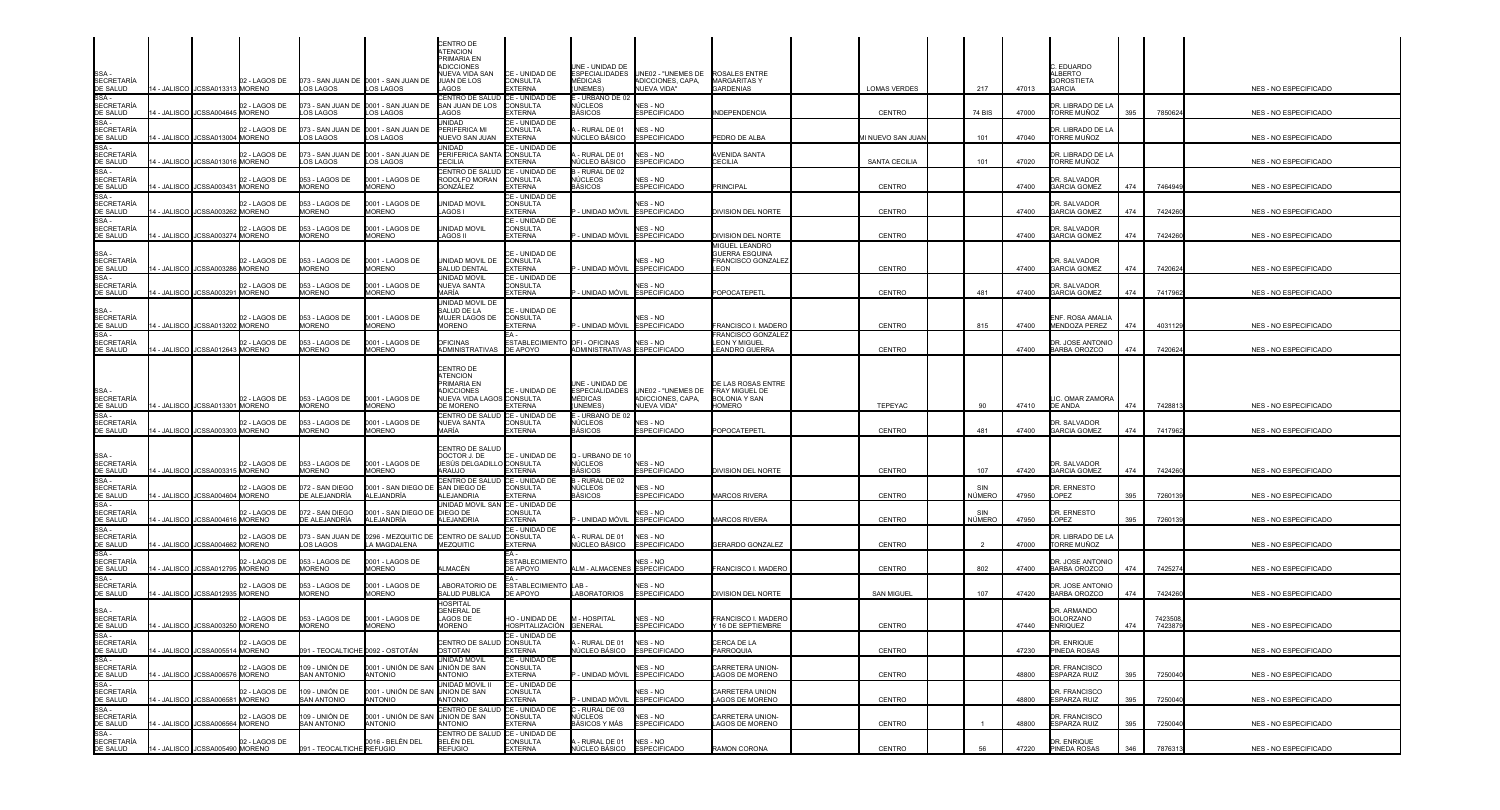|                                                                                                                                                                                                                                              |              |                                                                                    |                                                     |                                                   | CENTRO DE<br><b>TENCION</b><br><b>PRIMARIA EN</b>                                            |                                                                |                                                                        |                                                                                      |                                                                  |                                    |        |                              |                                                             |            |                    |                                                |
|----------------------------------------------------------------------------------------------------------------------------------------------------------------------------------------------------------------------------------------------|--------------|------------------------------------------------------------------------------------|-----------------------------------------------------|---------------------------------------------------|----------------------------------------------------------------------------------------------|----------------------------------------------------------------|------------------------------------------------------------------------|--------------------------------------------------------------------------------------|------------------------------------------------------------------|------------------------------------|--------|------------------------------|-------------------------------------------------------------|------------|--------------------|------------------------------------------------|
| SSA -<br>SECRETARÍA                                                                                                                                                                                                                          |              | 02 - LAGOS DE<br>14 - JALISCO   JCSSA013313 MORENO                                 | LOS LAGOS                                           | 073 - SAN JUAN DE 0001 - SAN JUAN DE<br>LOS LAGOS | ADICCIONES<br><b>IUEVA VIDA SAN</b><br>JUAN DE LOS<br>AGOS                                   | CE - UNIDAD DE<br>CONSULTA<br><b>EXTERNA</b>                   | UNE - UNIDAD DE<br>MÉDICAS<br><b>UNEMES</b>                            | ESPECIALIDADES UNE02 - "UNEMES DE<br>ADICCIONES, CAPA,<br>NUEVA VIDA"                | <b>ROSALES ENTRE</b><br><b>MARGARITASY</b><br><b>GARDENIAS</b>   | <b>LOMAS VERDES</b>                | 217    | 47013                        | . EDUARDO<br>ALBERTO<br><b>GOROSTIETA</b><br><b>GARCIA</b>  |            |                    | NES - NO ESPECIFICADO                          |
| DE SALUD<br>SSA -<br><b>SECRETARÍA</b>                                                                                                                                                                                                       |              | 02 - LAGOS DE<br>4 - JALISCO JCSSA004645 MORENO                                    | LOS LAGOS                                           | 073 - SAN JUAN DE 0001 - SAN JUAN DE<br>LOS LAGOS | CENTRO DE SALUD CE - UNIDAD DE<br>SAN JUAN DE LOS<br><b>AGOS</b>                             | CONSULTA<br>EXTERNA                                            | - URBANO DE 02<br>NÚCLEOS<br><b>ASICOS</b>                             | NES - NO<br>SPECIFICADO                                                              | <b>INDEPENDENCIA</b>                                             | CENTRO                             | 74 BIS | 47000                        | DR. LIBRADO DE LA<br>TORRE MUÑOZ                            | 395        | 7850624            | <b>NES - NO ESPECIFICADO</b>                   |
| DE SALUD<br>SSA -<br>SECRETARÍA<br>DE SALUD                                                                                                                                                                                                  |              | 02 - LAGOS DE<br>4 - JALISCO JCSSA013004 MORENO                                    | LOS LAGOS                                           | 073 - SAN JUAN DE 0001 - SAN JUAN DE<br>LOS LAGOS | <b>JNIDAD</b><br>PERIFERICA MI<br>NUEVO SAN JUAN                                             | CE - UNIDAD DE<br>CONSULTA<br><b>EXTERNA</b>                   | - RURAL DE 01<br>NÚCLEO BÁSICO                                         | NES - NO<br><b>ESPECIFICADO</b>                                                      | PEDRO DE ALBA                                                    | MI NUEVO SAN JUAN                  |        | 47040<br>101                 | DR. LIBRADO DE LA<br>TORRE MUÑOZ                            |            |                    | NES - NO ESPECIFICADO                          |
| $SSA -$<br><b>SECRETARÍA</b>                                                                                                                                                                                                                 | 4 - JALISCO  | 02 - LAGOS DE<br>JCSSA013016 MORENO                                                | OS LAGOS                                            | 073 - SAN JUAN DE 0001 - SAN JUAN DE<br>LOS LAGOS | JNIDAD<br>PERIFERICA SANTA CONSULTA<br>FCILIA                                                | CE - UNIDAD DE<br><b>EXTERNA</b>                               | RURAL DE 01<br>ÚCLEO BÁSICO                                            | NES - NO<br>SPECIFICADO                                                              | AVENIDA SANTA<br>CECILIA                                         | SANTA CECILIA                      |        | 101<br>47020                 | DR. LIBRADO DE LA<br>TORRE MUÑOZ                            |            |                    | NES - NO ESPECIFICADO                          |
| DE SALUD<br>SSA -<br>SECRETARÍA<br>DE SALUD                                                                                                                                                                                                  |              | 02 - LAGOS DE<br>4 - JALISCO JCSSA003431 MORENO                                    | 053 - LAGOS DE<br><b>MORENO</b>                     | 0001 - LAGOS DE<br>MORENO                         | CENTRO DE SALUD CE - UNIDAD DE<br>RODOLFO MORAN<br><b>GONZÁLEZ</b>                           | <b>CONSULTA</b><br><b>EXTERNA</b>                              | 3 - RURAL DE 02<br>NÚCLEOS<br>BÁSICOS                                  | NES - NO<br><b>ESPECIFICADO</b>                                                      | <b>RINCIPAL</b>                                                  | CENTRO                             |        | 47400                        | DR. SALVADOR<br><b>GARCIA GOMEZ</b>                         | 474        | 7464949            | NES - NO ESPECIFICADO                          |
| SSA-<br>SECRETARÍA<br>DE SALUD                                                                                                                                                                                                               |              | 02 - LAGOS DE<br>4 - JALISCO JCSSA003262 MORENO                                    | 053 - LAGOS DE<br>MORENO                            | 0001 - LAGOS DE<br><b>MORFNO</b>                  | <b>JNIDAD MOVIL</b><br>AGOS I                                                                | CE - UNIDAD DE<br><b>CONSULTA</b><br>EXTERNA                   | UNIDAD MÓVIL                                                           | NFS - NO<br><b>SPECIFICADO</b>                                                       | DIVISION DEL NORTE                                               | <b>CENTRO</b>                      |        | 47400                        | DR. SALVADOR<br><b>GARCIA GOMEZ</b>                         | 474        | 742426             | NES - NO ESPECIFICADO                          |
| SSA<br><b>SECRETARÍA</b><br>DE SALUD                                                                                                                                                                                                         |              | 02 - LAGOS DE<br>14 - JALISCO I JCSSA003274 MORENO                                 | 053 - LAGOS DE<br><b>MORENO</b>                     | 0001 - LAGOS DE<br><b>MORENO</b>                  | UNIDAD MOVIL<br>LAGOS II                                                                     | CE - UNIDAD DE<br><b>CONSULTA</b><br><b>EXTERNA</b>            | UNIDAD MÓVIL ESPECIFICADO                                              | NES - NO                                                                             | DIVISION DEL NORTE                                               | <b>CENTRO</b>                      |        | 47400                        | DR. SALVADOR<br><b>GARCIA GOMEZ</b>                         | 474        | 742426             | NES - NO ESPECIFICADO                          |
| SSA -<br>SECRETARÍA<br>DE SALUD                                                                                                                                                                                                              |              | 02 - LAGOS DE<br>14 - JALISCO JCSSA003286 MORENO                                   | 053 - LAGOS DE<br><b>MORENO</b>                     | 0001 - LAGOS DE<br><b>MORENO</b>                  | UNIDAD MOVIL DE<br>SALUD DENTAL                                                              | CE - UNIDAD DE<br><b>CONSULTA</b><br><b>EXTERNA</b>            | - UNIDAD MÓVIL                                                         | NES - NO<br>SPECIFICADO                                                              | MIGUEL LEANDRO<br>GUERRA ESQUINA<br>FRANCISCO GONZALEZ<br>LEON   | <b>CENTRO</b>                      |        | 47400                        | DR. SALVADOR<br><b>GARCIA GOMEZ</b>                         | 474        | 7420624            | NES - NO ESPECIFICADO                          |
| SE SALOS<br>SSA -<br>SECRETARÍA<br>DE SALUD                                                                                                                                                                                                  |              | 02 - LAGOS DE<br>4 - JALISCO JCSSA003291<br><b>MORENO</b>                          | 053 - LAGOS DE<br>MORENO                            | 0001 - LAGOS DE<br><b>MORENO</b>                  | <b>INIDAD MOVIL</b><br>NUEVA SANTA<br><b>MARÍA</b>                                           | CE - UNIDAD DE<br><b>CONSULTA</b><br><b>EXTERNA</b>            | UNIDAD MÓVIL ESPECIFICADO                                              | <b>IES - NO</b>                                                                      | POPOCATEPETL                                                     | <b>CENTRO</b>                      |        | 481<br>47400                 | <b>DR. SALVADOR</b><br><b>GARCIA GOMEZ</b>                  | 474        | 7417962            | NES - NO ESPECIFICADO                          |
| SSA -<br>SECRETARÍA                                                                                                                                                                                                                          |              | 02 - LAGOS DE                                                                      | 053 - LAGOS DE                                      | 0001 - LAGOS DE                                   | JNIDAD MOVIL DE<br>ALUD DE LA<br>MUJER LAGOS DE                                              | CE - UNIDAD DE<br>CONSULTA                                     |                                                                        | NES - NO                                                                             |                                                                  |                                    |        |                              | ENF. ROSA AMALIA                                            |            |                    |                                                |
| DE SALUD<br>SSA -<br>SECRETARÍA<br>DE SALUD                                                                                                                                                                                                  |              | 14 - JALISCO JCSSA013202 MORENO<br>02 - LAGOS DE                                   | <b>MORENO</b><br>053 - LAGOS DE                     | <b>MORENO</b><br>0001 - LAGOS DE                  | <b>IORENO</b><br><b>OFICINAS</b>                                                             | <b>EXTERNA</b><br>ESTABLECIMIENTO OFI - OFICINAS               | UNIDAD MÓVIL ESPECIFICADO                                              | NES - NO                                                                             | RANCISCO I. MADERO<br>FRANCISCO GONZALEZ<br><b>LEON Y MIGUEL</b> | <b>CENTRO</b>                      |        | 815<br>47400                 | MENDOZA PEREZ<br><b>DR. JOSE ANTONIO</b>                    | 474        | 4031129            | NES - NO ESPECIFICADO                          |
|                                                                                                                                                                                                                                              |              | 4 - JALISCO JCSSA012643 MORENO                                                     | <b>MORENO</b>                                       | MORENO                                            | ADMINISTRATIVAS DE APOYO<br>CENTRO DE                                                        |                                                                | ADMINISTRATIVAS ESPECIFICADO                                           |                                                                                      | <b>EANDRO GUERRA</b>                                             | <b>CENTRO</b>                      |        | 47400                        | BARBA OROZCO                                                | 474        | 7420624            | NES - NO ESPECIFICADO                          |
| SSA -<br>SECRETARÍA<br>DE SALUD                                                                                                                                                                                                              |              | 02 - LAGOS DE<br>4 - JALISCO JCSSA013301 MORENO                                    | 053 - LAGOS DE<br>MORENO                            | 0001 - LAGOS DE<br><b>MORENO</b>                  | <b>TENCION</b><br><b>PRIMARIA EN</b><br>ADICCIONES<br>NUEVA VIDA LAGOS CONSULTA<br>DE MORENO | CE - UNIDAD DE<br><b>EXTERNA</b>                               | UNE - UNIDAD DE<br>MÉDICAS<br>UNEMES)                                  | ESPECIALIDADES UNE02 - "UNEMES DE FRAY MIGUEL DE<br>ADICCIONES, CAPA,<br>NUEVA VIDA" | DE LAS ROSAS ENTRE<br>BOLONIA Y SAN<br><b>IOMERO</b>             | TEPEYAC                            |        | 90<br>47410                  | <b>IC. OMAR ZAMORA</b><br><b>DE ANDA</b>                    | 474        | 742881             | NES - NO ESPECIFICADO                          |
| SSA -<br><b>SECRETARÍA</b><br>DE SALUD                                                                                                                                                                                                       |              | 02 - LAGOS DE<br>4 - JALISCO JCSSA003303 MORENO                                    | 053 - LAGOS DE<br><b>MORENO</b>                     | 0001 - LAGOS DE<br>MORENO                         | CENTRO DE SALUD<br>NUEVA SANTA<br><b>MARÍA</b>                                               | CE - UNIDAD DE<br><b>CONSULTA</b><br><b>EXTERNA</b>            | - URBANO DE 02<br>NÚCLEOS<br>BÁSICOS                                   | NES - NO<br><b>SPECIFICADO</b>                                                       | POPOCATEPETL                                                     | <b>CENTRO</b>                      |        | 481<br>47400                 | <b>DR. SALVADOR</b><br><b>GARCIA GOMEZ</b>                  | 474        | 7417962            | NES - NO ESPECIFICADO                          |
| SSA -<br>SECRETARÍA                                                                                                                                                                                                                          |              | 02 - LAGOS DE                                                                      | 053 - LAGOS DE                                      | 0001 - LAGOS DE                                   | CENTRO DE SALUD<br>DOCTOR J. DE CE - UNIDAD DE<br>JESÚS DELGADILLO CONSULTA                  |                                                                | Q - URBANO DE 10<br>NÚCLEOS                                            | NES - NO                                                                             |                                                                  |                                    |        |                              | DR. SALVADOR                                                |            |                    |                                                |
| DE SALUD<br>SSA-                                                                                                                                                                                                                             | 14 - JALISCO | JCSSA003315 MORENO<br>02 - LAGOS DE                                                | <b>MORENO</b><br>072 - SAN DIEGO                    | MORENO<br>0001 - SAN DIEGO DE                     | ARAUJO<br>CENTRO DE SALUD CE - UNIDAD DE<br>SAN DIEGO DE                                     | <b>EXTERNA</b><br>CONSULTA                                     | <b>BÁSICOS</b><br>- RURAL DE 02<br>NÚCLEOS                             | <b>ESPECIFICADO</b><br>√FS - NO                                                      | DIVISION DEL NORTE                                               | <b>CENTRO</b>                      |        | 107<br>47420<br>SIN          | <b>GARCIA GOMEZ</b><br><b>DR. ERNESTO</b>                   | 474        | 742426             | NES - NO ESPECIFICADO                          |
| SECRETARÍA<br>DE SALUD<br>SSA -<br><b>SECRETARÍA</b>                                                                                                                                                                                         | 4 - JALISCO  | JCSSA004604 MORENO<br>02 - LAGOS DE                                                | DE ALEJANDRÍA<br>072 - SAN DIEGO                    | ALEJANDRÍA<br>0001 - SAN DIEGO DI                 | LEJANDRIA<br>JNIDAD MOVIL SAN <b>I</b> CE - UNIDAD DE<br>DIEGO DE                            | <b>EXTERNA</b><br>CONSULTA                                     | IÁSICOS                                                                | <b>SPECIFICADO</b><br>NES - NO                                                       | <b><i>MARCOS RIVERA</i></b>                                      | <b>CENTRO</b>                      | SIN    | NÚMERO<br>47950              | <b>OPEZ</b><br><b>DR. ERNESTO</b>                           | 395        | 7260139            | NES - NO ESPECIFICADO                          |
| DE SALUD<br>SSA -<br><b>SECRETARÍA</b>                                                                                                                                                                                                       | 4 - JALISCO  | JCSSA004616 MORENO<br>02 - LAGOS DE                                                | DE ALEJANDRÍA<br>073 - SAN JUAN DE                  | ALEJANDRÍA<br>0296 - MEZQUITIC DE                 | LEJANDRIA<br>CENTRO DE SALUD                                                                 | <b>EXTERNA</b><br>CE - UNIDAD DE<br><b>CONSULTA</b>            | UNIDAD MÓVIL<br>RURAL DE 01                                            | <b>ESPECIFICADO</b><br>NES - NO                                                      | <b>JARCOS RIVERA</b>                                             | CENTRO                             |        | NÚMERO<br>47950              | <b>OPEZ</b><br>DR. LIBRADO DE LA                            | 395        | 726013             | NES - NO ESPECIFICADO                          |
| <b>DE SALUD</b><br>SSA-<br>SECRETARÍA                                                                                                                                                                                                        |              | 4 - JALISCO JCSSA004662 MORENO<br>02 - LAGOS DE                                    | LOS LAGOS<br>053 - LAGOS DE<br><b>MORENO</b>        | LA MAGDALENA<br>0001 - LAGOS DE                   | MEZQUITIC<br>LMACÉN                                                                          | <b>EXTERNA</b><br><b>ESTABLECIMIENTC</b>                       | NÚCLEO BÁSICO                                                          | <b>ESPECIFICADO</b><br>NES - NO                                                      | GERARDO GONZALEZ<br><b>FRANCISCO I. MADERO</b>                   | <b>CENTRO</b>                      |        | 47000                        | TORRE MUÑOZ<br>DR. JOSE ANTONIO                             |            |                    | NES - NO ESPECIFICADO                          |
| DE SALUD<br>SSA -<br><b>SECRETARÍA</b><br>DE SALUD                                                                                                                                                                                           |              | 14 - JALISCO JCSSA012795 MORENO<br>02 - LAGOS DE<br>4 - JALISCO JCSSA012935 MORENO | 053 - LAGOS DE<br><b>MORENO</b>                     | <b>MORENO</b><br>0001 - LAGOS DE<br><b>MORENO</b> | ABORATORIO DE<br>SALUD PUBLICA                                                               | DE APOYO<br>ESTABLECIMIENTO LAB -<br>DE APOYO                  | ALM - ALMACENES ESPECIFICADO<br>LABORATORIOS                           | NES - NO<br><b>ESPECIFICADO</b>                                                      | DIVISION DEL NORTE                                               | <b>CENTRO</b><br><b>SAN MIGUEL</b> |        | 802<br>47400<br>47420<br>107 | BARBA OROZCO<br>DR. JOSE ANTONIO<br>BARBA OROZCO            | 474<br>474 | 7425274<br>742426  | NES - NO ESPECIFICADO<br>NES - NO ESPECIFICADO |
| SSA -<br>SECRETARÍA<br>DE SALUD                                                                                                                                                                                                              |              | 02 - LAGOS DE                                                                      | 053 - LAGOS DE                                      | 0001 - LAGOS DE                                   | <b>HOSPITAL</b><br><b>GENERAL DE</b><br>LAGOS DE                                             | HO - UNIDAD DE                                                 | M - HOSPITAL                                                           | NES - NO                                                                             | FRANCISCO I. MADERO                                              |                                    |        |                              | dr. Armando<br>SOLORZANO                                    |            | 7423508            |                                                |
|                                                                                                                                                                                                                                              |              | 14 - JALISCO JCSSA003250 MORENO<br>02 - LAGOS DE                                   | MORENO                                              | MORENO                                            | MORENO<br>CENTRO DE SALUD CONSULTA                                                           | HOSPITALIZACIÓN GENERAL<br>CE - UNIDAD DE                      | - RURAL DE 01                                                          | <b>ESPECIFICADO</b><br>NES - NO                                                      | Y 16 DE SEPTIEMBRE<br>CERCA DE LA                                | <b>CENTRO</b>                      |        | 47440                        | <b>ENRIQUEZ</b><br>DR. ENRIQUE                              | 474        | 7423879            | NES - NO ESPECIFICADO                          |
|                                                                                                                                                                                                                                              |              | 14 - JALISCO JJCSSA005514 MORENO<br>02 - LAGOS DE                                  | 091 - TEOCALTICHE 0092 - OSTOTÁN<br>109 - UNIÓN DE  | 0001 - UNIÓN DE SAI                               | OSTOTAN<br>UNIDAD MOVIL<br>UNIÓN DE SAN                                                      | <b>EXTERNA</b><br>CE - UNIDAD DE<br>CONSULTA                   | NÚCLEO BÁSICO ESPECIFICADO<br>UNIDAD MÓVIL ESPECIFICADO                | NES - NO                                                                             | PARROQUIA<br>CARRETERA UNION-                                    | CENTRO                             |        | 47230                        | PINEDA ROSAS<br><b>DR. FRANCISCO</b>                        |            |                    | NES - NO ESPECIFICADO                          |
|                                                                                                                                                                                                                                              |              | 14 - JALISCO JCSSA006576 MORENO<br>02 - LAGOS DE                                   | <b>SAN ANTONIO</b><br>109 - UNIÓN DE                | ANTONIO<br>0001 - UNIÓN DE SAN                    | ANTONIO<br>UNIDAD MOVIL II<br>UNION DE SAN                                                   | <b>EXTERNA</b><br>CE - UNIDAD DE<br>CONSULTA                   |                                                                        | NES - NO                                                                             | LAGOS DE MORENO<br>CARRETERA UNION                               | CENTRO                             |        | 48800                        | <b>ESPARZA RUIZ</b><br>DR. FRANCISCO                        | 395        | 7250040            | NES - NO ESPECIFICADO<br>NES - NO ESPECIFICADO |
|                                                                                                                                                                                                                                              | 14 - JALISCO | 4 - JALISCO JCSSA006581 MORENO<br>02 - LAGOS DE<br>JCSSA006564 MORENO              | <b>SAN ANTONIO</b><br>109 - UNIÓN DE<br>SAN ANTONIO | <b>ANTONIO</b><br>0001 - UNIÓN DE SAN<br>ANTONIO  | ANTONIO<br>CENTRO DE SALUD<br>UNION DE SAN<br>ANTONIO                                        | <b>EXTERNA</b><br>CE - UNIDAD DE<br>CONSULTA<br><b>EXTERNA</b> | UNIDAD MÓVIL ESPECIFICADO<br>- RURAL DE 03<br>NÚCLEOS<br>BÁSICOS Y MÁS | NES - NO<br>SPECIFICADO                                                              | AGOS DE MORENO<br>CARRETERA UNION-<br>AGOS DE MORENO             | <b>CENTRO</b><br>CENTRO            |        | 48800<br>48800               | <b>ESPARZA RUIZ</b><br><b>DR. FRANCISCO</b><br>ESPARZA RUIZ | 395<br>395 | 7250040<br>7250040 | NES - NO ESPECIFICADO                          |
| <b>UE SALUD<br/>SALUD<br/>SALUD SALUD SALUD SALUD SALUD SALUD SALUD SALUD SALUD SALUD SALUD SALUD SALUD SALUD SALUD SALUD SALUD SALUD SALUD SALUD SALUD SALUD SALUD SALUD SALUD SALUD SALUD SALUD SALUD SALUD SALUD SALUD SALUD SALUD SA</b> |              | 02 - LAGOS DE<br>14 - JALISCO JCSSA005490 MORENO                                   | 091 - TEOCALTICHE REFUGIO                           | 0016 - BELÉN DEL                                  | CENTRO DE SALUD<br>BELÉN DEL<br>REFUGIO                                                      | CE - UNIDAD DE<br>CONSULTA<br><b>EXTERNA</b>                   | - RURAL DE 01<br>NÚCLEO BÁSICO ESPECIFICADO                            | NES - NO                                                                             | RAMON CORONA                                                     | CENTRO                             |        | 47220<br>56                  | DR. ENRIQUE<br><b>PINEDA ROSAS</b>                          | 346        | 7876313            | NES - NO ESPECIFICADO                          |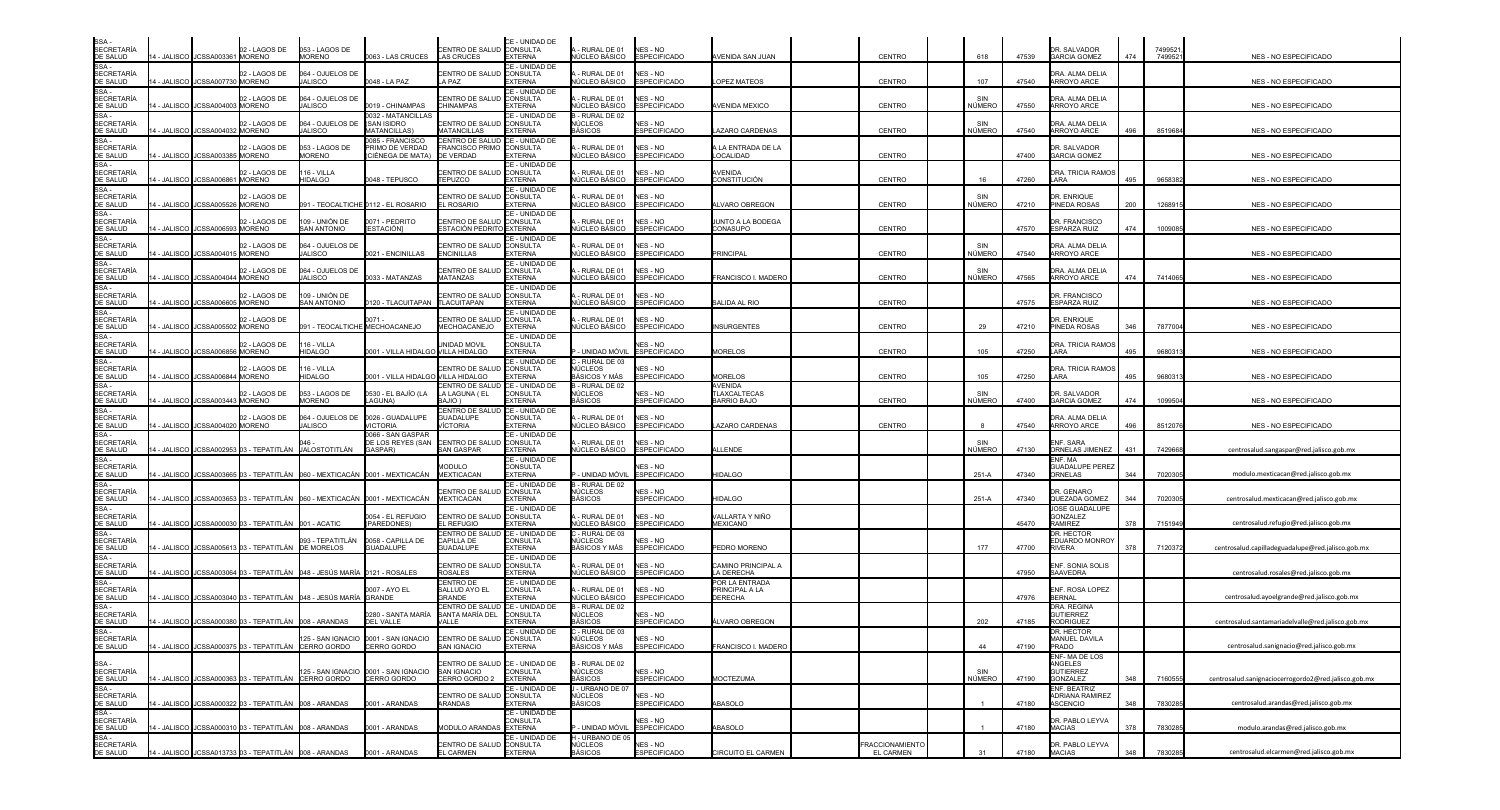| SSA -<br>SECRETARÍA<br><u>DE SALUD</u>                                                                                                   |                    | 14 - JALISCO JCSSA003361 MORENO  | 02 - LAGOS DE                                           | 053 - LAGOS DE<br><b>MORENO</b>                                           | 0063 - LAS CRUCES                                                           | CENTRO DE SALUD CONSULTA<br>LAS CRUCES                   | CE - UNIDAD DE<br><b>EXTERNA</b>                    | - RURAL DE 01<br>NÚCLEO BÁSICO                           | NES - NO<br><b>ESPECIFICADO</b>        | AVENIDA SAN JUAN                                            | CENTRO                | 618           | 47539 | DR. SALVADOR<br><b>GARCIA GOMEZ</b>                | 474 | 749952<br>749952 | NES - NO ESPECIFICADO                                |
|------------------------------------------------------------------------------------------------------------------------------------------|--------------------|----------------------------------|---------------------------------------------------------|---------------------------------------------------------------------------|-----------------------------------------------------------------------------|----------------------------------------------------------|-----------------------------------------------------|----------------------------------------------------------|----------------------------------------|-------------------------------------------------------------|-----------------------|---------------|-------|----------------------------------------------------|-----|------------------|------------------------------------------------------|
| SE SALOS<br>SSA -<br>SECRETARÍA<br>DE SALUD                                                                                              | 4 - JALISCO        | JCSSA007730                      | 2 - LAGOS DE<br><b>MORENO</b>                           | 064 - OJUELOS DE<br><b>JALISCO</b>                                        | 048 - LA PAZ                                                                | <b>CENTRO DE SALUD</b><br>A PAZ                          | CE - UNIDAD DE<br>CONSULTA<br>EXTERNA               | RURAL DE 01<br>ÚCLEO BÁSICO                              | NES - NO<br><b>ESPECIFICADO</b>        | <b>OPEZ MATEOS</b>                                          | <b>CENTRO</b>         | 107           | 47540 | DRA. ALMA DELIA<br><b>ARROYO ARCE</b>              |     |                  | NES - NO ESPECIFICADO                                |
| SSA -<br>SECRETARÍA<br>DE SALUD                                                                                                          |                    |                                  | 02 - LAGOS DE                                           | 064 - OJUELOS DE                                                          |                                                                             | CENTRO DE SALUD                                          | CE - UNIDAD DE<br><b>CONSULTA</b>                   | - RURAL DE 01                                            | NES - NO                               |                                                             |                       |               |       | DRA. ALMA DELIA                                    |     |                  |                                                      |
| SSA-<br><b>SECRETARÍA</b>                                                                                                                | 4 - JALISCO        | JCSSA004003 MORENO               | 02 - LAGOS DE                                           | JALISCO<br>064 - OJUELOS DE                                               | 0019 - CHINAMPAS<br>032 - MATANCILLAS<br>(SAN ISIDRO                        | CHINAMPAS<br>CENTRO DE SALUD                             | EXTERNA<br>CE - UNIDAD DE<br>CONSULTA               | IÚCLEO BÁSICO<br>- RURAL DE 02<br>NÚCLEOS                | <b>ESPECIFICADO</b><br>NES - NO        | VENIDA MEXICO                                               | <b>CENTRO</b>         | NÚMERO<br>SIN | 47550 | ARROYO ARCE<br>DRA. ALMA DELIA                     |     |                  | NES - NO ESPECIFICADO                                |
| DE SALUD<br>SSA -<br>SECRETARÍA                                                                                                          | - JALISCO          | JCSSA004032                      | <b>MORENO</b><br>02 - LAGOS DE                          | <b>JALISCO</b><br>053 - LAGOS DE                                          | <b>IATANCILLAS</b><br>085 - FRANCISCO<br><b>PRIMO DE VERDAD</b>             | <b>MATANCILLAS</b><br>CENTRO DE SALUD<br>FRANCISCO PRIMO | <b>EXTERNA</b><br>CE - UNIDAD DE<br><b>CONSULTA</b> | <b>ASICOS</b><br>RURAL DE 01                             | <b>SPECIFICADO</b><br>NES - NO         | AZARO CARDENAS<br><b>LA ENTRADA DE LA</b>                   | CENTRO                | NÚMERO        | 47540 | ARROYO ARCE<br>DR. SALVADOR                        | 496 | 8519684          | NES - NO ESPECIFICADO                                |
| DE SALUD<br>SSA-<br><b>SECRETARÍA</b>                                                                                                    |                    | 4 - JALISCO I JCSSA003385 MORENO | 02 - LAGOS DE                                           | <b>MORENO</b><br>16 - VILLA                                               | CIÉNEGA DE MATA)                                                            | DE VERDAD<br>CENTRO DE SALUD CONSULTA                    | <b>EXTERNA</b><br>CE - UNIDAD DE                    | IÚCLEO BÁSICO<br>RURAL DE 01                             | <b>ESPECIFICADO</b><br>NES - NO        | <b>OCALIDAD</b><br>AVENIDA                                  | <b>CENTRO</b>         |               | 47400 | <b>GARCIA GOMEZ</b><br>DRA. TRICIA RAMOS           |     |                  | NES - NO ESPECIFICADO                                |
| DE SALUD<br>SSA -<br>SECRETARÍA                                                                                                          |                    | 4 - JALISCO JCSSA006861 MORENO   |                                                         | <b>HIDALGO</b>                                                            | 0048 - TEPUSCO                                                              | <b>TEPUZCO</b>                                           | <b>EXTERNA</b><br>CE - UNIDAD DE                    | IÚCLEO BÁSICO                                            | <b>ESPECIFICADO</b>                    | CONSTITUCIÓN                                                | <b>CENTRO</b>         | 16            | 47260 | LARA                                               | 495 | 965838           | NES - NO ESPECIFICADO                                |
| DE SALUD<br>$SSA -$                                                                                                                      |                    | 4 - JALISCO JCSSA005526 MORENO   | 2 - LAGOS DE                                            |                                                                           | 091 - TEOCALTICHE 0112 - EL ROSARIO                                         | CENTRO DE SALUD<br>EL ROSARIO                            | <b>CONSULTA</b><br><b>EXTERNA</b><br>CE - UNIDAD DE | RURAL DE 01<br><b>VÚCLEO BÁSICO</b>                      | NES - NO<br><b>ESPECIFICADO</b>        | <b>LVARO OBREGON</b>                                        | <b>CENTRO</b>         | NÚMERO        | 47210 | DR. ENRIQUE<br>PINEDA ROSAS                        | 200 | 126891           | NES - NO ESPECIFICADO                                |
| SECRETARÍA<br>DE SALUD<br>SSA -<br>SECRETARÍA                                                                                            | 4 - JALISCO        | <b>JCSSA00659:</b>               | 2 - LAGOS DE<br><b>MORENO</b>                           | 109 - UNIÓN DE<br><b>SAN ANTONIO</b>                                      | 0071 - PEDRITO<br>ESTACIÓN]                                                 | CENTRO DE SALUD CONSULTA<br>ESTACIÓN PEDRITO EXTERNA     | CE - UNIDAD DE                                      | RURAL DE 01<br><b>VÚCLEO BÁSICO</b>                      | NES - NO<br><b>ESPECIFICADO</b>        | JUNTO A LA BODEGA<br>CONASUPO                               | <b>CENTRO</b>         |               | 47570 | <b>DR. FRANCISCO</b><br>ESPARZA RUIZ               | 474 | 10090            | NES - NO ESPECIFICADO                                |
|                                                                                                                                          | 4 - JALISCO        | JCSSA004015 MORENO               | 2 - LAGOS DE                                            | 064 - OJUELOS DE<br>JALISCO                                               | 021 - ENCINILLAS                                                            | <b>ENTRO DE SALUD</b><br>ENCINILLAS                      | <b>CONSULTA</b><br><b>EXTERNA</b><br>CE - UNIDAD DE | RURAL DE 01<br><b>VÚCLEO BÁSICO</b>                      | NES - NO<br><b>ESPECIFICADO</b>        | <b>PRINCIPAL</b>                                            | CENTRO                | SIN<br>NÚMERO | 47540 | DRA. ALMA DELIA<br>ARROYO ARCE                     |     |                  | NES - NO ESPECIFICADO                                |
| DE SALUD<br>SSA -<br>SECRETARÍA<br>DE SALUD                                                                                              | - JALISCO          | JCSSA004044 MORENO               | 2 - LAGOS DE                                            | 064 - OJUELOS DE<br>JALISCO                                               | 033 - MATANZAS                                                              | CENTRO DE SALUD<br>MATANZAS                              | <b>CONSULTA</b><br>EXTERNA                          | - RURAL DE 01<br>NÚCLEO BÁSICO                           | NES - NO<br><b>ESPECIFICADO</b>        | FRANCISCO I. MADERO                                         | <b>CENTRO</b>         | SIN<br>NÚMERO | 47565 | DRA. ALMA DELIA<br>ARROYO ARCE                     | 474 | 741406           | NES - NO ESPECIFICADO                                |
| SSA -<br><b>SECRETARÍA</b><br>DE SALUD                                                                                                   |                    | 4 - JALISCO JCSSA006605 MORENO   | 02 - LAGOS DE                                           | 109 - UNIÓN DE<br><b>SAN ANTONIO</b>                                      | 0120 - TLACUITAPAN                                                          | CENTRO DE SALUD<br><b>TLACUITAPAN</b>                    | CE - UNIDAD DE<br><b>CONSULTA</b><br><b>EXTERNA</b> | - RURAL DE 01<br>IÚCLEO BÁSICO                           | NES - NO<br><b>ESPECIFICADO</b>        | SALIDA AL RIO                                               | <b>CENTRO</b>         |               | 47575 | DR. FRANCISCO<br><b>ESPARZA RUIZ</b>               |     |                  | <b>NES - NO ESPECIFICADO</b>                         |
| SE BRESS<br>SSA -<br>SECRETARÍA<br>DE SALUD                                                                                              | 4 - JALISCO        | JCSSA005502 MORENO               | 02 - LAGOS DE                                           | 091 - TEOCALTICHE                                                         | MECHOACANEJO                                                                | CENTRO DE SALUD<br>MECHOACANEJO                          | CE - UNIDAD DE<br><b>CONSULTA</b><br><b>EXTERNA</b> | RURAL DE 01<br>IÚCLEO BÁSICO                             | NES - NO<br><b>ESPECIFICADO</b>        | <b>INSURGENTES</b>                                          | CENTRO                | 29            | 47210 | DR. ENRIQUE<br>PINEDA ROSAS                        | 346 | 787700           | NES - NO ESPECIFICADO                                |
| SSA-                                                                                                                                     | <b>4 - JALISCO</b> | <b>ICSSA006856</b>               | 02 - LAGOS DE<br><b>MORENO</b>                          | 116 - VILLA<br><b>HIDALGO</b>                                             | 001 - VILLA HIDALGO VILLA HIDALGO                                           | <b>JNIDAD MOVIL</b>                                      | CE - UNIDAD DE<br>CONSULTA<br><b>EXTERNA</b>        | UNIDAD MÓVIL                                             | <b>IES - NO</b><br><b>ESPECIFICADO</b> | <b>MORELOS</b>                                              | <b>CENTRO</b>         | 105           | 47250 | DRA. TRICIA RAMOS<br>ARA                           | 495 | 968031           | NES - NO ESPECIFICADO                                |
| SECRETARÍA<br>DE SALUD<br>SSA -<br>SECRETARÍA<br>DE SALUD                                                                                | 4 - JALISCO        | JCSSA006844 MORENO               | 02 - LAGOS DE                                           | 116 - VILLA<br>HIDALGO                                                    | 0001 - VILLA HIDALGO VILLA HIDALGO                                          | CENTRO DE SALUD                                          | CE - UNIDAD DE<br>CONSULTA<br><b>EXTERNA</b>        | - RURAL DE 03<br>NÚCLEOS<br>BÁSICOS Y MÁS                | <b>VES - NO</b><br><b>ESPECIFICADO</b> | <b>MORELOS</b>                                              | <b>CENTRO</b>         | 105           | 47250 | DRA. TRICIA RAMOS<br>ARA                           | 495 | 968031           | NES - NO ESPECIFICADO                                |
| SSA-<br><b>SECRETARÍA</b><br>DE SALUD                                                                                                    | I - JALISCO        | JCSSA003443                      | 2 - LAGOS DE<br><b>MORENO</b>                           | 053 - LAGOS DE<br><b>MORENO</b>                                           | 0530 - EL BAJÍO (LA<br>AGUNA)                                               | CENTRO DE SALUD<br>LA LAGUNA (EL<br>( OILAB              | CE - UNIDAD DE<br>CONSULTA<br><b>EXTERNA</b>        | - RURAL DE 02<br><b>NÚCLEOS</b><br>3ÁSICOS               | NFS - NO<br><b>ESPECIFICADO</b>        | <b>AVENIDA</b><br><b>TLAXCALTECAS</b><br><b>BARRIO BAJO</b> | <b>CENTRO</b>         | SIN<br>NÚMERO | 47400 | DR. SALVADOR<br><b>GARCIA GOMEZ</b>                | 474 | 109950           | NES - NO ESPECIFICADO                                |
| SSA -<br>SECRETARÍA<br>DE SALUD                                                                                                          |                    | 4 - JALISCO JCSSA004020 MORENO   | 02 - LAGOS DE                                           | 064 - OJUELOS DE<br><b>JALISCO</b>                                        | 0026 - GUADALUPE<br><b>VICTORIA</b>                                         | CENTRO DE SALUD<br>GUADALUPE<br><b>/ÍCTORIA</b>          | CE - UNIDAD DE<br>CONSULTA<br><b>EXTERNA</b>        | RURAL DE 01<br>IÚCLEO BÁSICO                             | NES - NO<br><b>ESPECIFICADO</b>        | AZARO CARDENAS                                              | <b>CENTRO</b>         |               | 47540 | DRA. ALMA DELIA<br><b>ARROYO ARCE</b>              | 496 | 851207           | NES - NO ESPECIFICADO                                |
| SE SALSS<br>SSA -<br>SECRETARÍA                                                                                                          |                    |                                  |                                                         |                                                                           | 0066 - SAN GASPAF<br>DE LOS REYES (SAN                                      | CENTRO DE SALUD                                          | CE - UNIDAD DE<br><b>CONSULTA</b>                   | RURAL DE 01                                              | NES - NO                               |                                                             |                       | SIN           |       | ENF. SARA                                          |     |                  |                                                      |
|                                                                                                                                          |                    |                                  | 4 - JALISCO JCSSA002953 03 - TEPATITLÁN JALOSTOTITLÁN   |                                                                           | GASPAR)                                                                     | <b>SAN GASPAR</b><br><b>AODULO</b>                       | <b>EXTERNA</b><br>CE - UNIDAD DE<br><b>CONSULTA</b> | <b>VÚCLEO BÁSICO</b>                                     | <b>ESPECIFICADO</b><br><b>JES - NO</b> | LLENDE                                                      |                       | NÚMERO        | 47130 | ORNELAS JIMENEZ<br>ENF. MA<br>GUADALUPE PEREZ      | 431 | 742966           | centrosalud.sangaspar@red.jalisco.gob.mx             |
| SECRETARIA<br>DE SALUD<br>SSA -<br>SECRETARÍA<br>DE SALUD<br>SSA -<br>SECRETARÍA<br>SECRETARÍA<br>SECRETARÍA                             |                    |                                  |                                                         |                                                                           | 4 - JALISCO JJCSSA003665 03 - TEPATITLÁN 060 - MEXTICACÁN 0001 - MEXTICACÁN | <b>MEXTICACAN</b><br><b>CENTRO DE SALUD</b>              | <b>EXTERNA</b><br>CE - UNIDAD DE<br><b>CONSULTA</b> | - Unidad Móvil<br>- RURAL DE 02<br>NÚCLEOS               | <b>ESPECIFICADO</b><br>NES - NO        | HIDALGO                                                     |                       | $251-A$       | 47340 | ORNELAS<br>DR. GENARO                              | 344 | 702030           | modulo.mexticacan@red.jalisco.gob.mx                 |
| DE SALUD<br>SSA -<br>SECRETARÍA<br>DE SALUD                                                                                              | 4 - JALISCO        | JCSSA003653                      |                                                         |                                                                           | 03 - TEPATITLÁN 060 - MEXTICACÁN 0001 - MEXTICACÁN<br>054 - EL REFUGIO      | <b>MEXTICACAN</b><br>CENTRO DE SALUD                     | <b>EXTERNA</b><br>CE - UNIDAD DE<br><b>CONSULTA</b> | BÁSICOS<br>RURAL DE 01                                   | <b>ESPECIFICADO</b><br>NES - NO        | <b>IIDALGO</b><br>VALLARTA Y NIÑO                           |                       | $251-A$       | 47340 | QUEZADA GOMEZ<br>JOSE GUADALUPE<br>GONZALEZ        | 344 | 702030           | centrosalud.mexticacan@red.jalisco.gob.mx            |
|                                                                                                                                          | 4 - JALISCO        |                                  | JCSSA000030 03 - TEPATITLÁN 001 - ACATIC                |                                                                           | PAREDONES)<br>0058 - CAPILLA DE                                             | EL REFUGIO<br>CENTRO DE SALUD<br>CAPILLA DE              | <b>EXTERNA</b><br>CE - UNIDAD DE<br>CONSULTA        | <b>VÚCLEO BÁSICO</b><br>- RURAL DE 03<br>NÚCLEOS         | <b>ESPECIFICADO</b><br>NES - NO        | <b>MEXICANO</b>                                             |                       |               | 45470 | RAMIREZ<br>DR. HECTOR                              | 378 | 7151949          | centrosalud.refugio@red.jalisco.gob.mx               |
| SSA -<br>SECRETARÍA<br>DE SALUD<br>SSA -<br>SECRETARÍA                                                                                   |                    |                                  | I - JALISCO I JCSSA005613 03 - TEPATITLÁN               | 093 - TEPATITLÁN<br><b>DE MORELOS</b>                                     | <b>GUADALUPE</b>                                                            | <b>GUADALUPE</b>                                         | <b>EXTERNA</b><br>CE - UNIDAD DE                    | BÁSICOS Y MÁS                                            | <b>ESPECIFICADO</b>                    | <b>PEDRO MORENO</b>                                         |                       | 177           | 47700 | EDUARDO MONROY<br><b>RIVERA</b>                    | 378 | 7120372          | centrosalud.capilladeguadalupe@red.jalisco.gob.mx    |
| DE SALUD<br>$SSA -$                                                                                                                      |                    |                                  |                                                         | 4 - JALISCO JUCSSA003064 03 - TEPATITLÁN 048 - JESÚS MARÍA 0121 - ROSALES |                                                                             | CENTRO DE SALUD<br><b>ROSALES</b><br>CENTRO DE           | <b>CONSULTA</b><br><b>EXTERNA</b><br>CE - UNIDAD DE | RURAL DE 01<br>IÚCLEO BÁSICO                             | NES - NO<br><b>ESPECIFICADO</b>        | CAMINO PRINCIPAL A<br>A DERECHA<br>POR LA ENTRADA           |                       |               | 47950 | ENF. SONIA SOLIS<br>SAAVEDRA                       |     |                  | centrosalud.rosales@red.jalisco.gob.mx               |
| <b>SECRETARÍA</b><br>DE SALUD<br>SSA-                                                                                                    | 4 - JALISCO        |                                  |                                                         | JCSSA003040 03 - TEPATITLÁN 048 - JESÚS MARÍA                             | )007 - AYO EL<br><b>GRANDE</b>                                              | SALLUD AYO EL<br>GRANDE<br>CENTRO DE SALUD               | <b>CONSULTA</b><br><b>EXTERNA</b><br>CE - UNIDAD DE | RURAL DE 01<br>ÚCLEO BÁSICO<br>- RURAL DE 02             | NES - NO<br><b>ESPECIFICADO</b>        | PRINCIPAL A LA<br>DERECHA                                   |                       |               | 47976 | ENF. ROSA LOPEZ<br>BERNAI<br>DRA. REGINA           |     |                  | centrosalud.ayoelgrande@red.jalisco.gob.mx           |
| <b>SECRETARÍA</b><br>DE SALUD                                                                                                            |                    |                                  | 4 - JALISCO JCSSA000380 03 - TEPATITLÁN 008 - ARANDAS   |                                                                           | 0280 - SANTA MARÍA<br><b>DEL VALLE</b>                                      | SANTA MARÍA DEL<br>/ALL F                                | <b>CONSULTA</b><br><b>EXTERNA</b><br>CE - UNIDAD DE | IÚCLEOS<br>BÁSICOS                                       | NES - NO<br><b>ESPECIFICADO</b>        | LVARO OBREGON                                               |                       | 202           | 47185 | <b>GUTIERREZ</b><br>RODRIGUEZ<br>DR. HECTOR        |     |                  | centrosalud.santamariadelvalle@red.jalisco.gob.mx    |
| SSA -<br>SECRETARÍA<br>DE SALUD                                                                                                          |                    |                                  | 14 - JALISCO IJCSSA000375 03 - TEPATITLÁN               | CERRO GORDO                                                               | 125 - SAN IGNACIO 0001 - SAN IGNACIO<br>CERRO GORDO                         | CENTRO DE SALUD CONSULTA<br><b>SAN IGNACIO</b>           | <b>EXTERNA</b>                                      | C - RURAL DE 03<br>NÚCLEOS<br>BÁSICOS Y MÁS ESPECIFICADO | NES - NO                               | FRANCISCO I. MADERO                                         |                       | 44            | 47190 | MANUEL DAVILA<br>PRADO                             |     |                  | centrosalud.sanignacio@red.jalisco.gob.mx            |
|                                                                                                                                          |                    |                                  |                                                         |                                                                           | 125 - SAN IGNACIO 0001 - SAN IGNACIO                                        | CENTRO DE SALUD CE - UNIDAD DE<br><b>SAN IGNACIO</b>     | <b>CONSULTA</b>                                     | - RURAL DE 02<br>NÚCLEOS                                 | NES - NO                               |                                                             |                       | SIN           |       | ENF-MA DE LOS<br>ANGELES<br><b>GUTIERREZ</b>       |     |                  |                                                      |
| SSA -<br>SECRETARÍA<br>DE SALUD<br>SSA -<br>SECRETARÍA<br>DE SALUD<br>SSA -<br>SECRETARÍA<br>DE SALUD<br>SSA -<br>SECRETARÍA<br>DE SALUD |                    |                                  | 4 - JALISCO JJCSSA000363 03 - TEPATITLÁN                | CERRO GORDO                                                               | CERRO GORDO                                                                 | CERRO GORDO 2<br>CENTRO DE SALUD CONSULTA                | <b>EXTERNA</b><br>CE - UNIDAD DE                    | BÁSICOS<br>- URBANO DE 07<br>NÚCLEOS                     | <b>ESPECIFICADO</b><br>NES - NO        | <b>MOCTEZUMA</b>                                            |                       | <b>NÚMERO</b> | 47190 | <b>GONZALEZ</b><br>ENF. BEATRIZ<br>ADRIANA RAMIREZ | 348 | 7160555          | centrosalud.sanignaciocerrogordo2@red.jalisco.gob.mx |
|                                                                                                                                          |                    |                                  | 14 - JALISCO JCSSA000322 03 - TEPATITLÁN 008 - ARANDAS  |                                                                           | 0001 - ARANDAS                                                              | <b>ARANDAS</b>                                           | <b>EXTERNA</b><br>CE - UNIDAD DE<br><b>CONSULTA</b> | BÁSICOS                                                  | <b>ESPECIFICADO</b><br>NES - NO        | ABASOLO                                                     |                       |               | 47180 | <b>ASCENCIO</b><br>DR. PABLO LEYVA                 | 348 | 7830285          | centrosalud.arandas@red.jalisco.gob.mx               |
|                                                                                                                                          |                    |                                  | 14 - JALISCO JJCSSA000310 03 - TEPATITLÁN 008 - ARANDAS |                                                                           | 0001 - ARANDAS                                                              | MODULO ARANDAS EXTERNA                                   | CE - UNIDAD DE                                      | · UNIDAD MÓVIL<br>H - URBANO DE 05                       | <b>ESPECIFICADO</b>                    | ABASOLO                                                     | <b>RACCIONAMIENTO</b> |               | 47180 | <b>MACIAS</b>                                      | 378 | 7830285          | modulo.arandas@red.jalisco.gob.mx                    |
|                                                                                                                                          |                    |                                  | 14 - JALISCO JCSSA013733 03 - TEPATITLÁN 008 - ARANDAS  |                                                                           | 0001 - ARANDAS                                                              | CENTRO DE SALUD CONSULTA<br><b>EL CARMEN</b>             | <b>EXTERNA</b>                                      | <b>NÚCLEOS</b><br>BÁSICOS                                | NES - NO<br><b>ESPECIFICADO</b>        | CIRCUITO EL CARMEN                                          | <b>EL CARMEN</b>      | 31            | 47180 | DR. PABLO LEYVA<br><b>MACIAS</b>                   | 348 | 7830285          | centrosalud.elcarmen@red.jalisco.gob.mx              |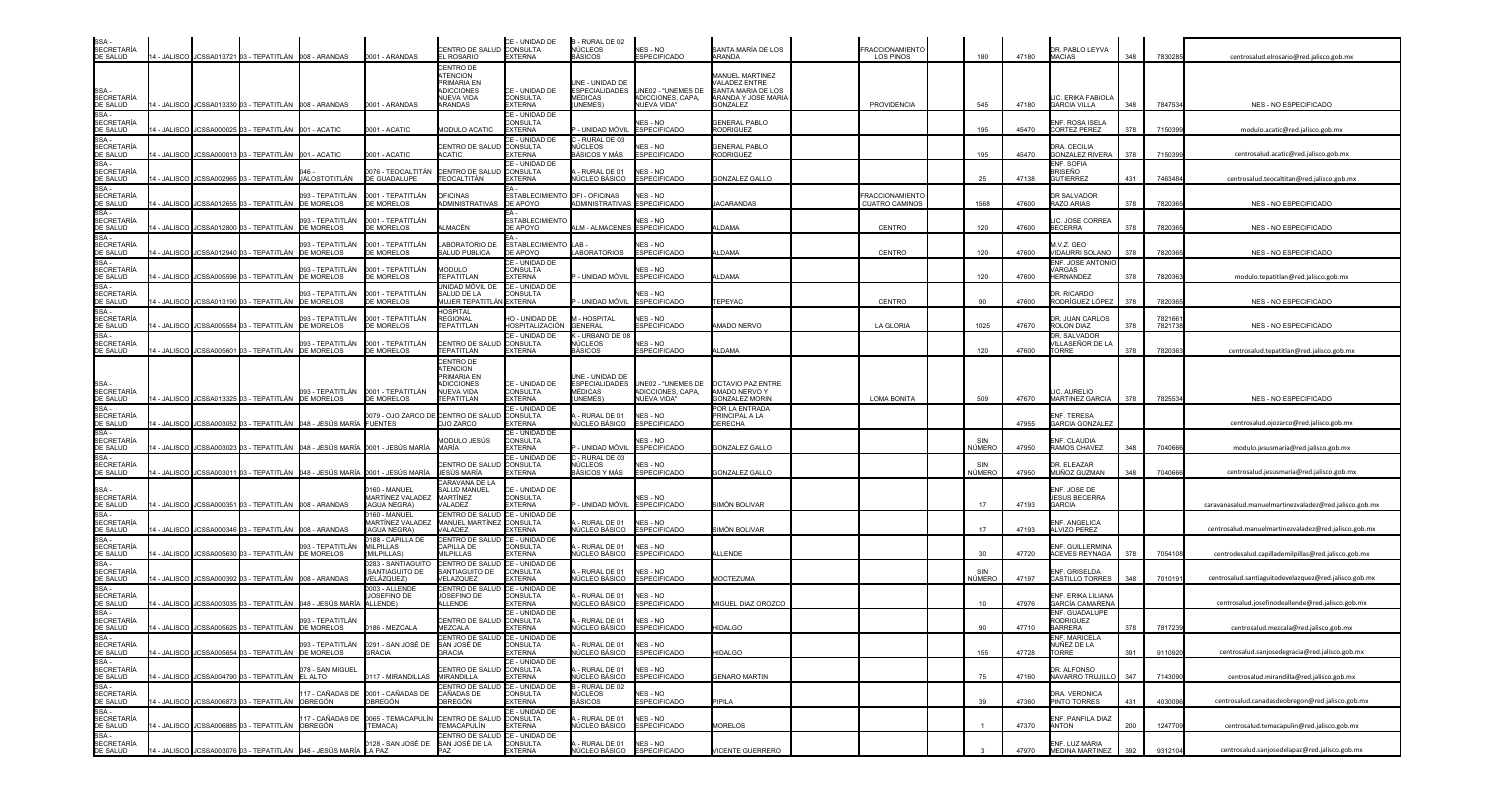| SSA.<br><b>SECRETARÍA</b><br>DE SALUD |             | 4 - JALISCO JJCSSA013721 03 - TEPATITLÁN 008 - ARANDAS      |                                                                   | 0001 - ARANDAS                                                              | CENTRO DE SALUD<br>EL ROSARIO                       | CE - UNIDAD DE<br>CONSULTA<br><b>EXTERNA</b> | B - RURAL DE 02<br>NÚCLEOS<br><b>BÁSICOS</b> | NES - NO<br><b>ESPECIFICADO</b>         | SANTA MARÍA DE LOS<br>ARANDA                  | <b>FRACCIONAMIENTO</b><br><b>LOS PINOS</b>     | 180             | 47180 | DR. PABLO LEYVA<br><b>MACIAS</b>             | 348 | 7830285            | centrosalud.elrosario@red.jalisco.gob.mx               |
|---------------------------------------|-------------|-------------------------------------------------------------|-------------------------------------------------------------------|-----------------------------------------------------------------------------|-----------------------------------------------------|----------------------------------------------|----------------------------------------------|-----------------------------------------|-----------------------------------------------|------------------------------------------------|-----------------|-------|----------------------------------------------|-----|--------------------|--------------------------------------------------------|
|                                       |             |                                                             |                                                                   |                                                                             | CENTRO DE                                           |                                              |                                              |                                         |                                               |                                                |                 |       |                                              |     |                    |                                                        |
|                                       |             |                                                             |                                                                   |                                                                             | ATENCION<br>PRIMARIA EN                             |                                              | INE - UNIDAD DE                              |                                         | MANUEL MARTINEZ<br>AI ADEZ ENTRE              |                                                |                 |       |                                              |     |                    |                                                        |
| SSA-<br><b>SECRETARÍA</b>             |             |                                                             |                                                                   |                                                                             | <b>DICCIONES</b><br>NUEVA VIDA                      | CE - UNIDAD DE<br>CONSULTA                   | <b>ESPECIALIDADES</b><br>MÉDICAS             | UNE02 - "UNEMES DE<br>ADICCIONES, CAPA, | SANTA MARIA DE LOS<br>ARANDA Y JOSE MARIA     |                                                |                 |       | LIC. ERIKA FABIOLA                           |     |                    |                                                        |
| DE SALUD                              |             | 4 - JALISCO JCSSA013330 03 - TEPATITLÁN 008 - ARANDAS       |                                                                   | 0001 - ARANDAS                                                              | ARANDAS                                             | <b>EXTERNA</b>                               | UNEMES)                                      | NUEVA VIDA"                             | <b>GONZALEZ</b>                               | PROVIDENCIA                                    | 545             | 47180 | <b>GARCIA VILLA</b>                          | 348 | 7847534            | NES - NO ESPECIFICADO                                  |
| SSA -<br><b>SECRETARÍA</b>            |             |                                                             |                                                                   |                                                                             |                                                     | CE - UNIDAD DE<br>CONSULTA                   |                                              | NES - NO                                | <b>GENERAL PABLO</b>                          |                                                |                 |       | ENF. ROSA ISELA                              |     |                    |                                                        |
| DE SALUD<br>SSA -                     |             | 4 - JALISCO JCSSA000025 03 - TEPATITLÁN 001 - ACATIC        |                                                                   | 0001 - ACATIC                                                               | MODULO ACATIC                                       | <b>EXTERNA</b><br>CE - UNIDAD DE             | - UNIDAD MÓVIL<br>- RURAL DE 03              | <b>ESPECIFICADO</b>                     | RODRIGUEZ                                     |                                                | 195             | 45470 | <b>CORTEZ PEREZ</b>                          | 378 | 7150399            | modulo.acatic@red.jalisco.gob.mx                       |
| <b>SECRETARÍA</b>                     |             |                                                             |                                                                   |                                                                             | CENTRO DE SALUD                                     | <b>CONSULTA</b>                              | ÚCLEOS                                       | NES - NO                                | <b>GENERAL PABLO</b>                          |                                                |                 |       | DRA. CECILIA                                 |     |                    |                                                        |
| DE SALUD<br>SSA -                     | 4 - JALISCO | JCSSA000013 03 - TEPATITLÁN 001 - ACATIC                    |                                                                   | 001 - ACATIC                                                                | <b>ACATIC</b>                                       | <b>EXTERNA</b><br>CE - UNIDAD DE             | ÁSICOS Y MÁS                                 | <b>ESPECIFICADO</b>                     | RODRIGUEZ                                     |                                                | 195             | 45470 | <b>GONZALEZ RIVERA</b><br>ENF. SOFIA         | 378 | 7150399            | centrosalud.acatic@red.jalisco.gob.mx                  |
| <b>SECRETARÍA</b><br>DE SALUD         | - JALISCO   |                                                             | JCSSA002965 03 - TEPATITLÁN JALOSTOTITLÁN                         | 076 - TEOCALTITÁN<br>DE GUADALUPE                                           | CENTRO DE SALUD<br>TEOCALTITÁN                      | CONSULTA<br><b>EXTERNA</b>                   | - RURAL DE 01<br>ÚCLEO BÁSICO                | NES - NO<br><b>ESPECIFICADO</b>         | <b>GONZALEZ GALLO</b>                         |                                                | 25              | 47138 | BRISEÑO<br><b>GUTIERREZ</b>                  | 431 | 7463484            | centrosalud.teocaltitan@red.jalisco.gob.mx             |
| SSA-                                  |             |                                                             |                                                                   |                                                                             |                                                     |                                              |                                              |                                         |                                               |                                                |                 |       |                                              |     |                    |                                                        |
| <b>SECRETARÍA</b><br>DE SALUD         | - JALISCO   | JCSSA012655 03 - TEPATITLÁN                                 | 093 - TEPATITLÁN<br><b>DE MORELOS</b>                             | 0001 - TEPATITLÁN<br><b>DE MORELOS</b>                                      | <b>OFICINAS</b><br>ADMINISTRATIVAS                  | ESTABLECIMIENTO OFI - OFICINAS<br>DE APOYO   | ADMINISTRATIVAS ESPECIFICADO                 | NES - NO                                | <b>ACARANDAS</b>                              | <b>RACCIONAMIENTC</b><br><b>CUATRO CAMINOS</b> | 1568            | 47600 | <b>DR SALVADOR</b><br><b>RAZO ARIAS</b>      | 378 | 782036             | NES - NO ESPECIFICADO                                  |
| SSA-<br><b>SECRETARÍA</b>             |             |                                                             | 093 - TEPATITLÁN                                                  | )001 - TEPATITLÁN                                                           |                                                     | <b>ESTABLECIMIENTC</b>                       |                                              | NES - NO                                |                                               |                                                |                 |       | LIC. JOSE CORREA                             |     |                    |                                                        |
| DE SALUD                              |             | 4 - JALISCO JJCSSA012800 03 - TEPATITI ÁN                   | <b>DE MORELOS</b>                                                 | <b>DE MORELOS</b>                                                           | ALMACÉN                                             | DE APOYO                                     | <b>IM-ALMACENES ESPECIFICADO</b>             |                                         | <b>LDAMA</b>                                  | <b>CENTRO</b>                                  | 120             | 47600 | <b>BECERRA</b>                               | 378 | 782036             | NES - NO ESPECIFICADO                                  |
| SSA -<br><b>SECRETARÍA</b>            |             |                                                             | 093 - TEPATITLÁN                                                  | 0001 - TEPATITLÁN                                                           | ABORATORIO DE                                       | ESTABLECIMIENTO LAB-                         |                                              | NES - NO                                |                                               |                                                |                 |       | M.V.Z. GEO                                   |     |                    |                                                        |
| DE SALUD<br>SSA -                     | 4 - JALISCO | JCSSA012940 03 - TEPATITLÁN                                 | <b>DE MORELOS</b>                                                 | <b>DE MORELOS</b>                                                           | SALUD PUBLICA                                       | DE APOYO<br>CE - UNIDAD DE                   | <b>ABORATORIOS</b>                           | <b>ESPECIFICADO</b>                     | LDAMA                                         | <b>CENTRO</b>                                  | 120             | 47600 | VIDAURRI SOLANO<br>ENF. JOSE ANTONIO         | 378 | 782036             | NES - NO ESPECIFICADO                                  |
| <b>SECRETARÍA</b><br>DE SALUD         | - JALISCO   | ICSSA005596 03 - TEPATITLÁN                                 | 093 - TEPATITLÁN<br><b>DE MORELOS</b>                             | 0001 - TEPATITLÁN<br><b>DE MORELOS</b>                                      | <b>MODULO</b><br><b>TEPATITLAN</b>                  | CONSULTA<br><b>EXTERNA</b>                   | - UNIDAD MÓVIL                               | NES - NO<br><b>ESPECIFICADO</b>         | LDAMA                                         |                                                | 120             | 47600 | <b>VARGAS</b><br><b>HERNANDEZ</b>            | 378 | 782036             | modulo.tepatitlan@red.jalisco.gob.mx                   |
| SSA -                                 |             |                                                             |                                                                   |                                                                             | JNIDAD MÓVIL DE                                     | CE - UNIDAD DE                               |                                              |                                         |                                               |                                                |                 |       |                                              |     |                    |                                                        |
| <b>SECRETARÍA</b><br>DE SALUD         | - JALISCO   | JCSSA013190 03 - TEPATITLÁN DE MORELOS                      | 093 - TEPATITLÁN                                                  | 0001 - TEPATITLÁN<br><b>DE MORELOS</b>                                      | SALUD DE LA<br>MUJER TEPATITLÁN EXTERNA             | <b>CONSULTA</b>                              | - UNIDAD MÓVIL                               | NES - NO<br><b>ESPECIFICADO</b>         | <b>TEPEYAC</b>                                | <b>CENTRO</b>                                  | 90              | 47600 | DR. RICARDO<br>RODRÍGUEZ LÓPEZ               | 378 | 7820365            | NES - NO ESPECIFICADO                                  |
| SSA -                                 |             |                                                             |                                                                   |                                                                             | HOSPITAL                                            |                                              | - HOSPITAL                                   | NES - NO                                |                                               |                                                |                 |       | DR. JUAN CARLOS                              |     |                    |                                                        |
| <b>SECRETARÍA</b><br>DE SALUD         |             | - JALISCO JCSSA005584 03 - TEPATITLÁN DE MORELOS            | 093 - TEPATITLÁN                                                  | )001 - TEPATITLÁN<br>DE MORELOS                                             | REGIONAL<br>TEPATITLAN                              | HO - UNIDAD DE<br>HOSPITALIZACIÓN            | <b>GENERAL</b>                               | <b>ESPECIFICADO</b>                     | <b>MADO NERVO</b>                             | LA GLORIA                                      | 1025            | 47670 | ROLON DIAZ                                   | 378 | 7821661<br>7821738 | NES - NO ESPECIFICADO                                  |
| SSA-<br><b>SECRETARÍA</b>             |             |                                                             | 093 - TEPATITLÁN                                                  | 0001 - TEPATITLÁN                                                           | CENTRO DE SALUD                                     | CE - UNIDAD DE<br><b>CONSULTA</b>            | - URBANO DE 08<br>NÚCLEOS                    | NES - NO                                |                                               |                                                |                 |       | DR. SALVADOR<br>VILLASEÑOR DE LA             |     |                    |                                                        |
| DE SALUD                              | 4 - JALISCO | JCSSA005601 03 - TEPATITLÁN                                 | <b>DE MORELOS</b>                                                 | DE MORELOS                                                                  | TEPATITLAN                                          | <b>EXTERNA</b>                               | ÁSICOS                                       | <b>ESPECIFICADO</b>                     | LDAMA                                         |                                                | 120             | 47600 | <b>TORRE</b>                                 | 378 | 7820363            | centrosalud.tepatitlan@red.jalisco.gob.mx              |
|                                       |             |                                                             |                                                                   |                                                                             | <b>CENTRO DE</b><br><b>ITENCION</b>                 |                                              |                                              |                                         |                                               |                                                |                 |       |                                              |     |                    |                                                        |
| SSA-                                  |             |                                                             |                                                                   |                                                                             | PRIMARIA EN<br><b>IDICCIONES</b>                    | CE - UNIDAD DE                               | JNE - UNIDAD DE<br>ESPECIALIDADES            | UNE02 - "UNEMES DE                      | <b>OCTAVIO PAZ ENTRE</b>                      |                                                |                 |       |                                              |     |                    |                                                        |
| <b>SECRETARÍA</b><br>DE SALUD         |             | 4 - JALISCO I JCSSA013325 03 - TEPATITLÁN                   | 093 - TEPATITLÁN<br><b>DE MORELOS</b>                             | 0001 - TEPATITLÁN<br><b>DE MORELOS</b>                                      | NUEVA VIDA<br><b>TEPATITLAN</b>                     | <b>CONSULTA</b><br><b>EXTERNA</b>            | MÉDICAS<br>JNEMES)                           | ADICCIONES, CAPA,<br>NUEVA VIDA"        | <b>AMADO NERVO Y</b><br><b>SONZALEZ MORIN</b> | <b>LOMA BONITA</b>                             | 509             | 47670 | LIC. AURELIO<br>MARTINEZ GARCIA              | 378 | 7825534            | NES - NO ESPECIFICADO                                  |
| SSA -                                 |             |                                                             |                                                                   |                                                                             |                                                     | CE - UNIDAD DE                               |                                              |                                         | OR LA ENTRADA                                 |                                                |                 |       |                                              |     |                    |                                                        |
| <b>SECRETARÍA</b><br>DE SALUD         | 1 - JALISCO |                                                             | JCSSA003052 03 - TEPATITLÁN     048 - JESÚS MARÍA                 | 079 - OJO ZARCO DE<br><b>FUENTES</b>                                        | CENTRO DE SALUD<br><b>OJO ZARCO</b>                 | <b>CONSULTA</b><br>EXTERNA                   | - RURAL DE 01<br>ÚCLEO BÁSICO                | NES - NO<br><b>ESPECIFICADO</b>         | <b>PRINCIPAL A LA</b><br>DERECHA              |                                                |                 | 47955 | ENF. TERESA<br><b>GARCIA GONZALEZ</b>        |     |                    | centrosalud.ojozarco@red.jalisco.gob.mx                |
| SSA -<br><b>SECRETARÍA</b>            |             |                                                             |                                                                   |                                                                             | MODULO JESÚS                                        | CE - UNIDAD DE<br>CONSULTA                   |                                              | NES - NO                                |                                               |                                                | SIN             |       | ENF. CLAUDIA                                 |     |                    |                                                        |
| DE SALUD                              | 1 - JALISCO |                                                             |                                                                   | JCSSA003023 03 - TEPATITLÁN 048 - JESÚS MARÍA 0001 - JESÚS MARÍA            | MARÍA                                               | <b>XTERNA</b>                                | UNIDAD MÓVIL                                 | <b>ESPECIFICADO</b>                     | <b>GONZALEZ GALLO</b>                         |                                                | NÚMERO          | 47950 | <b>RAMOS CHAVEZ</b>                          | 348 | 7040666            | modulo.jesusmaria@red.jalisco.gob.mx                   |
| SSA -<br><b>SECRETARÍA</b>            |             |                                                             |                                                                   |                                                                             | CENTRO DE SALUE                                     | CE - UNIDAD DE<br><b>CONSULTA</b>            | - RURAL DE 03<br>IÙCLEOS                     | NES - NO                                |                                               |                                                | SIN             |       | DR. ELEAZAR                                  |     |                    |                                                        |
| DE SALUD                              |             |                                                             |                                                                   | - JALISCO JJCSSA003011 03 - TEPATITLÁN 048 - JESÚS MARÍA 0001 - JESÚS MARÍA | JESÚS MARÍA<br>CARAVANA DE LA                       | <b>EXTERNA</b>                               | ÁSICOS Y MÁS ESPECIFICADO                    |                                         | GONZALEZ GALLO                                |                                                | NÚMERO          | 47950 | MUÑOZ GUZMAN                                 | 348 | 7040666            | centrosalud.jesusmaria@red.jalisco.gob.mx              |
| SSA -                                 |             |                                                             |                                                                   | 160 - MANUEL                                                                | SALUD MANUEL                                        | CE - UNIDAD DE                               |                                              |                                         |                                               |                                                |                 |       | ENF. JOSE DE                                 |     |                    |                                                        |
| <b>SECRETARÍA</b><br>DE SALUD         |             | 4 - JALISCO JJCSSA000351 03 - TEPATITLÁN 008 - ARANDAS      |                                                                   | MARTÍNEZ VALADEZ<br><b>AGUA NEGRA</b>                                       | MARTÍNEZ<br>VALADEZ                                 | CONSULTA<br><b>EXTERNA</b>                   |                                              | NES - NO<br>- UNIDAD MÓVIL ESPECIFICADO | IMÓN BOLIVAR                                  |                                                | 17              | 47193 | <b>JESUS BECERRA</b><br><b>GARCIA</b>        |     |                    | caravanasalud.manuelmartinezvaladez@red.jalisco.gob.mx |
| SSA-<br><b>SECRETARÍA</b>             |             |                                                             |                                                                   | 160 - MANUEL<br>MARTÍNEZ VALADEZ                                            | CENTRO DE SALUD<br>MANUEL MARTÍNEZ                  | CE - UNIDAD DE<br><b>CONSULTA</b>            | - RURAL DE 01                                | NES - NO                                |                                               |                                                |                 |       | <b>ENF. ANGELICA</b>                         |     |                    |                                                        |
| DE SALUD                              |             | 4 - JALISCO I JCSSA000346 03 - TEPATITLÁN     008 - ARANDAS |                                                                   | <b>AGUA NEGRA)</b>                                                          | VALADEZ                                             | <b>EXTERNA</b>                               | IÚCLEO BÁSICO                                | <b>ESPECIFICADO</b>                     | SIMÓN BOLIVAR                                 |                                                | 17              | 47193 | <b>ALVIZO PEREZ</b>                          |     |                    | centrosalud.manuelmartinezvaladez@red.jalisco.gob.mx   |
| SSA-<br><b>SECRETARÍA</b>             |             |                                                             | 93 - TEPATITLÁN                                                   | 188 - CAPILLA DE<br><b>MILPILLAS</b>                                        | CENTRO DE SALUD<br>CAPILLA DE                       | CE - UNIDAD DE<br>CONSULTA                   | - RURAL DE 01                                | NES - NO                                |                                               |                                                |                 |       | ENF. GUILLERMINA                             |     |                    |                                                        |
| DE SALUD<br>SSA -                     | 4 - JALISCO | JCSSA005630 03 - TEPATITLÁN DE MORELOS                      |                                                                   | (MILPILLAS)<br>283 - SANTIAGUIT                                             | <b>MILPILLAS</b><br>CENTRO DE SALUD                 | EXTERNA<br>CE - UNIDAD DE                    | IÚCLEO BÁSICO                                | <b>ESPECIFICADO</b>                     | LLENDE                                        |                                                | 30              | 47720 | <b>ACEVES REYNAGA</b>                        | 378 | 7054108            | centrodesalud.capillademilpillas@red.jalisco.gob.mx    |
| <b>SECRETARÍA</b><br>DE SALUD         | 4 - JALISCO | JCSSA000392 03 - TEPATITLÁN 008 - ARANDAS                   |                                                                   | SANTIAGUITO DE<br>/ELÁZQUEZ)                                                | SANTIAGUITO DE<br>VELAZQUEZ                         | <b>CONSULTA</b><br><b>EXTERNA</b>            | - RURAL DE 01<br>NÚCLEO BÁSICO               | NES - NO<br><b>ESPECIFICADO</b>         | <b>MOCTEZUMA</b>                              |                                                | SIN<br>NÚMERO   | 47197 | ENF. GRISELDA<br><b>CASTILLO TORRES</b>      | 348 | 7010191            | centrosalud.santiaguitodevelazquez@red.jalisco.gob.mx  |
| SSA-                                  |             |                                                             |                                                                   | 003 - ALLENDE                                                               | CENTRO DE SALUD CE - UNIDAD DE                      |                                              |                                              |                                         |                                               |                                                |                 |       |                                              |     |                    |                                                        |
| <b>SECRETARÍA</b><br>DE SALUD         |             |                                                             | 4 - JALISCO JCSSA003035 03 - TEPATITLÁN 048 - JESÚS MARÍA         | JOSEFINO DE<br>ALLENDE)                                                     | JOSEFINO DE<br>ALLENDE                              | <b>CONSULTA</b><br><b>EXTERNA</b>            | - RURAL DE 01<br>ÚCLEO BÁSICO ESPECIFICADO   | NES - NO                                | MIGUEL DIAZ OROZCO                            |                                                | 10 <sup>1</sup> | 47976 | ENF. ERIKA LILIANA<br><b>GARCÍA CAMARENA</b> |     |                    | centrosalud.josefinodeallende@red.jalisco.gob.mx       |
| SSA -<br>SECRETARÍA                   |             |                                                             | 093 - TEPATITLÁN                                                  |                                                                             | CENTRO DE SALUD CONSULTA                            | CE - UNIDAD DE                               | - RURAL DE 01                                | NES - NO                                |                                               |                                                |                 |       | ENF. GUADALUPE<br><b>RODRIGUEZ</b>           |     |                    |                                                        |
| DE SALUD                              |             | 14 - JALISCO JCSSA005625 03 - TEPATITLÁN DE MORELOS         |                                                                   | 0186 - MEZCALA                                                              | <b>MEZCALA</b>                                      | <b>EXTERNA</b>                               | NÚCLEO BÁSICO ESPECIFICADO                   |                                         | <b>HIDALGO</b>                                |                                                | 90              | 47710 | <b>BARRERA</b>                               | 378 | 7817239            | centrosalud.mezcala@red.jalisco.gob.mx                 |
| SSA -<br>SECRETARÍA                   |             |                                                             |                                                                   | 093 - TEPATITLÁN 0291 - SAN JOSÉ DE                                         | CENTRO DE SALUD CE - UNIDAD DE<br>SAN JOSÉ DE       | CONSULTA                                     | - RURAL DE 01                                | NES - NO                                |                                               |                                                |                 |       | ENF. MARICELA<br>NUÑEZ DE LA                 |     |                    |                                                        |
| DE SALUD<br>SSA -                     | 4 - JALISCO | JCSSA005654 03 - TEPATITLÁN DE MORELOS                      |                                                                   | <b>GRACIA</b>                                                               | <b>GRACIA</b>                                       | <b>EXTERNA</b><br>CE - UNIDAD DE             | IÚCLEO BÁSICO                                | <b>ESPECIFICADO</b>                     | <b>HIDALGO</b>                                |                                                | 155             | 47728 | <b>TORRE</b>                                 | 391 | 9110920            | centrosalud.sanjosedegracia@red.jalisco.gob.mx         |
| <b>SECRETARÍA</b>                     |             |                                                             | 078 - SAN MIGUEL                                                  |                                                                             | CENTRO DE SALUD                                     | <b>CONSULTA</b>                              | - RURAL DE 01                                | NES - NO                                |                                               |                                                |                 |       | DR. ALFONSO                                  |     |                    |                                                        |
| DE SALUD<br>SSA -                     | 4 - JALISCO | JCSSA004790 03 - TEPATITLÁN                                 | EL ALTO                                                           | 117 - MIRANDILLAS                                                           | <b>MIRANDILLA</b><br>CENTRO DE SALUD CE - UNIDAD DE | <b>EXTERNA</b>                               | IÚCLEO BÁSICO<br>- RURAL DE 02               | <b>ESPECIFICADO</b>                     | <b>GENARO MARTIN</b>                          |                                                | 75              | 47160 | NAVARRO TRUJILLO                             | 347 | 7143090            | centrosalud.mirandilla@red.jalisco.gob.mx              |
| SECRETARÍA<br>DE SALUD                | 1 - JALISCO | JCSSA006873 03 - TEPATITLÁN                                 | 17 - CAÑADAS DE<br><b>OBREGÓN</b>                                 | 0001 - CAÑADAS DE<br><b>DBREGÓN</b>                                         | CAÑADAS DE<br>OBREGÓN                               | <b>CONSULTA</b><br><b>EXTERNA</b>            | IÚCLEOS<br>iÁSICOS                           | NES - NO<br><b>ESPECIFICADO</b>         | PIPILA                                        |                                                | 39              | 47360 | DRA. VERONICA<br>PINTO TORRES                | 431 | 4030096            | centrosalud.canadasdeobregon@red.jalisco.gob.mx        |
| SSA -                                 |             |                                                             |                                                                   |                                                                             |                                                     | CE - UNIDAD DE                               |                                              |                                         |                                               |                                                |                 |       |                                              |     |                    |                                                        |
| <b>SECRETARÍA</b><br>DE SALUD         | 4 - JALISCO | JCSSA006885 03 - TEPATITLÁN                                 | 17 - CAÑADAS DE<br><b>OBREGÓN</b>                                 | 0065 - TEMACAPULÍN<br>TEMACA)                                               | CENTRO DE SALUD<br>TEMACAPULÍN                      | <b>CONSULTA</b><br><b>EXTERNA</b>            | - RURAL DE 01<br>IÚCLEO BÁSICO               | NES - NO<br><b>ESPECIFICADO</b>         | <b>MORELOS</b>                                |                                                |                 | 47370 | ENF. PANFILA DIAZ<br>ANTON                   | 200 | 1247709            | centrosalud.temacapulin@red.jalisco.gob.mx             |
| SSA -<br><b>SECRETARÍA</b>            |             |                                                             |                                                                   | )128 - SAN JOSÉ DE                                                          | CENTRO DE SALUD<br>SAN JOSÉ DE LA                   | CE - UNIDAD DE<br><b>CONSULTA</b>            | - RURAL DE 01                                | NES - NO                                |                                               |                                                |                 |       | ENF. LUZ MARIA                               |     |                    |                                                        |
| DE SALUD                              |             |                                                             | 14 - JALISCO JCSSA003076 03 - TEPATITLÁN 048 - JESÚS MARÍA LA PAZ |                                                                             | PAZ                                                 | <b>EXTERNA</b>                               | IÚCLEO BÁSICO ESPECIFICADO                   |                                         | VICENTE GUERRERO                              |                                                |                 | 47970 | MEDINA MARTINEZ                              | 392 | 9312104            | centrosalud.sanjosedelapaz@red.jalisco.gob.mx          |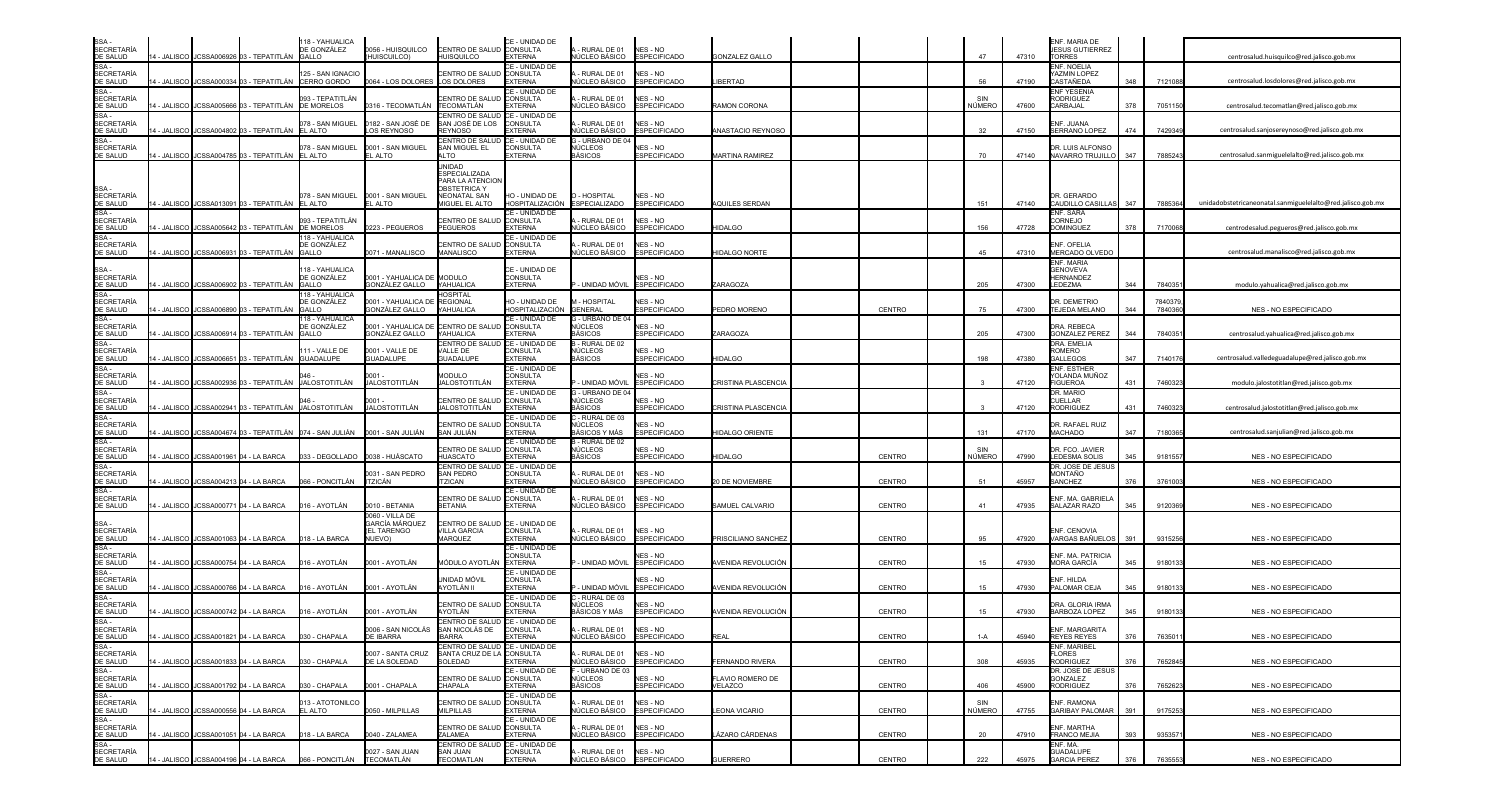| SSA -<br>SECRETARÍA<br>DE SALUD                                                                                                                                                                                                                            |              |            |                                            | 118 - YAHUALICA<br>DE GONZÁLEZ                                     | 0056 - HUISQUILCO                            | CENTRO DE SALUD                                             | CE - UNIDAD DE<br><b>CONSULTA</b>        | - RURAL DE 01                               | NES - NO                               |                        |               |               |       | ENF. MARIA DE<br><b>IESUS GUTIERREZ</b>  |     |                     |                                                             |
|------------------------------------------------------------------------------------------------------------------------------------------------------------------------------------------------------------------------------------------------------------|--------------|------------|--------------------------------------------|--------------------------------------------------------------------|----------------------------------------------|-------------------------------------------------------------|------------------------------------------|---------------------------------------------|----------------------------------------|------------------------|---------------|---------------|-------|------------------------------------------|-----|---------------------|-------------------------------------------------------------|
|                                                                                                                                                                                                                                                            |              |            | 14 - JALISCO I JCSSA006926 03 - TEPATITLÁN | GALLO                                                              | (HUISCUILCO)                                 | HUISQUILCO                                                  | <b>EXTERNA</b>                           | <b>IÚCLEO BÁSICO</b>                        | <b>ESPECIFICADO</b>                    | <b>GONZALEZ GALLO</b>  |               | 47            | 47310 | <b>ORRES</b>                             |     |                     | centrosalud.huisquilco@red.jalisco.gob.mx                   |
| SSA -<br>SSA -<br>SECRETARÍA<br>DE SALUD                                                                                                                                                                                                                   |              |            |                                            | <b>25 - SAN IGNACIO</b>                                            |                                              | <b>ENTRO DE SALUI</b>                                       | CE - UNIDAD DE<br><b>CONSULTA</b>        | - RURAL DE 01                               | NES - NO                               |                        |               |               |       | NF. NOELIA<br>AZMIN LOPEZ                |     |                     |                                                             |
|                                                                                                                                                                                                                                                            | 4 - JALISCO  |            | JCSSA000334 03 - TEPATITLÁN                | CERRO GORDO                                                        | 0064 - LOS DOLORES                           | LOS DOLORES                                                 | <b>EXTERNA</b><br>CE - UNIDAD DE         | <b>IÚCLEO BÁSICO</b>                        | <b>ESPECIFICADO</b>                    | <b>IBERTAD</b>         |               | 56            | 47190 | CASTAÑEDA<br><b>NF YESENIA</b>           | 348 | 7121088             | centrosalud.losdolores@red.jalisco.gob.mx                   |
| SE CALCO<br>SSA -<br>SECRETARÍA<br>DE SALUD<br>SSA -<br>SECRETARÍA<br>SE CALLIR                                                                                                                                                                            | - JALISCO    |            | CSSA005666 03 - TEPATITLÁN                 | 093 - TEPATITLÁN<br>DE MORELOS                                     | 0316 - TECOMATLÁN                            | ENTRO DE SALUI<br>ECOMATLÁN                                 | <b>CONSULTA</b><br>EXTERNA               | - RURAL DE 01<br>IÚCLEO BÁSICO              | <b>VES - NO</b><br><b>ESPECIFICADO</b> | RAMON CORONA           |               | SIN<br>NÚMERO | 47600 | <b>RODRIGUEZ</b><br><b>ARBAJAL</b>       | 378 | 705115              | centrosalud.tecomatlan@red.jalisco.gob.mx                   |
|                                                                                                                                                                                                                                                            |              |            |                                            |                                                                    |                                              | ENTRO DE SALUD                                              | CE - UNIDAD DE                           |                                             |                                        |                        |               |               |       |                                          |     |                     |                                                             |
| DE SALUD                                                                                                                                                                                                                                                   | 4 - JALISCO  |            | JCSSA004802 03 - TEPATITLÁN EL ALTO        | 78 - SAN MIGUEL                                                    | 0182 - SAN JOSÉ DE<br>LOS REYNOSO            | AN JOSÉ DE LOS<br><b>EYNOSO</b>                             | <b>CONSULTA</b><br><b>XTERNA</b>         | - RURAL DE 01<br><b>IÚCLEO BÁSICO</b>       | <b>NES - NO</b><br><b>ESPECIFICADO</b> | ANASTACIO REYNOSO      |               | 32            | 47150 | <b>NF. JUANA</b><br><b>SERRANO LOPEZ</b> | 474 | 7429349             | centrosalud.sanioserevnoso@red.ialisco.gob.mx               |
| SSA -<br>SECRETARÍA                                                                                                                                                                                                                                        |              |            |                                            | 78 - SAN MIGUEL                                                    | 0001 - SAN MIGUEL                            | <b>ENTRO DE SALUI</b><br>AN MIGUEL EL                       | CE - UNIDAD DE<br><b>CONSULTA</b>        | 3 - URBANO DE 04<br>NÚCLEOS                 | <b>VES - NO</b>                        |                        |               |               |       | DR. LUIS ALFONSO                         |     |                     |                                                             |
| DE SALUD                                                                                                                                                                                                                                                   | 4 - JALISCO  |            | JCSSA004785 03 - TEPATITLÁN EL ALTO        |                                                                    | EL ALTO                                      | LTO                                                         | <b>EXTERNA</b>                           | <b>BÁSICOS</b>                              | <b>ESPECIFICADO</b>                    | <b>MARTINA RAMIREZ</b> |               | 70            | 47140 | NAVARRO TRUJILLO                         | 347 | 7885243             | centrosalud.sanmiguelelalto@red.jalisco.gob.mx              |
|                                                                                                                                                                                                                                                            |              |            |                                            |                                                                    |                                              | JNIDAD<br><b>ESPECIALIZADA</b>                              |                                          |                                             |                                        |                        |               |               |       |                                          |     |                     |                                                             |
|                                                                                                                                                                                                                                                            |              |            |                                            |                                                                    |                                              | PARA LA ATENCIOI<br><b>DBSTETRICA Y</b>                     |                                          |                                             |                                        |                        |               |               |       |                                          |     |                     |                                                             |
| SSA -<br>SECRETARÍA<br><u>DE SALUD</u>                                                                                                                                                                                                                     | 4 - JALISCO  |            | JCSSA013091 03 - TEPATITLÁN EL ALTO        | 078 - SAN MIGUEL                                                   | 0001 - SAN MIGUEL<br>EL ALTO                 | <b>NEONATAL SAN</b><br><b>IIGUEL EL ALTO</b>                | HO - UNIDAD DE<br><b>HOSPITALIZACIÓN</b> | O - HOSPITAL<br><b>ESPECIALIZADO</b>        | NES - NO<br><b>ESPECIFICADO</b>        | AQUILES SERDAN         |               | 151           | 47140 | DR. GERARDO<br>CAUDILLO CASILLAS         | 347 | 7885364             | unidadobstetricaneonatal.sanmiguelelalto@red.jalisco.gob.m> |
|                                                                                                                                                                                                                                                            |              |            |                                            |                                                                    |                                              |                                                             | <b>E - UNIDAD DE</b>                     |                                             |                                        |                        |               |               |       | <b>NF. SARA</b>                          |     |                     |                                                             |
| <b>BE BALOB</b><br>SSA -<br>SECRETARÍA<br>DE SALUD<br>SSA -<br>SECRETARÍA<br>DE SALUD                                                                                                                                                                      | 4 - JALISCO  |            | JCSSA005642 03 - TEPATITLÁN                | 093 - TEPATITLÁN<br><b>DE MORELOS</b>                              | 0223 - PEGUEROS                              | <b>ENTRO DE SALUD</b><br><b>EGUEROS</b>                     | <b>CONSULTA</b><br><b>EXTERNA</b>        | - RURAL DE 01<br><b>IÚCLEO BÁSICO</b>       | NES - NO<br><b>ESPECIFICADO</b>        | <b>HIDALGO</b>         |               | 156           | 47728 | <b>ORNEJO</b><br><b>DOMINGUEZ</b>        | 378 | 7170068             | centrodesalud.pegueros@red.jalisco.gob.mx                   |
|                                                                                                                                                                                                                                                            |              |            |                                            | 18 - YAHUALICA<br>DE GONZÁLEZ                                      |                                              | <b>ENTRO DE SALUI</b>                                       | CE - UNIDAD DE<br><b>CONSULTA</b>        | - RURAL DE 01                               | NES - NO                               |                        |               |               |       | <b>NF. OFELIA</b>                        |     |                     |                                                             |
|                                                                                                                                                                                                                                                            | 4 - JALISCO  |            | JCSSA006931 03 - TEPATITLÁN                | <b>GALLO</b>                                                       | 0071 - MANALISCO                             | MANALISCO                                                   | <b>EXTERNA</b>                           | NÚCLEO BÁSICO                               | <b>ESPECIFICADO</b>                    | <b>HIDALGO NORTE</b>   |               | 45            | 47310 | MERCADO OLVEDO                           |     |                     | centrosalud.manalisco@red.jalisco.gob.mx                    |
|                                                                                                                                                                                                                                                            |              |            |                                            | 18 - YAHUALICA                                                     |                                              |                                                             | CE - UNIDAD DE                           |                                             |                                        |                        |               |               |       | <b>NF. MARIA</b><br>GENOVEVA             |     |                     |                                                             |
|                                                                                                                                                                                                                                                            | 4 - JALISCO  |            | ICSSA006902 03 - TEPATITLÁN                | DE GONZÁLEZ<br>GALLO                                               | 0001 - YAHUALICA DE MODULO<br>GONZÁLEZ GALLO | YAHUALICA                                                   | <b>CONSULTA</b><br><b>EXTERNA</b>        | · Unidad móvil                              | <b>VES - NO</b><br><b>ESPECIFICADO</b> | ZARAGOZA               |               | 205           | 47300 | <b>IERNANDEZ</b><br>LEDEZMA              | 344 | 784035              | modulo.yahualica@red.jalisco.gob.mx                         |
| SSA -<br>SECRETARÍA<br>DE SALUD<br>SSA -<br>SECRETARÍA<br>DE SALUD<br>SSA -<br>SECRETARÍA<br>SECRETARÍA                                                                                                                                                    |              |            |                                            | 18 - YAHUALICA<br>DE GONZÁLEZ                                      | 0001 - YAHUALICA                             | <b>OSPITAL</b><br><b>REGIONAL</b>                           | HO - UNIDAD DE                           | <b>A-HOSPITAL</b>                           | NES - NO                               |                        |               |               |       | <b>OR. DEMETRIO</b>                      |     | 784037              |                                                             |
|                                                                                                                                                                                                                                                            | 4 - JALISCO  |            | JCSSA006890 03 - TEPATITLÁN                | GALLO                                                              | GONZÁLEZ GALLO YAHUALICA                     |                                                             | HOSPITALIZACIÓN                          | <b>GENERAL</b>                              | <b>ESPECIFICADO</b>                    | PEDRO MORENO           | CENTRO        | 75            | 47300 | EJEDA MELANO                             | 344 | 784036              | NES - NO ESPECIFICADO                                       |
|                                                                                                                                                                                                                                                            |              |            |                                            | 18 - YAHUALICA<br>DE GONZÁLEZ                                      | 0001 - YAHUALICA DE                          | CENTRO DE SALUI                                             | CE - UNIDAD DE<br><b>CONSULTA</b>        | G - URBANO DE 04<br>NÚCLEOS                 | NES - NO                               |                        |               |               |       | <b>DRA. REBECA</b>                       |     |                     |                                                             |
| DE SALUD                                                                                                                                                                                                                                                   | 4 - JALISCO  |            | JCSSA006914 03 - TEPATITLÁN                | <b>GALLO</b>                                                       | GONZÁLEZ GALLO                               | YAHUALICA<br><b>ENTRO DE SALUE</b>                          | <b>EXTERNA</b><br>CE - UNIDAD DE         | <b>BÁSICOS</b><br>3 - RURAL DE 02           | <b>ESPECIFICADO</b>                    | ZARAGOZA               |               | 205           | 47300 | <b>GONZALEZ PEREZ</b><br>DRA. EMELIA     | 344 | 784035              | centrosalud.yahualica@red.jalisco.gob.mx                    |
| SSA -<br>SECRETARÍA<br>DE SALUD                                                                                                                                                                                                                            | 4 - JALISCO  |            | CSSA006651 03 - TEPATITI ÁN                | 11 - VALLE DE<br><b>GUADALUPE</b>                                  | 0001 - VALLE DE<br><b>GUADALUPE</b>          | VALLE DE<br><b>GUADALUPE</b>                                | CONSULTA<br><b>EXTERNA</b>               | NÚCLEOS<br>BÁSICOS                          | NES - NO<br><b>ESPECIFICADO</b>        | <b>HIDALGO</b>         |               | 198           | 47380 | ROMERO<br><b>GALLEGOS</b>                | 347 | 7140176             | centrosalud.valledeguadalupe@red.jalisco.gob.mx             |
|                                                                                                                                                                                                                                                            |              |            |                                            |                                                                    |                                              |                                                             | CE - UNIDAD DE                           |                                             |                                        |                        |               |               |       | <b>NF. ESTHER</b>                        |     |                     |                                                             |
| SE SALOB<br>SSA -<br>SECRETARÍA<br>DE SALUD                                                                                                                                                                                                                | 4 - JALISCO  |            | CSSA002936 03 - TEPATITLÁN                 | JALOSTOTITLÁN                                                      | ገ001<br>JALOSTOTITLÁN                        | <b>MODULO</b><br>JALOSTOTITLÁN                              | <b>CONSULTA</b><br><b>EXTERNA</b>        | - UNIDAD MÓVIL                              | NES - NO<br><b>ESPECIFICADO</b>        | CRISTINA PLASCENCIA    |               |               | 47120 | YOLANDA MUÑOZ<br><b>IGUEROA</b>          | 431 | 746032              | modulo.jalostotitlan@red.jalisco.gob.mx                     |
|                                                                                                                                                                                                                                                            |              |            |                                            |                                                                    |                                              | ENTRO DE SALUD                                              | CE - UNIDAD DE<br><b>CONSULTA</b>        | G - URBANO DE 04<br>NÚCLEOS                 | <b>VES - NO</b>                        |                        |               |               |       | <b>DR. MARIO</b><br><b>UELLAR</b>        |     |                     |                                                             |
| DE SALUD<br>SSA -<br>SECRETARÍA<br>DE SALUD<br>SSA -<br>SECRETARÍA                                                                                                                                                                                         | 4 - JALISCO  | CSSA002941 |                                            | 03 - TEPATITLÁN LJALOSTOTITLÁN                                     | JALOSTOTITLÁN                                | IALOSTOTITLÁN                                               | <b>EXTERNA</b>                           | 3ÁSICOS                                     | <b>ESPECIFICADO</b>                    | CRISTINA PLASCENCIA    |               |               | 47120 | <b>RODRIGUEZ</b>                         | 431 | 746032              | centrosalud.jalostotitlan@red.jalisco.gob.mx                |
|                                                                                                                                                                                                                                                            |              |            |                                            |                                                                    |                                              | <b>ENTRO DE SALUI</b>                                       | CE - UNIDAD DE<br><b>CONSULTA</b>        | - RURAL DE 03<br>NÚCLEOS                    | <b>VES - NO</b>                        |                        |               |               |       | DR. RAFAEL RUIZ                          |     |                     |                                                             |
| DE SALUD<br>SSA -<br>SECRETARÍA                                                                                                                                                                                                                            | 4 - JALISCO  |            |                                            | ICSSA004674 03 - TEPATITLÁN   074 - SAN JULIÁN                     | 0001 - SAN JULIÁN                            | AN JULIÁN                                                   | EXTERNA<br>CE - UNIDAD DE                | 3ÁSICOS Y MÁS<br>3 - RURAL DE 02            | <b>ESPECIFICADO</b>                    | <b>HIDALGO ORIENTE</b> |               | 131           | 47170 | <b>ACHADO</b>                            | 347 | 718036              | centrosalud.sanjulian@red.jalisco.gob.mx                    |
| DE SALUD                                                                                                                                                                                                                                                   | 4 - JALISCO  |            | JCSSA001961 04 - LA BARCA                  |                                                                    | 33 - DEGOLLADO 0038 - HUÁSCATO               | <b>ENTRO DE SALU</b><br><b>UASCATO</b>                      | <b>CONSULTA</b><br><b>EXTERNA</b>        | NÚCLEOS<br><b>ASICOS</b>                    | √FS - NO<br><b>ESPECIFICADO</b>        | HIDALGO                | <b>CENTRO</b> | SIN<br>NÚMERO | 47990 | DR. FCO. JAVIER<br>LEDESMA SOLIS         | 345 | 918155              | NES - NO ESPECIFICADO                                       |
| SSA-                                                                                                                                                                                                                                                       |              |            |                                            |                                                                    |                                              | <b>ENTRO DE SALUI</b>                                       | CE - UNIDAD DE                           |                                             |                                        |                        |               |               |       | <b>DR. JOSE DE JESU!</b>                 |     |                     |                                                             |
|                                                                                                                                                                                                                                                            | 4 - JALISCO  |            | CSSA004213 04 - LA BARCA                   | 066 - PONCITLÁN                                                    | 0031 - SAN PEDRO<br>ITZICÁN                  | AN PEDRO<br>TZICAN                                          | <b>CONSULTA</b><br><b>EXTERNA</b>        | - RURAL DE 01<br><b>IÚCLEO BÁSICO</b>       | NES - NO<br><b>ESPECIFICADO</b>        | 20 DE NOVIEMBRE        | <b>CENTRO</b> | 51            | 45957 | MONTAÑO<br><b>SANCHEZ</b>                | 376 | 376100              | NES - NO ESPECIFICADO                                       |
| SSA -<br>SECRETARÍA<br>DE SALUD<br>SSA -<br>SECRETARÍA<br>DE SALUD                                                                                                                                                                                         |              |            |                                            |                                                                    |                                              | <b>ENTRO DE SALUD</b>                                       | CE - UNIDAD DE<br><b>CONSULTA</b>        | - RURAL DE 01                               | NES - NO                               |                        |               |               |       | NF. MA. GABRIEL                          |     |                     |                                                             |
|                                                                                                                                                                                                                                                            | 14 - JALISCO |            | JCSSA000771 04 - LA BARCA                  | 16 - AYOTLÁN                                                       | 0010 - BETANIA                               | <b>ETANIA</b>                                               | <b>EXTERNA</b>                           | <b>IÚCLEO BÁSICO</b>                        | <b>ESPECIFICADO</b>                    | SAMUEL CALVARIO        | <b>CENTRO</b> | 41            | 47935 | <b>SALAZAR RAZO</b>                      | 345 | 912036              | NES - NO ESPECIFICADO                                       |
|                                                                                                                                                                                                                                                            |              |            |                                            |                                                                    | 0060 - VILLA DE<br><b>GARCÍA MÁRQUEZ</b>     | ENTRO DE SALUD CE - UNIDAD DE                               |                                          |                                             |                                        |                        |               |               |       |                                          |     |                     |                                                             |
|                                                                                                                                                                                                                                                            |              |            | 14 - JALISCO JCSSA001063 04 - LA BARCA     | 018 - LA BARCA                                                     | <b>EL TARENGO</b><br>NUEVO)                  | VILLA GARCIA<br>MARQUEZ                                     | <b>CONSULTA</b><br><b>EXTERNA</b>        | - RURAL DE 01<br>NÚCLEO BÁSICO              | NES - NO<br><b>ESPECIFICADO</b>        | PRISCILIANO SANCHEZ    | <b>CENTRO</b> | 95            | 47920 | NF. CENOVIA<br>VARGAS BAÑUELOS           | 391 | 931525              | NES - NO ESPECIFICADO                                       |
| SSA -<br>SECRETARÍA<br>DE SALUD<br>SSA -<br>SECRETARÍA<br>DE SALUD<br>SSA -                                                                                                                                                                                |              |            |                                            |                                                                    |                                              |                                                             | CE - UNIDAD DE<br>CONSULTA               |                                             | IES - NO                               |                        |               |               |       | NF. MA. PATRICIA                         |     |                     |                                                             |
|                                                                                                                                                                                                                                                            | 4 - JALISCO  |            | JCSSA000754 04 - LA BARCA                  | 16 - AYOTLÁN                                                       | 0001 - AYOTLÁN                               | MÓDULO AYOTLÁN                                              | <b>EXTERNA</b>                           | - UNIDAD MÓVIL                              | <b>ESPECIFICADO</b>                    | AVENIDA REVOLUCIÓN     | <b>CENTRO</b> | 15            | 47930 | MORA GARCÍA                              | 345 | 918013              | <b>NES - NO ESPECIFICADO</b>                                |
| <b>SECRETARÍA</b>                                                                                                                                                                                                                                          |              |            |                                            |                                                                    |                                              | jnidad móvil                                                | CE - UNIDAD DE<br><b>CONSULTA</b>        |                                             | NES - NO                               |                        |               |               |       | NF. HILDA                                |     |                     |                                                             |
| DE SALUD                                                                                                                                                                                                                                                   | 4 - JALISCO  |            | JCSSA000766 04 - LA BARCA                  | 16 - AYOTLÁN                                                       | 0001 - AYOTLÁN                               | \YOTLÁN II                                                  | <b>EXTERNA</b><br>CE - UNIDAD DE         | - UNIDAD MÓVIL<br>- RURAL DE 03             | <b>ESPECIFICADO</b>                    | AVENIDA REVOLUCIÓN     | CENTRO        | 15            | 47930 | ALOMAR CEJA                              | 345 | 918013              | NES - NO ESPECIFICADO                                       |
| <b>DE BALCE<br/> SSA -<br/> SECRETARÍA<br/> DE SALUD<br/> SSA -<br/> SECRETARÍA</b><br>SECRETARÍA                                                                                                                                                          | 4 - JALISCO  |            | JCSSA000742 04 - LA BARCA                  | 16 - AYOTLÁN                                                       | 0001 - AYOTLÁN                               | <b>ENTRO DE SALU</b><br><b>YOTLÁN</b>                       | <b>CONSULTA</b><br><b>EXTERNA</b>        | NÚCLEOS<br>BÁSICOS Y MÁS                    | NES - NO<br><b>ESPECIFICADO</b>        | AVENIDA REVOLUCIÓN     | <b>CENTRO</b> | 15            | 47930 | DRA. GLORIA IRMA<br>BARBOZA LOPEZ        | 345 | 918013              | NES - NO ESPECIFICADO                                       |
|                                                                                                                                                                                                                                                            |              |            |                                            |                                                                    |                                              | CENTRO DE SALUD CE - UNIDAD DE                              |                                          | RURAL DE 01                                 | NES - NO                               |                        |               |               |       |                                          |     |                     |                                                             |
|                                                                                                                                                                                                                                                            |              |            | 14 - JALISCO JCSSA001821 04 - LA BARCA     | 030 - CHAPALA                                                      | 0006 - SAN NICOLÁS<br><b>DE IBARRA</b>       | SAN NICOLÁS DE<br><b>IBARRA</b>                             | ONSULTA<br><b>EXTERNA</b>                | NÚCLEO BÁSICO ESPECIFICADO                  |                                        | <b>REAL</b>            | CENTRO        | $1-A$         | 45940 | ENF. MARGARITA<br><b>REYES REYES</b>     | 376 | 763501 <sup>*</sup> | NES - NO ESPECIFICADO                                       |
|                                                                                                                                                                                                                                                            |              |            |                                            |                                                                    | 0007 - SANTA CRUZ                            | CENTRO DE SALUD CE - UNIDAD DE<br>SANTA CRUZ DE LA CONSULTA |                                          | - RURAL DE 01                               | NES - NO                               |                        |               |               |       | ENF. MARIBEL<br>LORES                    |     |                     |                                                             |
|                                                                                                                                                                                                                                                            |              |            | 14 - JALISCO JCSSA001833 04 - LA BARCA     | 030 - CHAPALA                                                      | DE LA SOLEDAD                                | SOLEDAD                                                     | <b>EXTERNA</b>                           | NÚCLEO BÁSICO<br>F - URBANO DE 03           | <b>ESPECIFICADO</b>                    | <b>FERNANDO RIVERA</b> | CENTRO        | 308           | 45935 | <b>RODRIGUEZ</b>                         | 376 | 7652845             | NES - NO ESPECIFICADO                                       |
|                                                                                                                                                                                                                                                            |              |            |                                            |                                                                    |                                              | CENTRO DE SALUD CONSULTA                                    | CE - UNIDAD DE                           | NÚCLEOS                                     | <b>NES - NO</b>                        | FLAVIO ROMERO DE       |               |               |       | DR. JOSE DE JESUS<br>GONZALEZ            |     |                     |                                                             |
|                                                                                                                                                                                                                                                            |              |            | 14 - JALISCO JCSSA001792 04 - LA BARCA     | 030 - CHAPALA                                                      | 0001 - CHAPALA                               | CHAPALA                                                     | <b>EXTERNA</b><br>CE - UNIDAD DE         | <b>BÁSICOS</b>                              | <b>ESPECIFICADO</b>                    | VELAZCO                | CENTRO        | 406           | 45900 | <b>RODRIGUEZ</b>                         | 376 | 7652623             | NES - NO ESPECIFICADO                                       |
|                                                                                                                                                                                                                                                            |              |            | 14 - JALISCO JCSSA000556 04 - LA BARCA     | 013 - ATOTONILCO<br>EL ALTO                                        | 0050 - MILPILLAS                             | CENTRO DE SALUD CONSULTA<br><b>MILPILLAS</b>                | <b>EXTERNA</b>                           | - RURAL DE 01<br>VÚCLEO BÁSICO ESPECIFICADO | NES - NO                               | <b>LEONA VICARIO</b>   | CENTRO        | SIN<br>NÚMERO | 47755 | ENF. RAMONA<br><b>GARIBAY PALOMAR</b>    | 391 | 917525              | NES - NO ESPECIFICADO                                       |
| SECRETARÍA<br>SECRETARÍA<br>SSA - SECRETARÍA<br>SSA - SECRETARÍA<br>SSA - SECRETARÍA<br>DE SALUD<br>SSA - SECRETARÍA<br>DE SALUD<br>SSA - SECRETARÍA<br>DE SALUD<br>SSA - SECRETARÍA<br>SECRETARÍA<br>SECRETARÍA<br>SECRETARÍA<br>SECRETARÍA<br>SECRETARÍA |              |            |                                            |                                                                    |                                              |                                                             | CE - UNIDAD DE                           |                                             |                                        |                        |               |               |       |                                          |     |                     |                                                             |
|                                                                                                                                                                                                                                                            |              |            | 14 - JALISCO JCSSA001051 04 - LA BARCA     | 018 - LA BARCA                                                     | 0040 - ZALAMEA                               | CENTRO DE SALUD CONSULTA<br>ZALAMEA                         | <b>EXTERNA</b>                           | - RURAL DE 01<br>NÚCLEO BÁSICO ESPECIFICADO | NES - NO                               | LÁZARO CÁRDENAS        | CENTRO        | 20            | 47910 | ENF. MARTHA<br><b>FRANCO MEJIA</b>       | 393 | 935357              | NES - NO ESPECIFICADO                                       |
|                                                                                                                                                                                                                                                            |              |            |                                            |                                                                    | 0027 - SAN JUAN                              | CENTRO DE SALUD CE - UNIDAD DE<br><b>SAN JUAN</b>           | CONSULTA                                 | -RURAL DE 01 NES - NO                       |                                        |                        |               |               |       | ENF. MA.<br>GUADALUPE                    |     |                     |                                                             |
|                                                                                                                                                                                                                                                            |              |            |                                            | 14 - JALISCO JUCSSA004196 04 - LA BARCA 066 - PONCITLÁN TECOMATLÁN |                                              | TECOMATLAN                                                  | <b>EXTERNA</b>                           | NÚCLEO BÁSICO ESPECIFICADO                  |                                        | <b>GUERRERO</b>        | CENTRO        | 222           | 45975 | <b>GARCIA PEREZ</b>                      | 376 | 7635553             | NES - NO ESPECIFICADO                                       |

| centrosalud.huisquilco@red.jalisco.gob.mx                   |
|-------------------------------------------------------------|
| centrosalud.losdolores@red.jalisco.gob.mx                   |
| centrosalud.tecomatlan@red.jalisco.gob.mx                   |
| centrosalud.sanjosereynoso@red.jalisco.gob.mx               |
| centrosalud.sanmiguelelalto@red.jalisco.gob.mx              |
|                                                             |
| unidadobstetricaneonatal.sanmiguelelalto@red.jalisco.gob.mx |
|                                                             |
| centrodesalud.pegueros@red.jalisco.gob.mx                   |
| centrosalud.manalisco@red.jalisco.gob.mx                    |
| modulo.yahualica@red.jalisco.gob.mx                         |
| NES - NO ESPECIFICADO                                       |
| centrosalud.yahualica@red.jalisco.gob.mx                    |
| centrosalud.valledeguadalupe@red.jalisco.gob.mx             |
| modulo.jalostotitlan@red.jalisco.gob.mx                     |
| centrosalud.jalostotitlan@red.jalisco.gob.mx                |
| centrosalud.sanjulian@red.jalisco.gob.mx                    |
| NES - NO ESPECIFICADO                                       |
| NES - NO ESPECIFICADO                                       |
| <u>NES - NO ESPECIFICADO</u>                                |
|                                                             |
| <u>NES - NO ESPECIFICADO</u>                                |
| NES - NO ESPECIFICADO                                       |
| <u>NES - NO ESPECIFICADO</u>                                |
| NES - NO ESPECIFICADO                                       |
| NES - NO ESPECIFICADO                                       |
| NES - NO ESPECIFICADO                                       |
| NES - NO ESPECIFICADO                                       |
| NES - NO ESPECIFICADO                                       |
| NES - NO ESPECIFICADO                                       |
| NES - NO ESPECIFICADO                                       |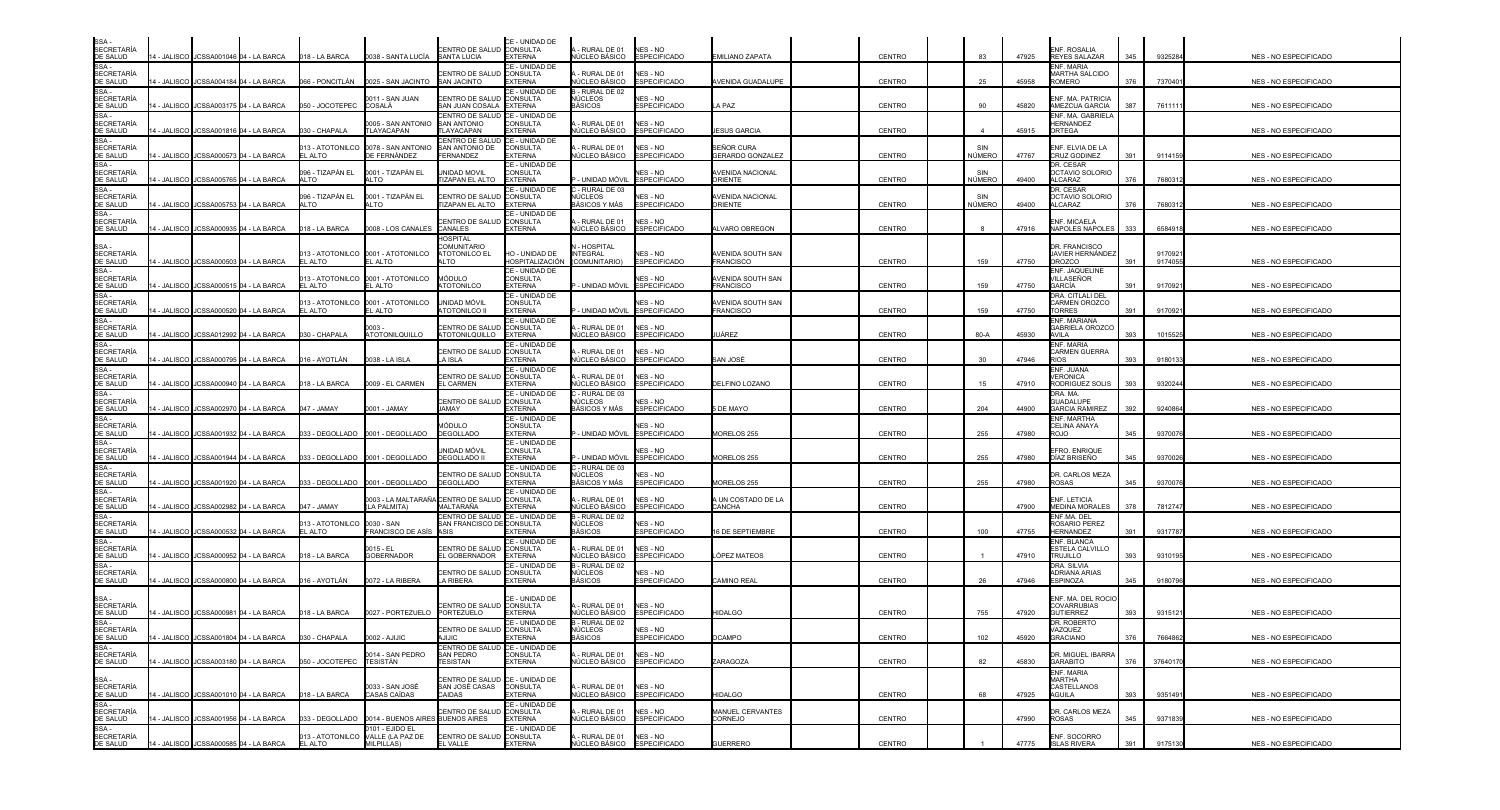|                                                                                                                                                                                           |               | 14 - JALISCO   JCSSA001046   04 - LA BARCA | 018 - LA BARCA                  | 0038 - SANTA LUCÍA                                                 | <b>ENTRO DE SALUD CONSULTA</b><br><b>SANTA LUCIA</b>                 | CE - UNIDAD DE<br><b>EXTERNA</b>                               | 4 - RURAL DE 01<br><b>IÚCLEO BÁSICO</b>            | NES - NO<br><b>ESPECIFICADO</b>        | EMILIANO ZAPATA                       | CENTRO        | 83            | 47925 | INF. ROSALIA<br>REYES SALAZAR                         | 345 | 9325284           | NES - NO ESPECIFICADO |
|-------------------------------------------------------------------------------------------------------------------------------------------------------------------------------------------|---------------|--------------------------------------------|---------------------------------|--------------------------------------------------------------------|----------------------------------------------------------------------|----------------------------------------------------------------|----------------------------------------------------|----------------------------------------|---------------------------------------|---------------|---------------|-------|-------------------------------------------------------|-----|-------------------|-----------------------|
| SSA -<br>SECRETARÍA<br>DE SALUD<br>SSA -<br>SECRETARÍA<br>DE SALUD                                                                                                                        |               | 4 - JALISCO JCSSA004184 04 - LA BARCA      | 066 - PONCITLÁN                 | 0025 - SAN JACINTO                                                 | ENTRO DE SALUD<br><b>SAN JACINTO</b>                                 | CE - UNIDAD DE<br><b>CONSULTA</b><br><b>EXTERNA</b>            | - RURAL DE 01<br>ÚCLEO BÁSICO                      | NES - NO<br>SPECIFICADO                | AVENIDA GUADALUPE                     | CENTRO        | 25            | 45958 | <b>NF. MARIA</b><br>ARTHA SALCIDO<br>ROMERO           | 376 | 7370401           | NES - NO ESPECIFICADO |
| SSA -<br>SECRETARÍA<br>DE SALUD                                                                                                                                                           |               | 4 - JALISCO JCSSA003175 04 - LA BARCA      | 050 - JOCOTEPEC                 | 0011 - SAN JUAN<br>COSALÁ                                          | CENTRO DE SALUD CONSULTA<br>AN JUAN COSALA                           | CE - UNIDAD DE<br><b>EXTERNA</b>                               | I - RURAL DE 02<br>NÚCLEOS<br><b>BÁSICOS</b>       | IFS - NO<br><b>SPECIFICADO</b>         | A PAZ                                 | CENTRO        | 90            | 45820 | NF. MA. PATRICIA<br><b>MEZCUA GARCIA</b>              | 387 | 7611111           | NES - NO ESPECIFICADO |
| SSA -<br>SECRETARÍA<br>DE SALUD                                                                                                                                                           |               | 4 - JALISCO JCSSA001816 04 - LA BARCA      | 030 - CHAPALA                   | 0005 - SAN ANTONIO<br>TLAYACAPAN                                   | CENTRO DE SALUD<br>SAN ANTONIO<br>LAYACAPAN                          | CE - UNIDAD DE<br>CONSULTA<br><b>EXTERNA</b>                   | - RURAL DE 01<br>ÚCLEO BÁSICO                      | NES - NO<br>SPECIFICADO                | <b>ESUS GARCIA</b>                    | CENTRO        |               | 45915 | ENF. MA. GABRIELA<br>HERNANDEZ<br><b>DRTEGA</b>       |     |                   | NES - NO ESPECIFICADO |
| SSA-<br>SECRETARÍA<br>DE SALUD                                                                                                                                                            |               | 4 - JALISCO JCSSA000573 04 - LA BARCA      | 013 - ATOTONILCO<br>EL ALTO     | 0078 - SAN ANTONIO<br>DE FERNÁNDEZ                                 | <b>ENTRO DE SALUD</b><br>SAN ANTONIO DE<br><b>FERNANDEZ</b>          | CE - UNIDAD DE<br><b>CONSULTA</b><br><b>EXTERNA</b>            | - RURAL DE 01<br>ÚCLEO BÁSICO                      | NES - NO<br><b>ESPECIFICADO</b>        | SEÑOR CURA<br><b>GERARDO GONZALEZ</b> | <b>CENTRO</b> | SIN<br>NÚMERO | 47767 | ENF. ELVIA DE LA<br>CRUZ GODINEZ                      | 391 | 9114159           | NES - NO ESPECIFICADO |
| SSA-<br><b>SECRETARÍA</b>                                                                                                                                                                 |               | 14 - JALISCO JCSSA005765 04 - LA BARCA     | 096 - TIZAPÁN EL<br>AI TO       | 0001 - TIZAPÁN EL<br>ALTO                                          | JNIDAD MOVIL<br><b>TIZAPAN EL ALTO</b>                               | CE - UNIDAD DE<br><b>CONSULTA</b><br><b>EXTERNA</b>            | - UNIDAD MÓVIL                                     | NES - NO<br><b>ESPECIFICADO</b>        | AVENIDA NACIONAL<br>ORIENTE           | <b>CENTRO</b> | SIN<br>NÚMERO | 49400 | DR. CESAR<br>OCTAVIO SOLORIO<br>ALCARAZ               | 376 | 7680312           | NES - NO ESPECIFICADO |
| DE SALUD<br>SSA -<br>SECRETARÍA<br>DE SALUD                                                                                                                                               | 4 - JALISCO   | JCSSA005753 04 - LA BARCA                  | 096 - TIZAPÁN EL<br><b>ALTO</b> | 0001 - TIZAPÁN EL<br>ALTO                                          | CENTRO DE SALUD<br><b>TIZAPAN EL ALTO</b>                            | CE - UNIDAD DE<br><b>CONSULTA</b><br><b>EXTERNA</b>            | RURAL DE 03<br>IÙCLEOS<br>BÁSICOS Y MÁS            | <b>VES - NO</b><br><b>ESPECIFICADO</b> | AVENIDA NACIONAL<br>ORIENTE           | <b>CENTRO</b> | SIN<br>NÚMERO | 49400 | DR. CESAR<br><b>OCTAVIO SOLORIO</b><br><b>ILCARAZ</b> | 376 | 768031            | NES - NO ESPECIFICADO |
| SSA-<br>SECRETARÍA<br>DE SALUD                                                                                                                                                            |               | 4 - JALISCO JCSSA000935 04 - LA BARCA      | 018 - LA BARCA                  | 0008 - LOS CANALES                                                 | ENTRO DE SALUD<br>CANALES                                            | CE - UNIDAD DE<br><b>CONSULTA</b><br><b>EXTERNA</b>            | - RURAL DE 01<br>IÚCLEO BÁSICO                     | NES - NO<br><b>ESPECIFICADO</b>        | <b>ILVARO OBREGON</b>                 | CENTRO        |               | 47916 | NF. MICAELA<br>NAPOLES NAPOLES                        | 333 | 658491            | NES - NO ESPECIFICADO |
| SSA -<br>SECRETARÍA                                                                                                                                                                       |               | 4 - JALISCO JCSSA000503 04 - LA BARCA      | EL ALTO                         | 013 - ATOTONILCO 0001 - ATOTONILCO<br>EL ALTO                      | <b>IOSPITAL</b><br><b>COMUNITARIO</b><br><b>ATOTONILCO EL</b><br>LTO | HO - UNIDAD DE<br>HOSPITALIZACIÓN                              | - HOSPITAL<br><b>INTEGRAL</b><br>(COMUNITARIO)     | NES - NO<br><b>ESPECIFICADO</b>        | AVENIDA SOUTH SAN<br><b>FRANCISCO</b> | CENTRO        | 159           | 47750 | DR. FRANCISCO<br>JAVIER HERNÁNDEZ<br>OROZCO           | 391 | 917092<br>9174055 | NES - NO ESPECIFICADO |
| DE SALUD<br>SSA -<br>SECRETARÍA<br>DE SALUD                                                                                                                                               |               | 4 - JALISCO JCSSA000515 04 - LA BARCA      | 013 - ATOTONILCO<br>EL ALTO     | 0001 - ATOTONILCO<br>EL ALTO                                       | MÓDULO<br><b>TOTONILCO</b>                                           | CE - UNIDAD DE<br><b>CONSULTA</b><br><b>EXTERNA</b>            | UNIDAD MÓVIL                                       | <b>JFS - NO</b><br><b>ESPECIFICADO</b> | AVENIDA SOUTH SAN<br><b>FRANCISCO</b> | CENTRO        | 159           | 47750 | ENF. JAQUELINE<br><b>/ILLASEÑOR</b><br>GARCÍA         | 391 | 9170921           | NES - NO ESPECIFICADO |
| SSA-<br>SECRETARÍA<br>DE SALUD                                                                                                                                                            |               | 4 - JALISCO JCSSA000520 04 - LA BARCA      | 013 - ATOTONILCO<br>EL ALTO     | 0001 - ATOTONILCO<br>EL ALTO                                       | unidad móvil<br><b>TOTONILCO II</b>                                  | CE - UNIDAD DE<br>CONSULTA<br><b>EXTERNA</b>                   | UNIDAD MÓVIL                                       | NES - NO<br><b>ESPECIFICADO</b>        | AVENIDA SOUTH SAN<br><b>FRANCISCO</b> | CENTRO        | 159           | 47750 | DRA. CITLALI DEL<br>CARMEN OROZCO<br><b>TORRES</b>    | 391 | 917092            | NES - NO ESPECIFICADO |
| SE GALGO<br>SSA -<br>SECRETARÍA<br>DE SALUD                                                                                                                                               |               | 4 - JALISCO JCSSA012992 04 - LA BARCA      | 030 - CHAPALA                   | 0003.<br>ATOTONILQUILLO                                            | <b>ENTRO DE SALUD</b><br><b>ITOTONILQUILLO</b>                       | CE - UNIDAD DE<br><b>CONSULTA</b><br><b>EXTERNA</b>            | - RURAL DE 01<br>ÚCLEO BÁSICO                      | NES - NO<br><b>ESPECIFICADO</b>        | UÁREZ                                 | CENTRO        | 80-A          | 45930 | <b>NF. MARIANA</b><br>GABRIELA OROZCO<br>AVII A       | 393 | 1015525           | NES - NO ESPECIFICADO |
| SSA -<br>SECRETARÍA<br>DE SALUD                                                                                                                                                           | 4 - JALISCO   | JCSSA000795 04 - LA BARCA                  | )16 - AYOTLÁN                   | 0038 - LA ISLA                                                     | ENTRO DE SALUD<br>A ISLA                                             | CE - UNIDAD DE<br><b>CONSULTA</b><br><b>EXTERNA</b>            | - RURAL DE 01<br>ÚCLEO BÁSICO                      | NES - NO<br>SPECIFICADO                | SAN JOSÉ                              | CENTRO        | 30            | 47946 | <b>ENF. MARIA</b><br><b>ARMEN GUERRA</b>              | 393 | 9180133           | NES - NO ESPECIFICADO |
| SSA -<br><b>SECRETARÍA</b><br>DE SALUD                                                                                                                                                    |               | 4 - JALISCO JCSSA000940 04 - LA BARCA      | 018 - LA BARCA                  | 0009 - EL CARMEN                                                   | <b>ENTRO DE SALUD</b><br>L CARMEN                                    | CE - UNIDAD DE<br><b>CONSULTA</b><br><b>EXTERNA</b>            | RURAL DE 01<br>ÚCLEO BÁSICO                        | NES - NO<br><b>SPECIFICADO</b>         | DELFINO LOZANO                        | CENTRO        | 15            | 47910 | ENF. JUANA<br>/ERONICA<br>RODRIGUEZ SOLIS             | 393 | 9320244           | NES - NO ESPECIFICADO |
| SSA -<br>SECRETARÍA<br>DE SALUD                                                                                                                                                           | 4 - JALISCO I | JCSSA002970 04 - LA BARCA                  | 047 - JAMAY                     | 0001 - JAMAY                                                       | <b>ENTRO DE SALUD CONSULTA</b><br>IAMAY                              | CE - UNIDAD DE<br><b>FXTERNA</b>                               | - RURAL DE 03<br>NÚCLEOS<br>IÁSICOS Y MÁS          | NES - NO<br><b>SPECIFICADO</b>         | DE MAYO                               | CENTRO        | 204           | 44900 | DRA, MA.<br><b>GUADALUPE</b><br><b>GARCIA RAMIREZ</b> | 392 | 9240864           | NES - NO ESPECIFICADO |
| SSA-                                                                                                                                                                                      |               | 4 - JALISCO JCSSA001932 04 - LA BARCA      |                                 |                                                                    | <b>AÓDULO</b><br><b>DEGOLLADO</b>                                    | CE - UNIDAD DE<br>CONSULTA<br><b>EXTERNA</b><br>CE - UNIDAD DE | - UNIDAD MÓVIL                                     | NES - NO<br><b>ESPECIFICADO</b>        | <b>MORELOS 255</b>                    | CENTRO        | 255           | 47980 | <b>NF. MARTHA</b><br>CELINA ANAYA<br>ROJO             | 345 | 937007            | NES - NO ESPECIFICADO |
| SSA<br>SECRETARÍA<br>SSA -<br>SECRETARÍA<br>DE SALUD<br>DE SALUD<br>SSA -<br>DE SALUD<br>SSA -<br>DE SALUD<br>SSA -<br>SECRETARÍA<br>SECRETARÍA<br>SECRETARÍA<br>SECRETARÍA<br>SECRETARÍA |               | 4 - JALISCO JCSSA001944 04 - LA BARCA      |                                 | 033 - DEGOLLADO 0001 - DEGOLLADO                                   | jnidad móvil<br><b>DEGOLLADO II</b>                                  | <b>CONSULTA</b><br><b>EXTERNA</b><br>CE - UNIDAD DE            | - UNIDAD MÓVIL<br>- RURAL DE 03                    | NES - NO<br><b>SPECIFICADO</b>         | MORELOS 255                           | CENTRO        | 255           | 47980 | FRO. ENRIQUE<br>DÍAZ BRISEÑO                          | 345 | 937002            | NES - NO ESPECIFICADO |
|                                                                                                                                                                                           |               | 4 - JALISCO JCSSA001920 04 - LA BARCA      |                                 | 033 - DEGOLLADO 0001 - DEGOLLADO                                   | ENTRO DE SALUD<br><b>DEGOLLADO</b>                                   | <b>CONSULTA</b><br><b>EXTERNA</b><br>CE - UNIDAD DE            | <b>ÚCLEOS</b><br>BÁSICOS Y MÁS                     | IES - NO<br><b>ESPECIFICADO</b>        | <b>MORELOS 255</b>                    | <b>CENTRO</b> | 255           | 47980 | <b>DR. CARLOS MEZA</b><br>ROSAS                       | 345 | 937007            | NES - NO ESPECIFICADO |
|                                                                                                                                                                                           | 4 - JALISCO   | JCSSA002982 04 - LA BARCA                  | 047 - JAMAY                     | 0003 - LA MALTARAÑA CENTRO DE SALUD CONSULTA<br>LA PALMITA)        | <b>JALTARAÑA</b><br>CENTRO DE SALUD <b>I</b> CE - UNIDAD DE          | <b>EXTERNA</b>                                                 | - RURAL DE 01<br>√ÚCLEO BÁSICO<br>- RURAL DE 02    | NES - NO<br><b>ESPECIFICADO</b>        | A UN COSTADO DE LA<br>CANCHA          | CENTRO        |               | 47900 | <b>ENF. LETICIA</b><br>MEDINA MORALES<br>ENF.MA. DEL  | 378 | 7812747           | NES - NO ESPECIFICADO |
| DE SALUD<br>SSA-                                                                                                                                                                          | 4 - JALISCO   | JCSSA000532 04 - LA BARCA                  | 013 - ATOTONILCO<br>EL ALTO     | 0030 - SAN<br>FRANCISCO DE ASÍS                                    | SAN FRANCISCO DE CONSULTA<br>ASIS                                    | <b>EXTERNA</b><br>CE - UNIDAD DE                               | NÚCLEOS<br>BÁSICOS                                 | NES - NO<br><b>ESPECIFICADO</b>        | 6 DE SEPTIEMBRE                       | CENTRO        | 100           | 47755 | ROSARIO PEREZ<br>HERNANDEZ<br><b>ENF. BLANCA</b>      | 391 | 931778            | NES - NO ESPECIFICADO |
| SECRETARÍA<br>DE SALUD<br>SSA-                                                                                                                                                            |               | 4 - JALISCO JCSSA000952 04 - LA BARCA      | 018 - LA BARCA                  | 0015 - FI<br><b>GOBERNADOR</b>                                     | CENTRO DE SALUD CONSULTA<br>L GOBERNADOR                             | <b>EXTERNA</b><br>CE - UNIDAD DE                               | - RURAL DE 01<br>IÚCLEO BÁSICO<br>- RURAL DE 02    | NES - NO<br><b>ESPECIFICADO</b>        | ÓPEZ MATEOS                           | CENTRO        |               | 47910 | <b>STELA CALVILLO</b><br>TRUJILLO<br>DRA. SILVIA      | 393 | 9310195           | NES - NO ESPECIFICADO |
| <b>SECRETARÍA</b><br>DE SALUD                                                                                                                                                             |               | 4 - JALISCO JCSSA000800 04 - LA BARCA      | 016 - AYOTLÁN                   | 0072 - LA RIBERA                                                   | CENTRO DE SALUD CONSULTA<br>A RIBERA                                 | <b>EXTERNA</b>                                                 | NÚCLEOS<br><b>BÁSICOS</b>                          | NES - NO<br>SPECIFICADO                | CAMINO REAL                           | CENTRO        | 26            | 47946 | <b>IDRIANA ARIAS</b><br><b>SPINOZA</b>                | 345 | 9180796           | NES - NO ESPECIFICADO |
|                                                                                                                                                                                           |               | 14 - JALISCO   JCSSA000981 04 - LA BARCA   | 018 - LA BARCA                  | 0027 - PORTEZUELO                                                  | ENTRO DE SALUD<br>PORTEZUELO                                         | CE - UNIDAD DE<br><b>CONSULTA</b><br>EXTERNA                   | - RURAL DE 01<br><b>IÚCLEO BÁSICO</b>              | NES - NO<br><b>SPECIFICADO</b>         | <b>HIDALGO</b>                        | <b>CENTRO</b> | 755           | 47920 | ENF. MA. DEL ROCIO<br>COVARRUBIAS<br><b>GUTIERREZ</b> | 393 | 9315121           | NES - NO ESPECIFICADO |
|                                                                                                                                                                                           |               | 14 - JALISCO JCSSA001804 04 - LA BARCA     | 030 - CHAPALA                   | 0002 - AJIJIC                                                      | JENTRO DE SALUD <b>(</b> CONSULTA<br>AJIJIC                          | CE - UNIDAD DE<br><b>EXTERNA</b>                               | B - RURAL DE 02<br>NUCLEOS<br><b>BÁSICOS</b>       | NES - NO<br><b>ESPECIFICADO</b>        | <b>OCAMPO</b>                         | CENTRO        | 102           | 45920 | DR. ROBERTO<br>AZQUEZ<br><b>GRACIANO</b>              | 376 | 7664862           | NES - NO ESPECIFICADO |
| SSA -<br>SECRETARÍA<br>DE SALUD<br>SSA -<br>SECRETARÍA<br>SSA -<br>SECRETARÍA<br>DE SALUD<br>DE SALUD                                                                                     |               | 14 - JALISCO JCSSA003180 04 - LA BARCA     | 050 - JOCOTEPEC TESISTÁN        | 0014 - SAN PEDRO                                                   | CENTRO DE SALUD CE - UNIDAD DE<br>SAN PEDRO<br>TESISTAN              | CONSULTA<br><b>EXTERNA</b>                                     | 1 - RURAL DE 01<br>NÚCLEO BÁSICO ESPECIFICADO      | NES - NO                               | ZARAGOZA                              | CENTRO        | 82            | 45830 | DR. MIGUEL IBARRA<br><b>GARABITO</b>                  | 376 | 37640170          | NES - NO ESPECIFICADO |
|                                                                                                                                                                                           |               | 14 - JALISCO JCSSA001010 04 - LA BARCA     | 018 - LA BARCA                  | 0033 - SAN JOSÉ<br><b>CASAS CAÍDAS</b>                             | CENTRO DE SALUD CE - UNIDAD DE<br>SAN JOSÉ CASAS CONSULTA<br>CAIDAS  | <b>EXTERNA</b>                                                 | A-RURAL DE 01 NES-NO<br>NÚCLEO BÁSICO ESPECIFICADO |                                        | HIDALGO                               | CENTRO        | 68            | 47925 | ENF. MARIA<br>MARTHA<br>CASTELLANOS<br>AGUILA         | 393 | 9351491           | NES - NO ESPECIFICADO |
|                                                                                                                                                                                           |               | 14 - JALISCO JCSSA001956 04 - LA BARCA     |                                 |                                                                    | CENTRO DE SALUD CONSULTA<br><b>BUENOS AIRES</b>                      | CE - UNIDAD DE<br><b>EXTERNA</b>                               | - RURAL DE 01<br>IÚCLEO BÁSICO ESPECIFICADO        | NES - NO                               | MANUEL CERVANTES<br>CORNEJO           | CENTRO        |               | 47990 | DR. CARLOS MEZA<br><b>ROSAS</b>                       | 345 | 9371839           | NES - NO ESPECIFICADO |
| SSA<br>SECRETARÍA<br>DE SALUD<br>SSA -<br>SECRETARÍA<br>SECRETARÍA<br>SECRETARÍA<br>DE SALUD<br>DE SALUD                                                                                  |               | 14 - JALISCO JCSSA000585 04 - LA BARCA     | EL ALTO                         | 0101 - EJIDO EL<br>013 - ATOTONILCO VALLE (LA PAZ DE<br>MILPILLAS) | CENTRO DE SALUD CONSULTA<br>EL VALLE                                 | CE - UNIDAD DE<br><b>EXTERNA</b>                               | - RURAL DE 01<br>NÚCLEO BÁSICO ESPECIFICADO        | NES - NO                               | <b>GUERRERO</b>                       | CENTRO        |               | 47775 | ENF. SOCORRO<br><b>ISLAS RIVERA</b>                   | 391 | 9175130           | NES - NO ESPECIFICADO |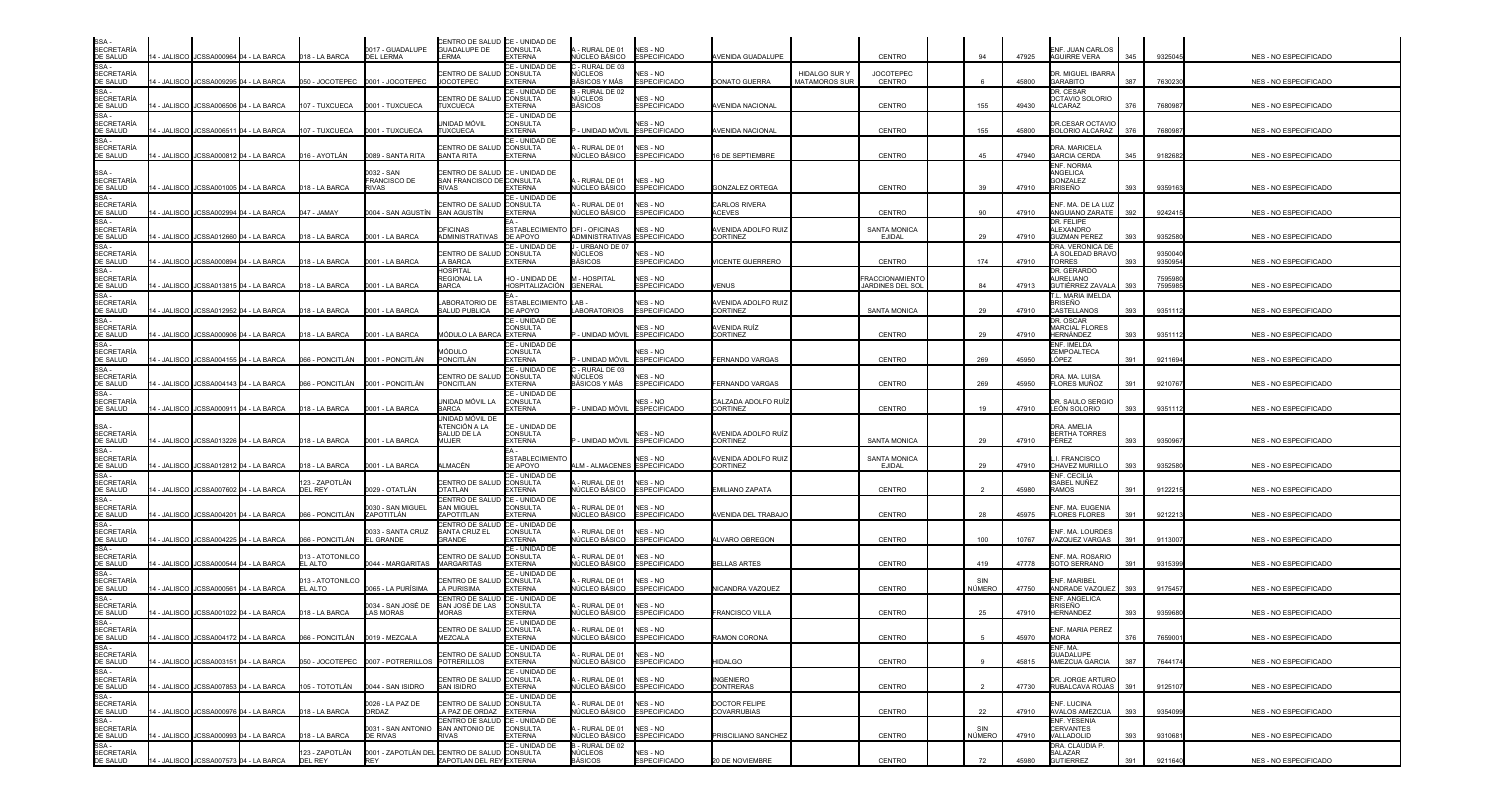| SSA<br><b>SECRETARÍA</b><br>DE SALUD     |                    |                                       | 4 - JALISCO JCSSA000964 04 - LA BARCA    | 018 - LA BARCA                 | 0017 - GUADALUPE<br><b>DEL LERMA</b>                | CENTRO DE SALUD CE - UNIDAD DE<br>GUADALUPE DE CONSULTA<br><b>IFRMA</b>   | <b>EXTERNA</b>                                       | - RURAL DE 01<br>ÚCLEO BÁSICO                             | NES - NO<br><b>ESPECIFICADO</b>        | AVENIDA GUADALUPE                            |                                       | CENTRO                               | 94            | 47925 | ENF. JUAN CARLOS<br><b>AGUIRRE VERA</b>                    | 345 | 9325045            | NES - NO ESPECIFICADO        |
|------------------------------------------|--------------------|---------------------------------------|------------------------------------------|--------------------------------|-----------------------------------------------------|---------------------------------------------------------------------------|------------------------------------------------------|-----------------------------------------------------------|----------------------------------------|----------------------------------------------|---------------------------------------|--------------------------------------|---------------|-------|------------------------------------------------------------|-----|--------------------|------------------------------|
| SSA -<br><b>SECRETARÍA</b><br>DE SALUD   |                    |                                       | - JALISCO JCSSA009295 04 - LA BARCA      | 050 - JOCOTEPEC                | 0001 - JOCOTEPEC                                    | <b>CENTRO DE SALUD</b><br><b>JOCOTEPEC</b>                                | CE - UNIDAD DE<br><b>CONSULTA</b><br><b>EXTERNA</b>  | - RURAL DE 03<br>IÚCLEOS<br>BÁSICOS Y MÁS                 | <b>NES - NO</b><br><b>ESPECIFICADO</b> | DONATO GUERRA                                | HIDALGO SUR \<br><b>MATAMOROS SUR</b> | <b>JOCOTEPEC</b><br>CENTRO           |               | 45800 | DR. MIGUEL IBARRA<br>GARABITO                              | 387 | 7630230            | NES - NO ESPECIFICADO        |
| SSA-<br><b>SECRETARÍA</b><br>DE SALUD    |                    |                                       | - JALISCO JCSSA006506 04 - LA BARCA      | 107 - TUXCUECA                 | 0001 - TUXCUECA                                     | CENTRO DE SALUD<br><b>TUXCUECA</b>                                        | CE - UNIDAD DE<br><b>CONSULTA</b><br><b>EXTERNA</b>  | 3 - RURAL DE 02<br>NÚCLEOS<br>BÁSICOS                     | NES - NO<br><b>ESPECIFICADO</b>        | <b>VENIDA NACIONAL</b>                       |                                       | <b>CENTRO</b>                        | 155           | 49430 | DR. CESAR<br>OCTAVIO SOLORIO<br>ALCARAZ                    | 376 | 768098             | NES - NO ESPECIFICADO        |
| SSA -<br><b>SECRETARÍA</b><br>DE SALUD   |                    |                                       | I - JALISCO I JCSSA006511 04 - LA BARCA  | 07 - TUXCUECA                  | 0001 - TUXCUECA                                     | jnidad móvil<br><b>TUXCUECA</b>                                           | CE - UNIDAD DE<br>CONSULTA<br><b>EXTERNA</b>         | UNIDAD MÓVIL                                              | NFS - NO<br><b>ESPECIFICADO</b>        | <b>VENIDA NACIONAL</b>                       |                                       | <b>CENTRO</b>                        | 155           | 45800 | <b>DR.CESAR OCTAVIO</b><br>SOLORIO ALCARAZ                 | 376 | 768098             | NES - NO ESPECIFICADO        |
| SSA -<br><b>SECRETARÍA</b><br>DE SALUD   |                    |                                       | 4 - JALISCO I JCSSA000812 04 - LA BARCA  | )16 - AYOTLÁN                  | 0089 - SANTA RITA                                   | CENTRO DE SALUD<br>SANTA RITA                                             | CE - UNIDAD DE<br>CONSULTA<br><b>EXTERNA</b>         | RURAL DE 01<br><b>VÚCLEO BÁSICO</b>                       | NES - NO<br><b>ESPECIFICADO</b>        | 16 DE SEPTIEMBRE                             |                                       | CENTRO                               | 45            | 47940 | DRA. MARICELA<br><b>GARCIA CERDA</b>                       | 345 | 9182682            | NES - NO ESPECIFICADO        |
| SSA-<br><b>SECRETARÍA</b>                |                    |                                       |                                          |                                | 0032 - SAN<br><b>FRANCISCO DE</b>                   | CENTRO DE SALUD<br>SAN FRANCISCO DE CONSULTA                              | CE - UNIDAD DE                                       | RURAL DE 01                                               | NES - NO                               |                                              |                                       |                                      |               |       | <b>INF. NORMA</b><br>ANGELICA<br>GONZALEZ                  |     |                    |                              |
| DE SALUD<br>SSA -<br><b>SECRETARÍA</b>   |                    |                                       | 4 - JALISCO JCSSA001005 04 - LA BARCA    | 018 - LA BARCA                 | RIVAS                                               | <b>RIVAS</b><br><b>CENTRO DE SALUD</b>                                    | <b>EXTERNA</b><br>CE - UNIDAD DE<br><b>CONSULTA</b>  | NÚCLEO BÁSICO<br>RURAL DE 01                              | <b>ESPECIFICADO</b><br>NES - NO        | <b>GONZALEZ ORTEGA</b><br>CARLOS RIVERA      |                                       | CENTRO                               | 39            | 47910 | BRISEÑO<br>ENF. MA. DE LA LUZ                              | 393 | 935916             | NES - NO ESPECIFICADO        |
| DE SALUD<br>SSA -<br><b>SECRETARÍA</b>   | I - JALISCO        |                                       | JCSSA002994 04 - LA BARCA                | 147 - JAMAY                    | 004 - SAN AGUSTÍN                                   | <b>SAN AGUSTÍN</b><br><b>DFICINAS</b>                                     | <b>EXTERNA</b><br><b>ESTABLECIMIENTO</b>             | <b>NÚCLEO BÁSICO</b><br>OFI-OFICINAS                      | <b>ESPECIFICADO</b><br>NES - NO        | <b>ACEVES</b><br>AVENIDA ADOLFO RUIZ         |                                       | <b>CENTRO</b><br><b>SANTA MONICA</b> | 90            | 47910 | ANGUIANO ZARATE<br>DR. FELIPE<br>ALEXANDRO                 | 392 | 924241             | NES - NO ESPECIFICADO        |
| DE SALUD<br>SSA -<br><b>SECRETARÍA</b>   |                    |                                       | 4 - JALISCO JCSSA012660 04 - LA BARCA    | 018 - LA BARCA                 | 0001 - LA BARCA                                     | ADMINISTRATIVAS DE APOYO<br>CENTRO DE SALUD                               | CE - UNIDAD DE<br><b>CONSULTA</b>                    | ADMINISTRATIVAS ESPECIFICADO<br>- URBANO DE 07<br>NÚCLEOS | NES - NO                               | <b>CORTINEZ</b>                              |                                       | <b>EJIDAL</b>                        | 29            | 47910 | <b>GUZMAN PEREZ</b><br>DRA. VERONICA DE<br>A SOLEDAD BRAVO | 393 | 9352580<br>935004  | NES - NO ESPECIFICADO        |
| DE SALUD<br>SSA -<br><b>SECRETARÍA</b>   |                    | - JALISCO JCSSA000894 04 - LA BARCA   |                                          | 18 - LA BARCA                  | 001 - LA BARCA                                      | A BARCA<br>HOSPITAL<br>REGIONAL LA                                        | <b>EXTERNA</b><br>HO - UNIDAD DE                     | 3ÁSICOS<br>- HOSPITAL                                     | <b>ESPECIFICADO</b><br>NES - NO        | <b>ICENTE GUERRERO</b>                       |                                       | CENTRO<br><b>FRACCIONAMIENT</b>      | 174           | 47910 | TORRES<br>DR. GERARDO<br><b>AURELIANO</b>                  | 393 | 9350954<br>7595980 | NES - NO ESPECIFICADO        |
| DE SALUD<br>SSA-<br><b>SECRETARÍA</b>    |                    |                                       | - JALISCO JCSSA013815 04 - LA BARCA      | 018 - LA BARCA                 | 0001 - LA BARCA                                     | <b>BARCA</b><br><b>ABORATORIO DE</b>                                      | HOSPITALIZACIÓN<br>ESTABLECIMIENTO LAB -             | <b>GENERAL</b>                                            | <b>ESPECIFICADO</b><br>NES - NO        | /ENUS<br>AVENIDA ADOLFO RUIZ                 |                                       | <b>JARDINES DEL SOI</b>              | 84            | 47913 | GUTIÉRREZ ZAVALA<br><b>T.L. MARIA IMELDA</b><br>BRISEÑO    | 393 | 7595985            | NES - NO ESPECIFICADO        |
| DE SALUD<br>SSA -<br><b>SECRETARÍA</b>   |                    |                                       | 4 - JALISCO JCSSA012952 04 - LA BARCA    | 018 - LA BARCA                 | 0001 - LA BARCA                                     | SALUD PUBLICA                                                             | DE APOYO<br>CE - UNIDAD DE<br>CONSULTA               | <b>LABORATORIOS</b>                                       | <b>ESPECIFICADO</b><br><b>VES - NO</b> | CORTINEZ<br>\VENIDA RUÍZ                     |                                       | <b>SANTA MONICA</b>                  | 29            | 47910 | CASTELLANOS<br>DR. OSCAR<br><b>MARCIAL FLORES</b>          | 393 | 935111             | NES - NO ESPECIFICADO        |
| DE SALUD<br>SSA<br>SECRETARÍA            |                    |                                       | 4 - JALISCO JCSSA000906 04 - LA BARCA    | 018 - LA BARCA                 | 0001 - LA BARCA                                     | MÓDULO LA BARCA<br><b>AÓDULO</b>                                          | <b>EXTERNA</b><br>CE - UNIDAD DE<br>CONSULTA         | UNIDAD MÓVII                                              | <b>SPECIFICADO</b><br><b>NES - NO</b>  | CORTINEZ                                     |                                       | <b>CENTRO</b>                        | 29            | 47910 | HERNÁNDEZ<br>ENF. IMELDA<br>ZEMPOALTECA                    | 393 | 935111             | NES - NO ESPECIFICADO        |
| DE SALUD<br>SSA-<br><b>SECRETARÍA</b>    |                    |                                       | I - JALISCO I JCSSA004155 04 - LA BARCA  | 066 - PONCITLÁN                | 0001 - PONCITLÁN                                    | PONCITLÁN<br>CENTRO DE SALUI                                              | <b>EXTERNA</b><br>CE - UNIDAD DE<br>CONSULTA         | · UNIDAD MÓVIL<br>C - RURAL DE 03<br>NÚCLEOS              | <b>ESPECIFICADO</b><br>NES - NO        | <b>ERNANDO VARGAS</b>                        |                                       | CENTRO                               | 269           | 45950 | LÓPEZ<br>dra. Ma. Luisa                                    | 391 | 9211694            | NES - NO ESPECIFICADO        |
| DE SALUD<br>SSA-<br><b>SECRETARÍA</b>    |                    |                                       | - JALISCO JCSSA004143 04 - LA BARCA      | 066 - PONCITLÁN                | 0001 - PONCITLÁN                                    | <b>PONCITLAN</b><br><b>JNIDAD MÓVIL LA</b>                                | EXTERNA<br>CE - UNIDAD DE<br><b>CONSULTA</b>         | BÁSICOS Y MÁS                                             | <b>ESPECIFICADO</b><br><b>NES - NO</b> | <b>ERNANDO VARGAS</b><br>CALZADA ADOLFO RUÍZ |                                       | CENTRO                               | 269           | 45950 | LORES MUÑOZ<br>DR. SAULO SERGIO                            | 391 | 921076             | NES - NO ESPECIFICADO        |
| DE SALUD<br>SSA-                         |                    |                                       | I - JALISCO JCSSA000911 04 - LA BARCA    | 018 - LA BARCA                 | 0001 - LA BARCA                                     | <b>BARCA</b><br>jnidad móvil de<br>ATENCIÓN A LA                          | <b>EXTERNA</b><br>CE - UNIDAD DE                     |                                                           | UNIDAD MÓVIL ESPECIFICADO              | CORTINEZ                                     |                                       | <b>CENTRO</b>                        | 19            | 47910 | LEÓN SOLORIO<br>DRA. AMELIA                                | 393 | 9351112            | <b>NES - NO ESPECIFICADO</b> |
| <b>SECRETARÍA</b><br>DE SALUD<br>SSA -   |                    |                                       | 4 - JALISCO JCSSA013226 04 - LA BARCA    | 018 - LA BARCA                 | 0001 - LA BARCA                                     | SALUD DE LA<br><b>MUJER</b>                                               | CONSULTA<br><b>EXTERNA</b>                           | - UNIDAD MÓVIL                                            | NES - NO<br><b>ESPECIFICADO</b>        | AVENIDA ADOLFO RUÍZ<br>CORTINEZ              |                                       | <b>SANTA MONICA</b>                  | 29            | 47910 | <b>BERTHA TORRES</b><br>PÉREZ                              | 393 | 9350967            | NES - NO ESPECIFICADO        |
| <b>SECRETARÍA</b><br>DE SALUD<br>SSA -   |                    |                                       | 4 - JALISCO JCSSA012812 04 - LA BARCA    | 018 - LA BARCA                 | 0001 - LA BARCA                                     | ALMACÉN                                                                   | <b>ESTABLECIMIENTO</b><br>DE APOYO<br>CE - UNIDAD DE | ALM - ALMACENES ESPECIFICADO                              | <b>JES - NO</b>                        | AVENIDA ADOLFO RUIZ<br>CORTINEZ              |                                       | SANTA MONICA<br><b>EJIDAL</b>        | 29            | 47910 | I. FRANCISCO<br>CHAVEZ MURILLO<br><b>INF. CECILIA</b>      | 393 | 9352580            | NES - NO ESPECIFICADO        |
| <b>SECRETARÍA</b><br>DE SALUD<br>$SSA -$ | <b>4 - JALISCO</b> |                                       | JCSSA007602 04 - LA BARCA                | 123 - ZAPOTLÁN<br>DEL REY      | 029 - OTATLÁN                                       | CENTRO DE SALUD<br>OTATLAN<br>CENTRO DE SALUD                             | <b>CONSULTA</b><br><b>EXTERNA</b><br>CE - UNIDAD DE  | RURAL DE 01<br><b>VÚCLEO BÁSICO</b>                       | NES - NO<br><b>ESPECIFICADO</b>        | MILIANO ZAPATA                               |                                       | <b>CENTRO</b>                        |               | 45980 | SABEL NUÑEZ<br><b>RAMOS</b>                                | 391 | 912221             | NES - NO ESPECIFICADO        |
| <b>SECRETARÍA</b><br>DE SALUD<br>SSA -   | I - JALISCO        |                                       | JCSSA004201 04 - LA BARCA                | 066 - PONCITLÁN                | 30 - SAN MIGUEL<br>ZAPOTITLÁN                       | SAN MIGUEL<br>ZAPOTITLAN<br>CENTRO DE SALUD                               | <b>CONSULTA</b><br><b>EXTERNA</b><br>CE - UNIDAD DE  | RURAL DE 01<br>NÚCLEO BÁSICO                              | NES - NO<br><b>ESPECIFICADO</b>        | VENIDA DEL TRABAJO                           |                                       | <b>CENTRO</b>                        | 28            | 45975 | NF. MA. EUGENIA<br>FLORES FLORES                           | 391 | 921221             | NES - NO ESPECIFICADO        |
| <b>SECRETARÍA</b><br>DE SALUD<br>SSA-    |                    |                                       | - JALISCO JCSSA004225 04 - LA BARCA      | 066 - PONCITLÁN                | 033 - SANTA CRUZ<br>EL GRANDE                       | SANTA CRUZ EL<br><b>GRANDE</b>                                            | <b>CONSULTA</b><br><b>EXTERNA</b><br>CE - UNIDAD DE  | RURAL DE 01<br>NÚCLEO BÁSICO                              | NES - NO<br><b>ESPECIFICADO</b>        | LVARO OBREGON                                |                                       | <b>CENTRO</b>                        | 100           | 10767 | NF. MA. LOURDES<br>VAZQUEZ VARGAS                          | 391 | 911300             | NES - NO ESPECIFICADO        |
| <b>SECRETARÍA</b><br>DE SALUD<br>SSA -   |                    | 4 - JALISCO JCSSA000544 04 - LA BARCA |                                          | 013 - ATOTONILCO<br>EL ALTO    | 0044 - MARGARITAS                                   | CENTRO DE SALUD<br><b>MARGARITAS</b>                                      | CONSULTA<br><b>EXTERNA</b><br>CE - UNIDAD DE         | RURAL DE 01<br>NÚCLEO BÁSICO                              | NES - NO<br><b>ESPECIFICADO</b>        | <b>BELLAS ARTES</b>                          |                                       | CENTRO                               | 419           | 47778 | ENF. MA. ROSARIO<br>SOTO SERRANO                           | 391 | 9315399            | NES - NO ESPECIFICADO        |
| <b>SECRETARÍA</b><br>DE SALUD            |                    |                                       | 4 - JALISCO JCSSA000561 04 - LA BARCA    | 013 - ATOTONILCC<br>EL ALTO    | 065 - LA PURÍSIMA                                   | CENTRO DE SALUD<br>LA PURISIMA                                            | <b>CONSULTA</b><br><b>EXTERNA</b>                    | - RURAL DE 01<br>ÚCLEO BÁSICO                             | NES - NO<br><b>ESPECIFICADO</b>        | NICANDRA VAZQUEZ                             |                                       | CENTRO                               | SIN<br>NÚMERO | 47750 | ENF. MARIBEL<br>ANDRADE VAZQUEZ                            | 393 | 9175457            | NES - NO ESPECIFICADO        |
| SSA -<br><b>SECRETARÍA</b><br>DE SALUD   |                    |                                       | I - JALISCO I JCSSA001022 04 - LA BARCA  | 018 - LA BARCA                 | 0034 - SAN JOSÉ DE<br>AS MORAS                      | CENTRO DE SALUD<br>SAN JOSÉ DE LAS<br><b>MORAS</b>                        | CE - UNIDAD DE<br><b>CONSULTA</b><br>EXTERNA         | RURAL DE 01<br>ÚCLEO BÁSICO                               | NES - NO<br><b>ESPECIFICADO</b>        | <b>FRANCISCO VILLA</b>                       |                                       | <b>CENTRO</b>                        | 25            | 47910 | ENF. ANGELICA<br>BRISEÑO<br><b>HERNANDEZ</b>               | 393 | 9359680            | NES - NO ESPECIFICADO        |
| SSA -<br>SECRETARIA<br>DE SALUD          |                    |                                       | 14 - JALISCO JCSSA004172 04 - LA BARCA   | 066 - PONCITLÁN 0019 - MEZCALA |                                                     | ENTRO DE SALUD <b>I</b> CONSULTA:<br>MEZCALA                              | CE - UNIDAD DE<br><b>EXTERNA</b>                     | RURAL DE 01<br>NÚCLEO BÁSICO ESPECIFICADO                 | NES - NO                               | RAMON CORONA                                 |                                       | CENTRO                               | $\sqrt{5}$    | 45970 | NF. MARIA PEREZ<br><b>MORA</b>                             | 376 | 7659001            | NES - NO ESPECIFICADO        |
| $SSA -$<br>SECRETARÍA<br>DE SALUD        |                    |                                       | 4 - JALISCO JCSSA003151 04 - LA BARCA    | 050 - JOCOTEPEC                | 0007 - POTRERILLOS                                  | CENTRO DE SALUD<br><b>POTRERILLOS</b>                                     | CE - UNIDAD DE<br><b>CONSULTA</b><br><b>EXTERNA</b>  | RURAL DE 01 NES - NO<br>VÚCLEO BÁSICO ESPECIFICADO        |                                        | <b>HIDALGO</b>                               |                                       | CENTRO                               |               | 45815 | ENF. MA.<br><b>GUADALUPE</b><br>AMEZCUA GARCIA             | 387 | 7644174            | NES - NO ESPECIFICADO        |
| SSA-<br>SECRETARÍA<br>DE SALUD<br>SSA -  |                    |                                       | 4 - JALISCO JCSSA007853 04 - LA BARCA    | 105 - TOTOTLÁN                 | 0044 - SAN ISIDRO                                   | CENTRO DE SALUD CONSULTA<br><b>SAN ISIDRO</b>                             | CE - UNIDAD DE<br><b>EXTERNA</b>                     | - RURAL DE 01 NES - NO<br>VÚCLEO BÁSICO ESPECIFICADO      |                                        | <b>INGENIERO</b><br><b>CONTRERAS</b>         |                                       | CENTRO                               |               | 47730 | DR. JORGE ARTURO<br>RUBALCAVA ROJAS                        | 391 | 912510             | NES - NO ESPECIFICADO        |
| SECRETARÍA<br>DE SALUD                   |                    |                                       | 4 - JALISCO JCSSA000976 04 - LA BARCA    | 18 - LA BARCA                  | 0026 - LA PAZ DE<br>ORDAZ                           | CENTRO DE SALUD CONSULTA<br>LA PAZ DE ORDAZ EXTERNA                       | CE - UNIDAD DE                                       | RURAL DE 01<br>NÚCLEO BÁSICO                              | NES - NO<br><b>ESPECIFICADO</b>        | DOCTOR FELIPE<br><b>COVARRUBIAS</b>          |                                       | <b>CENTRO</b>                        | 22            | 47910 | ENF. LUCINA<br><b>AVALOS AMEZCUA</b>                       | 393 | 9354099            | NES - NO ESPECIFICADO        |
| $SSA -$<br><b>SECRETARÍA</b><br>DE SALUD |                    |                                       | 14 - JALISCO JCSSA000993 04 - LA BARCA   | 018 - LA BARCA                 | 0031 - SAN ANTONIO<br><b>DE RIVAS</b>               | CENTRO DE SALUD CE - UNIDAD DE<br>SAN ANTONIO DE CONSULTA<br><b>RIVAS</b> | <b>EXTERNA</b>                                       | - RURAL DE 01<br>NÚCLEO BÁSICO                            | NES - NO<br><b>ESPECIFICADO</b>        | PRISCILIANO SANCHEZ                          |                                       | CENTRO                               | SIN<br>NÚMERO | 47910 | <b>ENF. YESENIA</b><br><b>CERVANTES</b><br>VALLADOLID      | 393 | 9310681            | NES - NO ESPECIFICADO        |
| SSA -<br>SECRETARÍA<br>DE SALUD          |                    |                                       | 14 - JALISCO I JCSSA007573 04 - LA BARCA | 123 - ZAPOTLÁN<br>DEL REY      | 0001 - ZAPOTLÁN DEL CENTRO DE SALUD CONSULTA<br>REY | ZAPOTLAN DEL REY EXTERNA                                                  | CE - UNIDAD DE                                       | B - RURAL DE 02<br>NÚCLEOS<br><b>BÁSICOS</b>              | NES - NO<br><b>ESPECIFICADO</b>        | 20 DE NOVIEMBRE                              |                                       | CENTRO                               | 72            | 45980 | DRA. CLAUDIA P.<br>SALAZAR<br><b>GUTIERREZ</b>             | 391 | 9211640            | NES - NO ESPECIFICADO        |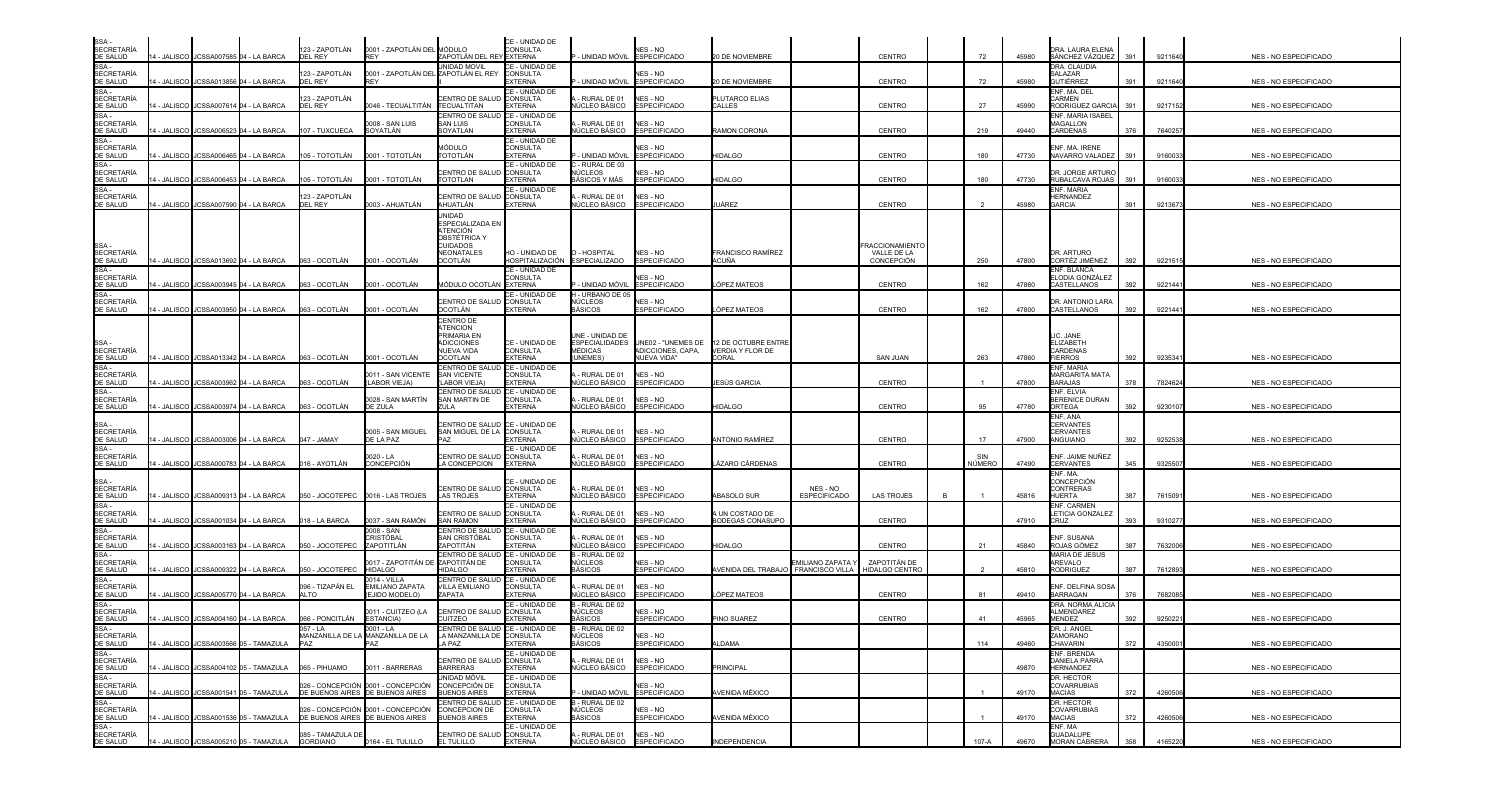| SSA -<br>SECRETARÍA<br>DE SALUD                                                                                                                                                       |             | 14 - JALISCO JCSSA007585 04 - LA BARCA                                             | 123 - ZAPOTLÁN<br>DEL REY            | 0001 - ZAPOTLÁN DEL MÓDULO<br><b>REY</b>                              | ZAPOTLÁN DEL REY EXTERNA                                                                           | CE - UNIDAD DE<br>CONSULTA                          | UNIDAD MÓVIL ESPECIFICADO                            | NES - NO                                              | 20 DE NOVIEMBRE                                                           |                                 | CENTRO                                             | 72            | 45980          | DRA. LAURA ELENA<br>SÁNCHEZ VÁZQUEZ                                     | 391        | 9211640            | <b>NES - NO ESPECIFICADO</b>                   |
|---------------------------------------------------------------------------------------------------------------------------------------------------------------------------------------|-------------|------------------------------------------------------------------------------------|--------------------------------------|-----------------------------------------------------------------------|----------------------------------------------------------------------------------------------------|-----------------------------------------------------|------------------------------------------------------|-------------------------------------------------------|---------------------------------------------------------------------------|---------------------------------|----------------------------------------------------|---------------|----------------|-------------------------------------------------------------------------|------------|--------------------|------------------------------------------------|
| SSA -<br>SECRETARÍA<br>DE SALUD                                                                                                                                                       |             | 4 - JALISCO JCSSA013856 04 - LA BARCA                                              | 123 - ZAPOTLÁN<br>DEL REY            | 0001 - ZAPOTLÁN DEL ZAPOTLÁN EL REY                                   | <b>JNIDAD MOVIL</b>                                                                                | CE - UNIDAD DE<br>CONSULTA<br><b>EXTERNA</b>        | - UNIDAD MÓVIL                                       | NES - NO<br><b>ESPECIFICADO</b>                       | 20 DE NOVIEMBRE                                                           |                                 | CENTRO                                             | 72            | 45980          | DRA. CLAUDIA<br><b>SALAZAR</b><br>GUTIÉRREZ                             | 391        | 9211640            | NES - NO ESPECIFICADO                          |
| SE CALCO<br>SSA -<br>SECRETARÍA<br>DE SALUD<br>SSA -                                                                                                                                  |             | 4 - JALISCO JCSSA007614 04 - LA BARCA                                              | 123 - ZAPOTLÁN<br>DEL REY            | 046 - TECUALTITÁN                                                     | ENTRO DE SALUD<br>ECUALTITAN                                                                       | CE - UNIDAD DE<br><b>CONSULTA</b><br>EXTERNA        | - RURAL DE 01<br>IÚCLEO BÁSICO                       | NES - NO<br>SPECIFICADO                               | PLUTARCO ELIAS<br>CALLES                                                  |                                 | CENTRO                                             | 27            | 45990          | ENF. MA. DEL<br><b>ARMEN</b><br>RODRIGUEZ GARCIA                        | 391        | 9217152            | NES - NO ESPECIFICADO                          |
| <b>SECRETARÍA</b><br>DE SALUD                                                                                                                                                         |             | 4 - JALISCO JCSSA006523 04 - LA BARCA                                              | 107 - TUXCUECA                       | 0008 - SAN LUIS<br>SOYATLÁN                                           | CENTRO DE SALUD<br>SAN LUIS<br><b>SOYATLAN</b>                                                     | CE - UNIDAD DE<br>CONSULTA<br><b>EXTERNA</b>        | RURAL DE 01<br>ÚCLEO BÁSICO                          | NES - NO<br><b>ESPECIFICADO</b>                       | RAMON CORONA                                                              |                                 | CENTRO                                             | 219           | 49440          | ENF. MARIA ISABEL<br>MAGALLON<br>CARDENAS                               | 376        | 7640257            | NES - NO ESPECIFICADO                          |
| SSA -<br>SECRETARÍA<br>DE SALUD                                                                                                                                                       |             | 4 - JALISCO JCSSA006465 04 - LA BARCA                                              | 105 - TOTOTLÁN                       | 0001 - TOTOTLÁN                                                       | <b>AÓDULO</b><br>TOTOTLÁN                                                                          | CE - UNIDAD DE<br>CONSULTA<br><b>EXTERNA</b>        | UNIDAD MÓVIL                                         | NES - NO<br><b>ESPECIFICADO</b>                       | HIDALGO                                                                   |                                 | CENTRO                                             | 180           | 47730          | ENF. MA. IRENE<br>NAVARRO VALADEZ                                       | 391        | 916003             | NES - NO ESPECIFICADO                          |
| SSA-<br>SECRETARÍA<br>DE SALUD                                                                                                                                                        |             | 4 - JALISCO JCSSA006453 04 - LA BARCA                                              | 105 - TOTOTLÁN                       | 0001 - TOTOTLÁN                                                       | CENTRO DE SALUD<br>TOTOTLAN                                                                        | CE - UNIDAD DE<br>CONSULTA<br><b>EXTERNA</b>        | - RURAL DE 03<br>IÚCLEOS<br>IÁSICOS Y MÁS            | NES - NO<br><b>ESPECIFICADO</b>                       | HIDALGO                                                                   |                                 | CENTRO                                             | 180           | 47730          | DR. JORGE ARTURO<br>RUBALCAVA ROJAS                                     | 391        | 9160033            | NES - NO ESPECIFICADO                          |
| SSA-<br><b>SECRETARÍA</b><br>DE SALUD                                                                                                                                                 |             | 14 - JALISCO JCSSA007590 04 - LA BARCA                                             | 123 - ZAPOTLÁN<br>DEL REY            | 0003 - AHUATLÁN                                                       | CENTRO DE SALUD CONSULTA<br>AHUATLÁN                                                               | CE - UNIDAD DE<br><b>EXTERNA</b>                    | - RURAL DE 01<br>NÚCLEO BÁSICO                       | NES - NO<br><b>ESPECIFICADO</b>                       | UÁREZ                                                                     |                                 | CENTRO                                             |               | 45980          | <b>NF. MARIA</b><br>HERNANDEZ<br>GARCIA                                 | 391        | 9213673            | NES - NO ESPECIFICADO                          |
| SSA -<br>SECRETARÍA<br><u>DE SALUD<br/>SSA -</u><br>SECRETARÍA<br>DE SALUD                                                                                                            |             | 14 - JALISCO JCSSA013692 04 - LA BARCA                                             | 063 - OCOTLÁN                        | 0001 - OCOTLÁN                                                        | UNIDAD<br>ESPECIALIZADA EN<br>ATENCIÓN<br><b>OBSTÉTRICA '</b><br>CUIDADOS<br>NEONATALES<br>OCOTLÁN | HO - UNIDAD DE<br>HOSPITALIZACIÓN                   | O - HOSPITAL<br><b>ESPECIALIZADO</b>                 | NES - NO<br><b>ESPECIFICADO</b>                       | <b>FRANCISCO RAMIREZ</b><br>ACUÑA                                         |                                 | <b>RACCIONAMIENTC</b><br>VALLE DE LA<br>CONCEPCIÓN | 250           | 47800          | )R. ARTURO<br>CORTÉZ JIMÉNEZ                                            | 392        | 9221515            | NES - NO ESPECIFICADO                          |
|                                                                                                                                                                                       |             | 4 - JALISCO JCSSA003945 04 - LA BARCA                                              | 063 - OCOTLÁN                        | 0001 - OCOTLÁN                                                        | MÓDULO OCOTLÁN █EXTERNA                                                                            | CE - UNIDAD DE<br>CONSULTA                          | - UNIDAD MÓVIL                                       | <b>VES - NO</b><br><b>ESPECIFICADO</b>                | ÓPEZ MATEOS                                                               |                                 | CENTRO                                             | 162           | 47860          | NF. BLANCA<br>LODIA GONZÁLEZ<br>CASTELLANOS                             | 392        | 9221441            | NES - NO ESPECIFICADO                          |
| $SSA -$<br><b>SECRETARÍA</b><br>DE SALUD                                                                                                                                              | 4 - JALISCO | JCSSA003950 04 - LA BARCA                                                          | 063 - OCOTLÁN                        | 0001 - OCOTLÁN                                                        | ENTRO DE SALUD<br>OCOTLÁN                                                                          | CE - UNIDAD DE<br>CONSULTA<br><b>EXTERNA</b>        | <b>H - URBANO DE 05</b><br>NÚCLEOS<br><b>BÁSICOS</b> | NES - NO<br><b>ESPECIFICADO</b>                       | ÓPEZ MATEOS                                                               |                                 | CENTRO                                             | 162           | 47800          | )R. ANTONIO LARA<br>CASTELLANOS                                         | 392        | 9221441            | NES - NO ESPECIFICADO                          |
| SSA -<br>SECRETARÍA<br><u>DE SALUD</u>                                                                                                                                                |             |                                                                                    |                                      |                                                                       | CENTRO DE<br><b>ITENCION</b><br><b>PRIMARIA EN</b><br><b>ADICCIONES</b><br>NUEVA VIDA              | CE - UNIDAD DE<br><b>CONSULTA</b>                   | UNE - UNIDAD DE<br>MÉDICAS                           | ADICCIONES, CAPA.                                     | ESPECIALIDADES UNE02 - "UNEMES DE 12 DE OCTUBRE ENTRE<br>VERDIA Y FLOR DE |                                 |                                                    |               |                | LIC. JANE<br>ELIZABETH<br>CARDENAS                                      |            |                    |                                                |
| SSA -<br>SECRETARÍA<br>DE SALUD                                                                                                                                                       |             | 14 - JALISCO   JCSSA013342  04 - LA BARCA<br>4 - JALISCO JCSSA003962 04 - LA BARCA | 063 - OCOTLÁN<br>063 - OCOTLÁN       | 0001 - OCOTLÁN<br>0011 - SAN VICENTE<br>LABOR VIEJA)                  | OCOTLAN<br>CENTRO DE SALUD CE - UNIDAD DE<br><b>SAN VICENTE</b><br>LABOR VIEJA                     | <b>EXTERNA</b><br><b>CONSULTA</b><br><b>EXTERNA</b> | <b>UNFMES</b><br>- RURAL DE 01<br>ÚCLEO BÁSICO       | <b>NUEVA VIDA"</b><br>NES - NO<br><b>ESPECIFICADO</b> | <b>CORAL</b><br>ESÚS GARCIA                                               |                                 | SAN JUAN<br>CENTRO                                 | 263           | 47860<br>47800 | <b>FIERROS</b><br>ENF. MARIA<br><b>MARGARITA MATA</b><br><b>BARAJAS</b> | 392<br>378 | 9235341<br>7824624 | NES - NO ESPECIFICADO<br>NES - NO ESPECIFICADO |
| SSA -<br>SECRETARÍA<br>DE SALUD                                                                                                                                                       |             | 4 - JALISCO JCSSA003974 04 - LA BARCA                                              | 063 - OCOTLÁN                        | 0028 - SAN MARTÌN<br>DE ZULA                                          | CENTRO DE SALUD<br>SAN MARTIN DE<br>'I II A                                                        | CE - UNIDAD DE<br>CONSULTA<br><b>EXTERNA</b>        | - RURAL DE 01<br>IÚCLEO BÁSICO                       | NES - NO<br><b>SPECIFICADO</b>                        | HIDALGO                                                                   |                                 | CENTRO                                             | 95            | 47780          | <b>NF. ELVIA</b><br>BERENICE DURAN<br>ORTEGA                            | 392        | 9230107            | NES - NO ESPECIFICADO                          |
| SSA -<br>SECRETARÍA<br>DE SALUD<br>SSA -                                                                                                                                              |             | 14 - JALISCO JCSSA003006 04 - LA BARCA                                             | 047 - JAMAY                          | 0005 - SAN MIGUEL<br>DE LA PAZ                                        | ENTRO DE SALUD CE - UNIDAD DE<br>SAN MIGUEL DE LA                                                  | <b>CONSULTA</b><br><b>EXTERNA</b>                   | - RURAL DE 01<br>ÚCLEO BÁSICO                        | NES - NO<br><b>ESPECIFICADO</b>                       | <b>ANTONIO RAMÍREZ</b>                                                    |                                 | <b>CENTRO</b>                                      | 17            | 47900          | ENF. ANA<br>CERVANTES<br>CERVANTES<br>ANGUIANO                          | 392        | 9252538            | NES - NO ESPECIFICADO                          |
| <b>SECRETARÍA</b><br>DE SALUD                                                                                                                                                         |             | 4 - JALISCO JCSSA000783 04 - LA BARCA                                              | 016 - AYOTLÁN                        | 0020 - LA<br>CONCEPCIÓN                                               | <b>ENTRO DE SALUD CONSULTA</b><br>A CONCEPCION                                                     | CE - UNIDAD DE<br><b>EXTERNA</b>                    | - RURAL DE 01<br>ÚCLEO BÁSICO                        | NES - NO<br><b>SPECIFICADO</b>                        | ÁZARO CÁRDENAS                                                            |                                 | CENTRO                                             | SIN<br>NÚMERO | 47490          | ENF. JAIME NUÑEZ<br>CERVANTES                                           | 345        | 932550             | NES - NO ESPECIFICADO                          |
| SSA -<br>SECRETARÍA<br>DE SALUD                                                                                                                                                       |             | 4 - JALISCO JCSSA009313 04 - LA BARCA                                              | 050 - JOCOTEPEC 0016 - LAS TROJES    |                                                                       | CENTRO DE SALUD CONSULTA<br>LAS TROJES                                                             | CE - UNIDAD DE<br><b>EXTERNA</b>                    | - RURAL DE 01<br>IÚCLEO BÁSICO                       | NES - NO<br><b>ESPECIFICADO</b>                       | <b>ABASOLO SUR</b>                                                        | NES - NO<br><b>ESPECIFICADO</b> | <b>LAS TROJES</b>                                  |               | 45816          | ENF. MA.<br>CONCEPCIÓN<br>CONTRERAS<br>HUERTA                           | 387        | 7615091            | NES - NO ESPECIFICADO                          |
| SSA -<br>SECRETARÍA<br>DE SALUD                                                                                                                                                       |             | 4 - JALISCO JCSSA001034 04 - LA BARCA                                              | 018 - LA BARCA                       | 0037 - SAN RAMÓN                                                      | CENTRO DE SALUD CONSULTA<br>SAN RAMON                                                              | CE - UNIDAD DE<br>EXTERNA                           | - RURAL DE 01<br>IÚCLEO BÁSICO                       | NES - NO<br><b>ESPECIFICADO</b>                       | <b>I UN COSTADO DE</b><br>BODEGAS CONASUPO                                |                                 | CENTRO                                             |               | 47910          | <b>ENF. CARMEN</b><br>LETICIA GONZALEZ<br>CRUZ                          | 393        | 931027             | NES - NO ESPECIFICADO                          |
| SSA -<br><b>SECRETARÍA</b>                                                                                                                                                            |             | 4 - JALISCO JCSSA003163 04 - LA BARCA                                              | 050 - JOCOTEPEC                      | 0008 - SAN<br>CRISTÓBAL<br>ZAPOTITLÁN                                 | CENTRO DE SALUD<br>SAN CRISTÓBAL<br>ZAPOTITÁN                                                      | CE - UNIDAD DE<br><b>CONSULTA</b><br><b>EXTERNA</b> | RURAL DE 01<br>ÚCLEO BÁSICO                          | NES - NO<br><b>ESPECIFICADO</b>                       | HIDAI GO                                                                  |                                 | <b>CENTRO</b>                                      | 21            | 45840          | ENF. SUSANA<br>ROJAS GÓMEZ                                              | 387        | 7632006            | NES - NO ESPECIFICADO                          |
| DE SALUD<br>SSA -<br>SECRETARÍA<br>DE SALUD                                                                                                                                           |             | 4 - JALISCO JCSSA009322 04 - LA BARCA                                              | 050 - JOCOTEPEC                      | 0017 - ZAPOTITÁN DE<br><b>HIDALGO</b>                                 | CENTRO DE SALUD<br>ZAPOTITÁN DE<br><b>HIDALGO</b>                                                  | CE - UNIDAD DE<br>CONSULTA<br><b>EXTERNA</b>        | - RURAL DE 02<br>NÜCLEOS<br><b>ASICOS</b>            | NES - NO<br><b>ESPECIFICADO</b>                       | AVENIDA DEL TRABAJO FRANCISCO VILLA                                       | MILIANO ZAPATA                  | ZAPOTITÁN DE<br><b>HIDALGO CENTRC</b>              |               | 45810          | MARIA DE JESUS<br>AREVALO<br><b>RODRIGUEZ</b>                           | 387        | 7612893            | NES - NO ESPECIFICADO                          |
| SE SALOS<br>SSA -<br>SECRETARÍA<br>DE SALUD                                                                                                                                           |             | 4 - JALISCO JCSSA005770 04 - LA BARCA                                              | 096 - TIZAPÁN EL<br>ALTO             | 0014 - VILLA<br>EMILIANO ZAPATA<br>EJIDO MODELO)                      | <b>ENTRO DE SALUD</b><br>VILLA EMILIANO<br>ZAPATA                                                  | CE - UNIDAD DE<br>CONSULTA<br><b>EXTERNA</b>        | - RURAL DE 01<br>IÚCLEO BÁSICO                       | NES - NO<br><b>ESPECIFICADO</b>                       | ÓPEZ MATEOS                                                               |                                 | CENTRO                                             | 81            | 49410          | ENF. DELFINA SOSA<br>BARRAGAN                                           | 376        | 768208             | NES - NO ESPECIFICADO                          |
| SSA -<br>SECRETARÍA<br>DE SALUD<br>SSA -                                                                                                                                              |             | 14 - JALISCO JCSSA004160 04 - LA BARCA                                             | 066 - PONCITLÁN                      | 0011 - CUITZEO (LA<br>ESTANCIA)                                       | CENTRO DE SALUD CONSULTA<br>CUITZEO                                                                | CE - UNIDAD DE<br><b>EXTERNA</b>                    | - RURAL DE 02<br>NÚCLEOS<br><b>BÁSICOS</b>           | NES - NO<br><b>ESPECIFICADO</b>                       | PINO SUAREZ                                                               |                                 | CENTRO                                             | 41            | 45965          | DRA. NORMA ALICIA<br><b>\LMENDAREZ</b><br>MENDEZ                        | 392        | 9250221            | NES - NO ESPECIFICADO                          |
|                                                                                                                                                                                       |             | 14 - JALISCO I JCSSA003566 05 - TAMAZULA                                           | $057 - LA$<br>PAZ                    | $0001 - LA$<br>MANZANILLA DE LA MANZANILLA DE LA<br>PAZ               | CENTRO DE SALUD CE - UNIDAD DE<br>LA MANZANILLA DE CONSULTA<br>A PAZ                               | <b>EXTERNA</b>                                      | B - RURAL DE 02<br><b>NÚCLEOS</b><br><b>BÁSICOS</b>  | NES - NO<br><b>ESPECIFICADO</b>                       | ALDAMA                                                                    |                                 |                                                    | 114           | 49460          | DR. J. ANGEL<br>ZAMORANO<br>CHAVARIN                                    | 372        | 4350001            | NES - NO ESPECIFICADO                          |
| SSA -<br>SECRETARÍA<br>DE SALUD<br>SSA -<br>SECRETARÍA<br>SECRETARÍA<br>DE SALUD<br>SECRETARÍA<br>DE SALUD<br>SSA -<br>SECRETARÍA<br>DE SALUD<br>SECRETARÍA<br>DE SALUD<br>SECRETARÍA |             | 14 - JALISCO JCSSA004102 05 - TAMAZULA                                             | 065 - PIHUAMO                        | 0011 - BARRERAS                                                       | CENTRO DE SALUD CONSULTA<br><b>BARRERAS</b>                                                        | CE - UNIDAD DE<br><b>EXTERNA</b>                    | A - RURAL DE 01<br>NÚCLEO BÁSICO                     | NES - NO<br><b>ESPECIFICADO</b>                       | <b>PRINCIPAL</b>                                                          |                                 |                                                    |               | 49870          | <b>ENF. BRENDA</b><br>DANIELA PARRA<br><b>HERNANDEZ</b>                 |            |                    | NES - NO ESPECIFICADO                          |
|                                                                                                                                                                                       |             | 14 - JALISCO JCSSA001541 05 - TAMAZULA                                             | DE BUENOS AIRES DE BUENOS AIRES      | 026 - CONCEPCIÓN 0001 - CONCEPCIÓN                                    | UNIDAD MÓVIL<br>CONCEPCIÓN DE<br><b>BUENOS AIRES</b>                                               | CE - UNIDAD DE<br><b>CONSULTA</b><br><b>EXTERNA</b> | - UNIDAD MÓVIL                                       | NES - NO<br><b>ESPECIFICADO</b>                       | AVENIDA MÉXICO                                                            |                                 |                                                    |               | 49170          | DR. HECTOR<br>COVARRUBIAS<br><b>MACIAS</b>                              | 372        | 4260506            | NES - NO ESPECIFICADO                          |
|                                                                                                                                                                                       | 4 - JALISCO | JCSSA001536 05 - TAMAZULA                                                          |                                      | 026 - CONCEPCIÓN 0001 - CONCEPCIÓN<br>DE BUENOS AIRES DE BUENOS AIRES | CENTRO DE SALUD CE - UNIDAD DE<br>CONCEPCION DE<br>BUENOS AIRES                                    | <b>CONSULTA</b><br><b>EXTERNA</b>                   | 3 - RURAL DE 02<br>NÚCLEOS<br><b>BÁSICOS</b>         | NES - NO<br><b>ESPECIFICADO</b>                       | AVENIDA MÉXICO                                                            |                                 |                                                    |               | 49170          | DR. HECTOR<br>COVARRUBIAS<br>MACIAS                                     | 372        | 4260506            | NES - NO ESPECIFICADO                          |
| SECRETARÍA<br>DE SALUD                                                                                                                                                                |             | 14 - JALISCO JCSSA005210 05 - TAMAZULA                                             | 085 - TAMAZULA DE<br><b>GORDIANO</b> | 0164 - EL TULILLO                                                     | CENTRO DE SALUD CONSULTA<br>EL TULILLO                                                             | CE - UNIDAD DE<br><b>EXTERNA</b>                    | - RURAL DE 01<br>NÚCLEO BÁSICO                       | NES - NO<br><b>ESPECIFICADO</b>                       | <b>INDEPENDENCIA</b>                                                      |                                 |                                                    | 107-A         | 49670          | ENF. MA<br><b>GUADALUPE</b><br>MORAN CABRERA                            | 358        | 4165220            | NES - NO ESPECIFICADO                          |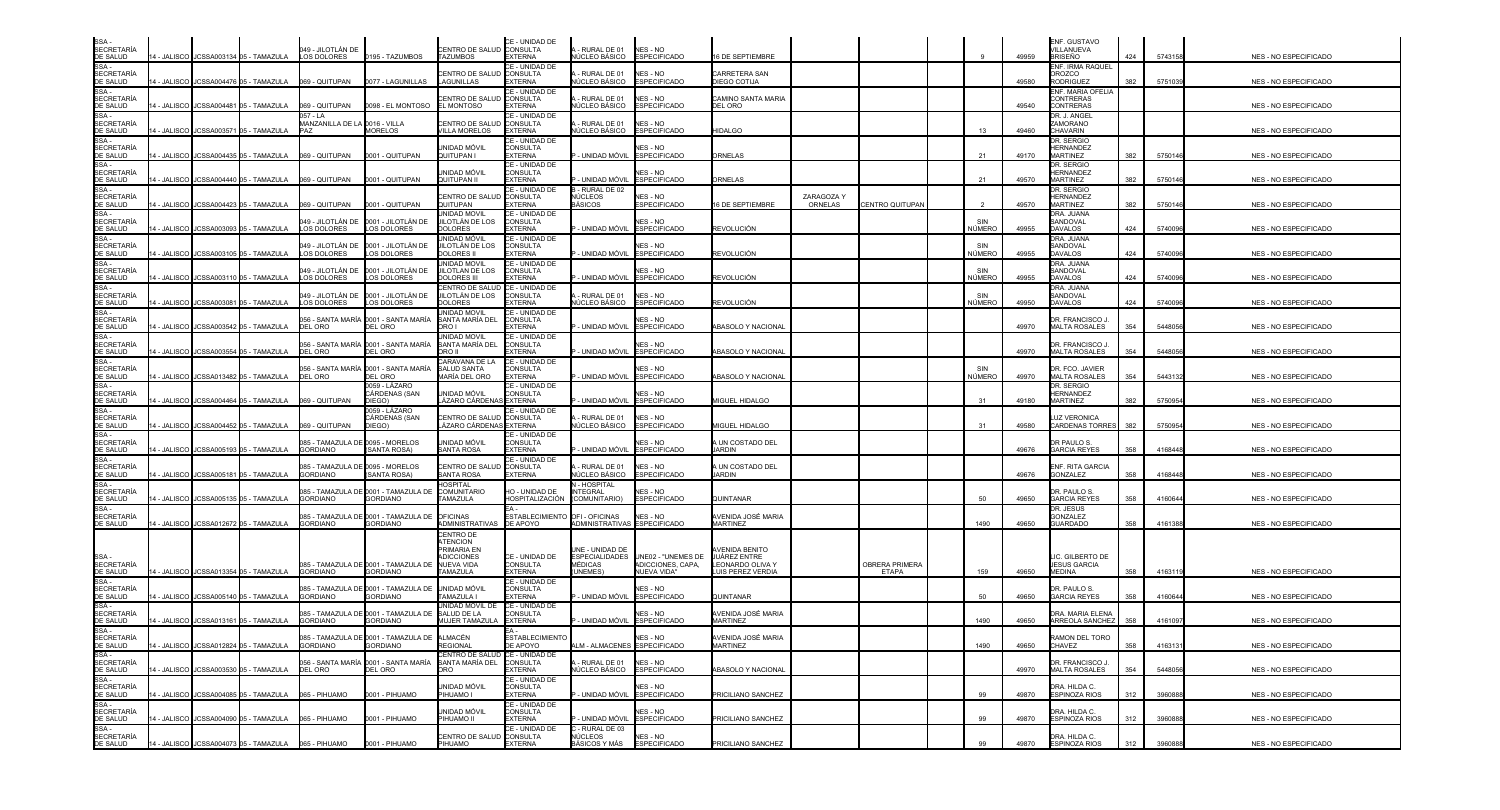| SSA-<br><b>SECRETARÍA</b>                     |  |                                                      | 049 - JILOTLAN DE                                   |                                                                     | CENTRO DE SALUD CONSULTA                                                       | CE - UNIDAD DE                                      | - RURAL DE 01                                                 | NES - NO                                                                     |                                                                              |            |                         |    |                        | ENF. GUSTAVO<br>VILLANUEVA                         |     |         |                              |
|-----------------------------------------------|--|------------------------------------------------------|-----------------------------------------------------|---------------------------------------------------------------------|--------------------------------------------------------------------------------|-----------------------------------------------------|---------------------------------------------------------------|------------------------------------------------------------------------------|------------------------------------------------------------------------------|------------|-------------------------|----|------------------------|----------------------------------------------------|-----|---------|------------------------------|
| DE SALUD<br>SSA-                              |  | 4 - JALISCO JCSSA003134 05 - TAMAZULA                | LOS DOLORES                                         | 0195 - TAZUMBOS                                                     | <b>TAZUMBOS</b>                                                                | <b>EXTERNA</b><br>CE - UNIDAD DE                    | NÚCLEO BÁSICO                                                 | <b>ESPECIFICADO</b>                                                          | <b>6 DE SEPTIEMBRE</b>                                                       |            |                         |    | 49959                  | BRISEÑO<br>ENF. IRMA RAQUEL                        | 424 | 5743158 | NES - NO ESPECIFICADO        |
| <b>SECRETARÍA</b><br>DE SALUD                 |  | 4 - JALISCO JCSSA004476 05 - TAMAZULA                | 069 - QUITUPAN                                      | 0077 - LAGUNILLAS                                                   | CENTRO DE SALUI<br>LAGUNILLAS                                                  | CONSULTA<br>XTERNA                                  | - RURAL DE 01<br><b>IÚCLEO BÁSICO</b>                         | NES - NO<br><b>ESPECIFICADO</b>                                              | CARRETERA SAN<br>DIEGO COTIJA                                                |            |                         |    | 49580                  | <b>OROZCO</b><br><b>RODRIGUEZ</b>                  | 382 | 5751039 | NES - NO ESPECIFICADO        |
| SSA-<br><b>SECRETARÍA</b><br>DE SALUD         |  | 4 - JALISCO JCSSA004481 05 - TAMAZULA                | 069 - QUITUPAN                                      | 0098 - EL MONTOSO                                                   | <b>ENTRO DE SALU</b><br>EL MONTOSO                                             | CE - UNIDAD DE<br>CONSULTA<br><b>EXTERNA</b>        | - RURAL DE 01<br><b>IÚCLEO BÁSICO</b>                         | NES - NO<br>ESPECIFICADO                                                     | CAMINO SANTA MARIA<br>DEL ORO                                                |            |                         |    | 49540                  | ENF. MARIA OFELIA<br><b>CONTRERAS</b><br>CONTRERAS |     |         | <b>NES - NO ESPECIFICADO</b> |
| SSA-<br><b>SECRETARÍA</b><br>DE SALUD         |  | 4 - JALISCO JCSSA003571 05 - TAMAZULA                | 057 - LA<br>MANZANILLA DE LA 0016 - VILLA<br>PAZ    | MORELOS                                                             | CENTRO DE SALL<br><b>/ILLA MORELOS</b>                                         | CE - UNIDAD DE<br>CONSULTA<br><b>EXTERNA</b>        | - RURAL DE 01<br><b>IÚCLEO BÁSICO</b>                         | NES - NO<br><b>ESPECIFICADO</b>                                              | HIDALGO                                                                      |            |                         |    | 13<br>49460            | DR. J. ANGEL<br>ZAMORANO<br><b>CHAVARIN</b>        |     |         | NES - NO ESPECIFICADO        |
| SSA -<br><b>SECRETARÍA</b><br>DE SALUD        |  | - JALISCO JJCSSA004435 05 - TAMAZULA                 | 069 - QUITUPAN                                      | 0001 - QUITUPAN                                                     | UNIDAD MÓVIL<br>QUITUPAN I                                                     | CE - UNIDAD DE<br>CONSULTA<br>XTERNA                | · UNIDAD MÓVIL                                                | NFS - NO<br><b>ESPECIFICADO</b>                                              | <b>DRNELAS</b>                                                               |            |                         |    | 21<br>49170            | DR. SERGIO<br><b>HERNANDEZ</b><br><b>MARTINEZ</b>  | 382 | 5750146 | <b>NES - NO ESPECIFICADO</b> |
| SSA-<br><b>SECRETARÍA</b><br>DE SALUD         |  | 4 - JALISCO I JCSSA004440 05 - TAMAZULA              | 069 - QUITUPAN                                      | 0001 - QUITUPAN                                                     | UNIDAD MÓVIL<br>QUITUPAN II                                                    | CE - UNIDAD DE<br><b>CONSULTA</b><br>XTERNA         | - UNIDAD MÓVIL                                                | NES - NO<br><b>ESPECIFICADO</b>                                              | <b>DRNELAS</b>                                                               |            |                         | 21 | 49570                  | DR. SERGIO<br><b>HERNANDEZ</b><br><b>MARTINEZ</b>  | 382 | 575014  | NES - NO ESPECIFICADO        |
| SSA-<br><b>SECRETARÍA</b>                     |  |                                                      |                                                     |                                                                     | CENTRO DE SALUD                                                                | CE - UNIDAD DE<br><b>CONSULTA</b>                   | - RURAL DE 02<br>NÚCLEOS                                      | NES - NO                                                                     |                                                                              | ZARAGOZA Y |                         |    |                        | DR. SERGIO<br>HERNANDEZ                            |     |         |                              |
| DE SALUD<br>SSA -                             |  | 4 - JALISCO JCSSA004423 05 - TAMAZULA                | 069 - QUITUPAN                                      | 0001 - QUITUPAN                                                     | QUITUPAN<br><b>INIDAD MOVIL</b>                                                | <b>EXTERNA</b><br><b>E - UNIDAD DE</b>              | BÁSICOS                                                       | <b>ESPECIFICADO</b>                                                          | <b>6 DE SEPTIEMBRE</b>                                                       | ORNELAS    | CENTRO QUITUPAN         |    | 49570                  | <b>MARTINEZ</b><br>DRA, JUANA                      | 382 | 5750146 | NES - NO ESPECIFICADO        |
| <b>SECRETARÍA</b><br><b>DE SALUD</b><br>SSA-  |  | 4 - JALISCO JCSSA003093 05 - TAMAZULA                | )49 - JILOTLÁN DE<br><b>LOS DOLORES</b>             | 0001 - JILOTLÁN DE<br><b>LOS DOLORES</b>                            | ILOTLÁN DE LOS<br><b>DOLORES</b><br>JNIDAD MÓVIL                               | CONSULTA<br><b>EXTERNA</b><br>CE - UNIDAD DE        | - UNIDAD MÓVIL                                                | NES - NO<br><b>ESPECIFICADO</b>                                              | REVOLUCIÓN                                                                   |            |                         |    | NÚMERO<br>49955        | SANDOVAL<br><b>DAVALOS</b><br>DRA. JUANA           | 424 | 5740096 | NES - NO ESPECIFICADO        |
| <b>SECRETARÍA</b><br>DE SALUD                 |  | 4 - JALISCO JCSSA003105 05 - TAMAZULA                | )49 - JILOTLÁN DE<br>LOS DOLORES                    | 0001 - JILOTLÁN DE<br><b>LOS DOLORES</b>                            | JILOTLÁN DE LOS<br><b>DOLORES II</b>                                           | CONSULTA<br><b>XTERNA</b>                           | - UNIDAD MÓVIL                                                | NES - NO<br><b>ESPECIFICADO</b>                                              | REVOLUCIÓN                                                                   |            |                         |    | SIN<br>NÚMERO<br>49955 | SANDOVAL<br><b>DAVALOS</b>                         | 424 | 5740096 | NES - NO ESPECIFICADO        |
| SSA -<br><b>SECRETARÍA</b><br>DE SALUD        |  | 4 - JALISCO JCSSA003110 05 - TAMAZULA                | )49 - JILOTLÁN DE<br><b>LOS DOLORES</b>             | 0001 - JILOTLÁN DE<br><b>LOS DOLORES</b>                            | <b>JNIDAD MOVIL</b><br>JILOTLAN DE LOS<br><b>DOLORES III</b>                   | CE - UNIDAD DE<br>CONSULTA<br><b>EXTERNA</b>        | - UNIDAD MÓVIL                                                | √ES - NO<br><b>ESPECIFICADO</b>                                              | REVOLUCIÓN                                                                   |            |                         |    | SIN<br>NÚMERO<br>49955 | DRA. JUANA<br>SANDOVAL<br><b>DAVALOS</b>           | 424 | 5740096 | NES - NO ESPECIFICADO        |
| SSA-<br><b>SECRETARÍA</b><br><b>DE SALUD</b>  |  | I - JALISCO JJCSSA003081 05 - TAMAZULA               | OS DOLORES                                          | 049 - JILOTLÁN DE <b>1</b> 0001 - JILOTLÁN DE<br><b>LOS DOLORES</b> | CENTRO DE SALUD CE - UNIDAD DE<br>JILOTLÁN DE LOS<br><b>DOLORES</b>            | <b>CONSULTA</b><br><b>XTERNA</b>                    | - RURAL DE 01<br>NÚCLEO BÁSICO                                | NES - NO<br><b>ESPECIFICADO</b>                                              | REVOLUCIÓN                                                                   |            |                         |    | SIN<br>NÚMERO<br>49950 | DRA. JUANA<br>SANDOVAL<br><b>DAVALOS</b>           | 424 | 5740096 | NES - NO ESPECIFICADO        |
| SSA -<br><b>SECRETARÍA</b><br>DE SALUD        |  | 4 - JALISCO JCSSA003542 05 - TAMAZULA                | DEL ORO                                             | 056 - SANTA MARÍA 10001 - SANTA MARÍA<br>DEL ORO                    | <b>JNIDAD MOVIL</b><br>SANTA MARÍA DEL<br><b>DRO I</b>                         | CE - UNIDAD DE<br>CONSULTA<br><b>EXTERNA</b>        | - UNIDAD MÓVIL                                                | NES - NO<br><b>ESPECIFICADO</b>                                              | <b>ABASOLO Y NACIONAL</b>                                                    |            |                         |    | 49970                  | DR. FRANCISCO,<br><b>MALTA ROSALES</b>             | 354 | 5448056 | <b>NES - NO ESPECIFICADO</b> |
| SSA -<br><b>SECRETARÍA</b><br><b>DE SALUD</b> |  | 4 - JALISCO I JCSSA003554 I05 - TAMAZULA             | <b>DEL ORO</b>                                      | 056 - SANTA MARÍA 10001 - SANTA MARÍA<br>DEL ORO                    | UNIDAD MOVIL<br>SANTA MARÍA DEL<br>וו ראכ                                      | CE - UNIDAD DE<br><b>CONSULTA</b><br>XTERNA         | - UNIDAD MÓVIL                                                | <b>VES - NO</b><br><b>ESPECIFICADO</b>                                       | <b>ABASOLO Y NACIONAL</b>                                                    |            |                         |    | 49970                  | DR. FRANCISCO J<br><b>MALTA ROSALES</b>            | 354 | 5448056 | <b>NES - NO ESPECIFICADO</b> |
| SSA-<br><b>SECRETARÍA</b>                     |  |                                                      |                                                     | 056 - SANTA MARÍA 10001 - SANTA MARÍA                               | CARAVANA DE LA<br>SALUD SANTA                                                  | CE - UNIDAD DE<br>CONSULTA                          |                                                               | <b>NES - NO</b>                                                              |                                                                              |            |                         |    |                        | DR. FCO. JAVIER                                    |     |         |                              |
| <b>DE SALUD</b><br>SSA-                       |  | 4 - JALISCO JCSSA013482 05 - TAMAZULA                | DEL ORO                                             | DEL ORO<br>0059 - LÁZARO                                            | MARÍA DEL ORO                                                                  | <b>EXTERNA</b><br>CE - UNIDAD DE                    | - UNIDAD MÓVIL                                                | <b>ESPECIFICADO</b>                                                          | <b>ABASOLO Y NACIONAL</b>                                                    |            |                         |    | NÚMERO<br>49970        | <b>MALTA ROSALES</b><br>DR. SERGIO                 | 354 | 5443132 | NES - NO ESPECIFICADO        |
| <b>SECRETARIA</b><br>DE SALUD<br>SSA -        |  | - JALISCO JCSSA004464 05 - TAMAZULA                  | 069 - QUITUPAN                                      | CÁRDENAS (SAN<br>DIEGO)<br>0059 - LÁZARO                            | jnidad móvil<br>ÁZARO CÁRDENAS EXTERNA                                         | CONSULTA<br><b>E - UNIDAD DE</b>                    | - UNIDAD MÓVIL                                                | NES - NO<br><b>ESPECIFICADO</b>                                              | MIGUEL HIDALGO                                                               |            |                         |    | 31<br>49180            | HERNANDEZ<br><b>MARTINEZ</b>                       | 382 | 5750954 | NES - NO ESPECIFICADO        |
| <b>SECRETARÍA</b><br>DE SALUD                 |  | I - JALISCO I JCSSA004452 O5 - TAMAZULA              | 069 - QUITUPAN                                      | CÁRDENAS (SAN<br>)IEGO)                                             | CENTRO DE SALUD CONSULTA<br>ÁZARO CÁRDENAS EXTERNA.                            |                                                     | - RURAL DE 01<br>NÚCLEO BÁSICO                                | NES - NO<br><b>ESPECIFICADO</b>                                              | MIGUEL HIDALGO                                                               |            |                         |    | -31<br>49580           | LUZ VERONICA<br><b>CARDENAS TORRES</b>             | 382 | 575095  | <b>NES - NO ESPECIFICADO</b> |
| SSA -<br><b>SECRETARÍA</b><br>DE SALUD        |  | 4 - JALISCO JCSSA005193 05 - TAMAZULA                | 085 - TAMAZULA DI<br><b>GORDIANO</b>                | 0095 - MORELOS<br><b>SANTA ROSA)</b>                                | JNIDAD MÓVIL<br><b>SANTA ROSA</b>                                              | CE - UNIDAD DE<br>CONSULTA<br>XTERNA                | - UNIDAD MÓVIL                                                | NFS - NO<br><b>ESPECIFICADO</b>                                              | UN COSTADO DEL<br><b>JARDIN</b>                                              |            |                         |    | 49676                  | DR PAULO S.<br><b>GARCIA REYES</b>                 | 358 | 4168448 | NES - NO ESPECIFICADO        |
| SSA-<br><b>SECRETARÍA</b><br><b>DE SALUD</b>  |  | 4 - JALISCO JCSSA005181 05 - TAMAZULA                | 085 - TAMAZULA DE 0095 - MORELOS<br><b>GORDIANO</b> | (SANTA ROSA)                                                        | CENTRO DE SALUI<br><b>SANTA ROSA</b>                                           | CE - UNIDAD DE<br><b>CONSULTA</b><br><b>EXTERNA</b> | RURAL DE 01<br><b>IÚCLEO BÁSICO</b>                           | NES - NO<br><b>ESPECIFICADO</b>                                              | ، UN COSTADO DEL<br><b>JARDIN</b>                                            |            |                         |    | 49676                  | ENF. RITA GARCIA<br><b>GONZALEZ</b>                | 358 | 4168448 | NES - NO ESPECIFICADO        |
| SSA-<br><b>SECRETARÍA</b><br><b>DE SALUD</b>  |  | 4 - JALISCO JCSSA005135 05 - TAMAZULA                | <b>GORDIANO</b>                                     | 085 - TAMAZULA DE 0001 - TAMAZULA DI<br><b>GORDIANO</b>             | <b>IOSPITAL</b><br><b>COMUNITARIO</b><br>TAMAZULA                              | HO - UNIDAD DE<br>HOSPITALIZACIÓN                   | - HOSPITAL<br>NTEGRAL<br>(COMUNITARIO)                        | <b>NES - NO</b><br><b>ESPECIFICADO</b>                                       | <b>QUINTANAR</b>                                                             |            |                         |    | 50<br>49650            | DR. PAULO S.<br><b>GARCIA REYES</b>                | 358 | 416064  | NES - NO ESPECIFICADO        |
| SSA-<br><b>SECRETARÍA</b><br>DE SALUD         |  | 4 - JALISCO JCSSA012672 05 - TAMAZULA                | 085 - TAMAZULA DE<br><b>GORDIANO</b>                | 0001 - TAMAZULA DE<br><b>GORDIANO</b>                               | <b>OFICINAS</b><br><b>IDMINISTRATIVAS</b>                                      | <b>ESTABLECIMIENTO</b><br>DE APOYO                  | OFI-OFICINAS                                                  | NES - NO<br>ADMINISTRATIVAS ESPECIFICADO                                     | AVENIDA JOSÉ MARIA<br>MARTINEZ                                               |            |                         |    | 1490<br>49650          | DR. JESUS<br>GONZALEZ<br><b>GUARDADO</b>           | 358 | 4161388 | NES - NO ESPECIFICADO        |
|                                               |  |                                                      |                                                     |                                                                     | <b>CENTRO DE</b><br><b>ITENCION</b>                                            |                                                     |                                                               |                                                                              |                                                                              |            |                         |    |                        |                                                    |     |         |                              |
| SSA<br><b>SECRETARIA</b><br><b>DE SALUD</b>   |  | 4 - JALISCO JCSSA013354 05 - TAMAZULA                | <b>GORDIANO</b>                                     | 085 - TAMAZULA DE 0001 - TAMAZULA DE<br><b>GORDIANO</b>             | PRIMARIA EN<br><b>DICCIONES</b><br><b>NUEVA VIDA</b><br><b><i>FAMAZULA</i></b> | CE - UNIDAD DE<br><b>CONSULTA</b><br>EXTERNA        | UNE - UNIDAD DE<br>MÉDICAS<br>(UNEMES)                        | <b>ESPECIALIDADES UNE02 - "UNEMES DE</b><br>ADICCIONES, CAPA.<br>NUEVA VIDA" | <b>VENIDA BENITO</b><br>JUÁREZ ENTRE<br>LEONARDO OLIVA Y<br>UIS PEREZ VERDIA |            | OBRERA PRIMERA<br>ETAPA |    | 159<br>49650           | LIC. GILBERTO DE<br><b>JESUS GARCIA</b><br>MEDINA  | 358 | 4163119 | NES - NO ESPECIFICADO        |
| SSA-<br><b>SECRETARÍA</b><br><b>DE SALUD</b>  |  | 4 - JALISCO JCSSA005140 05 - TAMAZULA                | <b>GORDIANO</b>                                     | 085 - TAMAZULA DE 0001 - TAMAZULA DE<br><b>GORDIANO</b>             | <b>UNIDAD MÓVIL</b><br>TAMAZULA I                                              | CE - UNIDAD DE<br><b>CONSULTA</b><br>EXTERNA        | - UNIDAD MÓVIL                                                | NES - NO<br><b>ESPECIFICADO</b>                                              | <b>QUINTANAR</b>                                                             |            |                         |    | 50<br>49650            | DR. PAULO S.<br><b>GARCIA REYES</b>                | 358 | 4160644 | <b>NES - NO ESPECIFICADO</b> |
| SSA -<br><b>SECRETARÍA</b>                    |  |                                                      |                                                     | 085 - TAMAZULA DE 0001 - TAMAZULA DE                                | jnidad môvil de<br>SALUD DE LA                                                 | CE - UNIDAD DE<br>CONSULTA                          |                                                               | <b>NES - NO</b>                                                              | AVENIDA JOSÉ MARIA                                                           |            |                         |    |                        | DRA. MARIA ELENA                                   |     |         |                              |
| DE SALUD<br><b>SSA -</b><br><b>SECRETARÍA</b> |  | 4 - JALISCO JCSSA013161 05 - TAMAZULA                | <b>GORDIANO</b>                                     | <b>GORDIANO</b><br>085 - TAMAZULA DE 0001 - TAMAZULA DE ALMACÉN     | <b>MUJER TAMAZULA</b>                                                          | XTERNA<br><b>ESTABLECIMIENTO</b>                    | - UNIDAD MÓVIL                                                | <b>ESPECIFICADO</b><br>NES - NO                                              | <b>MARTINEZ</b><br>AVENIDA JOSÉ MARIA                                        |            |                         |    | 1490<br>49650          | ARREOLA SANCHEZ<br>RAMON DEL TORO                  | 358 | 4161097 | NES - NO ESPECIFICADO        |
| DE SALUD<br>SSA -<br><b>SECRETARÍA</b>        |  | 14 - JALISCO JCSSA012824 05 - TAMAZULA               | <b>GORDIANO</b>                                     | <b>GORDIANO</b><br>056 - SANTA MARÍA 0001 - SANTA MARÍA             | <b>REGIONAL</b><br>CENTRO DE SALUD CE - UNIDAD DE<br>SANTA MARÍA DEL           | DE APOYO<br><b>CONSULTA</b>                         | ALM - ALMACENES ESPECIFICADO<br>- RURAL DE 01                 | NES - NO                                                                     | <b>MARTINEZ</b>                                                              |            |                         |    | 1490<br>49650          | CHAVEZ<br>DR. FRANCISCO J.                         | 358 | 4163131 | NES - NO ESPECIFICADO        |
| DE SALUD<br>SSA -                             |  | 4 - JALISCO JCSSA003530 05 - TAMAZULA                | DEL ORO                                             | DEL ORO                                                             | ORO                                                                            | EXTERNA<br>CE - UNIDAD DE                           | NÚCLEO BÁSICO                                                 | <b>ESPECIFICADO</b>                                                          | ABASOLO Y NACIONAL                                                           |            |                         |    | 49970                  | <b>MALTA ROSALES</b>                               | 354 | 5448056 | NES - NO ESPECIFICADO        |
| <b>SECRETARÍA</b><br>DE SALUD<br>SSA-         |  | 4 - JALISCO JCSSA004085 05 - TAMAZULA 065 - PIHUAMO  |                                                     | 0001 - PIHUAMO                                                      | UNIDAD MÓVIL<br>PIHUAMO I                                                      | <b>CONSULTA</b><br>EXTERNA<br>CE - UNIDAD DE        |                                                               | NES - NO<br>- UNIDAD MÓVIL ESPECIFICADO                                      | PRICILIANO SANCHEZ                                                           |            |                         |    | 99<br>49870            | DRA. HILDA C.<br><b>ESPINOZA RIOS</b>              | 312 | 3960888 | NES - NO ESPECIFICADO        |
| <b>SECRETARÍA</b><br>DE SALUD<br>SSA -        |  | 4 - JALISCO JCSSA004090 05 - TAMAZULA 065 - PIHUAMO  |                                                     | 0001 - PIHUAMO                                                      | UNIDAD MÓVIL<br>PIHUAMO II                                                     | <b>CONSULTA</b><br>EXTERNA                          | - UNIDAD MÓVIL                                                | NES - NO<br><b>ESPECIFICADO</b>                                              | PRICILIANO SANCHEZ                                                           |            |                         |    | 99<br>49870            | DRA. HILDA C.<br><b>ESPINOZA RIOS</b>              | 312 | 3960888 | NES - NO ESPECIFICADO        |
| <b>SECRETARÍA</b><br>DE SALUD                 |  | 14 - JALISCO JCSSA004073 05 - TAMAZULA 065 - PIHUAMO |                                                     | 0001 - PIHUAMO                                                      | CENTRO DE SALUD<br>PIHUAMO                                                     | CE - UNIDAD DE<br><b>CONSULTA</b><br><b>EXTERNA</b> | - RURAL DE 03<br><b>NÚCLEOS</b><br>BÁSICOS Y MÁS ESPECIFICADO | NES - NO                                                                     | PRICILIANO SANCHEZ                                                           |            |                         |    | 99<br>49870            | DRA. HILDA C.<br><b>ESPINOZA RIOS</b>              | 312 | 3960888 | NES - NO ESPECIFICADO        |
|                                               |  |                                                      |                                                     |                                                                     |                                                                                |                                                     |                                                               |                                                                              |                                                                              |            |                         |    |                        |                                                    |     |         |                              |

| NES - NO ESPECIFICADO |
|-----------------------|
| NES - NO ESPECIFICADO |
| NES - NO ESPECIFICADO |
| NES - NO ESPECIFICADO |
| NES - NO ESPECIFICADO |
| NES - NO ESPECIFICADO |
| NES - NO ESPECIFICADO |
| NES - NO ESPECIFICADO |
| NES - NO ESPECIFICADO |
| NES - NO ESPECIFICADO |
| NES - NO ESPECIFICADO |
| NES - NO ESPECIFICADO |
| NES - NO ESPECIFICADO |
| NES - NO ESPECIFICADO |
| NES - NO ESPECIFICADO |
| NES - NO ESPECIFICADO |
| NES - NO ESPECIFICADO |
| NES - NO ESPECIFICADO |
| NES - NO ESPECIFICADO |
| NES - NO ESPECIFICADO |
|                       |
| NES - NO ESPECIFICADO |
| NES - NO ESPECIFICADO |
| NES - NO ESPECIFICADO |
| NES - NO ESPECIFICADO |
| NES - NO ESPECIFICADO |
| NES - NO ESPECIFICADO |
| NES - NO ESPECIFICADO |
| NES - NO ESPECIFICADO |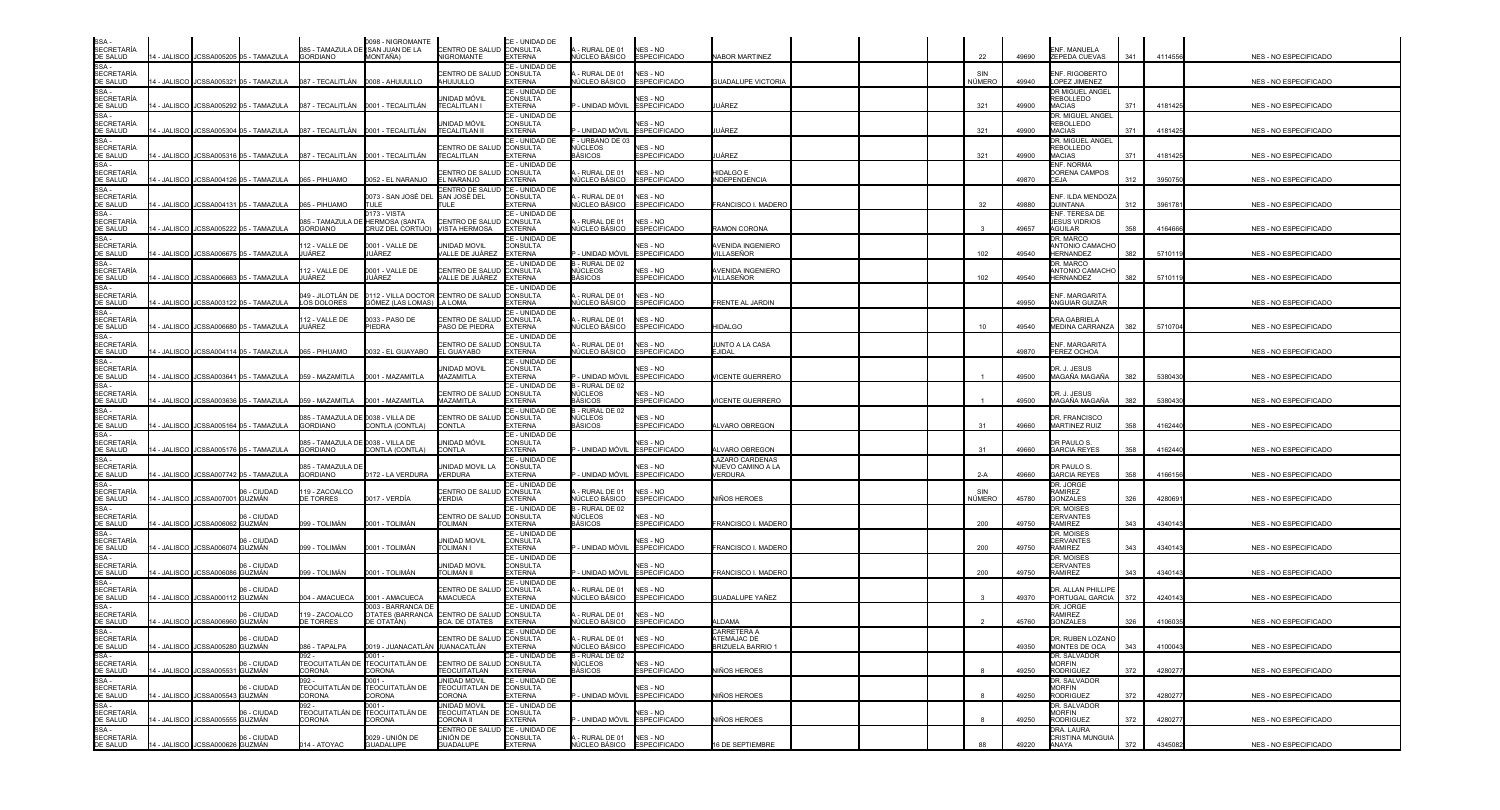| SSA -<br>SECRETARÍA                    |              |                                                                                       |                                                      | 0098 - NIGROMANTE<br>085 - TAMAZULA DE (SAN JUAN DE LA           | CENTRO DE SALUD CONSULTA                                       | CE - UNIDAD DE                                      | - RURAL DE 01                                          | NES - NO                                |                                         |               |       | <b>ENF. MANUELA</b>                                   |     |         |                              |
|----------------------------------------|--------------|---------------------------------------------------------------------------------------|------------------------------------------------------|------------------------------------------------------------------|----------------------------------------------------------------|-----------------------------------------------------|--------------------------------------------------------|-----------------------------------------|-----------------------------------------|---------------|-------|-------------------------------------------------------|-----|---------|------------------------------|
| DE SALUD<br>SSA -                      |              | 14 - JALISCO JCSSA005205 05 - TAMAZULA                                                | <b>GORDIANO</b>                                      | MONTAÑA)                                                         | NIGROMANTE                                                     | <b>EXTERNA</b><br>CE - UNIDAD DE                    | IÚCLEO BÁSICO                                          | <b>ESPECIFICADO</b>                     | <b>NABOR MARTINEZ</b>                   | 22            | 49690 | ZEPEDA CUEVAS                                         | 341 | 4114556 | NES - NO ESPECIFICADO        |
| <b>SECRETARÍA</b><br>DE SALUD          |              | 14 - JALISCO JCSSA005321 05 - TAMAZULA                                                |                                                      |                                                                  | <b>ENTRO DE SALUD</b><br>AHUIJULLO                             | <b>CONSULTA</b><br>EXTERNA                          | RURAL DE 01<br>ÚCLEO BÁSICO                            | NES - NO<br><b>ESPECIFICADO</b>         | <b>GUADALUPE VICTORIA</b>               | NÚMERO        | 49940 | ENF. RIGOBERTO<br>LOPEZ JIMENEZ                       |     |         | NES - NO ESPECIFICADO        |
| SSA-<br><b>SECRETARÍA</b><br>DE SALUD  |              | 4 - JALISCO JCSSA005292 05 - TAMAZULA                                                 |                                                      | 087 - TECALITLÁN 0001 - TECALITLÁN                               | UNIDAD MÓVIL<br>TECALITLAN I                                   | CE - UNIDAD DE<br><b>CONSULTA</b><br>EXTERNA        | - UNIDAD MÓVIL                                         | NES - NO<br><b>ESPECIFICADO</b>         | UÁREZ                                   | 321           | 49900 | DR MIGUEL ANGEL<br>REBOLLEDO<br><b>MACIAS</b>         | 371 | 4181425 | NES - NO ESPECIFICADO        |
| SSA-<br>SECRETARÍA<br>DE SALUD         |              | 4 - JALISCO JCSSA005304 05 - TAMAZULA                                                 |                                                      | 087 - TECALITLÁN 0001 - TECALITLÁN                               | unidad móvil<br><b>TECALITLAN II</b>                           | CE - UNIDAD DE<br>CONSULTA<br>EXTERNA               | - UNIDAD MÓVIL                                         | NES - NO<br><b>ESPECIFICADO</b>         | JÁREZ                                   | 321           | 49900 | DR. MIGUEL ANGEL<br><b>REBOLLEDO</b><br><b>MACIAS</b> | 371 | 4181425 | NES - NO ESPECIFICADO        |
| SSA -<br><b>SECRETARÍA</b><br>DE SALUD |              | 4 - JALISCO I JCSSA005316 05 - TAMAZULA       087 - TECALITLÁN      0001 - TECALITLÁN |                                                      |                                                                  | CENTRO DE SALU<br>TECALITLAN                                   | CE - UNIDAD DE<br><b>CONSULTA</b><br><b>EXTERNA</b> | - URBANO DE 03<br>IÚCLEOS<br><b>ASICOS</b>             | NES - NO<br><b>ESPECIFICADO</b>         | JÁREZ                                   | 321           | 49900 | DR. MIGUEL ANGEL<br><b>REBOLLEDO</b><br><b>MACIAS</b> | 371 | 418142  | NES - NO ESPECIFICADO        |
| SSA-<br><b>SECRETARÍA</b><br>DE SALUD  |              | 14 - JALISCO JCSSA004126 05 - TAMAZULA                                                | 065 - PIHUAMO                                        | 0052 - EL NARANJO                                                | CENTRO DE SALUI<br><b>EL NARANJO</b>                           | CE - UNIDAD DE<br><b>CONSULTA</b><br><b>EXTERNA</b> | RURAL DE 01<br>IÚCLEO BÁSICO                           | NES - NO<br><b>ESPECIFICADO</b>         | HIDALGO E<br><b>INDEPENDENCIA</b>       |               | 49870 | ENF. NORMA<br>DORENA CAMPOS<br><b>CEJA</b>            | 312 | 395075  | NES - NO ESPECIFICADO        |
| SSA -<br><b>SECRETARÍA</b><br>DE SALUD |              | 14 - JALISCO JCSSA004131 05 - TAMAZULA                                                | 065 - PIHUAMO                                        | 0073 - SAN JOSÉ DEL SSAN JOSÉ DEL<br>TULE                        | <b>ENTRO DE SALU</b><br>ITUL F                                 | CE - UNIDAD DE<br><b>CONSULTA</b><br><b>EXTERNA</b> | RURAL DE 01<br>IÚCLEO BÁSICO                           | NES - NO<br><b>ESPECIFICADO</b>         | FRANCISCO I. MADERO                     | 32            | 49880 | ENF. ILDA MENDOZA<br><b>QUINTANA</b>                  | 312 | 396178  | NES - NO ESPECIFICADO        |
| SSA -<br><b>SECRETARÍA</b>             |              |                                                                                       | 085 - TAMAZULA DE                                    | 173 - VISTA<br><b>HERMOSA (SANTA</b>                             | CENTRO DE SALUI                                                | CE - UNIDAD DE<br><b>CONSULTA</b>                   | RURAL DE 01                                            | NES - NO                                |                                         |               |       | ENF. TERESA DE<br><b>JESUS VIDRIOS</b>                |     |         |                              |
| DE SALUD<br>SSA -                      | 14 - JALISCO | JCSSA005222 05 - TAMAZULA                                                             | <b>GORDIANO</b>                                      | RUZ DEL CORTIJO)                                                 | <b>VISTA HERMOSA</b>                                           | <b>EXTERNA</b><br>CE - UNIDAD DE                    | <b>IÚCLEO BÁSICO</b>                                   | <b>ESPECIFICADO</b>                     | RAMON CORONA                            |               | 49657 | <b>AGUILAR</b><br>DR. MARCO                           | 358 | 416466  | NES - NO ESPECIFICADO        |
| <b>SECRETARÍA</b><br>DE SALUD<br>SSA - |              | 4 - JALISCO JCSSA006675 05 - TAMAZULA                                                 | 12 - VALLE DE<br>JUÁREZ                              | 0001 - VALLE DE<br>UÁREZ                                         | UNIDAD MOVIL<br>VALLE DE JUÁREZ                                | <b>CONSULTA</b><br><b>EXTERNA</b><br>CE - UNIDAD DE | - UNIDAD MÓVIL<br>-RURAL DE 02                         | <b>NES - NO</b><br><b>ESPECIFICADO</b>  | AVENIDA INGENIERO<br><b>/ILLASEÑOR</b>  | 102           | 49540 | ANTONIO CAMACHO<br><b>HERNANDEZ</b><br>DR. MARCO      | 382 | 5710119 | NES - NO ESPECIFICADO        |
| <b>SECRETARÍA</b><br>DE SALUD          |              | 4 - JALISCO JCSSA006663 05 - TAMAZULA                                                 | 12 - VALLE DE<br>JUÁREZ                              | 0001 - VALLE DE<br>UÁREZ                                         | CENTRO DE SALU<br>VALLE DE JUÁREZ EXTERNA                      | <b>CONSULTA</b>                                     | NÚCLEOS<br>BÁSICOS                                     | NES - NO<br><b>ESPECIFICADO</b>         | AVENIDA INGENIERO<br><b>/ILLASEÑOR</b>  | 102           | 49540 | ANTONIO CAMACHO<br><b>HERNANDEZ</b>                   | 382 | 5710119 | <b>NES - NO ESPECIFICADO</b> |
| SSA-<br><b>SECRETARÍA</b><br>DE SALUD  | 4 - JALISCO  | JCSSA003122 05 - TAMAZULA                                                             | 049 - JILOTLÁN DE<br><b>LOS DOLORES</b>              | 0112 - VILLA DOCTOR CENTRO DE SALUD<br>GÓMEZ (LAS LOMAS) LA LOMA |                                                                | CE - UNIDAD DE<br><b>CONSULTA</b><br><b>EXTERNA</b> | - RURAL DE 01<br>IÚCLEO BÁSICO                         | NES - NO<br><b>ESPECIFICADO</b>         | FRENTE AL JARDIN                        |               | 49950 | ENF. MARGARITA<br>ANGUIAR GUIZAR                      |     |         | NES - NO ESPECIFICADO        |
| SSA-<br><b>SECRETARÍA</b><br>DE SALUD  |              | 14 - JALISCO I JCSSA006680 05 - TAMAZULA                                              | 12 - VALLE DE<br>JUÁREZ                              | 0033 - PASO DE<br><b>IEDRA</b>                                   | <b>CENTRO DE SALUI</b><br>PASO DE PIEDRA                       | CE - UNIDAD DE<br><b>CONSULTA</b><br><b>EXTERNA</b> | - RURAL DE 01<br>IÚCLEO BÁSICO                         | NES - NO<br><b>ESPECIFICADO</b>         | <b>HIDALGO</b>                          | 10            | 49540 | DRA.GABRIELA<br>MEDINA CARRANZA                       | 382 | 5710704 | NES - NO ESPECIFICADO        |
| SSA-<br><b>SECRETARÍA</b><br>DE SALUD  |              | 4 - JALISCO JCSSA004114 05 - TAMAZULA                                                 | 065 - PIHUAMO                                        | 032 - EL GUAYABO                                                 | CENTRO DE SALUI<br>EL GUAYABO                                  | CE - UNIDAD DE<br><b>CONSULTA</b><br><b>EXTERNA</b> | RURAL DE 01<br>ÚCLEO BÁSICO                            | NES - NO<br><b>ESPECIFICADO</b>         | UNTO A LA CASA<br>EJIDAL                |               | 49870 | ENF. MARGARITA<br>PEREZ OCHOA                         |     |         | NES - NO ESPECIFICADO        |
| SSA -<br><b>SECRETARÍA</b><br>DE SALUD |              | 4 - JALISCO JCSSA003641 05 - TAMAZULA                                                 | 059 - MAZAMITLA                                      | 0001 - MAZAMITLA                                                 | unidad movil<br>MAZAMITLA                                      | CE - UNIDAD DE<br>CONSULTA<br><b>EXTERNA</b>        | - UNIDAD MÓVIL                                         | <b>NES - NO</b><br><b>ESPECIFICADO</b>  | <b>ICENTE GUERRERO</b>                  |               | 49500 | DR. J. JESUS<br>MAGAÑA MAGAÑA                         | 382 | 5380430 | NES - NO ESPECIFICADO        |
| SSA -<br><b>SECRETARÍA</b>             |              |                                                                                       |                                                      |                                                                  | CENTRO DE SALI                                                 | CE - UNIDAD DE<br>CONSULTA                          | - RURAL DE 02<br>ÚCLEOS                                | NES - NO                                |                                         |               |       | DR. J. JESUS                                          |     |         |                              |
| DE SALUD<br>SSA-<br><b>SECRETARÍA</b>  |              | 4 - JALISCO   JCSSA003636 05 - TAMAZULA                                               | 059 - MAZAMITLA<br>085 - TAMAZULA DE 0038 - VILLA DE | 0001 - MAZAMITLA                                                 | <b>MAZAMITLA</b><br>CENTRO DE SALUI                            | <b>EXTERNA</b><br>CE - UNIDAD DE<br><b>CONSULTA</b> | <b>BÁSICOS</b><br>- RURAL DE 02<br>√ÚCLEOS             | ESPECIFICADO<br>NES - NO                | <b>ICENTE GUERRERO</b>                  |               | 49500 | MAGAÑA MAGAÑA<br>DR. FRANCISCO                        | 382 | 5380430 | <b>NES - NO ESPECIFICADO</b> |
| DE SALUD<br>SSA-<br><b>SECRETARÍA</b>  |              | 4 - JALISCO JCSSA005164 05 - TAMAZULA                                                 | <b>GORDIANO</b><br>085 - TAMAZULA DE 0038 - VILLA DE | CONTLA (CONTLA)                                                  | <b>CONTLA</b><br>UNIDAD MÓVIL                                  | <b>EXTERNA</b><br>CE - UNIDAD DE<br><b>CONSULTA</b> | BÁSICOS                                                | <b>ESPECIFICADO</b><br>NES - NO         | LVARO OBREGON                           | -31           | 49660 | <b>MARTINEZ RUIZ</b><br>DR PAULO S.                   | 358 | 4162440 | NES - NO ESPECIFICADO        |
| DE SALUD<br>SSA -                      |              | 14 - JALISCO JCSSA005176 05 - TAMAZULA                                                | <b>GORDIANO</b>                                      | CONTLA (CONTLA)                                                  | <b>CONTLA</b>                                                  | <b>EXTERNA</b><br>CE - UNIDAD DE                    | - UNIDAD MÓVIL                                         | <b>ESPECIFICADO</b>                     | LVARO OBREGON<br><b>AZARO CARDENAS</b>  | 31            | 49660 | <b>GARCIA REYES</b>                                   | 358 | 4162440 | NES - NO ESPECIFICADO        |
| <b>SECRETARÍA</b><br>DE SALUD          |              | 14 - JALISCO JCSSA007742 05 - TAMAZULA                                                | 085 - TAMAZULA DI<br><b>GORDIANO</b>                 | 172 - LA VERDURA                                                 | UNIDAD MOVIL LA<br><b>VERDURA</b>                              | <b>CONSULTA</b><br><b>EXTERNA</b>                   | - UNIDAD MÓVIL                                         | NES - NO<br><b>ESPECIFICADO</b>         | NUEVO CAMINO A LA<br>/ERDURA            | $2-A$         | 49660 | DR PAULO S.<br><b>GARCIA REYES</b>                    | 358 | 416615  | NES - NO ESPECIFICADO        |
| SSA -<br><b>SECRETARÍA</b><br>DE SALUD | 4 - JALISCO  | 06 - CIUDAD<br>JCSSA007001 GUZMÁN                                                     | 119 - ZACOALCO<br><b>DE TORRES</b>                   | 0017 - VERDÍA                                                    | CENTRO DE SALL<br><b>VERDIA</b>                                | CE - UNIDAD DE<br>CONSULTA<br><b>EXTERNA</b>        | RURAL DE 01<br>IÚCLEO BÁSICO                           | NES - NO<br><b>ESPECIFICADO</b>         | VIÑOS HEROES                            | SIN<br>NÚMERO | 45780 | DR. JORGE<br><b>RAMIREZ</b><br><b>GONZALES</b>        | 326 | 428069  | NES - NO ESPECIFICADO        |
| SSA -<br><b>SECRETARÍA</b><br>DE SALUD |              | 06 - CIUDAD<br>4 - JALISCO JCSSA006062 GUZMÁN                                         | 099 - TOLIMÁN                                        | 0001 - TOLIMÁN                                                   | CENTRO DE SALI<br><b>TOLIMAN</b>                               | CE - UNIDAD DE<br><b>CONSULTA</b><br><b>EXTERNA</b> | - RURAL DE 02<br>NÚCLEOS<br><b>BÁSICOS</b>             | NES - NO<br><b>ESPECIFICADO</b>         | FRANCISCO I. MADERC                     | 200           | 49750 | DR. MOISES<br><b>CERVANTES</b><br><b>RAMIREZ</b>      | 343 | 4340143 | NES - NO ESPECIFICADO        |
| SSA -<br><b>SECRETARÍA</b><br>DE SALUD |              | 06 - CIUDAD<br>4 - JALISCO JJCSSA006074 GUZMÁN                                        | 099 - TOLIMÁN                                        | 0001 - TOLIMÁN                                                   | <b>UNIDAD MOVIL</b><br><b>TOLIMAN I</b>                        | CE - UNIDAD DE<br><b>CONSULTA</b><br><b>EXTERNA</b> | - UNIDAD MÓVIL                                         | NES - NO<br><b>ESPECIFICADO</b>         | FRANCISCO I. MADERC                     | 200           | 49750 | DR. MOISES<br><b>CERVANTES</b><br><b>RAMIREZ</b>      | 343 | 4340143 | NES - NO ESPECIFICADO        |
| SSA -<br><b>SECRETARÍA</b><br>DE SALUD | 4 - JALISCO  | 06 - CIUDAD<br><b>JCSSA00608</b><br><b>GUZMÁN</b>                                     | 099 - TOLIMÁN                                        | 0001 - TOLIMÁN                                                   | UNIDAD MOVIL<br><b>TOLIMAN II</b>                              | CE - UNIDAD DE<br><b>CONSULTA</b><br>EXTERNA        | - UNIDAD MÓVIL                                         | NES - NO<br><b>ESPECIFICADO</b>         | FRANCISCO I. MADERC                     | 200           | 49750 | DR. MOISES<br><b>CERVANTES</b><br><b>RAMIREZ</b>      | 343 | 4340143 | NES - NO ESPECIFICADO        |
| SSA -<br><b>SECRETARÍA</b><br>DE SALUD | 14 - JALISCO | 06 - CIUDAD<br><b>GUZMÁN</b><br><b>JCSSA00011</b>                                     | 004 - AMACUECA                                       | 0001 - AMACUECA                                                  | ENTRO DE SALUI<br><b>AMACUECA</b>                              | CE - UNIDAD DE<br><b>CONSULTA</b><br><b>EXTERNA</b> | - RURAL DE 01<br>ÚCLEO BÁSICO                          | NES - NO<br><b>ESPECIFICADO</b>         | GUADALUPE YAÑEZ                         |               | 49370 | DR. ALLAN PHILLIPE<br>PORTUGAL GARCIA                 | 372 | 4240143 | NES - NO ESPECIFICADO        |
| SSA-<br><b>SECRETARÍA</b>              |              | 06 - CIUDAD                                                                           | 19 - ZACOALCO                                        | 003 - BARRANCA DE<br><b>DTATES (BARRANCA</b>                     | <b>CENTRO DE SALUD</b>                                         | CE - UNIDAD DE<br>CONSULTA                          | - RURAL DE 01                                          | NES - NO                                |                                         |               |       | dr. Jorge<br><b>RAMIREZ</b>                           |     |         |                              |
| DE SALUD<br>SSA -<br>SECRETARÍA        |              | 14 - JALISCO JCSSA006960 GUZMÁN<br>06 - CIUDAD                                        | DE TORRES                                            | )E OTATÁN)                                                       | <b>BCA, DE OTATES</b><br>CENTRO DE SALUD CONSULTA              | <b>EXTERNA</b><br>CE - UNIDAD DE                    | IÚCLEO BÁSICO<br>- RURAL DE 01                         | <b>ESPECIFICADO</b>                     | LDAMA<br>CARRETERA A                    |               | 45760 | <b>GONZALES</b><br>DR. RUBEN LOZANO                   | 326 | 4106035 | NES - NO ESPECIFICADO        |
| DE SALUD<br>SSA -                      |              | 14 - JALISCO JJCSSA005280 GUZMÁN                                                      | 086 - TAPALPA<br>092 -                               | 0019 - JUANACATLÁN JUANACATLÁN<br>$0001 -$                       |                                                                | <b>EXTERNA</b><br>CE - UNIDAD DE                    | <b>IÚCLEO BÁSICO</b><br>B - RURAL DE 02                | NES - NO<br><b>ESPECIFICADO</b>         | ATEMAJAC DE<br><b>BRIZUELA BARRIO 1</b> |               | 49350 | MONTES DE OCA<br>DR. SALVADOR                         | 343 | 4100043 | <b>NES - NO ESPECIFICADO</b> |
| <b>SECRETARÍA</b><br>DE SALUD<br>SSA - |              | 06 - CIUDAD<br>14 - JALISCO JCSSA005531 GUZMÁN                                        | CORONA<br>092 -                                      | TEOCUITATLÁN DE TEOCUITATLÁN DE<br>CORONA<br>$001 -$             | CENTRO DE SALUD CONSULTA<br>TEOCUITATLAN<br>UNIDAD MOVIL       | <b>EXTERNA</b><br>CE - UNIDAD DE                    | NÚCLEOS<br><b>BÁSICOS</b>                              | NES - NO<br><b>ESPECIFICADO</b>         | NIÑOS HEROES                            |               | 49250 | <b>MORFIN</b><br><b>RODRIGUEZ</b><br>DR. SALVADOR     | 372 | 428027  | NES - NO ESPECIFICADO        |
| SECRETARÍA<br>DE SALUD<br>SSA -        |              | 06 - CIUDAD<br>14 - JALISCO JJCSSA005543 GUZMÁN                                       | CORONA                                               | TEOCUITATLÁN DE TEOCUITATLÁN DE<br>CORONA                        | TEOCUITATLAN DE CONSULTA<br><b>CORONA</b>                      | <b>EXTERNA</b>                                      |                                                        | NES - NO<br>- UNIDAD MÓVIL ESPECIFICADO | NIÑOS HEROES                            |               | 49250 | <b>MORFIN</b><br><b>RODRIGUEZ</b>                     | 372 | 428027  | NES - NO ESPECIFICADO        |
| SECRETARÍA<br>DE SALUD                 |              | 06 - CIUDAD<br>14 - JALISCO JCSSA005555 GUZMÁN                                        | <b>TEOCUITATLÁN DE</b><br>CORONA                     | $001 -$<br>TEOCUITATLÁN DE<br>CORONA                             | UNIDAD MOVIL<br>TEOCUITATLAN DE CONSULTA<br><b>CORONA II</b>   | CE - UNIDAD DE<br><b>EXTERNA</b>                    |                                                        | NES - NO<br>- UNIDAD MÓVIL ESPECIFICADO | NIÑOS HEROES                            |               | 49250 | DR. SALVADOR<br><b>MORFIN</b><br><b>RODRIGUEZ</b>     | 372 | 428027  | NES - NO ESPECIFICADO        |
| $SSA -$<br>SECRETARÍA<br>DE SALUD      |              | 14 - JALISCO JCSSA000626 GUZMÁN                                                       | 014 - ATOYAC                                         | 0029 - UNIÓN DE<br>GUADALUPE                                     | CENTRO DE SALUD CE - UNIDAD DE<br>UNIÓN DE<br><b>GUADALUPE</b> | CONSULTA<br><b>EXTERNA</b>                          | A - RURAL DE 01 NES - NO<br>NÚCLEO BÁSICO ESPECIFICADO | NES - NO                                | 16 DE SEPTIEMBRE                        | 88            | 49220 | DRA. LAURA<br>CRISTINA MUNGUIA<br>ANAYA               | 372 | 4345082 | NES - NO ESPECIFICADO        |

| <b>NES - NO ESPECIFICADO</b> |
|------------------------------|
| NES - NO ESPECIFICADO        |
| NES - NO ESPECIFICADO        |
| NES - NO ESPECIFICADO        |
| NES - NO ESPECIFICADO        |
| NES - NO ESPECIFICADO        |
| NES - NO ESPECIFICADO        |
| NES - NO ESPECIFICADO        |
| NES - NO ESPECIFICADO        |
| NES - NO ESPECIFICADO        |
| NES - NO ESPECIFICADO        |
| NES - NO ESPECIFICADO        |
| NES - NO ESPECIFICADO        |
| NES - NO ESPECIFICADO        |
| NES - NO ESPECIFICADO        |
| NES - NO ESPECIFICADO        |
| NES - NO ESPECIFICADO        |
| NES - NO ESPECIFICADO        |
| NES - NO ESPECIFICADO        |
| NES - NO ESPECIFICADO        |
| NES - NO ESPECIFICADO        |
| NES - NO ESPECIFICADO        |
| NES - NO ESPECIFICADO        |
| NES - NO ESPECIFICADO        |
| NES - NO ESPECIFICADO        |
| NES - NO ESPECIFICADO        |
| NES - NO ESPECIFICADO        |
| NES - NO ESPECIFICADO        |
| NES - NO ESPECIFICADO        |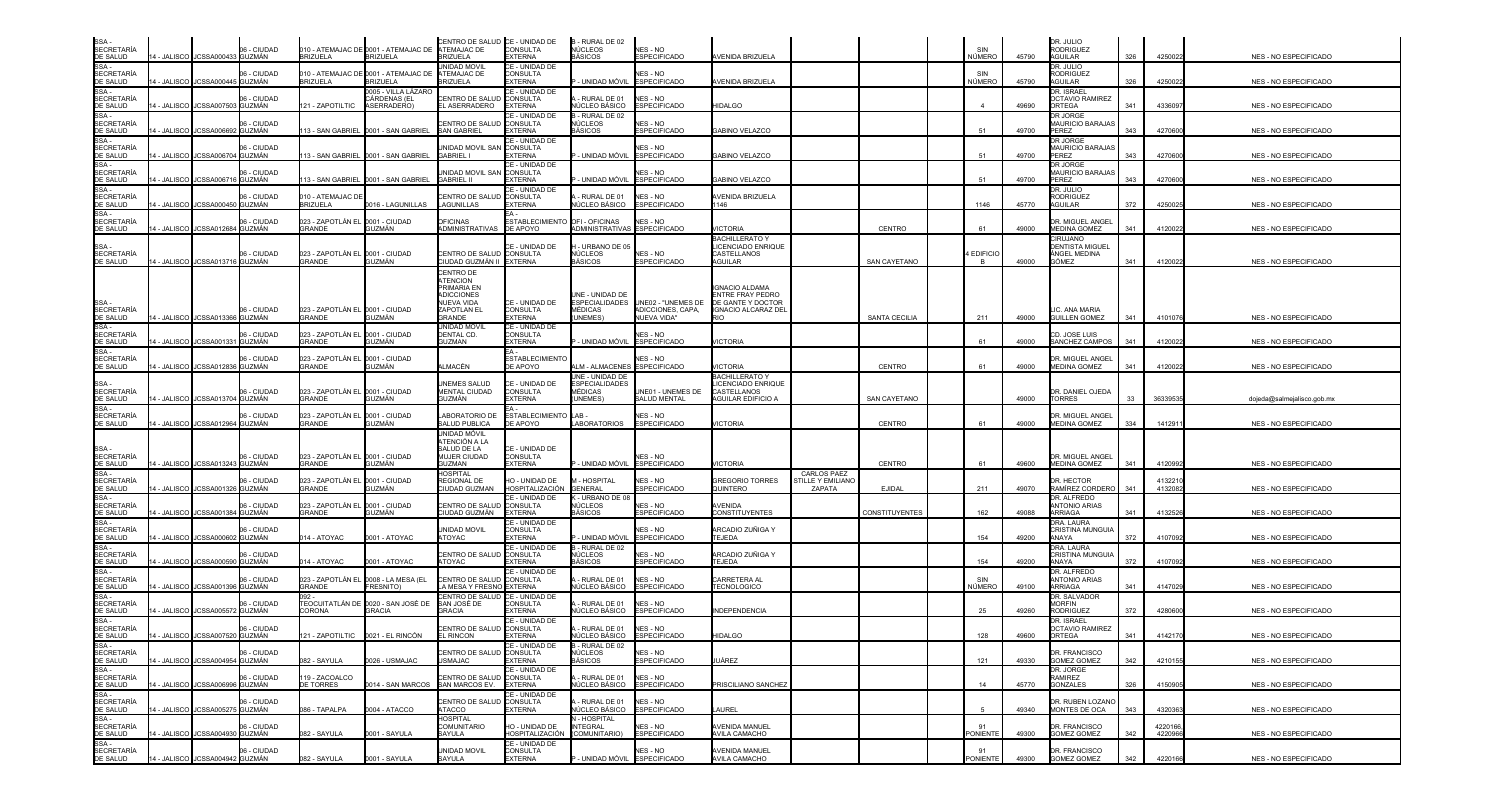| SSA -<br>SECRETARÍA<br>DE SALUD                                                                                                                                                                                                                              |             |                                   | 06 - CIUDAD |                                                           | 010 - ATEMAJAC DE 0001 - ATEMAJAC DE                     | CENTRO DE SALUD CE - UNIDAD DE<br>ATEMAJAC DE                       | <b>CONSULTA</b>                                     | B - RURAL DE 02<br>NÚCLEOS                   | <b>NES - NO</b>                          |                                                                       |                                            |                      | SIN                   |       | DR. JULIO<br>RODRIGUEZ                                             |     |                   |                              |
|--------------------------------------------------------------------------------------------------------------------------------------------------------------------------------------------------------------------------------------------------------------|-------------|-----------------------------------|-------------|-----------------------------------------------------------|----------------------------------------------------------|---------------------------------------------------------------------|-----------------------------------------------------|----------------------------------------------|------------------------------------------|-----------------------------------------------------------------------|--------------------------------------------|----------------------|-----------------------|-------|--------------------------------------------------------------------|-----|-------------------|------------------------------|
|                                                                                                                                                                                                                                                              |             | 14 - JALISCO JCSSA000433 GUZMÁN   |             | <b>BRIZUELA</b>                                           | <b>BRIZUELA</b>                                          | <b>BRIZUELA</b>                                                     | <b>EXTERNA</b>                                      | <b>BÁSICOS</b>                               | <b>ESPECIFICADO</b>                      | <b>AVENIDA BRIZUELA</b>                                               |                                            |                      | NÚMERO                | 45790 | AGUILAR                                                            | 326 | 425002            | NES - NO ESPECIFICADO        |
| $SSA -$<br>SECRETARÍA<br>DE SALUD                                                                                                                                                                                                                            |             | 14 - JALISCO I JCSSA000445 GUZMÁN | 06 - CIUDAD | <b>BRIZUELA</b>                                           | 010 - ATEMAJAC DE 0001 - ATEMAJAC DE<br><b>BRIZUELA</b>  | UNIDAD MOVIL<br>ATEMAJAC DE<br>BRIZUELA                             | CE - UNIDAD DE<br>CONSULTA<br><b>EXTERNA</b>        | P - UNIDAD MÓVIL                             | NES - NO<br><b>ESPECIFICADO</b>          | AVENIDA BRIZUELA                                                      |                                            |                      | SIN<br>NÚMERO         | 45790 | dr. Julio<br><b>RODRIGUEZ</b><br>AGUILAR                           | 326 | 4250022           | NES - NO ESPECIFICADO        |
| SSA -<br>SECRETARÍA<br>DE SALUD                                                                                                                                                                                                                              |             |                                   | 06 - CIUDAD |                                                           | )005 - VILLA LÁZARC<br>CÁRDENAS (EL                      | CENTRO DE SALUE                                                     | CE - UNIDAD DE<br><b>CONSULTA</b>                   | - RURAL DE 01                                | NES - NO                                 |                                                                       |                                            |                      |                       |       | <b>DR. ISRAEL</b><br><b>OCTAVIO RAMIREZ</b>                        |     |                   |                              |
|                                                                                                                                                                                                                                                              |             | 4 - JALISCO JCSSA007503 GUZMÁN    |             | 21 - ZAPOTILTIC                                           | ASERRADERO                                               | EL ASERRADERO                                                       | <b>EXTERNA</b><br>CE - UNIDAD DE                    | NÚCLEO BÁSICO<br>B - RURAL DE 02             | <b>ESPECIFICADO</b>                      | <b>HIDALGO</b>                                                        |                                            |                      |                       | 49690 | ORTEGA<br>DR JORGE                                                 | 341 | 433609            | NES - NO ESPECIFICADO        |
| SE SALSE<br>SSA -<br>SECRETARÍA<br>DE SALUD<br>SSA -                                                                                                                                                                                                         | 4 - JALISCO | JCSSA006692 GUZMÁN                | 06 - CIUDAD |                                                           | 13 - SAN GABRIEL 0001 - SAN GABRIEL                      | CENTRO DE SALUD<br><b>SAN GABRIEL</b>                               | <b>CONSULTA</b><br><b>EXTERNA</b>                   | NÚCLEOS<br>BÁSICOS                           | <b>VES - NO</b><br><b>ESPECIFICADO</b>   | GABINO VELAZCO                                                        |                                            |                      | 51                    | 49700 | <b>MAURICIO BARAJA</b><br>PEREZ                                    | 343 | 427060            | NES - NO ESPECIFICADO        |
| <b>SECRETARÍA</b><br>DE SALUD                                                                                                                                                                                                                                | 4 - JALISCO | JCSSA006704 GUZMÁN                | 06 - CIUDAD |                                                           | 13 - SAN GABRIEL 0001 - SAN GABRIEL                      | JNIDAD MOVIL SAM<br>GABRIEL I                                       | CE - UNIDAD DE<br>I CONSULTA<br><b>EXTERNA</b>      | - UNIDAD MÓVIL                               | NES - NO<br><b>ESPECIFICADO</b>          | <b>GABINO VELAZCO</b>                                                 |                                            |                      | 51                    | 49700 | DR JORGE<br>MAURICIO BARAJA:<br>PEREZ                              | 343 | 427060            | NES - NO ESPECIFICADO        |
| SE SALOS<br>SSA -<br>SECRETARÍA<br>DE SALUD                                                                                                                                                                                                                  |             | 4 - JALISCO JCSSA006716 GUZMÁN    | 06 - CIUDAD |                                                           | 13 - SAN GABRIEL <b>1</b> 0001 - SAN GABRIEL             | JNIDAD MOVIL SAN CONSULTA<br><b>GABRIEL II</b>                      | CE - UNIDAD DE<br><b>EXTERNA</b>                    | UNIDAD MÓVIL                                 | <b>JES - NO</b><br><b>ESPECIFICADO</b>   | GABINO VELAZCO                                                        |                                            |                      | 51                    | 49700 | DR JORGE<br><b>MAURICIO BARAJAS</b><br>PEREZ                       | 343 | 427060            | NES - NO ESPECIFICADO        |
| SSA-<br><b>SECRETARÍA</b>                                                                                                                                                                                                                                    |             | 14 - JALISCO JJCSSA000450 GUZMÁN  | 06 - CIUDAD | 010 - ATEMAJAC DE<br>BRIZUELA                             |                                                          | CENTRO DE SALUD CONSULTA                                            | CE - UNIDAD DE                                      | RURAL DE 01                                  | NES - NO                                 | AVENIDA BRIZUELA                                                      |                                            |                      |                       |       | DR. JULIO<br><b>RODRIGUEZ</b><br>AGUILAR                           | 372 |                   |                              |
| DE SALUD                                                                                                                                                                                                                                                     |             |                                   |             |                                                           | 0016 - LAGUNILLAS                                        | LAGUNILLAS                                                          | <b>EXTERNA</b>                                      | NÚCLEO BÁSICO                                | <b>ESPECIFICADO</b>                      | 1146                                                                  |                                            |                      | 1146                  | 45770 |                                                                    |     | 425002            | NES - NO ESPECIFICADO        |
| SSA -<br>SECRETARÍA<br>DE SALUD                                                                                                                                                                                                                              |             | 14 - JALISCO JCSSA012684 GUZMÁN   | 06 - CIUDAD | 023 - ZAPOTLÁN EL 0001 - CIUDAD<br><b>GRANDE</b>          | <b>GUZMÁN</b>                                            | OFICINAS<br>ADMINISTRATIVAS DE APOYO                                | ESTABLECIMIENTO OFI - OFICINAS                      | ADMINISTRATIVAS ESPECIFICADO                 | NES - NO                                 | <b>VICTORIA</b>                                                       |                                            | <b>CENTRO</b>        | 61                    | 49000 | DR. MIGUEL ANGEL<br>MEDINA GOMEZ                                   | 341 | 412002            | NES - NO ESPECIFICADO        |
| SSA -<br>SECRETARÍA<br>DE SALUD                                                                                                                                                                                                                              |             | 14 - JALISCO JCSSA013716 GUZMÁN   | 06 - CIUDAD | 023 - ZAPOTLÁN EL 0001 - CIUDAD<br><b>GRANDE</b>          | GUZMÁN                                                   | CENTRO DE SALUD CONSULTA<br>CIUDAD GUZMÁN II                        | CE - UNIDAD DE<br><b>EXTERNA</b>                    | H - URBANO DE 05<br>NÚCLEOS<br>BÁSICOS       | NES - NO<br><b>ESPECIFICADO</b>          | BACHILLERATO Y<br>LICENCIADO ENRIQUE<br>CASTELLANOS<br><b>AGUILAR</b> |                                            | SAN CAYETANO         | <b>4 EDIFICIO</b>     | 49000 | <b>CIRUJANO</b><br>DENTISTA MIGUEL<br>ÁNGEL MEDINA<br><b>GÓMEZ</b> | 341 | 412002            | NES - NO ESPECIFICADO        |
|                                                                                                                                                                                                                                                              |             |                                   |             |                                                           |                                                          | CENTRO DE<br><b>ATENCION</b>                                        |                                                     |                                              |                                          |                                                                       |                                            |                      |                       |       |                                                                    |     |                   |                              |
|                                                                                                                                                                                                                                                              |             |                                   |             |                                                           |                                                          | PRIMARIA EN<br>ADICCIONES                                           |                                                     | UNE - UNIDAD DE                              |                                          | <b>IGNACIO ALDAMA</b><br><b>ENTRE FRAY PEDRO</b>                      |                                            |                      |                       |       |                                                                    |     |                   |                              |
| SSA -<br>SECRETARÍA                                                                                                                                                                                                                                          |             |                                   | 06 - CIUDAD | 023 - ZAPOTLÁN EL 0001 - CIUDAD                           |                                                          | NUEVA VIDA<br>ZAPOTLAN EL                                           | CE - UNIDAD DE<br><b>CONSULTA</b>                   | <b>ESPECIALIDADES</b><br>MÉDICAS             | UNE02 - "UNEMES DE<br>ADICCIONES, CAPA,  | DE GANTE Y DOCTOR<br><b>IGNACIO ALCARAZ DEL</b>                       |                                            |                      |                       |       | IC. ANA MARIA                                                      |     |                   |                              |
| DE SALUD                                                                                                                                                                                                                                                     |             | 14 - JALISCO JCSSA013366 GUZMÁN   |             | <b>GRANDE</b>                                             | I IZMÁN                                                  | <b>GRANDE</b>                                                       | <b>EXTERNA</b>                                      | (UNEMES)                                     | <b>NUEVA VIDA"</b>                       | RIO                                                                   |                                            | <b>SANTA CECILIA</b> | 211                   | 49000 | <b>GUILLEN GOMEZ</b>                                               | 341 | 410107            | NES - NO ESPECIFICADO        |
| SSA -<br>SECRETARÍA<br>DE SALUD                                                                                                                                                                                                                              | 4 - JALISCO | JCSSA001331 GUZMÁN                | 06 - CIUDAD | 023 - ZAPOTLÁN EL 0001 - CIUDAD<br>GRANDE                 | GUZMÁN                                                   | UNIDAD MOVIL<br>DENTAL CD.<br><b>GUZMAN</b>                         | CE - UNIDAD DE<br><b>CONSULTA</b><br><b>EXTERNA</b> | - UNIDAD MÓVIL                               | NES - NO<br><b>ESPECIFICADO</b>          | <b>ICTORIA</b>                                                        |                                            |                      | 61                    | 49000 | CD. JOSE LUIS<br><b>SANCHEZ CAMPOS</b>                             | 341 | 412002            | NES - NO ESPECIFICADO        |
| SSA-<br>SECRETARÍA<br>DE SALUD                                                                                                                                                                                                                               |             | 4 - JALISCO JJCSSA012836 GUZMÁN   | 06 - CIUDAD | 023 - ZAPOTLÁN EL 0001 - CIUDAD<br><b>GRANDE</b>          | GUZMÁN                                                   | ∖LMACÉN                                                             | EA-<br><b>ESTABLECIMIENTO</b><br>DE APOYO           | <b>ALM - ALMACENES</b>                       | <b>VES - NO</b><br><b>ESPECIFICADO</b>   | <b>VICTORIA</b>                                                       |                                            | <b>CENTRO</b>        | 61                    | 49000 | <b>DR. MIGUEL ANGEL</b><br>MEDINA GOMEZ                            | 341 | 412002            | NES - NO ESPECIFICADO        |
| SSA-                                                                                                                                                                                                                                                         |             |                                   |             |                                                           |                                                          | UNEMES SALUD                                                        | CE - UNIDAD DE                                      | UNE - UNIDAD DE<br><b>ESPECIALIDADES</b>     |                                          | BACHILLERATO Y<br>LICENCIADO ENRIQUE                                  |                                            |                      |                       |       |                                                                    |     |                   |                              |
| SECRETARÍA<br>DE SALUD                                                                                                                                                                                                                                       |             | 14 - JALISCO JJCSSA013704 GUZMÁN  | 06 - CIUDAD | 023 - ZAPOTLÁN EL 0001 - CIUDAD<br><b>GRANDE</b>          | GUZMÁN                                                   | <b>MENTAL CIUDAD</b><br>GUZMÁN                                      | CONSULTA<br><b>EXTERNA</b>                          | <b>MÉDICAS</b><br>(UNEMES)                   | UNE01 - UNEMES DE<br><b>SALUD MENTAL</b> | CASTELLANOS<br><b>AGUILAR EDIFICIO A</b>                              |                                            | SAN CAYETANO         |                       | 49000 | DR. DANIEL OJEDA<br><b>TORRES</b>                                  | 33  | 3633953           | dojeda@salmejalisco.gob.mx   |
| SSA -<br>SECRETARÍA<br>DE SALUD                                                                                                                                                                                                                              |             | 4 - JALISCO JCSSA012964 GUZMÁN    | 06 - CIUDAD | 023 - ZAPOTLÁN EL 0001 - CIUDAD<br><b>GRANDE</b>          | GUZMÁN                                                   | LABORATORIO DE<br>SALUD PUBLICA                                     | ESTABLECIMIENTO LAB-<br>DE APOYO                    | LABORATORIOS                                 | √ES - NO<br><b>ESPECIFICADO</b>          | <b>VICTORIA</b>                                                       |                                            | <b>CENTRO</b>        | 61                    | 49000 | DR. MIGUEL ANGEL<br>MEDINA GOMEZ                                   | 334 | 141291            | NES - NO ESPECIFICADO        |
| SSA -<br>SECRETARÍA<br><u>DE SALUD</u>                                                                                                                                                                                                                       |             |                                   | 06 - CIUDAD | 023 - ZAPOTLÁN EL 0001 - CIUDAD                           |                                                          | unidad móvil<br>ATENCIÓN A LA<br>SALUD DE LA<br><b>MUJER CIUDAD</b> | CE - UNIDAD DE<br><b>CONSULTA</b>                   |                                              | <b>VES - NO</b>                          |                                                                       |                                            |                      |                       |       | <b>DR. MIGUEL ANGEL</b>                                            |     |                   |                              |
| SSA -                                                                                                                                                                                                                                                        | 4 - JALISCO | JCSSA013243 GUZMÁN                |             | <b>GRANDE</b>                                             | <b>RIJZMÁN</b>                                           | GUZMAN<br>HOSPITAL                                                  | <b>EXTERNA</b>                                      | - UNIDAD MÓVIL                               | <b>ESPECIFICADO</b>                      | <b>/ICTORIA</b>                                                       |                                            | <b>CENTRO</b>        | 61                    | 49600 | <b>MEDINA GOMEZ</b>                                                | 341 | 412099            | NES - NO ESPECIFICADO        |
| SECRETARÍA                                                                                                                                                                                                                                                   |             | 4 - JALISCO JJCSSA001326 GUZMÁN   | 06 - CIUDAD | 023 - ZAPOTLÁN EL 0001 - CIUDAD<br><b>GRANDE</b>          | <b>GUZMÁN</b>                                            | REGIONAL DE<br>CIUDAD GUZMAN                                        | HO - UNIDAD DE<br><b>HOSPITALIZACIÓN</b>            | M - HOSPITAL<br><b>GENERAL</b>               | NES - NO<br><b>ESPECIFICADO</b>          | <b>GREGORIO TORRES</b><br>QUINTERO                                    | CARLOS PAEZ<br>STILLE Y EMILIANO<br>ZAPATA | <b>EJIDAL</b>        | 211                   | 49070 | DR. HECTOR<br>RAMÍREZ CORDERO                                      | 341 | 413221<br>4132082 | <b>NES - NO ESPECIFICADO</b> |
| DE SALUD<br>SSA -<br>SECRETARÍA<br>DE SALUD                                                                                                                                                                                                                  |             | 4 - JALISCO JCSSA001384 GUZMÁN    | 06 - CIUDAD | 023 - ZAPOTLÁN EL <b>1</b> 0001 - CIUDAD<br><b>GRANDE</b> | <b>GUZMÁN</b>                                            | CENTRO DE SALUE<br>CIUDAD GUZMÁN                                    | CE - UNIDAD DE<br><b>CONSULTA</b><br><b>EXTERNA</b> | - URBANO DE 08<br>NÚCLEOS<br><b>BÁSICOS</b>  | √ES - NO<br><b>ESPECIFICADO</b>          | <b>AVENIDA</b><br><b>CONSTITUYENTES</b>                               |                                            | CONSTITUYENTES       | 162                   | 49088 | DR. ALFREDO<br><b>ANTONIO ARIAS</b><br>ARRIAGA                     | 341 | 413252            | NES - NO ESPECIFICADO        |
| SSA-                                                                                                                                                                                                                                                         |             |                                   | 06 - CIUDAD |                                                           |                                                          | UNIDAD MOVIL                                                        | CE - UNIDAD DE<br><b>CONSULTA</b>                   |                                              | <b>NES - NO</b>                          | ARCADIO ZUÑIGA Y                                                      |                                            |                      |                       |       | <b>DRA. LAURA</b><br>CRISTINA MUNGUIA                              |     |                   |                              |
| SECRETARÍA<br>DE SALUD                                                                                                                                                                                                                                       |             | 4 - JALISCO JCSSA000602 GUZMÁN    |             | 014 - ATOYAC                                              | 0001 - ATOYAC                                            | ATOYAC                                                              | <b>EXTERNA</b>                                      | - UNIDAD MÓVIL                               | <b>ESPECIFICADO</b>                      | TEJEDA                                                                |                                            |                      | 154                   | 49200 | ANAYA                                                              | 372 | 410709            | NES - NO ESPECIFICADO        |
| SSA -<br>SECRETARÍA                                                                                                                                                                                                                                          |             | 4 - JALISCO JCSSA000590 GUZMÁN    | 06 - CIUDAD | 014 - ATOYAC                                              | 001 - ATOYAC                                             | CENTRO DE SALUD CONSULTA<br><b>ATOYAC</b>                           | CE - UNIDAD DE<br><b>EXTERNA</b>                    | B - RURAL DE 02<br>NÚCLEOS<br><b>BÁSICOS</b> | NES - NO<br><b>ESPECIFICADO</b>          | ARCADIO ZUÑIGA Y<br><b>TEJEDA</b>                                     |                                            |                      | 154                   | 49200 | DRA. LAURA<br>CRISTINA MUNGUIA<br>ANAYA                            | 372 | 410709            | NES - NO ESPECIFICADO        |
|                                                                                                                                                                                                                                                              |             |                                   |             |                                                           |                                                          |                                                                     | CE - UNIDAD DE                                      |                                              |                                          |                                                                       |                                            |                      |                       |       | DR. ALFREDO                                                        |     |                   |                              |
| DE SALUD<br>SSA -<br>SECRETARÍA<br>DE SALUD                                                                                                                                                                                                                  |             | 14 - JALISCO JCSSA001396 GUZMÁN   | 06 - CIUDAD | <b>GRANDE</b>                                             | 023 - ZAPOTLÁN EL 0008 - LA MESA (EL<br><b>FRESNITO)</b> | CENTRO DE SALUD CONSULTA<br>LA MESA Y FRESNO EXTERNA                |                                                     | - RURAL DE 01<br>NÚCLEO BÁSICO               | NES - NO<br><b>ESPECIFICADO</b>          | CARRETERA AL<br><b>TECNOLOGICO</b>                                    |                                            |                      | SIN<br>NÚMERC         | 49100 | <b>ANTONIO ARIAS</b><br>ARRIAGA                                    | 341 | 414702            | NES - NO ESPECIFICADO        |
| SSA -<br>SECRETARÍA                                                                                                                                                                                                                                          |             |                                   | 06 - CIUDAD | . 92(                                                     | TEOCUITATLÁN DE 0020 - SAN JOSÉ DE                       | CENTRO DE SALUD <b>I</b> CE - UNIDAD DE<br>SAN JOSÉ DE              | CONSULTA                                            | - RURAL DE 01                                | NES - NO                                 |                                                                       |                                            |                      |                       |       | DR. SALVADOR<br><b>MORFIN</b>                                      |     |                   |                              |
| DE SALUD                                                                                                                                                                                                                                                     |             | 14 - JALISCO JCSSA005572 GUZMÁN   |             | CORONA                                                    | <b>GRACIA</b>                                            | <b>GRACIA</b>                                                       | <b>EXTERNA</b><br>CE - UNIDAD DE                    | NÚCLEO BÁSICO                                | <b>ESPECIFICADO</b>                      | <b>INDEPENDENCIA</b>                                                  |                                            |                      | 25                    | 49260 | <b>RODRIGUEZ</b><br>DR. ISRAEL                                     | 372 | 428060            | NES - NO ESPECIFICADO        |
| SSA -<br>SECRETARÍA                                                                                                                                                                                                                                          |             | 14 - JALISCO JJCSSA007520 GUZMÁN  | 06 - CIUDAD | 121 - ZAPOTILTIC 0021 - EL RINCÓN                         |                                                          | CENTRO DE SALUD<br><b>EL RINCON</b>                                 | CONSULTA<br><b>EXTERNA</b>                          | - RURAL DE 01<br>NÚCLEO BÁSICO               | NES - NO<br><b>ESPECIFICADO</b>          | <b>HIDALGO</b>                                                        |                                            |                      | 128                   | 49600 | <b>OCTAVIO RAMIREZ</b><br><b>ORTEGA</b>                            | 341 | 4142170           | NES - NO ESPECIFICADO        |
|                                                                                                                                                                                                                                                              |             | 14 - JALISCO JCSSA004954 GUZMÁN   | 06 - CIUDAD | 082 - SAYULA                                              | 0026 - USMAJAC                                           | CENTRO DE SALUD CONSULTA<br><b>USMAJAC</b>                          | CE - UNIDAD DE<br><b>EXTERNA</b>                    | B - RURAL DE 02<br>NÚCLEOS<br><b>BÁSICOS</b> | NES - NO<br><b>ESPECIFICADO</b>          | JUÁREZ                                                                |                                            |                      | 121                   | 49330 | DR. FRANCISCO<br><b>GOMEZ GOMEZ</b>                                | 342 | 4210155           | NES - NO ESPECIFICADO        |
|                                                                                                                                                                                                                                                              |             |                                   | 06 - CIUDAD | 119 - ZACOALCO                                            |                                                          | CENTRO DE SALUD CONSULTA                                            | CE - UNIDAD DE<br><b>EXTERNA</b>                    | 4 - RURAL DE 01                              | NES - NO<br><b>ESPECIFICADO</b>          |                                                                       |                                            |                      |                       |       | DR. JORGE<br>RAMIREZ                                               |     |                   |                              |
|                                                                                                                                                                                                                                                              |             | 14 - JALISCO JCSSA006996 GUZMÁN   | 06 - CIUDAD | DE TORRES                                                 | 0014 - SAN MARCOS                                        | SAN MARCOS EV.<br>CENTRO DE SALUD CONSULTA                          | CE - UNIDAD DE                                      | NÚCLEO BÁSICO<br>- RURAL DE 01               | NES - NO                                 | PRISCILIANO SANCHEZ                                                   |                                            |                      | 14                    | 45770 | <b>GONZALES</b><br>DR. RUBEN LOZANC                                | 326 | 4150905           | NES - NO ESPECIFICADO        |
|                                                                                                                                                                                                                                                              |             | 14 - JALISCO JCSSA005275 GUZMÁN   |             | 086 - TAPALPA                                             | 0004 - ATACCO                                            | ATACCO<br><b>HOSPITAL</b>                                           | <b>EXTERNA</b>                                      | NÚCLEO BÁSICO<br>N - HOSPITAL                | <b>ESPECIFICADO</b>                      | LAUREL                                                                |                                            |                      |                       | 49340 | MONTES DE OCA                                                      | 343 | 432036            | NES - NO ESPECIFICADO        |
| SECRETARÍA<br>SECRETARÍA<br>SSA - SECRETARÍA<br>SSA - SECRETARÍA<br>SSA - SECRETARÍA<br>SSA - SECRETARÍA<br>DE SALUD<br>SSA - SECRETARÍA<br>DE SALUD<br>SSA - SECRETARÍA<br>SECRETARÍA<br>SECRETARÍA<br>SECRETARÍA<br>SECRETARÍA<br>SECRETARÍA<br>SECRETARÍA |             | 14 - JALISCO JCSSA004930 GUZMÁN   | 06 - CIUDAD | 082 - SAYULA                                              | 0001 - SAYULA                                            | COMUNITARIO<br>SAYULA                                               | HO - UNIDAD DE<br>HOSPITALIZACIÓN                   | <b>INTEGRAL</b><br>(COMUNITARIO)             | NES - NO<br><b>ESPECIFICADO</b>          | AVENIDA MANUEL<br>AVILA CAMACHO                                       |                                            |                      | 91<br><b>PONIENTE</b> | 49300 | DR. FRANCISCO<br><b>GOMEZ GOMEZ</b>                                | 342 | 4220166<br>422096 | NES - NO ESPECIFICADO        |
|                                                                                                                                                                                                                                                              |             | 14 - JALISCO JCSSA004942 GUZMÁN   | 06 - CIUDAD | 082 - SAYULA                                              | 0001 - SAYULA                                            | UNIDAD MOVIL<br>SAYULA                                              | CE - UNIDAD DE<br>CONSULTA<br><b>EXTERNA</b>        | P - UNIDAD MÓVIL ESPECIFICADO                | NES - NO                                 | AVENIDA MANUEL<br>AVILA CAMACHO                                       |                                            |                      | 91<br><b>PONIENTE</b> | 49300 | DR. FRANCISCO<br><b>GOMEZ GOMEZ</b>                                | 342 | 4220166           | NES - NO ESPECIFICADO        |

| NES - NO ESPECIFICADO        |
|------------------------------|
| NES - NO ESPECIFICADO        |
| NES - NO ESPECIFICADO        |
| NES - NO ESPECIFICADO        |
| NES - NO ESPECIFICADO        |
| NES - NO ESPECIFICADO        |
| NES - NO ESPECIFICADO        |
| NES - NO ESPECIFICADO        |
| NES - NO ESPECIFICADO        |
| NES - NO ESPECIFICADO        |
| NES - NO ESPECIFICADO        |
| NES - NO ESPECIFICADO        |
| dojeda@salmejalisco.gob.mx   |
| NES - NO ESPECIFICADO        |
| NES - NO ESPECIFICADO        |
| NES - NO ESPECIFICADO        |
| NES - NO ESPECIFICADO        |
| NES - NO ESPECIFICADO        |
| NES - NO ESPECIFICADO        |
| NES - NO ESPECIFICADO        |
| NES - NO ESPECIFICADO        |
| <b>NES - NO ESPECIFICADO</b> |
| NES - NO ESPECIFICADO        |
| NES - NO ESPECIFICADO        |
| NES - NO ESPECIFICADO        |
| NES - NO ESPECIFICADO        |
| NES - NO ESPECIFICADO        |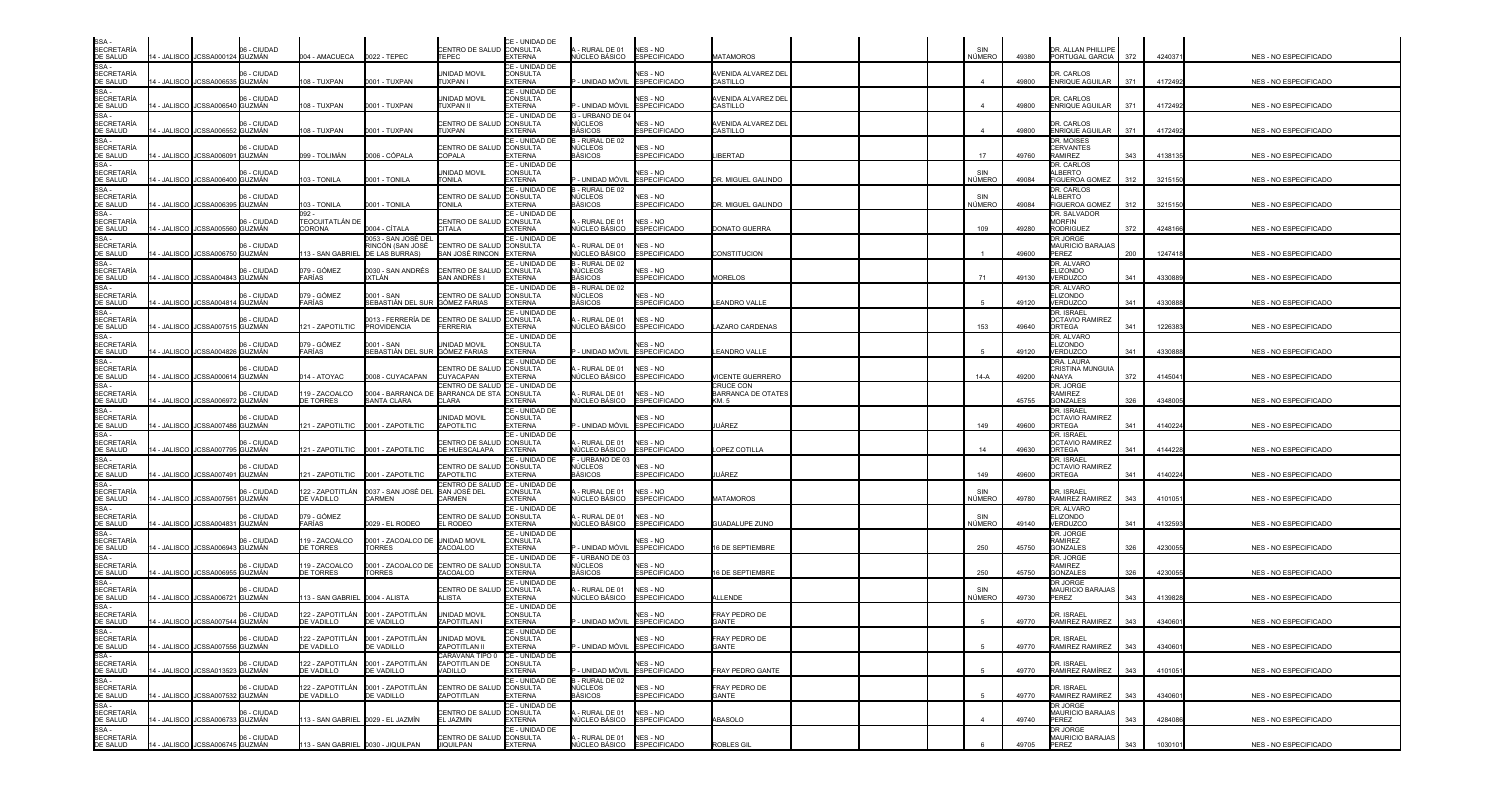| SSA -<br>SECRETARÍA<br>DE SALUD                                                                                                                                                                                                |             | 4 - JALISCO JCSSA000124 GUZMÁN   | 06 - CIUDAD                  | 04 - AMACUECA                         | 0022 - TEPEC                                             | CENTRO DE SALUD CONSULTA<br>TEPEC                    | CE - UNIDAD DE<br><b>EXTERNA</b>                    | - RURAL DE 01<br>NÚCLEO BÁSICO               | NES - NO<br><b>ESPECIFICADO</b>        | <b>JATAMOROS</b>                      | SIN<br>NÚMERO    | 49380 | DR. ALLAN PHILLIPE<br>PORTUGAL GARCIA            | 372 | 424037  | <b>NES - NO ESPECIFICADO</b> |
|--------------------------------------------------------------------------------------------------------------------------------------------------------------------------------------------------------------------------------|-------------|----------------------------------|------------------------------|---------------------------------------|----------------------------------------------------------|------------------------------------------------------|-----------------------------------------------------|----------------------------------------------|----------------------------------------|---------------------------------------|------------------|-------|--------------------------------------------------|-----|---------|------------------------------|
| SSA-<br><b>SECRETARÍA</b>                                                                                                                                                                                                      |             |                                  | 06 - CIUDAD                  |                                       |                                                          | UNIDAD MOVIL                                         | CE - UNIDAD DE<br>CONSULTA                          |                                              | NES - NO                               | AVENIDA ALVAREZ DEL                   |                  |       | DR. CARLOS                                       |     |         |                              |
| DE SALUD                                                                                                                                                                                                                       |             | 4 - JALISCO JCSSA006535          | <b>GUZMÁN</b>                | 108 - TUXPAN                          | 0001 - TUXPAN                                            | TUXPAN I                                             | <b>EXTERNA</b><br>CE - UNIDAD DE                    | - UNIDAD MÓVIL                               | <b>ESPECIFICADO</b>                    | CASTILLO                              | $\boldsymbol{A}$ | 49800 | ENRIQUE AGUILAR                                  | 371 | 4172492 | NES - NO ESPECIFICADO        |
| SSA -<br>SECRETARÍA<br>DE SALUD                                                                                                                                                                                                |             | 4 - JALISCO JCSSA006540 GUZMÁN   | 06 - CIUDAD                  | 08 - TUXPAN                           | 0001 - TUXPAN                                            | UNIDAD MOVIL<br>TUXPAN II                            | <b>CONSULTA</b><br>EXTERNA                          | - UNIDAD MÓVIL                               | <b>NES - NO</b><br><b>ESPECIFICADO</b> | <b>NENIDA ALVAREZ DEL</b><br>CASTILLO |                  | 49800 | DR. CARLOS<br>ENRIQUE AGUILAR                    | 371 | 4172492 | NES - NO ESPECIFICADO        |
| SSA -<br>SECRETARÍA<br>DE SALUD                                                                                                                                                                                                | 1 - JALISCO | <b>CSSA00655</b>                 | 06 - CIUDAD<br><b>GUZMÁN</b> | 08 - TUXPAN                           | 0001 - TUXPAN                                            | CENTRO DE SALUI<br><b>TUXPAN</b>                     | CE - UNIDAD DE<br><b>CONSULTA</b><br><b>EXTERNA</b> | G - URBANO DE 04<br>√ÚCLEOS<br>3ÁSICOS       | NES - NO<br><b>SPECIFICADO</b>         | AVENIDA ALVAREZ DEL<br>CASTILLO       |                  | 49800 | DR. CARLOS<br><b>ENRIQUE AGUILAR</b>             | 371 | 4172492 | NES - NO ESPECIFICADO        |
| SSA -<br>SECRETARÍA<br>DE SALUD                                                                                                                                                                                                | 4 - JALISCO | JCSSA006091                      | 06 - CIUDAD<br>GUZMÁN        | 99 - TOLIMÁN                          | 0006 - CÓPALA                                            | CENTRO DE SALUI<br>COPALA                            | CE - UNIDAD DE<br><b>CONSULTA</b><br>EXTERNA        | - RURAL DE 02<br>NÚCLEOS<br>BÁSICOS          | NES - NO<br><b>SPECIFICADO</b>         | <b>IBERTAD</b>                        | 17               | 49760 | DR. MOISES<br><b>CERVANTES</b><br><b>RAMIREZ</b> | 343 | 413813  | NES - NO ESPECIFICADO        |
| SSA -<br>SECRETARÍA<br>DE SALUD                                                                                                                                                                                                |             | 4 - JALISCO JCSSA006400 GUZMÁN   | 06 - CIUDAD                  | 03 - TONILA                           | 0001 - TONILA                                            | UNIDAD MOVIL<br>TONILA                               | CE - UNIDAD DE<br><b>CONSULTA</b><br><b>EXTERNA</b> | · Unidad móvil                               | NES - NO<br><b>ESPECIFICADO</b>        | DR. MIGUEL GALINDO                    | SIN<br>NÚMERO    | 49084 | DR. CARLOS<br>AI BERTO<br><b>FIGUEROA GOMEZ</b>  | 312 | 321515  | NES - NO ESPECIFICADO        |
| SSA<br><b>SECRETARÍA</b>                                                                                                                                                                                                       |             |                                  | 06 - CIUDAD                  |                                       |                                                          | CENTRO DE SALUD CONSULTA                             | CE - UNIDAD DE                                      | B - RURAL DE 02<br>NÚCLEOS                   | NES - NO                               |                                       | SIN              |       | DR. CARLOS<br>ALBERTO                            |     |         |                              |
| DE SALUD<br>SSA -<br>SECRETARÍA                                                                                                                                                                                                |             | 4 - JALISCO JCSSA006395          | <b>GUZMÁN</b>                | 03 - TONILA                           | 0001 - TONILA                                            | <b>TONILA</b>                                        | <b>EXTERNA</b><br>CE - UNIDAD DE                    | BÁSICOS                                      | <b>ESPECIFICADO</b>                    | DR. MIGUEL GALINDO                    | NÚMERO           | 49084 | <b>FIGUEROA GOMEZ</b><br>DR. SALVADOR            | 312 | 321515  | NES - NO ESPECIFICADO        |
| DE SALUD<br>SSA-                                                                                                                                                                                                               |             | 4 - JALISCO JJCSSA005560 GUZMÁN  | 06 - CIUDAD                  | FEOCUITATLÁN DE<br>CORONA             | 0004 - CÍTALA                                            | CENTRO DE SALUD<br><b>CITALA</b>                     | <b>CONSULTA</b><br><b>EXTERNA</b>                   | RURAL DE 01<br>NÚCLEO BÁSICO                 | <b>NES - NO</b><br><b>ESPECIFICADO</b> | DONATO GUERRA                         | 109              | 49280 | <b>MORFIN</b><br><b>RODRIGUEZ</b>                | 372 | 424816  | NES - NO ESPECIFICADO        |
| SECRETARÍA<br>DE SALUD                                                                                                                                                                                                         | 1 - JALISCO | CSSA00675                        | 06 - CIUDAD<br>GUZMÁN        | 13 - SAN GABRIEL                      | 0053 - SAN JOSÉ DE<br>RINCÓN (SAN JOSÉ<br>DE LAS BURRAS) | CENTRO DE SALUD CONSULTA<br>SAN JOSÉ RINCON          | CE - UNIDAD DE<br><b>EXTERNA</b>                    | - RURAL DE 01<br><b>IÚCLEO BÁSICO</b>        | NES - NO<br><b>ESPECIFICADO</b>        | CONSTITUCION                          |                  | 49600 | DR JORGE<br>MAURICIO BARAJAS<br>PEREZ            | 200 | 124741  | NES - NO ESPECIFICADO        |
| SSA -                                                                                                                                                                                                                          | 4 - JALISCO | JCSSA004843                      | 06 - CIUDAD<br>GUZMÁN        | 079 - GÓMEZ<br>FARÍAS                 | 0030 - SAN ANDRÉS<br>IXTLÁN                              | CENTRO DE SALUD CONSULTA<br>SAN ANDRÉS I             | CE - UNIDAD DE<br><b>EXTERNA</b>                    | - RURAL DE 02<br>NÚCLEOS<br>BÁSICOS          | NES - NO<br><b>ESPECIFICADO</b>        | <b>MORELOS</b>                        | 71               | 49130 | DR. ALVARO<br><b>ELIZONDO</b><br>VERDUZCO        | 341 | 433088  | NES - NO ESPECIFICADO        |
| SA -<br>SECRETARÍA<br>DE SALUD<br>SSA -<br>SECRETARÍA<br>DE SALUD                                                                                                                                                              |             |                                  | 06 - CIUDAD                  | 079 - GÓMEZ                           | 0001 - SAN                                               | CENTRO DE SALUE                                      | CE - UNIDAD DE<br>CONSULTA                          | B - RURAL DE 02<br>NÚCLEOS                   | NES - NO                               |                                       |                  |       | DR. ALVARO<br><b>ELIZONDO</b>                    |     |         |                              |
|                                                                                                                                                                                                                                |             | 4 - JALISCO JCSSA004814 GUZMÁN   |                              | <b>ARÍAS</b>                          | SEBASTIÁN DEL SUR GÓMEZ FARIAS                           |                                                      | <b>EXTERNA</b><br>CE - UNIDAD DE                    | BÁSICOS                                      | <b>SPECIFICADO</b>                     | EANDRO VALLE                          |                  | 49120 | VERDUZCO<br>DR. ISRAEL                           | 341 | 4330888 | <b>NES - NO ESPECIFICADO</b> |
| SSA -<br>SECRETARÍA<br>DE SALUD                                                                                                                                                                                                |             | 4 - JALISCO JCSSA00751           | 06 - CIUDAD<br>5 GUZMÁN      | 21 - ZAPOTILTIC                       | 0013 - FERRERÍA DE<br><b>PROVIDENCIA</b>                 | <b>CENTRO DE SALUI</b><br><b>FERRERIA</b>            | <b>CONSULTA</b><br><b>EXTERNA</b>                   | - RURAL DE 01<br>NÚCLEO BÁSICO               | NES - NO<br><b>ESPECIFICADO</b>        | <b>AZARO CARDENAS</b>                 | 153              | 49640 | <b>OCTAVIO RAMIREZ</b><br><b>ORTEGA</b>          | 341 | 122638  | NES - NO ESPECIFICADO        |
| SSA -<br>SECRETARÍA<br>DE SALUD                                                                                                                                                                                                | 4 - JALISCO | <b>JCSSA004826</b>               | 06 - CIUDAD<br><b>GUZMÁN</b> | 079 - GÓMEZ<br>FARÍAS                 | 0001 - SAN<br>SEBASTIÁN DEL SUR                          | unidad movil<br><b>GÓMEZ FARIAS</b>                  | CE - UNIDAD DE<br>CONSULTA<br><b>EXTERNA</b>        | - UNIDAD MÓVIL                               | <b>NES - NO</b><br><b>SPECIFICADO</b>  | EANDRO VALLE                          |                  | 49120 | DR. ALVARO<br><b>ELIZONDO</b><br>VERDUZCO        | 341 | 4330888 | NES - NO ESPECIFICADO        |
| SE SALSS<br>SSA -<br>SECRETARÍA<br>DE SALUD                                                                                                                                                                                    |             |                                  | 06 - CIUDAD                  |                                       |                                                          | CENTRO DE SALUI                                      | CE - UNIDAD DE<br><b>CONSULTA</b>                   | RURAL DE 01                                  | NES - NO                               |                                       |                  |       | DRA, LAURA<br>CRISTINA MUNGUIA                   |     |         |                              |
| SSA-                                                                                                                                                                                                                           |             | 4 - JALISCO JCSSA00061           | GUZMÁN                       | 14 - ATOYAC                           | 0008 - CUYACAPAN                                         | CUYACAPAN<br>CENTRO DE SALUD <b>I</b> CE - UNIDAD DE | <b>EXTERNA</b>                                      | IÚCLEO BÁSICO                                | <b>ESPECIFICADO</b>                    | <b>VICENTE GUERRERO</b><br>CRUCE CON  | $14-A$           | 49200 | ANAYA<br>DR. JORGE                               | 372 | 414504  | NES - NO ESPECIFICADO        |
| <b>SECRETARÍA</b>                                                                                                                                                                                                              | 4 - JALISCO | <b>ICSSA006972</b>               | 06 - CIUDAD<br><b>GUZMÁN</b> | 19 - ZACOALCO<br><b>E TORRES</b>      | 0004 - BARRANCA DE<br>SANTA CLARA                        | BARRANCA DE STA CONSULTA<br>CLARA                    | <b>EXTERNA</b>                                      | RURAL DE 01<br>IÚCLEO BÁSICO                 | NES - NO<br><b>SPECIFICADO</b>         | BARRANCA DE OTATES<br>KM. 5           |                  | 45755 | <b>RAMIREZ</b><br><b>GONZALES</b>                | 326 | 4348005 | NES - NO ESPECIFICADO        |
| DE SALUD<br>SSA -<br>SECRETARÍA<br>DE SALUD                                                                                                                                                                                    |             | 4 - JALISCO JCSSA007486 GUZMÁN   | 06 - CIUDAD                  |                                       |                                                          | UNIDAD MOVIL<br>ZAPOTILTIC                           | CE - UNIDAD DE<br><b>CONSULTA</b><br><b>EXTERNA</b> | - UNIDAD MÓVIL                               | <b>NES - NO</b><br><b>ESPECIFICADO</b> | JÁREZ                                 | 149              | 49600 | DR. ISRAEL<br><b>OCTAVIO RAMIREZ</b><br>ORTEGA   | 341 | 4140224 | NES - NO ESPECIFICADO        |
| $SSA -$<br>SECRETARÍA<br>DE SALUD                                                                                                                                                                                              | 4 - JALISCO | <b>JCSSA00779</b>                | 06 - CIUDAD<br>GUZMÁN        | 21 - ZAPOTILTIC                       | 0001 - ZAPOTILTIC                                        | CENTRO DE SALUD<br>DE HUESCALAPA                     | CE - UNIDAD DE<br><b>CONSULTA</b><br><b>EXTERNA</b> | RURAL DE 01<br><b>IÚCLEO BÁSICO</b>          | NFS - NO<br><b>ESPECIFICADO</b>        | OPEZ COTILLA                          |                  | 49630 | DR. ISRAEL<br><b>OCTAVIO RAMIREZ</b><br>ORTEGA   | 341 | 414422  | NES - NO ESPECIFICADO        |
| SSA-<br><b>SECRETARÍA</b>                                                                                                                                                                                                      |             |                                  | 06 - CIUDAD                  |                                       |                                                          | CENTRO DE SALUD CONSULTA                             | CE - UNIDAD DE                                      | - URBANO DE 03<br>NÚCLEOS                    | NES - NO                               |                                       |                  |       | DR. ISRAEL<br><b>OCTAVIO RAMIREZ</b>             |     |         |                              |
|                                                                                                                                                                                                                                |             | 4 - JALISCO I JCSSA007491 GUZMÁN |                              | 21 - ZAPOTILTIC                       | 0001 - ZAPOTILTIC                                        | ZAPOTILTIC<br>CENTRO DE SALUI                        | <b>EXTERNA</b><br>CE - UNIDAD DE                    | BÁSICOS                                      | <b>ESPECIFICADO</b>                    | JÁREZ                                 | 149              | 49600 | ORTEGA                                           | 341 | 4140224 | NES - NO ESPECIFICADO        |
| DE SALUD<br>SSA -<br>SECRETARÍA<br>DE SALUD                                                                                                                                                                                    |             | 4 - JALISCO JCSSA007561          | 06 - CIUDAD<br>GUZMÁN        | 122 - ZAPOTITLÁN<br>DE VADILLO        | 0037 - SAN JOSÉ DEL<br>CARMEN                            | SAN JOSÉ DEL<br><b>CARMEN</b>                        | <b>CONSULTA</b><br><b>EXTERNA</b>                   | RURAL DE 01<br>NÚCLEO BÁSICO                 | NES - NO<br><b>ESPECIFICADO</b>        | <b>MATAMOROS</b>                      | SIN<br>NÚMERO    | 49780 | DR. ISRAEL<br>RAMIREZ RAMIREZ                    | 343 | 410105  | NES - NO ESPECIFICADO        |
| SSA-<br>SECRETARÍA<br>DE SALUD                                                                                                                                                                                                 | 4 - JALISCO | <b>JCSSA00483</b>                | 06 - CIUDAD<br><b>GUZMÁN</b> | 079 - GÓMEZ<br>ARÍAS                  | 029 - EL RODEO                                           | CENTRO DE SALUI<br>EL RODEO                          | CE - UNIDAD DE<br>CONSULTA<br><b>EXTERNA</b>        | - RURAL DE 01<br>NÚCLEO BÁSICO               | NES - NO<br><b>ESPECIFICADO</b>        | <b>GUADALUPE ZUNO</b>                 | SIN<br>NÚMERO    | 49140 | DR. ALVARO<br><b>ELIZONDO</b><br>VERDUZCO        | 341 | 4132593 | NES - NO ESPECIFICADO        |
| SSA -<br>SECRETARÍA<br>DE SALUD                                                                                                                                                                                                |             | 4 - JALISCO JJCSSA006943 GUZMÁN  | 06 - CIUDAD                  | 19 - ZACOALCO<br><b>DE TORRES</b>     | 0001 - ZACOALCO DE<br><b>TORRES</b>                      | UNIDAD MOVIL<br>ZACOALCO                             | CE - UNIDAD DE<br>CONSULTA<br><b>EXTERNA</b>        | - UNIDAD MÓVIL                               | NES - NO<br><b>ESPECIFICADO</b>        | 6 DE SEPTIEMBRE                       | 250              | 45750 | DR. JORGE<br><b>RAMIREZ</b><br>GONZALES          | 326 | 4230055 | NES - NO ESPECIFICADO        |
| SSA -<br>SECRETARÍA                                                                                                                                                                                                            |             |                                  | 06 - CIUDAD                  | 19 - ZACOALCO                         | 0001 - ZACOALCO DE                                       | <b>CENTRO DE SALUI</b>                               | CE - UNIDAD DE<br><b>CONSULTA</b>                   | - URBANO DE 03<br>NÚCLEOS                    | NES - NO                               |                                       |                  |       | DR. JORGE<br><b>RAMIREZ</b>                      |     |         |                              |
| DE SALUD<br>$SSA -$                                                                                                                                                                                                            | 4 - JALISCO | JCSSA006955                      | GUZMÁN                       | <b>E TORRES</b>                       | <b>ORRES</b>                                             | ZACOALCO                                             | <b>EXTERNA</b><br>CE - UNIDAD DE                    | BÁSICOS                                      | <b>SPECIFICADO</b>                     | 6 DE SEPTIEMBRE                       | 250              | 45750 | <b>GONZALES</b><br>DR JORGE                      | 326 | 423005  | NES - NO ESPECIFICADO        |
| <b>SECRETARÍA</b><br>DE SALUD<br>SSA -                                                                                                                                                                                         |             | 4 - JALISCO JJCSSA006721 GUZMÁN  | 06 - CIUDAD                  | 13 - SAN GABRIEL                      | 0004 - ALISTA                                            | CENTRO DE SALUI<br>ALISTA                            | <b>CONSULTA</b><br><b>EXTERNA</b>                   | - RURAL DE 01<br>NÚCLEO BÁSICO               | NES - NO<br><b>SPECIFICADO</b>         | <b>ILLENDE</b>                        | SIN<br>NÚMERO    | 49730 | MAURICIO BARAJAS<br>PEREZ                        | 343 | 4139828 | NES - NO ESPECIFICADO        |
| <b>SECRETARÍA</b><br>DE SALUD                                                                                                                                                                                                  |             | 14 - JALISCO JCSSA007544 GUZMÁN  | 06 - CIUDAD                  | 122 - ZAPOTITLÁN<br><b>DE VADILLO</b> | 0001 - ZAPOTITLÁN<br>DE VADILLO                          | unidad movil<br>ZAPOTITLAN I                         | CE - UNIDAD DE<br>CONSULTA<br><b>EXTERNA</b>        | - UNIDAD MÓVIL                               | <b>NES - NO</b><br><b>ESPECIFICADO</b> | FRAY PEDRO DE<br>GANTE                |                  | 49770 | DR. ISRAEI<br>RAMIREZ RAMIREZ                    | 343 | 4340601 | NES - NO ESPECIFICADO        |
| DE SALUD<br>SECRETARÍA<br>SECRETARÍA<br>SECRETARÍA<br>SSA - SECRETARÍA<br>SSA - SECRETARÍA<br>SECRETARÍA<br>DE SALUD<br>SSA - DE SALUD<br>SSA - SECRETARÍA<br>SECRETARÍA<br>SECRETARÍA<br>SECRETARÍA<br>SECRETARÍA<br>DE SALUD |             | 14 - JALISCO JCSSA007556 GUZMÁN  | 06 - CIUDAD                  | <b>DE VADILLO</b>                     | 122 - ZAPOTITLÁN 0001 - ZAPOTITLÁN<br>DE VADILLO         | UNIDAD MOVIL<br>ZAPOTITLAN II                        | ICE - UNIDAD DE<br>CONSULTA<br><b>EXTERNA</b>       | - UNIDAD MÓVIL                               | NES - NO<br><b>ESPECIFICADO</b>        | FRAY PEDRO DE<br>GANTE                | -5               | 49770 | DR. ISRAEL<br>RAMIREZ RAMIREZ                    | 343 | 4340601 | NES - NO ESPECIFICADO        |
|                                                                                                                                                                                                                                |             |                                  | 06 - CIUDAD                  | 122 - ZAPOTITLÁN                      | 0001 - ZAPOTITLÁN                                        | CARAVANA TIPO 0 CE - UNIDAD DE<br>ZAPOTITLAN DE      | CONSULTA                                            |                                              | NES - NO                               |                                       |                  |       | DR. ISRAEL                                       |     |         |                              |
|                                                                                                                                                                                                                                |             | 14 - JALISCO JCSSA013523 GUZMÁN  | 06 - CIUDAD                  | E VADILLO<br>122 - ZAPOTITLÁN         | DE VADILLO<br>0001 - ZAPOTITLÁN                          | VADILLO<br>CENTRO DE SALUD                           | <b>EXTERNA</b><br>CE - UNIDAD DE<br><b>CONSULTA</b> | - UNIDAD MÓVIL<br>B - RURAL DE 02<br>NÚCLEOS | <b>ESPECIFICADO</b><br>NES - NO        | FRAY PEDRO GANTE<br>FRAY PEDRO DE     | -5               | 49770 | RAMIREZ RAMÍREZ<br>DR. ISRAEL                    | 343 | 4101051 | NES - NO ESPECIFICADO        |
|                                                                                                                                                                                                                                |             | 14 - JALISCO JJCSSA007532 GUZMÁN |                              | <b>DE VADILLO</b>                     | DE VADILLO                                               | ZAPOTITLAN                                           | <b>EXTERNA</b><br>CE - UNIDAD DE                    | <b>BÁSICOS</b>                               | <b>ESPECIFICADO</b>                    | GANTE                                 |                  | 49770 | RAMIREZ RAMIREZ<br>DR JORGE                      | 343 | 4340601 | NES - NO ESPECIFICADO        |
|                                                                                                                                                                                                                                |             | 14 - JALISCO JJCSSA006733 GUZMÁN | 06 - CIUDAD                  | 13 - SAN GABRIEL 0029 - EL JAZMÍN     |                                                          | CENTRO DE SALUD CONSULTA<br>EL JAZMIN                | <b>EXTERNA</b>                                      | - RURAL DE 01<br>NÚCLEO BÁSICO               | NES - NO<br><b>ESPECIFICADO</b>        | ABASOLO                               | $\overline{4}$   | 49740 | <b>MAURICIO BARAJAS</b><br>PEREZ                 | 343 | 4284086 | NES - NO ESPECIFICADO        |
|                                                                                                                                                                                                                                |             |                                  | 06 - CIUDAD                  |                                       |                                                          | CENTRO DE SALUD CONSULTA                             | CE - UNIDAD DE                                      | - RURAL DE 01                                | NES - NO                               |                                       |                  |       | DR JORGE<br>MAURICIO BARAJAS                     |     |         |                              |
|                                                                                                                                                                                                                                |             | 14 - JALISCO JCSSA006745 GUZMÁN  |                              | 113 - SAN GABRIEL 0030 - JIQUILPAN    |                                                          | <b>JIQUILPAN</b>                                     | <b>EXTERNA</b>                                      | NÚCLEO BÁSICO                                | <b>ESPECIFICADO</b>                    | <b>ROBLES GIL</b>                     |                  | 49705 | PEREZ                                            | 343 | 1030101 | NES - NO ESPECIFICADO        |

| <b>NES - NO ESPECIFICADO</b> |
|------------------------------|
| NES - NO ESPECIFICADO        |
| NES - NO ESPECIFICADO        |
| NES - NO ESPECIFICADO        |
| NES - NO ESPECIFICADO        |
| NES - NO ESPECIFICADO        |
| NES - NO ESPECIFICADO        |
| NES - NO ESPECIFICADO        |
| NES - NO ESPECIFICADO        |
| NES - NO ESPECIFICADO        |
| NES - NO ESPECIFICADO        |
| NES - NO ESPECIFICADO        |
| NES - NO ESPECIFICADO        |
| NES - NO ESPECIFICADO        |
| NES - NO ESPECIFICADO        |
| NES - NO ESPECIFICADO        |
| NES - NO ESPECIFICADO        |
| NES - NO ESPECIFICADO        |
| NES - NO ESPECIFICADO        |
| NES - NO ESPECIFICADO        |
| NES - NO ESPECIFICADO        |
| NES - NO ESPECIFICADO        |
| NES - NO ESPECIFICADO        |
| NES - NO ESPECIFICADO        |
| NES - NO ESPECIFICADO        |
| NES - NO ESPECIFICADO        |
| NES - NO ESPECIFICADO        |
| NES - NO ESPECIFICADO        |
| NES - NO ESPECIFICADO        |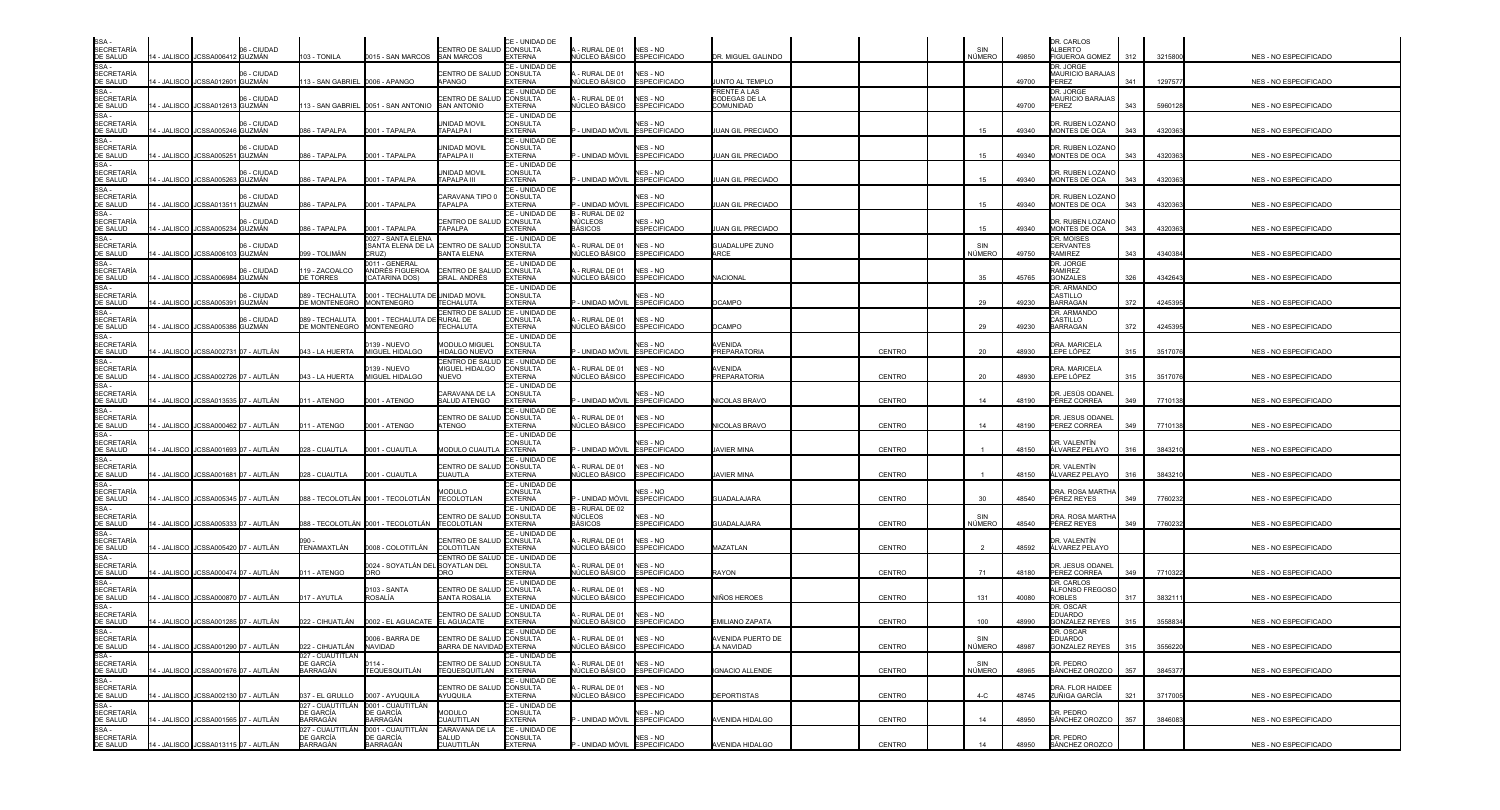| SSA -<br>SECRETARÍA<br>DE SALUD                                                                                                                                                                                                 |             |                                       | 06 - CIUDAD                            |                                           |                                                                   | CENTRO DE SALUD CONSULTA                               | CE - UNIDAD DE                                      | - RURAL DE 01                                      | NES - NO                               |                                           |               | SIN                  |       | DR. CARLOS<br>ALBERTO                               |     |         |                              |
|---------------------------------------------------------------------------------------------------------------------------------------------------------------------------------------------------------------------------------|-------------|---------------------------------------|----------------------------------------|-------------------------------------------|-------------------------------------------------------------------|--------------------------------------------------------|-----------------------------------------------------|----------------------------------------------------|----------------------------------------|-------------------------------------------|---------------|----------------------|-------|-----------------------------------------------------|-----|---------|------------------------------|
|                                                                                                                                                                                                                                 |             | 4 - JALISCO JCSSA006412 GUZMÁN        |                                        | 03 - TONILA                               | 0015 - SAN MARCOS                                                 | <b>SAN MARCOS</b>                                      | <b>EXTERNA</b>                                      | NÚCLEO BÁSICO                                      | <b>ESPECIFICADO</b>                    | <b>DR. MIGUEL GALINDO</b>                 |               | NÚMERO               | 49850 | <b>FIGUEROA GOMEZ</b>                               | 312 | 3215800 | NES - NO ESPECIFICADO        |
| SSA-<br><b>SECRETARÍA</b><br>DE SALUD                                                                                                                                                                                           |             | 4 - JALISCO JJCSSA012601 GUZMÁN       | 06 - CIUDAD                            | 13 - SAN GABRIEL 0006 - APANGO            |                                                                   | CENTRO DE SALUD<br><b>APANGO</b>                       | CE - UNIDAD DE<br>CONSULTA<br><b>EXTERNA</b>        | - RURAL DE 01<br><b>IÚCLEO BÁSICO</b>              | NES - NO<br><b>ESPECIFICADO</b>        | <b>IUNTO AL TEMPLO</b>                    |               |                      | 49700 | DR. JORGE<br>MAURICIO BARAJAS<br>PEREZ              | 341 | 1297577 | NES - NO ESPECIFICADO        |
| SSA -<br>SECRETARÍA<br>DE SALUD                                                                                                                                                                                                 |             | 4 - JALISCO JCSSA012613 GUZMÁN        | 06 - CIUDAD                            |                                           | 13 - SAN GABRIEL 0051 - SAN ANTONIO                               | CENTRO DE SALUI<br><b>SAN ANTONIO</b>                  | CE - UNIDAD DE<br><b>CONSULTA</b><br><b>EXTERNA</b> | RURAL DE 01<br><b>IÚCLEO BÁSICO</b>                | NES - NO<br><b>ESPECIFICADO</b>        | FRENTE A LAS<br>ODEGAS DE LA<br>COMUNIDAD |               |                      | 49700 | DR. JORGE<br>MAURICIO BARAJAS<br>PEREZ              | 343 | 5960128 | NES - NO ESPECIFICADO        |
| SSA -<br>SECRETARÍA<br>DE SALUD                                                                                                                                                                                                 | 1 - JALISCO | CSSA00524                             | 06 - CIUDAD<br><b>GUZMÁN</b>           | 86 - TAPALPA                              | 0001 - TAPALPA                                                    | <b>JNIDAD MOVIL</b><br>TAPALPA I                       | CE - UNIDAD DE<br><b>CONSULTA</b><br><b>EXTERNA</b> | - UNIDAD MÓVIL                                     | <b>NES - NO</b><br><b>SPECIFICADO</b>  | UAN GIL PRECIADO                          |               | 15                   | 49340 | DR. RUBEN LOZANO<br>MONTES DE OCA                   | 343 | 4320363 | NES - NO ESPECIFICADO        |
| SSA -<br>SECRETARÍA                                                                                                                                                                                                             |             |                                       | 06 - CIUDAD                            |                                           |                                                                   | unidad movil                                           | CE - UNIDAD DE<br><b>CONSULTA</b>                   |                                                    | <b>NES - NO</b>                        |                                           |               |                      |       | DR. RUBEN LOZANO                                    |     |         |                              |
| DE SALUD<br>SSA -<br>SECRETARÍA                                                                                                                                                                                                 | - JALISCO   | JCSSA00525                            | GUZMÁN<br>06 - CIUDAD                  | 86 - TAPALPA                              | 0001 - TAPALPA                                                    | TAPALPA II<br>UNIDAD MOVIL                             | <b>EXTERNA</b><br>CE - UNIDAD DE<br><b>CONSULTA</b> | - UNIDAD MÓVIL                                     | <b>ESPECIFICADO</b><br>NES - NO        | <b>JAN GIL PRECIADO</b>                   |               | 15                   | 49340 | MONTES DE OCA<br>DR. RUBEN LOZANO                   | 343 | 432036  | NES - NO ESPECIFICADO        |
| DE SALUD<br>SSA<br><b>SECRETARÍA</b>                                                                                                                                                                                            |             | - JALISCO JCSSA00526                  | GUZMÁN<br>06 - CIUDAD                  | 86 - TAPALPA                              | 0001 - TAPALPA                                                    | <b>TAPALPA III</b><br>CARAVANA TIPO 0                  | <b>EXTERNA</b><br>CE - UNIDAD DE<br>CONSULTA        | · UNIDAD MÓVIL                                     | <b>ESPECIFICADO</b><br>NES - NO        | JAN GIL PRECIADO                          |               | 15                   | 49340 | MONTES DE OCA<br>DR. RUBEN LOZANO                   | 343 | 432036  | <b>NES - NO ESPECIFICADO</b> |
| DE SALUD                                                                                                                                                                                                                        |             | 4 - JALISCO JCSSA01351                | 1 GUZMÁN                               | 086 - TAPALPA                             | 0001 - TAPALPA                                                    | <b>TAPALPA</b>                                         | <b>EXTERNA</b>                                      | - UNIDAD MÓVIL                                     | <b>ESPECIFICADO</b>                    | <b>UAN GIL PRECIADO</b>                   |               | 15                   | 49340 | MONTES DE OCA                                       | 343 | 4320363 | NES - NO ESPECIFICADO        |
| SSA -<br>SECRETARÍA<br>DE SALUD                                                                                                                                                                                                 |             | 4 - JALISCO JCSSA005234 GUZMÁN        | 06 - CIUDAD                            | 086 - TAPALPA                             | 0001 - TAPALPA                                                    | CENTRO DE SALUD<br><b>TAPALPA</b>                      | CE - UNIDAD DE<br><b>CONSULTA</b><br><b>EXTERNA</b> | <b>B - RURAL DE 02</b><br>ÚCLEOS<br><b>BÁSICOS</b> | <b>NES - NO</b><br><b>ESPECIFICADO</b> | <b>UAN GIL PRECIADO</b>                   |               | 15                   | 49340 | DR. RUBEN LOZANO<br>MONTES DE OCA                   | 343 | 432036  | NES - NO ESPECIFICADO        |
| SSA -<br>SSA -<br>SECRETARÍA<br>DE SALUD                                                                                                                                                                                        | 4 - JALISCO | CSSA00610                             | 06 - CIUDAD<br>GUZMÁN                  | )99 - TOLIMÁN                             | 0027 - SANTA ELENA<br>(SANTA ELENA DE LA CENTRO DE SALUE<br>CRUZ) | SANTA ELENA                                            | CE - UNIDAD DE<br>CONSULTA<br><b>EXTERNA</b>        | - RURAL DE 01<br><b>IÚCLEO BÁSICO</b>              | NES - NO<br><b>ESPECIFICADO</b>        | <b>GUADALUPE ZUNO</b><br>ARCE             |               | SIN<br>NÚMERO        | 49750 | DR. MOISES<br><b>CERVANTES</b><br><b>RAMIREZ</b>    | 343 | 434038  | NES - NO ESPECIFICADO        |
| SSA-                                                                                                                                                                                                                            | 4 - JALISCO | JCSSA006984 GUZMÁN                    | 06 - CIUDAD                            | 19 - ZACOALCO<br>DE TORRES                | 0011 - GENERAL<br>ANDRÉS FIGUEROA<br>CATARINA DOS)                | CENTRO DE SALU<br>GRAL, ANDRÉS                         | CE - UNIDAD DE<br><b>CONSULTA</b><br><b>EXTERNA</b> | RURAL DE 01<br>NÚCLEO BÁSICO                       | NES - NO<br><b>SPECIFICADO</b>         | <b>JACIONAL</b>                           |               | 35                   | 45765 | DR. JORGE<br>RAMIREZ<br><b>GONZALES</b>             | 326 | 4342643 | NES - NO ESPECIFICADO        |
| SECRETARÍA<br>DE SALUD<br>SSA -<br>SECRETARÍA<br>DE SALUD                                                                                                                                                                       | 4 - JALISCO | JCSSA005391 GUZMÁN                    | 06 - CIUDAD                            | 089 - TECHALUTA<br><b>DE MONTENEGRO</b>   | 0001 - TECHALUTA DE UNIDAD MOVIL<br><b>MONTENEGRO</b>             | <b>TECHALUTA</b>                                       | CE - UNIDAD DE<br><b>CONSULTA</b><br><b>EXTERNA</b> | - UNIDAD MÓVIL                                     | NES - NO<br><b>ESPECIFICADO</b>        | <b>CAMPO</b>                              |               | 29                   | 49230 | DR. ARMANDO<br>CASTILLO<br>BARRAGAN                 | 372 | 4245395 | NES - NO ESPECIFICADO        |
| SSA -<br>SECRETARÍA<br>DE SALUD                                                                                                                                                                                                 | 4 - JALISCO | <b>JCSSA00538</b>                     | 06 - CIUDAD<br>GUZMÁN                  | 089 - TECHALUTA<br><b>DE MONTENEGRO</b>   | 0001 - TECHALUTA I<br><b>MONTENEGRO</b>                           | CENTRO DE SALUE<br><b>RURAL DE</b><br><b>TECHALUTA</b> | CE - UNIDAD DE<br><b>CONSULTA</b><br><b>EXTERNA</b> | - RURAL DE 01<br>NÚCLEO BÁSICO                     | NES - NO<br><b>ESPECIFICADO</b>        | <b>CAMPO</b>                              |               | 29                   | 49230 | DR. ARMANDO<br>CASTILLO<br><b>BARRAGAN</b>          | 372 | 4245395 | NES - NO ESPECIFICADO        |
| SSA -<br>SECRETARÍA<br>DE SALUD                                                                                                                                                                                                 | 4 - JALISCO |                                       | JCSSA002731 07 - AUTLÁN                | 043 - LA HUERTA                           | 139 - NUEVO<br><b>MIGUEL HIDALGO</b>                              | MODULO MIGUEL                                          | CE - UNIDAD DE<br>ONSULTA<br><b>EXTERNA</b>         | - UNIDAD MÓVIL                                     | <b>NES - NO</b><br><b>SPECIFICADO</b>  | AVENIDA<br>PREPARATORIA                   | CENTRO        | 20                   | 48930 | DRA. MARICELA<br>LEPE LÓPEZ                         | 315 |         | NES - NO ESPECIFICADO        |
|                                                                                                                                                                                                                                 |             |                                       |                                        |                                           |                                                                   | HIDALGO NUEVO<br>CENTRO DE SALUD                       | CE - UNIDAD DE                                      |                                                    |                                        |                                           |               |                      |       |                                                     |     | 3517076 |                              |
| SE SALSS<br>SSA -<br>SECRETARÍA<br>DE SALUD<br>SSA-                                                                                                                                                                             |             |                                       | 4 - JALISCO JCSSA002726 07 - AUTLÁN    | 043 - LA HUERTA                           | 139 - NUEVO<br>MIGUEL HIDALGO                                     | MIGUEL HIDALGO<br>NUEVO                                | <b>CONSULTA</b><br><b>EXTERNA</b><br>CE - UNIDAD DE | RURAL DE 01<br>IÚCLEO BÁSICO                       | NES - NO<br><b>ESPECIFICADO</b>        | <b>\VENIDA</b><br>PREPARATORIA            | <b>CENTRO</b> | 20                   | 48930 | DRA. MARICELA<br>LEPE LÓPEZ                         | 315 | 3517076 | NES - NO ESPECIFICADO        |
| <b>SECRETARÍA</b><br>DE SALUD<br>SSA -<br>SECRETARÍA                                                                                                                                                                            |             |                                       | 4 - JALISCO JCSSA013535 07 - AUTLÁN    | 11 - ATENGO                               | 0001 - ATENGO                                                     | CARAVANA DE LA<br>SALUD ATENGO                         | CONSULTA<br><b>EXTERNA</b><br>CE - UNIDAD DE        | - UNIDAD MÓVIL                                     | <b>NES - NO</b><br><b>SPECIFICADO</b>  | <b>IICOLAS BRAVO</b>                      | CENTRO        | 14                   | 48190 | DR. JESÚS ODANEL<br>PÉREZ CORREA                    | 349 | 7710138 | NES - NO ESPECIFICADO        |
| DE SALUD                                                                                                                                                                                                                        |             |                                       | 4 - JALISCO I JCSSA000462 07 - AUTLÁN  | 11 - ATENGO                               | 0001 - ATENGO                                                     | CENTRO DE SALUI<br>ATENGO                              | <b>CONSULTA</b><br><b>EXTERNA</b>                   | - RURAL DE 01<br>NÚCLEO BÁSICO                     | NES - NO<br><b>ESPECIFICADO</b>        | <b>IICOLAS BRAVO</b>                      | <b>CENTRO</b> | 14                   | 48190 | DR. JESUS ODANEL<br>PEREZ CORREA                    | 349 | 7710138 | NES - NO ESPECIFICADO        |
| SSA-<br>SECRETARÍA<br>DE SALUD                                                                                                                                                                                                  |             |                                       | 4 - JALISCO JCSSA001693 07 - AUTLÁN    | 028 - CUAUTLA                             | 0001 - CUAUTLA                                                    | <b>MODULO CUAUTLA</b>                                  | CE - UNIDAD DE<br><b>CONSULTA</b><br><b>EXTERNA</b> | · UNIDAD MÓVIL                                     | NES - NO<br><b>ESPECIFICADO</b>        | AVIER MINA                                | <b>CENTRO</b> |                      | 48150 | DR. VALENTÍN<br>ÁLVAREZ PELAYO                      | 316 | 384321  | NES - NO ESPECIFICADO        |
| SSA<br><b>SECRETARÍA</b>                                                                                                                                                                                                        |             |                                       | 4 - JALISCO JJCSSA001681 07 - AUTLÁN   | 028 - CUAUTLA                             | 0001 - CUAUTLA                                                    | CENTRO DE SALUD CONSULTA<br><b>CUAUTLA</b>             | CE - UNIDAD DE<br><b>EXTERNA</b>                    | RURAL DE 01<br>NÚCLEO BÁSICO                       | NES - NO<br><b>ESPECIFICADO</b>        | <b>AVIER MINA</b>                         | <b>CENTRO</b> |                      | 48150 | DR. VALENTÍN<br>ÁLVAREZ PELAYO                      | 316 | 384321  | NES - NO ESPECIFICADO        |
| DE SALUD<br>SSA -<br>SECRETARÍA<br>DE SALUD                                                                                                                                                                                     |             |                                       | 4 - JALISCO JCSSA005345 07 - AUTLÁN    |                                           | 088 - TECOLOTLÁN 10001 - TECOLOTLÁN                               | MODULO<br><b>TECOLOTLAN</b>                            | CE - UNIDAD DE<br><b>CONSULTA</b><br><b>EXTERNA</b> | - UNIDAD MÓVIL                                     | <b>NES - NO</b><br><b>ESPECIFICADO</b> | <b>SUADALAJARA</b>                        | <b>CENTRO</b> | 30                   | 48540 | DRA. ROSA MARTHA<br>PÉREZ REYES                     | 349 | 776023  | NES - NO ESPECIFICADO        |
| SSA-<br>SECRETARÍA<br>DE SALUD                                                                                                                                                                                                  | 4 - JALISCO |                                       | JCSSA005333 07 - AUTLÁN                |                                           | 088 - TECOLOTLÁN 10001 - TECOLOTLÁN                               | CENTRO DE SALUI<br><b>TECOLOTLAN</b>                   | CE - UNIDAD DE<br>CONSULTA<br><b>EXTERNA</b>        | B - RURAL DE 02<br>NÚCLEOS<br>BÁSICOS              | NES - NO<br><b>ESPECIFICADO</b>        | <b>GUADALAJARA</b>                        | <b>CENTRO</b> | <b>SIN</b><br>NÚMERO | 48540 | DRA. ROSA MARTHA<br>PÉREZ REYES                     | 349 | 7760232 | NES - NO ESPECIFICADO        |
| SSA -<br>SECRETARÍA<br>DE SALUD                                                                                                                                                                                                 |             | 4 - JALISCO I JCSSA005420 O7 - AUTLÁN |                                        | TENAMAXTLÁN                               | 0008 - COLOTITLÁN                                                 | CENTRO DE SALUI<br>COLOTITLAN                          | CE - UNIDAD DE<br><b>CONSULTA</b><br><b>EXTERNA</b> | RURAL DE 01<br>NÚCLEO BÁSICO                       | NES - NO<br><b>ESPECIFICADO</b>        | <b>JAZATLAN</b>                           | <b>CENTRO</b> | $\overline{2}$       | 48592 | DR. VALENTÍN<br>ÁLVAREZ PELAYO                      |     |         | NES - NO ESPECIFICADO        |
| SSA -<br>SECRETARÍA                                                                                                                                                                                                             |             |                                       |                                        |                                           | 0024 - SOYATLÁN DE                                                | CENTRO DE SALUD CE - UNIDAD DE<br>SOYATLAN DEL         | <b>CONSULTA</b>                                     | - RURAL DE 01                                      | NES - NO                               |                                           |               |                      |       | DR. JESUS ODANEL                                    |     |         |                              |
| DE SALUD<br>$SSA -$<br><b>SECRETARÍA</b>                                                                                                                                                                                        |             |                                       | 4 - JALISCO I JCSSA000474 07 - AUTLÁN  | 11 - ATENGO                               | <b>ORO</b><br>0103 - SANTA                                        | ∩R∩<br>CENTRO DE SALUE                                 | EXTERNA<br>CE - UNIDAD DE<br><b>CONSULTA</b>        | NÚCLEO BÁSICO<br>- RURAL DE 01                     | <b>ESPECIFICADO</b><br>NES - NO        | RAYON                                     | <b>CENTRO</b> | 71                   | 48180 | PEREZ CORREA<br>DR. CARLOS<br>ALFONSO FREGOSC       | 349 | 7710322 | NES - NO ESPECIFICADO        |
| DE SALUD<br>SSA -<br>SECRETARÍA                                                                                                                                                                                                 |             |                                       | 4 - JALISCO JJCSSA000870 07 - AUTLÁN   | 017 - AYUTLA                              | ROSALÍA                                                           | SANTA ROSALIA<br>CENTRO DE SALUI                       | <b>EXTERNA</b><br>CE - UNIDAD DE<br><b>CONSULTA</b> | √ÚCLEO BÁSICO<br>- RURAL DE 01                     | <b>SPECIFICADO</b><br><b>NES - NO</b>  | NIÑOS HEROES                              | <b>CENTRO</b> | 131                  | 40080 | <b>ROBLES</b><br>DR. OSCAF<br><b>EDUARDO</b>        | 317 | 383211  | <b>NES - NO ESPECIFICADO</b> |
| DE SALUD                                                                                                                                                                                                                        |             |                                       | 14 - JALISCO I JCSSA001285 07 - AUTLÁN | 022 - CIHUATLÁN                           | 0002 - EL AGUACATE                                                | <b>EL AGUACATE</b>                                     | <b>EXTERNA</b>                                      | <b>VÚCLEO BÁSICO</b>                               | ESPECIFICADO                           | <b>EMILIANO ZAPATA</b>                    | <b>CENTRO</b> | 100                  | 48990 | <b>GONZALEZ REYES</b>                               | 315 | 3558834 | NES - NO ESPECIFICADO        |
|                                                                                                                                                                                                                                 |             |                                       | 14 - JALISCO JCSSA001290 07 - AUTLÁN   | 022 - CIHUATLÁN                           | 0006 - BARRA DE<br>NAVIDAD                                        | CENTRO DE SALUD CONSULTA<br>BARRA DE NAVIDAD EXTERNA   | ICE - UNIDAD DE                                     | A - RURAL DE 01<br>NÚCLEO BÁSICO                   | NES - NO<br><b>ESPECIFICADO</b>        | AVENIDA PUERTO DE<br>LA NAVIDAD           | CENTRO        | SIN<br>NÚMERO        | 48987 | R. OSCAF<br><b>EDUARDO</b><br><b>GONZALEZ REYES</b> | 315 | 3556220 | NES - NO ESPECIFICADO        |
|                                                                                                                                                                                                                                 |             |                                       | 14 - JALISCO JCSSA001676 07 - AUTLÁN   | 027 - CUAUTITLÁN<br>DE GARCÍA<br>BARRAGÁN | $0114 -$<br>TEQUESQUITLÁN                                         | CENTRO DE SALUD CONSULTA<br>TEQUESQUITLAN EXTERNA      | CE - UNIDAD DE                                      | - RURAL DE 01<br><b>IÚCLEO BÁSICO</b>              | NES - NO<br><b>ESPECIFICADO</b>        | <b>GNACIO ALLENDE</b>                     | CENTRO        | SIN<br>NÚMERO        | 48965 | DR. PEDRO<br>SÁNCHEZ OROZCO                         | 357 | 3845377 | NES - NO ESPECIFICADO        |
|                                                                                                                                                                                                                                 |             |                                       | 14 - JALISCO JCSSA002130 07 - AUTLÁN   | 0007 - EL GRULLO 0007 - AYUQUILA          |                                                                   | CENTRO DE SALUD CONSULTA<br>AYUQUILA                   | CE - UNIDAD DE<br><b>EXTERNA</b>                    | - RURAL DE 01<br>NÚCLEO BÁSICO                     | NES - NO<br><b>ESPECIFICADO</b>        | <b>DEPORTISTAS</b>                        | CENTRO        | $4-C$                | 48745 | DRA. FLOR HAIDEE<br>ZUÑIGA GARCÍA                   | 321 | 3717005 | NES - NO ESPECIFICADO        |
|                                                                                                                                                                                                                                 |             |                                       | 14 - JALISCO JCSSA001565 07 - AUTLÁN   | DE GARCÍA<br>BARRAGÁN                     | 027 - CUAUTITLÁN 0001 - CUAUTITLÁN<br>DE GARCÍA<br>BARRAGÁN       | MODULO<br>CUAUTITLAN                                   | CE - UNIDAD DE<br>CONSULTA<br><b>EXTERNA</b>        | - UNIDAD MÓVIL                                     | NES - NO<br><b>ESPECIFICADO</b>        | AVENIDA HIDALGO                           | <b>CENTRO</b> | 14                   | 48950 | DR. PEDRO<br>SÁNCHEZ OROZCO                         | 357 | 3846083 | NES - NO ESPECIFICADO        |
| CLOWER SALL<br>SSA - SECRETARÍA<br>SSA - SECRETARÍA<br>DE SALUD<br>SSA - SECRETARÍA<br>DE SALUD<br>SSA - SECRETARÍA<br>DE SALUD<br>SSA - SECRETARÍA<br>DE SALUD<br>SSA - SECRETARÍA<br>DE SALUD<br>SSA - SECRETARÍA<br>DE SALUD |             | 14 - JALISCO JCSSA013115 07 - AUTLÁN  |                                        | 027 - CUAUTITLÁN<br>DE GARCÍA<br>BARRAGÁN | 0001 - CUAUTITLÁN<br><b>DE GARCÍA</b><br>BARRAGÁN                 | CARAVANA DE LA<br>SALUD<br>CUAUTITLÁN                  | CE - UNIDAD DE<br>CONSULTA<br><b>EXTERNA</b>        | P - UNIDAD MÓVIL ESPECIFICADO                      | NES - NO                               | AVENIDA HIDALGO                           | CENTRO        | 14                   | 48950 | DR. PEDRO<br>SÁNCHEZ OROZCO                         |     |         | NES - NO ESPECIFICADO        |

| <b>NES - NO ESPECIFICADO</b> |
|------------------------------|
| NES - NO ESPECIFICADO        |
| NES - NO ESPECIFICADO        |
| NES - NO ESPECIFICADO        |
| NES - NO ESPECIFICADO        |
| NES - NO ESPECIFICADO        |
| NES - NO ESPECIFICADO        |
| NES - NO ESPECIFICADO        |
| NES - NO ESPECIFICADO        |
| NES - NO ESPECIFICADO        |
| NES - NO ESPECIFICADO        |
| NES - NO ESPECIFICADO        |
| NES - NO ESPECIFICADO        |
| NES - NO ESPECIFICADO        |
| NES - NO ESPECIFICADO        |
| NES - NO ESPECIFICADO        |
| NES - NO ESPECIFICADO        |
| NES - NO ESPECIFICADO        |
| NES - NO ESPECIFICADO        |
| NES - NO ESPECIFICADO        |
| NES - NO ESPECIFICADO        |
| NES - NO ESPECIFICADO        |
| NES - NO ESPECIFICADO        |
| NES - NO ESPECIFICADO        |
| NES - NO ESPECIFICADO        |
| NES - NO ESPECIFICADO        |
| NES - NO ESPECIFICADO        |
| NES - NO ESPECIFICADO        |
| NES - NO ESPECIFICADO        |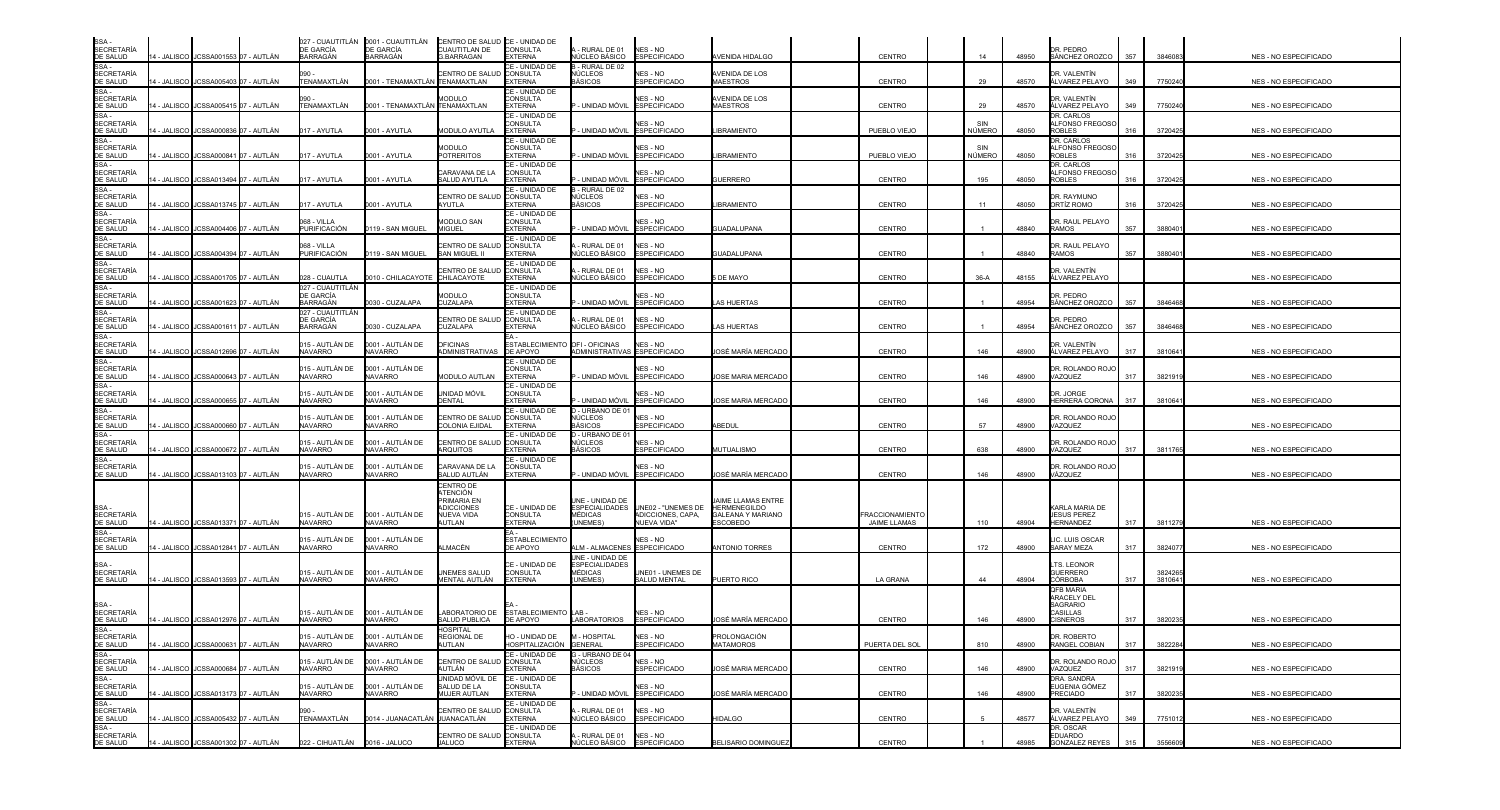| SSA -<br><b>SECRETARÍA</b>                   |                                         |                                      | <b>DE GARCÍA</b>                          | 027 - CUAUTITLÁN 0001 - CUAUTITLÁN<br>DE GARCÍA | CENTRO DE SALUD CE - UNIDAD DE<br>CUAUTITLAN DE                                          | <b>CONSULTA</b>                                     | - RURAL DE 01                                                   | NES - NO                                               |                                                                                  |                                        |               |       | DR. PEDRO                                                            |     |         |                              |
|----------------------------------------------|-----------------------------------------|--------------------------------------|-------------------------------------------|-------------------------------------------------|------------------------------------------------------------------------------------------|-----------------------------------------------------|-----------------------------------------------------------------|--------------------------------------------------------|----------------------------------------------------------------------------------|----------------------------------------|---------------|-------|----------------------------------------------------------------------|-----|---------|------------------------------|
| DE SALUD<br>SSA-                             | 14 - JALISCO I JCSSA001553 I07 - AUTLÁN |                                      | <b>BARRAGÁN</b>                           | BARRAGÁN                                        | <b>G.BARRAGAN</b>                                                                        | <b>EXTERNA</b><br>CE - UNIDAD DE                    | NÚCLEO BÁSICO<br>3 - RURAL DE 02                                | <b>ESPECIFICADO</b>                                    | AVENIDA HIDALGO                                                                  | CENTRO                                 | 14            | 48950 | SÁNCHEZ OROZCO                                                       | 357 | 3846083 | NES - NO ESPECIFICADO        |
| <b>SECRETARÍA</b><br>DE SALUD                | 4 - JALISCO JCSSA005403 07 - AUTLÁN     |                                      | 090.<br>TENAMAXTLÁN                       | 0001 - TENAMAXTLÁN TENAMAXTLAN                  | CENTRO DE SALU                                                                           | CONSULTA<br><b>EXTERNA</b>                          | NÚCLEOS<br>BÁSICOS                                              | NES - NO<br><b>ESPECIFICADO</b>                        | AVENIDA DE LOS<br><b>MAESTROS</b>                                                | CENTRO                                 | 29            | 48570 | DR. VALENTÍN<br>ÁLVAREZ PELAYO                                       | 349 | 7750240 | NES - NO ESPECIFICADO        |
| SSA-<br><b>SECRETARÍA</b><br>DE SALUD        | 4 - JALISCO I JCSSA005415 07 - AUTLÁN   |                                      | 090.<br>TENAMAXTLÁN                       | 0001 - TENAMAXTLÁN TENAMAXTLAN                  | <b>IODULO</b>                                                                            | CE - UNIDAD DE<br><b>CONSULTA</b><br><b>EXTERNA</b> | - UNIDAD MÓVIL                                                  | <b>NES - NO</b><br><b>ESPECIFICADO</b>                 | AVENIDA DE LOS<br>MAESTROS                                                       | CENTRO                                 | 29            | 48570 | DR. VALENTÍN<br>ÁLVAREZ PELAYO                                       | 349 | 7750240 | NES - NO ESPECIFICADO        |
| SSA-<br><b>SECRETARÍA</b><br>DE SALUD        |                                         | 4 - JALISCO JCSSA000836 07 - AUTLÁN  | 017 - AYUTLA                              | 0001 - AYUTLA                                   | <b>MODULO AYUTLA</b>                                                                     | CE - UNIDAD DE<br>CONSULTA<br><b>EXTERNA</b>        | - UNIDAD MÓVIL                                                  | NES - NO<br><b>ESPECIFICADO</b>                        | <b>BRAMIENTO</b>                                                                 | PUEBLO VIEJO                           | SIN<br>NÚMERO | 48050 | DR. CARLOS<br><b>ALFONSO FREGOSO</b><br><b>ROBLES</b>                | 316 | 3720425 | NES - NO ESPECIFICADO        |
| SSA -<br><b>SECRETARÍA</b><br>DE SALUD       | 1 - JALISCO IJCSSA000841 O7 - AUTLÁN    |                                      | 017 - AYUTLA                              | 0001 - AYUTLA                                   | MODULO<br><b>POTRERITOS</b>                                                              | CE - UNIDAD DE<br>CONSULTA<br><b>EXTERNA</b>        | - UNIDAD MÓVIL                                                  | NFS - NO<br><b>ESPECIFICADO</b>                        | <b>IBRAMIENTO</b>                                                                | PUEBLO VIEJO                           | SIN<br>NÚMERO | 48050 | DR. CARLOS<br>ALFONSO FREGOSC<br>ROBLES                              | 316 | 3720425 | <b>NES - NO ESPECIFICADO</b> |
| SSA-<br><b>SECRETARÍA</b><br>DE SALUD        | 4 - JALISCO JCSSA013494 07 - AUTLÁN     |                                      | 017 - AYUTLA                              | 0001 - AYUTLA                                   | CARAVANA DE LA<br>SALUD AYUTLA                                                           | CE - UNIDAD DE<br><b>CONSULTA</b><br><b>XTERNA</b>  | - UNIDAD MÓVIL                                                  | NES - NO<br><b>ESPECIFICADO</b>                        | <b>SUERRERO</b>                                                                  | <b>CENTRO</b>                          | 195           | 48050 | DR. CARLOS<br><b>ALFONSO FREGOSO</b><br><b>ROBLES</b>                | 316 | 3720425 | NES - NO ESPECIFICADO        |
| SSA-<br><b>SECRETARÍA</b>                    |                                         |                                      |                                           |                                                 | CENTRO DE SALUI                                                                          | CE - UNIDAD DE<br><b>CONSULTA</b>                   | - RURAL DE 02<br>NÚCLEOS                                        | NES - NO                                               |                                                                                  |                                        |               |       | DR. RAYMUNO                                                          |     |         |                              |
| DE SALUD<br>SSA -                            | 4 - JALISCO JCSSA013745 07 - AUTLÁN     |                                      | 017 - AYUTLA                              | 0001 - AYUTLA                                   | AYUTLA                                                                                   | <b>EXTERNA</b><br>CE - UNIDAD DE                    | <b>BÁSICOS</b>                                                  | <b>ESPECIFICADO</b>                                    | <b>BRAMIENTO</b>                                                                 | CENTRO                                 | 11            | 48050 | ORTÍZ ROMO                                                           | 316 | 372042  | NES - NO ESPECIFICADO        |
| <b>SECRETARÍA</b><br><b>DE SALUD</b>         | 4 - JALISCO JCSSA004406 07 - AUTLÁN     |                                      | )68 - VILLA<br>PURIFICACIÓN               | 0119 - SAN MIGUEL                               | <b>MODULO SAN</b><br>MIGUEL                                                              | CONSULTA<br><b>EXTERNA</b>                          | - UNIDAD MÓVIL                                                  | NES - NO<br><b>ESPECIFICADO</b>                        | GUADALUPANA                                                                      | <b>CENTRO</b>                          |               | 48840 | DR. RAUL PELAYO<br><b>RAMOS</b>                                      | 357 | 388040  | <b>NES - NO ESPECIFICADO</b> |
| SSA-<br><b>SECRETARÍA</b><br>DE SALUD        | 4 - JALISCO JCSSA004394 07 - AUTLÁN     |                                      | 068 - VILLA<br>PURIFICACIÓN               | 0119 - SAN MIGUEL                               | CENTRO DE SALL<br>SAN MIGUEL II                                                          | ∶E - UNIDAD DE<br><b>CONSULTA</b><br><b>EXTERNA</b> | - RURAL DE 01<br>NÚCLEO BÁSICO                                  | NES - NO<br><b>ESPECIFICADO</b>                        | GUADALUPANA                                                                      | CENTRO                                 |               | 48840 | DR. RAUL PELAYO<br><b>RAMOS</b>                                      | 357 | 388040  | NES - NO ESPECIFICADO        |
| SSA -<br><b>SECRETARÍA</b><br>DE SALUD       | 4 - JALISCO JCSSA001705 07 - AUTLÁN     |                                      | 028 - CUAUTLA                             | 010 - CHILACAYOTE                               | CENTRO DE SALI<br>CHILACAYOTE                                                            | CE - UNIDAD DE<br><b>CONSULTA</b><br><b>EXTERNA</b> | - RURAL DE 01<br>NÚCLEO BÁSICO                                  | NES - NO<br><b>ESPECIFICADO</b>                        | DE MAYO                                                                          | CENTRO                                 | $36-A$        | 48155 | DR. VALENTÍN<br>ÁLVAREZ PELAYO                                       |     |         | NES - NO ESPECIFICADO        |
| SSA -<br><b>SECRETARÍA</b>                   |                                         |                                      | 027 - CUAUTITLÁN<br>DE GARCÍA<br>BARRAGÁN | 030 - CUZALAPA                                  | MODULO<br>CUZALAPA                                                                       | CE - UNIDAD DE<br><b>CONSULTA</b><br><b>EXTERNA</b> | - UNIDAD MÓVIL                                                  | <b>NES - NO</b><br><b>ESPECIFICADO</b>                 |                                                                                  |                                        |               | 48954 | DR. PEDRO                                                            | 357 |         |                              |
| <b>DE SALUD</b><br>SSA -                     | 4 - JALISCO I JCSSA001623 O7 - AUTLÁN   |                                      | 027 - CUAUTITLÁN                          |                                                 |                                                                                          | CE - UNIDAD DE                                      |                                                                 |                                                        | AS HUERTAS                                                                       | <b>CENTRO</b>                          |               |       | SÁNCHEZ OROZCO                                                       |     | 3846468 | NES - NO ESPECIFICADO        |
| <b>SECRETARÍA</b><br>DE SALUD                | 4 - JALISCO JCSSA001611 07 - AUTLÁN     |                                      | DE GARCÍA<br><b>BARRAGÁN</b>              | 0030 - CUZALAPA                                 | CENTRO DE SALUD<br>CUZALAPA                                                              | <b>CONSULTA</b><br><b>EXTERNA</b>                   | - RURAL DE 01<br>NÚCLEO BÁSICO                                  | NES - NO<br><b>ESPECIFICADO</b>                        | AS HUERTAS                                                                       | <b>CENTRO</b>                          |               | 48954 | DR. PEDRO<br>SÁNCHEZ OROZCO                                          | 357 | 3846468 | NES - NO ESPECIFICADO        |
| SSA -<br><b>SECRETARÍA</b><br>DE SALUD       | 4 - JALISCO   JCSSA012696   07 - AUTLÁN |                                      | 015 - AUTLÁN DE<br><b>NAVARRO</b>         | 0001 - AUTLÁN DE<br><b>NAVARRO</b>              | <b>DFICINAS</b><br>ADMINISTRATIVAS                                                       | <b>ESTABLECIMIENTO</b><br>DE APOYO                  | OFI-OFICINAS                                                    | NES - NO<br>ADMINISTRATIVAS ESPECIFICADO               | JOSÉ MARÍA MERCADO                                                               | CENTRO                                 | 146           | 48900 | DR. VALENTÍN<br>ÁLVAREZ PELAYO                                       | 317 | 381064  | NES - NO ESPECIFICADO        |
| SSA-<br><b>SECRETARÍA</b><br><b>DE SALUD</b> | 4 - JALISCO I JCSSA000643 07 - AUTLÁN   |                                      | 015 - AUTLÁN DE<br><b>NAVARRO</b>         | 0001 - AUTLÁN DE<br><b>JAVARRO</b>              | <b>MODULO AUTLAN</b>                                                                     | CE - UNIDAD DE<br><b>CONSULTA</b><br><b>XTERNA</b>  | - UNIDAD MÓVIL                                                  | NFS - NO<br><b>ESPECIFICADO</b>                        | <b>JOSE MARIA MERCADO</b>                                                        | <b>CENTRO</b>                          | 146           | 48900 | DR. ROLANDO ROJO<br>VAZQUEZ                                          | 317 | 3821919 | NES - NO ESPECIFICADO        |
| SSA -<br><b>SECRETARIA</b>                   |                                         |                                      | 015 - AUTLÁN DE                           | 0001 - AUTLÁN DE                                | UNIDAD MÓVIL                                                                             | CE - UNIDAD DE<br><b>CONSULTA</b>                   |                                                                 | NES - NO                                               |                                                                                  |                                        |               |       | DR. JORGE                                                            |     |         |                              |
| DE SALUD<br>SSA -                            | 4 - JALISCO I JCSSA000655 I07 - AUTLÁN  |                                      | NAVARRO                                   | <b>NAVARRO</b>                                  | DENTAL                                                                                   | <b>EXTERNA</b><br>CE - UNIDAD DE                    | - UNIDAD MÓVIL<br>D - URBANO DE 01                              | <b>ESPECIFICADO</b>                                    | <b>JOSE MARIA MERCADO</b>                                                        | CENTRO                                 | 146           | 48900 | HERRERA CORONA                                                       | 317 | 381064  | NES - NO ESPECIFICADO        |
| <b>SECRETARÍA</b><br>DE SALUD                | 4 - JALISCO I JCSSA000660 I07 - AUTLAN  |                                      | 015 - AUTLÁN DE<br>NAVARRO                | 0001 - AUTLÁN DE<br><b>NAVARRO</b>              | CENTRO DE SALUI<br>COLONIA EJIDAL                                                        | <b>CONSULTA</b><br>XTERNA                           | NÚCLEOS<br>BÁSICOS                                              | <b>NES - NO</b><br><b>ESPECIFICADO</b>                 | <b>\BEDUL</b>                                                                    | CENTRO                                 | 57            | 48900 | DR. ROLANDO ROJO<br>VAZQUEZ                                          |     |         | <b>NES - NO ESPECIFICADO</b> |
| SSA -<br><b>SECRETARÍA</b><br>DE SALUD       | 4 - JALISCO JCSSA000672 07 - AUTLÁN     |                                      | 015 - AUTLÁN DE<br><b>NAVARRO</b>         | 0001 - AUTLÁN DE<br><b>NAVARRO</b>              | CENTRO DE SALUD<br><b>ARQUITOS</b>                                                       | E - UNIDAD DE<br><b>CONSULTA</b><br><b>XTERNA</b>   | - URBANO DE 0<br>NÚCLEOS<br>BÁSICOS                             | NES - NO<br><b>ESPECIFICADO</b>                        | MUTUALISMO                                                                       | <b>CENTRO</b>                          | 638           | 48900 | DR. ROLANDO ROJO<br>VAZQUEZ                                          | 317 | 381176  | NES - NO ESPECIFICADO        |
| SSA-<br><b>SECRETARÍA</b><br>DE SALUD        | 4 - JALISCO JCSSA013103 07 - AUTLÁN     |                                      | 015 - AUTLÀN DE<br><b>NAVARRO</b>         | 0001 - AUTLÁN DE<br><b>NAVARRO</b>              | CARAVANA DE LA<br>SALUD AUTLÁN                                                           | E - UNIDAD DE<br><b>CONSULTA</b><br><b>EXTERNA</b>  | - UNIDAD MÓVIL                                                  | NES - NO<br><b>ESPECIFICADO</b>                        | JOSÉ MARÍA MERCADO                                                               | CENTRO                                 | 146           | 48900 | DR. ROLANDO ROJC<br>VÁZQUEZ                                          |     |         | NES - NO ESPECIFICADO        |
| SSA-<br><b>SECRETARÍA</b><br>DE SALUD        | 14 - JALISCO JCSSA013371 07 - AUTLÁN    |                                      | 015 - AUTLÁN DE<br><b>NAVARRO</b>         | 0001 - AUTLÁN DE<br><b>NAVARRO</b>              | <b>CENTRO DE</b><br>ATENCIÓN<br>PRIMARIA EN<br><b>IDICCIONES</b><br>NUEVA VIDA<br>AUTLAN | CE - UNIDAD DE<br><b>CONSULTA</b><br><b>EXTERNA</b> | JNE - UNIDAD DE<br><b>ESPECIALIDADES</b><br>MÉDICAS<br>(UNEMES) | UNE02 - "UNEMES DE<br>ADICCIONES, CAPA,<br>NUEVA VIDA" | AIME LLAMAS ENTRE<br><b>HERMENEGILDO</b><br><b>GALEANA Y MARIANO</b><br>ESCOBEDO | <b>FRACCIONAMIENTO</b><br>JAIME LLAMAS | 110           | 48904 | KARLA MARIA DE<br><b>JESUS PEREZ</b><br><b>HERNANDEZ</b>             | 317 | 3811279 | NES - NO ESPECIFICADO        |
| SSA-<br><b>SECRETARÍA</b><br>DE SALUD        | 4 - JALISCO JCSSA012841 07 - AUTLÁN     |                                      | 015 - AUTLÁN DE<br><b>NAVARRO</b>         | 0001 - AUTLÁN DE<br><b>NAVARRO</b>              | ∖LMACÉN                                                                                  | ESTABLECIMIENTC<br><b>JE APOYO</b>                  | <b>LM - ALMACENE</b>                                            | NES - NO<br><b>ESPECIFICADO</b>                        | <b>ANTONIO TORRES</b>                                                            | CENTRO                                 | 172           | 48900 | LIC. LUIS OSCAR<br><b>SARAY MEZA</b>                                 | 317 | 382407  | NES - NO ESPECIFICADO        |
| SSA-<br><b>SECRETARÍA</b>                    |                                         |                                      | 015 - AUTLÁN DE                           | 0001 - AUTLÁN DE                                | UNEMES SALUD                                                                             | CE - UNIDAD DE<br><b>CONSULTA</b>                   | UNE - UNIDAD DE<br><b>ESPECIALIDADES</b><br><b>MÉDICAS</b>      | UNE01 - UNEMES DE                                      |                                                                                  |                                        |               |       | LTS. LEONOR<br><b>GUERRERO</b>                                       |     | 3824265 |                              |
| DE SALUD                                     | 4 - JALISCO JCSSA013593 07 - AUTLÁN     |                                      | <b>NAVARRO</b>                            | <b>NAVARRO</b>                                  | MENTAL AUTLÁN                                                                            | <b>EXTERNA</b>                                      | (UNEMES)                                                        | SALUD MENTAL                                           | PUERTO RICO                                                                      | LA GRANA                               | 44            | 48904 | <b>CÓRBOBA</b><br><b>QFB MARIA</b>                                   | 317 | 3810641 | <b>NES - NO ESPECIFICADO</b> |
| SSA -<br><b>SECRETARÍA</b><br>DE SALUD       | 14 - JALISCO I JCSSA012976 07 - AUTLÁN  |                                      | 015 - AUTLÁN DE<br><b>NAVARRO</b>         | 0001 - AUTLÁN DE<br><b>NAVARRO</b>              | LABORATORIO DE<br>SALUD PUBLICA                                                          | ESTABLECIMIENTO LAB-<br>DE APOYO                    | LABORATORIOS                                                    | NES - NO<br><b>ESPECIFICADO</b>                        | IOSÉ MARÍA MERCADO                                                               | CENTRO                                 | 146           | 48900 | <b>ARACELY DEL</b><br>SAGRARIO<br><b>CASILLAS</b><br><b>CISNEROS</b> | 317 | 3820235 | NES - NO ESPECIFICADO        |
| <b>SECRETARÍA</b>                            |                                         |                                      | 015 - AUTLÁN DE                           | 0001 - AUTLÁN DE                                | IOSPITAL<br><b>REGIONAL DE</b>                                                           | HO - UNIDAD DE                                      | M - HOSPITAL                                                    | NES - NO                                               | PROLONGACIÓN                                                                     |                                        |               |       | DR. ROBERTO                                                          |     |         |                              |
| DE SALUD<br>SSA -<br><b>SECRETARÍA</b>       | 14 - JALISCO I JCSSA000631 07 - AUTLÁN  |                                      | <b>NAVARRO</b><br>015 - AUTLÁN DE         | <b>NAVARRO</b><br>0001 - AUTLÁN DE              | AUTLAN<br>CENTRO DE SALUD CONSULTA                                                       | HOSPITALIZACIÓN GENERAL<br>CE - UNIDAD DE           | G - URBANO DE 04<br>NÚCLEOS                                     | <b>ESPECIFICADO</b><br>NES - NO                        | <b>MATAMOROS</b>                                                                 | PUERTA DEL SOL                         | 810           | 48900 | RANGEL COBIAN<br>DR. ROLANDO ROJC                                    | 317 | 3822284 | <b>NES - NO ESPECIFICADO</b> |
| DE SALUD<br>SSA -                            | 14 - JALISCO JCSSA000684 07 - AUTLÁN    |                                      | <b>NAVARRO</b>                            | NAVARRO                                         | AUTLÁN<br>unidad móvil de                                                                | <b>EXTERNA</b><br>CE - UNIDAD DE                    | <b>BÁSICOS</b>                                                  | <b>ESPECIFICADO</b>                                    | JOSÉ MARIA MERCADO                                                               | CENTRO                                 | 146           | 48900 | VAZQUEZ<br>DRA. SANDRA                                               | 317 | 3821919 | NES - NO ESPECIFICADO        |
| SECRETARÍA<br>DE SALUD                       | 14 - JALISCO I JCSSA013173 07 - AUTLÁN  |                                      | 015 - AUTLÁN DE<br>NAVARRO                | 0001 - AUTLÁN DE<br>NAVARRO                     | SALUD DE LA<br><b>MUJER AUTLAN</b>                                                       | <b>CONSULTA</b><br><b>EXTERNA</b>                   | - UNIDAD MÓVIL                                                  | NES - NO<br><b>ESPECIFICADO</b>                        | JOSÉ MARÍA MERCADO                                                               | CENTRO                                 | 146           | 48900 | EUGENIA GÓMEZ<br><b>PRECIADO</b>                                     | 317 | 3820235 | NES - NO ESPECIFICADO        |
| SSA -<br><b>SECRETARÍA</b><br>DE SALUD       | 14 - JALISCO JCSSA005432 07 - AUTLÁN    |                                      | 090 -<br>TENAMAXTLÁN                      | 0014 - JUANACATLÁN UUANACATLÁN                  | CENTRO DE SALUD CONSULTA                                                                 | CE - UNIDAD DE<br><b>EXTERNA</b>                    | - RURAL DE 01                                                   | NES - NO<br>NÚCLEO BÁSICO ESPECIFICADO                 | <b>HIDALGO</b>                                                                   | CENTRO                                 |               | 48577 | DR. VALENTÍN<br>ÁLVAREZ PELAYO                                       | 349 | 7751012 | NES - NO ESPECIFICADO        |
| SSA -<br><b>SECRETARÍA</b>                   |                                         |                                      |                                           |                                                 | <b>CENTRO DE SALUD</b>                                                                   | CE - UNIDAD DE<br><b>CONSULTA</b>                   | - RURAL DE 01                                                   | NES - NO                                               |                                                                                  |                                        |               |       | DR. OSCAR<br><b>EDUARDO</b>                                          |     |         |                              |
| DE SALUD                                     |                                         | 14 - JALISCO JCSSA001302 07 - AUTLÁN | 022 - CIHUATLÁN 0016 - JALUCO             |                                                 | <b>JALUCO</b>                                                                            | <b>EXTERNA</b>                                      |                                                                 | NÚCLEO BÁSICO ESPECIFICADO                             | BELISARIO DOMINGUEZ                                                              | CENTRO                                 |               | 48985 | <b>GONZALEZ REYES</b>                                                | 315 | 3556609 | NES - NO ESPECIFICADO        |

| NES - NO ESPECIFICADO |
|-----------------------|
| NES - NO ESPECIFICADO |
| NES - NO ESPECIFICADO |
| NES - NO ESPECIFICADO |
| NES - NO ESPECIFICADO |
| NES - NO ESPECIFICADO |
| NES - NO ESPECIFICADO |
| NES - NO ESPECIFICADO |
| NES - NO ESPECIFICADO |
| NES - NO ESPECIFICADO |
| NES - NO ESPECIFICADO |
| NES - NO ESPECIFICADO |
| NES - NO ESPECIFICADO |
| NES - NO ESPECIFICADO |
| NES - NO ESPECIFICADO |
| NES - NO ESPECIFICADO |
| NES - NO ESPECIFICADO |
| NES - NO ESPECIFICADO |
|                       |
| NES - NO ESPECIFICADO |
| NES - NO ESPECIFICADO |
| NES - NO ESPECIFICADO |
|                       |
| NES - NO ESPECIFICADO |
| NES - NO ESPECIFICADO |
| NES - NO ESPECIFICADO |
| NES - NO ESPECIFICADO |
| NES - NO ESPECIFICADO |
| NES - NO ESPECIFICADO |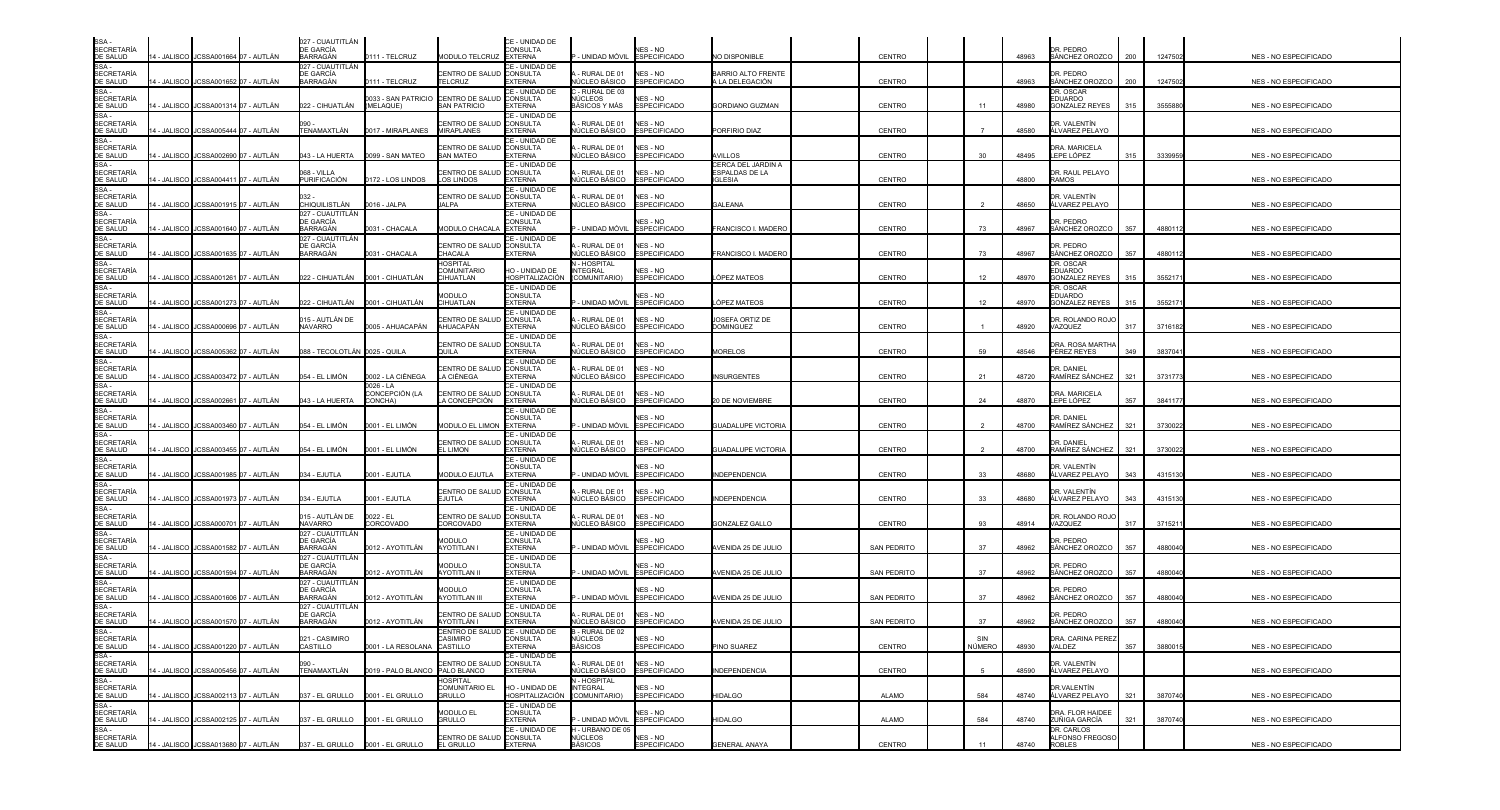| SSA<br><b>SECRETARÍA</b>                          |             |                                         | 027 - CUAUTITLÁN<br><b>DE GARCÍA</b>             |                                 |                                                        | CE - UNIDAD DE<br>CONSULTA                          |                                               | NES - NO                               |                                                             |                    |                      |       | DR. PEDRO                                            |     |                     |                              |
|---------------------------------------------------|-------------|-----------------------------------------|--------------------------------------------------|---------------------------------|--------------------------------------------------------|-----------------------------------------------------|-----------------------------------------------|----------------------------------------|-------------------------------------------------------------|--------------------|----------------------|-------|------------------------------------------------------|-----|---------------------|------------------------------|
| DE SALUD                                          |             | 14 - JALISCO JJCSSA001664 07 - AUTLÁN   | BARRAGÁN                                         | 111 - TELCRUZ                   | MODULO TELCRUZ EXTERNA                                 |                                                     | - UNIDAD MÓVIL                                | <b>ESPECIFICADO</b>                    | NO DISPONIBLE                                               | <b>CENTRO</b>      |                      | 48963 | SÁNCHEZ OROZCO                                       | 200 | 1247502             | NES - NO ESPECIFICADO        |
| SSA-<br><b>SECRETARÍA</b><br>DE SALUD             |             | 14 - JALISCO JCSSA001652 07 - AUTLÁN    | 027 - CUAUTITLÁN<br>DE GARCÍA<br>BARRAGÁN        | 111 - TELCRUZ                   | CENTRO DE SALUD<br><b>TELCRUZ</b>                      | CE - UNIDAD DE<br><b>CONSULTA</b><br>EXTERNA        | RURAL DE 01<br>ÚCLEO BÁSICO                   | NES - NO<br><b>ESPECIFICADO</b>        | BARRIO ALTO FRENTE<br>LA DELEGACIÓN                         | <b>CENTRO</b>      |                      | 48963 | DR. PEDRO<br>SÁNCHEZ OROZCO                          | 200 | 1247502             | NES - NO ESPECIFICADO        |
| SSA-<br><b>SECRETARÍA</b><br>DE SALUD             |             | 14 - JALISCO JCSSA001314 07 - AUTLAN    | 022 - CIHUATLÁN                                  | 033 - SAN PATRICIO<br>(MELAQUE) | CENTRO DE SALU<br>SAN PATRICIO                         | CE - UNIDAD DE<br><b>CONSULTA</b><br>EXTERNA        | - RURAL DE 03<br>ÚCLEOS<br>BÁSICOS Y MÁS      | NES - NO<br><b>ESPECIFICADO</b>        | GORDIANO GUZMAN                                             | <b>CENTRO</b>      | 11                   | 48980 | DR. OSCAR<br><b>EDUARDO</b><br><b>GONZALEZ REYES</b> | 315 | 3555880             | NES - NO ESPECIFICADO        |
| SSA-<br><b>SECRETARÍA</b><br>DE SALUD             |             | 4 - JALISCO JJCSSA005444 07 - AUTLÁN    | TENAMAXTLÁN                                      | 0017 - MIRAPLANES               | CENTRO DE SALI<br><b>MIRAPLANES</b>                    | CE - UNIDAD DE<br>CONSULTA<br><b>EXTERNA</b>        | RURAL DE 01<br>ÚCLEO BÁSICO                   | NES - NO<br><b>ESPECIFICADO</b>        | PORFIRIO DIAZ                                               | <b>CENTRO</b>      |                      | 48580 | DR. VALENTÍN<br>ÁLVAREZ PELAYO                       |     |                     | NES - NO ESPECIFICADO        |
| SSA -<br><b>SECRETARÍA</b><br>DE SALUD            |             | 4 - JALISCO I JCSSA002690 07 - AUTLÁN   | 043 - LA HUERTA                                  | 0099 - SAN MATEO                | CENTRO DE SALI<br><b>SAN MATEO</b>                     | CE - UNIDAD DE<br><b>CONSULTA</b><br>EXTERNA        | RURAL DE 01<br>ÚCLEO BÁSICO                   | NES - NO<br><b>ESPECIFICADO</b>        | <b>VILLOS</b>                                               | <b>CENTRO</b>      | 30                   | 48495 | DRA. MARICELA<br>LEPE LÓPEZ                          | 315 | 3339959             | <b>NES - NO ESPECIFICADO</b> |
| SSA-<br><b>SECRETARÍA</b><br>DE SALUD             |             | 4 - JALISCO JCSSA004411 07 - AUTLÁN     | 068 - VILLA<br>PURIFICACIÓN                      | 172 - LOS LINDOS                | CENTRO DE SALU<br><b>LOS LINDOS</b>                    | CE - UNIDAD DE<br><b>CONSULTA</b><br>EXTERNA        | RURAL DE 01<br>IÚCLEO BÁSICO                  | NES - NO<br><b>ESPECIFICADO</b>        | CERCA DEL JARDIN A<br><b>SPALDAS DE LA</b><br><b>GLESIA</b> | <b>CENTRO</b>      |                      | 48800 | DR. RAUL PELAYO<br><b>RAMOS</b>                      |     |                     | NES - NO ESPECIFICADO        |
| SSA-<br><b>SECRETARÍA</b>                         |             |                                         |                                                  |                                 | CENTRO DE SALUD                                        | CE - UNIDAD DE<br><b>CONSULTA</b>                   | - RURAL DE 01                                 | NES - NO                               |                                                             |                    |                      |       | DR. VALENTÍN                                         |     |                     |                              |
| DE SALUD<br>SSA -                                 |             | 14 - JALISCO JCSSA001915 07 - AUTLÁN    | CHIQUILISTLÁN<br>027 - CUAUTITLÁN                | 0016 - JALPA                    | <b>JAI PA</b>                                          | EXTERNA<br>CE - UNIDAD DE                           | <b>IÚCLEO BÁSICO</b>                          | <b>ESPECIFICADO</b>                    | <b>GALEANA</b>                                              | <b>CENTRO</b>      |                      | 48650 | ÁLVAREZ PELAYO                                       |     |                     | NES - NO ESPECIFICADO        |
| <b>SECRETARÍA</b><br>DE SALUD                     |             | 14 - JALISCO JJCSSA001640 07 - AUTLÁN   | DE GARCÍA<br>BARRAGÁN                            | 0031 - CHACALA                  | MODULO CHACALA                                         | CONSULTA<br><b>EXTERNA</b>                          | - UNIDAD MÓVIL                                | <b>NES - NO</b><br><b>ESPECIFICADO</b> | FRANCISCO I. MADERO                                         | <b>CENTRO</b>      | 73                   | 48967 | DR. PEDRO<br>SÁNCHEZ OROZCO                          | 357 | 488011              | <b>NES - NO ESPECIFICADO</b> |
| SSA-<br><b>SECRETARÍA</b><br>DE SALUD             | 4 - JALISCO | JCSSA001635 07 - AUTLÁN                 | 027 - CUAUTITLAN<br>DE GARCÍA<br><b>BARRAGÁN</b> | 031 - CHACALA                   | CENTRO DE SALU<br><b>CHACALA</b>                       | CE - UNIDAD DE<br><b>CONSULTA</b><br><b>EXTERNA</b> | RURAL DE 01<br>IÚCLEO BÁSICO                  | NES - NO<br><b>ESPECIFICADO</b>        | FRANCISCO I. MADERC                                         | <b>CENTRO</b>      | 73                   | 48967 | DR. PEDRO<br>SÁNCHEZ OROZCO                          | 357 | 4880112             | NES - NO ESPECIFICADO        |
| SSA -<br><b>SECRETARÍA</b><br>DE SALUD            |             | 4 - JALISCO JCSSA001261 07 - AUTLÁN     | )22 - CIHUATLÁN                                  | 0001 - CIHUATLÁN                | <b>HOSPITAL</b><br>COMUNITARIO<br>CIHUATLAN            | HO - UNIDAD DE<br>HOSPITALIZACIÓN                   | - HOSPITAL<br><b>NTEGRAL</b><br>(COMUNITARIO) | NES - NO<br><b>ESPECIFICADO</b>        | ÓPEZ MATEOS                                                 | <b>CENTRO</b>      | 12                   | 48970 | DR. OSCAR<br><b>EDUARDO</b><br><b>GONZALEZ REYES</b> | 315 | 355217              | NES - NO ESPECIFICADO        |
| SSA -<br><b>SECRETARÍA</b><br>DE SALUD            | 4 - JALISCO | JCSSA001273 07 - AUTLÁN                 | )22 - CIHUATLÁN                                  | 0001 - CIHUATLÁN                | <b>MODULO</b><br>CIHUATLAN                             | CE - UNIDAD DE<br><b>CONSULTA</b><br><b>EXTERNA</b> | - UNIDAD MÓVIL                                | NES - NO<br><b>ESPECIFICADO</b>        | ÓPEZ MATEOS                                                 | <b>CENTRO</b>      | 12                   | 48970 | DR. OSCAR<br><b>EDUARDO</b><br><b>GONZALEZ REYES</b> | 315 | 355217 <sup></sup>  | NES - NO ESPECIFICADO        |
| SSA -<br><b>SECRETARÍA</b><br>DE SALUD            |             | 14 - JALISCO I JCSSA000696 07 - AUTLÁN  | 015 - AUTLAN DE<br><b>NAVARRO</b>                | 0005 - AHUACAPÁN                | CENTRO DE SALL<br>AHUACAPÁN                            | CE - UNIDAD DE<br>CONSULTA<br><b>EXTERNA</b>        | - RURAL DE 01<br><b>IÚCLEO BÁSICO</b>         | NES - NO<br><b>ESPECIFICADO</b>        | <b>OSEFA ORTIZ DE</b><br><b>DOMINGUEZ</b>                   | <b>CENTRO</b>      |                      | 48920 | DR. ROLANDO ROJO<br>VAZQUEZ                          | 317 | 3716182             | NES - NO ESPECIFICADO        |
| SSA -<br><b>SECRETARÍA</b><br>DE SALUD            |             | 14 - JALISCO JCSSA005362 07 - AUTLAN    | 088 - TECOLOTLÁN 10025 - QUILA                   |                                 | CENTRO DE SALUI<br>A IIILA                             | CF - UNIDAD DE<br>CONSULTA<br>EXTERNA               | RURAL DE 01<br>ÚCLEO BÁSICO                   | NES - NO<br><b>ESPECIFICADO</b>        | <b>MORELOS</b>                                              | <b>CENTRO</b>      | 59                   | 48546 | DRA. ROSA MARTHA<br>PÉREZ REYES                      | 349 | 383704              | NES - NO ESPECIFICADO        |
| SSA-<br><b>SECRETARÍA</b><br>DE SALUD             |             | 4 - JALISCO JCSSA003472 07 - AUTLÁN     | 054 - EL LIMÓN                                   | 0002 - LA CIÉNEGA               | CENTRO DE SALU<br>A CIÉNEGA                            | CE - UNIDAD DE<br><b>CONSULTA</b><br>EXTERNA        | RURAL DE 01<br>ÚCLEO BÁSICO                   | NES - NO<br><b>ESPECIFICADO</b>        | <b>NSURGENTES</b>                                           | <b>CENTRO</b>      | 21                   | 48720 | DR. DANIEL<br>RAMÍREZ SÁNCHEZ                        | 321 | 3731773             | NES - NO ESPECIFICADO        |
| SSA-<br><b>SECRETARÍA</b>                         |             |                                         | 043 - LA HUERTA                                  | 0026 - LA<br>CONCEPCIÓN (LA     | CENTRO DE SALU                                         | CE - UNIDAD DE<br>CONSULTA                          | RURAL DE 01                                   | NES - NO                               |                                                             |                    |                      |       | DRA. MARICELA                                        |     |                     |                              |
| DE SALUD<br>SSA -<br><b>SECRETARÍA</b>            |             | 4 - JALISCO JCSSA002661 07 - AUTLÁN     |                                                  | CONCHA)                         | A CONCEPCIÓN                                           | <b>EXTERNA</b><br>CE - UNIDAD DE<br>CONSULTA        | ÚCLEO BÁSICO                                  | <b>ESPECIFICADO</b><br>NFS - NO        | 20 DE NOVIEMBRE                                             | <b>CENTRO</b>      | 24                   | 48870 | LEPE LÓPEZ<br>DR. DANIEL                             | 357 | 384117              | NES - NO ESPECIFICADO        |
| DE SALUD<br>SSA-<br><b>SECRETARÍA</b>             |             | 4 - JALISCO JCSSA003460 07 - AUTLÁN     | 054 - EL LIMÓN                                   | 0001 - EL LIMÓN                 | MODULO EL LIMON<br>CENTRO DE SALUD                     | <b>EXTERNA</b><br>CE - UNIDAD DE<br>CONSULTA        | - UNIDAD MÓVIL<br>RURAL DE 01                 | <b>ESPECIFICADO</b><br>NES - NO        | SUADALUPE VICTORIA                                          | <b>CENTRO</b>      |                      | 48700 | RAMÍREZ SÁNCHEZ<br>DR. DANIEL                        | 321 | 3730022             | <b>NES - NO ESPECIFICADO</b> |
| DE SALUD<br>SSA-<br><b>SECRETARÍA</b>             |             | 14 - JALISCO JCSSA003455 07 - AUTLÁN    | 054 - EL LIMÓN                                   | 0001 - EL LIMÓN                 | EL LIMON                                               | EXTERNA<br>CE - UNIDAD DE                           | <b>IÚCLEO BÁSICO</b>                          | <b>ESPECIFICADO</b>                    | <b>SUADALUPE VICTORIA</b>                                   | <b>CENTRO</b>      |                      | 48700 | RAMÍREZ SÁNCHEZ                                      | 321 | 373002              | NES - NO ESPECIFICADO        |
| DE SALUD                                          |             | 14 - JALISCO JCSSA001985 07 - AUTLÁN    | 034 - EJUTLA                                     | 0001 - EJUTLA                   | <b>MODULO EJUTLA</b>                                   | CONSULTA<br><b>EXTERNA</b>                          | - UNIDAD MÓVIL                                | NES - NO<br><b>ESPECIFICADO</b>        | <b>INDEPENDENCIA</b>                                        | <b>CENTRO</b>      | 33                   | 48680 | DR. VALENTIN<br>ÁLVAREZ PELAYO                       | 343 | 4315130             | NES - NO ESPECIFICADO        |
| SSA -<br><b>SECRETARÍA</b><br>DE SALUD            | 4 - JALISCO | JCSSA001973 07 - AUTLÁN                 | 034 - EJUTLA                                     | 001 - EJUTLA                    | CENTRO DE SALUI<br><b>EJUTLA</b>                       | CE - UNIDAD DE<br><b>CONSULTA</b><br>EXTERNA        | RURAL DE 01<br>IÚCLEO BÁSICO                  | NES - NO<br><b>ESPECIFICADO</b>        | NDEPENDENCIA                                                | <b>CENTRO</b>      | 33                   | 48680 | DR. VALENTÍN<br>ÁLVAREZ PELAYO                       | 343 | 4315130             | NES - NO ESPECIFICADO        |
| SSA -<br><b>SECRETARÍA</b><br>DE SALUD            | 4 - JALISCO | JCSSA000701 07 - AUTLÁN                 | 015 - AUTLÁN DE<br>NAVARRO                       | 0022 - EL<br>CORCOVADO          | CENTRO DE SAL<br>CORCOVADO                             | CE - UNIDAD DE<br>CONSULTA<br><b>EXTERNA</b>        | RURAL DE 01<br>IÚCLEO BÁSICO                  | NES - NO<br><b>ESPECIFICADO</b>        | <b>GONZALEZ GALLO</b>                                       | <b>CENTRO</b>      | 93                   | 48914 | DR. ROLANDO ROJO<br>VAZQUEZ                          | 317 | 371521 <sup>-</sup> | NES - NO ESPECIFICADO        |
| SSA -<br><b>SECRETARÍA</b><br>DE SALUD            |             | 4 - JALISCO JCSSA001582 07 - AUTLÁN     | 027 - CUAUTITLÁN<br>DE GARCÍA<br><b>BARRAGÁN</b> | 012 - AYOTITLÁN                 | <b>MODULO</b><br><b>AYOTITLAN I</b>                    | CE - UNIDAD DE<br><b>CONSULTA</b><br>EXTERNA        | - UNIDAD MÓVIL                                | NES - NO<br><b>ESPECIFICADO</b>        | <b>VENIDA 25 DE JULIO</b>                                   | <b>SAN PEDRITO</b> | 37                   | 48962 | DR. PEDRO<br>SÁNCHEZ OROZCO                          | 357 | 4880040             | <b>NES - NO ESPECIFICADO</b> |
| SSA-<br><b>SECRETARÍA</b><br>DE SALUD             |             | 4 - JALISCO I JCSSA001594 I07 - AUTLÁN  | 027 - CUAUTITLÁN<br>DE GARCÍA<br><b>BARRAGÁN</b> | 0012 - AYOTITLÁN                | <b>MODULO</b><br><b>AYOTITLAN I</b>                    | CE - UNIDAD DE<br><b>CONSULTA</b><br><b>EXTERNA</b> | - UNIDAD MÓVIL                                | NES - NO<br><b>ESPECIFICADO</b>        | VENIDA 25 DE JULIO                                          | <b>SAN PEDRITO</b> | 37                   | 48962 | DR. PEDRO<br>SÁNCHEZ OROZCO                          | 357 | 4880040             | NES - NO ESPECIFICADO        |
| SSA-<br><b>SECRETARÍA</b>                         |             |                                         | )27 - CUAUTITLÁN<br>DE GARCÍA                    |                                 | <b>MODULO</b>                                          | CE - UNIDAD DE<br>CONSULTA                          |                                               | <b>NES - NO</b>                        |                                                             |                    |                      |       | DR. PEDRO                                            |     |                     |                              |
| DE SALUD<br>SSA-<br><b>SECRETARÍA</b>             |             | 14 - JALISCO   JCSSA001606  07 - AUTLÁN | BARRAGÁN<br>027 - CUAUTITLAN<br>DE GARCIA        | 0012 - AYOTITLÁN                | AYOTITLAN III<br><b>ENTRO DE SALU</b>                  | <b>EXTERNA</b><br>CE - UNIDAD DE<br><b>CONSULTA</b> | - UNIDAD MÓVIL<br>RURAL DE 01                 | <b>ESPECIFICADO</b><br>NES - NO        | <b>NVENIDA 25 DE JULIO</b>                                  | SAN PEDRITO        | 37                   | 48962 | SÁNCHEZ OROZCO<br>DR. PEDRC                          | 357 | 4880040             | NES - NO ESPECIFICADO        |
| DE SALUD<br>SSA -                                 |             | 14 - JALISCO JCSSA001570 07 - AUTLÁN    | 3ARRAGÁN                                         | 0012 - AYOTITLÁN                | AYOTITLÁN I<br>CENTRO DE SALUD <b>I</b> CE - UNIDAD DE | EXTERNA                                             | ÚCLEO BÁSICO<br>- RURAL DE 02                 | ESPECIFICADO                           | AVENIDA 25 DE JULIO                                         | <b>SAN PEDRITO</b> | 37                   | 48962 | SÁNCHEZ OROZCO                                       | 357 | 4880040             | NES - NO ESPECIFICADO        |
| SECRETARÍA<br>DE SALUD<br>SSA -                   |             | 14 - JALISCO JJCSSA001220 07 - AUTLÁN   | 021 - CASIMIRO<br>CASTILLO                       | 0001 - LA RESOLANA              | CASIMIRO<br>CASTILLO                                   | CONSULTA<br><b>EXTERNA</b><br>CE - UNIDAD DE        | NÚCLEOS<br><b>BÁSICOS</b>                     | NES - NO<br><b>ESPECIFICADO</b>        | PINO SUAREZ                                                 | <b>CENTRO</b>      | SIN<br><b>NÚMERO</b> | 48930 | DRA. CARINA PEREZ<br>VALDEZ                          | 357 | 3880015             | NES - NO ESPECIFICADO        |
| <b>SECRETARÍA</b><br>DE SALUD                     |             | 14 - JALISCO JCSSA005456 07 - AUTLÁN    | . 090<br>TENAMAXTLÁN                             | 0019 - PALO BLANCO PALO BLANCO  | CENTRO DE SALUD                                        | <b>CONSULTA</b><br><b>EXTERNA</b>                   | - RURAL DE 01<br>IÚCLEO BÁSICO                | NES - NO<br><b>ESPECIFICADO</b>        | NDEPENDENCIA                                                | <b>CENTRO</b>      | -5                   | 48590 | DR. VALENTÍN<br>ÁLVAREZ PELAYO                       |     |                     | NES - NO ESPECIFICADO        |
| SSA -<br>SSA -<br>SECRETARÍA<br>DE SALUD<br>SSA - |             | 14 - JALISCO JCSSA002113 07 - AUTLÁN    |                                                  |                                 | HOSPITAL<br><b>COMUNITARIO EL</b><br><b>GRULLO</b>     | HO - UNIDAD DE<br><b>HOSPITALIZACIÓN</b>            | - HOSPITAL<br><b>NTEGRAL</b><br>COMUNITARIO)  | NES - NO<br><b>ESPECIFICADO</b>        | HIDALGO                                                     | <b>ALAMO</b>       | 584                  | 48740 | DR.VALENTÍN<br>ÁLVAREZ PELAYO                        | 321 | 3870740             | <b>NES - NO ESPECIFICADO</b> |
| SECRETARÍA                                        |             | 14 - JALISCO JJCSSA002125 07 - AUTLÁN   | 037 - EL GRULLO                                  | 0001 - EL GRULLO                | MODULO EL<br>GRULLO                                    | CE - UNIDAD DE<br>CONSULTA<br><b>EXTERNA</b>        | - UNIDAD MÓVIL                                | NES - NO<br><b>ESPECIFICADO</b>        | <b>HIDALGO</b>                                              | <b>ALAMO</b>       | 584                  | 48740 | DRA. FLOR HAIDEE<br>ZUÑIGA GARCÍA                    | 321 | 3870740             | NES - NO ESPECIFICADO        |
| DE SALUD<br>SSA -<br><b>SECRETARÍA</b>            |             |                                         |                                                  |                                 | CENTRO DE SALUD                                        | CE - UNIDAD DE<br><b>CONSULTA</b>                   | I - URBANO DE 05<br>NÚCLEOS                   | NES - NO                               |                                                             |                    |                      |       | DR. CARLOS<br>ALFONSO FREGOSO                        |     |                     |                              |
| DE SALUD                                          |             | 14 - JALISCO JJCSSA013680 07 - AUTLÁN   |                                                  |                                 | <b>EL GRULLO</b>                                       | <b>EXTERNA</b>                                      | <b>BÁSICOS</b>                                | <b>ESPECIFICADO</b>                    | <b>GENERAL ANAYA</b>                                        | CENTRO             | 11                   | 48740 | <b>ROBLES</b>                                        |     |                     | NES - NO ESPECIFICADO        |

| <b>NES - NO ESPECIFICADO</b> |
|------------------------------|
| NES - NO ESPECIFICADO        |
| NES - NO ESPECIFICADO        |
| NES - NO ESPECIFICADO        |
| NES - NO ESPECIFICADO        |
| NES - NO ESPECIFICADO        |
| NES - NO ESPECIFICADO        |
| NES - NO ESPECIFICADO        |
| NES - NO ESPECIFICADO        |
| NES - NO ESPECIFICADO        |
| NES - NO ESPECIFICADO        |
| NES - NO ESPECIFICADO        |
| NES - NO ESPECIFICADO        |
| NES - NO ESPECIFICADO        |
| NES - NO ESPECIFICADO        |
| NES - NO ESPECIFICADO        |
| NES - NO ESPECIFICADO        |
| NES - NO ESPECIFICADO        |
| NES - NO ESPECIFICADO        |
| NES - NO ESPECIFICADO        |
| NES - NO ESPECIFICADO        |
| NES - NO ESPECIFICADO        |
| NES - NO ESPECIFICADO        |
| NES - NO ESPECIFICADO        |
| NES - NO ESPECIFICADO        |
| NES - NO ESPECIFICADO        |
| NES - NO ESPECIFICADO        |
| NES - NO ESPECIFICADO        |
| NES - NO ESPECIFICADO        |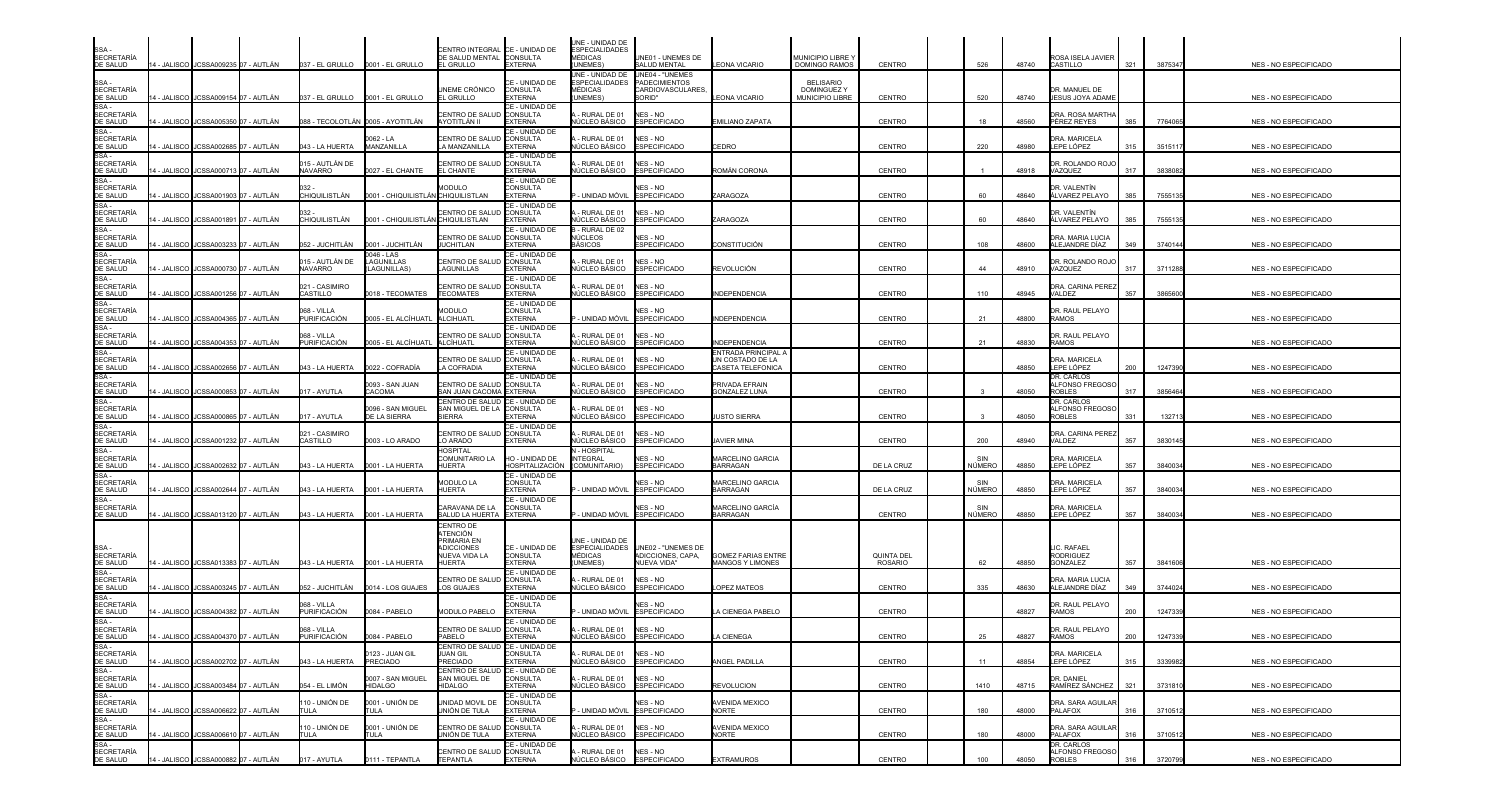| <b>SECRETARÍA</b><br>DE SALUD          |                    | 14 - JALISCO I JCSSA009235 07 - AUTLÁN |                                   |                                       | CENTRO INTEGRAL CE - UNIDAD DE<br>DE SALUD MENTAL CONSULTA<br>EL GRULLO              | <b>EXTERNA</b>                                      | UNE - UNIDAD DE<br><b>ESPECIALIDADES</b><br><b>MÉDICAS</b><br>UNEMES)   | JNE01 - UNEMES DE<br>SALUD MENTAL                                             | EONA VICARIO                                                 | MUNICIPIO LIBRE <sup>®</sup><br><b>DOMINGO RAMOS</b>     | CENTRO                              |               | 526<br>48740 |               | ROSA ISELA JAVIER<br>CASTILLO              | 321 | 3875347 | NES - NO ESPECIFICADO        |
|----------------------------------------|--------------------|----------------------------------------|-----------------------------------|---------------------------------------|--------------------------------------------------------------------------------------|-----------------------------------------------------|-------------------------------------------------------------------------|-------------------------------------------------------------------------------|--------------------------------------------------------------|----------------------------------------------------------|-------------------------------------|---------------|--------------|---------------|--------------------------------------------|-----|---------|------------------------------|
| SSA-<br><b>SECRETARÍA</b><br>DE SALUD  |                    | I - JALISCO JCSSA009154 07 - AUTLÁN    | 037 - EL GRULLO                   | 0001 - EL GRULLO                      | <b>UNEME CRÓNICO</b><br>EL GRULLO                                                    | CE - UNIDAD DE<br>CONSULTA<br><b>EXTERNA</b>        | JNE - UNIDAD DE<br><b>ESPECIALIDADES</b><br><b>MÉDICAS</b><br>UNEMES    | UNE04 - "UNEMES<br><b>PADECIMIENTOS</b><br>CARDIOVASCULARES,<br><b>SORID"</b> | <b>EONA VICARIO</b>                                          | <b>BELISARIO</b><br><b>DOMINGUEZY</b><br>MUNICIPIO LIBRE | CENTRO                              |               | 520<br>48740 |               | DR. MANUEL DE<br><b>JESUS JOYA ADAMI</b>   |     |         | NES - NO ESPECIFICADO        |
| SSA-<br><b>SECRETARÍA</b><br>DE SALUD  |                    | I - JALISCO IJCSSA005350 O7 - AUTLÁN   |                                   | 088 - TECOLOTLÁN 10005 - AYOTITLÁN    | CENTRO DE SALUD<br>AYOTITLÁN II                                                      | CE - UNIDAD DE<br><b>CONSULTA</b><br><b>EXTERNA</b> | RURAL DE 01<br>IÚCLEO BÁSICO                                            | NES - NO<br><b>ESPECIFICADO</b>                                               | EMILIANO ZAPATA                                              |                                                          | CENTRO                              | 18            | 48560        |               | DRA. ROSA MARTHA<br>PÉREZ REYES            | 385 | 7764065 | NES - NO ESPECIFICADO        |
| SSA -<br><b>SECRETARÍA</b><br>DE SALUD | - JALISCO          | JCSSA002685 07 - AUTLÁN                | 043 - LA HUERTA                   | )062 - LA<br>MANZANILLA               | ENTRO DE SALUD<br>A MANZANILLA                                                       | CE - UNIDAD DE<br>CONSULTA<br><b>EXTERNA</b>        | RURAL DE 01<br>ÚCLEO BÁSICO                                             | NES - NO<br><b>ESPECIFICADO</b>                                               | CEDRO                                                        |                                                          | <b>CENTRO</b>                       | 220           | 48980        |               | <b>DRA. MARICELA</b><br>LEPE LÓPEZ         | 315 | 351511  | NES - NO ESPECIFICADO        |
| SSA-<br><b>SECRETARÍA</b><br>DE SALUD  |                    | - JALISCO JJCSSA000713 07 - AUTLÁN     | )15 - AUTLÁN DE<br>NAVARRO        | 027 - EL CHANTE                       | CENTRO DE SALUD<br><b>EL CHANTE</b>                                                  | CE - UNIDAD DE<br><b>CONSULTA</b><br><b>EXTERNA</b> | RURAL DE 01<br>ÚCLEO BÁSICO                                             | NES - NO<br><b>ESPECIFICADO</b>                                               | ROMÁN CORONA                                                 |                                                          | <b>CENTRO</b>                       |               | 48918        |               | <b>DR. ROLANDO ROJO</b><br>VAZQUEZ         | 317 | 3838082 | <b>NES - NO ESPECIFICADO</b> |
| SSA-<br><b>SECRETARÍA</b><br>DE SALUD  | - JALISCO          | JCSSA001903 07 - AUTLÁN                | CHIQUILISTLÁN                     | 0001 - CHIQUILISTLÁN CHIQUILISTLAN    | MODULO                                                                               | CE - UNIDAD DE<br>CONSULTA<br><b>EXTERNA</b>        | UNIDAD MÓVIL                                                            | NES - NO<br><b>ESPECIFICADO</b>                                               | <b>ARAGOZA</b>                                               |                                                          | CENTRO                              | 60            | 48640        |               | DR. VALENTÍN<br>ÁLVAREZ PELAYO             | 385 | 7555135 | NES - NO ESPECIFICADO        |
| SSA -<br><b>SECRETARÍA</b><br>DE SALUD |                    | - JALISCO I JCSSA001891 I07 - AUTLÁN   | CHIQUILISTLÁN                     | 0001 - CHIQUILISTLÁN CHIQUILISTLAN    | CENTRO DE SALUI                                                                      | CE - UNIDAD DE<br>CONSULTA<br><b>EXTERNA</b>        | RURAL DE 01<br>IÚCLEO BÁSICO                                            | NES - NO<br><b>ESPECIFICADO</b>                                               | <b>ARAGOZA</b>                                               |                                                          | <b>CENTRO</b>                       | 60            | 48640        |               | DR. VALENTÍN<br>ÁLVAREZ PELAYO             | 385 | 755513  | NES - NO ESPECIFICADO        |
| SSA<br><b>SECRETARÍA</b><br>DE SALUD   |                    | 4 - JALISCO JCSSA003233 07 - AUTLÁN    | 052 - JUCHITLÁN                   | 0001 - JUCHITLÁN                      | CENTRO DE SALUD<br><b>JUCHITLAN</b>                                                  | E - UNIDAD DE<br>CONSULTA<br><b>EXTERNA</b>         | - RURAL DE 02<br>NÚCLEOS<br><b>BÁSICOS</b>                              | <b>IES - NO</b><br><b>ESPECIFICADO</b>                                        | CONSTITUCIÓN                                                 |                                                          | CENTRO                              |               | 108<br>48600 |               | DRA. MARIA LUCIA<br>ALEJANDRE DÍAZ         | 349 | 3740144 | NES - NO ESPECIFICADO        |
| SSA-<br><b>SECRETARÍA</b><br>DE SALUD  |                    | 4 - JALISCO JCSSA000730 07 - AUTLÁN    | 015 - AUTLAN DE<br><b>NAVARRO</b> | 046 - LAS<br>AGUNILLAS<br>LAGUNILLAS) | CENTRO DE SALUD<br>LAGUNILLAS                                                        | CE - UNIDAD DE<br>CONSULTA<br><b>EXTERNA</b>        | RURAL DE 01<br>NÚCLEO BÁSICO                                            | NES - NO<br><b>ESPECIFICADO</b>                                               | REVOLUCIÓN                                                   |                                                          | CENTRO                              | 44            | 48910        |               | DR. ROLANDO ROJ(<br>VAZQUEZ                | 317 | 3711288 | NES - NO ESPECIFICADO        |
| SSA-<br><b>SECRETARÍA</b><br>DE SALUD  | <b>4 - JALISCO</b> | JCSSA001256 07 - AUTLÁN                | 021 - CASIMIRO<br>CASTILLO        | 018 - TECOMATES                       | <b>CENTRO DE SALUD</b><br><b>TECOMATES</b>                                           | CE - UNIDAD DE<br><b>CONSULTA</b><br><b>EXTERNA</b> | RURAL DE 01<br><b>VÚCLEO BÁSICO</b>                                     | NES - NO<br><b>ESPECIFICADO</b>                                               | NDEPENDENCIA                                                 |                                                          | <b>CENTRO</b>                       |               | 110<br>48945 | VALDEZ        | <b>DRA. CARINA PEREZ</b>                   | 357 | 3865600 | NES - NO ESPECIFICADO        |
| SSA-<br><b>SECRETARÍA</b><br>DE SALUD  | I - JALISCO        | JCSSA004365 07 - AUTLÁN                | 068 - VILLA<br>PURIFICACIÓN       | 0005 - EL ALCÍHUATL                   | <b>MODULO</b><br>ALCIHUATL                                                           | CE - UNIDAD DE<br><b>CONSULTA</b><br><b>EXTERNA</b> | · UNIDAD MÓVIL                                                          | <b>JES - NO</b><br><b>ESPECIFICADO</b>                                        | <b>NDEPENDENCIA</b>                                          |                                                          | <b>CENTRO</b>                       | 21            | 48800        | <b>RAMOS</b>  | <b>DR. RAUL PELAYO</b>                     |     |         | NES - NO ESPECIFICADO        |
| SSA -<br><b>SECRETARÍA</b><br>DE SALUD |                    | - JALISCO JCSSA004353 07 - AUTLÁN      | 068 - VILLA<br>PURIFICACIÓN       | )005 - EL ALCÍHUATL                   | CENTRO DE SALUD<br>ALCÍHUATL                                                         | CE - UNIDAD DE<br><b>CONSULTA</b><br><b>EXTERNA</b> | RURAL DE 01<br>NÚCLEO BÁSICO                                            | NES - NO<br><b>ESPECIFICADO</b>                                               | NDEPENDENCIA                                                 |                                                          | <b>CENTRO</b>                       | 21            | 48830        | <b>RAMOS</b>  | DR. RAUL PELAYO                            |     |         | NES - NO ESPECIFICADO        |
| SSA<br><b>SECRETARÍA</b><br>DE SALUD   |                    | I - JALISCO IJCSSA002656 I07 - AUTLÁN  | 043 - LA HUERTA                   | 0022 - COFRADÍA                       | CENTRO DE SALUD<br>A COFRADIA                                                        | CE - UNIDAD DE<br>CONSULTA<br><b>EXTERNA</b>        | RURAL DE 01<br>NÚCLEO BÁSICO                                            | NES - NO<br><b>ESPECIFICADO</b>                                               | ENTRADA PRINCIPAL A<br>UN COSTADO DE LA<br>CASETA TELEFONICA |                                                          | <b>CENTRO</b>                       |               | 48850        |               | DRA. MARICELA<br>LEPE LÓPEZ                | 200 | 1247390 | NES - NO ESPECIFICADO        |
| SSA-<br><b>SECRETARÍA</b><br>DE SALUD  |                    | - JALISCO JCSSA000853 07 - AUTLÁN      | 017 - AYUTLA                      | 0093 - SAN JUAN<br>CACOMA             | CENTRO DE SALUD CONSULTA<br>SAN JUAN CACOMA EXTERNA                                  | CE - UNIDAD DE                                      | RURAL DE 01<br>IÚCLEO BÁSICO                                            | NES - NO<br><b>ESPECIFICADO</b>                                               | PRIVADA EFRAIN<br><b>GONZALEZ LUNA</b>                       |                                                          | CENTRO                              |               | 48050        | <b>ROBLES</b> | DR. CARLOS<br>ALFONSO FREGOSO              | 317 | 3856464 | NES - NO ESPECIFICADO        |
| SSA -<br>SECRETARÍA<br>DE SALUD        |                    | - JALISCO JCSSA000865 07 - AUTLÁN      | 017 - AYUTLA                      | 0096 - SAN MIGUEL<br>DE LA SIERRA     | CENTRO DE SALUD<br>SAN MIGUEL DE LA<br><b>SIERRA</b>                                 | CE - UNIDAD DE<br><b>CONSULTA</b><br>EXTERNA        | RURAL DE 01<br>ÚCLEO BÁSICO                                             | NES - NO<br><b>ESPECIFICADO</b>                                               | <b>USTO SIERRA</b>                                           |                                                          | CENTRO                              |               | 48050        | <b>ROBLES</b> | DR. CARLOS<br>ALFONSO FREGOS               | 331 | 132713  | NES - NO ESPECIFICADO        |
| SSA -<br><b>SECRETARÍA</b><br>DE SALUD |                    | - JALISCO JCSSA001232 07 - AUTLÁN      | 021 - CASIMIRO<br>CASTILLO        | 003 - LO ARADO                        | CENTRO DE SALUD<br>LO ARADO                                                          | CE - UNIDAD DE<br>CONSULTA<br><b>EXTERNA</b>        | RURAL DE 01<br>IÚCLEO BÁSICO                                            | NES - NO<br><b>ESPECIFICADO</b>                                               | <b>AVIER MINA</b>                                            |                                                          | <b>CENTRO</b>                       | 200           | 48940        | VALDEZ        | DRA. CARINA PEREZ                          | 357 | 3830145 | NES - NO ESPECIFICADO        |
| SSA-<br><b>SECRETARÍA</b><br>DE SALUD  |                    | - JALISCO JCSSA002632 07 - AUTLÁN      | 043 - LA HUERTA                   | 0001 - LA HUERTA                      | <b>HOSPITAL</b><br>COMUNITARIO LA<br><b>HUERTA</b>                                   | HO - UNIDAD DE<br>HOSPITALIZACIÓN                   | I - HOSPITAL<br>NTEGRAL<br>(COMUNITARIO)                                | <b>JES - NO</b><br><b>ESPECIFICADO</b>                                        | MARCELINO GARCIA<br>BARRAGAN                                 |                                                          | DE LA CRUZ                          | SIN<br>NÚMERO | 48850        |               | DRA. MARICELA<br>LEPE LÓPEZ                | 357 | 3840034 | NES - NO ESPECIFICADO        |
| SSA-<br><b>SECRETARÍA</b><br>DE SALUD  |                    | 1 - JALISCO IJCSSA002644 O7 - AUTLÁN   | 043 - LA HUERTA                   | 0001 - LA HUERTA                      | <b>MODULO LA</b><br>HUERTA                                                           | CE - UNIDAD DE<br>CONSULTA<br><b>EXTERNA</b>        | UNIDAD MÓVIL                                                            | <b>NES - NO</b><br><b>ESPECIFICADO</b>                                        | MARCELINO GARCIA<br>BARRAGAN                                 |                                                          | DE LA CRUZ                          | SIN<br>NÚMERO | 48850        |               | DRA, MARICELA<br>LEPE LÓPEZ                | 357 | 3840034 | NES - NO ESPECIFICADO        |
| SSA -<br>SECRETARÍA<br>DE SALUD        |                    | 4 - JALISCO JCSSA013120 07 - AUTLÁN    | 043 - LA HUERTA                   | 0001 - LA HUERTA                      | CARAVANA DE LA<br>SALUD LA HUERTA EXTERNA                                            | CE - UNIDAD DE<br><b>CONSULTA</b>                   | - UNIDAD MÓVIL ESPECIFICADO                                             | IES - NO                                                                      | MARCELINO GARCÍA<br><b>BARRAGAN</b>                          |                                                          | <b>CENTRO</b>                       | SIN<br>NÚMERO | 48850        |               | DRA. MARICELA<br>LEPE LÓPEZ                | 357 | 3840034 | NES - NO ESPECIFICADO        |
| SSA -<br><b>SECRETARÍA</b><br>DE SALUD |                    | 14 - JALISCO JCSSA013383 07 - AUTLÁN   | 043 - LA HUERTA                   | 0001 - LA HUERTA                      | CENTRO DE<br>ATENCIÓN<br>PRIMARIA EN<br><b>ADICCIONES</b><br>NUEVA VIDA LA<br>HUERTA | CE - UNIDAD DE<br><b>CONSULTA</b><br><b>EXTERNA</b> | UNE - UNIDAD DE<br><b>ESPECIALIDADES</b><br><i>I</i> ÉDICAS<br>(UNEMES) | UNE02 - "UNEMES DE<br>ADICCIONES, CAPA,<br>NUEVA VIDA"                        | <b>GOMEZ FARIAS ENTRE</b><br>MANGOS Y LIMONES                |                                                          | <b>QUINTA DEL</b><br><b>ROSARIO</b> | 62            | 48850        |               | <b>IC. RAFAEL</b><br>RODRIGUEZ<br>GONZALEZ | 357 | 3841606 | NES - NO ESPECIFICADO        |
| SSA -<br><b>SECRETARÍA</b><br>DE SALUD | <b>4 - JALISCO</b> | JCSSA003245 07 - AUTLÁN                | 052 - JUCHITLÁN                   | 0014 - LOS GUAJES                     | ENTRO DE SALUD<br>LOS GUAJES                                                         | CE - UNIDAD DE<br><b>CONSULTA</b><br><b>EXTERNA</b> | RURAL DE 01<br><b>VÚCLEO BÁSICO</b>                                     | NES - NO<br><b>ESPECIFICADO</b>                                               | <b>OPEZ MATEOS</b>                                           |                                                          | <b>CENTRO</b>                       | 335           | 48630        |               | <b>DRA. MARIA LUCIA</b><br>ALEJANDRE DÍAZ  | 349 | 3744024 | NES - NO ESPECIFICADO        |
| SSA -<br><b>SECRETARÍA</b><br>DE SALUD |                    | - JALISCO JCSSA004382 07 - AUTLÁN      | 068 - VILLA<br>PURIFICACIÓN       | 0084 - PABELO                         | <b>MODULO PABELO</b>                                                                 | CE - UNIDAD DE<br>CONSULTA<br><b>EXTERNA</b>        | UNIDAD MÓVIL ESPECIFICADO                                               | <b>JES - NO</b>                                                               | A CIENEGA PABELO                                             |                                                          | CENTRO                              |               | 48827        | RAMOS         | DR. RAUL PELAYO                            | 200 | 1247339 | NES - NO ESPECIFICADO        |
| SSA -<br>SECRETARÍA<br>DE SALUD        |                    | 14 - JALISCO JCSSA004370 07 - AUTLÁN   | 068 - VILLA<br>PURIFICACIÓN       | 0084 - PABELO                         | CENTRO DE SALUD<br>PABELO                                                            | CE - UNIDAD DE<br><b>CONSULTA</b><br><b>EXTERNA</b> | RURAL DE 01<br>NÚCLEO BÁSICO ESPECIFICADO                               | NES - NO                                                                      | LA CIENEGA                                                   |                                                          | CENTRO                              | 25            | 48827        | <b>RAMOS</b>  | DR. RAUL PELAYO                            | 200 | 1247339 | NES - NO ESPECIFICADO        |
| SSA -<br>SECRETARÍA<br>DE SALUD        |                    | 4 - JALISCO I JCSSA002702 07 - AUTLÁN  | 043 - LA HUERTA                   | 123 - JUAN GIL<br>PRECIADO            | CENTRO DE SALUD CE - UNIDAD DE<br><b>JUAN GIL</b><br>PRECIADO                        | CONSULTA<br><b>EXTERNA</b>                          | RURAL DE 01<br><b>\ÚCLEO BÁSICO</b>                                     | NES - NO<br><b>ESPECIFICADO</b>                                               | ANGEL PADILLA                                                |                                                          | CENTRO                              | 11            | 48854        |               | DRA, MARICELA<br>LEPE LÓPEZ                | 315 | 3339982 | NES - NO ESPECIFICADO        |
| SSA -<br>SECRETARÍA<br>DE SALUD        |                    | 4 - JALISCO JCSSA003484 07 - AUTLÁN    | 054 - EL LIMÓN                    | 0007 - SAN MIGUEL<br><b>HIDALGO</b>   | CENTRO DE SALUD<br>SAN MIGUEL DE<br>HIDALGO                                          | CE - UNIDAD DE<br>CONSULTA<br><b>EXTERNA</b>        | RURAL DE 01<br>NÚCLEO BÁSICO                                            | NES - NO<br><b>ESPECIFICADO</b>                                               | <b>REVOLUCION</b>                                            |                                                          | CENTRO                              | 1410          | 48715        |               | DR. DANIEL<br>RAMÍREZ SÁNCHEZ              | 321 | 3731810 | NES - NO ESPECIFICADO        |
| $SSA -$<br>SECRETARÍA<br>DE SALUD      |                    | 4 - JALISCO JCSSA006622 07 - AUTLÁN    | 110 - UNIÓN DE<br>TULA            | 0001 - UNIÓN DE<br>TULA               | JNIDAD MOVIL DE<br>JNIÓN DE TULA                                                     | CE - UNIDAD DE<br>CONSULTA<br><b>EXTERNA</b>        | UNIDAD MÓVIL ESPECIFICADO                                               | NES - NO                                                                      | <b>AVENIDA MEXICO</b><br>NORTE                               |                                                          | CENTRO                              |               | 180<br>48000 |               | DRA. SARA AGUILAR<br>PALAFOX               | 316 | 3710512 | NES - NO ESPECIFICADO        |
| SSA -<br><b>SECRETARÍA</b><br>DE SALUD |                    | 4 - JALISCO JJCSSA006610 07 - AUTLÁN   | 110 - UNIÓN DE<br>TULA            | 0001 - UNIÓN DE<br>TULA               | CENTRO DE SALUD CONSULTA<br>UNIÓN DE TULA                                            | CE - UNIDAD DE<br><b>EXTERNA</b>                    | RURAL DE 01<br>NÚCLEO BÁSICO ESPECIFICADO                               | NES - NO                                                                      | AVENIDA MEXICO<br><b>NORTE</b>                               |                                                          | CENTRO                              |               | 180<br>48000 |               | DRA. SARA AGUILAF<br>PALAFOX               | 316 | 3710512 | NES - NO ESPECIFICADO        |
| SSA-<br><b>SECRETARÍA</b><br>DE SALUD  |                    | 14 - JALISCO JCSSA000882 07 - AUTLÁN   | 017 - AYUTLA                      | 0111 - TEPANTLA                       | CENTRO DE SALUD CONSULTA<br>TEPANTLA                                                 | CE - UNIDAD DE<br><b>EXTERNA</b>                    | - RURAL DE 01 NES - NO<br>NÚCLEO BÁSICO ESPECIFICADO                    |                                                                               | <b>EXTRAMUROS</b>                                            |                                                          | CENTRO                              |               | 100<br>48050 | <b>ROBLES</b> | DR. CARLOS<br><b>ALFONSO FREGOSO</b>       | 316 | 3720799 | NES - NO ESPECIFICADO        |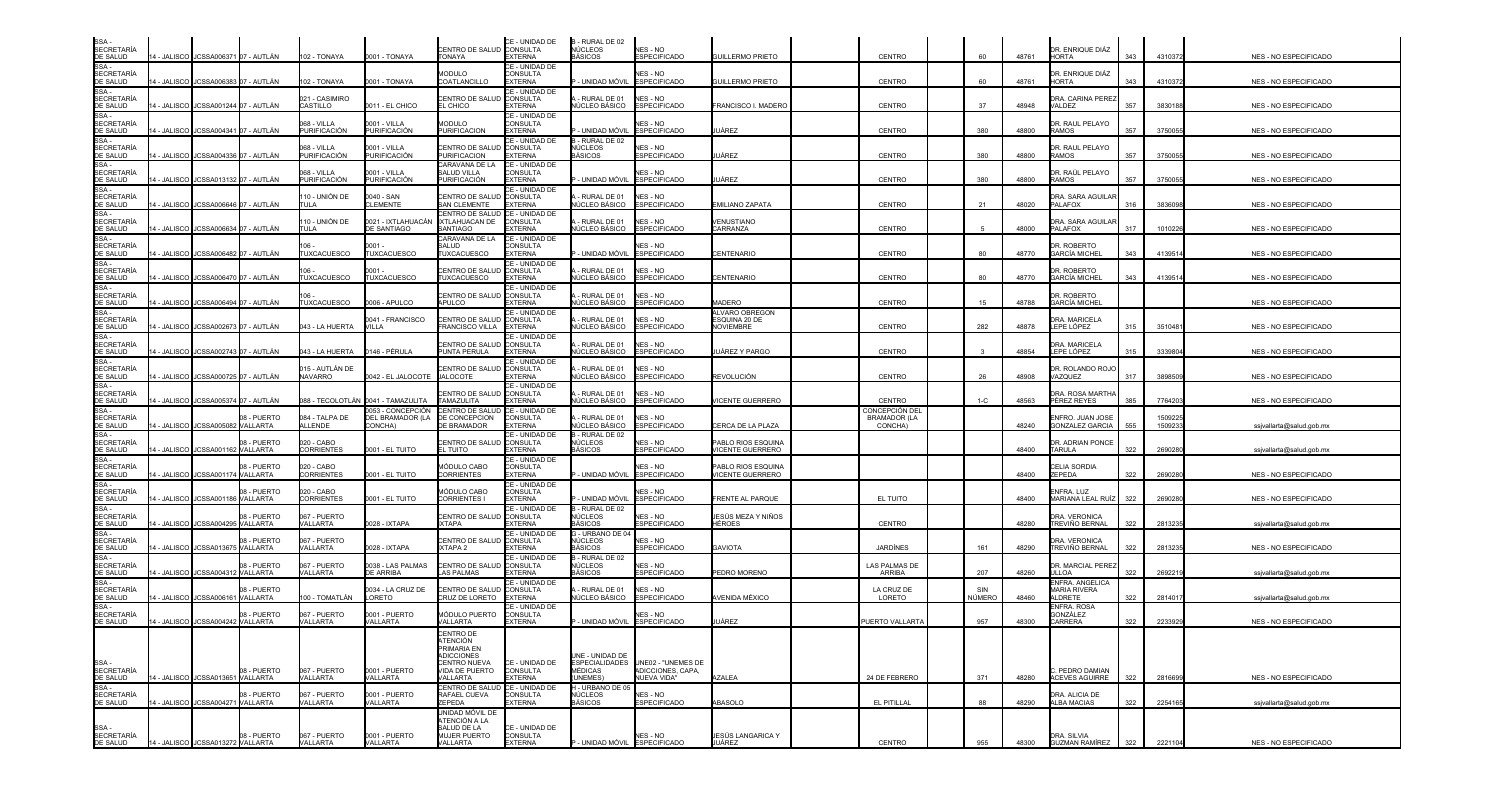| SSA -<br><b>SECRETARÍA</b><br>DE SALUD   |             | 4 - JALISCO I JCSSA006371 07 - AUTLÁN |                        | 102 - TONAYA                    | 0001 - TONAYA                                    | CENTRO DE SALUD CONSULTA<br><b>TONAYA</b>                                                  | CE - UNIDAD DE<br><b>EXTERNA</b>                    | B - RURAL DE 02<br>NÚCLEOS<br>BÁSICOS      | NES - NO<br>ESPECIFICADO                                              | GUILLERMO PRIETO                                    | CENTRO                                           | 60            | 48761 | DR. ENRIQUE DIÁZ<br><b>HORTA</b>                | 343 | 4310372            | NES - NO ESPECIFICADO        |
|------------------------------------------|-------------|---------------------------------------|------------------------|---------------------------------|--------------------------------------------------|--------------------------------------------------------------------------------------------|-----------------------------------------------------|--------------------------------------------|-----------------------------------------------------------------------|-----------------------------------------------------|--------------------------------------------------|---------------|-------|-------------------------------------------------|-----|--------------------|------------------------------|
| SSA -<br><b>SECRETARÍA</b><br>DE SALUD   |             | - JALISCO JCSSA006383 07 - AUTLÁN     |                        | 102 - TONAYA                    | 0001 - TONAYA                                    | <b>MODULO</b><br>COATLANCILLO                                                              | CE - UNIDAD DE<br>CONSULTA<br><b>EXTERNA</b>        | · UNIDAD MÓVII                             | <b>VES - NO</b><br><b>ESPECIFICADO</b>                                | GUILLERMO PRIETO                                    | CENTRO                                           | 60            | 48761 | )R. ENRIQUE DIÁZ<br><b>HORTA</b>                | 343 | 4310372            | NES - NO ESPECIFICADO        |
| SSA -<br><b>SECRETARÍA</b><br>DE SALUD   |             | - JALISCO JCSSA001244 07 - AUTLÁN     |                        | 021 - CASIMIRO<br>CASTILLO      | 011 - EL CHICO                                   | CENTRO DE SALUD<br>EL CHICO                                                                | CE - UNIDAD DE<br><b>CONSULTA</b><br>EXTERNA        | RURAL DE 01<br>ÚCLEO BÁSICO                | NES - NO<br><b>ESPECIFICADO</b>                                       | FRANCISCO I. MADERO                                 | CENTRO                                           | 37            | 48948 | )RA. CARINA PEREZ<br>ALDEZ                      | 357 | 3830188            | NES - NO ESPECIFICADO        |
| SSA -<br><b>SECRETARÍA</b>               |             |                                       |                        | 068 - VILLA<br>PURIFICACIÓN     | 0001 - VILLA<br><b>PURIFICACIÓN</b>              | <b>MODULO</b><br><b>PURIFICACION</b>                                                       | CE - UNIDAD DE<br>CONSULTA                          |                                            | <b>NES - NO</b>                                                       |                                                     |                                                  |               |       | <b>JR. RAUL PELAYO</b><br>RAMOS                 | 357 |                    |                              |
| DE SALUD<br>SSA -<br><b>SECRETARÍA</b>   |             | ∔ - JALISCO IJCSSA004341 O7 - AUTLÁN  |                        | 068 - VILLA                     | 0001 - VILLA                                     | CENTRO DE SALUI                                                                            | <b>EXTERNA</b><br>CE - UNIDAD DE<br><b>CONSULTA</b> | · UNIDAD MÓVIL<br>- RURAL DE 02<br>NÚCLEOS | <b>ESPECIFICADO</b><br>NES - NO                                       | UÁREZ                                               | CENTRO                                           | 380           | 48800 | DR. RAUL PELAYO                                 |     | 3750055            | NES - NO ESPECIFICADO        |
| DE SALUD<br>SSA -<br><b>SECRETARÍA</b>   |             | - JALISCO   JCSSA004336  07 - AUTLAN  |                        | PURIFICACIÓN<br>068 - VILLA     | PURIFICACIÓN<br>0001 - VILLA                     | <b>PURIFICACION</b><br>CARAVANA DE LA<br>SALUD VILLA                                       | <b>EXTERNA</b><br>CE - UNIDAD DE<br>CONSULTA        | <b>BÁSICOS</b>                             | <b>ESPECIFICADO</b><br>NES - NO                                       | JÁREZ                                               | CENTRO                                           | 380           | 48800 | RAMOS<br>DR. RAÚL PELAYO                        | 357 | 3750055            | NES - NO ESPECIFICADO        |
| DE SALUD<br>$SSA -$<br><b>SECRETARÍA</b> |             | - JALISCO JJCSSA013132 07 - AUTLÁN    |                        | PURIFICACIÓN<br>110 - UNIÓN DE  | PURIFICACIÓN<br>0040 - SAN                       | PURIFICACIÓN<br>CENTRO DE SALUD                                                            | <b>EXTERNA</b><br>CE - UNIDAD DE<br>CONSULTA        | - UNIDAD MÓVIL<br>- RURAL DE 01            | <b>ESPECIFICADO</b><br>NES - NO                                       | JÁREZ                                               | CENTRO                                           | 380           | 48800 | RAMOS<br>DRA. SARA AGUILAF                      | 357 | 3750055            | NES - NO ESPECIFICADO        |
| DE SALUD<br>SSA -                        |             | 4 - JALISCO JCSSA006646 07 - AUTLÁN   |                        | TULA.                           | LEMENTE                                          | SAN CLEMENTE<br>CENTRO DE SALUD                                                            | <b>EXTERNA</b><br>CE - UNIDAD DE                    | <b>VÚCLEO BÁSICO</b>                       | <b>ESPECIFICADO</b>                                                   | EMILIANO ZAPATA                                     | CENTRO                                           | 21            | 48020 | ALAFOX                                          | 316 | 3836098            | NES - NO ESPECIFICADO        |
| <b>SECRETARÍA</b><br>DE SALUD<br>SSA-    | - JALISCO   | JCSSA006634 07 - AUTLÁN               |                        | 110 - UNIÓN DE<br>TULA          | 0021 - IXTLAHUACÁN<br>DE SANTIAGO                | IXTLAHUACAN DE<br>SANTIAGO<br>CARAVANA DE LA                                               | <b>CONSULTA</b><br><b>EXTERNA</b><br>CE - UNIDAD DE | - RURAL DE 01<br>NÚCLEO BÁSICO             | NES - NO<br><b>ESPECIFICADO</b>                                       | <b>ENUSTIANO</b><br>CARRANZA                        | <b>CENTRO</b>                                    |               | 48000 | <b>DRA. SARA AGUILAF</b><br>PALAFOX             | 317 | 101022             | NES - NO ESPECIFICADO        |
| <b>SECRETARÍA</b><br>DE SALUD<br>SSA -   |             | 4 - JALISCO JCSSA006482 07 - AUTLÁN   |                        | TUXCACUESCO                     | 0001 ·<br><b>UXCACUESCO</b>                      | SALUD<br>TUXCACUESCO                                                                       | CONSULTA<br><b>EXTERNA</b><br>CE - UNIDAD DE        | - UNIDAD MÓVIL                             | <b>JES - NO</b><br><b>ESPECIFICADO</b>                                | CENTENARIO                                          | CENTRO                                           | 80            | 48770 | R. ROBERTO<br>GARCÍA MICHEL                     | 343 | 4139514            | NES - NO ESPECIFICADO        |
| <b>SECRETARÍA</b><br>DE SALUD            | - JALISCO   | JCSSA006470 07 - AUTLÁN               |                        | <b>TUXCACUESCO</b>              | <b>TUXCACUESCO</b>                               | CENTRO DE SALUD<br>TUXCACUESCO                                                             | <b>CONSULTA</b><br><b>EXTERNA</b>                   | RURAL DE 01<br>NÚCLEO BÁSICO               | NES - NO<br><b>ESPECIFICADO</b>                                       | <b>ENTENARIO</b>                                    | CENTRO                                           | 80            | 48770 | )R. ROBERTO<br>GARCÍA MICHEI                    | 343 | 413951             | NES - NO ESPECIFICADO        |
| SSA-<br><b>SECRETARÍA</b><br>DE SALUD    |             | - JALISCO JJCSSA006494 07 - AUTLÁN    |                        | 106 -<br><b>TUXCACUESCO</b>     | 0006 - APULCO                                    | CENTRO DE SALUD<br>APULCO                                                                  | CE - UNIDAD DE<br><b>CONSULTA</b><br><b>EXTERNA</b> | RURAL DE 01<br>IÚCLEO BÁSICO               | NES - NO<br><b>ESPECIFICADO</b>                                       | <b>ADERO</b>                                        | CENTRO                                           | 15            | 48788 | <b>DR. ROBERTO</b><br>GARCÍA MICHEI             |     |                    | <b>NES - NO ESPECIFICADO</b> |
| SSA-<br><b>SECRETARÍA</b><br>DE SALUD    |             | ∔ - JALISCO I JCSSA002673 O7 - AUTLÁN |                        | 043 - LA HUERTA                 | 0041 - FRANCISCO<br>VILLA                        | CENTRO DE SALUD CONSULTA<br><b>FRANCISCO VILLA</b>                                         | CE - UNIDAD DE<br><b>EXTERNA</b>                    | RURAL DE 01<br>IÚCLEO BÁSICO               | NES - NO<br><b>ESPECIFICADO</b>                                       | ALVARO OBREGON<br>ESQUINA 20 DE<br><b>NOVIEMBRE</b> | CENTRO                                           | 282           | 48878 | <b>DRA. MARICELA</b><br>EPE LÓPEZ               | 315 | 3510481            | NES - NO ESPECIFICADO        |
| SSA -<br>SECRETARÍA                      |             |                                       |                        |                                 |                                                  | <b>ENTRO DE SALUD</b>                                                                      | CE - UNIDAD DE<br><b>CONSULTA</b>                   | RURAL DE 01                                | NES - NO                                                              |                                                     |                                                  |               |       | <b>RA. MARICELA</b>                             |     |                    |                              |
| DE SALUD<br>SSA-                         |             | - JALISCO I JCSSA002743 07 - AUTLÁN   |                        | 043 - LA HUERTA                 | 0146 - PÉRULA                                    | PUNTA PERULA                                                                               | <b>EXTERNA</b><br>CE - UNIDAD DE                    | ÚCLEO BÁSICO                               | <b>ESPECIFICADO</b>                                                   | JÁREZ Y PARGO                                       | CENTRO                                           |               | 48854 | LEPE LÓPEZ                                      | 315 | 3339804            | NES - NO ESPECIFICADO        |
| <b>SECRETARÍA</b><br>DE SALUD<br>SSA-    | I - JALISCO | JCSSA000725 07 - AUTLÁN               |                        | 015 - AUTLÁN DE<br>NAVARRO      | 042 - EL JALOCOTE                                | CENTRO DE SALUD<br><b>JALOCOTE</b>                                                         | <b>CONSULTA</b><br><b>EXTERNA</b>                   | RURAL DE 01<br>ÚCLEO BÁSICO                | NES - NO<br><b>ESPECIFICADO</b>                                       | REVOLUCIÓN                                          | CENTRO                                           | 26            | 48908 | )R. ROLANDO ROJC<br><b>AZQUEZ</b>               | 317 | 389850             | NES - NO ESPECIFICADO        |
| <b>SECRETARÍA</b><br>DE SALUD            |             | - JALISCO JCSSA005374 07 - AUTLÁN     |                        |                                 | 088 - TECOLOTLÁN 0041 - TAMAZULITA               | CENTRO DE SALUD<br>TAMAZULITA                                                              | CE - UNIDAD DE<br><b>CONSULTA</b><br><b>EXTERNA</b> | RURAL DE 01<br>ÚCLEO BÁSICO                | NES - NO<br><b>ESPECIFICADO</b>                                       | <b>ICENTE GUERRERO</b>                              | CENTRO                                           | $1-C$         | 48563 | <b>DRA. ROSA MARTHA</b><br>PÉREZ REYES          | 385 | 7764203            | NES - NO ESPECIFICADO        |
| SSA -<br><b>SECRETARÍA</b><br>DE SALUD   |             | - JALISCO JCSSA005082 VALLARTA        | 8 - PUERTO             | 084 - TALPA DE<br>ALLENDE       | 0053 - CONCEPCIÓN<br>DEL BRAMADOR (LA<br>CONCHA) | CENTRO DE SALUD<br>DE CONCEPCION<br>DE BRAMADOR                                            | CE - UNIDAD DE<br><b>CONSULTA</b><br><b>EXTERNA</b> | RURAL DE 01<br>IÚCLEO BÁSICO               | NES - NO<br><b>ESPECIFICADO</b>                                       | CERCA DE LA PLAZA                                   | CONCEPCIÓN DEL<br><b>BRAMADOR (LA</b><br>CONCHA) |               | 48240 | INFRO. JUAN JOSE<br><b>GONZALEZ GARCIA</b>      | 555 | 1509225<br>1509233 | ssjvallarta@salud.gob.mx     |
| SSA<br><b>SECRETARÍA</b>                 |             |                                       | 08 - PUERTO            | 020 - CABO                      |                                                  | CENTRO DE SALUD CONSULTA                                                                   | CE - UNIDAD DE                                      | - RURAL DE 02<br>NÚCLEOS                   | <b>NES - NO</b>                                                       | PABLO RIOS ESQUINA                                  |                                                  |               |       | DR. ADRIAN PONCE                                |     |                    |                              |
| DE SALUD<br>SSA-<br><b>SECRETARÍA</b>    |             | - JALISCO JCSSA001162 VALLARTA        | 8 - PUERTO             | <b>CORRIENTES</b><br>020 - CABO | 0001 - EL TUITO                                  | EL TUITO<br><b>VIÓDULO CABO</b>                                                            | <b>EXTERNA</b><br>CE - UNIDAD DE<br><b>CONSULTA</b> | BÁSICOS                                    | <b>ESPECIFICADO</b>                                                   | <b>/ICENTE GUERRERO</b><br>PABLO RIOS ESQUINA       |                                                  |               | 48400 | TARULA                                          | 322 | 2690280            | ssjvallarta@salud.gob.mx     |
| DE SALUD<br>SSA-                         |             | I - JALISCO JCSSA001174               | VALLARTA               | <b>CORRIENTES</b>               | 0001 - EL TUITO                                  | <b>CORRIENTES</b>                                                                          | <b>EXTERNA</b>                                      | - UNIDAD MÓVIL                             | NES - NO<br><b>ESPECIFICADO</b>                                       | <b>/ICENTE GUERRERO</b>                             |                                                  |               | 48400 | CELIA SORDIA<br>ZEPEDA                          | 322 | 2690280            | NES - NO ESPECIFICADO        |
| <b>SECRETARÍA</b><br>DE SALUD            | - JALISCO   | JCSSA001186                           | 8 - PUERTO<br>VALLARTA | 020 - CABO<br><b>CORRIENTES</b> | 001 - EL TUITO                                   | <i><b>IÓDULO CABO</b></i><br>CORRIENTES I                                                  | CE - UNIDAD DE<br><b>CONSULTA</b><br><b>EXTERNA</b> | - UNIDAD MÓVIL                             | <b>NES - NO</b><br><b>ESPECIFICADO</b>                                | <b>RENTE AL PARQUE</b>                              | EL TUITO                                         |               | 48400 | NFRA. LUZ<br><i>I</i> ARIANA LEAL RUÍZ          | 322 | 269028             | NES - NO ESPECIFICADO        |
| SSA -<br><b>SECRETARÍA</b><br>DE SALUD   |             | I - JALISCO JCSSA004295 VALLARTA      | 8 - PUERTO             | 067 - PUERTO<br>VALLARTA        | 028 - IXTAPA                                     | CENTRO DE SALUD<br><b>XTAPA</b>                                                            | CE - UNIDAD DE<br>CONSULTA<br><b>EXTERNA</b>        | - RURAL DE 02<br>NÚCLEOS<br>BÁSICOS        | NES - NO<br><b>ESPECIFICADO</b>                                       | ESÚS MEZA Y NIÑOS<br>HÉROES                         | CENTRO                                           |               | 48280 | <b>DRA. VERONICA</b><br>TREVIÑO BERNAL          | 322 | 2813235            | ssjvallarta@salud.gob.mx     |
| SSA -<br><b>SECRETARÍA</b><br>DE SALUD   | - JALISCO   | JCSSA013675 VALLARTA                  | 8 - PUERTO             | 067 - PUERTO<br>VALLARTA        | 028 - IXTAPA                                     | CENTRO DE SALUD<br><b>XTAPA 2</b>                                                          | CE - UNIDAD DE<br><b>CONSULTA</b><br><b>EXTERNA</b> | G - URBANO DE 04<br>NÚCLEOS<br>BÁSICOS     | NES - NO<br><b>ESPECIFICADO</b>                                       | <b>GAVIOTA</b>                                      | JARDÍNES                                         | 161           | 48290 | <b>DRA. VERONICA</b><br>TREVIÑO BERNAL          | 322 | 2813235            | NES - NO ESPECIFICADO        |
| SSA-<br><b>SECRETARÍA</b><br>DE SALUD    |             | - JALISCO JJCSSA004312 VALLARTA       | 08 - PUERTO            | 067 - PUERTO<br>VALLARTA        | 0038 - LAS PALMAS<br><b>DE ARRIBA</b>            | CENTRO DE SALUD<br>AS PALMAS                                                               | CE - UNIDAD DE<br><b>CONSULTA</b><br><b>EXTERNA</b> | - RURAL DE 02<br>NÚCLEOS<br>3ÁSICOS.       | NES - NO<br><b>ESPECIFICADO</b>                                       | PEDRO MORENO                                        | LAS PALMAS DE<br><b>ARRIBA</b>                   | 207           | 48260 | <b>DR. MARCIAL PEREZ</b><br>ULLOA               | 322 | 269221             | ssjvallarta@salud.gob.mx     |
| SSA-<br><b>SECRETARÍA</b>                |             |                                       | 08 - PUERTO            |                                 | 0034 - LA CRUZ DE                                | CENTRO DE SALUD                                                                            | CE - UNIDAD DE<br>CONSULTA                          | - RURAL DE 01                              | NES - NO                                                              |                                                     | LA CRUZ DE                                       | SIN           |       | <b>INFRA. ANGELICA</b><br>MARIA RIVERA          |     |                    |                              |
| DE SALUD<br>SSA -<br><b>SECRETARÍA</b>   | - JALISCO   | JCSSA006161 VALLARTA                  | 8 - PUERTO             | 100 - TOMATLÁN<br>067 - PUERTO  | ORETO<br>0001 - PUERTO                           | CRUZ DE LORETO<br>MÓDULO PUERTO                                                            | <b>EXTERNA</b><br>CE - UNIDAD DE<br>CONSULTA        | ÚCLEO BÁSICO                               | <b>ESPECIFICADO</b><br><b>NES - NO</b>                                | \VENIDA MÉXICO                                      | LORETO                                           | <b>NÚMERO</b> | 48460 | LDRETE<br><b>INFRA. ROSA</b><br><b>SONZÁLEZ</b> | 322 | 281401             | ssjvallarta@salud.gob.mx     |
| DE SALUD                                 |             | 4 - JALISCO JCSSA004242 VALLARTA      |                        | VALLARTA                        | /ALLARTA                                         | /ALLARTA<br><b>CENTRO DE</b>                                                               | EXTERNA                                             | UNIDAD MÓVIL                               | <b>ESPECIFICADO</b>                                                   | JÁREZ                                               | PUERTO VALLARTA                                  | 957           | 48300 | <b>ARRERA</b>                                   | 322 | 2233929            | NES - NO ESPECIFICADO        |
| SSA -<br>SECRETARÍA<br>DE SALUD          |             | 4 - JALISCO JCSSA013651 VALLARTA      | 08 - PUERTO            | 067 - PUERTO<br>VALLARTA        | 0001 - PUERTO<br>VALLARTA                        | ATENCIÓN<br>PRIMARIA EN<br><b>ADICCIONES</b><br>CENTRO NUEVA<br>VIDA DE PUERTO<br>VALLARTA | CE - UNIDAD DE<br>CONSULTA<br><b>EXTERNA</b>        | UNE - UNIDAD DE<br>MÉDICAS<br>UNEMES)      | ESPECIALIDADES UNE02 - "UNEMES DE<br>ADICCIONES, CAPA.<br>NUEVA VIDA" | <b>ZALEA</b>                                        | 24 DE FEBRERO                                    | 371           | 48280 | PEDRO DAMIAN<br><b>ACEVES AGUIRRE</b>           | 322 | 2816699            | NES - NO ESPECIFICADO        |
| SSA -<br><b>SECRETARÍA</b>               |             |                                       | 08 - PUERTO            | 067 - PUERTO                    | 0001 - PUERTO                                    | CENTRO DE SALUD <b>I</b> CE - UNIDAD DE<br>RAFAEL CUEVA                                    | <b>CONSULTA</b>                                     | - URBANO DE 05<br>NÚCLEOS                  | NES - NO                                                              |                                                     |                                                  |               |       | DRA. ALICIA DE                                  |     |                    |                              |
| DE SALUD                                 |             | 4 - JALISCO JCSSA004271 VALLARTA      |                        | VALLARTA                        | VALLARTA                                         | ZEPEDA<br>UNIDAD MÓVIL DE                                                                  | <b>EXTERNA</b>                                      | BÁSICOS                                    | <b>ESPECIFICADO</b>                                                   | <b>ABASOLO</b>                                      | EL PITILLAL                                      | 88            | 48290 | <b>ALBA MACIAS</b>                              | 322 | 2254165            | ssjvallarta@salud.gob.mx     |
| SSA -                                    |             |                                       |                        |                                 |                                                  | ATENCIÓN A LA<br>SALUD DE LA                                                               | CE - UNIDAD DE                                      |                                            |                                                                       |                                                     |                                                  |               |       |                                                 |     |                    |                              |
| <b>SECRETARÍA</b><br>DE SALUD            |             | 14 - JALISCO JCSSA013272 VALLARTA     | 08 - PUERTO            | 067 - PUERTO<br>VALLARTA        | 0001 - PUERTO<br>VALLARTA                        | MUJER PUERTO<br>VALLARTA                                                                   | <b>CONSULTA</b><br><b>EXTERNA</b>                   | - UNIDAD MÓVIL ESPECIFICADO                | NES - NO                                                              | IESÚS LANGARICA Y<br>IUÁREZ                         | CENTRO                                           | 955           | 48300 | DRA. SILVIA<br><b>GUZMAN RAMÍREZ</b>            | 322 | 2221104            | NES - NO ESPECIFICADO        |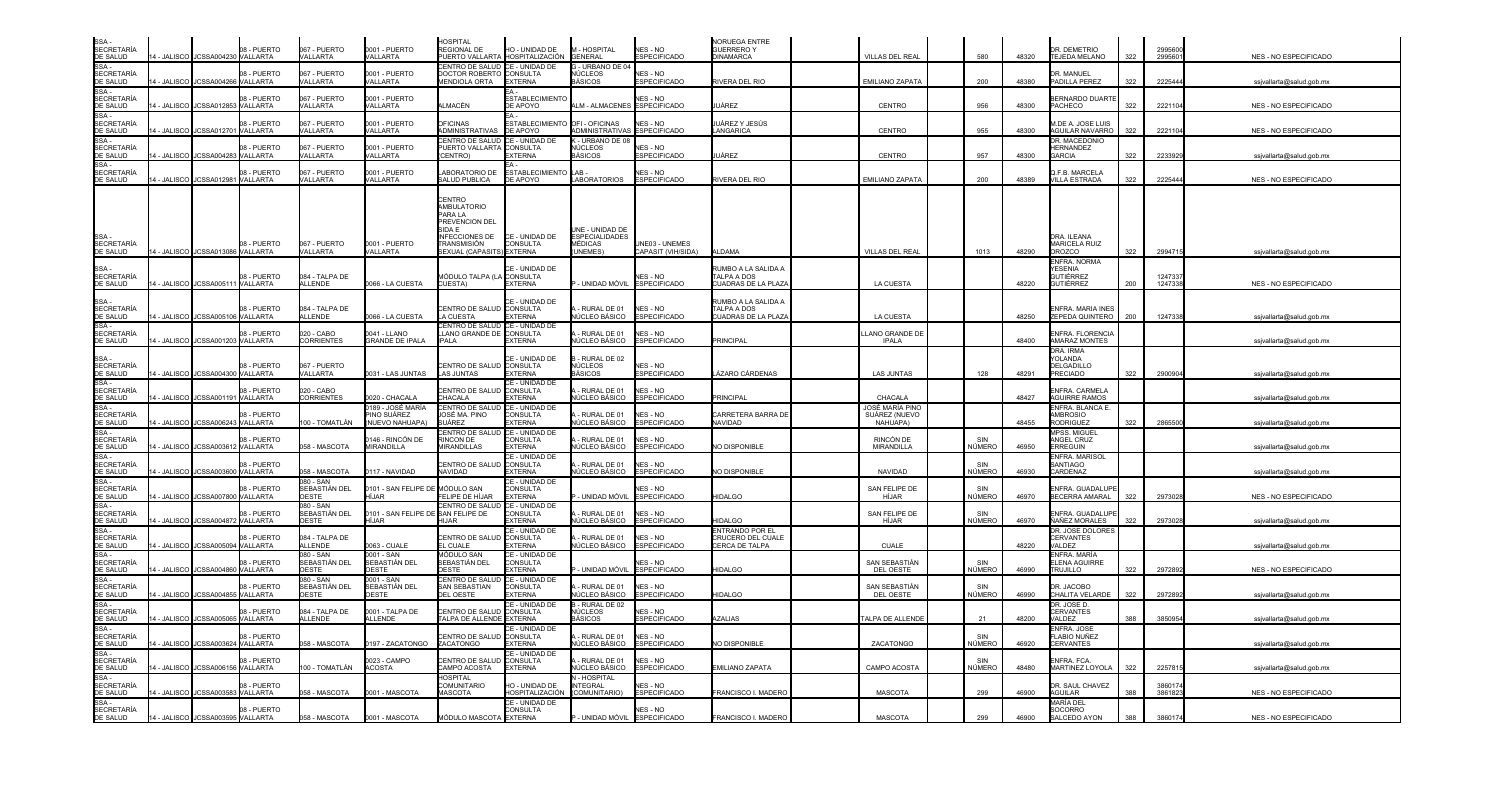| SSA -<br>SECRETARÍA<br><u>DE SALUD</u>                                                                |                                     | 08 - PUERTO                    | 067 - PUERTO                               | 0001 - PUERTO                                       | <b>HOSPITAL</b><br>REGIONAL DE                                                                                                  | HO - UNIDAD DE                                             | - HOSPITAL                                                           | NES-NO                                 | <b>NORUEGA ENTRE</b><br>GUERRERO Y                       |                                              |                      |       | <b>DEMETRIO</b>                                                       |     | 299560             |                          |
|-------------------------------------------------------------------------------------------------------|-------------------------------------|--------------------------------|--------------------------------------------|-----------------------------------------------------|---------------------------------------------------------------------------------------------------------------------------------|------------------------------------------------------------|----------------------------------------------------------------------|----------------------------------------|----------------------------------------------------------|----------------------------------------------|----------------------|-------|-----------------------------------------------------------------------|-----|--------------------|--------------------------|
|                                                                                                       | 4 - JALISCO JCSSA00423              | <b>VALLARTA</b>                | VALLARTA                                   | <b>VALLARTA</b>                                     | UERTO VALLARTA                                                                                                                  | HOSPITALIZACIÓN                                            | <b>GENERAL</b>                                                       | <b>ESPECIFICADO</b>                    | DINAMARCA                                                | VILLAS DEL REA                               | 580                  | 48320 | TEJEDA MELANO                                                         | 322 | 299560             | NES - NO ESPECIFICADO    |
| $SSA -$<br><b>SECRETARÍA</b>                                                                          | 4 - JALISCO<br>JCSSA004266 VALLARTA | 08 - PUERTO                    | 067 - PUERTO<br>VALLARTA                   | 0001 - PUERTO<br>VALLARTA                           | CENTRO DE SALUD<br>DOCTOR ROBERTO CONSULTA<br><b>JENDIOLA ORTA</b>                                                              | CE - UNIDAD DE<br><b>EXTERNA</b>                           | - URBANO DE 04<br>NÚCLEOS<br>AÁSICOS                                 | <b>NFS - NO</b><br><b>ESPECIFICADO</b> | RIVERA DEL RIO                                           | <b>EMILIANO ZAPATA</b>                       | 200                  | 48380 | R. MANUFI<br><b>ADILLA PEREZ</b>                                      | 322 | 2225444            | ssjvallarta@salud.gob.mx |
| SECRETARIA<br>DE SALUD<br>SSA -<br>SECRETARÍA<br>DE SALUD<br>SSA -<br>SECRETARÍA<br>SSA -<br>SSA -    | 4 - JALISCO<br><b>JCSSA01285</b>    | 08 - PUERTO<br>VALLARTA        | 067 - PUERTO<br>VALLARTA                   | 0001 - PUERTO<br>VALLARTA                           | LMACÉN                                                                                                                          | <b>ESTABLECIMIENTO</b><br><b>DE APOYO</b>                  | ALM - ALMACENES ESPECIFICADO                                         | NES - NO                               | JÁREZ                                                    | CENTRO                                       | 956                  | 48300 | <b>ERNARDO DUARTE</b><br>PACHECO                                      | 322 | 2221104            | NES - NO ESPECIFICADO    |
|                                                                                                       | 4 - JALISCO<br>JCSSA012701          | 08 - PUERTO<br><b>VALLARTA</b> | 067 - PUERTO<br>VALLARTA                   | 0001 - PUERTO<br>VAI I ARTA                         | <b>PEICINAS</b><br><b>IDMINISTRATIVAS</b>                                                                                       | <b>ESTABLECIMIENT</b><br>DE APOYO                          | OFI - OFICINAS<br>ADMINISTRATIVA                                     | <b>JFS - NO</b><br><b>ESPECIFICADO</b> | JÁREZ Y JESÚS<br>LANGARICA                               | CENTRO                                       | 955                  | 48300 | <b>I.DE A. JOSE LUIS</b><br><b>AGUILAR NAVARRO</b>                    | 322 | 2221104            | NES - NO ESPECIFICADO    |
| <b>SECRETARÍA</b><br>DE SALUD                                                                         | 4 - JALISCO<br>ICSSA004283          | 08 - PUERTO<br>VALLARTA        | 067 - PUERTO<br>VALLARTA                   | 0001 - PUERTO<br>VALLARTA                           | CENTRO DE SALUD<br>PUERTO VALLARTA CONSULTA<br>CENTRO)                                                                          | CE - UNIDAD DE<br><b>EXTERNA</b>                           | - URBANO DE 08<br>NÚCLEOS<br><b>ASICOS</b>                           | $JFS - NO$<br>SPECIFICADO              | JÁREZ                                                    | CENTRO                                       | 957                  | 48300 | <b>DR. MACEDONIO</b><br><b>HERNANDEZ</b><br><b>ARCIA</b>              | 322 | 223392             | ssjvallarta@salud.gob.mx |
| SSA-<br>SECRETARÍA<br>DE SALUD                                                                        | 4 - JALISCO JCSSA012981             | 08 - PUERTO<br>VALLARTA        | 067 - PUERTO<br>VALLARTA                   | 0001 - PUERTO<br>VALLARTA                           | ABORATORIO DE<br><b>SALUD PUBLICA</b>                                                                                           | <b>ESTABLECIMIENTO</b><br>DE APOYO                         | LAB-<br><b>LABORATORIOS</b>                                          | NES - NO<br><b>ESPECIFICADO</b>        | RIVERA DEL RIO                                           | EMILIANO ZAPATA                              | 200                  | 48389 | I.F.B. MARCELA<br>/ILLA ESTRADA                                       | 322 | 2225444            | NES - NO ESPECIFICADO    |
| SSA -<br>SECRETARÍA<br>DE SALUD                                                                       | 4 - JALISCO JCSSA013086 VALLARTA    | 08 - PUERTO                    | 067 - PUERTO<br>VALLARTA                   | 0001 - PUERTO<br>VALLARTA                           | CENTRO<br>AMBULATORIO<br>PARA LA<br>PREVENCION DEL<br>SIDA F<br><b>NFECCIONES DE</b><br>TRANSMISIÓN<br>EXUAL (CAPASITS) EXTERNA | CE - UNIDAD DE<br>CONSULTA                                 | INF - UNIDAD DE<br><b>ESPECIALIDADES</b><br>MÉDICAS<br><b>INFMES</b> | UNE03 - UNEMES<br>CAPASIT (VIH/SIDA)   | AI DAMA                                                  | VILLAS DEL REAL                              | 1013                 | 48290 | DRA. ILEANA<br><b>MARICELA RUIZ</b><br>ROZCO                          | 322 | 2994715            | ssjvallarta@salud.gob.mx |
| SSA -<br>SECRETARÍA<br>DE SALUD                                                                       | 4 - JALISCO<br>JCSSA00511           | 08 - PUERTO<br>VALLARTA        | 084 - TALPA DE<br>ALLENDE                  | 0066 - LA CUESTA                                    | MÓDULO TALPA (LA CONSULTA<br>CUESTA)                                                                                            | CE - UNIDAD DE<br>EXTERNA                                  | UNIDAD MÓVIL                                                         | NES - NO<br><b>ESPECIFICADO</b>        | RUMBO A LA SALIDA A<br>TALPA A DOS<br>UADRAS DE LA PLAZA | LA CUESTA                                    |                      | 48220 | NFRA, NORMA<br><b><i>FESENIA</i></b><br><b>GUTIÉRREZ</b><br>SUTIÉRREZ | 200 | 1247337<br>1247338 | NES - NO ESPECIFICADO    |
|                                                                                                       | 4 - JALISCO<br>JCSSA005106          | 08 - PUERTO<br>VALLARTA        | 084 - TALPA DE<br>ALLENDE                  | 0066 - LA CUESTA                                    | CENTRO DE SALUD CONSULTA<br>A CUESTA                                                                                            | CE - UNIDAD DE<br><b>FXTFRNA</b>                           | - RURAL DE 01<br>NÚCLEO BÁSICO                                       | NES - NO<br>ESPECIFICADO               | UMBO A LA SALIDA A<br>TALPA A DOS<br>CUADRAS DE LA PLAZA | LA CUESTA                                    |                      | 48250 | <b>INFRA. MARIA INES</b><br><b>EPEDA QUINTERO</b>                     | 200 | 1247338            |                          |
| SSA -<br>SECRETARÍA<br>DE SALUD<br>SSA -<br>SECRETARÍA<br>DE SALUD                                    | 4 - JALISCO JCSSA001203             | 08 - PUERTO<br><b>VALLARTA</b> | 020 - CABO<br>CORRIENTES                   | 0041 - LLANO<br><b>GRANDE DE IPALA</b>              | CENTRO DE SALUD<br>LLANO GRANDE DE<br><b>IPALA</b>                                                                              | CE - UNIDAD DE<br>CONSULTA<br><b>EXTERNA</b>               | RURAL DE 01<br>IÚCLEO BÁSICO                                         | IES - NO<br>SPECIFICADO                | PRINCIPAL                                                | LANO GRANDE DE<br><b>IPALA</b>               |                      | 48400 | NFRA. FLORENCIA<br>AMARAZ MONTES                                      |     |                    | ssjvallarta@salud.gob.mx |
|                                                                                                       |                                     | 08 - PUERTO                    | 067 - PUERTO                               |                                                     | CENTRO DE SALUD                                                                                                                 | CE - UNIDAD DE<br>CONSULTA                                 | - RURAL DE 02<br>NÚCLEOS                                             | NES - NO                               |                                                          |                                              |                      |       | <b>DRA, IRMA</b><br>YOLANDA<br>DELGADILLO                             |     |                    | ssjvallarta@salud.gob.mx |
|                                                                                                       | 4 - JALISCO<br><b>JCSSA004300</b>   | <b>VALLARTA</b>                | VALLARTA                                   | 0031 - LAS JUNTAS                                   | LAS JUNTAS                                                                                                                      | <b>FXTFRNA</b>                                             | BÁSICOS                                                              | SPECIFICADO                            | ÁZARO CÁRDENAS                                           | <b>LAS JUNTAS</b>                            | 128                  | 48291 | PRECIADO                                                              | 322 | 2900904            | ssjvallarta@salud.gob.mx |
| SSA -<br>SECRETARÍA<br>DE SALUD<br>SSA -<br>SECRETARÍA<br>DE SALUD<br>SSA -<br>SECRETARÍA             | JCSSA001191<br><b>- JALISCO</b>     | 08 - PUERTO<br>VALLARTA        | 020 - CABO<br>CORRIENTES                   | 0020 - CHACALA                                      | CENTRO DE SALUD<br><b>CHACALA</b>                                                                                               | CE - UNIDAD DE<br><b>CONSULTA</b><br>EXTERNA               | RURAL DE 01<br>√ÚCLEO BÁSICO                                         | <b>NFS - NO</b><br>SPECIFICADO         | PRINCIPAL                                                | CHACALA                                      |                      | 48427 | NFRA CARMELA<br><b>AGUIRRE RAMOS</b>                                  |     |                    | ssjvallarta@salud.gob.mx |
| DE SALUD                                                                                              | 4 - JALISCO<br>JCSSA006243 VALLARTA | 08 - PUERTO                    | 00 - TOMATLÁN                              | 0189 - JOSÉ MARÍA<br>PINO SUÁREZ<br>(NUEVO NAHUAPA) | CENTRO DE SALUD<br>OSÉ MA. PINO<br>UÁREZ                                                                                        | CE - UNIDAD DE<br>CONSULTA<br><b>XTERNA</b>                | RURAL DE 01<br>ÚCLEO BÁSICO                                          | <b>JFS-NO</b><br>SPECIFICADO           | <b>CARRETERA BARRA DE</b><br><b>OAQUAN</b>               | JOSÉ MARÍA PINO<br>SUÁREZ (NUEVO<br>NAHUAPA) |                      | 48455 | <b>INFRA. BLANCA E.</b><br><b>MBROSIO</b><br>RODRIGUEZ                | 322 | 2865500            | ssjvallarta@salud.gob.mx |
| SE SALSS<br>SSA -<br>SECRETARÍA<br>DE SALUD                                                           | 4 - JALISCO JCSSA003612             | 08 - PUERTO<br>VALLARTA        | 058 - MASCOTA                              | 146 - RINCÓN DE<br>MIRANDILLA                       | CENTRO DE SALUD<br>RINCON DE<br><b><i>INRANDILLAS</i></b>                                                                       | CE - UNIDAD DE<br>CONSULTA<br><b>EXTERNA</b>               | RURAL DE 01<br>ÚCLEO BÁSICO                                          | <b>VES - NO</b><br>SPECIFICADO         | NO DISPONIBI F                                           | RINCÓN DE<br><b>MIRANDILLA</b>               | SIN<br>NÚMERO        | 46950 | <b>MPSS. MIGUEL</b><br>ANGEL CRUZ<br><b>RRFGUIN</b>                   |     |                    | ssjvallarta@salud.gob.mx |
| SSA -<br>SECRETARÍA<br>DE SALUD<br>SSA -                                                              | <b>- JALISCO</b><br>JCSSA003600     | 08 - PUERTO<br>VALLARTA        | 58 - MASCOTA                               | 0117 - NAVIDAD                                      | ENTRO DE SALUD<br>NAVIDAD                                                                                                       | CE - UNIDAD DE<br><b>CONSULTA</b><br><b>EXTERNA</b>        | RURAL DE 01<br><b>IÚCLEO BÁSICO</b>                                  | NES - NO<br>SPECIFICADO                | <b>VO DISPONIBLE</b>                                     | <b>NAVIDAD</b>                               | SIN<br>NÚMERO        | 46930 | ENFRA. MARISOL<br>SANTIAGO<br>CARDENAZ                                |     |                    | ssjvallarta@salud.gob.mx |
| <b>SECRETARÍA</b><br>DE SALUD                                                                         | JCSSA007800 VALLARTA<br>4 - JALISCO | 08 - PUERTO                    | 080 - SAN<br>SEBASTIÁN DEL<br>OESTE        | 0101 - SAN FELIPE DE<br>HÍ.IAR                      | MÓDULO SAN<br>FLIPE DE HÍJAR                                                                                                    | CE - UNIDAD DE<br>CONSULTA<br><b>XTERNA</b>                | UNIDAD MÓVIL                                                         | <b>VES - NO</b><br>SPECIFICADO         | <b>HIDALGO</b>                                           | SAN FELIPE DE<br>HÍJAR                       | SIN<br>NÚMERO        | 46970 | NFRA. GUADALUPE<br><b>ECERRA AMARAL</b>                               | 322 | 2973028            | NES - NO ESPECIFICADO    |
| $SSA -$                                                                                               | 4 - JALISCO JCSSA004872             | 08 - PUERTO<br>VALLARTA        | 080 - SAN<br>SEBASTIÁN DEL<br><b>OESTE</b> | 0101 - SAN FELIPE DI<br>HÍJAR                       | CENTRO DE SALUD<br>SAN FELIPE DE<br><b>HIJAR</b>                                                                                | CE - UNIDAD DE<br><b>CONSULTA</b><br><b><i>EXTERNA</i></b> | - RURAL DE 01<br>IÚCLEO BÁSICO                                       | <b>ES-NO</b><br>SPECIFICADO            | <b>HIDAL GO</b>                                          | SAN FELIPE DE<br>HÍJAR                       | SIN<br>NÚMERO        | 46970 | NFRA. GUADALUPI<br>ÍAÑEZ MORALES                                      | 322 | 2973028            | ssivallarta@salud.gob.mx |
|                                                                                                       | 4 - JALISCO<br>ICSSA005094          | 08 - PUERTO<br>VALLARTA        | 084 - TALPA DE<br><b>ALLENDE</b>           | 0063 - CUALE                                        | CENTRO DE SALUD<br>L CUALE                                                                                                      | CE - UNIDAD DE<br><b>CONSULTA</b><br>EXTERNA               | RURAL DE 01<br><b>IÚCLEO BÁSICO</b>                                  | <b>JFS-NO</b><br>SPECIFICADO           | ENTRANDO POR EL<br>CRUCERO DEL CUALE<br>CERCA DE TALPA   | <b>CUALE</b>                                 |                      | 48220 | DR. JOSE DOLORES<br>CERVANTES<br>/ALDEZ                               |     |                    | ssjvallarta@salud.gob.mx |
| SSA -<br>SECRETARÍA<br>DE SALUD<br>SSA -<br>SECRETARÍA<br>DE SALUD<br>SSA -<br>SECRETARÍA<br>DE SALUD | 4 - JALISCO<br>JCSSA004860 VALLARTA | 08 - PUERTO                    | 080 - SAN<br>SEBASTIÁN DEL<br>OESTE        | 0001 - SAN<br>SEBASTIÁN DEL<br>OESTE                | MÓDULO SAN<br>SEBASTIÁN DEL<br><b>DESTE</b>                                                                                     | CE - UNIDAD DE<br>CONSULTA<br><b>XTERNA</b>                | UNIDAD MÓVIL                                                         | <b>JFS - NO</b><br>SPECIFICADO         | <b>HIDAL GO</b>                                          | SAN SEBASTIÁN<br>DEL OESTE                   | SIN<br><b>NÚMERO</b> | 46990 | NFRA. MARÍA<br><b>ELENA AGUIRRE</b><br>TRUJILLO.                      | 322 | 2972892            | NES - NO ESPECIFICADO    |
| SE SALSS<br>SSA -<br>SECRETARÍA<br>DE SALUD                                                           | 4 - JALISCO<br><b>JCSSA00485</b>    | 08 - PUERTO<br>VALLARTA        | $080 - SAM$<br>SEBASTIÁN DEL<br>OESTE      | 0001 - SAN<br>SEBASTIÁN DEL<br><b>DESTE</b>         | CENTRO DE SALUD<br>SAN SEBASTIAN<br><b>DEL OESTE</b>                                                                            | CE - UNIDAD DE<br><b>CONSULTA</b><br><b>EXTERNA</b>        | - RURAL DE 01<br>IÚCLEO BÁSICO                                       | <b>IES - NO</b><br>SPECIFICADO         | <b>HIDALGO</b>                                           | SAN SEBASTIÁN<br>DEL OESTE                   | SIN<br>NÚMERO        | 46990 | R. JACOBO<br>CHALITA VELARDE                                          | 322 | 2972892            | ssjvallarta@salud.gob.mx |
| SSA -<br>SECRETARÍA<br>DE SALUD                                                                       | JCSSA005065<br>- JALISCO            | 08 - PUERTO<br><b>VALLARTA</b> | 084 - TALPA DE<br>ALLENDE                  | 0001 - TALPA DE<br><b>ALLENDE</b>                   | CENTRO DE SALUD CONSULTA<br><b>FALPA DE ALLENDE EXTERNA</b>                                                                     | CE - UNIDAD DE                                             | - RURAL DE 02<br>NÚCLEOS<br>BÁSICOS                                  | <b>IES - NO</b><br>SPECIFICADO         | <b>ZALIAS</b>                                            | ALPA DE ALLENDE                              | 21                   | 48200 | DR. JOSE D<br>CERVANTES<br>ALDEZ                                      | 388 | 3850954            | ssjvallarta@salud.gob.mx |
| SE SALOB<br>SSA -<br>SECRETARÍA<br>DE SALUD                                                           | JCSSA003624 VALLARTA<br>4 - JALISCO | 08 - PUERTO                    | 58 - MASCOTA                               | 0197 - ZACATONGO                                    | <b>ENTRO DE SALUD CONSULTA</b><br>ZACATONGO                                                                                     | CE - UNIDAD DE<br><b>EXTERNA</b>                           | - RURAL DE 01<br>IÚCLEO BÁSICO                                       | <b>NFS - NO</b><br><b>SPECIFICADO</b>  | <b>VO DISPONIBLE</b>                                     | ZACATONGO                                    | SIN<br>NÚMERO        | 46920 | NFRA. JOSE<br>LABIO NUÑEZ<br><b>ERVANTES</b>                          |     |                    | ssjvallarta@salud.gob.mx |
| $SSA -$<br><b>SECRETARÍA</b><br>DE SALUD                                                              | 4 - JALISCO JCSSA006156             | 08 - PUFRTO<br><b>VALLARTA</b> | 00 - TOMATLÁN                              | 0023 - CAMPO<br><b>ACOSTA</b>                       | ENTRO DE SALUD<br>AMPO ACOSTA                                                                                                   | CE - UNIDAD DE<br>CONSULTA<br><b>EXTERNA</b>               | - RURAL DE 01<br>IÚCLEO BÁSICO                                       | <b>IFS-NO</b><br>SPECIFICADO           | <b>EMILIANO ZAPATA</b>                                   | CAMPO ACOSTA                                 | SIN<br>NÚMERO        | 48480 | NFRA, FCA<br><b>MARTINEZ LOYOLA</b>                                   | 322 | 2257815            | ssjvallarta@salud.gob.mx |
| SSA -<br>SSA -<br>SECRETARÍA<br>DE SALUD                                                              | JCSSA003583 VALLARTA<br>4 - JALISCO | 08 - PUFRTO                    | 58 - MASCOTA                               | 0001 - MASCOTA                                      | HOSPITAL<br><b>COMUNITARIC</b><br><b>ASCOTA</b>                                                                                 | HO - UNIDAD DE<br>HOSPITALIZACIÓN                          | - HOSPITAL<br><b>INTEGRAL</b><br>(COMUNITARIO)                       | IES - NO<br><b>SPECIFICADO</b>         | FRANCISCO I. MADERO                                      | <b>MASCOTA</b>                               | 299                  | 46900 | <b>DR. SAUL CHAVEZ</b><br><b>AGUILAR</b>                              | 388 | 386017<br>3861823  | NES - NO ESPECIFICADO    |
| SSA -<br><b>SECRETARÍA</b><br>DE SALUD                                                                | 4 - JALISCO JCSSA003595 VALLARTA    | 08 - PUERTO                    | 58 - MASCOTA                               | 0001 - MASCOTA                                      | MÓDULO MASCOTA EXTERNA                                                                                                          | CE - UNIDAD DE<br>CONSULTA                                 | - UNIDAD MÓVIL ESPECIFICADO                                          | NES-NO                                 | FRANCISCO I. MADERO                                      | <b>MASCOTA</b>                               | 299                  | 46900 | MARÍA DEL<br>SOCORRO<br><b>SALCEDO AYON</b>                           | 388 | 3860174            | NES - NO ESPECIFICADO    |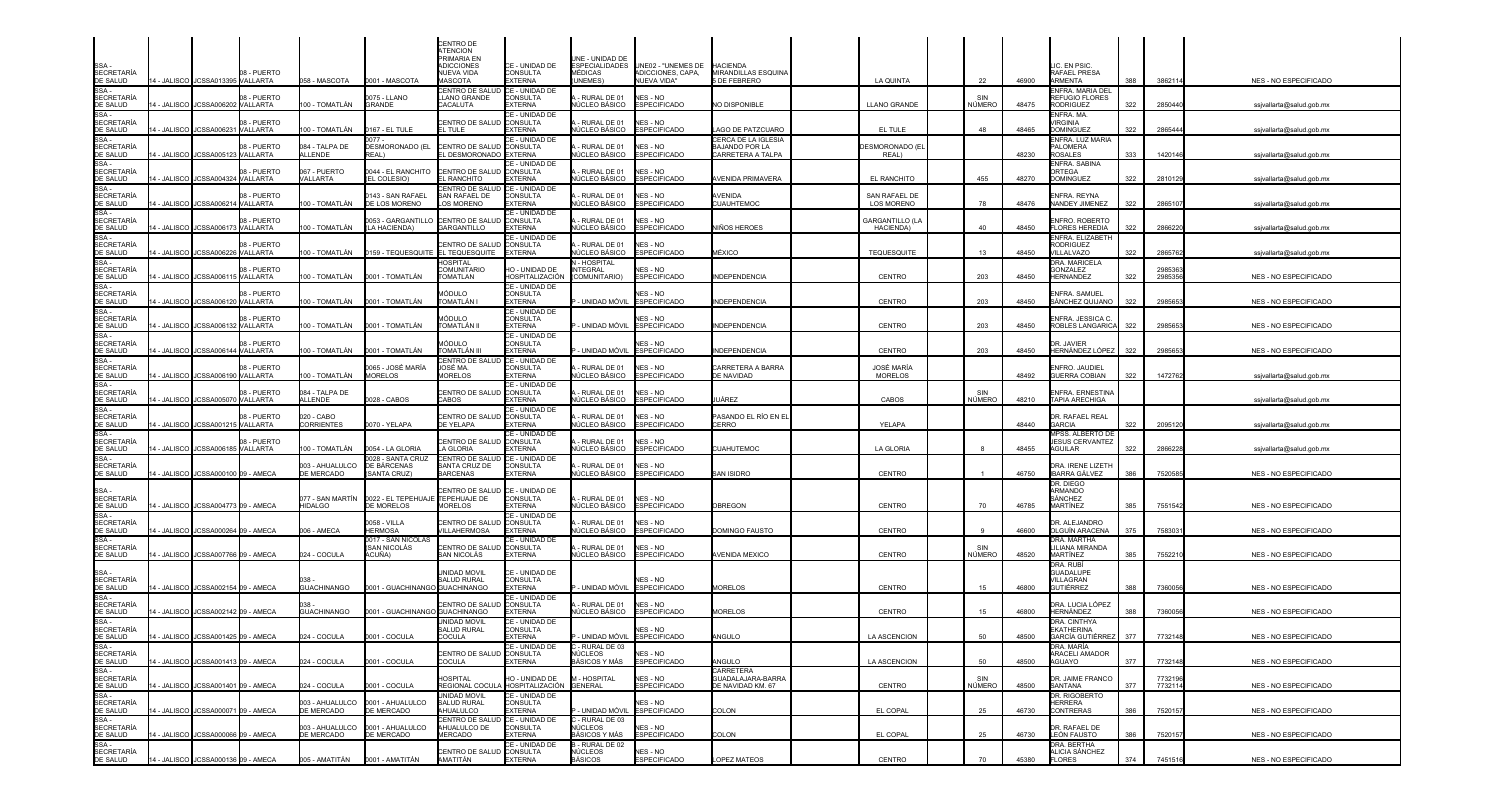| SSA<br><b>SECRETARÍA</b>                                                                               |             | 14 - JALISCO JCSSA013395 VALLARTA    | 08 - PUERTO             | 058 - MASCOTA                      | 0001 - MASCOTA                                | CENTRO DE<br><b>TENCION</b><br><b>PRIMARIA EN</b><br>ADICCIONES<br>NUEVA VIDA<br>MASCOTA | CE - UNIDAD DE<br>CONSULTA<br><b>EXTERNA</b>                | JNE - UNIDAD DE<br><b>ESPECIALIDADES</b><br>MÉDICAS<br><b>JNEMES</b> ) | UNE02 - "UNEMES DE<br>ADICCIONES, CAPA,<br><b>NUEVA VIDA"</b> | <b>HACIENDA</b><br>MIRANDILLAS ESQUINA<br>DE FEBRERO | LA QUINTA                          | 22            | 46900 | IC. EN PSIC.<br>RAFAEL PRESA<br>ARMENTA                             | 388 | 3862114            | NES - NO ESPECIFICADO        |
|--------------------------------------------------------------------------------------------------------|-------------|--------------------------------------|-------------------------|------------------------------------|-----------------------------------------------|------------------------------------------------------------------------------------------|-------------------------------------------------------------|------------------------------------------------------------------------|---------------------------------------------------------------|------------------------------------------------------|------------------------------------|---------------|-------|---------------------------------------------------------------------|-----|--------------------|------------------------------|
| DE SALUD<br>SSA -<br>SECRETARÍA<br>DE SALUD                                                            |             |                                      | 08 - PUERTO             |                                    | 075 - LLANO                                   | CENTRO DE SALUD<br><b>LANO GRANDE</b>                                                    | CE - UNIDAD DE<br>CONSULTA                                  | - RURAL DE 01                                                          | NES - NO                                                      |                                                      |                                    |               |       | ENFRA. MARIA DEL<br>REFUGIO FLORES                                  |     |                    |                              |
| SSA-                                                                                                   | 4 - JALISCO | JCSSA006202                          | VALLARTA<br>08 - PUERTO | 100 - TOMATLÁN                     | <b>GRANDE</b>                                 | CACALUTA<br><b>ENTRO DE SALUD</b>                                                        | <b>EXTERNA</b><br>CE - UNIDAD DE<br><b>CONSULTA</b>         | ÚCLEO BÁSICO<br>RURAL DE 01                                            | <b>ESPECIFICADO</b><br>NES - NO                               | NO DISPONIBLE                                        | <b>LLANO GRANDE</b>                | NÚMERO        | 48475 | <b>RODRIGUEZ</b><br>ENFRA. MA.<br><b>IRGINIA</b>                    | 322 | 2850440            | ssjvallarta@salud.gob.mx     |
| SECRETARÍA<br>DE SALUD<br>SSA -<br>SECRETARÍA                                                          | 4 - JALISCO | JCSSA006231                          | VALLARTA                | 00 - TOMATLÁN                      | 0167 - EL TULE<br>. 077.                      | L TULE                                                                                   | <b>EXTERNA</b><br>CE - UNIDAD DE                            | ÚCLEO BÁSICO                                                           | SPECIFICADO                                                   | AGO DE PATZCUARO<br>CERCA DE LA IGLESIA              | EL TULE                            | 48            | 48465 | <b>DOMINGUEZ</b><br>ENFRA. LUZ MARIA                                | 322 | 2865444            | ssjvallarta@salud.gob.mx     |
| DE SALUD<br>SSA-                                                                                       | - JALISCO   | JCSSA005123 VALLARTA                 | 08 - PUERTO             | 084 - TALPA DE<br><b>ALLENDE</b>   | DESMORONADO (EL<br>REAL)                      | CENTRO DE SALUD <b>(</b> CONSULTA<br>L DESMORONADO EXTERNA                               | CE - UNIDAD DE                                              | - RURAL DE 01<br>ÚCLEO BÁSICO                                          | NES - NO<br><b>ESPECIFICADO</b>                               | BAJANDO POR LA<br>CARRETERA A TALPA                  | DESMORONADO (EI<br>REAL)           |               | 48230 | ALOMERA<br><b>ROSALES</b><br>ENFRA. SABINA                          | 333 | 1420146            | ssjvallarta@salud.gob.mx     |
| SECRETARÍA<br>DE SALUD<br>SSA -                                                                        |             | 4 - JALISCO JCSSA004324 VALLARTA     | 08 - PUERTO             | 067 - PUERTO<br>VALLARTA           | 0044 - EL RANCHITO<br>EL COLESIO)             | <b>ENTRO DE SALUD CONSULTA</b><br>. RANCHITO<br><b>ENTRO DE SALUD</b>                    | EXTERNA<br>CE - UNIDAD DE                                   | - RURAL DE 01<br>IÚCLEO BÁSICO                                         | NES - NO<br><b>ESPECIFICADO</b>                               | \VENIDA PRIMAVERA                                    | EL RANCHITO                        | 455           | 48270 | <b>RTEGA</b><br><b>DOMINGUEZ</b>                                    | 322 | 2810129            | ssjvallarta@salud.gob.mx     |
| <b>SECRETARÍA</b><br>DE SALUD                                                                          |             | 4 - JALISCO JCSSA006214 VALLARTA     | 08 - PUERTO             | 100 - TOMATLÁN                     | 0143 - SAN RAFAEL<br>DE LOS MORENO            | SAN RAFAEL DE<br>OS MORENO                                                               | <b>CONSULTA</b><br><b>EXTERNA</b>                           | RURAL DE 01<br>ÚCLEO BÁSICO                                            | NES - NO<br>SPECIFICADO                                       | AVENIDA<br>CUAUHTEMOC                                | SAN RAFAEL DE<br><b>LOS MORENO</b> | 78            | 48476 | <b>NFRA. REYNA</b><br>NANDEY JIMENEZ                                | 322 | 286510             | ssjvallarta@salud.gob.mx     |
| SSA -<br>SECRETARÍA<br>DE SALUD                                                                        |             | 4 - JALISCO JCSSA006173              | 08 - PUERTO<br>VALLARTA | 100 - TOMATLÁN                     | 0053 - GARGANTILLO<br>(LA HACIENDA)           | CENTRO DE SALUD<br>GARGANTILLO                                                           | CE - UNIDAD DE<br><b>CONSULTA</b><br><b>EXTERNA</b>         | RURAL DE 01<br><b>IÚCLEO BÁSICO</b>                                    | NES - NO<br><b>ESPECIFICADO</b>                               | NIÑOS HEROES                                         | GARGANTILLO (LA<br>HACIENDA)       | 40            | 48450 | <b>INFRO. ROBERTO</b><br>LORES HEREDIA                              | 322 | 286622             | ssjvallarta@salud.gob.mx     |
|                                                                                                        | 4 - JALISCO | <b>JCSSA006220</b>                   | 8 - PUERTO<br>VALLARTA  | 00 - TOMATLÁN                      | 0159 - TEQUESQUITE                            | ENTRO DE SALUD<br>EL TEQUESQUITE                                                         | CE - UNIDAD DE<br><b>CONSULTA</b><br><b>EXTERNA</b>         | - RURAL DE 01<br>IÚCLEO BÁSICO                                         | NES - NO<br><b>ESPECIFICADO</b>                               | <b>JÉXICO</b>                                        | <b>TEQUESQUITE</b>                 | 13            | 48450 | NFRA. ELIZABETH<br>RODRIGUEZ<br><b>ILLALVAZO</b>                    | 322 | 2865762            | ssjvallarta@salud.gob.mx     |
|                                                                                                        |             |                                      | 8 - PUERTO              |                                    |                                               | <b>HOSPITAL</b><br>OMUNITARIO                                                            | HO - UNIDAD DE                                              | <b>HOSPITAL</b><br><b>INTEGRAL</b>                                     | NES - NO                                                      |                                                      |                                    |               |       | DRA. MARICELA<br><b>GONZALEZ</b>                                    |     | 298536             |                              |
| DE SALUD<br>SSA -<br>SECRETARÍA<br>DE SALUD<br>SSA -<br>SECRETARÍA<br>DE SALUD<br>DE SALUD<br>DE SALUD | 4 - JALISCO | JCSSA006115 VALLARTA                 | 8 - PUERTO              | 100 - TOMATLÁN                     | 0001 - TOMATLÁN                               | OMATLAN<br><b>IÓDULO</b>                                                                 | <b>HOSPITALIZACIÓN</b><br>CE - UNIDAD DE<br><b>CONSULTA</b> | <b>COMUNITARIO)</b>                                                    | <b>ESPECIFICADO</b><br>NES - NO                               | NDEPENDENCIA                                         | CENTRO                             | 203           | 48450 | <b>HERNANDEZ</b><br><b>NFRA. SAMUEL</b>                             | 322 | 2985356            | NES - NO ESPECIFICADO        |
| SSA-                                                                                                   | - JALISCO   | JCSSA006120 VALLARTA                 |                         | 100 - TOMATLÁN                     | 0001 - TOMATLÁN                               | OMATLÁN I                                                                                | <b>EXTERNA</b><br>CE - UNIDAD DE                            | UNIDAD MÓVIL                                                           | <b>ESPECIFICADO</b>                                           | NDEPENDENCIA                                         | CENTRO                             | 203           | 48450 | SÁNCHEZ QUIJANO                                                     | 322 | 2985653            | NES - NO ESPECIFICADO        |
| SECRETARÍA<br>DE SALUD<br>SSA -                                                                        |             | - JALISCO JCSSA006132 VALLARTA       | 08 - PUERTO             | 100 - TOMATLÁN                     | 0001 - TOMATLÁN                               | <b>IÓDULO</b><br>TOMATLÁN I                                                              | CONSULTA<br><b>EXTERNA</b><br>CE - UNIDAD DE                | - UNIDAD MÓVIL ESPECIFICADO                                            | NES - NO                                                      | NDEPENDENCIA                                         | CENTRO                             | 203           | 48450 | <b>INFRA. JESSICA C.</b><br>ROBLES LANGARICA                        | 322 | 2985653            | <b>NES - NO ESPECIFICADO</b> |
| SSA -<br>SECRETARÍA<br>DE SALUD<br>SSA -<br>SECRETARÍA                                                 | 4 - JALISCO | JCSSA006144 VALLARTA                 | 08 - PUERTO             | 100 - TOMATLÁN                     | 0001 - TOMATLÁN                               | <b>IÓDULO</b><br>OMATLÁN II                                                              | CONSULTA<br><b>EXTERNA</b><br>CE - UNIDAD DE                | · UNIDAD MÓVIL                                                         | IES - NO<br>SPECIFICADO                                       | NDEPENDENCIA                                         | CENTRO                             | 203           | 48450 | )R. JAVIER<br>HERNÁNDEZ LÓPEZ                                       | 322 | 2985653            | NES - NO ESPECIFICADO        |
| DE SALUD                                                                                               | 4 - JALISCO | JCSSA006190 VALLARTA                 | 08 - PUERTO             | 100 - TOMATLÁN                     | 0065 - JOSÉ MARÍA<br><b>MORELOS</b>           | CENTRO DE SALUD<br>JOSÉ MA.<br><b>MORELOS</b>                                            | CONSULTA<br><b>EXTERNA</b>                                  | - RURAL DE 01<br>ÚCLEO BÁSICO                                          | NES - NO<br>ESPECIFICADO                                      | ARRETERA A BARRA<br>DE NAVIDAD                       | JOSÉ MARÍA<br><b>MORELOS</b>       |               | 48492 | NFRO. JAUDIEL<br><b>SUERRA COBIAN</b>                               | 322 | 1472762            | ssjvallarta@salud.gob.mx     |
| SSA -<br><b>SECRETARÍA</b><br>DE SALUD<br>SSA -                                                        | 4 - JALISCO | JCSSA005070 VALLARTA                 | 08 - PUERTO             | 084 - TALPA DE<br>ALLENDE          | 028 - CABOS                                   | <b>ENTRO DE SALUD</b><br><b>ABOS</b>                                                     | CE - UNIDAD DE<br><b>CONSULTA</b><br><b>EXTERNA</b>         | RURAL DE 01<br>ÚCLEO BÁSICO                                            | NES - NO<br>SPECIFICADO                                       | JÁREZ                                                | CABOS                              | SIN<br>NÚMERO | 48210 | <b>NFRA. ERNESTINA</b><br><b>TAPIA ARECHIGA</b>                     |     |                    | ssjvallarta@salud.gob.mx     |
| <b>SECRETARÍA</b><br>DE SALUD                                                                          | - JALISCO   | JCSSA001215 VALLARTA                 | 08 - PUERTO             | 020 - CABO<br><b>CORRIENTES</b>    | 0070 - YELAPA                                 | CENTRO DE SALUD<br>DE YELAPA                                                             | CE - UNIDAD DE<br><b>CONSULTA</b><br><b>EXTERNA</b>         | RURAL DE 01<br>ÚCLEO BÁSICO                                            | NES - NO<br><b>ESPECIFICADO</b>                               | PASANDO EL RÍO EN EL<br>CERRO                        | YELAPA                             |               | 48440 | )R. RAFAEL REAL<br>GARCIA                                           | 322 | 2095120            | ssjvallarta@salud.gob.mx     |
| SSA.<br>SECRETARÍA                                                                                     |             | 4 - JALISCO JCSSA006185 VALLARTA     | 08 - PUERTO             | 00 - TOMATLÁN                      | 0054 - LA GLORIA                              | CENTRO DE SALUD CONSULTA<br>A GLORIA                                                     | CE - UNIDAD DE<br><b>EXTERNA</b>                            | - RURAL DE 01<br>ÚCLEO BÁSICO                                          | NES - NO<br>SPECIFICADO                                       |                                                      | LA GLORIA                          |               | 48455 | MPSS. ALBERTO DE<br><b>JESUS CERVANTEZ</b><br><b><i>AGUILAR</i></b> | 322 | 286622             |                              |
| DE SALUD<br>SSA-<br><b>SECRETARÍA</b>                                                                  |             |                                      |                         | 003 - AHUALULCO                    | 028 - SANTA CRUZ<br>DE BÁRCENAS               | CENTRO DE SALUD<br>SANTA CRUZ DE                                                         | CE - UNIDAD DE<br>CONSULTA                                  | RURAL DE 01                                                            | NES - NO                                                      | <b>UAHUTEMOC</b>                                     |                                    |               |       | DRA. IRENE LIZETH                                                   |     |                    | ssjvallarta@salud.gob.mx     |
| DE SALUD                                                                                               |             | 4 - JALISCO JCSSA000100 09 - AMECA   |                         | DE MERCADO                         | (SANTA CRUZ)                                  | <b>BARCENAS</b><br>ENTRO DE SALUD                                                        | EXTERNA<br>CE - UNIDAD DE                                   | IÚCLEO BÁSICO                                                          | <b>SPECIFICADO</b>                                            | SAN ISIDRO                                           | CENTRO                             |               | 46750 | IBARRA GÁLVEZ<br>DR. DIEGO<br>ARMANDO                               | 386 | 7520585            | NES - NO ESPECIFICADO        |
|                                                                                                        |             | 14 - JALISCO JCSSA004773 09 - AMECA  |                         | 077 - SAN MARTÍN<br><b>HIDALGO</b> | 0022 - EL TEPEHUAJE<br><b>DE MORELOS</b>      | TEPEHUAJE DE<br><b>MORELOS</b>                                                           | <b>CONSULTA</b><br>EXTERNA                                  | - RURAL DE 01<br><b>VÚCLEO BÁSICO</b>                                  | NES - NO<br><b>SPECIFICADO</b>                                | <b>DBREGON</b>                                       | <b>CENTRO</b>                      | 70            | 46785 | SÁNCHEZ<br>MARTÍNEZ                                                 | 385 | 7551542            | NES - NO ESPECIFICADO        |
| SSA -<br>SECRETARÍA<br>DE SALUD<br>SSA -<br>SECRETARÍA<br>DE SALUD                                     | 4 - JALISCO | JCSSA000264 09 - AMECA               |                         | 006 - AMECA                        | 0058 - VILLA<br><b>HERMOSA</b>                | <b>ENTRO DE SALUD</b><br>VILLAHERMOSA                                                    | CE - UNIDAD DE<br><b>CONSULTA</b><br><b>EXTERNA</b>         | RURAL DE 01<br>IÚCLEO BÁSICO                                           | <b>JES - NO</b><br><b>ESPECIFICADO</b>                        | DOMINGO FAUSTO                                       | CENTRO                             |               | 46600 | R. ALEJANDRO<br>OLGUÍN ARACENA                                      | 375 | 758303             | NES - NO ESPECIFICADO        |
| SSA -<br>SECRETARÍA<br>DE SALUD                                                                        | 4 - JALISCO | JCSSA007766 09 - AMECA               |                         | 024 - COCULA                       | 0017 - SAN NICOLÁS<br>(SAN NICOLÁS<br>ÁCUÑA). | CENTRO DE SALUI<br>AN NICOLÁS                                                            | CE - UNIDAD DE<br>CONSULTA<br><b>EXTERNA</b>                | - RURAL DE 01<br><b>IÚCLEO BÁSICO</b>                                  | NES - NO<br><b>ESPECIFICADO</b>                               | <b>VENIDA MEXICO</b>                                 | CENTRO                             | SIN<br>NÚMERO | 48520 | DRA. MARTHA<br>ILIANA MIRANDA<br>MARTÍNEZ                           | 385 | 7552210            | NES - NO ESPECIFICADO        |
|                                                                                                        |             |                                      |                         |                                    |                                               | <b>JNIDAD MOVIL</b>                                                                      | CE - UNIDAD DE                                              |                                                                        |                                                               |                                                      |                                    |               |       | DRA. RUBÍ<br><b>GUADALUPE</b>                                       |     |                    |                              |
| SSA -<br>SECRETARÍA<br>DE SALUD<br>SSA-                                                                |             | 4 - JALISCO JCSSA002154 09 - AMECA   |                         | <b>GUACHINANGO</b>                 | 0001 - GUACHINANGO GUACHINANGO                | SALUD RURAL                                                                              | <b>CONSULTA</b><br><b>EXTERNA</b><br>CE - UNIDAD DE         | UNIDAD MÓVIL                                                           | NES - NO<br><b>ESPECIFICADO</b>                               | <b>MORELOS</b>                                       | CENTRO                             | 15            | 46800 | /ILLAGRAN<br>GUTIÉRREZ                                              | 388 | 7360056            | NES - NO ESPECIFICADO        |
| <b>SECRETARÍA</b>                                                                                      |             | 14 - JALISCO JCSSA002142 09 - AMECA  |                         | <b>GUACHINANGO</b>                 | 0001 - GUACHINANGO                            | ENTRO DE SALUE<br><b>GUACHINANGO</b>                                                     | CONSULTA<br><b>EXTERNA</b><br>CE - UNIDAD DE                | - RURAL DE 01<br>IÚCLEO BÁSICO                                         | NES - NO<br><b>ESPECIFICADO</b>                               | MORELOS                                              | CENTRO                             | 15            | 46800 | )RA. LUCIA LÓPEZ<br>HERNÁNDEZ                                       | 388 | 7360056            | NES - NO ESPECIFICADO        |
| DE SALUD<br>SSA -<br>SECRETARÍA<br>DE SALUD                                                            |             | 14 - JALISCO JCSSA001425 09 - AMECA  |                         | 024 - COCULA                       | 0001 - COCULA                                 | UNIDAD MOVIL<br>ALUD RURAL<br>COCULA                                                     | CONSULTA<br><b>EXTERNA</b>                                  | - UNIDAD MÓVIL ESPECIFICADO                                            | ES-NO                                                         | ANGULO                                               | LA ASCENCION                       | 50            | 48500 | DRA. CINTHYA<br><b>:ATHERINA</b><br>GARCÍA GUTIÉRREZ                | 377 | 7732148            | NES - NO ESPECIFICADO        |
| <b>DE SALOD<br/> SSA -<br/> SECRETARÍA<br/> DE SALUD<br/> SSA -<br/> SECRETARÍA</b><br>SECRETARÍA      |             | 14 - JALISCO JCSSA001413 09 - AMECA  |                         | 024 - COCULA                       | 0001 - COCULA                                 | CENTRO DE SALUD CONSULTA<br>COCULA                                                       | CE - UNIDAD DE<br>EXTERNA                                   | - RURAL DE 03<br>NÚCLEOS<br>BÁSICOS Y MÁS                              | NES - NO<br><b>ESPECIFICADO</b>                               | ANGULO                                               | LA ASCENCION                       | 50            | 48500 | DRA. MARÍA<br>ARACELI AMADOR<br>AGUAYO                              | 377 | 7732148            | NES - NO ESPECIFICADO        |
|                                                                                                        |             | 14 - JALISCO JCSSA001401 09 - AMECA  |                         | 024 - COCULA                       | 0001 - COCULA                                 | HOSPITAL<br>REGIONAL COCULA HOSPITALIZACIÓN                                              | HO - UNIDAD DE                                              | M - HOSPITAL<br><b>GENERAL</b>                                         | NES - NO<br><b>ESPECIFICADO</b>                               | CARRETERA<br>GUADALAJARA-BARRA<br>DE NAVIDAD KM. 67  | CENTRO                             | SIN<br>NÚMERO | 48500 | DR. JAIME FRANCO<br>SANTANA                                         | 377 | 7732196<br>7732114 | NES - NO ESPECIFICADO        |
| DE SALUD<br>SSA -<br>SECRETARÍA<br>DE SALUD<br>SSA -                                                   |             |                                      |                         |                                    |                                               | UNIDAD MOVIL<br>SALUD RURAL                                                              | CE - UNIDAD DE<br><b>CONSULTA</b>                           |                                                                        | NES - NO                                                      |                                                      |                                    |               |       | DR. RIGOBERTO<br>HERRERA                                            |     |                    |                              |
|                                                                                                        |             | 14 - JALISCO JJCSSA000071 09 - AMECA |                         | DE MERCADO                         | DE MERCADO                                    | AHUALULCO<br>CENTRO DE SALUD<br>AHUALULCO DE                                             | <b>EXTERNA</b><br>CE - UNIDAD DE<br><b>CONSULTA</b>         | UNIDAD MÓVIL ESPECIFICADO<br>- RURAL DE 03<br>NÚCLEOS                  | NES - NO                                                      | COLON                                                | EL COPAL                           | 25            | 46730 | <b>CONTRERAS</b><br>DR. RAFAEL DE                                   | 386 | 7520157            | NES - NO ESPECIFICADO        |
| SSA -<br>DE SALUD<br>DE SALUD<br>SSA -<br>SECRETARÍA<br>DE SALUD                                       |             | 14 - JALISCO JJCSSA000066 09 - AMECA |                         | DE MERCADO                         | DE MERCADO                                    | MERCADO                                                                                  | <b>EXTERNA</b><br>CE - UNIDAD DE                            | BÁSICOS Y MÁS<br>3 - RURAL DE 02                                       | <b>ESPECIFICADO</b>                                           | COLON                                                | EL COPAL                           | 25            | 46730 | LEÓN FAUSTO<br>DRA. BERTHA                                          | 386 | 7520157            | NES - NO ESPECIFICADO        |
|                                                                                                        |             | 14 - JALISCO JCSSA000136 09 - AMECA  |                         | 005 - AMATITÁN 0001 - AMATITÁN     |                                               | CENTRO DE SALUD CONSULTA<br>AMATITÁN                                                     | <b>EXTERNA</b>                                              | NÚCLEOS<br><b>BÁSICOS</b>                                              | NES - NO<br><b>ESPECIFICADO</b>                               | <b>LOPEZ MATEOS</b>                                  | CENTRO                             | 70            | 45380 | ALICIA SÁNCHEZ<br><b>FLORES</b>                                     | 374 | 7451516            | NES - NO ESPECIFICADO        |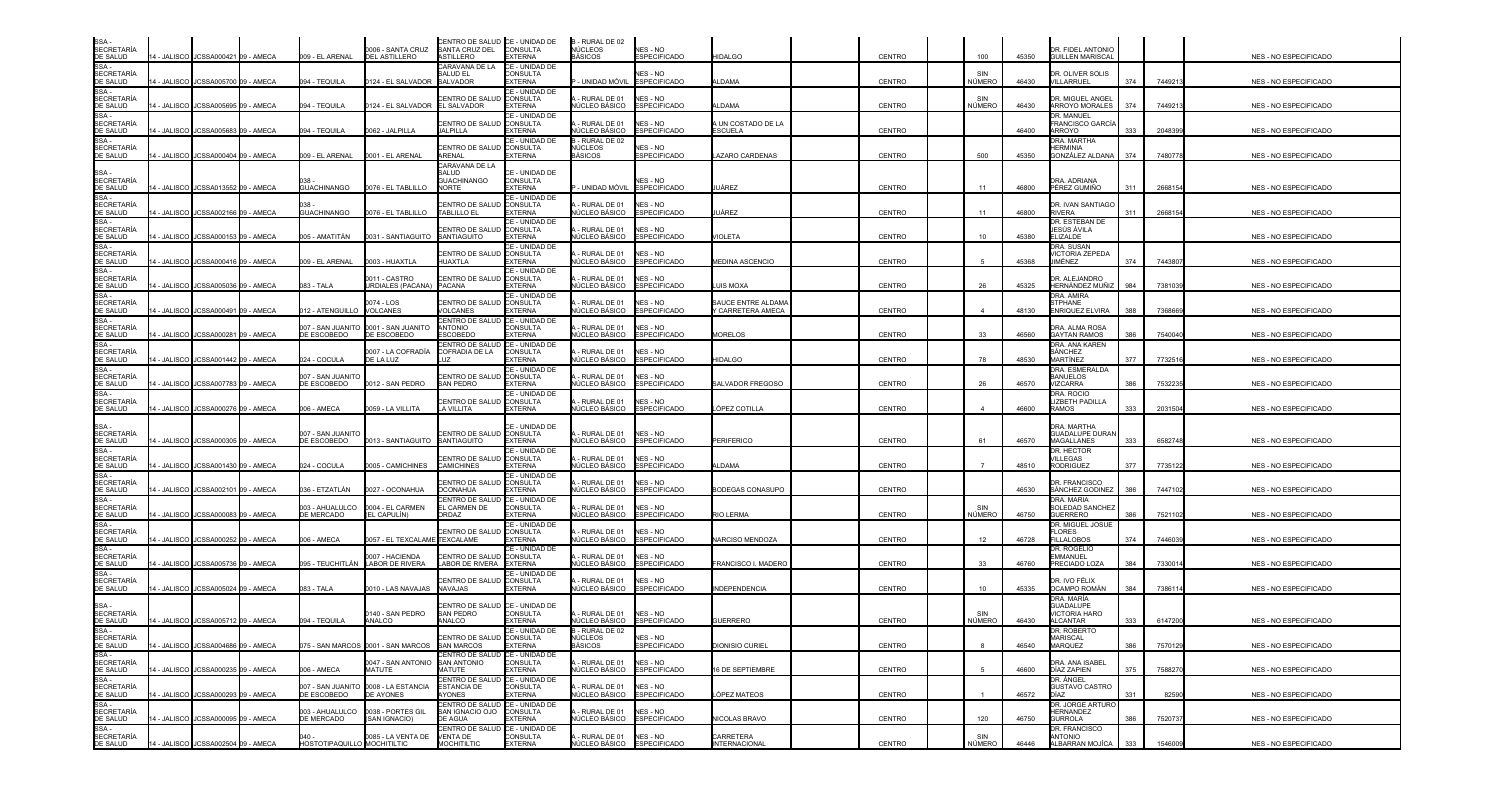| SSA<br><b>SECRETARÍA</b>                           |             |                                       |                    |                             | 0006 - SANTA CRUZ                                        | CENTRO DE SALUD CE - UNIDAD DE<br>SANTA CRUZ DEL               | CONSULTA                                            | B - RURAL DE 02<br>NÚCLEOS                 | NES - NO                               |                                         |               |               |       | DR. FIDEL ANTONIO                                      |     |         |                              |
|----------------------------------------------------|-------------|---------------------------------------|--------------------|-----------------------------|----------------------------------------------------------|----------------------------------------------------------------|-----------------------------------------------------|--------------------------------------------|----------------------------------------|-----------------------------------------|---------------|---------------|-------|--------------------------------------------------------|-----|---------|------------------------------|
| DE SALUD<br>SSA-                                   |             | 14 - JALISCO I JCSSA000421 09 - AMECA | 009 - EL ARENAL    |                             | DEL ASTILLERO                                            | <b>ASTILLERO</b><br>CARAVANA DE LA                             | <b>EXTERNA</b><br>CE - UNIDAD DE                    | <b>BÁSICOS</b>                             | ESPECIFICADO                           | <b>HIDALGO</b>                          | <b>CENTRO</b> | 100           | 45350 | <b>GUILLEN MARISCAL</b>                                |     |         | NES - NO ESPECIFICADO        |
| <b>SECRETARÍA</b><br>DE SALUD                      |             | 14 - JALISCO JJCSSA005700 09 - AMECA  | 094 - TEQUILA      |                             | 124 - EL SALVADOR                                        | <b>SALUD EL</b><br>SALVADOR                                    | ONSULTA<br>EXTERNA                                  | - UNIDAD MÓVIL                             | <b>NES - NO</b><br><b>ESPECIFICADO</b> | LDAMA                                   | <b>CENTRO</b> | NÚMERO        | 46430 | DR. OLIVER SOLIS<br>VILLARRUEL                         | 374 | 7449213 | NES - NO ESPECIFICADO        |
| SSA-<br><b>SECRETARÍA</b><br>DE SALUD              |             | 4 - JALISCO JCSSA005695 09 - AMECA    | 094 - TEQUILA      |                             | 124 - EL SALVADOR                                        | <b>ENTRO DE SALL</b><br><b>EL SALVADOR</b>                     | CE - UNIDAD DE<br><b>CONSULTA</b><br>EXTERNA        | RURAL DE 01<br>IÚCLEO BÁSICO               | NES - NO<br>ESPECIFICADO               | LDAMA                                   | <b>CENTRO</b> | NÚMERO        | 46430 | DR. MIGUEL ANGEI<br>ARROYO MORALES                     | 374 | 744921  | <b>NES - NO ESPECIFICADO</b> |
| SSA-<br><b>SECRETARÍA</b><br>DE SALUD              |             | 4 - JALISCO JCSSA005683 09 - AMECA    | 094 - TEQUILA      |                             | 0062 - JALPILLA                                          | CENTRO DE SALU<br>JALPILLA                                     | CE - UNIDAD DE<br>CONSULTA<br><b>EXTERNA</b>        | RURAL DE 01<br>ÚCLEO BÁSICO                | NES - NO<br><b>ESPECIFICADO</b>        | A UN COSTADO DE LA<br><b>SCUELA</b>     | <b>CENTRO</b> |               | 46400 | DR. MANUEL<br>FRANCISCO GARCÍ<br>ARROYO                | 333 | 2048399 | NES - NO ESPECIFICADO        |
| SSA-<br><b>SECRETARÍA</b>                          |             |                                       |                    |                             |                                                          | CENTRO DE SALUI                                                | CE - UNIDAD DE<br><b>CONSULTA</b>                   | - RURAL DE 02<br>IÚCLEOS                   | NES - NO                               |                                         |               |               |       | DRA, MARTHA<br><b>HERMINIA</b>                         |     |         |                              |
| DE SALUD                                           |             | 4 - JALISCO JCSSA000404 09 - AMECA    |                    | 009 - EL ARENAL             | 0001 - EL ARENAL                                         | <b>ARFNAI</b><br>CARAVANA DE LA                                | EXTERNA                                             | BÁSICOS                                    | <b>ESPECIFICADO</b>                    | AZARO CARDENAS                          | <b>CENTRO</b> | 500           | 45350 | GONZÁLEZ ALDANA                                        | 374 | 7480778 | <b>NES - NO ESPECIFICADO</b> |
| SSA -<br><b>SECRETARÍA</b><br>DE SALUD             |             | 4 - JALISCO JCSSA013552 09 - AMECA    | <b>GUACHINANGO</b> |                             | 0076 - EL TABLILLO                                       | SALUD<br><b>GUACHINANGO</b><br><b>NORTE</b>                    | CE - UNIDAD DE<br><b>CONSULTA</b><br><b>EXTERNA</b> | - UNIDAD MÓVIL                             | NES - NO<br><b>ESPECIFICADO</b>        | JÁREZ                                   | <b>CENTRO</b> | 11            | 46800 | DRA. ADRIANA<br>PÉREZ GUMIÑO                           | 311 | 266815  | NES - NO ESPECIFICADO        |
| SSA -<br><b>SECRETARÍA</b><br>DE SALUD             |             | 14 - JALISCO JCSSA002166 09 - AMECA   | <b>GUACHINANGO</b> |                             | 0076 - EL TABLILLO                                       | CENTRO DE SALUI<br><b>TABLILLO EL</b>                          | CE - UNIDAD DE<br><b>CONSULTA</b><br><b>EXTERNA</b> | RURAL DE 01<br>IÚCLEO BÁSICO               | NES - NO<br><b>ESPECIFICADO</b>        | JÁREZ                                   | <b>CENTRO</b> | 11            | 46800 | DR. IVAN SANTIAGO<br><b>RIVERA</b>                     | 311 | 2668154 | NES - NO ESPECIFICADO        |
| SSA -<br><b>SECRETARÍA</b>                         |             |                                       |                    |                             |                                                          | CENTRO DE SALUI                                                | CE - UNIDAD DE<br><b>CONSULTA</b>                   | - RURAL DE 01                              | NES - NO                               |                                         |               |               |       | DR. ESTEBAN DE<br>JESÚS ÁVILA                          |     |         |                              |
| DE SALUD<br>SSA-                                   |             | 14 - JALISCO JCSSA000153 09 - AMECA   | 005 - AMATITÁN     |                             | 031 - SANTIAGUITO                                        | SANTIAGUITO                                                    | <b>EXTERNA</b><br>CE - UNIDAD DE                    | <b>IÚCLEO BÁSICO</b>                       | <b>ESPECIFICADO</b>                    | <b>JIOLETA</b>                          | <b>CENTRO</b> | 10            | 45380 | <b>ELIZALDE</b><br>DRA. SUSAN                          |     |         | NES - NO ESPECIFICADO        |
| <b>SECRETARÍA</b><br>DE SALUD<br>SSA -             | 4 - JALISCO | JCSSA000416 09 - AMECA                |                    | 009 - EL ARENAL             | 003 - HUAXTLA                                            | CENTRO DE SALL<br>HUAXTLA                                      | CONSULTA<br><b>EXTERNA</b><br>CE - UNIDAD DE        | RURAL DE 01<br>IÚCLEO BÁSICO               | NES - NO<br><b>ESPECIFICADO</b>        | <b><i>MEDINA ASCENCIO</i></b>           | <b>CENTRO</b> |               | 45368 | <b>VICTORIA ZEPEDA</b><br><b>JIMÉNEZ</b>               | 374 | 744380  | NES - NO ESPECIFICADO        |
| <b>SECRETARÍA</b><br>DE SALUD                      |             | 4 - JALISCO JCSSA005036 09 - AMECA    | 083 - TALA         |                             | 0011 - CASTRO<br>JRDIALES (PACANA) PACANA                | CENTRO DE SALI                                                 | <b>CONSULTA</b><br>EXTERNA                          | - RURAL DE 01<br>IÚCLEO BÁSICO             | NES - NO<br><b>ESPECIFICADO</b>        | UIS MOXA                                | <b>CENTRO</b> | 26            | 45325 | DR. ALEJANDRO<br>HERNÁNDEZ MUÑIZ                       | 984 | 7381039 | NES - NO ESPECIFICADO        |
| SSA -<br><b>SECRETARÍA</b><br>DE SALUD             |             | 4 - JALISCO JCSSA000491 09 - AMECA    |                    | 12 - ATENGUILLO             | 0074 - LOS<br><b>VOLCANES</b>                            | CENTRO DE SALU<br>VOLCANES                                     | CE - UNIDAD DE<br><b>CONSULTA</b><br>EXTERNA        | - RURAL DE 01<br>IÚCLEO BÁSICO             | NES - NO<br>ESPECIFICADO               | SAUCE ENTRE ALDAMA<br>Y CARRETERA AMECA | <b>CENTRO</b> |               | 48130 | DRA. AMIRA<br><b>STPHANE</b><br><b>ENRIQUEZ ELVIRA</b> | 388 | 7368669 | <b>NES - NO ESPECIFICADO</b> |
| SSA-<br><b>SECRETARÍA</b><br>DE SALUD              |             | 4 - JALISCO JCSSA000281 09 - AMECA    | DE ESCOBEDO        |                             | 007 - SAN JUANITO 0001 - SAN JUANITO<br>DE ESCOBEDO      | CENTRO DE SALUD<br><b>ANTONIO</b><br><b>ESCOBEDO</b>           | CE - UNIDAD DE<br>CONSULTA<br><b>EXTERNA</b>        | RURAL DE 01<br>IÚCLEO BÁSICO               | NES - NO<br><b>ESPECIFICADO</b>        | <b>MORELOS</b>                          | <b>CENTRO</b> | 33            | 46560 | DRA. ALMA ROSA<br><b>GAYTAN RAMOS</b>                  | 386 | 7540040 | NES - NO ESPECIFICADO        |
| SSA -<br><b>SECRETARIA</b>                         |             |                                       |                    |                             | 0007 - LA COFRADÌA<br>DE LA LUZ                          | CENTRO DE SALUD <b>I</b> CE - UNIDAD DE<br>COFRADIA DE LA      | <b>CONSULTA</b>                                     | - RURAL DE 01                              | NES - NO                               |                                         |               | 78            |       | DRA. ANA KAREN<br>SÁNCHEZ<br><b>MARTÍNEZ</b>           |     |         |                              |
| DE SALUD<br>SSA-<br><b>SECRETARÍA</b>              |             | 14 - JALISCO JCSSA001442 09 - AMECA   | 024 - COCULA       | 007 - SAN JUANITO           |                                                          | CENTRO DE SALU                                                 | EXTERNA<br>CE - UNIDAD DE<br><b>CONSULTA</b>        | ÚCLEO BÁSICO<br>- RURAL DE 01              | <b>ESPECIFICADO</b><br>NES - NO        | <b>HIDALGO</b>                          | <b>CENTRO</b> |               | 48530 | DRA. ESMERALDA<br><b>BANUELOS</b>                      | 377 | 7732516 | NES - NO ESPECIFICADO        |
| DE SALUD<br>SSA-                                   |             | 4 - JALISCO JCSSA007783 09 - AMECA    | DE ESCOBEDO        |                             | 0012 - SAN PEDRO                                         | <b>SAN PEDRO</b>                                               | <b>EXTERNA</b><br>CE - UNIDAD DE                    | ÚCLEO BÁSICO                               | <b>ESPECIFICADO</b>                    | <b>SALVADOR FREGOSO</b>                 | <b>CENTRO</b> | 26            | 46570 | <b>VIZCARRA</b><br>DRA. ROCIO                          | 386 | 7532235 | NES - NO ESPECIFICADO        |
| <b>SECRETARÍA</b><br>DE SALUD                      |             | 4 - JALISCO JCSSA000276 09 - AMECA    | 006 - AMECA        |                             | 059 - LA VILLITA                                         | CENTRO DE SALUI<br>A VILLITA                                   | <b>CONSULTA</b><br>EXTERNA                          | - RURAL DE 01<br>ÚCLEO BÁSICO              | NES - NO<br><b>ESPECIFICADO</b>        | ÓPEZ COTILLA                            | CENTRO        |               | 46600 | LIZBETH PADILLA<br><b>RAMOS</b>                        | 333 | 2031504 | NES - NO ESPECIFICADO        |
| SSA -<br><b>SECRETARÍA</b>                         |             |                                       |                    | 007 - SAN JUANITO           |                                                          | CENTRO DE SALUI                                                | CE - UNIDAD DE<br><b>CONSULTA</b>                   | - RURAL DE 01                              | NES - NO                               |                                         |               |               |       | DRA, MARTHA<br><b>GUADALUPE DURAN</b>                  |     |         |                              |
| DE SALUD<br>SSA-                                   |             | 14 - JALISCO JCSSA000305 09 - AMECA   | DE ESCOBEDO        |                             | 0013 - SANTIAGUITO SANTIAGUITO                           |                                                                | <b>EXTERNA</b>                                      | ÚCLEO BÁSICO                               | <b>ESPECIFICADO</b>                    | <b>PERIFERICO</b>                       | <b>CENTRO</b> | 61            | 46570 | <b>MAGALLANES</b>                                      | 333 | 6582748 | <b>NES - NO ESPECIFICADO</b> |
| <b>SECRETARÍA</b><br>DE SALUD                      |             | 14 - JALISCO JCSSA001430 09 - AMECA   | 024 - COCULA       |                             | 0005 - CAMICHINES                                        | CENTRO DE SALUI<br><b>CAMICHINES</b>                           | CE - UNIDAD DE<br><b>CONSULTA</b><br><b>EXTERNA</b> | RURAL DE 01<br>ÚCLEO BÁSICO                | NES - NO<br><b>ESPECIFICADO</b>        | LDAMA                                   | <b>CENTRO</b> |               | 48510 | DR. HECTOR<br>VILLEGAS<br><b>RODRIGUEZ</b>             | 377 | 773512  | NES - NO ESPECIFICADO        |
| SSA-<br><b>SECRETARÍA</b><br>DE SALUD              |             | 14 - JALISCO JCSSA002101 09 - AMECA   |                    | )36 - ETZATLÁN              | 0027 - OCONAHUA                                          | CENTRO DE SALUI<br><b>OCONAHUA</b>                             | CE - UNIDAD DE<br><b>CONSULTA</b><br>EXTERNA        | RURAL DE 01<br><b>IÚCLEO BÁSICO</b>        | NES - NO<br><b>ESPECIFICADO</b>        | <b>BODEGAS CONASUPO</b>                 | <b>CENTRO</b> |               | 46530 | DR. FRANCISCO<br>SÁNCHEZ GODINEZ                       | 386 | 744710  | NES - NO ESPECIFICADO        |
| SSA-<br><b>SECRETARÍA</b><br>DE SALUD              |             | 14 - JALISCO JCSSA000083 09 - AMECA   | DE MERCADO         | 003 - AHUALULCO             | 0004 - EL CARMEN<br>(EL CAPULÍN)                         | CENTRO DE SALUD<br>EL CARMEN DE<br>ORDAZ                       | CE - UNIDAD DE<br><b>CONSULTA</b><br>EXTERNA        | RURAL DE 01<br><b>IÚCLEO BÁSICO</b>        | NES - NO<br>ESPECIFICADO               | RIO LERMA                               | <b>CENTRO</b> | SIN<br>NÚMERO | 46750 | DRA, MARIA<br>SOLEDAD SANCHEZ<br><b>GUERRERO</b>       | 386 | 752110  | NES - NO ESPECIFICADO        |
| SSA -<br><b>SECRETARÍA</b>                         |             |                                       |                    |                             | 0057 - EL TEXCALAME ITEXCALAME                           | <b>ENTRO DE SALL</b>                                           | CE - UNIDAD DE<br>CONSULTA                          | RURAL DE 01                                | NES - NO<br><b>ESPECIFICADO</b>        |                                         |               |               |       | DR. MIGUEL JOSUE<br><b>FLORES</b>                      |     |         |                              |
| DE SALUD<br>SSA -<br><b>SECRETARÍA</b>             | 4 - JALISCO | JCSSA000252 09 - AMECA                | 006 - AMECA        |                             | 007 - HACIENDA                                           | CENTRO DE SALU                                                 | <b>EXTERNA</b><br>CE - UNIDAD DE<br><b>CONSULTA</b> | IÚCLEO BÁSICO<br>- RURAL DE 01             | NES - NO                               | <b>VARCISO MENDOZA</b>                  | <b>CENTRO</b> | 12            | 46728 | <b>FILLALOBOS</b><br>DR. ROGELIO<br><b>EMMANUEL</b>    | 374 | 7446039 | NES - NO ESPECIFICADO        |
| DE SALUD<br>SSA-                                   |             | 4 - JALISCO JCSSA005736 09 - AMECA    |                    |                             | 095 - TEUCHITLÁN LABOR DE RIVERA                         | LABOR DE RIVERA EXTERNA                                        | CE - UNIDAD DE                                      | <b>IÚCLEO BÁSICO</b>                       | <b>ESPECIFICADO</b>                    | FRANCISCO I. MADERC                     | <b>CENTRO</b> | 33            | 46760 | PRECIADO LOZA                                          | 384 | 7330014 | NES - NO ESPECIFICADO        |
| <b>SECRETARÍA</b><br>DE SALUD                      |             | 4 - JALISCO JCSSA005024 09 - AMECA    | 083 - TALA         |                             | 010 - LAS NAVAJAS                                        | CENTRO DE SALU<br><b>NAVAJAS</b>                               | <b>CONSULTA</b><br>EXTERNA                          | - RURAL DE 01<br>IÚCLEO BÁSICO             | NES - NO<br><b>ESPECIFICADO</b>        | NDEPENDENCIA                            | <b>CENTRO</b> | 10            | 45335 | DR. IVO FÉLIX<br>OCAMPO ROMÁN                          | 384 | 7386114 | <b>NES - NO ESPECIFICADO</b> |
| SSA -<br><b>SECRETARÍA</b>                         |             |                                       |                    |                             | 0140 - SAN PEDRO                                         | CENTRO DE SALUD <b>I</b> CE - UNIDAD DE<br>SAN PEDRO           | <b>CONSULTA</b>                                     | RURAL DE 01                                | NES - NO                               |                                         |               | SIN           |       | DRA. MARÍA<br>GUADALUPE<br><b>VICTORIA HARO</b>        |     |         |                              |
| DE SALUD                                           |             | 14 - JALISCO JCSSA005712 09 - AMECA   | 094 - TEQUILA      |                             | ANALCO                                                   | ANALCO                                                         | EXTERNA                                             | <b>IÚCLEO BÁSICO</b>                       | <b>ESPECIFICADO</b>                    | <b>GUERRERO</b>                         | <b>CENTRO</b> | NÚMERO        | 46430 | <b>ALCANTAR</b>                                        | 333 | 6147200 | NES - NO ESPECIFICADO        |
| SSA -<br>SECRETARÍA<br>DE SALUD<br>SSA -           |             | 14 - JALISCO JCSSA004686 09 - AMECA   |                    |                             | 075 - SAN MARCOS 0001 - SAN MARCOS                       | CENTRO DE SALUD CONSULTA<br><b>SAN MARCOS</b>                  | CE - UNIDAD DE<br><b>EXTERNA</b>                    | B-RURAL DE 02<br>NÚCLEOS<br><b>BÁSICOS</b> | NES - NO<br><b>ESPECIFICADO</b>        | <b>DIONISIO CURIEL</b>                  | CENTRO        |               | 46540 | JR. ROBERTO<br><b>MARISCAL</b><br>MARQUEZ              | 386 | 7570129 | NES - NO ESPECIFICADO        |
| SECRETARÍA                                         |             | 14 - JALISCO JCSSA000235 09 - AMECA   | 006 - AMECA        |                             | 0047 - SAN ANTONIO<br>MATUTE                             | CENTRO DE SALUD CE - UNIDAD DE<br><b>SAN ANTONIO</b><br>MATUTE | <b>CONSULTA</b><br><b>EXTERNA</b>                   | - RURAL DE 01<br>IÚCLEO BÁSICO             | NES - NO<br><b>ESPECIFICADO</b>        | 6 DE SEPTIEMBRE                         | <b>CENTRO</b> |               | 46600 | DRA. ANA ISABEL<br>DÍAZ ZAPIEN                         | 375 | 7588270 | NES - NO ESPECIFICADO        |
| DE SALUD<br>SSA -<br><b>SECRETARÍA</b><br>DE SALUD |             | 14 - JALISCO JCSSA000293 09 - AMECA   | DE ESCOBEDO        |                             | 007 - SAN JUANITO 0008 - LA ESTANCIA<br><b>DE AYONES</b> | CENTRO DE SALUD CE - UNIDAD DE<br><b>ESTANCIA DE</b><br>YONES  | CONSULTA<br>EXTERNA                                 | RURAL DE 01<br>IÚCLEO BÁSICO               | NES - NO<br><b>ESPECIFICADO</b>        | ÓPEZ MATEOS                             | <b>CENTRO</b> |               | 46572 | DR. ÁNGEL<br><b>GUSTAVO CASTRO</b><br>DÍAZ             | 331 | 82590   | NES - NO ESPECIFICADO        |
| SSA-                                               |             |                                       |                    | 003 - AHUALULCO             | 0038 - PORTES GIL                                        | CENTRO DE SALUD CE - UNIDAD DE<br>SAN IGNACIO OJO              | <b>CONSULTA</b>                                     | RURAL DE 01                                | NES - NO                               |                                         |               |               |       | DR. JORGE ARTURO<br><b>HERNANDEZ</b>                   |     |         |                              |
| SECRETARÍA<br>DE SALUD<br>SSA -                    |             | 14 - JALISCO JCSSA000095 09 - AMECA   | DE MERCADO         |                             | (SAN IGNACIO)                                            | DE AGUA<br>CENTRO DE SALUD CE - UNIDAD DE                      | <b>EXTERNA</b>                                      | IÚCLEO BÁSICO                              | <b>ESPECIFICADO</b>                    | <b>NICOLAS BRAVO</b>                    | <b>CENTRO</b> | 120           | 46750 | <b>GURROLA</b><br>DR. FRANCISCO                        | 386 | 752073  | NES - NO ESPECIFICADO        |
| SECRETARÍA<br>DE SALUD                             |             | 14 - JALISCO JCSSA002504 09 - AMECA   |                    | HOSTOTIPAQUILLO MOCHITILTIC | 0085 - LA VENTA DE                                       | <b>VENTA DE</b><br><b>MOCHITILTIC</b>                          | CONSULTA<br><b>EXTERNA</b>                          | RURAL DE 01<br>NÚCLEO BÁSICO               | NES - NO<br><b>ESPECIFICADO</b>        | CARRETERA<br><b>INTERNACIONAL</b>       | <b>CENTRO</b> | SIN<br>NÚMERO | 46446 | ANTONIO<br>ALBARRAN MOJÍCA                             | 333 | 1546009 | NES - NO ESPECIFICADO        |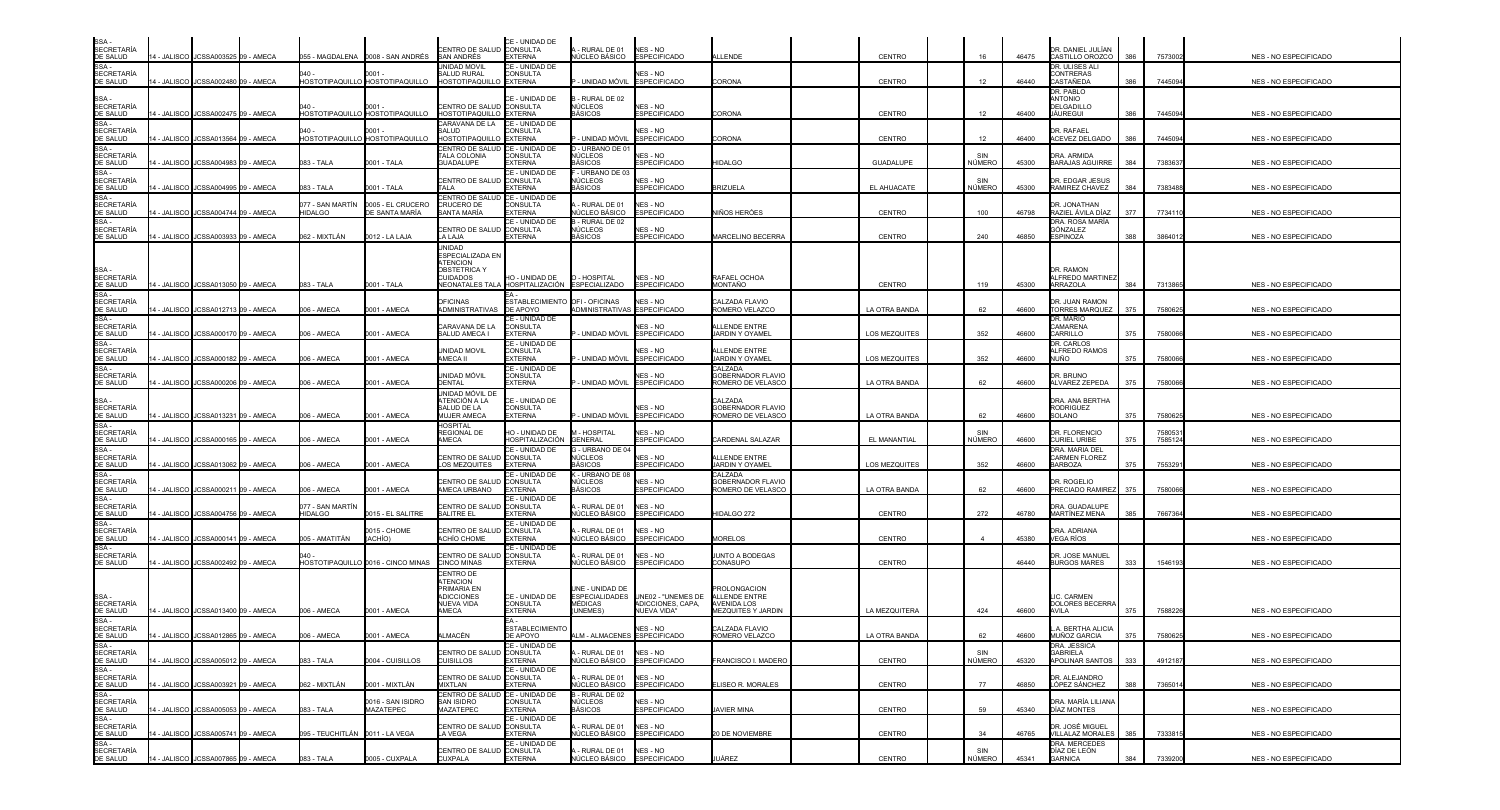| SSA -<br>SECRETARÍA<br>DE SALUD                                                                                                                                                                                                                                                        |             | 14 - JALISCO JCSSA003525 09 - AMECA                                        |                                    | 055 - MAGDALENA 0008 - SAN ANDRÉS         | CENTRO DE SALUD CONSULTA<br><b>SAN ANDRÉS</b>                                                              | CE - UNIDAD DE<br><b>EXTERNA</b>                    | - RURAL DE 01<br>NÚCLEO BÁSICO                               | NES - NO<br><b>ESPECIFICADO</b>         | LLENDE                                                            | CENTRO                         | 16                   | 46475          | DR. DANIEL JULÍAN<br>CASTILLO OROZCO              | 386        | 7573002            | NES - NO ESPECIFICADO                          |
|----------------------------------------------------------------------------------------------------------------------------------------------------------------------------------------------------------------------------------------------------------------------------------------|-------------|----------------------------------------------------------------------------|------------------------------------|-------------------------------------------|------------------------------------------------------------------------------------------------------------|-----------------------------------------------------|--------------------------------------------------------------|-----------------------------------------|-------------------------------------------------------------------|--------------------------------|----------------------|----------------|---------------------------------------------------|------------|--------------------|------------------------------------------------|
| SSA-<br><b>SECRETARÍA</b><br>DE SALUD                                                                                                                                                                                                                                                  |             | 4 - JALISCO JCSSA002480 09 - AMECA                                         |                                    | 0001<br>HOSTOTIPAQUILLO HOSTOTIPAQUILLO   | JNIDAD MOVIL<br><b>SALUD RURAL</b><br>HOSTOTIPAQUILLO EXTERNA                                              | CE - UNIDAD DE<br><b>CONSULTA</b>                   | - UNIDAD MÓVIL                                               | NES - NO<br><b>ESPECIFICADO</b>         | CORONA                                                            | CENTRO                         | 12                   | 46440          | DR. ULISES ALI<br>CONTRERAS<br>CASTAÑEDA          | 386        | 7445094            | NES - NO ESPECIFICADO                          |
| SSA -<br>SECRETARÍA<br><u>DE SALUD<br/>SSA -</u><br>SECRETARÍA                                                                                                                                                                                                                         | 4 - JALISCO | JCSSA002475 09 - AMECA                                                     |                                    | 0001 -<br>HOSTOTIPAQUILLO HOSTOTIPAQUILLO | CENTRO DE SALUD <b>I</b> CONSULTA<br>HOSTOTIPAQUILLO                                                       | CE - UNIDAD DE<br><b>EXTERNA</b>                    | - RURAL DE 02<br>NÚCLEOS<br>iÁSICOS                          | NES - NO<br><b>ESPECIFICADO</b>         | CORONA                                                            | CENTRO                         | 12                   | 46400          | DR. PABLO<br>ANTONIO<br>DELGADILLO<br>JAUREGUI    | 386        | 7445094            | NES - NO ESPECIFICADO                          |
| DE SALUD                                                                                                                                                                                                                                                                               | 4 - JALISCO | JCSSA013564 09 - AMECA                                                     |                                    | 0001<br>HOSTOTIPAQUILLO HOSTOTIPAQUILLO   | CARAVANA DE LA<br><b>ALUD</b><br><b>HOSTOTIPAQUILLO EXTERNA</b>                                            | CE - UNIDAD DE<br>CONSULTA                          | · UNIDAD MÓVIL                                               | NES - NO<br><b>ESPECIFICADO</b>         | CORONA                                                            | CENTRO                         | 12                   | 46400          | <b>DR. RAFAFI</b><br>ACEVEZ DELGADO               | 386        | 7445094            | NES - NO ESPECIFICADO                          |
| SSA -<br>SECRETARÍA<br>DE SALUD                                                                                                                                                                                                                                                        |             | 4 - JALISCO JCSSA004983 09 - AMECA                                         | 083 - TALA                         | 0001 - TALA                               | CENTRO DE SALUD <b>I</b> CE - UNIDAD DE<br><b>TALA COLONIA</b><br><b>GUADALUPE</b>                         | CONSULTA<br><b>EXTERNA</b>                          | - URBANO DE 01<br>NÜCLEOS<br><b>IÁSICOS</b>                  | NES - NO<br><b>ESPECIFICADO</b>         | <b>IIDALGO</b>                                                    | <b>GUADALUPE</b>               | SIN<br>NÚMERO        | 45300          | DRA. ARMIDA<br>BARAJAS AGUIRRE                    | 384        | 7383637            | NES - NO ESPECIFICADO                          |
| SSA -<br>SECRETARÍA<br>DE SALUD                                                                                                                                                                                                                                                        |             | 4 - JALISCO JCSSA004995 09 - AMECA                                         | 083 - TALA                         | 0001 - TALA                               | CENTRO DE SALUD CONSULTA<br><b>TALA</b>                                                                    | CE - UNIDAD DE<br><b>EXTERNA</b>                    | - URBANO DE 03<br>NÚCLEOS<br><b>IÁSICOS</b>                  | NES - NO<br><b>ESPECIFICADO</b>         | RIZUELA                                                           | EL AHUACATE                    | SIN<br><b>NÚMERO</b> | 45300          | DR. EDGAR JESUS<br>RAMIREZ CHAVEZ                 | 384        | 7383488            | NES - NO ESPECIFICADO                          |
| SSA-<br><b>SECRETARÍA</b><br>DE SALUD                                                                                                                                                                                                                                                  |             | 4 - JALISCO JCSSA004744 09 - AMECA                                         | 077 - SAN MARTÍN<br><b>HIDALGO</b> | 0005 - EL CRUCERO<br>DE SANTA MARÍA       | CENTRO DE SALUD<br>CRUCERO DE<br>SANTA MARÍA                                                               | CE - UNIDAD DE<br>CONSULTA<br><b>EXTERNA</b>        | RURAL DE 01<br>ÚCLEO BÁSICO                                  | NES - NO<br><b>ESPECIFICADO</b>         | <b>IIÑOS HERÓES</b>                                               | CENTRO                         | 100                  | 46798          | DR. JONATHAN<br>RAZIEL ÁVILA DÍAZ                 | 377        | 773411             | NES - NO ESPECIFICADO                          |
| SSA-<br><b>SECRETARÍA</b><br>DE SALUD                                                                                                                                                                                                                                                  |             | 14 - JALISCO JCSSA003933 09 - AMECA                                        | 062 - MIXTLÁN                      | 0012 - LA LAJA                            | <b>ENTRO DE SALUD</b><br>LA LAJA                                                                           | CE - UNIDAD DE<br><b>CONSULTA</b><br><b>EXTERNA</b> | - RURAL DE 02<br>NÚCLEOS<br>BÁSICOS                          | NES - NO<br><b>ESPECIFICADO</b>         | MARCELINO BECERRA                                                 | CENTRO                         | 240                  | 46850          | DRA. ROSA MARÍA<br><b>GÓNZALEZ</b><br>SPINOZA     | 388        | 3864012            | NES - NO ESPECIFICADO                          |
| SSA -<br>SECRETARÍA<br><u>DE SALUD<br/>SSA -</u><br>SECRETARÍA<br>SECRETARÍA                                                                                                                                                                                                           |             | 4 - JALISCO JCSSA013050 09 - AMECA                                         | 083 - TALA                         | 0001 - TALA                               | UNIDAD<br>ESPECIALIZADA EN<br>ATENCION<br><b>OBSTETRICA</b><br>CUIDADOS<br>NEONATALES TALA HOSPITALIZACIÓN | HO - UNIDAD DE                                      | O - HOSPITAL<br><b>ESPECIALIZADO</b>                         | NES - NO<br><b>ESPECIFICADO</b>         | RAFAEL OCHOA<br>MONTAÑO                                           | <b>CENTRO</b>                  | 119                  | 45300          | DR. RAMON<br>ALFREDO MARTINE<br>ARRAZOLA          | 384        | 7313865            | NES - NO ESPECIFICADO                          |
|                                                                                                                                                                                                                                                                                        | 4 - JALISCO | JCSSA012713 09 - AMECA                                                     | 006 - AMECA                        | 0001 - AMECA                              | <b>DFICINAS</b><br>ADMINISTRATIVAS DE APOYO                                                                | ESTABLECIMIENTO OFI - OFICINAS                      | ADMINISTRATIVAS ESPECIFICADO                                 | NES - NO                                | CALZADA FLAVIO<br>ROMERO VELAZCO                                  | LA OTRA BANDA                  | 62                   | 46600          | <b>DR. JUAN RAMON</b><br><b>TORRES MARQUEZ</b>    | 375        | 758062             | NES - NO ESPECIFICADO                          |
| DE SALUD<br>SSA -<br>SECRETARÍA<br>DE SALUD                                                                                                                                                                                                                                            |             | 4 - JALISCO JCSSA000170 09 - AMECA                                         | 006 - AMECA                        | 0001 - AMECA                              | CARAVANA DE LA<br><b>SALUD AMECA I</b>                                                                     | CE - UNIDAD DE<br><b>CONSULTA</b><br><b>EXTERNA</b> | UNIDAD MÓVIL                                                 | <b>VES - NO</b><br><b>ESPECIFICADO</b>  | <b>ILLENDE ENTRE</b><br>ARDIN Y OYAMEL                            | <b>LOS MEZQUITES</b>           | 352                  | 46600          | DR. MARIO<br>CAMARENA<br>CARRILLO                 | 375        | 7580066            | NES - NO ESPECIFICADO                          |
| SSA-<br><b>SECRETARÍA</b><br>DE SALUD                                                                                                                                                                                                                                                  |             | 4 - JALISCO JCSSA000182 09 - AMECA                                         | 006 - AMECA                        | 0001 - AMECA                              | UNIDAD MOVIL<br><b>MECA II</b>                                                                             | CE - UNIDAD DE<br><b>CONSULTA</b><br><b>EXTERNA</b> | · UNIDAD MÓVIL                                               | NES - NO<br><b>ESPECIFICADO</b>         | ALLENDE ENTRE<br>ARDIN Y OYAMEL                                   | <b>LOS MEZQUITES</b>           | 352                  | 46600          | DR. CARLOS<br>ALFREDO RAMOS<br>NUÑO               | 375        | 7580066            | NES - NO ESPECIFICADO                          |
| SSA -<br>SECRETARÍA<br>DE SALUD                                                                                                                                                                                                                                                        |             | 4 - JALISCO JCSSA000206 09 - AMECA                                         | 006 - AMECA                        | 0001 - AMECA                              | unidad móvil<br>DENTAL                                                                                     | CE - UNIDAD DE<br><b>CONSULTA</b><br><b>EXTERNA</b> | - UNIDAD MÓVIL                                               | NES - NO<br><b>ESPECIFICADO</b>         | CALZADA<br><b>GOBERNADOR FLAVIO</b><br><b>OMERO DE VELASCO</b>    | LA OTRA BANDA                  | 62                   | 46600          | DR. BRUNO<br>ALVAREZ ZEPEDA                       | 375        | 7580066            | NES - NO ESPECIFICADO                          |
| SSA -<br>SECRETARÍA<br><u>DE SALUD<br/>SSA -</u><br>SECRETARÍA                                                                                                                                                                                                                         |             | 4 - JALISCO JCSSA013231 09 - AMECA                                         | 006 - AMECA                        | 0001 - AMECA                              | UNIDAD MÓVIL DE<br>ATENCIÓN A LA<br>SALUD DE LA<br>MUJER AMEC/                                             | CE - UNIDAD DE<br><b>CONSULTA</b><br><b>EXTERNA</b> | - UNIDAD MÓVIL                                               | <b>NES - NO</b><br><b>ESPECIFICADO</b>  | CALZADA<br><b>GOBERNADOR FLAVIO</b><br>ROMERO DE VELASCO          | LA OTRA BANDA                  | 62                   | 46600          | DRA. ANA BERTHA<br>RODRIGUEZ<br>SOLANO            | 375        | 7580625            | NES - NO ESPECIFICADO                          |
| DE SALUD                                                                                                                                                                                                                                                                               | 4 - JALISCO | JCSSA000165 09 - AMECA                                                     | 006 - AMECA                        | 0001 - AMECA                              | HOSPITAL<br>REGIONAL DE<br>AMECA                                                                           | HO - UNIDAD DE<br>HOSPITALIZACIÓN                   | - HOSPITAL<br><b>ENERAL</b>                                  | NES - NO<br><b>SPECIFICADO</b>          | CARDENAL SALAZAR                                                  | EL MANANTIAL                   | SIN<br><b>NÚMERO</b> | 46600          | DR. FLORENCIO<br>URIEL URIBE                      | 375        | 758053<br>7585124  | NES - NO ESPECIFICADO                          |
| SSA -<br>SECRETARÍA<br>DE SALUD                                                                                                                                                                                                                                                        |             | 4 - JALISCO JCSSA013062 09 - AMECA                                         | 006 - AMECA                        | 0001 - AMECA                              | CENTRO DE SALUD<br>OS MEZQUITES                                                                            | CE - UNIDAD DE<br><b>CONSULTA</b><br><b>EXTERNA</b> | - URBANO DE 04<br>NÚCLEOS<br><b>IÁSICOS</b>                  | NES - NO<br><b>ESPECIFICADO</b>         | <b>ILLENDE ENTRE</b><br><b>ARDIN Y OYAMEL</b>                     | <b>LOS MEZQUITES</b>           | 352                  | 46600          | DRA, MARIA DEL<br>CARMEN FLOREZ<br><b>BARBOZA</b> | 375        | 755329             | NES - NO ESPECIFICADO                          |
| SSA.<br>SECRETARÍA                                                                                                                                                                                                                                                                     |             | 4 - JALISCO JCSSA000211 09 - AMECA                                         | 006 - AMECA                        | 0001 - AMECA                              | CENTRO DE SALUD CONSULTA<br><b>MECA URBANO</b>                                                             | CE - UNIDAD DE<br><b>EXTERNA</b>                    | - URBANO DE 08<br>NÚCLEOS<br><b>IÁSICOS</b>                  | NES - NO<br><b>ESPECIFICADO</b>         | CALZADA<br><b>GOBERNADOR FLAVIO</b><br>ROMERO DE VELASCO          | LA OTRA BANDA                  | 62                   | 46600          | DR. ROGELIO<br>PRECIADO RAMIREZ                   | 375        | 7580066            | NES - NO ESPECIFICADO                          |
| DE SALUD<br>SSA -<br>SECRETARÍA<br>DE SALUD                                                                                                                                                                                                                                            |             | 4 - JALISCO JCSSA004756 09 - AMECA                                         | 077 - SAN MARTÌN<br><b>HIDALGO</b> | 0015 - EL SALITRE                         | CENTRO DE SALUD CONSULTA<br>SALITRE EL                                                                     | CE - UNIDAD DE<br><b>EXTERNA</b>                    | RURAL DE 01<br>ÚCLEO BÁSICO                                  | NES - NO<br><b>ESPECIFICADO</b>         | HIDALGO 272                                                       | CENTRO                         | 272                  | 46780          | DRA. GUADALUPE<br><b>MARTÍNEZ MENA</b>            | 385        | 7667364            | NES - NO ESPECIFICADO                          |
| SE SALOS<br>SSA -<br>SECRETARÍA<br>DE SALUD                                                                                                                                                                                                                                            |             | 14 - JALISCO JCSSA000141 09 - AMECA                                        | 005 - AMATITÁN                     | 015 - CHOME<br>(ACHÍO                     | <b>ENTRO DE SALUE</b><br>АСНІ́О СНОМЕ                                                                      | CE - UNIDAD DE<br>CONSULTA<br><b>EXTERNA</b>        | - RURAL DE 01<br><b>VÚCLEO BÁSICO</b>                        | NES - NO<br><b>ESPECIFICADO</b>         | MORELOS                                                           | CENTRO                         | $\overline{A}$       | 45380          | <b>DRA. ADRIANA</b><br>VEGA RÍOS                  |            |                    | NES - NO ESPECIFICADO                          |
| SSA-<br><b>SECRETARÍA</b><br>DE SALUD                                                                                                                                                                                                                                                  | 4 - JALISCO | JCSSA002492 09 - AMECA                                                     |                                    | HOSTOTIPAQUILLO 0016 - CINCO MINAS        | <b>ENTRO DE SALUD</b><br><b>CINCO MINAS</b>                                                                | CE - UNIDAD DE<br>CONSULTA<br><b>EXTERNA</b>        | - RURAL DE 01<br>NÚCLEO BÁSICO                               | NES - NO<br><b>ESPECIFICADO</b>         | <b>IUNTO A BODEGAS</b><br>CONASUPO                                | CENTRO                         |                      | 46440          | <b>DR. JOSE MANUEL</b><br>BURGOS MARES            | 333        | 1546193            | NES - NO ESPECIFICADO                          |
| SSA -<br>SECRETARÍA                                                                                                                                                                                                                                                                    |             |                                                                            |                                    |                                           | <b>CENTRO DE</b><br><b>ITENCION</b><br>PRIMARIA EN<br><b>ADICCIONES</b><br><b>NUEVA VIDA</b>               | CE - UNIDAD DE<br>CONSULTA<br><b>EXTERNA</b>        | UNE - UNIDAD DE<br><b>ESPECIALIDADES</b><br>MÉDICAS          | UNE02 - "UNEMES DE<br>ADICCIONES, CAPA, | <b>PROLONGACION</b><br><b>ILLENDE ENTRE</b><br><b>\VENIDA LOS</b> |                                |                      |                | <b>IC. CARMEN</b><br>DOLORES BECERRA              |            |                    |                                                |
| DE SALUD<br>SSA -<br>SECRETARÍA                                                                                                                                                                                                                                                        |             | 14 - JALISCO JCSSA013400 09 - AMECA<br>14 - JALISCO JCSSA012865 09 - AMECA | 006 - AMECA<br>006 - AMECA         | 0001 - AMECA<br>0001 - AMECA              | <b>MECA</b><br>ALMACÉN                                                                                     | EA -<br><b>ESTABLECIMIENTO</b>                      | <b>UNEMES</b><br>ALM - ALMACENES ESPECIFICADO                | NUEVA VIDA"<br>NES - NO                 | <b>IEZQUITES Y JARDIN</b><br>CALZADA FLAVIO                       | LA MEZQUITERA<br>LA OTRA BANDA | 424<br>62            | 46600<br>46600 | AVILA<br>A. BERTHA ALICIA<br>MUÑOZ GARCIA         | 375        | 7588226            | NES - NO ESPECIFICADO                          |
|                                                                                                                                                                                                                                                                                        |             |                                                                            |                                    |                                           | CENTRO DE SALUD CONSULTA<br>CUISILLOS                                                                      | DE APOYO<br>CE - UNIDAD DE<br><b>EXTERNA</b>        | - RURAL DE 01                                                | NES - NO                                | ROMERO VELAZCO                                                    | CENTRO                         | SIN<br>NÚMERO        | 45320          | DRA. JESSICA<br>GABRIELA                          | 375        | 7580625            | NES - NO ESPECIFICADO                          |
|                                                                                                                                                                                                                                                                                        |             | 14 - JALISCO JCSSA005012 09 - AMECA<br>14 - JALISCO JCSSA003921 09 - AMECA | 083 - TALA<br>062 - MIXTLÁN        | 0004 - CUISILLOS<br>0001 - MIXTLÁN        | CENTRO DE SALUD<br>MIXTLAN                                                                                 | CE - UNIDAD DE<br><b>CONSULTA</b><br><b>EXTERNA</b> | NÚCLEO BÁSICO ESPECIFICADO<br>- RURAL DE 01<br>NÚCLEO BÁSICO | NES - NO<br><b>ESPECIFICADO</b>         | FRANCISCO I. MADERO<br>ELISEO R. MORALES                          | CENTRO                         | 77                   | 46850          | APOLINAR SANTOS<br>DR. ALEJANDRO<br>LÓPEZ SÁNCHEZ | 333<br>388 | 4912187<br>7365014 | NES - NO ESPECIFICADO<br>NES - NO ESPECIFICADO |
|                                                                                                                                                                                                                                                                                        | 4 - JALISCO | JCSSA005053 09 - AMECA                                                     | 083 - TALA                         | 0016 - SAN ISIDRO<br>MAZATEPEC            | CENTRO DE SALUD<br><b>SAN ISIDRO</b><br><b>AZATEPEC</b>                                                    | CE - UNIDAD DE<br><b>CONSULTA</b><br><b>EXTERNA</b> | - RURAL DE 02<br>NÚCLEOS<br><b>IÁSICOS</b>                   | NES - NO<br><b>ESPECIFICADO</b>         | <b>AVIER MINA</b>                                                 | CENTRO                         | 59                   | 45340          | DRA. MARÍA LILIANA<br>DÍAZ MONTES                 |            |                    | NES - NO ESPECIFICADO                          |
|                                                                                                                                                                                                                                                                                        |             | 14 - JALISCO JCSSA005741 09 - AMECA                                        | 095 - TEUCHITLÁN 0011 - LA VEGA    |                                           | CENTRO DE SALUD<br>LA VEGA                                                                                 | CE - UNIDAD DE<br><b>CONSULTA</b><br><b>EXTERNA</b> | RURAL DE 01<br>IÚCLEO BÁSICO                                 | NES - NO<br><b>ESPECIFICADO</b>         | 20 DE NOVIEMBRE                                                   | CENTRO                         | 34                   | 46765          | DR. JOSÉ MIGUEL<br><b>VILLALAZ MORALES</b>        | 385        | 7333815            | NES - NO ESPECIFICADO                          |
| SECRETARÍA<br>OS SALUD<br>SSA - SECRETARÍA<br>SECRETARÍA<br>SECRETARÍA<br>DE SALUD<br>SECRETARÍA<br>OS SALUD<br>SECRETARÍA<br>DE SALUD<br>SECRETARÍA<br>DE SALUD<br>SECRETARÍA<br>DE SALUD<br>SECRETARÍA<br>DE SALUD<br>SECRETARÍA<br>DE SALUD<br>SECRETARÍA<br>DE SALUD<br>SECRETARÍA |             | 14 - JALISCO JCSSA007865 09 - AMECA                                        | 083 - TALA                         | 0005 - CUXPALA                            | CENTRO DE SALUD CONSULTA<br><b>CUXPALA</b>                                                                 | CE - UNIDAD DE<br><b>EXTERNA</b>                    | - RURAL DE 01<br>NÚCLEO BÁSICO ESPECIFICADO                  | NES - NO                                | UÁREZ                                                             | CENTRO                         | SIN<br>NÚMERO        | 45341          | DRA. MERCEDES<br>DÍAZ DE LEÓN<br><b>GARNICA</b>   | 384        | 7339200            | NES - NO ESPECIFICADO                          |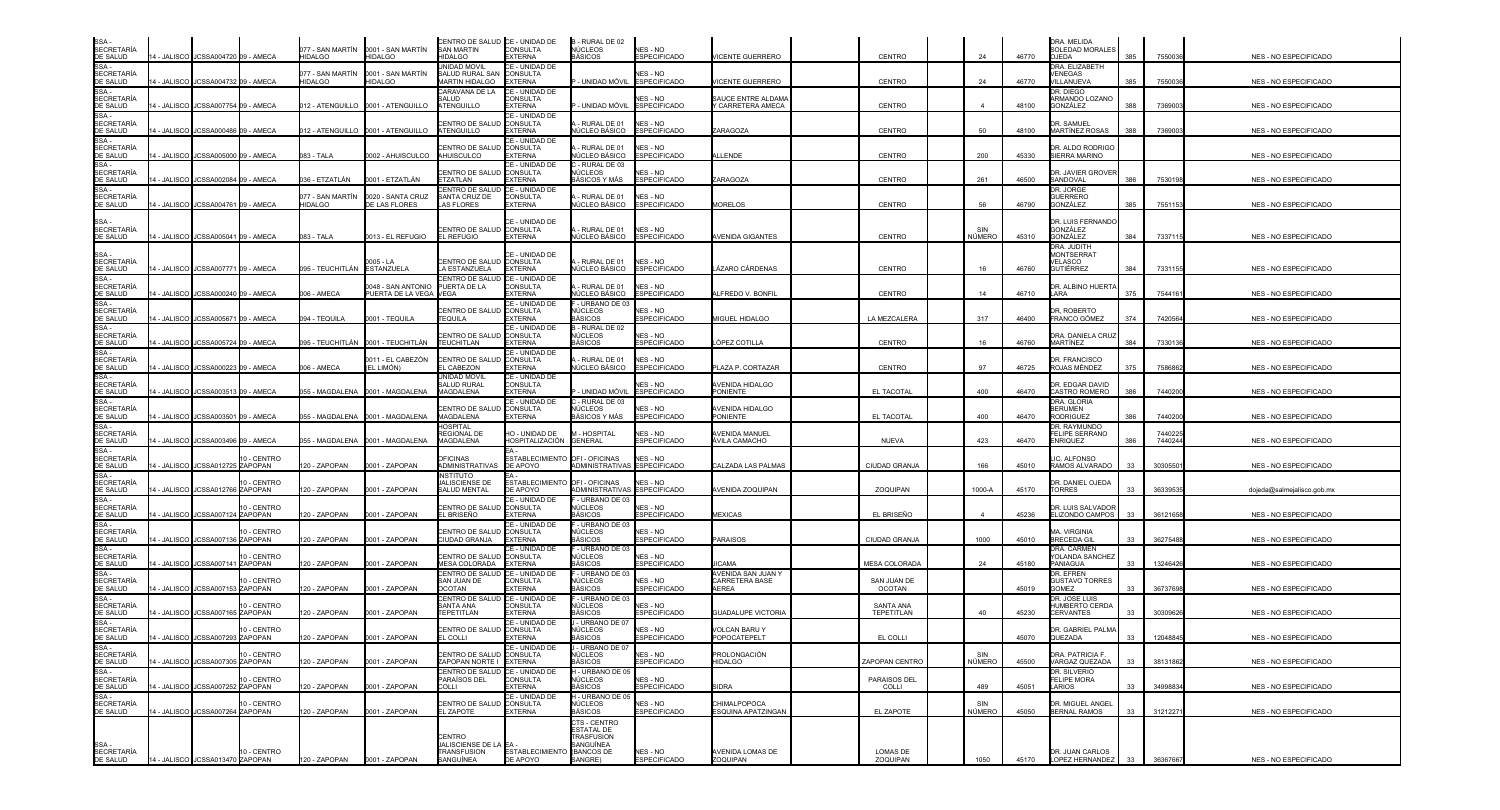| SSA -<br>SECRETARÍA                                                                                                                                                                                             |                                        |                        | 077 - SAN MARTÍN                   | 0001 - SAN MARTÍN                           | CENTRO DE SALUD CE - UNIDAD DE<br><b>SAN MARTIN</b>        | <b>CONSULTA</b>                              | B - RURAL DE 02<br>NÚCLEOS                     | NES - NO                        |                                      |                              |               |       | DRA. MELIDA<br>SOLEDAD MORALES                  |     |                    |                              |
|-----------------------------------------------------------------------------------------------------------------------------------------------------------------------------------------------------------------|----------------------------------------|------------------------|------------------------------------|---------------------------------------------|------------------------------------------------------------|----------------------------------------------|------------------------------------------------|---------------------------------|--------------------------------------|------------------------------|---------------|-------|-------------------------------------------------|-----|--------------------|------------------------------|
| DE SALUD<br>$SSA -$                                                                                                                                                                                             | 4 - JALISCO JJCSSA004720 09 - AMECA    |                        | <b>HIDALGO</b>                     | <b>HIDALGO</b>                              | <b>HIDALGO</b><br><b>JNIDAD MOVIL</b>                      | <b>EXTERNA</b><br>CE - UNIDAD DE             | BÁSICOS                                        | ESPECIFICADO                    | VICENTE GUERRERO                     | CENTRO                       | 24            | 46770 | <b>OJEDA</b><br>DRA. ELIZABETH                  | 385 | 7550036            | NES - NO ESPECIFICADO        |
| SECRETARÍA<br>DE SALUD                                                                                                                                                                                          | 4 - JALISCO I JCSSA004732 09 - AMECA   |                        | 077 - SAN MARTÍN<br><b>HIDALGO</b> | 0001 - SAN MARTÍN<br>HIDALGO                | SALUD RURAL SAN CONSULTA<br>(ARTIN HIDALGO                 | <b>EXTERNA</b>                               | - UNIDAD MÓVIL                                 | NES - NO<br><b>ESPECIFICADO</b> | /ICENTE GUERRERO                     | <b>CENTRO</b>                | 24            | 46770 | <b>VENEGAS</b><br><b>/ILLANUEVA</b>             | 385 | 7550036            | NES - NO ESPECIFICADO        |
|                                                                                                                                                                                                                 |                                        |                        |                                    |                                             | ARAVANA DE LA<br>ALUD                                      | CE - UNIDAD DE<br>CONSULTA                   |                                                | NES - NO                        | SAUCE ENTRE ALDAMA                   |                              |               |       | <b>DR. DIEGO</b><br>ARMANDO LOZANO              |     |                    |                              |
|                                                                                                                                                                                                                 | 4 - JALISCO JCSSA007754 09 - AMECA     |                        |                                    |                                             | <b>ITENGUILLO</b>                                          | <b>EXTERNA</b><br>CE - UNIDAD DE             | · UNIDAD MÓVIL                                 | SPECIFICADO                     | Y CARRETERA AMECA                    | CENTRO                       |               | 48100 | GONZÁLEZ                                        | 388 | 7369003            | NES - NO ESPECIFICADO        |
| <b>BE BALCO</b><br>SSA -<br>SECRETARÍA<br>DE SALUD<br>SSA -<br>SECRETARÍA<br>DE SALUD                                                                                                                           | 4 - JALISCO JCSSA000486 09 - AMECA     |                        |                                    |                                             | ENTRO DE SALUD<br>ATENGUILLO                               | <b>CONSULTA</b><br><b>EXTERNA</b>            | - RURAL DE 01<br><b>IÚCLEO BÁSICO</b>          | NES - NO<br>ESPECIFICADO        | ZARAGOZA                             | CENTRO                       | 50            | 48100 | <b>DR. SAMUEL</b><br><b>MARTÍNEZ ROSAS</b>      | 388 | 7369003            | NES - NO ESPECIFICADO        |
| SSA-<br><b>SECRETARÍA</b><br>DE SALUD                                                                                                                                                                           | 4 - JALISCO<br>JCSSA005000 09 - AMECA  |                        | 083 - TALA                         | 0002 - AHUISCULCO                           | ENTRO DE SALUD<br>AHUISCULCO                               | CE - UNIDAD DE<br>CONSULTA<br><b>EXTERNA</b> | - RURAL DE 01<br>IÚCLEO BÁSICO                 | NES - NO<br>SPECIFICADO         | LLENDE                               | CENTRO                       | 200           | 45330 | <b>JR. ALDO RODRIGO</b><br><b>SIERRA MARINO</b> |     |                    | NES - NO ESPECIFICADO        |
| SSA -<br>SECRETARÍA<br>DE SALUD                                                                                                                                                                                 | 4 - JALISCO JCSSA002084 09 - AMECA     |                        | 036 - ETZATLÁN                     | 0001 - ETZATLÁN                             | CENTRO DE SALUD CONSULTA<br>TZATLAN                        | CE - UNIDAD DE<br><b>EXTERNA</b>             | - RURAL DE 03<br>NÚCLEOS<br>BÁSICOS Y MÁS      | NES - NO<br><b>ESPECIFICADO</b> | ZARAGOZA                             | CENTRO                       | 261           | 46500 | DR. JAVIER GROVEF<br>SANDOVAL                   | 386 | 7530198            | NES - NO ESPECIFICADO        |
| $SSA -$<br><b>SECRETARÍA</b>                                                                                                                                                                                    |                                        |                        | 077 - SAN MARTÍN                   | 0020 - SANTA CRUZ                           | CENTRO DE SALUD<br>SANTA CRUZ DE                           | CE - UNIDAD DE<br><b>CONSULTA</b>            | - RURAL DE 01                                  | NES - NO                        |                                      |                              | 56            |       | DR. JORGE<br><b>GUERRERO</b>                    |     |                    |                              |
| DE SALUD                                                                                                                                                                                                        | 4 - JALISCO JJCSSA004761 09 - AMECA    |                        | HIDALGO                            | DE LAS FLORES                               | <b>AS FLORES</b>                                           | <b>EXTERNA</b>                               | IÚCLEO BÁSICO                                  | <b>SPECIFICADO</b>              | <b>MORELOS</b>                       | CENTRO                       |               | 46790 | 3ONZÁLEZ                                        | 385 | 7551153            | NES - NO ESPECIFICADO        |
| SSA-<br><b>SECRETARÍA</b><br>DE SALUD                                                                                                                                                                           | 14 - JALISCO I JCSSA005041 I09 - AMECA |                        | 083 - TALA                         | 0013 - EL REFUGIO                           | CENTRO DE SALUD CONSULTA<br><b>L REFUGIO</b>               | CE - UNIDAD DE<br><b>EXTERNA</b>             | - RURAL DE 01<br>NÚCLEO BÁSICO                 | NES - NO<br><b>ESPECIFICADO</b> | <b>AVENIDA GIGANTES</b>              | <b>CENTRO</b>                | SIN<br>NÚMERO | 45310 | DR. LUIS FERNANDC<br>GONZÁLEZ<br>GONZÁLEZ       | 384 | 733711             | NES - NO ESPECIFICADO        |
|                                                                                                                                                                                                                 |                                        |                        |                                    |                                             |                                                            |                                              |                                                |                                 |                                      |                              |               |       | <b>DRA. JUDITH</b>                              |     |                    |                              |
| SSA -<br>SECRETARÍA                                                                                                                                                                                             |                                        |                        |                                    | 0005 - LA                                   | CENTRO DE SALUD CONSULTA                                   | CE - UNIDAD DE                               | - RURAL DE 01                                  | NES - NO                        |                                      |                              |               |       | <b>MONTSERRAT</b><br>VELASCO                    |     |                    |                              |
| DE SALUD                                                                                                                                                                                                        | 14 - JALISCO JCSSA007771 09 - AMECA    |                        | 095 - TEUCHITLÁN ESTANZUELA        |                                             | LA ESTANZUELA<br>CENTRO DE SALUD                           | <b>EXTERNA</b><br>CE - UNIDAD DE             | NÚCLEO BÁSICO                                  | <b>ESPECIFICADO</b>             | LÁZARO CÁRDENAS                      | <b>CENTRO</b>                | 16            | 46760 | <b>GUTIÉRREZ</b>                                | 384 | 7331155            | NES - NO ESPECIFICADO        |
| SE SALSE<br>SSA -<br>SECRETARÍA<br>DE SALUD<br>SSA -                                                                                                                                                            | 4 - JALISCO<br>JCSSA000240             | 09 - AMECA             | 006 - AMECA                        | 0048 - SAN ANTONIO<br>PUERTA DE LA VEGA     | PUERTA DE LA<br>VEGA                                       | <b>CONSULTA</b><br><b>XTERNA</b>             | - RURAL DE 01<br><b>IÚCLEO BÁSICO</b>          | NES - NO<br><b>ESPECIFICADO</b> | <b>LEREDO V. BONFIL</b>              | CENTRO                       | 14            | 46710 | <b>R. ALBINO HUERT</b><br>LARA                  | 375 | 754416             | NES - NO ESPECIFICADO        |
|                                                                                                                                                                                                                 |                                        |                        |                                    |                                             | CENTRO DE SALUD CONSULTA                                   | CE - UNIDAD DE                               | - URBANO DE 03<br>NÚCLEOS                      | NES - NO                        |                                      |                              |               |       | <b>R. ROBERTO</b>                               |     |                    |                              |
| SSA -<br>SECRETARÍA<br>DE SALUD<br>SSA -<br>SECRETARÍA<br>DE SALUD                                                                                                                                              | 4 - JALISCO<br>JCSSA005671             | 09 - AMECA             | 094 - TEQUILA                      | 0001 - TEQUILA                              | TEQUILA                                                    | <b>EXTERNA</b><br>CE - UNIDAD DE             | BÁSICOS<br>3 - RURAL DE 02                     | <b>ESPECIFICADO</b>             | MIGUEL HIDALGO                       | LA MEZCALERA                 | 317           | 46400 | FRANCO GÓMEZ                                    | 374 | 7420564            | NES - NO ESPECIFICADO        |
|                                                                                                                                                                                                                 | 4 - JALISCO JCSSA005724 09 - AMECA     |                        |                                    | 095 - TEUCHITLÁN <b>1</b> 0001 - TEUCHITLÁN | <b>ENTRO DE SALUD CONSULTA</b><br><b><i>FEUCHITLAN</i></b> | <b>FXTFRNA</b>                               | NÚCLEOS<br>BÁSICOS                             | NES - NO<br>SPECIFICADO         | ÓPEZ COTILLA                         | CENTRO                       | 16            | 46760 | <b>DRA. DANIELA CRUZ</b><br>MARTÍNEZ            | 384 | 7330136            | NES - NO ESPECIFICADO        |
| SSA -<br>SECRETARÍA<br>DE SALUD                                                                                                                                                                                 |                                        |                        |                                    | 0011 - EL CABEZÓN                           | CENTRO DE SALUD                                            | CE - UNIDAD DE<br>CONSULTA                   | - RURAL DE 01                                  | NES - NO                        |                                      |                              |               |       | <b>DR. FRANCISCO</b>                            |     |                    |                              |
|                                                                                                                                                                                                                 | 4 - JALISCO JCSSA000223 09 - AMECA     |                        | 006 - AMECA                        | (EL LIMÓN)                                  | L CABEZON                                                  | <b>FXTFRNA</b>                               | <b>IÚCLEO BÁSICO</b>                           | <b>ESPECIFICADO</b>             | PLAZA P. CORTAZAR                    | CENTRO                       | 97            | 46725 | ROJAS MÉNDEZ                                    | 375 | 7586862            | <b>NES - NO ESPECIFICADO</b> |
| <b>DE SALUD<br/>SSA -<br/>SECRETARÍA<br/>DE SALUD<br/>SSA -<br/>SECRETARÍA<br/>DE SALUD</b>                                                                                                                     | 4 - JALISCO JCSSA003513 09 - AMECA     |                        |                                    |                                             | <b>INIDAD MOVIL</b><br>ALUD RURAL<br>MAGDALENA             | CE - UNIDAD DE<br>CONSULTA<br><b>EXTERNA</b> | - UNIDAD MÓVIL                                 | NES - NO<br>SPECIFICADO         | AVENIDA HIDALGO<br><b>PONIENTE</b>   | EL TACOTAL                   | 400           | 46470 | )R. EDGAR DAVID<br>CASTRO ROMERO                | 386 | 7440200            | NES - NO ESPECIFICADO        |
|                                                                                                                                                                                                                 |                                        |                        |                                    |                                             | <b>ENTRO DE SALUD</b>                                      | CE - UNIDAD DE<br>CONSULTA                   | - RURAL DE 03<br>NÚCLEOS                       | IES - NO                        | <b>VENIDA HIDALGO</b>                |                              |               |       | DRA, GLORIA<br><b>BERUMEN</b>                   |     |                    |                              |
| SSA-                                                                                                                                                                                                            | 4 - JALISCO JCSSA003501 09 - AMECA     |                        |                                    |                                             | <b>AGDALENA</b>                                            | <b>EXTERNA</b>                               | IÁSICOS Y MÁS                                  | SPECIFICADO                     | PONIENTE                             | EL TACOTAL                   | 400           | 46470 | <b>RODRIGUEZ</b>                                | 386 | 7440200            | NES - NO ESPECIFICADO        |
| <b>SECRETARÍA</b><br>DE SALUD                                                                                                                                                                                   | 4 - JALISCO JCSSA003496 09 - AMECA     |                        |                                    |                                             | HOSPITAL<br>REGIONAL DE<br>MAGDALENA                       | HO - UNIDAD DE<br>HOSPITALIZACIÓN            | M - HOSPITAL<br><b>GENERAL</b>                 | NES - NO<br>SPECIFICADO         | AVENIDA MANUEL<br>ÁVILA CAMACHO      | <b>NUEVA</b>                 | 423           | 46470 | DR. RAYMUNDO<br>FELIPE SERRANO<br>ENRIQUEZ      | 386 | 7440225<br>7440244 | NES - NO ESPECIFICADO        |
| $SSA -$<br><b>SECRETARÍA</b>                                                                                                                                                                                    |                                        | 10 - CENTRO            |                                    |                                             | <b>DFICINAS</b>                                            | <b>ESTABLECIMIENTO</b>                       | OFI - OFICINAS                                 | NFS - NO                        |                                      |                              |               |       | IC. ALFONSO                                     |     |                    |                              |
| DE SALUD<br>SSA-                                                                                                                                                                                                | 4 - JALISCO JCSSA012725 ZAPOPAN        |                        | 20 - ZAPOPAN                       | 0001 - ZAPOPAN                              | ADMINISTRATIVAS<br>NSTITUTO                                | DE APOYO                                     | ADMINISTRATIVAS ESPECIFICADO                   |                                 | CALZADA LAS PALMAS                   | CIUDAD GRANJA                | 166           | 45010 | RAMOS ALVARADO                                  | 33  | 3030550            | NES - NO ESPECIFICADO        |
| SECRETARÍA<br>DE SALUD<br>SSA -<br>SECRETARÍA                                                                                                                                                                   | 4 - JALISCO JCSSA012766 ZAPOPAN        | 10 - CENTRO            | 20 - ZAPOPAN                       | 0001 - ZAPOPAN                              | ALISCIENSE DE<br><b>SALUD MENTAL</b>                       | <b>ESTABLECIMIENTO</b><br>DE APOYO           | OFI-OFICINAS<br>ADMINISTRATIVAS ESPECIFICADO   | NES - NO                        | AVENIDA ZOQUIPAN                     | ZOQUIPAN                     | 1000-A        | 45170 | DR. DANIEL OJEDA<br><b>TORRES</b>               | 33  | 3633953            | dojeda@salmejalisco.gob.mx   |
|                                                                                                                                                                                                                 |                                        | 10 - CENTRO            |                                    |                                             | CENTRO DE SALUD                                            | CE - UNIDAD DE<br><b>CONSULTA</b>            | URBANO DE 03<br><b>IÚCLEOS</b>                 | NES - NO                        |                                      |                              |               |       | DR. LUIS SALVADOF                               |     |                    |                              |
| DE SALUD                                                                                                                                                                                                        | 4 - JALISCO JCSSA007124 ZAPOPAN        |                        | 120 - ZAPOPAN                      | 0001 - ZAPOPAN                              | EL BRISEÑO                                                 | <b>EXTERNA</b><br>CE - UNIDAD DE             | <b>BÁSICOS</b><br>URBANO DE 03                 | <b>ESPECIFICADO</b>             | <b>MEXICAS</b>                       | EL BRISEÑO                   |               | 45236 | ELIZONDO CAMPOS                                 | 33  | 36121658           | NES - NO ESPECIFICADO        |
| SSA -<br>SSA -<br>SECRETARÍA<br>DE SALUD                                                                                                                                                                        | 4 - JALISCO<br>JCSSA007136 ZAPOPAN     | 10 - CENTRO            | 20 - ZAPOPAN                       | 0001 - ZAPOPAN                              | ENTRO DE SALUD<br>CIUDAD GRANJA                            | <b>CONSULTA</b><br><b>EXTERNA</b>            | NÚCLEOS<br>BÁSICOS                             | IES - NO<br><b>ESPECIFICADO</b> | <b>PARAISOS</b>                      | <b>CIUDAD GRANJA</b>         | 1000          | 45010 | <b>JA. VIRGINIA</b><br><b>BRECEDA GIL</b>       | 33  | 36275488           | NES - NO ESPECIFICADO        |
| SSA -<br>SECRETARÍA<br>DE SALUD                                                                                                                                                                                 | 4 - JALISCO<br>JCSSA007141             | 10 - CENTRO<br>ZAPOPAN | 20 - ZAPOPAN                       | 0001 - ZAPOPAN                              | <b>ENTRO DE SALUD CONSULTA</b><br>MESA COLORADA            | CE - UNIDAD DE<br><b>EXTERNA</b>             | - URBANO DE 03<br>NÚCLEOS<br>BÁSICOS           | NFS - NO<br>ESPECIFICADO        | CAMA                                 | <b>MESA COLORADA</b>         | 24            | 45180 | DRA. CARMEN<br>YOLANDA SANCHEZ<br>PANIAGUA      | 33  | 13246426           | NES - NO ESPECIFICADO        |
| SSA -<br>SECRETARÍA                                                                                                                                                                                             |                                        |                        |                                    |                                             | CENTRO DE SALUD <b>I</b> CE - UNIDAD DE                    |                                              | - URBANO DE 03                                 |                                 | AVENIDA SAN JUAN Y                   |                              |               |       | DR. EFREN                                       |     |                    |                              |
| DE SALUD                                                                                                                                                                                                        | 4 - JALISCO<br>JCSSA007153 ZAPOPAN     | 10 - CENTRO            | 20 - ZAPOPAN                       | 0001 - ZAPOPAN                              | SAN JUAN DE<br><b>DCOTAN</b>                               | CONSULTA<br><b>EXTERNA</b>                   | NÚCLEOS<br><b>ASICOS</b>                       | NES - NO<br>SPECIFICADO         | CARRETERA BASE<br><b>LEREA</b>       | SAN JUAN DE<br><b>OCOTAN</b> |               | 45019 | <b>GUSTAVO TORRES</b><br><b>GOMEZ</b>           | 33  | 36737698           | NES - NO ESPECIFICADO        |
| SSA-<br><b>SECRETARÍA</b>                                                                                                                                                                                       |                                        | 10 - CENTRO            |                                    |                                             | CENTRO DE SALUD<br><b>SANTA ANA</b>                        | CE - UNIDAD DE<br>CONSULTA                   | - URBANO DE 03<br>NÚCLEOS                      | NES - NO                        |                                      | <b>SANTA ANA</b>             |               |       | <b>DR. JOSE LUIS</b><br><b>IUMBERTO CERDA</b>   |     |                    |                              |
|                                                                                                                                                                                                                 | 4 - JALISCO JJCSSA007165 ZAPOPAN       |                        | 120 - ZAPOPAN                      | 0001 - ZAPOPAN                              | TEPETITLAN                                                 | <b>EXTERNA</b>                               | 3ÁSICOS                                        | <b>ESPECIFICADO</b>             | <b>GUADALUPE VICTORIA</b>            | TEPETITLAN                   | 40            | 45230 | <b>CERVANTES</b>                                | 33  | 30309626           | NES - NO ESPECIFICADO        |
|                                                                                                                                                                                                                 | 14 - JALISCO JCSSA007293 ZAPOPAN       | 10 - CENTRO            | 120 - ZAPOPAN                      | 0001 - ZAPOPAN                              | ENTRO DE SALUD CONSULTA<br>EL COLLI                        | CE - UNIDAD DE<br><b>EXTERNA</b>             | URBANO DE 07<br><b>CLEOS</b><br><b>BÁSICOS</b> | <b>ESPECIFICADO</b>             | <b>VOLCAN BARU Y</b><br>POPOCATEPELT | EL COLLI                     |               | 45070 | R. GABRIEL PALM<br>QUEZADA                      | 33  | 12048845           | NES - NO ESPECIFICADO        |
|                                                                                                                                                                                                                 |                                        | 10 - CENTRO            |                                    |                                             | CE - UNIDAD DE<br>CENTRO DE SALUD CONSULTA                 |                                              | - URBANO DE 07<br>NÚCLEOS                      | NES - NO                        | PROLONGACIÓN                         |                              | SIN           |       | DRA. PATRICIA F.                                |     |                    |                              |
|                                                                                                                                                                                                                 | 4 - JALISCO JJCSSA007305 ZAPOPAN       |                        | 120 - ZAPOPAN                      | 0001 - ZAPOPAN                              | ZAPOPAN NORTE I                                            | <b>EXTERNA</b>                               | <b>BÁSICOS</b>                                 | ESPECIFICADO                    | HIDALGO                              | ZAPOPAN CENTRO               | NÚMERO        | 45500 | VARGAZ QUEZADA                                  | 33  | 38131862           | NES - NO ESPECIFICADO        |
| SECRETARÍA<br>SECRETARÍA<br>SSA - SECRETARÍA<br>SSA - SECRETARÍA<br>SSA - SECRETARÍA<br>DE SA - SECRETARÍA<br>DE SA - SECRETARÍA<br>DE SA - SECRETARÍA<br>DE SA - SECRETARÍA<br>DE SA - SECRETARÍA<br>DE SA - U | 4 - JALISCO JCSSA007252 ZAPOPAN        | 10 - CENTRO            | 120 - ZAPOPAN                      | 0001 - ZAPOPAN                              | CENTRO DE SALUD CE - UNIDAD DE<br>PARAÍSOS DEL<br>COLLI    | <b>CONSULTA</b><br><b>EXTERNA</b>            | - URBANO DE 05<br>NÚCLEOS<br>BÁSICOS           | NES - NO<br>SPECIFICADO         | <b>SIDRA</b>                         | PARAISOS DEL<br>COLLI        | 489           | 45051 | DR. SILVERIO<br>FELIPE MORA<br>LARIOS           | 33  | 34998834           | NES - NO ESPECIFICADO        |
|                                                                                                                                                                                                                 |                                        | 10 - CENTRO            |                                    |                                             | CENTRO DE SALUD CONSULTA                                   | CE - UNIDAD DE                               | I - URBANO DE 05<br>NÚCLEOS                    | NES - NO                        | CHIMALPOPOCA                         |                              | SIN           |       | DR. MIGUEL ANGEL                                |     |                    |                              |
|                                                                                                                                                                                                                 | 4 - JALISCO JCSSA007264 ZAPOPAN        |                        | 120 - ZAPOPAN                      | 0001 - ZAPOPAN                              | EL ZAPOTE                                                  | <b>EXTERNA</b>                               | BÁSICOS<br>CTS - CENTRO                        | ESPECIFICADO                    | <b>ESQUINA APATZINGAN</b>            | EL ZAPOTE                    | NÚMERO        | 45050 | <b>BERNAL RAMOS</b>                             | 33  | 3121227            | NES - NO ESPECIFICADO        |
|                                                                                                                                                                                                                 |                                        |                        |                                    |                                             |                                                            |                                              | ESTATAL DE                                     |                                 |                                      |                              |               |       |                                                 |     |                    |                              |
| SSA -<br>SECRETARÍA                                                                                                                                                                                             |                                        |                        |                                    |                                             | CENTRO<br>JALISCIENSE DE LA EA -                           |                                              | <b>TRASFUSION</b><br>SANGUÍNEA                 |                                 |                                      |                              |               |       |                                                 |     |                    |                              |
| DE SALUD                                                                                                                                                                                                        | 14 - JALISCO JCSSA013470 ZAPOPAN       | 10 - CENTRO            | 120 - ZAPOPAN 0001 - ZAPOPAN       |                                             | TRANSFUSION<br>SANGUÍNEA                                   | ESTABLECIMIENTO (BANCOS DE<br>DE APOYO       | SANGRE)                                        | NES - NO<br><b>ESPECIFICADO</b> | <b>AVENIDA LOMAS DE</b><br>ZOQUIPAN  | <b>LOMAS DE</b><br>ZOQUIPAN  | 1050          | 45170 | DR. JUAN CARLOS<br>LOPEZ HERNANDEZ              | 33  | 36367667           | NES - NO ESPECIFICADO        |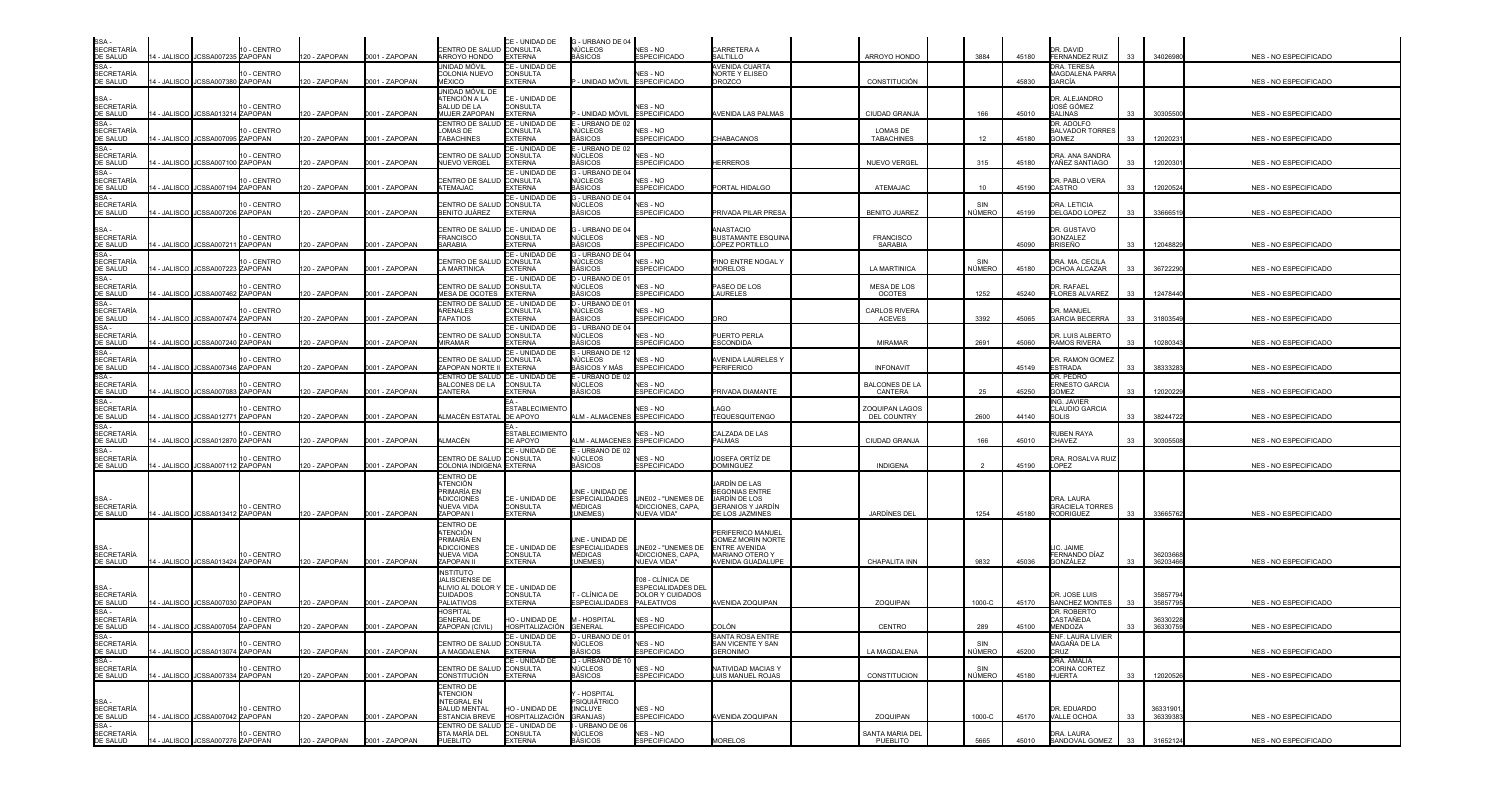| SSA -<br>SECRETARÍA                                                                   |                                    | 10 - CENTRO            |               |                | CENTRO DE SALUD CONSULTA                                           | CE - UNIDAD DE                     | G - URBANO DE 04<br>NÚCLEOS              | NES - NO                               | CARRETERA A                                   |                                      |               |       | DR. DAVID                                  |    |                     |                              |
|---------------------------------------------------------------------------------------|------------------------------------|------------------------|---------------|----------------|--------------------------------------------------------------------|------------------------------------|------------------------------------------|----------------------------------------|-----------------------------------------------|--------------------------------------|---------------|-------|--------------------------------------------|----|---------------------|------------------------------|
| DE SALUD<br>SSA -                                                                     | 4 - JALISCO JCSSA007235 ZAPOPAN    |                        | 120 - ZAPOPAN | 0001 - ZAPOPAN | ARROYO HONDO<br>unidad móvil                                       | <b>EXTERNA</b><br>CE - UNIDAD DE   | <b>BÁSICOS</b>                           | <b>ESPECIFICADO</b>                    | SALTILLO<br>AVENIDA CUARTA                    | ARROYO HONDO                         | 3884          | 45180 | <b>FERNANDEZ RUIZ</b><br>DRA. TERESA       | 33 | 34026980            | <b>NES - NO ESPECIFICADO</b> |
| SECRETARÍA<br>DE SALUD                                                                | 4 - JALISCO JCSSA007380 ZAPOPAN    | 10 - CENTRO            | 120 - ZAPOPAN | 0001 - ZAPOPAN | COLONIA NUEVO<br><b>AÉXICO</b>                                     | CONSULTA<br><b>EXTERNA</b>         | - UNIDAD MÓVIL ESPECIFICADO              | NES - NO                               | NORTE Y ELISEO<br><b>DROZCO</b>               | CONSTITUCIÓN                         |               | 45830 | MAGDALENA PARRA<br>GARCÍA                  |    |                     | NES - NO ESPECIFICADO        |
|                                                                                       |                                    |                        |               |                | jnidad móvil de<br><b>TENCIÓN A LA</b>                             | CE - UNIDAD DE                     |                                          |                                        |                                               |                                      |               |       | DR. ALEJANDRO                              |    |                     |                              |
| SSA -<br>SECRETARÍA                                                                   | 14 - JALISCO JCSSA013214 ZAPOPAN   | 10 - CENTRO            | 120 - ZAPOPAN | 0001 - ZAPOPAN | ALUD DE LA<br><b>MUJER ZAPOPAN</b>                                 | <b>CONSULTA</b><br><b>EXTERNA</b>  | - UNIDAD MÓVIL                           | NES - NO<br><b>ESPECIFICADO</b>        | AVENIDA LAS PALMAS                            | <b>CIUDAD GRANJA</b>                 | 166           | 45010 | JOSÉ GÓMEZ<br><b>SALINAS</b>               | 33 | 30305500            | NES - NO ESPECIFICADO        |
|                                                                                       |                                    |                        |               |                | CENTRO DE SALUD                                                    | CE - UNIDAD DE                     | - URBANO DE 02                           |                                        |                                               |                                      |               |       | DR. ADOLFO                                 |    |                     |                              |
| DE SALUD<br>SSA -<br>SECRETARÍA<br>DE SALUD                                           | JCSSA007095 ZAPOPAN<br>4 - JALISCO | 10 - CENTRO            | 120 - ZAPOPAN | 0001 - ZAPOPAN | OMAS DE<br><b>TABACHINES</b>                                       | CONSULTA<br><b>EXTERNA</b>         | <b>ÚCLEOS</b><br>3ÁSICOS                 | NES - NO<br><b>ESPECIFICADO</b>        | CHABACANOS                                    | LOMAS DE<br><b>TABACHINES</b>        | 12            | 45180 | SALVADOR TORRES<br><b>GOMEZ</b>            | 33 | 1202023             | NES - NO ESPECIFICADO        |
| SSA -<br>SECRETARÍA<br>DE SALUD                                                       |                                    | 10 - CENTRO            |               |                | <b>ENTRO DE SALUD</b>                                              | CE - UNIDAD DE<br><b>CONSULTA</b>  | - URBANO DE 02<br>ÚCLEOS                 | NES - NO                               |                                               |                                      |               |       | DRA. ANA SANDRA                            |    |                     |                              |
|                                                                                       | 4 - JALISCO<br>JCSSA007100 ZAPOPAN |                        | 120 - ZAPOPAN | 0001 - ZAPOPAN | <b>NUEVO VERGEL</b>                                                | <b>EXTERNA</b><br>CE - UNIDAD DE   | <b>IÁSICOS</b><br>G - URBANO DE 04       | <b>ESPECIFICADO</b>                    | <b>IERREROS</b>                               | <b>NUEVO VERGEL</b>                  | 315           | 45180 | YAÑEZ SANTIAGO                             | 33 | 1202030             | NES - NO ESPECIFICADO        |
| SSA -<br>SECRETARÍA<br>DE SALUD                                                       | 4 - JALISCO<br>JCSSA007194 ZAPOPAN | 10 - CENTRO            | 20 - ZAPOPAN  | 0001 - ZAPOPAN | ENTRO DE SALUE<br>TEMAJAC                                          | <b>CONSULTA</b><br><b>EXTERNA</b>  | NÚCLEOS<br><b>IÁSICOS</b>                | NES - NO<br><b>ESPECIFICADO</b>        | PORTAL HIDALGO                                | ATEMAJAC                             | 10            | 45190 | DR. PABLO VERA<br>CASTRO                   | 33 | 1202052             | NES - NO ESPECIFICADO        |
| SSA-                                                                                  |                                    |                        |               |                |                                                                    | CE - UNIDAD DE                     | - URBANO DE 04                           |                                        |                                               |                                      |               |       |                                            |    |                     |                              |
| <b>SECRETARÍA</b><br>DE SALUD                                                         | 4 - JALISCO JCSSA007206 ZAPOPAN    | 10 - CENTRO            | 120 - ZAPOPAN | 0001 - ZAPOPAN | <b>ENTRO DE SALUD CONSULTA</b><br>3FNITO JUÁREZ                    | <b>EXTERNA</b>                     | NÚCLEOS<br>ÁSICOS                        | NES - NO<br><b>ESPECIFICADO</b>        | PRIVADA PILAR PRESA                           | <b>BENITO JUAREZ</b>                 | SIN<br>NÚMERO | 45199 | DRA. LETICIA<br>DELGADO LOPEZ              | 33 | 3366651             | NES - NO ESPECIFICADO        |
| SSA-                                                                                  |                                    |                        |               |                | CENTRO DE SALUD <b>I</b> CE - UNIDAD DE                            |                                    | - URBANO DE 04                           |                                        | ANASTACIO                                     |                                      |               |       | DR. GUSTAVO                                |    |                     |                              |
| <b>SECRETARÍA</b>                                                                     | 4 - JALISCO JCSSA007211            | 10 - CENTRO<br>ZAPOPAN | 120 - ZAPOPAN | 0001 - ZAPOPAN | FRANCISCO<br><b>SARABIA</b>                                        | CONSULTA<br><b>EXTERNA</b>         | NÚCLEOS<br>iÁSICOS                       | NES - NO<br><b>SPECIFICADO</b>         | <b>BUSTAMANTE ESQUINA</b><br>ÓPEZ PORTILLO    | <b>FRANCISCO</b><br>SARABIA          |               | 45090 | GONZALEZ<br>BRISEÑO                        | 33 | 12048829            | NES - NO ESPECIFICADO        |
| DE SALUD<br>SSA -<br>SECRETARÍA                                                       |                                    |                        |               |                |                                                                    | CE - UNIDAD DE                     | G - URBANO DE 04                         |                                        |                                               |                                      |               |       |                                            |    |                     |                              |
| DE SALUD                                                                              | 4 - JALISCO JCSSA007223 ZAPOPAN    | 10 - CENTRO            | 120 - ZAPOPAN | 0001 - ZAPOPAN | CENTRO DE SALUD<br>LA MARTINICA                                    | <b>CONSULTA</b><br><b>EXTERNA</b>  | NÚCLEOS<br>BÁSICOS                       | NES - NO<br><b>ESPECIFICADO</b>        | PINO ENTRE NOGAL Y<br><b>MORELOS</b>          | LA MARTINICA                         | SIN<br>NÚMERO | 45180 | DRA. MA. CECILA<br>OCHOA ALCAZAR           | 33 | 36722290            | NES - NO ESPECIFICADO        |
| SSA -<br>SECRETARÍA<br>DE SALUD                                                       |                                    | 10 - CENTRO            |               |                | <b>ENTRO DE SALUD CONSULTA</b>                                     | CE - UNIDAD DE                     | - URBANO DE 01<br>NÚCLEOS                | <b>VES - NO</b>                        | ASEO DE LOS                                   | MESA DE LOS                          |               |       | <b>DR. RAFAEL</b>                          |    |                     |                              |
| SSA -                                                                                 | 4 - JALISCO<br>JCSSA007462 ZAPOPAN |                        | 20 - ZAPOPAN  | 0001 - ZAPOPAN | MESA DE OCOTES<br>CENTRO DE SALUD <b>I</b> CE - UNIDAD DE          | <b>EXTERNA</b>                     | BÁSICOS<br>- URBANO DE 01                | <b>ESPECIFICADO</b>                    | AURELES                                       | OCOTES                               | 1252          | 45240 | <b>FLORES ALVAREZ</b>                      | 33 | 1247844             | NES - NO ESPECIFICADO        |
| SECRETARÍA<br>DE SALUD                                                                | 4 - JALISCO<br>JCSSA007474 ZAPOPAN | 10 - CENTRO            | 120 - ZAPOPAN | 0001 - ZAPOPAN | ARENALES<br><b>TAPATIOS</b>                                        | CONSULTA<br><b>EXTERNA</b>         | NÚCLEOS<br><b>IÁSICOS</b>                | NES - NO<br><b>ESPECIFICADO</b>        | <b>DRO</b>                                    | <b>CARLOS RIVERA</b><br>ACEVES       | 3392          | 45065 | <b>DR. MANUEL</b><br><b>GARCIA BECERRA</b> | 33 | 31803549            | NES - NO ESPECIFICADO        |
|                                                                                       |                                    |                        |               |                |                                                                    | CE - UNIDAD DE                     | G - URBANO DE 04                         |                                        |                                               |                                      |               |       |                                            |    |                     |                              |
| SSA -<br>SSA -<br>SECRETARÍA<br>DE SALUD                                              | 4 - JALISCO<br>JCSSA007240 ZAPOPAN | 10 - CENTRO            | 120 - ZAPOPAN | 0001 - ZAPOPAN | <b>ENTRO DE SALUD CONSULTA</b><br><b>JIRAMAR</b>                   | <b>FXTERNA</b>                     | NÚCLEOS<br><b>ASICOS</b>                 | NES - NO<br><b>ESPECIFICADO</b>        | PUERTO PERLA<br>ESCONDIDA                     | <b>MIRAMAR</b>                       | 2691          | 45060 | DR. LUIS ALBERTO<br>RAMOS RIVERA           | 33 | 10280343            | NES - NO ESPECIFICADO        |
| SSA -<br>SECRETARÍA<br>DE SALUD                                                       |                                    | 10 - CENTRO            |               |                | CENTRO DE SALUD CONSULTA                                           | CE - UNIDAD DE                     | - URBANO DE<br>NÚCLEOS                   | NES - NO                               | <b>AVENIDA LAURELES Y</b>                     |                                      |               |       | DR. RAMON GOMEZ                            |    |                     |                              |
|                                                                                       | 4 - JALISCO JCSSA007346 ZAPOPAN    |                        | 120 - ZAPOPAN | 0001 - ZAPOPAN | ZAPOPAN NORTE II EXTERNA                                           |                                    | BÁSICOS Y MÁS                            | <b>ESPECIFICADO</b>                    | <b>PERIFERICO</b>                             | <b>INFONAVIT</b>                     |               | 45149 | <b>ESTRADA</b>                             | 33 | 38333283            | NES - NO ESPECIFICADO        |
|                                                                                       |                                    | 10 - CENTRO            |               |                | CENTRO DE SALUD <b>I</b> CE - UNIDAD DE<br>ALCONES DE LA           | <b>CONSULTA</b>                    | - URBANO DE 02<br>√ÚCLEOS                | <b>NES - NO</b>                        |                                               | <b>BALCONES DE LA</b>                |               |       | DR. PEDRO<br>ERNESTO GARCIA                |    |                     |                              |
|                                                                                       | 4 - JALISCO<br>JCSSA007083 ZAPOPAN |                        | 120 - ZAPOPAN | 0001 - ZAPOPAN | CANTERA                                                            | <b>EXTERNA</b>                     | <b>ASICOS</b>                            | <b>SPECIFICADO</b>                     | PRIVADA DIAMANTE                              | CANTERA                              | 25            | 45250 | <b>GOMEZ</b><br>ING. JAVIER                | 33 | 12020229            | NES - NO ESPECIFICADO        |
| <b>BE CALCO</b><br>SSA -<br>SECRETARÍA<br>DE SALUD<br>SSA -<br>SECRETARÍA<br>DE SALUD | 4 - JALISCO<br>JCSSA012771         | 10 - CENTRO<br>ZAPOPAN | 120 - ZAPOPAN | 0001 - ZAPOPAN | LMACÉN ESTATAL                                                     | <b>ESTABLECIMIENTO</b><br>DE APOYO | <b>ILM - ALMACENES ESPECIFICADO</b>      | NES - NO                               | AGO<br>TEQUESQUITENGO                         | ZOQUIPAN LAGOS<br><b>DEL COUNTRY</b> | 2600          | 44140 | CLAUDIO GARCIA<br>SOLIS                    | 33 | 38244722            | NES - NO ESPECIFICADO        |
| SSA-                                                                                  |                                    |                        |               |                |                                                                    |                                    |                                          |                                        |                                               |                                      |               |       |                                            |    |                     |                              |
| <b>SECRETARÍA</b><br>DE SALUD                                                         | 4 - JALISCO<br>JCSSA012870 ZAPOPAN | 10 - CENTRO            | 120 - ZAPOPAN | 0001 - ZAPOPAN | LMACÉN                                                             | <b>ESTABLECIMIENTO</b><br>DE APOYO | LM - ALMACENES                           | NES - NO<br><b>ESPECIFICADO</b>        | CALZADA DE LAS<br>PALMAS                      | <b>CIUDAD GRANJA</b>                 | 166           | 45010 | RUBEN RAYA<br>CHAVEZ                       | 33 | 3030550             | NES - NO ESPECIFICADO        |
| SSA-<br><b>SECRETARÍA</b>                                                             |                                    | 10 - CENTRO            |               |                | <b>ENTRO DE SALUD CONSULTA</b>                                     | CE - UNIDAD DE                     | - URBANO DE 02<br><b>IÚCLEOS</b>         | <b>NFS - NO</b>                        | OSEFA ORTÍZ DE                                |                                      |               |       | DRA. ROSALVA RUIZ                          |    |                     |                              |
| DE SALUD                                                                              | 4 - JALISCO JCSSA007112 ZAPOPAN    |                        | 120 - ZAPOPAN | 0001 - ZAPOPAN | COLONIA INDIGENA <b>I</b> EXTERNA                                  |                                    | <b>ASICOS</b>                            | <b>ESPECIFICADO</b>                    | <b>DOMINGUEZ</b>                              | <b>INDIGENA</b>                      |               | 45190 | LOPEZ                                      |    |                     | NES - NO ESPECIFICADO        |
|                                                                                       |                                    |                        |               |                | <b>CENTRO DE</b><br>ATENCIÓN                                       |                                    |                                          |                                        | ARDÍN DE LAS                                  |                                      |               |       |                                            |    |                     |                              |
|                                                                                       |                                    |                        |               |                | PRIMARÍA EN<br>ADICCIONES                                          | CE - UNIDAD DE                     | UNE - UNIDAD DE<br><b>ESPECIALIDADES</b> | UNE02 - "UNEMES DE                     | <b>BEGONIAS ENTRE</b><br>ARDÌN DE LOS         |                                      |               |       | DRA. LAURA                                 |    |                     |                              |
| <b>SECRETARÍA</b><br>DE SALUD                                                         | 14 - JALISCO I JCSSA013412 ZAPOPAN | 10 - CENTRO            | 120 - ZAPOPAN | 0001 - ZAPOPAN | NUEVA VIDA<br>ZAPOPAN I                                            | <b>CONSULTA</b><br><b>EXTERNA</b>  | <b>IÉDICAS</b><br><b>UNEMES</b>          | ADICCIONES, CAPA,<br>NUEVA VIDA"       | GERANIOS Y JARDÍN<br><b>E LOS JAZMINES</b>    | JARDÍNES DEL                         | 1254          | 45180 | <b>GRACIELA TORRES</b><br><b>RODRIGUEZ</b> | 33 | 33665762            | NES - NO ESPECIFICADO        |
|                                                                                       |                                    |                        |               |                | CENTRO DE<br><b>ITENCIÓN</b>                                       |                                    |                                          |                                        | <b>PERIFERICO MANUEL</b>                      |                                      |               |       |                                            |    |                     |                              |
|                                                                                       |                                    |                        |               |                | PRIMARÍA EN<br>ADICCIONES                                          | CE - UNIDAD DE                     | UNE - UNIDAD DE<br><b>ESPECIALIDADES</b> | UNE02 - "UNEMES DE                     | <b>SOMEZ MORIN NORTE</b><br>ENTRE AVENIDA     |                                      |               |       | LIC. JAIME                                 |    |                     |                              |
| <b>SECRETARÍA</b>                                                                     | 14 - JALISCO I JCSSA013424 ZAPOPAN | 10 - CENTRO            | 120 - ZAPOPAN | 0001 - ZAPOPAN | NUEVA VIDA<br>ZAPOPAN II                                           | CONSULTA<br><b>EXTERNA</b>         | MÉDICAS<br>UNEMES)                       | ADICCIONES, CAPA,<br>NUEVA VIDA"       | MARIANO OTERO Y<br><b>VENIDA GUADALUPE</b>    | CHAPALITA INN                        | 9832          | 45036 | FERNANDO DÍAZ<br>GONZÁLEZ                  | 33 | 3620366<br>36203466 | <b>NES - NO ESPECIFICADO</b> |
| DE SALUD                                                                              |                                    |                        |               |                | <b>INSTITUTO</b>                                                   |                                    |                                          |                                        |                                               |                                      |               |       |                                            |    |                     |                              |
|                                                                                       |                                    |                        |               |                | <b>IALISCIENSE DE</b><br>ALIVIO AL DOLOR Y <b>I</b> CE - UNIDAD DE |                                    |                                          | T08 - CLÍNICA DE<br>ESPECIALIDADES DEI |                                               |                                      |               |       |                                            |    |                     |                              |
| SSA -<br>SECRETARÍA<br>DE SALUD                                                       | 14 - JALISCO JCSSA007030 ZAPOPAN   | 10 - CENTRO            | 120 - ZAPOPAN | 0001 - ZAPOPAN | CUIDADOS<br>PALIATIVOS                                             | <b>CONSULTA</b><br><b>EXTERNA</b>  | CLINICA DE<br>SPECIALIDADES              | DOLOR Y CUIDADOS<br><b>PALEATIVOS</b>  | <b>VENIDA ZOQUIPAN</b>                        | ZOQUIPAN                             | 1000-C        | 45170 | DR. JOSE LUIS<br>SANCHEZ MONTES            | 33 | 3585779<br>35857795 | NES - NO ESPECIFICADO        |
| SSA -<br>SECRETARÍA<br>DE SALUD                                                       |                                    | 10 - CENTRO            |               |                | HOSPITAL<br><b>GENERAL DE</b>                                      | HO - UNIDAD DE                     | M - HOSPITAL                             | NES - NO                               |                                               |                                      |               |       | DR. ROBERTO<br>CASTAÑEDA                   |    | 36330228            |                              |
|                                                                                       | 14 - JALISCO JCSSA007054 ZAPOPAN   |                        | 120 - ZAPOPAN | 0001 - ZAPOPAN | ZAPOPAN (CIVIL)                                                    | HOSPITALIZACIÓN                    | <b>GENERAL</b>                           | <b>ESPECIFICADO</b>                    | COLÓN                                         | CENTRO                               | 289           | 45100 | MENDOZA                                    | 33 | 36330759            | <b>NES - NO ESPECIFICADO</b> |
| SSA -<br>SECRETARÍA<br>DE SALUD<br>SSA -<br>SECRETARÍA                                |                                    | 10 - CENTRO            |               |                | <b>ENTRO DE SALUD CONSULTA</b>                                     | CE - UNIDAD DE                     | URBANO DE 01<br>NÚCLEOS                  | NES - NO                               | SANTA ROSA ENTRE<br>SAN VICENTE Y SAN         |                                      | SIN           |       | ENF. LAURA LIVIER<br>MAGAÑA DE LA          |    |                     |                              |
|                                                                                       | 14 - JALISCO LICSSA013074 ZAPOPAN  |                        | 120 - ZAPOPAN | 0001 - ZAPOPAN | A MAGDALENA                                                        | <b>EXTERNA</b><br>CE - UNIDAD DE   | BÁSICOS<br>Q - URBANO DE 1               | <b>ESPECIFICADO</b>                    | <b>GERONIMO</b>                               | LA MAGDALENA                         | NÚMERO        | 45200 | CRUZ<br>DRA. AMALIA                        |    |                     | NES - NO ESPECIFICADO        |
| DE SALUD                                                                              | JCSSA007334 ZAPOPAN<br>4 - JALISCO | 10 - CENTRO            | 120 - ZAPOPAN | 0001 - ZAPOPAN | CENTRO DE SALUD<br>CONSTITUCIÓN                                    | <b>CONSULTA</b><br><b>EXTERNA</b>  | NÚCLEOS<br><b>ASICOS</b>                 | NES - NO<br><b>ESPECIFICADO</b>        | NATIVIDAD MACIAS Y<br><b>UIS MANUEL ROJAS</b> | CONSTITUCION                         | SIN<br>NÚMERO | 45180 | CORINA CORTEZ<br><b>HUERTA</b>             | 33 | 1202052             | NES - NO ESPECIFICADO        |
|                                                                                       |                                    |                        |               |                | CENTRO DE                                                          |                                    |                                          |                                        |                                               |                                      |               |       |                                            |    |                     |                              |
|                                                                                       |                                    |                        |               |                | <b>ATENCION</b><br><b>NTEGRAL EN</b>                               |                                    | - HOSPITAL<br><b>SIQUIÁTRICO</b>         |                                        |                                               |                                      |               |       |                                            |    |                     |                              |
| SSA -<br>SECRETARÍA<br>DE SALUD<br>SSA -                                              | 4 - JALISCO JCSSA007042 ZAPOPAN    | 10 - CENTRO            | 120 - ZAPOPAN | 0001 - ZAPOPAN | <b>SALUD MENTAL</b><br>ESTANCIA BREVE HOSPITALIZACIÓN              | HO - UNIDAD DE                     | (INCLUYE<br><b>GRANJAS)</b>              | NES - NO<br><b>ESPECIFICADO</b>        | AVENIDA ZOQUIPAN                              | ZOQUIPAN                             | 1000-C        | 45170 | DR. EDUARDO<br>VALLE OCHOA                 | 33 | 36331901<br>3633938 | NES - NO ESPECIFICADO        |
| SECRETARÍA                                                                            |                                    | 10 - CENTRO            |               |                | CENTRO DE SALUD CE - UNIDAD DE<br>STA MARÍA DEL                    | CONSULTA                           | - URBANO DE 06<br>NÚCLEOS                | NES - NO                               |                                               | SANTA MARIA DEL                      |               |       | DRA. LAURA                                 |    |                     |                              |
| DE SALUD                                                                              | 14 - JALISCO IJCSSA007276 ZAPOPAN  |                        | 120 - ZAPOPAN | 0001 - ZAPOPAN | PUEBLITO                                                           | <b>EXTERNA</b>                     | <b>BÁSICOS</b>                           | <b>ESPECIFICADO</b>                    | <b>MORELOS</b>                                | PUEBLITO                             | 5665          | 45010 | SANDOVAL GOMEZ                             | 33 | 31652124            | NES - NO ESPECIFICADO        |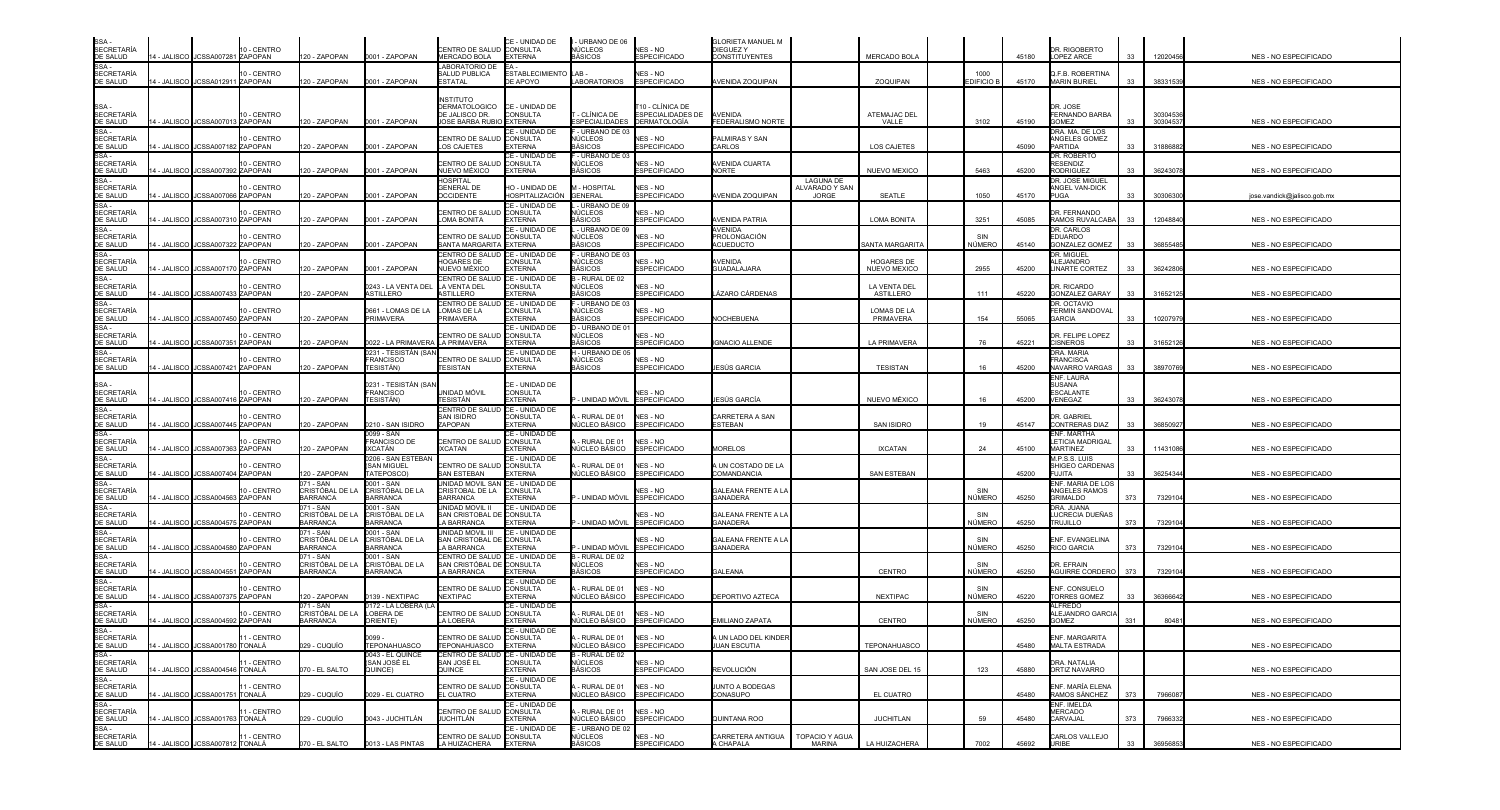| SSA -<br>SECRETARÍA<br>DE SALUD                                                                                                                                                                       |               |                                  | 10 - CENTRO |                                    |                                          | CENTRO DE SALUD CONSULTA                           | CE - UNIDAD DE                         | - URBANO DE 06<br>NÚCLEOS               | NES - NO                               | <b>GLORIETA MANUEL M</b><br><b>DIEGUEZY</b>   |                                    |                            |                        |       | DR. RIGOBERTO                                  |            |          |                              |
|-------------------------------------------------------------------------------------------------------------------------------------------------------------------------------------------------------|---------------|----------------------------------|-------------|------------------------------------|------------------------------------------|----------------------------------------------------|----------------------------------------|-----------------------------------------|----------------------------------------|-----------------------------------------------|------------------------------------|----------------------------|------------------------|-------|------------------------------------------------|------------|----------|------------------------------|
| SSA-                                                                                                                                                                                                  |               | 14 - JALISCO JCSSA007281 ZAPOPAN |             | 20 - ZAPOPAN                       | 0001 - ZAPOPAN                           | MERCADO BOLA<br>LABORATORIO DE                     | <b>EXTERNA</b>                         | BÁSICOS                                 | <b>ESPECIFICADO</b>                    | <b>CONSTITUYENTES</b>                         |                                    | <b>MERCADO BOLA</b>        |                        | 45180 | LOPEZ ARCE                                     | 33         | 12020456 | NES - NO ESPECIFICADO        |
| <b>SECRETARÍA</b><br>DE SALUD                                                                                                                                                                         |               | 4 - JALISCO JCSSA012911 ZAPOPAN  | 10 - CENTRO | 20 - ZAPOPAN                       | 0001 - ZAPOPAN                           | SALUD PUBLICA<br><b>ESTATAL</b>                    | <b>ESTABLECIMIENTO LAB</b><br>DE APOYO | LABORATORIOS                            | <b>NES - NO</b><br><b>ESPECIFICADO</b> | AVENIDA ZOQUIPAN                              |                                    | ZOQUIPAN                   | 1000<br><b>DIFICIO</b> | 45170 | <b>J.F.B. ROBERTINA</b><br><b>MARIN BURIEL</b> | 33         | 38331539 | <b>NES - NO ESPECIFICADO</b> |
|                                                                                                                                                                                                       |               |                                  |             |                                    |                                          | <b>NSTITUTO</b>                                    |                                        |                                         |                                        |                                               |                                    |                            |                        |       |                                                |            |          |                              |
| SSA -<br>SECRETARÍA                                                                                                                                                                                   |               |                                  | 10 - CENTRO |                                    |                                          | <b>DERMATOLOGICO</b><br>DE JALISCO DR.             | CE - UNIDAD DE<br>CONSULTA             | - CLÍNICA DE                            | Γ10 - CLÍNICA DE<br>ESPECIALIDADES DE  | <b>AVENIDA</b>                                |                                    | ATEMAJAC DEL               |                        |       | DR. JOSE<br>FERNANDO BARBA                     |            | 3030453  |                              |
| DE SALUD                                                                                                                                                                                              |               | 14 - JALISCO JCSSA007013 ZAPOPAN |             | 120 - ZAPOPAN                      | 0001 - ZAPOPAN                           | JOSE BARBA RUBIO EXTERNA                           | CE - UNIDAD DE                         | <b>ESPECIALIDADES</b><br>- URBANO DE 03 | <b>DERMATOLOGÍA</b>                    | FEDERALISMO NORTE                             |                                    | VALLE                      | 3102                   | 45190 | <b>GOMEZ</b><br>DRA. MA. DE LOS                | 33         | 3030453  | NES - NO ESPECIFICADO        |
| SSA -<br>SECRETARÍA<br><b>DE SALUD</b>                                                                                                                                                                |               | 4 - JALISCO JCSSA007182 ZAPOPAN  | 10 - CENTRO | 120 - ZAPOPAN                      | 0001 - ZAPOPAN                           | CENTRO DE SALUE<br>LOS CAJETES                     | CONSULTA<br><b>FXTERNA</b>             | NÚCLEOS<br>BÁSICOS                      | <b>NFS - NO</b><br><b>ESPECIFICADO</b> | PALMIRAS Y SAN<br>CARLOS                      |                                    | <b>LOS CAJETES</b>         |                        | 45090 | ANGELES GOMEZ<br><b>PARTIDA</b>                | 33         | 31886882 | NES - NO ESPECIFICADO        |
| SSA-                                                                                                                                                                                                  |               |                                  | 10 - CENTRO |                                    |                                          | CENTRO DE SALUI                                    | CE - UNIDAD DE<br><b>CONSULTA</b>      | - URBANO DE 03<br>NÚCLEOS               | <b>NES - NO</b>                        | AVENIDA CUARTA                                |                                    |                            |                        |       | DR. ROBERTO<br>RESENDIZ                        |            |          |                              |
| SECRETARÍA<br>DE SALUD<br>SSA-                                                                                                                                                                        | 4 - JALISCO   | JCSSA007392 ZAPOPAN              |             | 20 - ZAPOPAN                       | 0001 - ZAPOPAN                           | NUEVO MÉXICO                                       | <b>EXTERNA</b>                         | BÁSICOS                                 | <b>ESPECIFICADO</b>                    | NORTE                                         |                                    | <b>NUEVO MEXICO</b>        | 5463                   | 45200 | <b>RODRIGUEZ</b>                               | 33         | 3624307  | <b>NES - NO ESPECIFICADO</b> |
| <b>SECRETARÍA</b>                                                                                                                                                                                     |               | JCSSA007066 ZAPOPAN              | 10 - CENTRO |                                    |                                          | HOSPITAL<br><b>GENERAL DE</b><br><b>OCCIDENTE</b>  | HO - UNIDAD DE<br>HOSPITALIZACIÓN      | M - HOSPITAI<br><b>GENERAL</b>          | NES - NO<br>SPECIFICADO                |                                               | <b>LAGUNA DE</b><br>ALVARADO Y SAN | <b>SEATLE</b>              |                        |       | DR. JOSE MIGUEL<br>ANGEL VAN-DICK<br>PUGA      |            |          |                              |
| DE SALUD<br>SSA -<br>SECRETARÍA                                                                                                                                                                       | 4 - JALISCO   |                                  |             | 20 - ZAPOPAN                       | 0001 - ZAPOPAN                           |                                                    | CE - UNIDAD DE                         | - URBANO DE 09                          |                                        | <b>NENIDA ZOQUIPAN</b>                        | <b>JORGE</b>                       |                            | 1050                   | 45170 |                                                |            | 3030630  | jose.vandick@jalisco.gob.m›  |
| DE SALUD                                                                                                                                                                                              |               | 4 - JALISCO JCSSA007310 ZAPOPAN  | 10 - CENTRO | 20 - ZAPOPAN                       | 0001 - ZAPOPAN                           | CENTRO DE SALU<br><b>LOMA BONITA</b>               | <b>CONSULTA</b><br><b>EXTERNA</b>      | NÚCLEOS<br>BÁSICOS                      | NES - NO<br><b>ESPECIFICADO</b>        | <b>AVENIDA PATRIA</b>                         |                                    | LOMA BONITA                | 3251                   | 45085 | DR. FERNANDO<br>RAMOS RUVALCABA                | 33         | 1204884  | NES - NO ESPECIFICADO        |
| SSA<br>SECRETARÍA                                                                                                                                                                                     |               |                                  | 10 - CENTRO |                                    |                                          | CENTRO DE SALUE                                    | CE - UNIDAD DE<br><b>CONSULTA</b>      | - URBANO DE 09<br>NÚCLEOS               | NES - NO                               | AVENIDA<br>PROLONGACIÓN                       |                                    |                            | SIN                    |       | DR. CARLOS<br>EDUARDO                          |            |          |                              |
| DE SALUD<br>$SSA -$                                                                                                                                                                                   |               | 4 - JALISCO JCSSA007322 ZAPOPAN  |             | 20 - ZAPOPAN                       | 0001 - ZAPOPAN                           | SANTA MARGARITA EXTERNA<br>CENTRO DE SALUD         | CE - UNIDAD DE                         | BÁSICOS<br>F - URBANO DE 03             | <b>ESPECIFICADO</b>                    | <b>ACUEDUCTO</b>                              |                                    | <b>SANTA MARGARIT</b>      | NÚMERC                 | 45140 | <b>GONZALEZ GOMEZ</b><br><b>DR. MIGUEL</b>     | 33         | 3685548  | NES - NO ESPECIFICADO        |
| <b>SECRETARÍA</b><br>DE SALUD                                                                                                                                                                         |               | 4 - JALISCO JCSSA007170 ZAPOPAN  | 10 - CENTRO | 20 - ZAPOPAN                       | 0001 - ZAPOPAN                           | HOGARES DE<br>NUEVO MÉXICO                         | <b>CONSULTA</b><br><b>EXTERNA</b>      | NÚCLEOS<br><b>BÁSICOS</b>               | NES - NO<br><b>ESPECIFICADO</b>        | <b>\VENIDA</b><br>GUADALAJARA                 |                                    | HOGARES DE<br>NUEVO MEXICO | 2955                   | 45200 | <b>ILEJANDRO</b><br><b>LINARTE CORTEZ</b>      | 33         | 3624280  | NES - NO ESPECIFICADO        |
| SSA-                                                                                                                                                                                                  |               |                                  |             |                                    |                                          | CENTRO DE SALUI                                    | CE - UNIDAD DE                         | 3 - RURAL DE 02                         |                                        |                                               |                                    |                            |                        |       |                                                |            |          |                              |
| SECRETARÍA<br>DE SALUD<br>SSA -                                                                                                                                                                       | 4 - JALISCO I | JCSSA007433 ZAPOPAN              | 10 - CENTRO | 20 - ZAPOPAN                       | 0243 - LA VENTA DEL<br>ASTILLERO         | LA VENTA DEL<br><b>STILLERO</b>                    | CONSULTA<br><b>EXTERNA</b>             | NÚCLEOS<br>BÁSICOS                      | <b>NFS - NO</b><br><b>ESPECIFICADO</b> | ÁZARO CÁRDENAS                                |                                    | LA VENTA DEL<br>ASTILLERO  | 111                    | 45220 | DR. RICARDO<br><b>GONZALEZ GARAY</b>           | 33         | 3165212  | NES - NO ESPECIFICADO        |
| SECRETARÍA                                                                                                                                                                                            |               |                                  | 10 - CENTRO |                                    | 0661 - LOMAS DE LA                       | CENTRO DE SALUD<br>LOMAS DE LA                     | CE - UNIDAD DE<br>CONSULTA             | - URBANO DE 03<br>NÚCLEOS               | NES - NO                               |                                               |                                    | LOMAS DE LA                |                        |       | DR. OCTAVIO<br><b>ERMIN SANDOVAL</b>           |            |          |                              |
| DE SALUD                                                                                                                                                                                              |               | 4 - JALISCO JCSSA007450 ZAPOPAN  |             | 20 - ZAPOPAN                       | PRIMAVERA                                | PRIMAVERA                                          | <b>EXTERNA</b><br>CF - UNIDAD DF       | BÁSICOS<br>D - URBANO DE 0              | <b>ESPECIFICADO</b>                    | NOCHEBUENA                                    |                                    | PRIMAVERA                  | 154                    | 55065 | <b>GARCIA</b>                                  | 33         | 1020797  | NES - NO ESPECIFICADO        |
| SSA -<br>SECRETARÍA<br>DE SALUD                                                                                                                                                                       |               | 4 - JALISCO JJCSSA007351 ZAPOPAN | 10 - CENTRO | 20 - ZAPOPAN                       | 022 - LA PRIMAVER                        | CENTRO DE SALUI<br>LA PRIMAVERA                    | <b>CONSULTA</b><br><b>EXTERNA</b>      | NÚCLEOS<br>BÁSICOS                      | <b>NES - NO</b><br><b>ESPECIFICADO</b> | <b>GNACIO ALLENDE</b>                         |                                    | <b>LA PRIMAVERA</b>        | 76                     | 45221 | DR. FELIPE LOPEZ<br><b>CISNEROS</b>            | 33         | 3165212  | NES - NO ESPECIFICADO        |
| SSA                                                                                                                                                                                                   |               |                                  | 10 - CENTRO |                                    | 0231 - TESISTÁN (SAN<br><b>FRANCISCO</b> | <b>CENTRO DE SALUI</b>                             | CE - UNIDAD DE                         | H - URBANO DE 05<br>NÚCLEOS             | NES - NO                               |                                               |                                    |                            |                        |       | DRA. MARIA<br><b>FRANCISCA</b>                 |            |          |                              |
| SECRETARÍA<br>DE SALUD                                                                                                                                                                                |               | 4 - JALISCO JCSSA007421 ZAPOPAN  |             | 20 - ZAPOPAN                       | ESISTÁN)                                 | TESISTAN                                           | <b>CONSULTA</b><br><b>EXTERNA</b>      | BÁSICOS                                 | <b>ESPECIFICADO</b>                    | IESÚS GARCIA                                  |                                    | <b>TESISTAN</b>            | 16                     | 45200 | NAVARRO VARGAS                                 | 33         | 3897076  | <b>NES - NO ESPECIFICADO</b> |
| SSA -<br>SECRETARÍA                                                                                                                                                                                   |               |                                  |             |                                    | )231 - TESISTÁN (SAM                     |                                                    | CE - UNIDAD DE                         |                                         |                                        |                                               |                                    |                            |                        |       | ENF. LAURA<br><b>SUSANA</b>                    |            |          |                              |
| DE SALUD                                                                                                                                                                                              |               | 4 - JALISCO JCSSA007416 ZAPOPAN  | 10 - CENTRO | 120 - ZAPOPAN                      | FRANCISCO<br>ESISTÁN)                    | unidad móvil<br>TESISTÁN                           | <b>CONSULTA</b><br><b>EXTERNA</b>      | - UNIDAD MÓVIL                          | NES - NO<br><b>ESPECIFICADO</b>        | IESÚS GARCÍA                                  |                                    | NUEVO MÉXICO               | 16                     | 45200 | ESCALANTE<br>VENEGAZ                           | 33         | 3624307  | NES - NO ESPECIFICADO        |
| SSA -<br>SECRETARÍA<br>DE SALUD                                                                                                                                                                       |               |                                  | 10 - CENTRO |                                    |                                          | CENTRO DE SALUD<br>SAN ISIDRO                      | CE - UNIDAD DE<br><b>CONSULTA</b>      | - RURAL DE 01                           | NFS - NO                               | CARRETERA A SAN                               |                                    |                            |                        |       | DR. GABRIEI                                    |            |          |                              |
| SSA-                                                                                                                                                                                                  |               | 4 - JALISCO JCSSA007445 ZAPOPAN  |             | 120 - ZAPOPAN                      | 0210 - SAN ISIDRO<br>)099 - SAN          | ZAPOPAN                                            | <b>EXTERNA</b><br>CE - UNIDAD DE       | <b>IÚCLEO BÁSICO</b>                    | <b>ESPECIFICADO</b>                    | ESTEBAN                                       |                                    | <b>SAN ISIDRO</b>          | 19                     | 45147 | CONTRERAS DIAZ<br>ENF. MARTHA                  | 33         | 3685092  | NES - NO ESPECIFICADO        |
| SECRETARÍA                                                                                                                                                                                            |               | 4 - JALISCO JCSSA007363 ZAPOPAN  | 10 - CENTRO | 20 - ZAPOPAN                       | FRANCISCO DE<br>XCATÁN                   | CENTRO DE SALUI<br><b>XCATAN</b>                   | CONSULTA<br><b>EXTERNA</b>             | RURAL DE 01<br>IÚCLEO BÁSICO            | NES - NO<br><b>ESPECIFICADO</b>        | <b>MORELOS</b>                                |                                    | <b>IXCATAN</b>             | 24                     | 45100 | ETICIA MADRIGAI<br><b>MARTINEZ</b>             | 33         | 1143108  | NES - NO ESPECIFICADO        |
| DE SALUD<br>SSA-                                                                                                                                                                                      |               |                                  |             |                                    | 206 - SAN ESTEBAN                        |                                                    | CE - UNIDAD DE                         |                                         |                                        |                                               |                                    |                            |                        |       | M.P.S.S. LUIS                                  |            |          |                              |
| <b>SECRETARÍA</b><br>DE SALUD                                                                                                                                                                         | 4 - JALISCO   | JCSSA007404 ZAPOPAN              | 10 - CENTRO | 20 - ZAPOPAN                       | <b>SAN MIGUEL</b><br><b>ATEPOSCO</b>     | CENTRO DE SALUI<br><b>SAN ESTEBAN</b>              | <b>CONSULTA</b><br><b>EXTERNA</b>      | - RURAL DE 01<br>NÚCLEO BÁSICO          | NES - NO<br><b>ESPECIFICADO</b>        | A UN COSTADO DE LA<br>COMANDANCIA             |                                    | SAN ESTEBAN                |                        | 45200 | SHIGEO CARDENA:<br><b>FUJITA</b>               |            | 3625434  | NES - NO ESPECIFICADO        |
| SSA                                                                                                                                                                                                   |               |                                  | 10 - CENTRO | 071 - SAN<br>CRISTÓBAL DE LA       | 001 - SAN<br>CRISTÓBAL DE LA             | UNIDAD MOVIL SAN CE - UNIDAD DE<br>CRISTOBAL DE LA | <b>CONSULTA</b>                        |                                         | <b>NES - NO</b>                        | <b>GALEANA FRENTE A LA</b>                    |                                    |                            | SIN                    |       | ENF. MARIA DE LOS<br>ANGELES RAMOS             |            |          |                              |
| SECRETARÍA<br>DE SALUD<br>SSA                                                                                                                                                                         |               | 4 - JALISCO JCSSA004563 ZAPOPAN  |             | <b>BARRANCA</b><br>171 - SAN       | <b>BARRANCA</b><br>001 - SAN             | <b>BARRANCA</b><br>UNIDAD MOVIL I                  | <b>EXTERNA</b><br>CE - UNIDAD DE       | - UNIDAD MÓVIL                          | <b>ESPECIFICADO</b>                    | <b>GANADERA</b>                               |                                    |                            | NÚMERC                 | 45250 | <b>GRIMALDO</b><br>DRA. JUANA                  | 373        | 732910   | NES - NO ESPECIFICADO        |
| SECRETARÍA<br>DE SALUD                                                                                                                                                                                |               | 4 - JALISCO JCSSA004575 ZAPOPAN  | 10 - CENTRO | CRISTÓBAL DE LA<br><b>BARRANCA</b> | CRISTÓBAL DE LA<br><b>BARRANCA</b>       | SAN CRISTOBAL DE CONSULTA<br>LA BARRANCA           | <b>EXTERNA</b>                         | P - UNIDAD MÓVIL                        | NES - NO<br><b>ESPECIFICADO</b>        | <b>GALEANA FRENTE A LA</b><br><b>GANADERA</b> |                                    |                            | SIN<br>NÚMERC          | 45250 | LUCRECIA DUEÑAS<br><b>TRUJILLO</b>             | 373        | 7329104  | NES - NO ESPECIFICADO        |
| SSA -<br>SECRETARÍA<br>DE SALUD                                                                                                                                                                       |               |                                  |             | 71 - SAN                           | 001 - SAN                                | UNIDAD MOVIL III                                   | CE - UNIDAD DE                         |                                         |                                        |                                               |                                    |                            |                        |       |                                                |            |          |                              |
|                                                                                                                                                                                                       |               | 4 - JALISCO JCSSA004580 ZAPOPAN  | 10 - CENTRO | CRISTÓBAL DE I<br><b>BARRANCA</b>  | CRISTÓBAL DE LA<br><b>BARRANCA</b>       | SAN CRISTOBAL DE CONSULTA<br>LA BARRANCA EXTERNA   |                                        | - UNIDAD MÓVIL                          | IES - NO<br><b>ESPECIFICADO</b>        | GALEANA FRENTE A LA<br><b>GANADERA</b>        |                                    |                            | SIN<br>NÚMERO          | 45250 | ENF. EVANGELINA<br><b>RICO GARCIA</b>          | 373        | 732910   | NES - NO ESPECIFICADO        |
| SSA-<br>SECRETARÍA<br>DE SALUD                                                                                                                                                                        |               |                                  | 10 - CENTRO | 171 - SAN<br>CRISTÓBAL DE LA       | )001 - SAN<br>CRISTÓBAL DE LA            | CENTRO DE SALUD<br>SAN CRISTÓBAL DE CONSULTA       | CE - UNIDAD DE                         | - RURAL DE 02<br>NÚCLEOS                | <b>NES - NO</b>                        |                                               |                                    |                            | SIN                    |       | DR. EFRAIN                                     |            |          |                              |
| SSA -<br>SECRETARÍA                                                                                                                                                                                   | 4 - JALISCO I | JCSSA004551 ZAPOPAN              |             | <b>BARRANCA</b>                    | <b>BARRANCA</b>                          | LA BARRANCA                                        | <b>EXTERNA</b><br>CE - UNIDAD DE       | BÁSICOS                                 | <b>ESPECIFICADO</b>                    | GALEANA                                       |                                    | <b>CENTRO</b>              | NÚMERC                 | 45250 | <b>AGUIRRE CORDERC</b>                         | 373        | 732910   | <b>NES - NO ESPECIFICADO</b> |
| DE SALUD                                                                                                                                                                                              |               | 4 - JALISCO JCSSA007375 ZAPOPAN  | 10 - CENTRO | 20 - ZAPOPAN                       | 139 - NEXTIPAC                           | CENTRO DE SALU<br><b>NEXTIPAC</b>                  | <b>CONSULTA</b><br><b>EXTERNA</b>      | - RURAL DE 01<br>NÚCLEO BÁSICO          | NES - NO<br><b>ESPECIFICADO</b>        | DEPORTIVO AZTECA                              |                                    | <b>NEXTIPAC</b>            | SIN<br>NÚMERC          | 45220 | ENF. CONSUELO<br>TORRES GOMEZ                  | 33         | 3636664  | NES - NO ESPECIFICADO        |
| SSA -<br>SECRETARÍA                                                                                                                                                                                   |               |                                  | 10 - CENTRO | 071 - SAN<br>CRISTÓBAL DE LA       | 172 - LA LOBERA (L<br>OBERA DE           | CENTRO DE SALUI                                    | CE - UNIDAD DE<br><b>CONSULTA</b>      | - RURAL DE 01                           | NES - NO                               |                                               |                                    |                            | SIN                    |       | <b>ALFREDO</b><br>LEJANDRO GARCI               |            |          |                              |
| DE SALUD                                                                                                                                                                                              |               | 4 - JALISCO JCSSA004592 ZAPOPAN  |             | <b>BARRANCA</b>                    | RIENTE)                                  | LA LOBERA                                          | EXTERNA                                | NÚCLEO BÁSICO                           | <b>ESPECIFICADO</b>                    | EMILIANO ZAPATA                               |                                    | <b>CENTRO</b>              | NÚMERC                 | 45250 | GOMEZ                                          | 331        | 8048     | NES - NO ESPECIFICADO        |
| SSA-                                                                                                                                                                                                  |               |                                  | 11 - CENTRO |                                    | 0099 -                                   | CENTRO DE SALUD CONSULTA                           | CE - UNIDAD DE                         | A - RURAL DE 01                         | NES - NO                               | A UN LADO DEL KINDER                          |                                    |                            |                        |       | ENF. MARGARITA                                 |            |          |                              |
|                                                                                                                                                                                                       |               | 14 - JALISCO JCSSA001780 TONALÁ  |             | 029 - CUQUÍO                       | <b>TEPONAHUASCO</b><br>0043 - EL QUINCE  | TEPONAHUASCO<br>CENTRO DE SALUD CE - UNIDAD DE     | <b>EXTERNA</b>                         | NÚCLEO BÁSICO<br>B - RURAL DE 02        | <b>ESPECIFICADO</b>                    | <b>JUAN ESCUTIA</b>                           |                                    | <b>TEPONAHUASCO</b>        |                        | 45480 | <b>MALTA ESTRADA</b>                           |            |          | <b>NES - NO ESPECIFICADO</b> |
|                                                                                                                                                                                                       |               | 14 - JALISCO JCSSA004546 TONALÁ  | 11 - CENTRO | 070 - EL SALTO                     | (SAN JOSÉ EL<br>QUINCE)                  | SAN JOSÉ EL<br>QUINCE                              | CONSULTA<br><b>EXTERNA</b>             | NÚCLEOS<br><b>BÁSICOS</b>               | NES - NO<br><b>ESPECIFICADO</b>        | <b>REVOLUCIÓN</b>                             |                                    | SAN JOSE DEL 15            | 123                    | 45880 | DRA. NATALIA<br>ORTIZ NAVARRO                  |            |          | NES - NO ESPECIFICADO        |
|                                                                                                                                                                                                       |               |                                  | 11 - CENTRO |                                    |                                          | CENTRO DE SALUD CONSULTA                           | CE - UNIDAD DE                         | - RURAL DE 01                           | NES - NO                               | JUNTO A BODEGAS                               |                                    |                            |                        |       | ENF. MARÍA ELENA                               |            |          |                              |
|                                                                                                                                                                                                       |               | 14 - JALISCO JCSSA001751 TONALÁ  |             | 029 - CUQUÍO                       | 0029 - EL CUATRO                         | EL CUATRO                                          | <b>EXTERNA</b><br>CE - UNIDAD DE       | <b>IÚCLEO BÁSICO</b>                    | <b>ESPECIFICADO</b>                    | CONASUPO                                      |                                    | EL CUATRO                  |                        | 45480 | RAMOS SÁNCHEZ                                  | 373        | 796608   | NES - NO ESPECIFICADO        |
| SSA<br>SECRETARÍA<br>DE SALUD<br>SECRETARÍA<br>SECRETARÍA<br>DE SALUD<br>SSA<br>SSALUD<br>SSA<br>DE SALUD<br>SSA<br>DE SALUD<br>SSA<br>DE SALUD<br>SSA<br>DE SALUD<br>SSAC<br>DE SALUD<br>SSACRETARÍA |               | 14 - JALISCO JCSSA001763 TONALÁ  | 11 - CENTRO | 029 - CUQUÍO                       | 0043 - JUCHITLÁN                         | CENTRO DE SALUD CONSULTA<br>JUCHITLÁN              | <b>EXTERNA</b>                         | - RURAL DE 01<br>NÚCLEO BÁSICO          | NES - NO<br><b>ESPECIFICADO</b>        | <b>QUINTANA ROO</b>                           |                                    | <b>JUCHITLAN</b>           | 59                     | 45480 | ENF. IMELDA<br>MERCADO<br>CARVAJAL             | 373        | 7966332  | NES - NO ESPECIFICADO        |
|                                                                                                                                                                                                       |               |                                  |             |                                    |                                          |                                                    | CE - UNIDAD DE                         | E - URBANO DE 02                        |                                        |                                               |                                    |                            |                        |       |                                                |            |          |                              |
|                                                                                                                                                                                                       |               | 14 - JALISCO JCSSA007812 TONALÁ  | 11 - CENTRO | 070 - EL SALTO                     | 0013 - LAS PINTAS                        | CENTRO DE SALUD CONSULTA<br>LA HUIZACHERA EXTERNA  |                                        | NÚCLEOS<br><b>BÁSICOS</b>               | NES - NO<br><b>ESPECIFICADO</b>        | CARRETERA ANTIGUA<br>A CHAPALA                | TOPACIO Y AGUA<br><b>MARINA</b>    | LA HUIZACHERA              | 7002                   | 45692 | CARLOS VALLEJO<br>URIBE                        | $33 \quad$ | 36956853 | NES - NO ESPECIFICADO        |

| NES - NO ESPECIFICADO              |
|------------------------------------|
| NES - NO ESPECIFICADO              |
|                                    |
| NES - NO ESPECIFICADO              |
|                                    |
| NES - NO ESPECIFICADO              |
| NES - NO ESPECIFICADO              |
| <u>jose.vandick@jalisco.gob.mx</u> |
| NES - NO ESPECIFICADO              |
|                                    |
| NES - NO ESPECIFICADO              |
| NES - NO ESPECIFICADO              |
| NES - NO ESPECIFICADO              |
|                                    |
| NES - NO ESPECIFICADO              |
| NES - NO ESPECIFICADO              |
| NES - NO ESPECIFICADO              |
|                                    |
| NES - NO ESPECIFICADO              |
| NES - NO ESPECIFICADO              |
|                                    |
| NES - NO ESPECIFICADO              |
| NES - NO ESPECIFICADO              |
| NES - NO ESPECIFICADO              |
|                                    |
| NES - NO ESPECIFICADO              |
| NES - NO ESPECIFICADO              |
| NES - NO ESPECIFICADO              |
|                                    |
| NES - NO ESPECIFICADO              |
| NES - NO ESPECIFICADO              |
| NES - NO ESPECIFICADO              |
| NES - NO ESPECIFICADO              |
|                                    |
| NES - NO ESPECIFICADO              |
| NES - NO ESPECIFICADO              |
| NES - NO ESPECIFICADO              |
|                                    |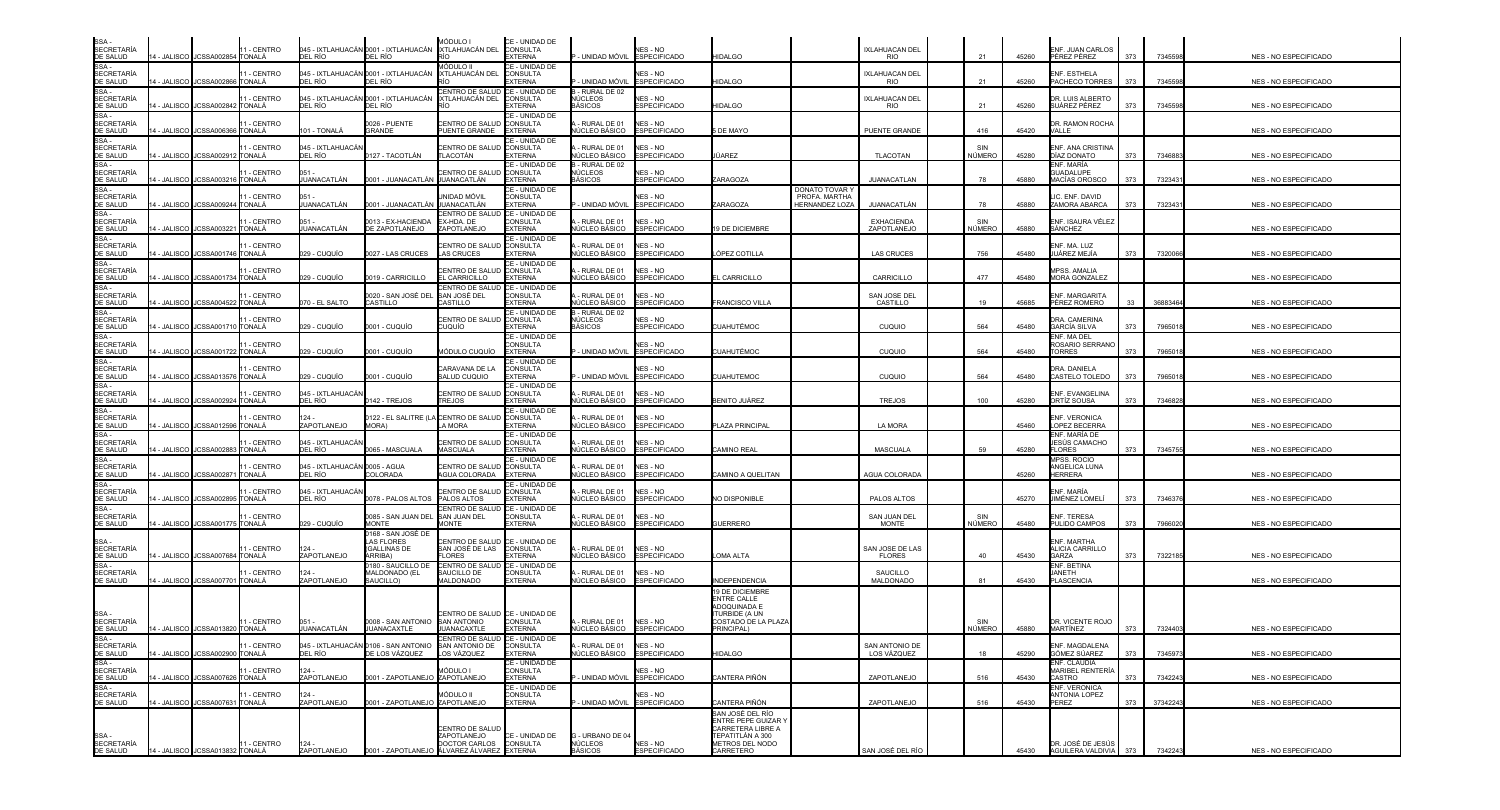| SSA -<br>SECRETARÍA<br>DE SALUD                               |             | 14 - JALISCO I JCSSA002854 ITONALÁ | 11 - CENTRO                  | DEL RÍO                                                 | 045 - IXTLAHUACÁN 0001 - IXTLAHUACÁN<br>DEL RÍO         | MÓDULO I<br>IXTLAHUACÁN DEL                                            | CE - UNIDAD DE<br><b>CONSULTA</b><br><b>EXTERNA</b> | UNIDAD MÓVIL ESPECIFICADO                    | NES - NO                               | <b>HIDALGO</b>                                               |                                                 | IXLAHUACAN DEL<br><b>RIO</b>     | 21            | 45260 | ENF. JUAN CARLOS<br>PÉREZ PÉREZ                         | 373 | 7345598  | NES - NO ESPECIFICADO |
|---------------------------------------------------------------|-------------|------------------------------------|------------------------------|---------------------------------------------------------|---------------------------------------------------------|------------------------------------------------------------------------|-----------------------------------------------------|----------------------------------------------|----------------------------------------|--------------------------------------------------------------|-------------------------------------------------|----------------------------------|---------------|-------|---------------------------------------------------------|-----|----------|-----------------------|
| SSA -<br>SECRETARÍA<br>DE SALUD                               |             | 4 - JALISCO JCSSA002866            | 11 - CENTRO<br>TONALÁ        | DEL RÍO                                                 | 045 - IXTLAHUACÁN 0001 - IXTLAHUACÁN<br>DEL RÍO         | módulo II<br>IXTLAHUACÁN DEL                                           | CE - UNIDAD DE<br>CONSULTA<br><b>EXTERNA</b>        | - UNIDAD MÓVIL                               | NES - NO<br>SPECIFICADO                | <b>HIDALGO</b>                                               |                                                 | IXLAHUACAN DEL<br><b>RIO</b>     | 21            | 45260 | <b>ENF. ESTHELA</b><br>PACHECO TORRES                   | 373 | 7345598  | NES - NO ESPECIFICADO |
| SSA -<br>SECRETARÍA<br>DE SALUD                               | 4 - JALISCO | JCSSA002842                        | - CENTRO<br>ONALÀ            | DEL RÌO                                                 | 045 - IXTLAHUACÁN 0001 - IXTLAHUACÁN<br>DEL RÌO         | CENTRO DE SALUD<br>IXTLAHUACÁN DEL                                     | CE - UNIDAD DE<br>CONSULTA<br>EXTERNA               | - RURAL DE 02<br>NÚCLEOS<br>BÁSICOS          | <b>IES - NO</b><br>SPECIFICADO         | <b>IIDALGO</b>                                               |                                                 | IXLAHUACAN DEL<br>RIO            | 21            | 45260 | <b>R. LUIS ALBERTO</b><br>SUÁREZ PÉREZ                  | 373 | 7345598  | NES - NO ESPECIFICADO |
| SSA-<br><b>SECRETARÍA</b><br>DE SALUD                         |             | 4 - JALISCO JCSSA006366            | 1 - CENTRO<br>TONALÁ         | 101 - TONALÁ                                            | 0026 - PUENTE<br><b>GRANDE</b>                          | CENTRO DE SALUD<br>UENTE GRANDE                                        | CE - UNIDAD DE<br><b>CONSULTA</b><br><b>EXTERNA</b> | - RURAL DE 01<br>NÚCLEO BÁSICO               | NFS - NO<br>SPECIFICADO                | DE MAYO                                                      |                                                 | <b>PUENTE GRANDE</b>             | 416           | 45420 | <b>DR. RAMON ROCHA</b><br>VALLE                         |     |          | NES - NO ESPECIFICADO |
| SSA -<br>SECRETARÍA<br>DE SALUD                               | 4 - JALISCO | JCSSA002912                        | 1 - CENTRO<br>TONALÁ         | 045 - IXTLAHUACÁN<br>DEL RÍO                            | )127 - TACOTLÁN                                         | <b>CENTRO DE SALUD CONSULTA</b><br>LACOTÁN                             | CE - UNIDAD DE<br><b>EXTERNA</b>                    | - RURAL DE 01<br>NÚCLEO BÁSICO               | NFS - NO<br>SPECIFICADO                | ÚAREZ                                                        |                                                 | <b>TLACOTAN</b>                  | SIN<br>NÚMERO | 45280 | ENF. ANA CRISTINA<br>DÍAZ DONATO                        | 373 | 7346883  | NES - NO ESPECIFICADO |
| SSA-<br>SECRETARÍA<br>DE SALUD                                |             | 4 - JALISCO IJCSSA003216           | 1 - CENTRO<br>TONALÁ         | ገ51 -<br>JUANACATLÁN                                    | 0001 - JUANACATLÁN                                      | <b>CENTRO DE SALUD</b><br>JUANACATLÁN                                  | CE - UNIDAD DE<br><b>CONSULTA</b><br><b>EXTERNA</b> | - RURAL DE 02<br>NÚCLEOS<br>BÁSICOS          | NES - NO<br>ESPECIFICADO               | ZARAGOZA                                                     |                                                 | JUANACATLAN                      | 78            | 45880 | ENF. MARÍA<br><b>GUADALUPE</b><br>MACÍAS OROSCO         | 373 | 732343   | NES - NO ESPECIFICADO |
| SSA -<br>SECRETARÍA                                           |             | 4 - JALISCO JCSSA009244            | - CENTRO<br>ONALÁ            | IUANACATLÁN                                             | 0001 - JUANACATLÁN                                      | jnidad móvil<br>JUANACATLÁN                                            | CE - UNIDAD DE<br>CONSULTA<br><b>EXTERNA</b>        | - UNIDAD MÓVIL                               | NES - NO<br>SPECIFICADO                | <b>ARAGOZA</b>                                               | DONATO TOVAR<br>PROFA. MARTHA<br>HERNANDEZ LOZA | JUANACATLÁN                      | 78            | 45880 | IC. ENF. DAVID<br>ZAMORA ABARCA                         | 373 | 732343   | NES - NO ESPECIFICADO |
| DE SALUD<br>SSA -<br>SECRETARÍA<br>DE SALUD                   |             | 4 - JALISCO JCSSA003221            | - CENTRO<br><b>TONALÁ</b>    | JUANACATLÁN                                             | 0013 - EX-HACIENDA<br>DE ZAPOTLANEJO                    | ENTRO DE SALUD<br>EX-HDA, DE<br>ZAPOTLANEJO                            | CE - UNIDAD DE<br>CONSULTA<br><b>EXTERNA</b>        | - RURAL DE 01<br>NÚCLEO BÁSICO               | NES - NO<br><b>ESPECIFICADO</b>        | <b>19 DE DICIEMBRE</b>                                       |                                                 | <b>EXHACIENDA</b><br>ZAPOTLANEJO | SIN<br>NÚMERO | 45880 | ENF. ISAURA VÉLEZ<br>SÁNCHEZ                            |     |          | NES - NO ESPECIFICADO |
| SSA-<br><b>SECRETARÍA</b>                                     | 4 - JALISCO | JCSSA001746 TONALÁ                 | - CENTRO                     | 29 - CUQUÍO                                             | 0027 - LAS CRUCES                                       | <b>ENTRO DE SALUD CONSULTA</b><br>LAS CRUCES                           | CE - UNIDAD DE<br><b>EXTERNA</b>                    | - RURAL DE 01<br>NÚCLEO BÁSICO               | NES - NO<br><b>ESPECIFICADO</b>        | ÓPEZ COTILLA                                                 |                                                 | <b>LAS CRUCES</b>                | 756           | 45480 | ENF. MA. LUZ<br>JUÁREZ MEJÍA                            | 373 | 7320066  | NES - NO ESPECIFICADO |
| DE SALUD<br>SSA -<br>SECRETARÍA<br>DE SALUD                   |             | 4 - JALISCO JCSSA001734 TONALÁ     | 1 - CENTRO                   | 029 - CUQUÍO                                            | 0019 - CARRICILLO                                       | <b>ENTRO DE SALUD CONSULTA</b><br>EL CARRICILLO                        | CE - UNIDAD DE<br><b>EXTERNA</b>                    | - RURAL DE 01<br>NÚCLEO BÁSICO               | NES - NO<br><b>ESPECIFICADO</b>        | L CARRICILLO                                                 |                                                 | CARRICILLO                       | 477           | 45480 | <b>MPSS. AMALIA</b><br>MORA GONZALEZ                    |     |          | NES - NO ESPECIFICADO |
| SSA -<br>SECRETARÍA<br>DE SALUD                               | 4 - JALISCO | <b>JCSSA004522</b>                 | 1 - CENTRO<br>TONALÁ         | 70 - EL SALTO                                           | 0020 - SAN JOSÉ DEL<br>CASTILLO                         | CENTRO DE SALUD CE - UNIDAD DE<br>SAN JOSÉ DEL<br><b>ASTILLO</b>       | CONSULTA<br><b>EXTERNA</b>                          | - RURAL DE 01<br>NÚCLEO BÁSICO               | NES - NO<br><b>SPECIFICADO</b>         | FRANCISCO VILLA                                              |                                                 | SAN JOSE DEL<br>CASTILLO         | 19            | 45685 | ENF. MARGARITA<br>PÉREZ ROMERO                          | 33  | 36883464 | NES - NO ESPECIFICADO |
| SSA -<br>SECRETARÍA<br>DE SALUD                               |             | 4 - JALISCO I JCSSA001710 ITONALÁ  | 11 - CENTRO                  | 029 - CUQUÍO                                            | 0001 - CUQUÍO                                           | CENTRO DE SALUD<br>cuquío                                              | CE - UNIDAD DE<br><b>CONSULTA</b><br><b>EXTERNA</b> | B - RURAL DE 02<br>NÚCLEOS<br><b>BÁSICOS</b> | NES - NO<br><b>SPECIFICADO</b>         | CUAHUTÉMOC                                                   |                                                 | CUQUIO                           | 564           | 45480 | DRA, CAMERINA<br>GARCÍA SILVA                           | 373 | 7965018  | NES - NO ESPECIFICADO |
| SSA -<br>SECRETARÍA<br>DE SALUD                               | 4 - JALISCO | JCSSA001722                        | - CENTRO<br>TONALÁ           | 029 - CUQUÍO                                            | 0001 - CUQUÍO                                           | MÓDULO CUQUÍO                                                          | CE - UNIDAD DE<br>CONSULTA:<br><b>EXTERNA</b>       | UNIDAD MÓVIL                                 | NES - NO<br><b>SPECIFICADO</b>         | <b>:UAHUTÉMOC</b>                                            |                                                 | CUQUIO                           | 564           | 45480 | ENF. MA DEL<br>ROSARIO SERRANO<br>ORRES                 | 373 | 7965018  | NES - NO ESPECIFICADO |
| SSA -<br>SECRETARÍA<br>DE SALUD                               |             | 4 - JALISCO JCSSA013576            | 1 - CENTRO<br>TONALÁ         | 029 - CUQUÍO                                            | 0001 - CUQUÍO                                           | ARAVANA DE LA<br><b>SALUD CUQUIO</b>                                   | CE - UNIDAD DE<br>CONSULTA<br><b>EXTERNA</b>        | UNIDAD MÓVIL                                 | <b>IES - NO</b><br><b>ESPECIFICADO</b> | <b>CUAHUTEMOC</b>                                            |                                                 | CUQUIO                           | 564           | 45480 | <b>DRA, DANIELA</b><br>CASTELO TOLEDO                   | 373 | 7965018  | NES - NO ESPECIFICADO |
| $SSA -$<br><b>SECRETARÍA</b><br>DE SALUD                      |             | 4 - JALISCO JCSSA002924            | - CENTRO<br>TONALÁ           | 045 - IXTLAHUACÁN<br>DEL RÍO                            | 142 - TREJOS                                            | <b>ENTRO DE SALUD</b><br><b>TREJOS</b>                                 | CE - UNIDAD DE<br><b>CONSULTA</b><br><b>EXTERNA</b> | RURAL DE 01<br>IÚCLEO BÁSICO                 | NES - NO<br><b>SPECIFICADO</b>         | ENITO JUÁREZ                                                 |                                                 | <b>TREJOS</b>                    | 100           | 45280 | ENF. EVANGELINA<br>ORTÍZ SOUSA                          | 373 | 7346828  | NES - NO ESPECIFICADO |
| SSA -<br>SECRETARÍA<br>DE SALUD                               |             | 14 - JALISCO I JCSSA012596 TONALÁ  | 1 - CENTRO                   | 124.<br>ZAPOTLANEJO                                     | 0122 - EL SALITRE (LA<br>MORA)                          | CENTRO DE SALUD CONSULTA<br>LA MORA                                    | CE - UNIDAD DE<br>EXTERNA                           | RURAL DE 01<br>NÚCLEO BÁSICO                 | NES - NO<br><b>ESPECIFICADO</b>        | PLAZA PRINCIPAL                                              |                                                 | <b>LA MORA</b>                   |               | 45460 | <b>ENF. VERONICA</b><br>LOPEZ BECERRA                   |     |          | NES - NO ESPECIFICADO |
| SSA-<br><b>SECRETARÍA</b>                                     |             | 4 - JALISCO IJCSSA002883           | 1 - CENTRO<br>ONALÁ          | 045 - IXTLAHUACÁN<br>DEL RÍO                            | 0065 - MASCUALA                                         | CENTRO DE SALUD CONSULTA<br><b>MASCUALA</b>                            | CE - UNIDAD DE<br>EXTERNA                           | - RURAL DE 01<br>NÚCLEO BÁSICO               | NES - NO<br>SPECIFICADO                | <b>CAMINO REAL</b>                                           |                                                 | <b>MASCUALA</b>                  | 59            | 45280 | INF. MARÍA DE<br>JESÚS CAMACHO<br><b>LORES</b>          | 373 | 734575   | NES - NO ESPECIFICADO |
| DE SALUD<br>SSA -<br><b>SECRETARÍA</b><br>DE SALUD            |             | 4 - JALISCO JCSSA002871            | - CENTRO<br>TONALÁ           | 045 - IXTLAHUACÁN <mark>(</mark> 0005 - AGUA<br>DEL RÍO | COLORADA                                                | <b>CENTRO DE SALUD</b><br><b>AGUA COLORADA</b>                         | CE - UNIDAD DE<br><b>CONSULTA</b><br><b>EXTERNA</b> | RURAL DE 01<br>NÚCLEO BÁSICO                 | NES - NO<br><b>ESPECIFICADO</b>        | CAMINO A QUELITAN                                            |                                                 | AGUA COLORADA                    |               | 45260 | <b>MPSS. ROCIO</b><br>ANGELICA LUNA<br><b>HERRERA</b>   |     |          | NES - NO ESPECIFICADO |
| $SSA -$<br>SECRETARÍA<br>DE SALUD                             | 4 - JALISCO | <b>JCSSA00289</b>                  | - CENTRO<br>ONALÁ            | 045 - IXTLAHUACÁN<br>DEL RÍO                            | 078 - PALOS ALTOS                                       | <b>ENTRO DE SALUD CONSULTA</b><br>PALOS ALTOS                          | CE - UNIDAD DE<br><b>EXTERNA</b>                    | - RURAL DE 01<br>NÚCLEO BÁSICO               | NES - NO<br><b>ESPECIFICADO</b>        | <b>JO DISPONIBLE</b>                                         |                                                 | PALOS ALTOS                      |               | 45270 | ENF. MARÍA<br>JIMÉNEZ LOMELÍ                            | 373 | 734637   | NES - NO ESPECIFICADO |
| SSA -<br><b>SECRETARÍA</b><br>DE SALUD                        |             | 4 - JALISCO JCSSA001775            | - CENTRO<br>TONALÁ           | 029 - CUQUÍO                                            | 0085 - SAN JUAN DEI<br><b>MONTE</b>                     | CENTRO DE SALUD CE - UNIDAD DE<br><b>SAN JUAN DEL</b><br>MONTE         | CONSULTA<br><b>EXTERNA</b>                          | - RURAL DE 01<br>NÚCLEO BÁSICO               | NES - NO<br><b>ESPECIFICADO</b>        | <b>GUERRERO</b>                                              |                                                 | SAN JUAN DEL<br><b>MONTE</b>     | SIN<br>NÚMERO | 45480 | <b>ENF. TERESA</b><br>PULIDO CAMPOS                     | 373 | 796602   | NES - NO ESPECIFICADO |
| SSA -<br>SECRETARÍA                                           |             |                                    | - CENTRO                     | 124.                                                    | 0168 - SAN JOSÉ DE<br><b>LAS FLORES</b><br>(GALLINAS DE | CENTRO DE SALUD CE - UNIDAD DE<br>SAN JOSÉ DE LAS CONSULTA             |                                                     | - RURAL DE 01                                | NES - NO                               |                                                              |                                                 | SAN JOSE DE LAS                  |               |       | ENF. MARTHA<br>ALICIA CARRILLO                          |     |          |                       |
| DE SALUD<br>SSA-<br><b>SECRETARÍA</b>                         |             | 4 - JALISCO JCSSA007684            | <b>TONALÁ</b><br>11 - CENTRO | ZAPOTLANEJO<br>$124 -$                                  | <b>ARRIBA)</b><br>0180 - SAUCILLO DE<br>MALDONADO (EL   | <b>LORES</b><br>CENTRO DE SALUD<br>SAUCILLO DE                         | <b>EXTERNA</b><br>CE - UNIDAD DE<br><b>CONSULTA</b> | NÚCLEO BÁSICO<br>- RURAL DE 01               | SPECIFICADO<br>NES - NO                | OMA ALTA                                                     |                                                 | <b>FLORES</b><br>SAUCILLO        | 40            | 45430 | GARZA<br>NF. BETINA<br>JANETH                           | 373 | 7322185  | NES - NO ESPECIFICADO |
| DE SALUD                                                      |             | 4 - JALISCO JCSSA007701            | TONALÁ                       | ZAPOTLANEJO                                             | SAUCILLO)                                               | <b>MALDONADO</b>                                                       | <b>EXTERNA</b>                                      | NÚCLEO BÁSICO                                | <b>ESPECIFICADO</b>                    | INDEPENDENCIA<br>19 DE DICIEMBRE<br>ENTRE CALLE              |                                                 | MALDONADO                        | 81            | 45430 | PLASCENCIA                                              |     |          | NES - NO ESPECIFICADO |
| SSA -<br>SECRETARÍA<br>DE SALUD                               |             |                                    | 11 - CENTRO                  | $051 -$                                                 | 0008 - SAN ANTONIO SAN ANTONIO                          | CENTRO DE SALUD CE - UNIDAD DE                                         | CONSULTA                                            | A - RURAL DE 01                              | NES - NO                               | DOQUINADA E<br>ITURBIDE (A UN<br>COSTADO DE LA PLAZA         |                                                 |                                  | SIN           |       | DR. VICENTE ROJO                                        |     |          |                       |
| SE SALOB<br>SSA -<br>SECRETARÍA<br>DE SALUD                   |             | 14 - JALISCO LICSSA013820 TONALÁ   | 1 - CENTRO                   | JUANACATLÁN LIUANACAXTLE                                | 045 - IXTLAHUACÁN 0106 - SAN ANTONIO                    | <b>JUANACAXTLE</b><br>CENTRO DE SALUD CE - UNIDAD DE<br>SAN ANTONIO DE | <b>FXTERNA</b><br>CONSULTA                          | NÚCLEO BÁSICO<br>- RURAL DE 01               | <b>ESPECIFICADO</b><br>NES - NO        | PRINCIPAL)                                                   |                                                 | SAN ANTONIO DE                   | NÚMERO I      |       | 45880 MARTÍNEZ<br>ENF. MAGDALENA                        | 373 | 7324403  | NES - NO ESPECIFICADO |
|                                                               |             | 14 - JALISCO JCSSA002900           | TONALÁ<br>1 - CENTRO         | DEL RÍO<br>$124 -$                                      | DE LOS VÁZQUEZ                                          | LOS VÁZQUEZ<br>MÓDULO I                                                | <b>EXTERNA</b><br>CE - UNIDAD DE<br>CONSULTA        | NÚCLEO BÁSICO                                | <b>ESPECIFICADO</b><br>NES - NO        | HIDALGO                                                      |                                                 | LOS VÁZQUEZ                      | 18            | 45290 | GÓMEZ SÚAREZ<br><b>ENF. CLAUDIA</b><br>MARIBEL RENTERÍA | 373 | 7345973  | NES - NO ESPECIFICADO |
| SSA -<br>SECRETARÍA<br>DE SALUD<br>SSA -<br><b>SECRETARÍA</b> |             | 14 - JALISCO JCSSA007626           | TONALÁ                       | ZAPOTLANEJO                                             | 0001 - ZAPOTLANEJO                                      | ZAPOTLANEJO                                                            | <b>EXTERNA</b><br>CE - UNIDAD DE                    | UNIDAD MÓVIL ESPECIFICADO                    |                                        | CANTERA PIÑÓN                                                |                                                 | ZAPOTLANEJO                      | 516           | 45430 | CASTRO<br>ENF. VERONICA                                 | 373 | 7342243  | NES - NO ESPECIFICADO |
| DE SALUD                                                      |             | 14 - JALISCO JCSSA007631 TONALÁ    | 1 - CENTRO                   | $124 -$<br>ZAPOTLANEJO                                  | 0001 - ZAPOTLANEJO ZAPOTLANEJO                          | MÓDULO II                                                              | CONSULTA<br><b>EXTERNA</b>                          | UNIDAD MÓVIL ESPECIFICADO                    | NES - NO                               | CANTERA PIÑÓN<br>SAN JOSÉ DEL RÍO                            |                                                 | ZAPOTLANEJO                      | 516           | 45430 | ANTONIA LOPEZ<br>PEREZ                                  | 373 | 37342243 | NES - NO ESPECIFICADO |
| SSA -<br>SECRETARÍA                                           |             |                                    |                              |                                                         |                                                         | CENTRO DE SALUD<br>ZAPOTLANEJO                                         | CE - UNIDAD DE                                      | G - URBANO DE 04                             |                                        | ENTRE PEPE GUIZAR Y<br>CARRETERA LIBRE A<br>TEPATITLÁN A 300 |                                                 |                                  |               |       |                                                         |     |          |                       |
| DE SALUD                                                      |             | 14 - JALISCO JCSSA013832 TONALÁ    | 11 - CENTRO                  | 124.<br>ZAPOTLANEJO                                     | 0001 - ZAPOTLANEJO ALVAREZ ÁLVAREZ EXTERNA              | DOCTOR CARLOS CONSULTA                                                 |                                                     | <b>NÚCLEOS</b><br><b>BÁSICOS</b>             | NES - NO<br><b>ESPECIFICADO</b>        | METROS DEL NODO<br>CARRETERO                                 |                                                 | SAN JOSÉ DEL RÍO                 |               | 45430 | DR. JOSÉ DE JESÚS<br>AGUILERA VALDIVIA                  | 373 | 7342243  | NES - NO ESPECIFICADO |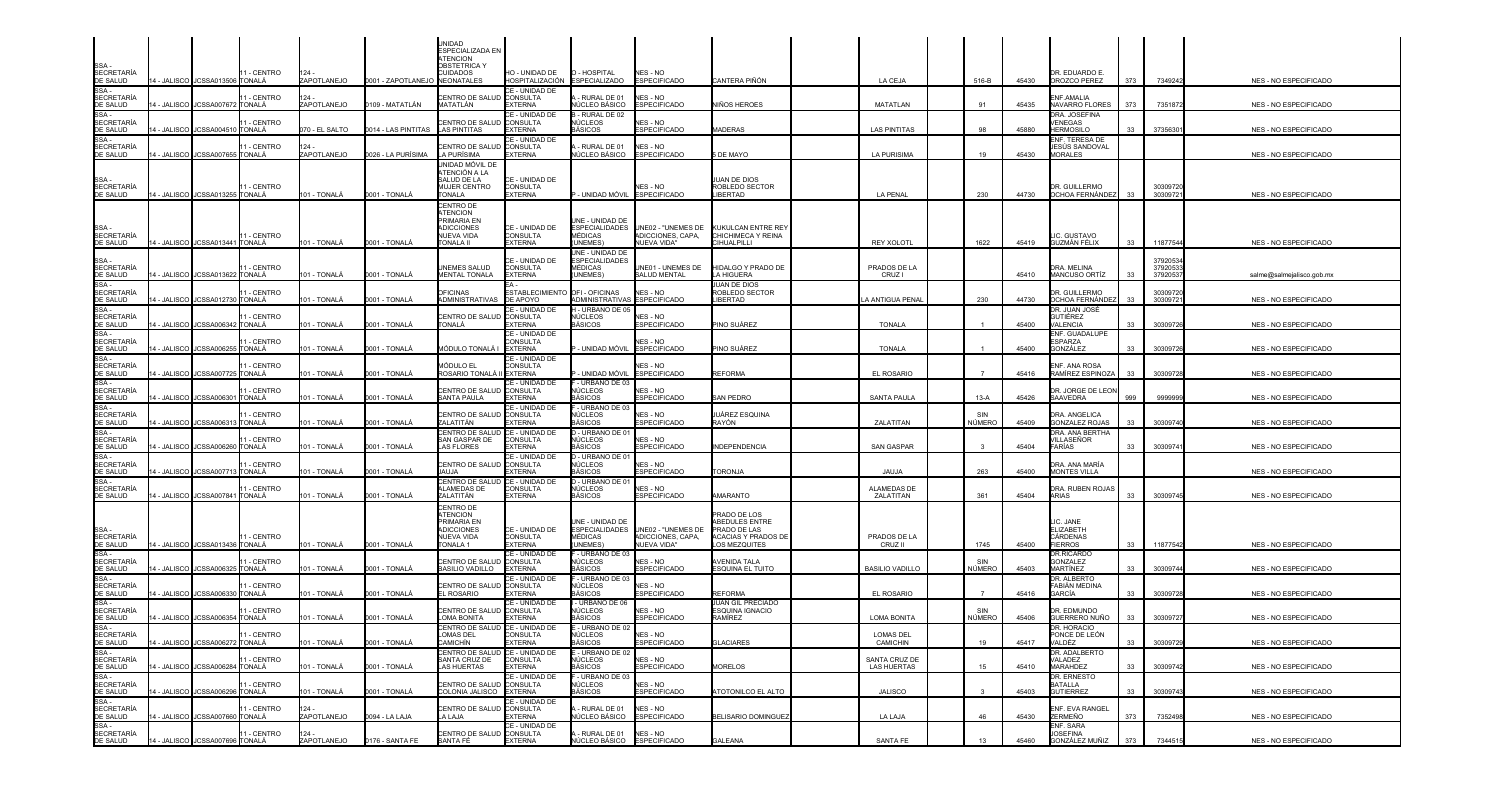| SSA -<br>SECRETARÍA                                                                                                                                                     |             |                                                       | 11 - CENTRO                  | 124.                                |                                                  | UNIDAD<br>ESPECIALIZADA EN<br>TENCION<br>OBSTETRICA Y<br>CUIDADOS                                 | HO - UNIDAD DE                                                  | O - HOSPITAL                                                   | NES - NO                                                              |                                                                                                           |                                     |             |                | DR. EDUARDO E.                                       |            |                               |                                                |
|-------------------------------------------------------------------------------------------------------------------------------------------------------------------------|-------------|-------------------------------------------------------|------------------------------|-------------------------------------|--------------------------------------------------|---------------------------------------------------------------------------------------------------|-----------------------------------------------------------------|----------------------------------------------------------------|-----------------------------------------------------------------------|-----------------------------------------------------------------------------------------------------------|-------------------------------------|-------------|----------------|------------------------------------------------------|------------|-------------------------------|------------------------------------------------|
| DE SALUD<br>SE SALOS<br>SSA -<br>SECRETARÍA<br>DE SALUD                                                                                                                 | 4 - JALISCO | 14 - JALISCO JCSSA013506 TONALÁ<br><b>JCSSA007672</b> | - CENTRO<br>TONALÁ           | ZAPOTLANEJO<br>124 -<br>ZAPOTLANEJO | 0001 - ZAPOTLANEJO NEONATALES<br>0109 - MATATLÁN | ENTRO DE SALUD<br>MATATLÁN                                                                        | HOSPITALIZACIÓN<br>CE - UNIDAD DE<br><b>CONSULTA</b><br>EXTERNA | <b>ESPECIALIZADO</b><br>- RURAL DE 01<br>ÚCLEO BÁSICO          | <b>ESPECIFICADO</b><br>NES - NO<br><b>ESPECIFICADO</b>                | CANTERA PIÑÓN<br>NIÑOS HEROES                                                                             | LA CEJA<br>MATATLAN                 | 516-B<br>91 | 45430<br>45435 | OROZCO PEREZ<br>ENF.AMALIA<br>NAVARRO FLORES         | 373<br>373 | 7349242<br>7351872            | NES - NO ESPECIFICADO<br>NES - NO ESPECIFICADO |
| SSA -<br><b>SECRETARÍA</b><br>DE SALUD                                                                                                                                  |             | 4 - JALISCO JCSSA00451                                | 1 - CENTRO<br>0 TONALÁ       | 070 - EL SALTO                      | 0014 - LAS PINTITAS                              | <b>ENTRO DE SALUD</b><br><b>LAS PINTITAS</b>                                                      | CE - UNIDAD DE<br>CONSULTA<br><b>EXTERNA</b>                    | - RURAL DE 02<br>NÚCLEOS<br><b>IÁSICOS</b>                     | <b>VES - NO</b><br><b>ESPECIFICADO</b>                                | MADERAS                                                                                                   | <b>LAS PINTITAS</b>                 | 98          | 45880          | DRA. JOSEFINA<br>VENEGAS<br><b>HERMOSILO</b>         | 33         | 3735630                       | NES - NO ESPECIFICADO                          |
| SSA -<br>SECRETARÍA<br>DE SALUD                                                                                                                                         |             | 4 - JALISCO JCSSA007655 TONALÁ                        | 1 - CENTRO                   | 124<br>ZAPOTLANEJO                  | 0026 - LA PURÍSIMA                               | <b>ENTRO DE SALUD CONSULTA</b><br>.A PURÍSIMA                                                     | CE - UNIDAD DE<br><b>EXTERNA</b>                                | - RURAL DE 01<br><b>IÚCLEO BÁSICO</b>                          | NES - NO<br><b>ESPECIFICADO</b>                                       | DE MAYO                                                                                                   | <b>LA PURISIMA</b>                  | 19          | 45430          | ENF. TERESA DE<br>JESÚS SANDOVAL<br><b>MORALES</b>   |            |                               | NES - NO ESPECIFICADO                          |
| SSA-<br>SECRETARÍA<br>DE SALUD                                                                                                                                          |             | 4 - JALISCO JCSSA013255 TONALÁ                        | 11 - CENTRO                  | 101 - TONALÁ                        | 0001 - TONALÁ                                    | jnidad móvil de<br>ATENCIÓN A LA<br>SALUD DE LA<br>MUJER CENTRO<br><b><i>FONALA</i></b>           | CE - UNIDAD DE<br><b>CONSULTA</b><br><b>EXTERNA</b>             | - UNIDAD MÓVIL                                                 | NES - NO<br><b>ESPECIFICADO</b>                                       | IUAN DE DIOS<br>ROBLEDO SECTOR<br><b>IBERTAD</b>                                                          | <b>LA PENAL</b>                     | 230         | 44730          | DR. GUILLERMO<br>OCHOA FERNÁNDEZ                     | 33         | 30309720<br>3030972           | NES - NO ESPECIFICADO                          |
| SSA<br><b>SECRETARÍA</b><br>DE SALUD                                                                                                                                    |             | 14 - JALISCO JCSSA013441 TONALÁ                       | 11 - CENTRO                  | 101 - TONALÁ                        | 0001 - TONALÁ                                    | CENTRO DE<br><b>TENCION</b><br>PRIMARIA EN<br><b>ADICCIONES</b><br>NUEVA VIDA<br><b>TONALA II</b> | CE - UNIDAD DE<br>CONSULTA<br><b>EXTERNA</b>                    | UNE - UNIDAD DE<br>MÉDICAS<br>UNEMES)                          | ESPECIALIDADES UNE02 - "UNEMES DE<br>ADICCIONES, CAPA,<br>NUEVA VIDA" | KUKULCAN ENTRE REY<br>CHICHIMECA Y REINA<br><b>IHUALPILLI</b>                                             | <b>REY XOLOTL</b>                   | 1622        | 45419          | <b>IC. GUSTAVO</b><br>GUZMÁN FÉLIX                   | 33         | 11877544                      | NES - NO ESPECIFICADO                          |
| SSA -<br>SECRETARÍA                                                                                                                                                     |             | 4 - JALISCO JCSSA013622 TONALÁ                        | 11 - CENTRO                  | 101 - TONALÁ                        | 0001 - TONALÁ                                    | UNEMES SALUD<br><b>MENTAL TONALA</b>                                                              | CE - UNIDAD DE<br><b>CONSULTA</b><br><b>EXTERNA</b>             | UNE - UNIDAD DE<br><b>ESPECIALIDADES</b><br>MÉDICAS<br>UNEMES) | JNE01 - UNEMES DE<br><b>SALUD MENTAL</b>                              | HIDALGO Y PRADO DE<br>LA HIGUERA                                                                          | PRADOS DE LA<br>CRUZ I              |             | 45410          | DRA. MELINA<br><b>MANCUSO ORTÍZ</b>                  | 33         | 3792053<br>3792053<br>3792053 | salme@salmejalisco.gob.mx                      |
| DE SALUD<br>SSA -<br>SECRETARÍA<br>DE SALUD<br>SSA -                                                                                                                    | 4 - JALISCO | JCSSA012730                                           | - CENTRO<br>TONALÁ           | 01 - TONALÁ                         | 0001 - TONALÁ                                    | <b>DFICINAS</b><br>NDMINISTRATIVAS                                                                | ESTABLECIMIENTO<br>DE APOYO                                     | OFI - OFICINAS<br>ADMINISTRATIVAS ESPECIFICADO                 | <b>NES - NO</b>                                                       | UAN DE DIOS<br>ROBLEDO SECTOR<br><b>IBERTAD</b>                                                           | <b>A ANTIGUA PENA</b>               | 230         | 44730          | DR. GUILLERMO<br>OCHOA FERNÁNDEZ                     | 33         | 3030972<br>3030972            | NES - NO ESPECIFICADO                          |
| SECRETARÍA<br>DE SALUD<br>SSA -<br>SECRETARÍA                                                                                                                           | 4 - JALISCO | JCSSA006342 TONALÁ                                    | - CENTRO                     | 101 - TONALÁ                        | 0001 - TONALÁ                                    | ENTRO DE SALUD<br>ONALÁ                                                                           | CE - UNIDAD DE<br>CONSULTA<br><b>EXTERNA</b>                    | - URBANO DE 05<br>NÚCLEOS<br><b>RÁSICOS</b>                    | NES - NO<br><b>ESPECIFICADO</b>                                       | PINO SUÁREZ                                                                                               | <b>TONALA</b>                       |             | 45400          | DR. JUAN JOSÉ<br>GUTIÉREZ<br><b>VALENCIA</b>         | 33         | 30309726                      | NES - NO ESPECIFICADO                          |
| DE SALUD                                                                                                                                                                |             | 4 - JALISCO JCSSA006255 TONALÁ                        | - CENTRO                     | 101 - TONALÁ                        | 0001 - TONALÁ                                    | MÓDULO TONALÁ I EXTERNA                                                                           | CE - UNIDAD DE<br><b>CONSULTA</b>                               | UNIDAD MÓVIL ESPECIFICADO                                      | NES - NO                                                              | PINO SUÁREZ                                                                                               | <b>TONALA</b>                       |             | 45400          | ENF. GUADALUPE<br>ESPARZA<br>GONZÁLEZ                | 33         | 30309726                      | NES - NO ESPECIFICADO                          |
| SSA -<br>SECRETARÍA<br>DE SALUD                                                                                                                                         |             | 4 - JALISCO I JCSSA007725 ITONALÁ                     | 1 - CENTRO                   | 101 - TONALÁ                        | 0001 - TONALÁ                                    | iódulo el<br>ROSARIO TONALÁ II EXTERNA                                                            | CE - UNIDAD DE<br>CONSULTA                                      | - UNIDAD MÓVIL                                                 | NES - NO<br><b>ESPECIFICADO</b>                                       | REFORMA                                                                                                   | EL ROSARIO                          |             | 45416          | ENF. ANA ROSA<br>RAMÍREZ ESPINOZA                    | 33         | 30309728                      | NES - NO ESPECIFICADO                          |
| SSA -<br>SECRETARÍA<br>DE SALUD                                                                                                                                         |             | 14 - JALISCO JCSSA006301                              | 11 - CENTRO<br><b>TONALÁ</b> | 101 - TONALÁ                        | 0001 - TONALÁ                                    | CENTRO DE SALUD CONSULTA<br><b>SANTA PAULA</b>                                                    | CE - UNIDAD DE<br><b>EXTERNA</b>                                | - URBANO DE 03<br>IÚCLEOS<br>3ÁSICOS                           | NES - NO<br><b>ESPECIFICADO</b>                                       | SAN PEDRO                                                                                                 | <b>SANTA PAULA</b>                  | $13-A$      | 45426          | DR. JORGE DE LEON<br>SAAVEDRA                        | 999        | 9999999                       | NES - NO ESPECIFICADO                          |
| SSA -<br>SECRETARÍA<br>DE SALUD                                                                                                                                         |             | 4 - JALISCO JCSSA006313                               | 1 - CENTRO<br>TONALÁ         | 101 - TONALÁ                        | 0001 - TONALÁ                                    | <b>ENTRO DE SALUD CONSULTA</b><br>ZALATITÁN                                                       | CE - UNIDAD DE<br><b>EXTERNA</b>                                | - URBANO DE 03<br>√ÚCLEOS<br>3ÁSICOS                           | NES - NO<br><b>ESPECIFICADO</b>                                       | IUÁREZ ESQUINA<br>RAYÓN                                                                                   | ZALATITAN                           | NÚMERO      | 45409          | DRA. ANGELICA<br><b>GONZALEZ ROJAS</b>               | 33         | 30309740                      | NES - NO ESPECIFICADO                          |
| SSA-<br><b>SECRETARÍA</b><br>DE SALUD                                                                                                                                   | 4 - JALISCO | <b>JCSSA006260</b>                                    | 1 - CENTRO<br>TONALÁ         | 01 - TONALÁ                         | 0001 - TONALÁ                                    | CENTRO DE SALUD<br>SAN GASPAR DE<br>AS FLORES                                                     | CE - UNIDAD DE<br>CONSULTA<br><b>EXTERNA</b>                    | - URBANO DE 01<br>NÚCLEOS<br><b>IÁSICOS</b>                    | NES - NO<br><b>ESPECIFICADO</b>                                       | <b>NDEPENDENCIA</b>                                                                                       | <b>SAN GASPAR</b>                   |             | 45404          | DRA. ANA BERTHA<br>VILLASEÑOR<br><b>FARÍAS</b>       | 33         | 30309741                      | NES - NO ESPECIFICADO                          |
| $SSA -$<br><b>SECRETARÍA</b><br>DE SALUD                                                                                                                                |             | 4 - JALISCO JCSSA007713 TONALÁ                        | 1 - CENTRO                   | 01 - TONALÁ                         | 0001 - TONALÁ                                    | CENTRO DE SALUD CONSULTA<br>IALLIA                                                                | CE - UNIDAD DE<br><b>EXTERNA</b>                                | D - URBANO DE 01<br>NÚCLEOS<br>ÁSICOS                          | NES - NO<br><b>ESPECIFICADO</b>                                       | ORONJA                                                                                                    | <b>JAUJA</b>                        | 263         | 45400          | DRA. ANA MARÍA<br><b>MONTES VILLA</b>                |            |                               | NES - NO ESPECIFICADO                          |
| SSA -<br>SECRETARÍA<br>DE SALUD                                                                                                                                         |             | 4 - JALISCO JCSSA007841                               | 1 - CENTRO<br>TONALÁ         | 101 - TONALÁ                        | 0001 - TONALÁ                                    | CENTRO DE SALUD<br>LAMEDAS DE<br>ZALATITÁN                                                        | CE - UNIDAD DE<br><b>CONSULTA</b><br><b>EXTERNA</b>             | - URBANO DE 01<br>√ÚCLEOS<br><b>IÁSICOS</b>                    | NES - NO<br><b>ESPECIFICADO</b>                                       | <b>MARANTO</b>                                                                                            | <b>ALAMEDAS DE</b><br>ZALATITAN     | 361         | 45404          | DRA. RUBEN ROJAS<br><b>ARIAS</b>                     | 33         | 3030974                       | NES - NO ESPECIFICADO                          |
| SSA -<br><b>SECRETARÍA</b>                                                                                                                                              |             | 14 - JALISCO I JCSSA013436 TONALÁ                     | 11 - CENTRO                  | 101 - TONALÁ                        | 0001 - TONALÁ                                    | CENTRO DE<br><b>TENCION</b><br>PRIMARIA EN<br><b>ADICCIONES</b><br>NUEVA VIDA<br><b>FONALA 1</b>  | CE - UNIDAD DE<br>CONSULTA<br><b>EXTERNA</b>                    | UNE - UNIDAD DE<br><b>ESPECIALIDADES</b><br>MÉDICAS<br>UNEMES) | UNE02 - "UNEMES DE<br>ADICCIONES, CAPA,<br>NUEVA VIDA"                | <b>PRADO DE LOS</b><br><b>BEDULES ENTRE</b><br>PRADO DE LAS<br><b>ACACIAS Y PRADOS DE</b><br>OS MEZQUITES | PRADOS DE LA<br>CRUZ II             | 1745        | 45400          | LIC. JANE<br>ELIZABETH<br>CÁRDENAS<br><b>FIERROS</b> | 33         | 11877542                      | NES - NO ESPECIFICADO                          |
| DE SALUD<br>SSA -<br>SECRETARÍA<br>DE SALUD<br>SSA -                                                                                                                    | 4 - JALISCO | JCSSA006325                                           | - CENTRO<br>TONALÁ           | 01 - TONALÁ                         | 0001 - TONALÁ                                    | ENTRO DE SALUD<br><b>BASILIO VADILLO</b>                                                          | CE - UNIDAD DE<br><b>CONSULTA</b><br><b>EXTERNA</b>             | - URBANO DE 03<br>IÚCLEOS<br>iÁSICOS                           | <b>NES - NO</b><br><b>ESPECIFICADO</b>                                | \VENIDA TALA<br>ESQUINA EL TUITO                                                                          | <b>BASILIO VADILLO</b>              | NÚMERO      | 45403          | DR.RICARDO<br>GONZALEZ<br>MARTÍNEZ                   | 33         | 30309744                      | NES - NO ESPECIFICADO                          |
| SECRETARÍA<br>DE SALUD                                                                                                                                                  | 4 - JALISCO | <b>JCSSA006330</b>                                    | - CENTRO<br>TONALÁ           | 01 - TONALÁ                         | 0001 - TONALÁ                                    | <b>ENTRO DE SALUD</b><br>L ROSARIO                                                                | CE - UNIDAD DE<br><b>CONSULTA</b><br><b>FXTERNA</b>             | - URBANO DE 03<br>√ÚCLEOS<br>3ÁSICOS.                          | NES - NO<br><b>ESPECIFICADO</b>                                       | REFORMA                                                                                                   | EL ROSARIO                          |             | 45416          | DR. ALBERTO<br>FABIÁN MEDINA<br>GARCÍA               | 33         | 3030972                       | NES - NO ESPECIFICADO                          |
| $SSA -$<br>SECRETARÍA<br>DE SALUD<br>SSA -                                                                                                                              |             | 4 - JALISCO JCSSA006354 TONALÁ                        | - CENTRO                     | 101 - TONALÁ                        | 0001 - TONALÁ                                    | <b>ENTRO DE SALUD CONSULTA</b><br>LOMA BONITA                                                     | CE - UNIDAD DE<br><b>EXTERNA</b>                                | - URBANO DE 06<br>NÚCLEOS<br>BÁSICOS                           | NES - NO<br><b>ESPECIFICADO</b>                                       | JUAN GIL PRECIADO<br>ESQUINA IGNACIO<br>RAMÍREZ                                                           | <b>LOMA BONITA</b>                  | NÚMERO      | 45406          | dr. Edmundo<br>GUERRERO NUÑO                         | 33         | 3030972                       | NES - NO ESPECIFICADO                          |
| <b>SECRETARÍA</b>                                                                                                                                                       |             | 14 - JALISCO JCSSA006272 TONALÁ                       | 11 - CENTRO                  | 101 - TONALÁ                        | 0001 - TONALÁ                                    | CENTRO DE SALUD CE - UNIDAD DE<br>LOMAS DEL<br><b>CAMICHÍN</b>                                    | <b>CONSULTA</b><br><b>EXTERNA</b>                               | E - URBANO DE 02<br><b>NÚCLEOS</b><br>BÁSICOS                  | NES - NO<br><b>ESPECIFICADO</b>                                       | <b>GLACIARES</b>                                                                                          | <b>LOMAS DEL</b><br>CAMICHIN        | 19          | 45417          | DR HORACIO<br>PONCE DE LEÓN<br>VALDĖZ                | 33         | 30309729                      | NES - NO ESPECIFICADO                          |
|                                                                                                                                                                         |             | 14 - JALISCO I JCSSA006284 ITONALÁ                    | 11 - CENTRO                  | 101 - TONALÁ                        | 0001 - TONALÁ                                    | CENTRO DE SALUD CE - UNIDAD DE<br>SANTA CRUZ DE<br>LAS HUERTAS                                    | CONSULTA<br><b>EXTERNA</b>                                      | - URBANO DE 02<br>NÚCLEOS<br>BÁSICOS                           | NES - NO<br><b>ESPECIFICADO</b>                                       | <b>MORELOS</b>                                                                                            | SANTA CRUZ DE<br><b>LAS HUERTAS</b> | 15          | 45410          | DR. ADALBERTO<br>VALADEZ<br>MARAHDEZ                 | 33         | 30309742                      | NES - NO ESPECIFICADO                          |
|                                                                                                                                                                         |             | 14 - JALISCO JCSSA006296 TONALÁ                       | 11 - CENTRO                  | 101 - TONALÁ                        | 0001 - TONALÁ                                    | CENTRO DE SALUD CONSULTA<br>COLONIA JALISCO                                                       | CE - UNIDAD DE<br><b>EXTERNA</b>                                | - URBANO DE 03<br>NÜCLEOS<br>BÁSICOS                           | NES - NO<br><b>ESPECIFICADO</b>                                       | ATOTONILCO EL ALTO                                                                                        | JALISCO                             |             | 45403          | DR. ERNESTO<br><b>BATALLA</b><br><b>GUTIERREZ</b>    | 33         | 30309743                      | NES - NO ESPECIFICADO                          |
| SECRETARIA<br>DE SALUD<br>CESALUD<br>SECRETARIA<br>DE SALUD<br>SECRETARIA<br>DE SALUD<br>SSAL<br>SECRETARIA<br>DE SALUD<br>SSAL<br>SECRETARIA<br>DE SALUD<br>SECRETARIA |             | 4 - JALISCO JCSSA007660 TONALÁ                        | 11 - CENTRO                  | 124 -<br>ZAPOTLANEJO                | 0094 - LA LAJA                                   | CENTRO DE SALUD CONSULTA<br>A LAJA                                                                | CE - UNIDAD DE<br>EXTERNA                                       | - RURAL DE 01<br>ÚCLEO BÁSICO                                  | NES - NO<br><b>ESPECIFICADO</b>                                       | BELISARIO DOMINGUEZ                                                                                       | LA LAJA                             | 46          | 45430          | ENF. EVA RANGEL<br>ZERMEÑO                           | 373        | 7352498                       | NES - NO ESPECIFICADO                          |
| <b>SECRETARÍA</b><br>DE SALUD                                                                                                                                           |             | 14 - JALISCO JCSSA007696 TONALÁ                       | 11 - CENTRO                  | $124 -$<br>ZAPOTLANEJO              | 0176 - SANTA FE                                  | CENTRO DE SALUD CONSULTA<br>SANTA FÉ                                                              | CE - UNIDAD DE<br><b>EXTERNA</b>                                | - RURAL DE 01<br>NÚCLEO BÁSICO                                 | NES - NO<br><b>ESPECIFICADO</b>                                       | GALEANA                                                                                                   | SANTA FE                            | 13          | 45460          | ENF. SARA<br><b>JOSEFINA</b><br>GONZÁLEZ MUÑIZ       | 373        | 7344515                       | NES - NO ESPECIFICADO                          |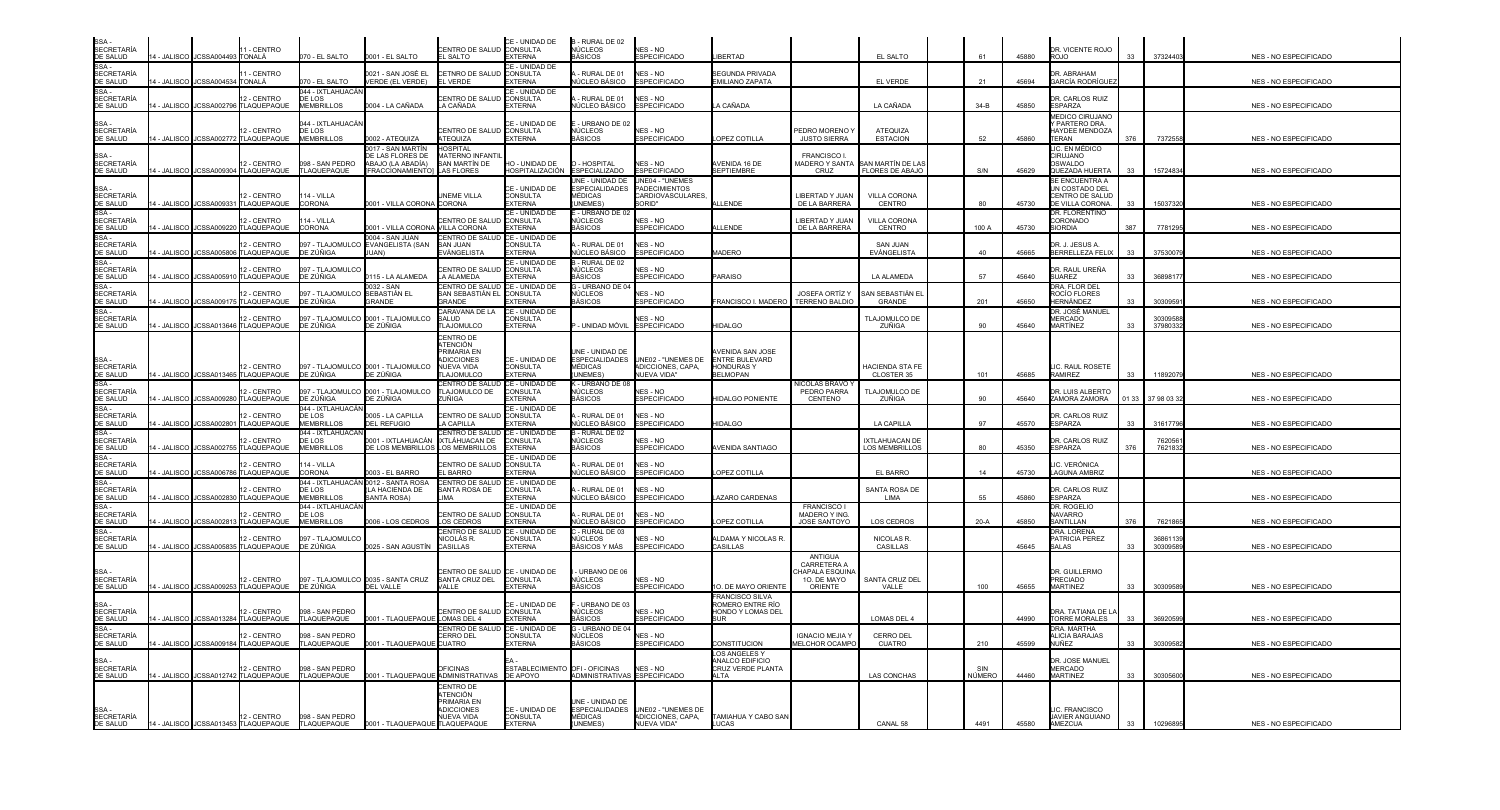| SSA -<br>SECRETARÍA                                                |             |                                 |                                                        |                                                  |                                                                        |                                                                               | CE - UNIDAD DE                                      | B - RURAL DE 02                                                     |                                                                        |                                                                |                                                                     |                                                            |               |       |                                                            |       |                     |                              |
|--------------------------------------------------------------------|-------------|---------------------------------|--------------------------------------------------------|--------------------------------------------------|------------------------------------------------------------------------|-------------------------------------------------------------------------------|-----------------------------------------------------|---------------------------------------------------------------------|------------------------------------------------------------------------|----------------------------------------------------------------|---------------------------------------------------------------------|------------------------------------------------------------|---------------|-------|------------------------------------------------------------|-------|---------------------|------------------------------|
| DE SALUD                                                           |             | 14 - JALISCO JCSSA004493 TONALÁ | 1 - CENTRO                                             | 070 - EL SALTO                                   | 0001 - EL SALTO                                                        | CENTRO DE SALUD CONSULTA<br>EL SALTO                                          | <b>EXTERNA</b>                                      | NÚCLEOS<br>BÁSICOS                                                  | NES - NO<br><b>ESPECIFICADO</b>                                        | <b>IBERTAD</b>                                                 |                                                                     | EL SALTO                                                   | 61            | 45880 | DR. VICENTE ROJO<br>ROJO                                   | 33    | 37324403            | NES - NO ESPECIFICADO        |
| SSA -<br>SECRETARÍA<br>DE SALUD                                    |             | 4 - JALISCO JCSSA004534 TONALÁ  | - CENTRO                                               | 070 - EL SALTO                                   | 0021 - SAN JOSÉ EL<br>VERDE (EL VERDE)                                 | CETNRO DE SALUD<br>EL VERDE                                                   | CE - UNIDAD DE<br><b>CONSULTA</b><br><b>EXTERNA</b> | RURAL DE 01<br>ÚCLEO BÁSICO                                         | NES - NO<br><b>ESPECIFICADO</b>                                        | <b>SEGUNDA PRIVADA</b><br>EMILIANO ZAPATA                      |                                                                     | EL VERDE                                                   | 21            | 45694 | DR. ABRAHAM<br>GARCÍA RODRÍGUEZ                            |       |                     | NES - NO ESPECIFICADO        |
| SSA-<br>SECRETARÍA<br>DE SALUD                                     | 4 - JALISCO | JCSSA002796                     | 12 - CENTRO<br>TLAQUEPAQUE                             | 044 - IXTLAHUACÁN<br>DE LOS<br><b>MEMBRILLOS</b> | 0004 - LA CAÑADA                                                       | <b>ENTRO DE SALUD</b><br>A CAÑADA                                             | CE - UNIDAD DE<br><b>CONSULTA</b><br>EXTERNA        | RURAL DE 01<br>ÚCLEO BÁSICO                                         | NES - NO<br>ESPECIFICADO                                               | A CAÑADA                                                       |                                                                     | LA CAÑADA                                                  | $34 - B$      | 45850 | DR. CARLOS RUIZ<br>ESPARZA                                 |       |                     | NES - NO ESPECIFICADO        |
| SSA -<br>SECRETARÍA                                                |             |                                 | 12 - CENTRO                                            | 044 - IXTLAHUACAN<br>DE LOS                      |                                                                        | <b>ENTRO DE SALUD CONSULTA</b>                                                | CE - UNIDAD DE                                      | - URBANO DE 02<br>NÚCLEOS                                           | NES - NO                                                               |                                                                | PEDRO MORENO'                                                       | ATEQUIZA                                                   |               |       | <b>MEDICO CIRUJANO</b><br>Y PARTERO DRA.<br>HAYDEE MENDOZA |       |                     |                              |
| DE SALUD                                                           |             |                                 | 4 - JALISCO JCSSA002772 TLAQUEPAQUE                    | <b>MEMBRILLOS</b>                                | 0002 - ATEQUIZA<br>0017 - SAN MARTÍN                                   | <b>ATEQUIZA</b><br>HOSPITAL                                                   | <b>EXTERNA</b>                                      | BÁSICOS                                                             | <b>ESPECIFICADO</b>                                                    | OPEZ COTILLA                                                   | <b>JUSTO SIERRA</b>                                                 | <b>ESTACION</b>                                            | 52            | 45860 | <b>TERAN</b><br>LIC. EN MÉDICO                             | 376   | 7372558             | NES - NO ESPECIFICADO        |
| SSA -<br>SECRETARÍA<br>DE SALUD                                    |             |                                 | 12 - CENTRO<br>4 - JALISCO JCSSA009304 TLAQUEPAQUE     | 098 - SAN PEDRO<br>TLAQUEPAQUE                   | <b>E LAS FLORES DE</b><br>ABAJO (LA ABADÍA)<br><b>FRACCIONAMIENTOI</b> | <b>MATERNO INFANTIL</b><br>SAN MARTÍN DE<br><b>LAS FLORES</b>                 | HO - UNIDAD DE<br>HOSPITALIZACIÓN                   | - HOSPITAL<br><b>ESPECIALIZADO</b>                                  | NES - NO<br><b>ESPECIFICADO</b>                                        | AVENIDA 16 DE<br><b>SEPTIEMBRE</b>                             | <b>FRANCISCO I</b><br>CRUZ                                          | MADERO Y SANTA ∥SAN MARTÍN DE LA<br><b>FLORES DE ABAJO</b> | S/N           | 45629 | CIRUJANO<br>OSWALDO<br>QUEZADA HUERTA                      | 33    | 15724834            | <b>NES - NO ESPECIFICADO</b> |
| SSA -<br>SECRETARÍA<br>DE SALUD                                    |             |                                 | 12 - CENTRO                                            | 114 - VILLA                                      |                                                                        | <b>JNEME VILLA</b>                                                            | CE - UNIDAD DE<br><b>CONSULTA</b>                   | NE - UNIDAD DE<br><b>ESPECIALIDADES</b><br>MÉDICAS<br><b>JNEMES</b> | UNE04 - "UNEMES<br><b>PADECIMIENTOS</b><br>CARDIOVASCULARES,<br>Sorid" |                                                                | LIBERTAD Y JUAN                                                     | <b>VILLA CORONA</b>                                        | 80            | 45730 | SE ENCUENTRA A<br>UN COSTADO DEL<br>CENTRO DE SALUD        |       |                     |                              |
| SSA -<br>SECRETARÍA                                                |             | 4 - JALISCO JCSSA00933          | TLAQUEPAQUE<br>12 - CENTRO                             | <b>CORONA</b><br>114 - VILLA                     | 001 - VILLA CORONA CORONA                                              | CENTRO DE SALUD CONSULTA                                                      | <b>EXTERNA</b><br>CE - UNIDAD DE                    | - URBANO DE 02<br>NÚCLEOS                                           | NES - NO<br><b>ESPECIFICADO</b>                                        | <b>LENDE</b>                                                   | DE LA BARRERA<br>LIBERTAD Y JUAN                                    | CENTRO<br><b>VILLA CORONA</b>                              |               |       | DE VILLA CORONA.<br>DR. FLORENTINO<br>CORONADO             | 33    | 1503732             | NES - NO ESPECIFICADO        |
| DE SALUD                                                           |             |                                 | 14 - JALISCO JCSSA009220 TLAQUEPAQUE                   | <b>CORONA</b>                                    | 0001 - VILLA CORONA IVILLA CORONA<br>0004 - SAN JUAN                   | CENTRO DE SALUD CE - UNIDAD DE                                                | <b>EXTERNA</b>                                      | 3ÁSICOS.                                                            |                                                                        | LLENDE                                                         | DE LA BARRERA                                                       | CENTRO                                                     | 100 A         | 45730 | <b>SIORDIA</b>                                             | 387   | 7781295             | NES - NO ESPECIFICADO        |
| SE SALOS<br>SSA -<br>SECRETARÍA<br>DE SALUD                        |             | 4 - JALISCO JCSSA005806         | 2 - CENTRO<br>TLAQUEPAQUE                              | DE ZÚÑIGA                                        | 097 - TLAJOMULCO EVANGELISTA (SAN<br>JUAN)                             | SAN JUAN<br>EVÁNGELISTA                                                       | CONSULTA<br><b>EXTERNA</b><br>CE - UNIDAD DE        | - RURAL DE 01<br>IÚCLEO BÁSICO<br>- RURAL DE 02                     | NES - NO<br><b>ESPECIFICADO</b>                                        | <b>JADERO</b>                                                  |                                                                     | <b>SAN JUAN</b><br>EVÁNGELISTA                             | 40            | 45665 | DR. J. JESUS A.<br><b>BERRELLEZA FELIX</b>                 | 33    | 3753007             | NES - NO ESPECIFICADO        |
| SE SA -<br>SECRETARÍA<br>DE SALUD<br>SSA -<br>SECRETARÍA           | 4 - JALISCO | JCSSA005910                     | 2 - CENTRO<br>TLAQUEPAQUE                              | 097 - TLAJOMULCO<br>DE ZÚÑIGA                    | 115 - LA ALAMEDA<br>0032 - SAN                                         | <b>ENTRO DE SALUD</b><br>A ALAMEDA<br>CENTRO DE SALUD CE - UNIDAD DE          | <b>CONSULTA</b><br><b>EXTERNA</b>                   | NÚCLEOS<br>BÁSICOS<br>G - URBANO DE 04                              | NES - NO<br><b>ESPECIFICADO</b>                                        | <b>ARAISO</b>                                                  |                                                                     | LA ALAMEDA                                                 | 57            | 45640 | DR. RAUL UREÑA<br>SUAREZ<br>DRA. FLOR DEL                  | 33    | 3689817             | NES - NO ESPECIFICADO        |
| DE SALUD                                                           | 4 - JALISCO |                                 | 2 - CENTRO<br>JCSSA009175 TLAQUEPAQUE                  | 097 - TLAJOMULCC<br>DE ZÚÑIGA                    | SEBASTIÁN EL<br>GRANDE                                                 | SAN SEBASTIÁN EL CONSULTA<br><b>GRANDE</b>                                    | <b>EXTERNA</b>                                      | NÚCLEOS<br><b>ASICOS</b>                                            | NES - NO<br><b>ESPECIFICADO</b>                                        | <b>RANCISCO I. MADERO</b>                                      | JOSEFA ORTÍZ Y<br><b>TERRENO BALDIO</b>                             | SAN SEBASTIÁN EI<br>GRANDE                                 | 201           | 45650 | ROCÍO FLORES<br>HERNÁNDEZ                                  | 33    | 3030959             | NES - NO ESPECIFICADO        |
| SSA -<br><b>SECRETARÍA</b><br>DE SALUD                             |             |                                 | 12 - CENTRO<br>4 - JALISCO JCSSA013646 TLAQUEPAQUE     | 097 - TLAJOMULCO<br>DE ZÚÑIGA                    | 0001 - TLAJOMULCO<br>DE ZÚÑIGA                                         | CARAVANA DE LA<br>SALUD<br>TLAJOMULCO                                         | CE - UNIDAD DE<br><b>CONSULTA</b><br><b>EXTERNA</b> | UNIDAD MÓVIL ESPECIFICADO                                           | NES - NO                                                               | <b>HIDALGO</b>                                                 |                                                                     | TLAJOMULCO DE<br>ZUÑIGA                                    | 90            | 45640 | DR. JOSÉ MANUEL<br>MERCADO<br>MARTÍNEZ                     | 33    | 3030958<br>37980332 | NES - NO ESPECIFICADO        |
|                                                                    |             |                                 | 12 - CENTRO                                            |                                                  | 097 - TLAJOMULCO 0001 - TLAJOMULCO                                     | CENTRO DE<br><b>TENCIÓN</b><br>PRIMARIA EN<br><b>IDICCIONES</b><br>NUEVA VIDA | CE - UNIDAD DE<br>CONSULTA                          | UNE - UNIDAD DE<br><b>ESPECIALIDADES</b><br>MÉDICAS                 | UNE02 - "UNEMES DE<br>ADICCIONES, CAPA,                                | AVENIDA SAN JOSE<br><b>ENTRE BULEVARD</b><br><b>IONDURAS Y</b> |                                                                     | <b>HACIFNDA STA FF</b>                                     |               |       | LIC. RAUL ROSETE                                           |       |                     |                              |
|                                                                    |             |                                 | 4 - JALISCO JJCSSA013465 TLAQUEPAQUE                   | DE ZÚÑIGA                                        | DE ZÚÑIGA                                                              | <b><i><u>LAJOMULCO</u></i></b><br>CENTRO DE SALUD                             | <b>EXTERNA</b>                                      | <b>UNEMES</b>                                                       | NUEVA VIDA"                                                            | <b>ELMOPAN</b>                                                 | NICOLAS BRAVO                                                       | CLOSTER 35                                                 | 101           | 45685 | <b>RAMIREZ</b>                                             | 33    | 11892079            | <b>NES - NO ESPECIFICADO</b> |
| SSA -<br>SECRETARÍA<br>DE SALUD<br>SSA -<br>SECRETARÍA<br>DE SALUD |             |                                 | 12 - CENTRO<br>4 - JALISCO JCSSA009280 TLAQUEPAQUE     | DE ZÚÑIGA                                        | 097 - TLAJOMULCO 0001 - TLAJOMULCO<br>DE ZÚÑIGA                        | <b>TLAJOMULCO DE</b><br>UÑIGA.                                                | CE - UNIDAD DE<br>CONSULTA<br><b>EXTERNA</b>        | K - URBANO DE 08<br><b>NÚCLEOS</b><br><b>BÁSICOS</b>                | NES - NO<br><b>ESPECIFICADO</b>                                        | <b>HIDALGO PONIENTE</b>                                        | PEDRO PARRA<br>CENTENO                                              | TLAJOMULCO DE<br>ZUÑIGA                                    | 90            | 45640 | DR. LUIS ALBERTO<br>ZAMORA ZAMORA                          | 01 33 | 37 98 03 32         | NES - NO ESPECIFICADO        |
| SSA -<br>SECRETARÍA<br>DE SALUD                                    | 4 - JALISCO | JCSSA002801                     | 2 - CENTRO<br>TLAQUEPAQUE                              | 044 - IXTLAHUACÁN<br>DE LOS<br>MEMBRILLOS        | 0005 - LA CAPILLA<br>DEL REFUGIO                                       | CENTRO DE SALUD<br>A CAPILLA                                                  | CE - UNIDAD DE<br>CONSULTA<br>EXTERNA               | - RURAL DE 01<br>ÚCLEO BÁSICO                                       | NES - NO<br>ESPECIFICADO                                               | <b>HIDALGO</b>                                                 |                                                                     | LA CAPILLA                                                 | 97            | 45570 | DR. CARLOS RUIZ<br>ESPARZA                                 | 33    | 31617796            | NES - NO ESPECIFICADO        |
| SSA-<br><b>SECRETARÍA</b><br>DE SALUD                              | 4 - JALISCO |                                 | 12 - CENTRO<br>JCSSA002755 TLAQUEPAQUE                 | 044 - IXTLAHUACÁN<br>DE LOS<br><b>MEMBRILLOS</b> | 0001 - IXTLAHUACÁN<br>DE LOS MEMBRILLOS LOS MEMBRILLOS                 | CENTRO DE SALUD<br>IXTLÁHUACAN DE                                             | CE - UNIDAD DE<br>CONSULTA<br><b>EXTERNA</b>        | - RURAL DE 02<br>NÚCLEOS<br>ÁSICOS                                  | NES - NO<br><b>SPECIFICADO</b>                                         | <b>NENIDA SANTIAGO</b>                                         |                                                                     | IXTLAHUACAN DE<br>LOS MEMBRILLOS                           | 80            | 45350 | DR. CARLOS RUIZ<br><b>ESPARZA</b>                          | 376   | 762056<br>7621832   | NES - NO ESPECIFICADO        |
| SSA -<br>SECRETARÍA<br>DE SALUD                                    |             |                                 | 12 - CENTRO<br>4 - JALISCO JCSSA006786 TLAQUEPAQUE     | 114 - VILLA<br>CORONA                            | 0003 - EL BARRO                                                        | CENTRO DE SALUD CONSULTA<br>L BARRO                                           | CE - UNIDAD DE<br><b>EXTERNA</b>                    | RURAL DE 01<br>ÚCLEO BÁSICO                                         | NES - NO<br><b>ESPECIFICADO</b>                                        | OPEZ COTILLA                                                   |                                                                     | <b>EL BARRO</b>                                            | 14            | 45730 | LIC. VERÓNICA<br>LAGUNA AMBRIZ                             |       |                     | NES - NO ESPECIFICADO        |
| SSA.<br>SECRETARÍA<br>DE SALUD                                     |             |                                 | 12 - CENTRO<br>I - JALISCO JJCSSA002830 TLAQUEPAQUE    | DE LOS<br><b>MEMBRILLOS</b>                      | 044 - IXTLAHUACÁN 0012 - SANTA ROSA<br>LA HACIENDA DE<br>SANTA ROSA)   | CENTRO DE SALUD<br>SANTA ROSA DE<br><b>IMA</b>                                | CE - UNIDAD DE<br><b>CONSULTA</b><br><b>EXTERNA</b> | RURAL DE 01<br>ÚCLEO BÁSICO                                         | NES - NO<br><b>ESPECIFICADO</b>                                        | AZARO CARDENAS                                                 |                                                                     | SANTA ROSA DE<br>LIMA                                      | 55            | 45860 | DR. CARLOS RUIZ<br><b>ESPARZA</b>                          |       |                     | NES - NO ESPECIFICADO        |
| SSA-<br><b>SECRETARÍA</b><br>DE SALUD                              |             |                                 | 12 - CENTRO<br>4 - JALISCO JCSSA002813 TLAQUEPAQUE     | 044 - IXTLAHUACÁN<br>DE LOS<br><b>MEMBRILLOS</b> | 0006 - LOS CEDROS                                                      | CENTRO DE SALUD CONSULTA<br><b>LOS CEDROS</b>                                 | CE - UNIDAD DE<br><b>EXTERNA</b>                    | RURAL DE 01<br>ÚCLEO BÁSICO                                         | NES - NO<br><b>ESPECIFICADO</b>                                        | OPEZ COTILLA                                                   | <b>FRANCISCO I</b><br>MADERO Y ING.<br>JOSE SANTOYO                 | <b>LOS CEDROS</b>                                          | $20-A$        | 45850 | DR. ROGELIO<br>NAVARRO<br>SANTILLAN                        | 376   | 7621865             | NES - NO ESPECIFICADO        |
| SSA -<br>SECRETARÍA<br>DE SALUD                                    |             |                                 | 2 - CENTRO<br>4 - JALISCO JCSSA005835 TLAQUEPAQUE      | 097 - TLAJOMULCO<br>DE ZÚÑIGA                    | )025 - SAN AGUSTÍN                                                     | CENTRO DE SALUD<br>NICOLÁS R.<br>CASILLAS                                     | CE - UNIDAD DE<br>CONSULTA<br><b>EXTERNA</b>        | - RURAL DE 03<br><b>NÚCLEOS</b><br>BÁSICOS Y MÁS                    | IES - NO<br><b>ESPECIFICADO</b>                                        | (LDAMA Y NICOLAS R<br>CASILLAS                                 |                                                                     | NICOLAS R.<br>CASILLAS                                     |               | 45645 | <b>DRA, LORENA</b><br><b>PATRICIA PEREZ</b><br>SALAS       | 33    | 3686113<br>3030958  | NES - NO ESPECIFICADO        |
| SSA -<br>SECRETARÍA<br>DE SALUD                                    |             |                                 | 12 - CENTRO<br>14 - JALISCO JJCSSA009253 TLAQUEPAQUE   | DE ZÚÑIGA                                        | 097 - TLAJOMULCO 0035 - SANTA CRUZ<br>DEL VALLE                        | CENTRO DE SALUD CE - UNIDAD DE<br>SANTA CRUZ DEL<br>VALLE                     | <b>CONSULTA</b><br><b>EXTERNA</b>                   | URBANO DE 06<br>NÚCLEOS<br>BÁSICOS                                  | NES - NO<br><b>ESPECIFICADO</b>                                        | <b>O. DE MAYO ORIENTE</b>                                      | ANTIGUA<br>CARRETERA A<br>CHAPALA ESQUINA<br>10. DE MAYO<br>ORIENTE | SANTA CRUZ DEL<br>VALLE                                    | 100           | 45655 | DR. GUILLERMO<br>PRECIADO<br><b>MARTINEZ</b>               | 33    | 30309589            | NES - NO ESPECIFICADO        |
| SSA -<br>SECRETARÍA<br>DE SALUD<br>SSA -                           |             |                                 | 12 - CENTRO<br>14 - JALISCO JCSSA013284 TLAQUEPAQUE    | 098 - SAN PEDRO<br>TLAQUEPAQUE                   | 0001 - TLAQUEPAQUE LOMAS DEL 4                                         | CENTRO DE SALUD CONSULTA                                                      | CE - UNIDAD DE<br><b>EXTERNA</b>                    | - URBANO DE 03<br><b>NÚCLEOS</b><br>BÁSICOS                         | NES - NO<br><b>ESPECIFICADO</b>                                        | FRANCISCO SILVA<br>ROMERO ENTRE RÍO<br>HONDO Y LOMAS DEL<br>UR |                                                                     | LOMAS DEL 4                                                |               | 44990 | DRA. TATIANA DE L <i>I</i><br>TORRE MORALES                | 33    | 36920599            | NES - NO ESPECIFICADO        |
| SECRETARÍA<br>DE SALUD                                             |             |                                 | 12 - CENTRO                                            | 098 - SAN PEDRO                                  |                                                                        | CENTRO DE SALUD CE - UNIDAD DE<br><b>CERRO DEL</b>                            | <b>CONSULTA</b>                                     | G - URBANO DE 04<br><b>NÚCLEOS</b>                                  | NES - NO                                                               |                                                                | <b>IGNACIO MEJIA Y</b>                                              | CERRO DEL                                                  |               |       | <b>DRA MARTHA</b><br>ALICIA BARAJAS                        |       |                     |                              |
|                                                                    |             |                                 | 14 - JALISCO I JCSSA009184 TLAQUEPAQUE                 | TLAQUEPAQUE                                      | 0001 - TLAQUEPAQUE CUATRO                                              |                                                                               | <b>EXTERNA</b>                                      | <b>BÁSICOS</b>                                                      | <b>ESPECIFICADO</b>                                                    | CONSTITUCION<br>OS ANGELES Y<br>ANALCO EDIFICIO                | MELCHOR OCAMPO                                                      | CUATRO                                                     | 210           | 45599 | NUÑEZ<br>DR. JOSE MANUEL                                   | 33    | 30309582            | <b>NES - NO ESPECIFICADO</b> |
| SSA -<br>SECRETARÍA<br>DE SALUD                                    |             |                                 | 12 - CENTRO<br>14 - JALISCO I JCSSA012742 ITLAQUEPAQUE | 098 - SAN PEDRO<br><b>TLAQUEPAQUE</b>            | 0001 - TLAQUEPAQUE ADMINISTRATIVAS DE APOYO                            | <b>OFICINAS</b>                                                               | ESTABLECIMIENTO OFI - OFICINAS                      | ADMINISTRATIVAS ESPECIFICADO                                        | NES - NO                                                               | CRUZ VERDE PLANTA<br>ALTA                                      |                                                                     | <b>LAS CONCHAS</b>                                         | SIN<br>NÚMERO | 44460 | MERCADO<br><b>MARTINEZ</b>                                 | 33    | 30305600            | NES - NO ESPECIFICADO        |
| SSA -<br>SECRETARÍA<br>DE SALUD                                    |             |                                 | 12 - CENTRO                                            | 098 - SAN PEDRO                                  |                                                                        | CENTRO DE<br>ATENCIÓN<br>PRIMARIA EN<br><b>ADICCIONES</b><br>NUEVA VIDA       | CE - UNIDAD DE<br>CONSULTA                          | UNE - UNIDAD DE<br><b>ESPECIALIDADES</b><br>MÉDICAS                 | UNE02 - "UNEMES DE<br>ADICCIONES, CAPA,                                | TAMIAHUA Y CABO SAN                                            |                                                                     |                                                            |               |       | <b>IC. FRANCISCO</b><br>JAVIER ANGUIANO                    |       |                     |                              |
|                                                                    |             |                                 | 14 - JALISCO JCSSA013453 TLAQUEPAQUE                   |                                                  | TLAQUEPAQUE 0001 - TLAQUEPAQUE TLAQUEPAQUE                             |                                                                               | <b>EXTERNA</b>                                      | (UNEMES)                                                            | NUEVA VIDA"                                                            | <b>UCAS</b>                                                    |                                                                     | CANAL 58                                                   | 4491          | 45580 | AMEZCUA                                                    | 33    | 10296895            | NES - NO ESPECIFICADO        |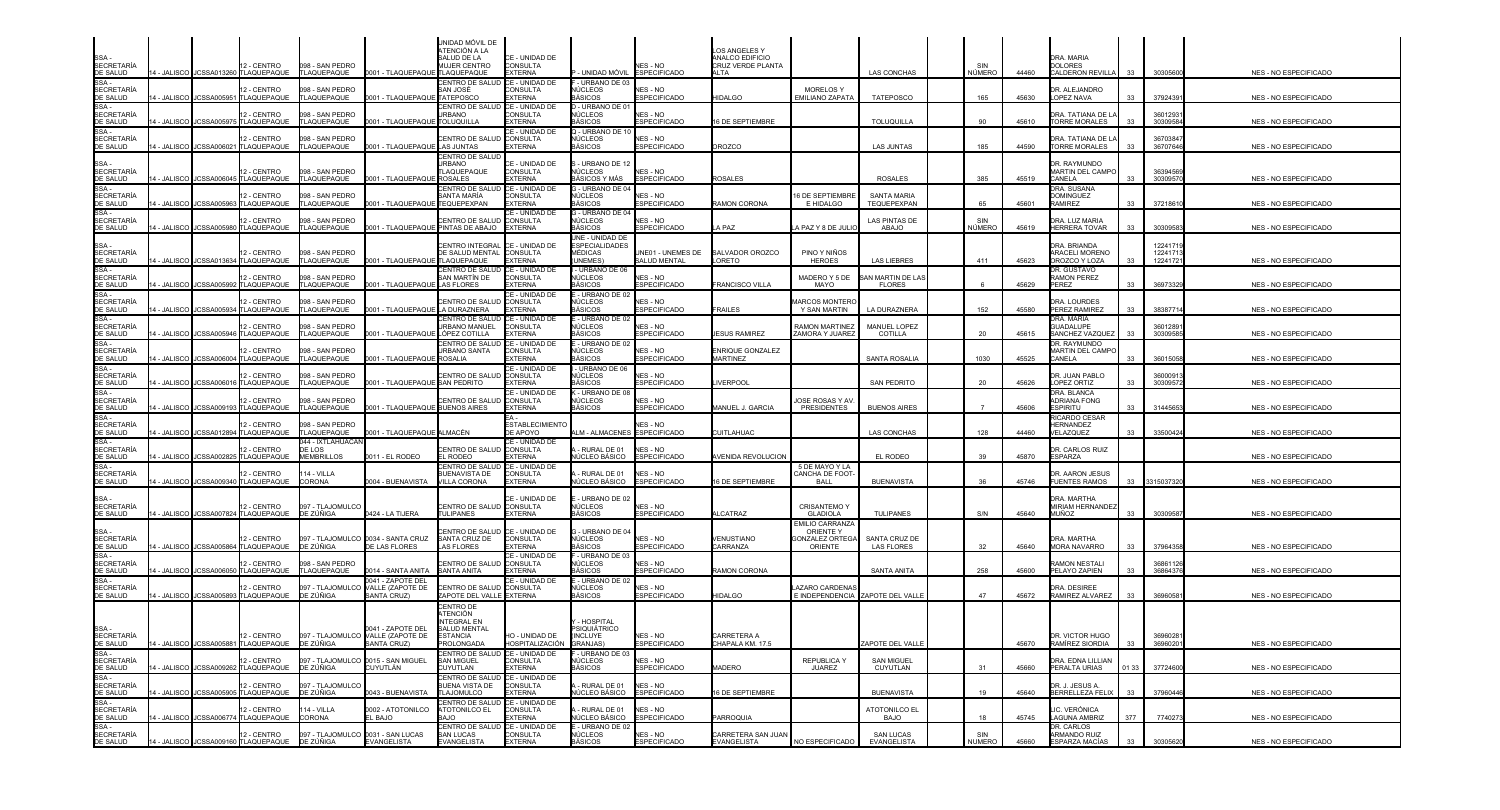| SSA -<br>SECRETARÍA<br>DE SALUD                                                                                                                                          |                    |                    | 12 - CENTRO<br>4 - JALISCO JCSSA013260 TLAQUEPAQUE                                             | 098 - SAN PEDRO<br>TLAQUEPAQUE                   | 0001 - TLAQUEPAQUE TLAQUEPAQUE                         | UNIDAD MÓVIL DE<br>ATENCIÓN A LA<br>SALUD DE LA<br>MUJER CENTRO               | CE - UNIDAD DE<br>CONSULTA<br><b>EXTERNA</b>        | UNIDAD MÓVIL                                                   | NES - NO<br><b>ESPECIFICADO</b>                        | LOS ANGELES Y<br>ANALCO EDIFICIO<br>CRUZ VERDE PLANTA<br><b>NLTA</b> |                                                                        | <b>LAS CONCHAS</b>                                | SIN<br>NÚMERO        | 44460          | DRA, MARIA<br><b>DOLORES</b><br>CALDERON REVILLA                  | 33        | 30305600                      | <b>NES - NO ESPECIFICADO</b>                   |
|--------------------------------------------------------------------------------------------------------------------------------------------------------------------------|--------------------|--------------------|------------------------------------------------------------------------------------------------|--------------------------------------------------|--------------------------------------------------------|-------------------------------------------------------------------------------|-----------------------------------------------------|----------------------------------------------------------------|--------------------------------------------------------|----------------------------------------------------------------------|------------------------------------------------------------------------|---------------------------------------------------|----------------------|----------------|-------------------------------------------------------------------|-----------|-------------------------------|------------------------------------------------|
| SSA-<br><b>SECRETARÍA</b><br>DE SALUD                                                                                                                                    | 4 - JALISCO        |                    | 12 - CENTRO<br>JCSSA005951 TLAQUEPAQUE                                                         | 098 - SAN PEDRO<br>TLAQUEPAQUE                   | 0001 - TLAQUEPAQUI                                     | CENTRO DE SALUD<br>SAN JOSÉ<br>TATEPOSCO                                      | CE - UNIDAD DE<br>CONSULTA<br>EXTERNA               | - URBANO DE 03<br>ÚCLEOS<br><b>AÁSICOS</b>                     | NES - NO<br><b>ESPECIFICADO</b>                        | <b>IIDALGO</b>                                                       | <b>MORELOS Y</b><br>EMILIANO ZAPATA                                    | <b>TATEPOSCO</b>                                  | 165                  | 45630          | DR. ALEJANDRO<br>LOPEZ NAVA                                       | 33        | 3792439                       | NES - NO ESPECIFICADO                          |
| SSA-<br><b>SECRETARÍA</b><br>DE SALUD                                                                                                                                    | I - JALISCO        |                    | 12 - CENTRO<br>JCSSA005975 TLAQUEPAQUE                                                         | 098 - SAN PEDRO<br>TLAQUEPAQUE                   | 0001 - TLAQUEPAQUE TOLUQUILLA                          | CENTRO DE SALUD<br><b>JRBANO</b>                                              | CE - UNIDAD DE<br>CONSULTA<br><b>EXTERNA</b>        | D - URBANO DE 01<br>IÚCLEOS<br>3ÁSICOS                         | NFS - NO<br><b>ESPECIFICADO</b>                        | 6 DE SEPTIEMBRE                                                      |                                                                        | <b>TOLUQUILLA</b>                                 | 90                   | 45610          | DRA. TATIANA DE L<br><b>TORRE MORALES</b>                         | 33        | 3601293<br>3030958            | NES - NO ESPECIFICADO                          |
| SSA-<br><b>SECRETARÍA</b><br>DE SALUD                                                                                                                                    | 4 - JALISCO        | JCSSA006021        | 12 - CENTRO<br>TLAQUEPAQUE                                                                     | 098 - SAN PEDRO<br>TLAQUEPAQUE                   | 0001 - TLAQUEPAQUE                                     | CENTRO DE SALUD<br><b>LAS JUNTAS</b>                                          | CE - UNIDAD DE<br>CONSULTA<br><b>EXTERNA</b>        | Q - URBANO DE 10<br>NÚCLEOS<br><b>BÁSICOS</b>                  | NES - NO<br><b>SPECIFICADO</b>                         | <b>ROZCO</b>                                                         |                                                                        | <b>LAS JUNTAS</b>                                 | 185                  | 44590          | DRA. TATIANA DE L<br><b>TORRE MORALES</b>                         | 33        | 3670384<br>3670764            | NES - NO ESPECIFICADO                          |
| SSA -<br>SECRETARÍA<br>DE SALUD                                                                                                                                          | 4 - JALISCO        |                    | 12 - CENTRO<br>JCSSA006045 TLAQUEPAQUE                                                         | 098 - SAN PEDRO<br>TLAQUEPAQUE                   | 0001 - TLAQUEPAQUE ROSALES                             | CENTRO DE SALUD<br><b>JRBANO</b><br>TLAQUEPAQUE                               | CE - UNIDAD DE<br><b>CONSULTA</b><br><b>EXTERNA</b> | - URBANO DE 12<br>NÚCLEOS<br>3ÁSICOS Y MÁS                     | NES - NO<br><b>ESPECIFICADO</b>                        | <b>ROSALES</b>                                                       |                                                                        | <b>ROSALES</b>                                    | 385                  | 45519          | DR. RAYMUNDO<br><b>MARTIN DEL CAMPO</b><br>CANELA                 | 33        | 3639456<br>3030957            | NES - NO ESPECIFICADO                          |
| SSA-<br><b>SECRETARÍA</b><br>DE SALUD                                                                                                                                    | I - JALISCO        | JCSSA005963        | 12 - CENTRO<br>TLAQUEPAQUE                                                                     | 098 - SAN PEDRO<br>TLAQUEPAQUE                   | 001 - TLAQUEPAQUE TEQUEPEXPAN                          | CENTRO DE SALUD<br>SANTA MARÍA                                                | CE - UNIDAD DE<br><b>CONSULTA</b><br><b>EXTERNA</b> | G - URBANO DE 04<br>NÚCLEOS<br>3ÁSICOS                         | NES - NO<br><b>SPECIFICADO</b>                         | AMON CORONA                                                          | <b>16 DE SEPTIEMBRE</b><br>E HIDALGO                                   | <b>SANTA MARIA</b><br>TEQUEPEXPAN                 | 65                   | 45601          | DRA. SUSANA<br><b>DOMINGUEZ</b><br>RAMIREZ                        | 33        | 3721861                       | NES - NO ESPECIFICADO                          |
| <b>SSA</b><br><b>SECRETARÍA</b><br>DE SALUD                                                                                                                              |                    |                    | 12 - CENTRO<br>4 - JALISCO JCSSA005980 TLAQUEPAQUE                                             | 098 - SAN PEDRO<br>TLAQUEPAQUE                   | 0001 - TLAQUEPAQUE PINTAS DE ABAJO                     | CENTRO DE SALUD                                                               | ∶E - UNIDAD DE<br><b>CONSULTA</b><br><b>EXTERNA</b> | - URBANO DE 04<br>NÚCLEOS<br>BÁSICOS                           | NES - NO<br><b>ESPECIFICADO</b>                        | A PAZ                                                                | A PAZ Y 8 DE JUL                                                       | <b>LAS PINTAS DE</b><br>ABAJO                     | SIN<br><b>NÚMERO</b> | 45619          | DRA. LUZ MARIA<br><b>HERRERA TOVAR</b>                            | 33        | 3030958                       | NES - NO ESPECIFICADO                          |
| SSA -<br>SECRETARÍA<br>DE SALUD                                                                                                                                          |                    |                    | 2 - CENTRO<br>4 - JALISCO JCSSA013634 TLAQUEPAQUE                                              | 098 - SAN PEDRO<br>TLAQUEPAQUE                   | 0001 - TLAQUEPAQUE TLAQUEPAQUE                         | CENTRO INTEGRAL<br>DE SALUD MENTAL CONSULTA                                   | CE - UNIDAD DE<br><b>EXTERNA</b>                    | UNE - UNIDAD DE<br><b>ESPECIALIDADES</b><br>MÉDICAS<br>UNEMES) | <b>INE01 - UNEMES DE</b><br>SALUD MENTAL               | <b>SALVADOR OROZCO</b><br><b>ORETO</b>                               | PINO Y NIÑOS<br><b>HEROES</b>                                          | <b>LAS LIEBRES</b>                                | 411                  | 45623          | DRA, BRIANDA<br>ARACELI MORENO<br>OROZCO Y LOZA                   | 33        | 1224171<br>1224171<br>1224172 | NES - NO ESPECIFICADO                          |
| SSA-<br>SECRETARÍA<br>DE SALUD<br>SSA -                                                                                                                                  | 4 - JALISCO        | <b>JCSSA005992</b> | 2 - CENTRO<br>TLAQUEPAQUE                                                                      | 098 - SAN PEDRO<br>TLAQUEPAQUE                   | 0001 - TLAQUEPAQUE                                     | CENTRO DE SALUD<br>SAN MARTÍN DE<br><b>LAS FLORES</b>                         | CE - UNIDAD DE<br><b>CONSULTA</b><br><b>EXTERNA</b> | URBANO DE 06<br>NÚCLEOS<br>BÁSICOS                             | NES - NO<br><b>ESPECIFICADO</b>                        | <b>RANCISCO VILLA</b>                                                | MADERO Y 5 DE<br>MAYO                                                  | AN MARTIN DE LA<br><b>FLORES</b>                  |                      | 45629          | DR. GUSTAVO<br><b>RAMON PEREZ</b><br>PEREZ                        | 33        | 36973329                      | NES - NO ESPECIFICADO                          |
| <b>SECRETARÍA</b><br>DE SALUD                                                                                                                                            | <b>I - JALISCO</b> |                    | 2 - CENTRO<br>JCSSA005934 TLAQUEPAQUE                                                          | 098 - SAN PEDRO<br>TLAQUEPAQUE                   | 0001 - TLAQUEPAQUE LA DURAZNERA                        | <b>CENTRO DE SALUD</b>                                                        | CE - UNIDAD DE<br><b>CONSULTA</b><br><b>EXTERNA</b> | - URBANO DE 02<br>NÚCLEOS<br>BÁSICOS                           | NES - NO<br><b>ESPECIFICADO</b>                        | <b>RAILES</b>                                                        | <b>MARCOS MONTER</b><br>Y SAN MARTIN                                   | LA DURAZNERA                                      | 152                  | 45580          | DRA. LOURDES<br>PEREZ RAMIREZ                                     | 33        | 3838771                       | NES - NO ESPECIFICADO                          |
| SSA -<br><b>SECRETARÍA</b><br>DE SALUD<br>SSA-                                                                                                                           | - JALISCO          |                    | 2 - CENTRO<br>JCSSA005946 TLAQUEPAQUE                                                          | 098 - SAN PEDRO<br>TLAQUEPAQUE                   | 0001 - TLAQUEPAQUE LÓPEZ COTILLA                       | CENTRO DE SALUD CE - UNIDAD DE<br><b>JRBANO MANUEL</b><br>CENTRO DE SALUD     | CONSULTA<br><b>EXTERNA</b><br>CE - UNIDAD DE        | - URBANO DE 02<br>NÚCLEOS<br>RÁSICOS<br>- URBANO DE 02         | NES - NO<br><b>ESPECIFICADO</b>                        | <b>ESUS RAMIREZ</b>                                                  | RAMON MARTINE.<br>ZAMORA Y JUAREZ                                      | MANUEL LOPEZ<br>COTILLA                           | 20                   | 45615          | DRA, MARIA<br><b>GUADALUPE</b><br>SANCHEZ VAZQUEZ<br>dr. Raymundo | 33        | 3601289<br>30309585           | NES - NO ESPECIFICADO                          |
| <b>SECRETARÍA</b><br>DE SALUD<br>SSA-                                                                                                                                    | 4 - JALISCO        |                    | 12 - CENTRO<br>JCSSA006004 TLAQUEPAQUE                                                         | 098 - SAN PEDRO<br>TLAQUEPAQUE                   | 0001 - TLAQUEPAQUE                                     | URBANO SANTA<br><b>ROSALIA</b>                                                | CONSULTA<br><b>EXTERNA</b><br>CE - UNIDAD DE        | NÚCLEOS<br>BÁSICOS<br>- URBANO DE 06                           | NES - NO<br><b>ESPECIFICADO</b>                        | ENRIQUE GONZALEZ<br><b>MARTINEZ</b>                                  |                                                                        | SANTA ROSALIA                                     | 1030                 | 45525          | MARTIN DEL CAMPO<br>CANELA                                        | 33        | 3601505                       | <b>NES - NO ESPECIFICADO</b>                   |
| <b>SECRETARÍA</b><br>DE SALUD<br>SSA-                                                                                                                                    | 4 - JALISCO        |                    | 12 - CENTRO<br>JCSSA006016 TLAQUEPAQUE                                                         | 098 - SAN PEDRO<br>TLAQUEPAQUE                   | 0001 - TLAQUEPAQUE                                     | <b>CENTRO DE SALUI</b><br><b>SAN PEDRITO</b>                                  | CONSULTA<br><b>EXTERNA</b><br>CE - UNIDAD DE        | IÚCLEOS<br><b>BÁSICOS</b><br>- URBANO DE 08                    | NES - NO<br><b>ESPECIFICADO</b>                        | <b>IVERPOOL</b>                                                      |                                                                        | SAN PEDRITO                                       | 20                   | 45626          | DR. JUAN PABLO<br>LOPEZ ORTIZ<br>DRA. BLANCA                      | 33        | 3600091<br>3030957            | <b>NES - NO ESPECIFICADO</b>                   |
| SECRETARÍA<br>DE SALUD                                                                                                                                                   | - JALISCO          | JCSSA009193        | 12 - CENTRO<br>TLAQUEPAQUE                                                                     | 098 - SAN PEDRO<br>TLAQUEPAQUE                   | 001 - TLAQUEPAQUE BUENOS AIRES                         | CENTRO DE SALUD                                                               | <b>CONSULTA</b><br><b>EXTERNA</b>                   | NÚCLEOS<br>3ÁSICOS                                             | NES - NO<br><b>ESPECIFICADO</b>                        | <b>IANUEL J. GARCIA</b>                                              | <b>OSE ROSAS Y AV</b><br><b>PRESIDENTES</b>                            | <b>BUENOS AIRES</b>                               |                      | 45606          | <b>NDRIANA FONG</b><br>ESPIRITU                                   | 33        | 3144565                       | NES - NO ESPECIFICADO                          |
| SSA-<br><b>SECRETARÍA</b><br>DE SALUD                                                                                                                                    | 4 - JALISCO        |                    | 12 - CENTRO<br>JCSSA012894 TLAQUEPAQUE                                                         | 098 - SAN PEDRO<br>TLAQUEPAQUE                   | 0001 - TLAQUEPAQUE ALMACÉN                             |                                                                               | <b>ESTABLECIMIENTO</b><br>DE APOYO                  | LM - ALMACENES ESPECIFICADO                                    | <b>JES - NO</b>                                        | CUITLAHUAC                                                           |                                                                        | <b>LAS CONCHAS</b>                                | 128                  | 44460          | RICARDO CESAR<br>HERNANDEZ<br>VELAZQUEZ                           | 33        | 3350042                       | NES - NO ESPECIFICADO                          |
| SSA-<br><b>SECRETARÍA</b><br>DE SALUD                                                                                                                                    | - JALISCO          |                    | 2 - CENTRO<br>JCSSA002825 TLAQUEPAQUE                                                          | 044 - IXTLAHUACÁN<br>DE LOS<br><b>MEMBRILLOS</b> | 011 - EL RODEO                                         | CENTRO DE SALUD<br>L RODEO                                                    | CE - UNIDAD DE<br><b>CONSULTA</b><br><b>EXTERNA</b> | RURAL DE 01<br>IÚCLEO BÁSICO                                   | NFS - NO<br><b>ESPECIFICADO</b>                        | VENIDA REVOLUCION                                                    |                                                                        | EL RODEO                                          | 39                   | 45870          | DR. CARLOS RUIZ<br>ESPARZA                                        |           |                               | <b>NES - NO ESPECIFICADO</b>                   |
| <b>SSA</b><br><b>SECRETARÍA</b><br>DE SALUD                                                                                                                              |                    |                    | 12 - CENTRO<br>4 - JALISCO JCSSA009340 TLAQUEPAQUE                                             | 114 - VILLA<br><b>CORONA</b>                     | 0004 - BUENAVISTA                                      | <b>CENTRO DE SALUI</b><br><b>BUENAVISTA DE</b><br><b>VILLA CORONA</b>         | CE - UNIDAD DE<br>CONSULTA<br><b>EXTERNA</b>        | RURAL DE 01<br>IÚCLEO BÁSICO                                   | NES - NO<br><b>ESPECIFICADO</b>                        | <b>6 DE SEPTIEMBRE</b>                                               | 5 DE MAYO Y LA<br>CANCHA DE FOOT<br><b>BALL</b>                        | <b>BUENAVISTA</b>                                 |                      | 45746          | DR. AARON JESUS<br><b>FUENTES RAMOS</b>                           | 33        | 3315037320                    | NES - NO ESPECIFICADO                          |
| SSA -<br><b>SECRETARÍA</b><br>DE SALUD                                                                                                                                   |                    |                    | 12 - CENTRO<br>4 - JALISCO JCSSA007824 TLAQUEPAQUE                                             | 097 - TLAJOMULCC<br>DE ZÚÑIGA                    | 0424 - LA TIJERA                                       | CENTRO DE SALUD CONSULTA<br><b>TULIPANES</b>                                  | CE - UNIDAD DE<br><b>EXTERNA</b>                    | - URBANO DE 02<br>NÚCLEOS<br>BÁSICOS                           | NES - NO<br><b>ESPECIFICADO</b>                        | LCATRAZ                                                              | <b>CRISANTEMO Y</b><br><b>GLADIOLA</b>                                 | <b>TULIPANES</b>                                  | S/N                  | 45640          | DRA. MARTHA<br>MIRIAM HERNANDEZ<br>MUÑOZ                          | 33        | 3030958                       | NES - NO ESPECIFICADO                          |
| SSA -<br>SECRETARÍA<br>DE SALUD                                                                                                                                          |                    |                    | 2 - CENTRO<br>4 - JALISCO JCSSA005864 TLAQUEPAQUE                                              | DE ZÚÑIGA                                        | 097 - TLAJOMULCO 0034 - SANTA CRUZ<br>DE LAS FLORES    | CENTRO DE SALUD CE - UNIDAD DE<br>SANTA CRUZ DE<br><b>LAS FLORES</b>          | <b>CONSULTA</b><br>EXTERNA                          | G - URBANO DE 04<br>NÚCLEOS<br><b>BÁSICOS</b>                  | NES - NO<br><b>ESPECIFICADO</b>                        | <b>/ENUSTIANO</b><br>CARRANZA                                        | <b>EMILIO CARRANZA</b><br><b>ORIENTE Y</b><br>ONZALEZ ORTEO<br>ORIENTE | SANTA CRUZ DE<br><b>LAS FLORES</b>                | 32                   | 45640          | DRA, MARTHA<br><b>MORA NAVARRO</b>                                | 33        | 3796435                       | NES - NO ESPECIFICADO                          |
| SSA-<br><b>SECRETARÍA</b><br>DE SALUD                                                                                                                                    | 4 - JALISCO        |                    | 2 - CENTRO<br>JCSSA006050 TLAQUEPAQUE                                                          | 098 - SAN PEDRO<br><b>TLAQUEPAQUE</b>            | 0014 - SANTA ANITA                                     | <b>ENTRO DE SALUD</b><br>SANTA ANITA                                          | <b>E - UNIDAD DE</b><br>CONSULTA<br><b>FXTERNA</b>  | - URBANO DE 03<br>NÚCLEOS<br><b>BÁSICOS</b>                    | NES - NO<br><b>ESPECIFICADO</b>                        | RAMON CORONA                                                         |                                                                        | <b>SANTA ANITA</b>                                | 258                  | 45600          | RAMON NESTALI<br>PFI AYO ZAPIEN                                   | 33        | 3686112<br>3686437            | <b>NES - NO ESPECIFICADO</b>                   |
| SSA-<br><b>SECRETARÍA</b><br>DE SALUD                                                                                                                                    | 4 - JALISCO        |                    | 2 - CENTRO<br>JCSSA005893 TLAQUEPAQUE                                                          | 097 - TLAJOMULCO<br>DE ZÚÑIGA                    | 0041 - ZAPOTE DEL<br>VALLE (ZAPOTE DE<br>SANTA CRUZ)   | CENTRO DE SALUD<br>ZAPOTE DEL VALLE EXTERNA                                   | CE - UNIDAD DE<br><b>CONSULTA</b>                   | E - URBANO DE 02<br><b>NÜCLEOS</b><br>BÁSICOS                  | NES - NO<br><b>ESPECIFICADO</b>                        | <b>IIDALGO</b>                                                       | AZARO CARDENA<br>E INDEPENDENCIA ZAPOTE DEL VALLE                      |                                                   | 47                   | 45672          | DRA. DESIREE<br>RAMIREZ ALVAREZ                                   | 33        | 3696058                       | NES - NO ESPECIFICADO                          |
|                                                                                                                                                                          |                    |                    | 12 - CENTRO                                                                                    |                                                  | 0041 - ZAPOTE DEL<br>097 - TLAJOMULCO VALLE (ZAPOTE DE | CENTRO DI<br>ATENCIÓN<br><b>INTEGRAL EN</b><br>SALUD MENTA<br><b>ESTANCIA</b> | HO - UNIDAD DE                                      | - HOSPITAL<br>PSIQUIÁTRICO<br>(INCLUYE)                        | NES - NO                                               | CARRETERA A                                                          |                                                                        |                                                   |                      |                | DR. VICTOR HUGO                                                   |           | 3696028                       |                                                |
| SSA -<br>SECRETARÍA<br>DE SALUD<br>SSA -<br>SECRETARÍA<br>SECRETARÍA<br>DE SALUD<br>SECRETARÍA<br>SE -<br>SECRETARÍA<br>SE -<br>SECRETARÍA<br>SE -<br>SECRETARÍA<br>SE - |                    |                    | 14 - JALISCO JCSSA005881 TLAQUEPAQUE<br>12 - CENTRO                                            | DE ZÚÑIGA                                        | SANTA CRUZ)<br>097 - TLAJOMULCO 0015 - SAN MIGUEL      | <b>PROLONGADA</b><br>CENTRO DE SALUD CE - UNIDAD DE<br><b>SAN MIGUEL</b>      | HOSPITALIZACIÓN<br>CONSULTA                         | GRANJAS)<br>F - URBANO DE 03<br>NÚCLEOS                        | <b>ESPECIFICADO</b><br>NES - NO                        | CHAPALA KM. 17.5                                                     | <b>REPUBLICA Y</b>                                                     | ZAPOTE DEL VALLE<br><b>SAN MIGUEL</b>             |                      | 45670          | RAMÍREZ SIORDIA<br>DRA. EDNA LILLIAN                              | 33        | 3696020                       | NES - NO ESPECIFICADO                          |
|                                                                                                                                                                          |                    |                    | 14 - JALISCO JJCSSA009262 TLAQUEPAQUE<br>12 - CENTRO                                           | DE ZÚÑIGA<br>097 - TLAJOMULCO                    | CUYUTLÁN                                               | CUYUTLAN<br>CENTRO DE SALUD CE - UNIDAD DE<br>BUENA VISTA DE                  | <b>EXTERNA</b><br><b>CONSULTA</b>                   | BÁSICOS<br>RURAL DE 01                                         | <b>ESPECIFICADO</b><br>NES - NO                        | <b>MADERO</b>                                                        | JUAREZ                                                                 | CUYUTLAN                                          | 31                   | 45660          | PERALTA URIAS<br>DR. J. JESUS A.<br>BERRELLEZA FELIX              | 01 33     | 37724600                      | NES - NO ESPECIFICADO                          |
|                                                                                                                                                                          |                    |                    | 14 - JALISCO JCSSA005905 TLAQUEPAQUE<br>12 - CENTRO<br>14 - JALISCO I JCSSA006774 ITLAQUEPAQUE | DE ZÚÑIGA<br>114 - VILLA<br>CORONA               | 0043 - BUENAVISTA<br>0002 - ATOTONILCO<br>EL BAJO      | <b>TLAJOMULCO</b><br>CENTRO DE SALUD CE - UNIDAD DE<br>ATOTONILCO EL<br>BAJO  | <b>EXTERNA</b><br><b>CONSULTA</b><br><b>EXTERNA</b> | <b>VÚCLEO BÁSICO</b><br>- RURAL DE 01                          | <b>ESPECIFICADO</b><br>NES - NO<br><b>ESPECIFICADO</b> | 16 DE SEPTIEMBRE<br>PARROQUIA                                        |                                                                        | <b>BUENAVISTA</b><br>ATOTONILCO EL<br><b>BAJO</b> | 19<br>18             | 45640          | LIC. VERÓNICA                                                     | 33<br>377 | 37960446                      | NES - NO ESPECIFICADO                          |
| SECRETARÍA<br>DE SALUD                                                                                                                                                   |                    |                    | 12 - CENTRO<br>14 - JALISCO JCSSA009160 TLAQUEPAQUE                                            | DE ZÚÑIGA                                        | 097 - TLAJOMULCO 0031 - SAN LUCAS<br>EVANGELISTA       | CENTRO DE SALUD<br><b>SAN LUCAS</b><br>EVANGELISTA                            | CE - UNIDAD DE<br>CONSULTA<br><b>EXTERNA</b>        | IÚCLEO BÁSICO<br>E - URBANO DE 02<br>NÚCLEOS<br><b>BÁSICOS</b> | NES - NO<br><b>ESPECIFICADO</b>                        | CARRETERA SAN JUAN<br>EVANGELISTA                                    | NO ESPECIFICADO                                                        | <b>SAN LUCAS</b><br>EVANGELISTA                   | SIN<br><b>NUMERO</b> | 45745<br>45660 | LAGUNA AMBRIZ<br>DR. CARLOS<br>ARMANDO RUIZ<br>ESPARZA MACÍAS     | 33        | 7740273<br>30305620           | NES - NO ESPECIFICADO<br>NES - NO ESPECIFICADO |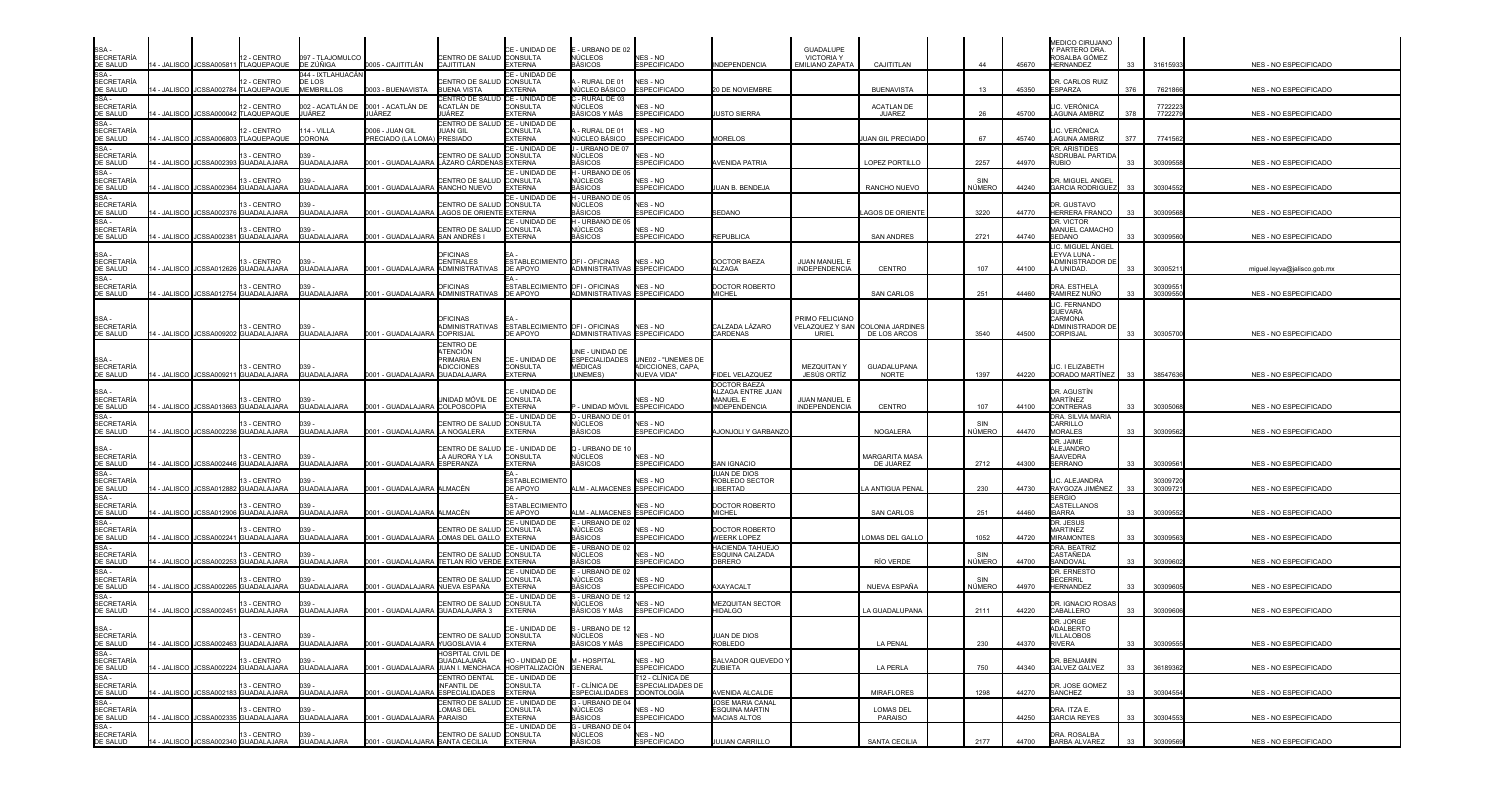| SSA -<br>SECRETARÍA                                                                                                                                                       |               |                         | 12 - CENTRO<br>14 - JALISCO JCSSA005811 TLAQUEPAQUE  | 097 - TLAJOMULCO<br>DE ZÚÑIGA                    | 0005 - CAJITITLÁN                                           | CENTRO DE SALUD CONSULTA<br>CAJITITLAN                                          | CE - UNIDAD DE<br><b>EXTERNA</b>                           | - URBANO DE 02<br>NÚCLEOS<br><b>ASICOS</b>    | NES - NO<br><b>ESPECIFICADO</b>                                              | <b>INDEPENDENCIA</b>                                                         | <b>GUADALUPE</b><br><b>VICTORIA Y</b><br>EMILIANO ZAPATA     | CAJITITLAN                  | 44            | 45670 | MEDICO CIRUJANO<br>Y PARTERO DRA.<br>ROSALBA GÓMEZ<br><b>HERNANDEZ</b>             | 33  | 31615933           | NES - NO ESPECIFICADO        |
|---------------------------------------------------------------------------------------------------------------------------------------------------------------------------|---------------|-------------------------|------------------------------------------------------|--------------------------------------------------|-------------------------------------------------------------|---------------------------------------------------------------------------------|------------------------------------------------------------|-----------------------------------------------|------------------------------------------------------------------------------|------------------------------------------------------------------------------|--------------------------------------------------------------|-----------------------------|---------------|-------|------------------------------------------------------------------------------------|-----|--------------------|------------------------------|
| DE SALUD<br>SSA -<br>SECRETARÍA<br><b>DE SALUD</b>                                                                                                                        |               |                         | 2 - CENTRO<br>- JALISCO JCSSA002784 TLAQUEPAQUE      | 044 - IXTLAHUACÁN<br>DE LOS<br><b>MEMBRILLOS</b> | 0003 - BUENAVISTA                                           | CENTRO DE SALUD CONSULTA<br><b>BUENA VISTA</b>                                  | CE - UNIDAD DE<br><b>EXTERNA</b>                           | - RURAL DE 01<br>NÚCLEO BÁSICO                | NES - NO<br><b>ESPECIFICADO</b>                                              | 20 DE NOVIEMBRE                                                              |                                                              | <b>BUENAVISTA</b>           | 13            | 45350 | <b>DR. CARLOS RUIZ</b><br>ESPARZA                                                  | 376 | 7621866            | NES - NO ESPECIFICADO        |
| SSA-                                                                                                                                                                      | 4 - JALISCO   |                         | 12 - CENTRO<br>JCSSA000042 TLAQUEPAQUE               | 002 - ACATLÁN DE<br>JUÁREZ                       | 0001 - ACATLÁN DE<br>JUÁREZ                                 | CENTRO DE SALUD CE - UNIDAD DE<br>ACATLÁN DE<br>JUÁREZ                          | CONSULTA<br><b>EXTERNA</b>                                 | - RURAL DE 03<br>NÚCLEOS<br>BÁSICOS Y MÁS     | NES - NO<br><b>ESPECIFICADO</b>                                              | USTO SIERRA                                                                  |                                                              | <b>ACATLAN DE</b><br>JUAREZ | 26            | 45700 | LIC. VERÓNICA<br>LAGUNA AMBRIZ                                                     | 378 | 7722223<br>7722279 | NES - NO ESPECIFICADO        |
| SECRETARÍA<br>DE SALUD<br>SSA -<br>SECRETARÍA<br>DE SALUD                                                                                                                 |               |                         | 12 - CENTRO<br>1 - JALISCO JCSSA006803 TLAQUEPAQUE   | 114 - VILLA<br>CORONA                            | 0006 - JUAN GIL<br>PRECIADO (LA LOMA)                       | CENTRO DE SALUD<br><b>JUAN GIL</b><br><b>PRESIADO</b>                           | CE - UNIDAD DE<br>CONSULTA<br><b>EXTERNA</b>               | RURAL DE 01<br>IÚCLEO BÁSICO                  | NES - NO<br><b>ESPECIFICADO</b>                                              | <b>MORELOS</b>                                                               |                                                              | <b>JUAN GIL PRECIADO</b>    | 67            | 45740 | LIC. VERÓNICA<br><b>LAGUNA AMBRIZ</b>                                              | 377 | 7741562            | NES - NO ESPECIFICADO        |
| SSA -<br>SECRETARÍA<br>DE SALUD                                                                                                                                           |               | 4 - JALISCO JCSSA002393 | 3 - CENTRO<br><b>GUADALAJARA</b>                     | <b>GUADALAJARA</b>                               | 0001 - GUADALAJARA                                          | <b>ENTRO DE SALUD</b><br>LÁZARO CÁRDENAS EXTERNA                                | CE - UNIDAD DE<br><b>CONSULTA</b>                          | - URBANO DE 07<br>NÚCLEOS<br>BÁSICOS          | NES - NO<br><b>ESPECIFICADO</b>                                              | AVENIDA PATRIA                                                               |                                                              | LOPEZ PORTILLO              | 2257          | 44970 | DR. ARISTIDES<br>ASDRUBAL PARTIDA<br><b>RUBIO</b>                                  | 33  | 30309558           | NES - NO ESPECIFICADO        |
| SSA-<br><b>SECRETARÍA</b><br>DE SALUD                                                                                                                                     | 4 - JALISCO   |                         | 13 - CENTRO<br>JCSSA002364 GUADALAJARA               | <b>GUADALAJARA</b>                               | 0001 - GUADALAJARA RANCHO NUEVO                             | CENTRO DE SALUD                                                                 | CE - UNIDAD DE<br><b>CONSULTA</b><br><b>EXTERNA</b>        | - URBANO DE 05<br>NÚCLEOS<br>BÁSICOS          | NES - NO<br><b>ESPECIFICADO</b>                                              | UAN B. BENDEJA                                                               |                                                              | RANCHO NUEVO                | SIN<br>√ÚMERO | 44240 | <b>DR. MIGUEL ANGEL</b><br><b>GARCIA RODRIGUEZ</b>                                 | 33  | 30304552           | NES - NO ESPECIFICADO        |
| SSA -<br><b>SECRETARÍA</b><br>DE SALUD                                                                                                                                    | - JALISCO     | JCSSA002376             | 13 - CENTRO<br><b>GUADALAJARA</b>                    | <b>GUADALAJARA</b>                               |                                                             | CENTRO DE SALUD<br>0001 - GUADALAJARA LAGOS DE ORIENTE EXTERNA                  | CE - UNIDAD DE<br><b>CONSULTA</b>                          | H - URBANO DE 05<br>NÚCLEOS<br><b>ASICOS</b>  | NES - NO<br><b>ESPECIFICADO</b>                                              | <b>SEDANO</b>                                                                |                                                              | AGOS DE ORIENTI             | 3220          | 44770 | DR. GUSTAVO<br>HERRERA FRANCO                                                      | 33  | 3030956            | NES - NO ESPECIFICADO        |
| SSA-<br><b>SECRETARÍA</b><br>DE SALUD                                                                                                                                     |               | 4 - JALISCO JCSSA002381 | 13 - CENTRO<br><b>GUADALAJARA</b>                    | 039.<br><b>GUADALAJARA</b>                       | 0001 - GUADALAJARA SAN ANDRÉS I                             | CENTRO DE SALUD CONSULTA                                                        | CE - UNIDAD DE<br><b>EXTERNA</b>                           | - URBANO DE 05<br>NÚCLEOS<br>BÁSICOS          | NES - NO<br><b>ESPECIFICADO</b>                                              | <b>REPUBLICA</b>                                                             |                                                              | <b>SAN ANDRES</b>           | 2721          | 44740 | DR. VICTOR<br>MANUEL CAMACHO<br><b>SEDANO</b>                                      | 33  | 30309560           | NES - NO ESPECIFICADO        |
| SSA -<br>SECRETARÍA                                                                                                                                                       |               |                         |                                                      |                                                  |                                                             | OFICINAS                                                                        |                                                            |                                               |                                                                              |                                                                              |                                                              |                             |               |       | .IC. MIGUEL ÁNGEL<br>LEYVA LUNA                                                    |     |                    |                              |
| DE SALUD<br>SSA -                                                                                                                                                         |               |                         | 13 - CENTRO<br>4 - JALISCO JCSSA012626 GUADALAJARA   | <b>GUADALAJARA</b>                               | 0001 - GUADALAJARA ADMINISTRATIVAS DE APOYO                 | CENTRALES                                                                       | ESTABLECIMIENTO OFI - OFICINAS                             | ADMINISTRATIVAS ESPECIFICADO                  | NES - NO                                                                     | <b>DOCTOR BAEZA</b><br>ALZAGA                                                | JUAN MANUEL E<br>INDEPENDENCIA                               | CENTRO                      | 107           | 44100 | ADMINISTRADOR DE<br>LA UNIDAD.                                                     | 33  | 3030521            | miguel.leyva@jalisco.gob.mx  |
| <b>SECRETARÍA</b><br>DE SALUD                                                                                                                                             |               |                         | 3 - CENTRO<br>4 - JALISCO JCSSA012754 GUADALAJARA    | <b>GUADALAJARA</b>                               | 0001 - GUADALAJARA ADMINISTRATIVAS DE APOYO                 | <b>OFICINAS</b>                                                                 | ESTABLECIMIENTO OFI - OFICINAS                             | ADMINISTRATIVAS ESPECIFICADO                  | NES - NO                                                                     | DOCTOR ROBERTO<br><b>MICHEL</b>                                              |                                                              | <b>SAN CARLOS</b>           | 251           | 44460 | <b>DRA. ESTHELA</b><br>RAMIREZ NUÑO                                                | 33  | 3030955<br>3030955 | <b>NES - NO ESPECIFICADO</b> |
| SSA -<br>SECRETARÍA<br>DE SALUD                                                                                                                                           |               |                         | 13 - CENTRO<br>4 - JALISCO JCSSA009202 GUADALAJARA   | 039 -<br><b>GUADALAJARA</b>                      | 0001 - GUADALAJARA COPRISJAL                                | <b>OFICINAS</b>                                                                 | ADMINISTRATIVAS ESTABLECIMIENTO OFI - OFICINAS<br>DE APOYO | ADMINISTRATIVAS ESPECIFICADO                  | NES - NO                                                                     | CALZADA LÁZARO<br>CARDENAS                                                   | PRIMO FELICIANO<br>VELAZQUEZ Y SAN COLONIA JARDINES<br>URIEL | DE LOS ARCOS                | 3540          | 44500 | LIC. FERNANDO<br><b>GUEVARA</b><br>CARMONA<br>ADMINISTRADOR DI<br><b>CORPISJAL</b> | 33  | 30305700           | NES - NO ESPECIFICADO        |
|                                                                                                                                                                           |               |                         |                                                      |                                                  |                                                             | CENTRO DE<br>ATENCIÓN                                                           |                                                            | UNE - UNIDAD DE                               |                                                                              |                                                                              |                                                              |                             |               |       |                                                                                    |     |                    |                              |
| SSA -<br>SECRETARÍA<br>DE SALUD                                                                                                                                           |               |                         | 13 - CENTRO<br>14 - JALISCO JJCSSA009211 GUADALAJARA | 039.<br><b>GUADALAJARA</b>                       | 0001 - GUADALAJARA GUADALAJARA                              | PRIMARIA EN<br>ADICCIONES                                                       | CE - UNIDAD DE<br>CONSULTA<br><b>EXTERNA</b>               | <b>MÉDICAS</b><br>(UNEMES)                    | ESPECIALIDADES UNE02 - "UNEMES DE<br>ADICCIONES, CAPA,<br><b>NUEVA VIDA"</b> | FIDEL VELAZQUEZ                                                              | MEZQUITAN Y<br>JESÚS ORTÍZ                                   | GUADALUPANA<br>NORTE        | 1397          | 44220 | IC. I ELIZABETH<br>DORADO MARTÍNEZ                                                 | 33  | 38547636           | NES - NO ESPECIFICADO        |
| SSA -<br>SECRETARÍA<br>DE SALUD                                                                                                                                           | 4 - JALISCO I |                         | 3 - CENTRO<br>JCSSA013663 GUADALAJARA                | <b>GUADALAJARA</b>                               | 0001 - GUADALAJARA COLPOSCOPIA                              | JNIDAD MÓVIL DE                                                                 | CE - UNIDAD DE<br><b>CONSULTA</b><br><b>EXTERNA</b>        | UNIDAD MÓVIL                                  | NES - NO<br><b>ESPECIFICADO</b>                                              | <b>DOCTOR BAEZA</b><br>ALZAGA ENTRE JUAN<br>MANUEL E<br><b>INDEPENDENCIA</b> | <b>JUAN MANUEL E</b><br>INDEPENDENCIA                        | CENTRO                      | 107           | 44100 | DR. AGUSTÍN<br>MARTÍNEZ<br>CONTRERAS                                               | 33  | 3030506            | NES - NO ESPECIFICADO        |
| SSA.<br>SECRETARÍA<br>DE SALUD                                                                                                                                            |               |                         | 13 - CENTRO<br>4 - JALISCO JCSSA002236 GUADALAJARA   | $039 -$<br><b>GUADALAJARA</b>                    | 0001 - GUADALAJARA                                          | CENTRO DE SALUD CONSULTA<br>LA NOGALERA                                         | CE - UNIDAD DE<br><b>EXTERNA</b>                           | D - URBANO DE 01<br>NÚCLEOS<br>BÁSICOS        | NES - NO<br><b>ESPECIFICADO</b>                                              | <b>JONJOLI Y GARBANZO</b>                                                    |                                                              | <b>NOGALERA</b>             | SIN<br>NÚMERO | 44470 | DRA, SILVIA MARIA<br>CARRILLO<br><b>MORALES</b>                                    | 33  | 30309562           | NES - NO ESPECIFICADO        |
| SSA -<br>SECRETARÍA                                                                                                                                                       |               |                         |                                                      |                                                  |                                                             | CENTRO DE SALUD CE - UNIDAD DE                                                  |                                                            | Q - URBANO DE 10                              |                                                                              |                                                                              |                                                              |                             |               |       | DR. JAIME<br>ALEJANDRC                                                             |     |                    |                              |
| DE SALUD<br>SSA -<br>SECRETARÍA<br>DE SALUD                                                                                                                               |               |                         | 13 - CENTRO<br>4 - JALISCO JCSSA002446 GUADALAJARA   | 039<br><b>GUADALAJARA</b>                        | 0001 - GUADALAJARA                                          | A AURORA Y LA<br>ESPERANZA                                                      | CONSULTA<br><b>EXTERNA</b>                                 | NÚCLEOS<br>BÁSICOS                            | NES - NO<br><b>ESPECIFICADO</b>                                              | SAN IGNACIO<br>JUAN DE DIOS                                                  |                                                              | MARGARITA MASA<br>DE JUAREZ | 2712          | 44300 | <b>SAAVEDRA</b><br><b>SERRANO</b>                                                  | 33  | 3030956            | NES - NO ESPECIFICADO        |
|                                                                                                                                                                           |               |                         | 13 - CENTRO<br>4 - JALISCO JCSSA012882 GUADALAJARA   | <b>GUADALAJARA</b>                               | 0001 - GUADALAJARA ALMACÉN                                  |                                                                                 | <b>ESTABLECIMIENT</b><br>DE APOYO                          | ALM - ALMACENES ESPECIFICADO                  | <b>NES - NO</b>                                                              | ROBLEDO SECTOR<br>LIBERTAD                                                   |                                                              | <b>A ANTIGUA PENAI</b>      | 230           | 44730 | IC. ALEJANDRA<br>RAYGOZA JIMÉNEZ                                                   | 33  | 3030972<br>3030972 | NES - NO ESPECIFICADO        |
| $SSA -$<br><b>SECRETARÍA</b><br>DE SALUD                                                                                                                                  | 4 - JALISCO   |                         | 13 - CENTRO<br>JCSSA012906 GUADALAJARA               | <b>GUADALAJARA</b>                               | 0001 - GUADALAJARA <b>J</b> ALMACÉN                         |                                                                                 | <b>ESTABLECIMIENTC</b><br>DE APOYO                         | M - ALMACENES ESPECIFICADO                    | <b>VES - NO</b>                                                              | DOCTOR ROBERTO<br><b>MICHEL</b>                                              |                                                              | <b>SAN CARLOS</b>           | 251           | 44460 | SERGIO<br>CASTELLANOS<br><b>IBARRA</b>                                             | 33  | 3030955            | NES - NO ESPECIFICADO        |
| SSA -<br>SECRETARÍA<br>DE SALUD                                                                                                                                           | I - JALISCO   |                         | 13 - CENTRO<br>JCSSA002241 GUADALAJARA               | በ39.<br><b>GUADALAJARA</b>                       | 0001 - GUADALAJARA LOMAS DEL GALLO EXTERNA                  | CENTRO DE SALUD                                                                 | CE - UNIDAD DE<br><b>CONSULTA</b>                          | - URBANO DE 02<br>NÚCLEOS<br><b>BÁSICOS</b>   | NES - NO<br><b>ESPECIFICADO</b>                                              | DOCTOR ROBERTO<br>WEERK LOPEZ                                                |                                                              | OMAS DEL GALLO              | 1052          | 44720 | DR. JESUS<br><b>MARTINEZ</b><br><b>MIRAMONTES</b>                                  | 33  | 3030956            | NES - NO ESPECIFICADO        |
| SSA-<br>SECRETARÍA<br>DE SALUD                                                                                                                                            |               | 4 - JALISCO JCSSA00225  | 13 - CENTRO<br><b>GUADALAJARA</b>                    | <b>GUADALAJARA</b>                               |                                                             | CENTRO DE SALUD <b>I</b> CONSULTA<br>001 - GUADALAJARA TETLAN RÍO VERDE EXTERNA | CE - UNIDAD DE                                             | - URBANO DE 02<br>NÚCLEOS<br><b>ASICOS</b>    | NFS - NO<br><b>ESPECIFICADO</b>                                              | HACIENDA TAHUEJO<br>ESQUINA CALZADA<br>OBRERO                                |                                                              | RÍO VERDE                   | SIN<br>NÚMERO | 44700 | DRA. BEATRIZ<br>CASTAÑEDA<br>SANDOVAL                                              | 33  | 3030960            | NES - NO ESPECIFICADO        |
| SSA-<br><b>SECRETARÍA</b><br>DE SALUD                                                                                                                                     |               |                         | 13 - CENTRO<br>14 - JALISCO JCSSA002265 GUADALAJARA  | <b>GUADALAJARA</b>                               | 0001 - GUADALAJARA NUEVA ESPAÑA                             | CENTRO DE SALUD CONSULTA                                                        | CE - UNIDAD DE<br><b>EXTERNA</b>                           | - URBANO DE 02<br>NÚCLEOS<br>BÁSICOS          | NES - NO<br><b>ESPECIFICADO</b>                                              | <b>AXAYACALT</b>                                                             |                                                              | NUEVA ESPAÑA                | SIN<br>NÚMERO | 44970 | DR. ERNESTO<br><b>BECERRIL</b><br><b>HERNANDEZ</b>                                 | 33  | 30309605           | <b>NES - NO ESPECIFICADO</b> |
| SSA-<br><b>SECRETARÍA</b>                                                                                                                                                 |               |                         | 3 - CENTRO                                           |                                                  |                                                             | ENTRO DE SALUD                                                                  | CE - UNIDAD DE<br><b>CONSULTA</b>                          | - URBANO DE 12<br>ÚCLEOS                      | <b>NES - NO</b>                                                              | <b>MEZQUITAN SECTOR</b>                                                      |                                                              |                             |               |       | DR. IGNACIO ROSAS                                                                  |     |                    |                              |
| DE SALUD                                                                                                                                                                  |               |                         | 4 - JALISCO JCSSA002451 GUADALAJARA                  | <b>GUADALAJARA</b>                               | 0001 - GUADALAJARA GUADALAJARA 3                            |                                                                                 | <b>EXTERNA</b>                                             | BÁSICOS Y MÁS                                 | <b>ESPECIFICADO</b>                                                          | HIDALGO                                                                      |                                                              | LA GUADALUPANA              | 2111          | 44220 | CABALLERO<br>DR. JORGE                                                             | 33  | 3030960            | NES - NO ESPECIFICADO        |
| SSA -                                                                                                                                                                     |               |                         | 13 - CENTRO<br>14 - JALISCO JCSSA002463 GUADALAJARA  | $039 -$<br><b>GUADALAJARA</b>                    | 0001 - GUADALAJARA YUGOSLAVIA 4                             | CENTRO DE SALUD CONSULTA                                                        | CE - UNIDAD DE<br><b>EXTERNA</b>                           | S - URBANO DE 12<br>NÚCLEOS<br>BÁSICOS Y MÁS  | NES - NO<br><b>ESPECIFICADO</b>                                              | <b>JUAN DE DIOS</b><br>ROBLEDO                                               |                                                              | <b>LA PENAL</b>             | 230           | 44370 | ADALBERTO<br>VILLALOBOS<br><b>RIVERA</b>                                           | 33  | 30309555           | <b>NES - NO ESPECIFICADO</b> |
|                                                                                                                                                                           |               |                         | 13 - CENTRO<br>4 - JALISCO JCSSA002224 GUADALAJARA   | 039 -<br><b>GUADALAJARA</b>                      | 0001 - GUADALAJARA UUAN I. MENCHACA HOSPITALIZACIÓN GENERAL | HOSPITAL CIVIL DE<br>GUADALAJARA                                                | HO - UNIDAD DE                                             | M - HOSPITAL                                  | NES - NO<br><b>ESPECIFICADO</b>                                              | SALVADOR QUEVEDO Y<br>ZUBIETA                                                |                                                              | <b>LA PERLA</b>             | 750           | 44340 | DR. BENJAMIN<br><b>GALVEZ GALVEZ</b>                                               | 33  | 36189362           | NES - NO ESPECIFICADO        |
|                                                                                                                                                                           |               |                         | 13 - CENTRO<br>14 - JALISCO JCSSA002183 GUADALAJARA  | $039 -$<br><b>GUADALAJARA</b>                    | 0001 - GUADALAJARA ESPECIALIDADES                           | CENTRO DENTAL<br>INFANTIL DE                                                    | CE - UNIDAD DE<br>CONSULTA<br><b>EXTERNA</b>               | - CLÍNICA DE<br>ESPECIALIDADES ODONTOLOGÍA    | T12 - CLÍNICA DE<br><b>ESPECIALIDADES DE</b>                                 | AVENIDA ALCALDE                                                              |                                                              | <b>MIRAFLORES</b>           | 1298          | 44270 | DR. JOSE GOMEZ<br>SANCHEZ                                                          | 33  | 30304554           | NES - NO ESPECIFICADO        |
| SSA<br>SECRETARÍA<br>SECRETARÍA<br>SECRETARÍA<br>DE SALUD<br>SECRETARÍA<br>SECRETARÍA<br>SECRETARÍA<br>SECRETARÍA<br>SECRETARÍA<br>SECRETARÍA<br>SECRETARÍA<br>SECRETARÍA |               |                         | 13 - CENTRO<br>14 - JALISCO JCSSA002335 GUADALAJARA  | $039 -$<br><b>GUADALAJARA</b>                    | 0001 - GUADALAJARA                                          | CENTRO DE SALUD CE - UNIDAD DE<br>LOMAS DEL<br>PARAISO                          | CONSULTA<br><b>EXTERNA</b>                                 | G - URBANO DE 04<br>NÚCLEOS<br><b>BÁSICOS</b> | NES - NO<br><b>ESPECIFICADO</b>                                              | JOSE MARIA CANAL<br><b>ESQUINA MARTIN</b><br><b>MACIAS ALTOS</b>             |                                                              | <b>LOMAS DEL</b><br>PARAISO |               | 44250 | DRA. ITZA E.<br><b>GARCIA REYES</b>                                                | 33  | 30304553           | NES - NO ESPECIFICADO        |
|                                                                                                                                                                           |               |                         | 13 - CENTRO                                          | 039 -                                            |                                                             | CENTRO DE SALUD CONSULTA                                                        | CE - UNIDAD DE                                             | G - URBANO DE 04<br>NÚCLEOS                   | NES - NO                                                                     |                                                                              |                                                              |                             |               |       | DRA. ROSALBA                                                                       |     |                    |                              |
|                                                                                                                                                                           |               |                         | 14 - JALISCO JCSSA002340 GUADALAJARA                 | <b>GUADALAJARA</b>                               | 0001 - GUADALAJARA SANTA CECILIA                            |                                                                                 | <b>EXTERNA</b>                                             | <b>BÁSICOS</b>                                | <b>ESPECIFICADO</b>                                                          | <b>JULIAN CARRILLO</b>                                                       |                                                              | SANTA CECILIA               | 2177          | 44700 | <b>BARBA ALVAREZ</b>                                                               | 33  | 30309569           | NES - NO ESPECIFICADO        |